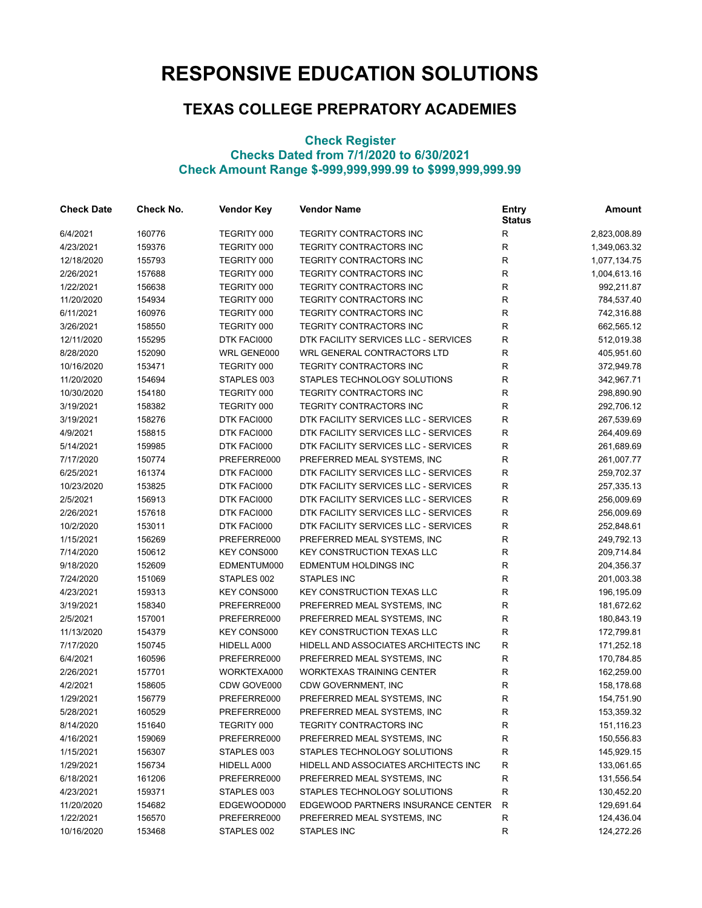## **RESPONSIVE EDUCATION SOLUTIONS**

## **TEXAS COLLEGE PREPRATORY ACADEMIES**

## **Check Register Checks Dated from 7/1/2020 to 6/30/2021 Check Amount Range \$-999,999,999.99 to \$999,999,999.99**

| <b>Check Date</b> | Check No. | <b>Vendor Key</b>  | <b>Vendor Name</b>                   | <b>Entry</b><br><b>Status</b> | <b>Amount</b> |
|-------------------|-----------|--------------------|--------------------------------------|-------------------------------|---------------|
| 6/4/2021          | 160776    | TEGRITY 000        | TEGRITY CONTRACTORS INC              | $\mathsf{R}$                  | 2,823,008.89  |
| 4/23/2021         | 159376    | TEGRITY 000        | TEGRITY CONTRACTORS INC              | $\mathsf{R}$                  | 1,349,063.32  |
| 12/18/2020        | 155793    | TEGRITY 000        | TEGRITY CONTRACTORS INC              | ${\sf R}$                     | 1,077,134.75  |
| 2/26/2021         | 157688    | TEGRITY 000        | TEGRITY CONTRACTORS INC              | ${\sf R}$                     | 1,004,613.16  |
| 1/22/2021         | 156638    | TEGRITY 000        | TEGRITY CONTRACTORS INC              | $\mathsf{R}$                  | 992,211.87    |
| 11/20/2020        | 154934    | TEGRITY 000        | TEGRITY CONTRACTORS INC              | $\mathsf{R}$                  | 784,537.40    |
| 6/11/2021         | 160976    | TEGRITY 000        | TEGRITY CONTRACTORS INC              | $\mathsf{R}$                  | 742,316.88    |
| 3/26/2021         | 158550    | TEGRITY 000        | <b>TEGRITY CONTRACTORS INC</b>       | R                             | 662,565.12    |
| 12/11/2020        | 155295    | DTK FACI000        | DTK FACILITY SERVICES LLC - SERVICES | $\mathsf{R}$                  | 512,019.38    |
| 8/28/2020         | 152090    | WRL GENE000        | WRL GENERAL CONTRACTORS LTD          | $\mathsf{R}$                  | 405,951.60    |
| 10/16/2020        | 153471    | TEGRITY 000        | TEGRITY CONTRACTORS INC              | $\mathsf{R}$                  | 372,949.78    |
| 11/20/2020        | 154694    | STAPLES 003        | STAPLES TECHNOLOGY SOLUTIONS         | $\mathsf{R}$                  | 342,967.71    |
| 10/30/2020        | 154180    | TEGRITY 000        | <b>TEGRITY CONTRACTORS INC</b>       | R                             | 298,890.90    |
| 3/19/2021         | 158382    | TEGRITY 000        | <b>TEGRITY CONTRACTORS INC</b>       | R                             | 292,706.12    |
| 3/19/2021         | 158276    | DTK FACI000        | DTK FACILITY SERVICES LLC - SERVICES | $\mathsf{R}$                  | 267,539.69    |
| 4/9/2021          | 158815    | DTK FACI000        | DTK FACILITY SERVICES LLC - SERVICES | $\mathsf{R}$                  | 264,409.69    |
| 5/14/2021         | 159985    | DTK FACI000        | DTK FACILITY SERVICES LLC - SERVICES | ${\sf R}$                     | 261,689.69    |
| 7/17/2020         | 150774    | PREFERRE000        | PREFERRED MEAL SYSTEMS, INC          | ${\sf R}$                     | 261,007.77    |
| 6/25/2021         | 161374    | DTK FACI000        | DTK FACILITY SERVICES LLC - SERVICES | $\mathsf{R}$                  | 259,702.37    |
| 10/23/2020        | 153825    | DTK FACI000        | DTK FACILITY SERVICES LLC - SERVICES | $\mathsf{R}$                  | 257,335.13    |
| 2/5/2021          | 156913    | DTK FACI000        | DTK FACILITY SERVICES LLC - SERVICES | $\mathsf{R}$                  | 256,009.69    |
| 2/26/2021         | 157618    | DTK FACI000        | DTK FACILITY SERVICES LLC - SERVICES | $\mathsf{R}$                  | 256,009.69    |
| 10/2/2020         | 153011    | DTK FACI000        | DTK FACILITY SERVICES LLC - SERVICES | $\mathsf{R}$                  | 252,848.61    |
| 1/15/2021         | 156269    | PREFERRE000        | PREFERRED MEAL SYSTEMS, INC          | $\mathsf{R}$                  | 249,792.13    |
| 7/14/2020         | 150612    | <b>KEY CONS000</b> | <b>KEY CONSTRUCTION TEXAS LLC</b>    | $\mathsf{R}$                  | 209,714.84    |
| 9/18/2020         | 152609    | EDMENTUM000        | EDMENTUM HOLDINGS INC                | $\mathsf{R}$                  | 204,356.37    |
| 7/24/2020         | 151069    | STAPLES 002        | <b>STAPLES INC</b>                   | R                             | 201,003.38    |
| 4/23/2021         | 159313    | KEY CONS000        | <b>KEY CONSTRUCTION TEXAS LLC</b>    | R                             | 196,195.09    |
| 3/19/2021         | 158340    | PREFERRE000        | PREFERRED MEAL SYSTEMS, INC          | $\mathsf{R}$                  | 181,672.62    |
| 2/5/2021          | 157001    | PREFERRE000        | PREFERRED MEAL SYSTEMS, INC          | $\mathsf{R}$                  | 180,843.19    |
| 11/13/2020        | 154379    | KEY CONS000        | <b>KEY CONSTRUCTION TEXAS LLC</b>    | $\mathsf{R}$                  | 172,799.81    |
| 7/17/2020         | 150745    | HIDELL A000        | HIDELL AND ASSOCIATES ARCHITECTS INC | ${\sf R}$                     | 171,252.18    |
| 6/4/2021          | 160596    | PREFERRE000        | PREFERRED MEAL SYSTEMS, INC          | $\mathsf{R}$                  | 170,784.85    |
| 2/26/2021         | 157701    | WORKTEXA000        | <b>WORKTEXAS TRAINING CENTER</b>     | $\mathsf{R}$                  | 162,259.00    |
| 4/2/2021          | 158605    | CDW GOVE000        | CDW GOVERNMENT, INC                  | R                             | 158,178.68    |
| 1/29/2021         | 156779    | PREFERRE000        | PREFERRED MEAL SYSTEMS, INC          | $\mathsf{R}$                  | 154,751.90    |
| 5/28/2021         | 160529    | PREFERRE000        | PREFERRED MEAL SYSTEMS, INC          | R                             | 153,359.32    |
| 8/14/2020         | 151640    | TEGRITY 000        | TEGRITY CONTRACTORS INC              | R                             | 151,116.23    |
| 4/16/2021         | 159069    | PREFERRE000        | PREFERRED MEAL SYSTEMS, INC          | R                             | 150,556.83    |
| 1/15/2021         | 156307    | STAPLES 003        | STAPLES TECHNOLOGY SOLUTIONS         | R                             | 145,929.15    |
| 1/29/2021         | 156734    | HIDELL A000        | HIDELL AND ASSOCIATES ARCHITECTS INC | R                             | 133,061.65    |
| 6/18/2021         | 161206    | PREFERRE000        | PREFERRED MEAL SYSTEMS, INC          | R                             | 131,556.54    |
| 4/23/2021         | 159371    | STAPLES 003        | STAPLES TECHNOLOGY SOLUTIONS         | R                             | 130,452.20    |
| 11/20/2020        | 154682    | EDGEWOOD000        | EDGEWOOD PARTNERS INSURANCE CENTER   | R                             | 129,691.64    |
| 1/22/2021         | 156570    | PREFERRE000        | PREFERRED MEAL SYSTEMS, INC          | R                             | 124,436.04    |
| 10/16/2020        | 153468    | STAPLES 002        | STAPLES INC                          | R                             | 124,272.26    |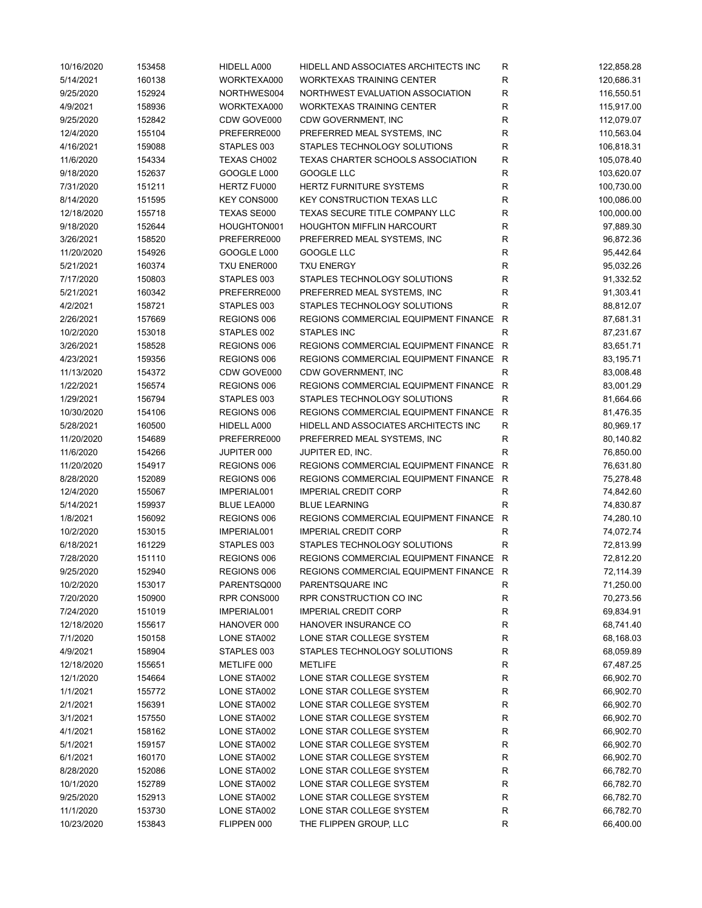| 10/16/2020 | 153458 | HIDELL A000        | HIDELL AND ASSOCIATES ARCHITECTS INC | R            | 122,858.28 |
|------------|--------|--------------------|--------------------------------------|--------------|------------|
| 5/14/2021  | 160138 | WORKTEXA000        | <b>WORKTEXAS TRAINING CENTER</b>     | R            | 120,686.31 |
| 9/25/2020  | 152924 | NORTHWES004        | NORTHWEST EVALUATION ASSOCIATION     | $\mathsf{R}$ | 116,550.51 |
| 4/9/2021   | 158936 | WORKTEXA000        | <b>WORKTEXAS TRAINING CENTER</b>     | $\mathsf{R}$ | 115,917.00 |
| 9/25/2020  | 152842 | CDW GOVE000        | CDW GOVERNMENT, INC                  | R            | 112,079.07 |
| 12/4/2020  | 155104 | PREFERRE000        | PREFERRED MEAL SYSTEMS, INC          | R            | 110,563.04 |
| 4/16/2021  | 159088 | STAPLES 003        | STAPLES TECHNOLOGY SOLUTIONS         | $\mathsf{R}$ | 106,818.31 |
| 11/6/2020  | 154334 | TEXAS CH002        | TEXAS CHARTER SCHOOLS ASSOCIATION    | R            | 105,078.40 |
| 9/18/2020  | 152637 | GOOGLE L000        | GOOGLE LLC                           | $\mathsf{R}$ | 103,620.07 |
| 7/31/2020  | 151211 | HERTZ FU000        | <b>HERTZ FURNITURE SYSTEMS</b>       | ${\sf R}$    | 100,730.00 |
| 8/14/2020  | 151595 | <b>KEY CONS000</b> | <b>KEY CONSTRUCTION TEXAS LLC</b>    | ${\sf R}$    | 100,086.00 |
| 12/18/2020 | 155718 | TEXAS SE000        | TEXAS SECURE TITLE COMPANY LLC       | R            | 100,000.00 |
| 9/18/2020  | 152644 | HOUGHTON001        | <b>HOUGHTON MIFFLIN HARCOURT</b>     | R            | 97,889.30  |
| 3/26/2021  | 158520 | PREFERRE000        | PREFERRED MEAL SYSTEMS, INC          | R            | 96,872.36  |
| 11/20/2020 | 154926 | GOOGLE L000        | GOOGLE LLC                           | R            | 95,442.64  |
| 5/21/2021  | 160374 | TXU ENER000        | <b>TXU ENERGY</b>                    | R            | 95,032.26  |
| 7/17/2020  | 150803 | STAPLES 003        | STAPLES TECHNOLOGY SOLUTIONS         | R            | 91,332.52  |
| 5/21/2021  | 160342 | PREFERRE000        | PREFERRED MEAL SYSTEMS, INC          | R            | 91,303.41  |
| 4/2/2021   | 158721 | STAPLES 003        | STAPLES TECHNOLOGY SOLUTIONS         | R            | 88,812.07  |
| 2/26/2021  | 157669 | REGIONS 006        | REGIONS COMMERCIAL EQUIPMENT FINANCE | R            | 87,681.31  |
| 10/2/2020  | 153018 | STAPLES 002        | <b>STAPLES INC</b>                   | R            | 87,231.67  |
| 3/26/2021  | 158528 | REGIONS 006        | REGIONS COMMERCIAL EQUIPMENT FINANCE | R            | 83,651.71  |
| 4/23/2021  | 159356 | REGIONS 006        | REGIONS COMMERCIAL EQUIPMENT FINANCE | R            | 83,195.71  |
| 11/13/2020 | 154372 | CDW GOVE000        | CDW GOVERNMENT, INC                  | R            | 83,008.48  |
| 1/22/2021  | 156574 | REGIONS 006        | REGIONS COMMERCIAL EQUIPMENT FINANCE | $\mathsf{R}$ | 83,001.29  |
| 1/29/2021  | 156794 | STAPLES 003        | STAPLES TECHNOLOGY SOLUTIONS         | $\mathsf{R}$ | 81,664.66  |
| 10/30/2020 | 154106 | REGIONS 006        | REGIONS COMMERCIAL EQUIPMENT FINANCE | R            | 81,476.35  |
| 5/28/2021  | 160500 | HIDELL A000        | HIDELL AND ASSOCIATES ARCHITECTS INC | R            | 80,969.17  |
| 11/20/2020 | 154689 | PREFERRE000        | PREFERRED MEAL SYSTEMS, INC          | ${\sf R}$    | 80,140.82  |
| 11/6/2020  | 154266 | JUPITER 000        | JUPITER ED, INC.                     | $\mathsf{R}$ | 76,850.00  |
| 11/20/2020 | 154917 | REGIONS 006        | REGIONS COMMERCIAL EQUIPMENT FINANCE | $\mathsf{R}$ | 76,631.80  |
| 8/28/2020  | 152089 | REGIONS 006        | REGIONS COMMERCIAL EQUIPMENT FINANCE | $\mathsf{R}$ | 75,278.48  |
| 12/4/2020  | 155067 | IMPERIAL001        | <b>IMPERIAL CREDIT CORP</b>          | ${\sf R}$    | 74,842.60  |
| 5/14/2021  | 159937 | <b>BLUE LEA000</b> | <b>BLUE LEARNING</b>                 | R            | 74,830.87  |
| 1/8/2021   | 156092 | REGIONS 006        | REGIONS COMMERCIAL EQUIPMENT FINANCE | $\mathsf{R}$ | 74,280.10  |
| 10/2/2020  | 153015 | IMPERIAL001        | <b>IMPERIAL CREDIT CORP</b>          | $\mathsf{R}$ | 74,072.74  |
| 6/18/2021  | 161229 | STAPLES 003        | STAPLES TECHNOLOGY SOLUTIONS         | R            | 72,813.99  |
| 7/28/2020  | 151110 | REGIONS 006        | REGIONS COMMERCIAL EQUIPMENT FINANCE | R            | 72,812.20  |
| 9/25/2020  | 152940 | REGIONS 006        | REGIONS COMMERCIAL EQUIPMENT FINANCE | R            | 72,114.39  |
| 10/2/2020  | 153017 | PARENTSQ000        | PARENTSQUARE INC                     | ${\sf R}$    | 71,250.00  |
| 7/20/2020  | 150900 | RPR CONS000        | RPR CONSTRUCTION CO INC              | R            | 70,273.56  |
| 7/24/2020  | 151019 | IMPERIAL001        | <b>IMPERIAL CREDIT CORP</b>          | $\mathsf{R}$ | 69,834.91  |
| 12/18/2020 | 155617 | HANOVER 000        | HANOVER INSURANCE CO                 | R            | 68,741.40  |
| 7/1/2020   | 150158 | LONE STA002        | LONE STAR COLLEGE SYSTEM             | R            | 68,168.03  |
| 4/9/2021   | 158904 | STAPLES 003        | STAPLES TECHNOLOGY SOLUTIONS         | R            | 68,059.89  |
| 12/18/2020 | 155651 | METLIFE 000        | <b>METLIFE</b>                       | R            | 67,487.25  |
| 12/1/2020  | 154664 | LONE STA002        | LONE STAR COLLEGE SYSTEM             | $\mathsf{R}$ | 66,902.70  |
| 1/1/2021   | 155772 | LONE STA002        | LONE STAR COLLEGE SYSTEM             | R            | 66,902.70  |
| 2/1/2021   | 156391 | LONE STA002        | LONE STAR COLLEGE SYSTEM             | R            | 66,902.70  |
| 3/1/2021   | 157550 | LONE STA002        | LONE STAR COLLEGE SYSTEM             | R            | 66,902.70  |
| 4/1/2021   | 158162 | LONE STA002        | LONE STAR COLLEGE SYSTEM             | R            | 66,902.70  |
| 5/1/2021   | 159157 | LONE STA002        | LONE STAR COLLEGE SYSTEM             | R            | 66,902.70  |
| 6/1/2021   | 160170 | LONE STA002        | LONE STAR COLLEGE SYSTEM             | $\mathsf{R}$ | 66,902.70  |
| 8/28/2020  | 152086 | LONE STA002        | LONE STAR COLLEGE SYSTEM             | ${\sf R}$    | 66,782.70  |
| 10/1/2020  | 152789 | LONE STA002        | LONE STAR COLLEGE SYSTEM             | ${\sf R}$    | 66,782.70  |
| 9/25/2020  | 152913 | LONE STA002        | LONE STAR COLLEGE SYSTEM             | ${\sf R}$    | 66,782.70  |
| 11/1/2020  | 153730 | LONE STA002        | LONE STAR COLLEGE SYSTEM             | R            | 66,782.70  |
| 10/23/2020 | 153843 | FLIPPEN 000        | THE FLIPPEN GROUP, LLC               | $\mathsf R$  | 66,400.00  |
|            |        |                    |                                      |              |            |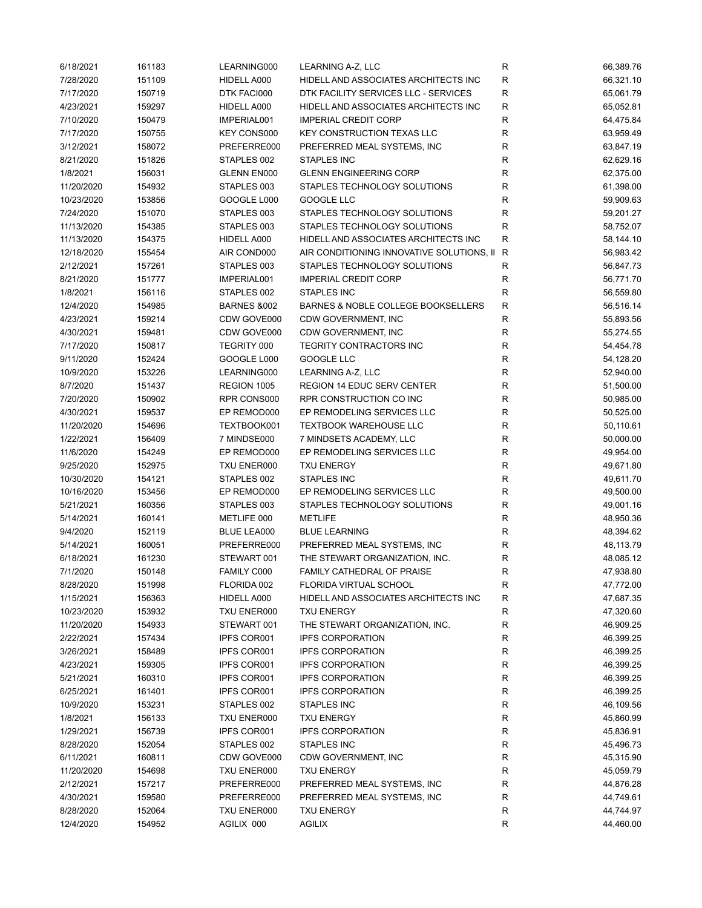| 6/18/2021  | 161183 | LEARNING000        | LEARNING A-Z, LLC                         | R            | 66,389.76 |
|------------|--------|--------------------|-------------------------------------------|--------------|-----------|
| 7/28/2020  | 151109 | HIDELL A000        | HIDELL AND ASSOCIATES ARCHITECTS INC      | R            | 66,321.10 |
| 7/17/2020  | 150719 | DTK FACI000        | DTK FACILITY SERVICES LLC - SERVICES      | R            | 65,061.79 |
| 4/23/2021  | 159297 | HIDELL A000        | HIDELL AND ASSOCIATES ARCHITECTS INC      | R            | 65,052.81 |
| 7/10/2020  | 150479 | IMPERIAL001        | <b>IMPERIAL CREDIT CORP</b>               | $\mathsf R$  | 64,475.84 |
| 7/17/2020  | 150755 | <b>KEY CONS000</b> | <b>KEY CONSTRUCTION TEXAS LLC</b>         | R            | 63,959.49 |
| 3/12/2021  | 158072 | PREFERRE000        | PREFERRED MEAL SYSTEMS, INC               | $\mathsf R$  | 63,847.19 |
| 8/21/2020  | 151826 | STAPLES 002        | <b>STAPLES INC</b>                        | $\mathsf R$  | 62,629.16 |
| 1/8/2021   | 156031 | GLENN EN000        | <b>GLENN ENGINEERING CORP</b>             | $\mathsf R$  | 62,375.00 |
| 11/20/2020 | 154932 | STAPLES 003        | STAPLES TECHNOLOGY SOLUTIONS              | ${\sf R}$    | 61,398.00 |
| 10/23/2020 | 153856 | GOOGLE L000        | GOOGLE LLC                                | ${\sf R}$    | 59,909.63 |
| 7/24/2020  | 151070 | STAPLES 003        | STAPLES TECHNOLOGY SOLUTIONS              | ${\sf R}$    | 59,201.27 |
| 11/13/2020 | 154385 | STAPLES 003        | STAPLES TECHNOLOGY SOLUTIONS              | $\mathsf R$  | 58,752.07 |
| 11/13/2020 | 154375 | HIDELL A000        | HIDELL AND ASSOCIATES ARCHITECTS INC      | R            | 58,144.10 |
| 12/18/2020 | 155454 | AIR COND000        | AIR CONDITIONING INNOVATIVE SOLUTIONS, II | $\mathsf{R}$ | 56,983.42 |
| 2/12/2021  | 157261 | STAPLES 003        | STAPLES TECHNOLOGY SOLUTIONS              | R            | 56,847.73 |
| 8/21/2020  | 151777 | IMPERIAL001        | <b>IMPERIAL CREDIT CORP</b>               | ${\sf R}$    | 56,771.70 |
| 1/8/2021   | 156116 | STAPLES 002        | STAPLES INC                               | $\mathsf R$  | 56,559.80 |
| 12/4/2020  | 154985 | BARNES &002        | BARNES & NOBLE COLLEGE BOOKSELLERS        | $\mathsf R$  | 56,516.14 |
| 4/23/2021  | 159214 | CDW GOVE000        | CDW GOVERNMENT, INC                       | $\mathsf R$  | 55,893.56 |
| 4/30/2021  | 159481 | CDW GOVE000        | CDW GOVERNMENT, INC                       | R            | 55,274.55 |
| 7/17/2020  | 150817 | TEGRITY 000        | TEGRITY CONTRACTORS INC                   | R            | 54,454.78 |
| 9/11/2020  | 152424 | GOOGLE L000        | <b>GOOGLE LLC</b>                         | $\mathsf R$  | 54,128.20 |
| 10/9/2020  |        |                    | LEARNING A-Z, LLC                         | $\mathsf R$  |           |
|            | 153226 | LEARNING000        |                                           |              | 52,940.00 |
| 8/7/2020   | 151437 | REGION 1005        | <b>REGION 14 EDUC SERV CENTER</b>         | ${\sf R}$    | 51,500.00 |
| 7/20/2020  | 150902 | RPR CONS000        | RPR CONSTRUCTION CO INC                   | ${\sf R}$    | 50,985.00 |
| 4/30/2021  | 159537 | EP REMOD000        | EP REMODELING SERVICES LLC                | $\mathsf R$  | 50,525.00 |
| 11/20/2020 | 154696 | TEXTBOOK001        | <b>TEXTBOOK WAREHOUSE LLC</b>             | $\mathsf R$  | 50,110.61 |
| 1/22/2021  | 156409 | 7 MINDSE000        | 7 MINDSETS ACADEMY, LLC                   | $\mathsf R$  | 50,000.00 |
| 11/6/2020  | 154249 | EP REMOD000        | EP REMODELING SERVICES LLC                | $\mathsf R$  | 49,954.00 |
| 9/25/2020  | 152975 | TXU ENER000        | <b>TXU ENERGY</b>                         | $\mathsf R$  | 49,671.80 |
| 10/30/2020 | 154121 | STAPLES 002        | <b>STAPLES INC</b>                        | $\mathsf R$  | 49,611.70 |
| 10/16/2020 | 153456 | EP REMOD000        | EP REMODELING SERVICES LLC                | $\mathsf R$  | 49,500.00 |
| 5/21/2021  | 160356 | STAPLES 003        | STAPLES TECHNOLOGY SOLUTIONS              | $\mathsf R$  | 49,001.16 |
| 5/14/2021  | 160141 | METLIFE 000        | <b>METLIFE</b>                            | $\mathsf R$  | 48,950.36 |
| 9/4/2020   | 152119 | BLUE LEA000        | <b>BLUE LEARNING</b>                      | R            | 48,394.62 |
| 5/14/2021  | 160051 | PREFERRE000        | PREFERRED MEAL SYSTEMS, INC               | $\mathsf R$  | 48,113.79 |
| 6/18/2021  | 161230 | STEWART 001        | THE STEWART ORGANIZATION, INC.            | $\mathsf R$  | 48,085.12 |
| 7/1/2020   | 150148 | FAMILY C000        | FAMILY CATHEDRAL OF PRAISE                | R            | 47,938.80 |
| 8/28/2020  | 151998 | FLORIDA 002        | FLORIDA VIRTUAL SCHOOL                    | R            | 47,772.00 |
| 1/15/2021  | 156363 | HIDELL A000        | HIDELL AND ASSOCIATES ARCHITECTS INC      | R            | 47,687.35 |
| 10/23/2020 | 153932 | TXU ENER000        | <b>TXU ENERGY</b>                         | R            | 47,320.60 |
| 11/20/2020 | 154933 | STEWART 001        | THE STEWART ORGANIZATION, INC.            | R            | 46,909.25 |
| 2/22/2021  | 157434 | <b>IPFS COR001</b> | <b>IPFS CORPORATION</b>                   | R            | 46,399.25 |
| 3/26/2021  | 158489 | <b>IPFS COR001</b> | <b>IPFS CORPORATION</b>                   | R            | 46,399.25 |
| 4/23/2021  | 159305 | <b>IPFS COR001</b> | <b>IPFS CORPORATION</b>                   | R            | 46,399.25 |
| 5/21/2021  | 160310 | IPFS COR001        | <b>IPFS CORPORATION</b>                   | R            | 46,399.25 |
| 6/25/2021  | 161401 | IPFS COR001        | <b>IPFS CORPORATION</b>                   | R            | 46,399.25 |
| 10/9/2020  | 153231 | STAPLES 002        | STAPLES INC                               | R            | 46,109.56 |
| 1/8/2021   | 156133 | TXU ENER000        | <b>TXU ENERGY</b>                         | R            | 45,860.99 |
| 1/29/2021  | 156739 | <b>IPFS COR001</b> | <b>IPFS CORPORATION</b>                   | R            | 45,836.91 |
| 8/28/2020  | 152054 | STAPLES 002        | STAPLES INC                               | R            | 45,496.73 |
| 6/11/2021  | 160811 | CDW GOVE000        | CDW GOVERNMENT, INC                       | R            | 45,315.90 |
| 11/20/2020 | 154698 | TXU ENER000        | <b>TXU ENERGY</b>                         | R            | 45,059.79 |
| 2/12/2021  | 157217 | PREFERRE000        | PREFERRED MEAL SYSTEMS, INC               | R            | 44,876.28 |
| 4/30/2021  | 159580 | PREFERRE000        | PREFERRED MEAL SYSTEMS, INC               | R            | 44,749.61 |
| 8/28/2020  | 152064 | TXU ENER000        | <b>TXU ENERGY</b>                         | R            | 44,744.97 |
| 12/4/2020  | 154952 | AGILIX 000         | <b>AGILIX</b>                             | R            | 44,460.00 |
|            |        |                    |                                           |              |           |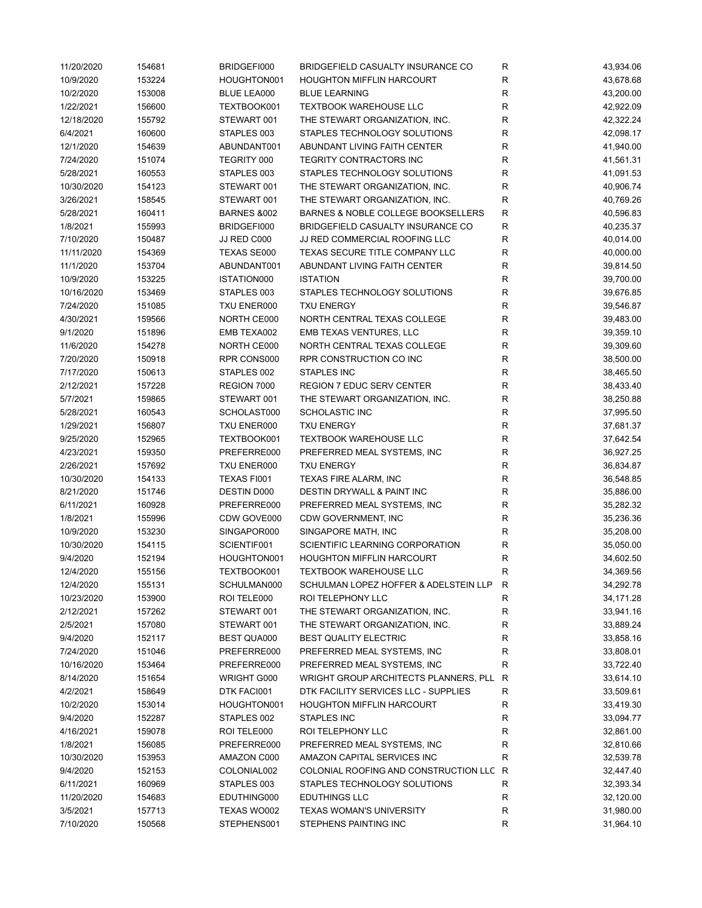| 11/20/2020 | 154681 | BRIDGEFI000            | BRIDGEFIELD CASUALTY INSURANCE CO     | ${\sf R}$    | 43,934.06 |
|------------|--------|------------------------|---------------------------------------|--------------|-----------|
| 10/9/2020  | 153224 | HOUGHTON001            | <b>HOUGHTON MIFFLIN HARCOURT</b>      | $\mathsf R$  | 43,678.68 |
| 10/2/2020  | 153008 | <b>BLUE LEA000</b>     | <b>BLUE LEARNING</b>                  | R            | 43,200.00 |
| 1/22/2021  | 156600 | TEXTBOOK001            | <b>TEXTBOOK WAREHOUSE LLC</b>         | R            | 42,922.09 |
| 12/18/2020 | 155792 | STEWART 001            | THE STEWART ORGANIZATION, INC.        | $\mathsf R$  | 42,322.24 |
| 6/4/2021   | 160600 | STAPLES 003            | STAPLES TECHNOLOGY SOLUTIONS          | R            | 42,098.17 |
| 12/1/2020  | 154639 | ABUNDANT001            | ABUNDANT LIVING FAITH CENTER          | R            | 41,940.00 |
| 7/24/2020  | 151074 | TEGRITY 000            | TEGRITY CONTRACTORS INC               | $\mathsf{R}$ | 41,561.31 |
| 5/28/2021  | 160553 | STAPLES 003            | STAPLES TECHNOLOGY SOLUTIONS          | $\mathsf R$  | 41,091.53 |
| 10/30/2020 | 154123 | STEWART 001            | THE STEWART ORGANIZATION, INC.        | $\mathsf{R}$ | 40,906.74 |
| 3/26/2021  | 158545 | STEWART 001            | THE STEWART ORGANIZATION, INC.        | $\mathsf R$  | 40,769.26 |
| 5/28/2021  | 160411 | <b>BARNES &amp;002</b> | BARNES & NOBLE COLLEGE BOOKSELLERS    | $\mathsf{R}$ | 40,596.83 |
| 1/8/2021   | 155993 | BRIDGEFI000            | BRIDGEFIELD CASUALTY INSURANCE CO     | $\mathsf{R}$ | 40,235.37 |
| 7/10/2020  | 150487 | JJ RED C000            | JJ RED COMMERCIAL ROOFING LLC         | R            | 40,014.00 |
| 11/11/2020 | 154369 | TEXAS SE000            | TEXAS SECURE TITLE COMPANY LLC        | $\mathsf R$  | 40,000.00 |
| 11/1/2020  | 153704 | ABUNDANT001            | ABUNDANT LIVING FAITH CENTER          | $\mathsf R$  | 39,814.50 |
| 10/9/2020  | 153225 | ISTATION000            | <b>ISTATION</b>                       | R            | 39,700.00 |
| 10/16/2020 | 153469 | STAPLES 003            | STAPLES TECHNOLOGY SOLUTIONS          | R            | 39,676.85 |
| 7/24/2020  | 151085 | TXU ENER000            | <b>TXU ENERGY</b>                     | $\mathsf R$  | 39,546.87 |
| 4/30/2021  | 159566 | NORTH CE000            | NORTH CENTRAL TEXAS COLLEGE           | $\mathsf R$  | 39,483.00 |
| 9/1/2020   | 151896 | EMB TEXA002            | EMB TEXAS VENTURES, LLC               | R            | 39,359.10 |
| 11/6/2020  | 154278 | NORTH CE000            | NORTH CENTRAL TEXAS COLLEGE           | R            | 39,309.60 |
| 7/20/2020  | 150918 | RPR CONS000            | RPR CONSTRUCTION CO INC               | $\mathsf{R}$ | 38,500.00 |
| 7/17/2020  | 150613 | STAPLES 002            | <b>STAPLES INC</b>                    | $\mathsf{R}$ | 38,465.50 |
| 2/12/2021  | 157228 | REGION 7000            | <b>REGION 7 EDUC SERV CENTER</b>      | $\mathsf{R}$ | 38,433.40 |
| 5/7/2021   | 159865 | STEWART 001            | THE STEWART ORGANIZATION, INC.        | ${\sf R}$    | 38,250.88 |
| 5/28/2021  | 160543 | SCHOLAST000            | <b>SCHOLASTIC INC</b>                 | $\mathsf R$  | 37,995.50 |
| 1/29/2021  | 156807 | TXU ENER000            | <b>TXU ENERGY</b>                     | $\mathsf R$  | 37,681.37 |
| 9/25/2020  | 152965 | TEXTBOOK001            | <b>TEXTBOOK WAREHOUSE LLC</b>         | $\mathsf R$  | 37,642.54 |
|            |        |                        |                                       |              |           |
| 4/23/2021  | 159350 | PREFERRE000            | PREFERRED MEAL SYSTEMS, INC           | $\mathsf R$  | 36,927.25 |
| 2/26/2021  | 157692 | TXU ENER000            | <b>TXU ENERGY</b>                     | $\mathsf R$  | 36,834.87 |
| 10/30/2020 | 154133 | TEXAS FI001            | <b>TEXAS FIRE ALARM, INC</b>          | $\mathsf R$  | 36,548.85 |
| 8/21/2020  | 151746 | DESTIN D000            | DESTIN DRYWALL & PAINT INC            | $\mathsf R$  | 35,886.00 |
| 6/11/2021  | 160928 | PREFERRE000            | PREFERRED MEAL SYSTEMS, INC           | $\mathsf R$  | 35,282.32 |
| 1/8/2021   | 155996 | CDW GOVE000            | CDW GOVERNMENT, INC                   | R            | 35,236.36 |
| 10/9/2020  | 153230 | SINGAPOR000            | SINGAPORE MATH, INC                   | R            | 35,208.00 |
| 10/30/2020 | 154115 | SCIENTIF001            | SCIENTIFIC LEARNING CORPORATION       | $\mathsf R$  | 35,050.00 |
| 9/4/2020   | 152194 | HOUGHTON001            | <b>HOUGHTON MIFFLIN HARCOURT</b>      | R            | 34,602.50 |
| 12/4/2020  | 155156 | TEXTBOOK001            | TEXTBOOK WAREHOUSE LLC                | R            | 34,369.56 |
| 12/4/2020  | 155131 | SCHULMAN000            | SCHULMAN LOPEZ HOFFER & ADELSTEIN LLP | R            | 34,292.78 |
| 10/23/2020 | 153900 | ROI TELE000            | ROI TELEPHONY LLC                     | ${\sf R}$    | 34,171.28 |
| 2/12/2021  | 157262 | STEWART 001            | THE STEWART ORGANIZATION, INC.        | R            | 33,941.16 |
| 2/5/2021   | 157080 | STEWART 001            | THE STEWART ORGANIZATION, INC.        | R            | 33,889.24 |
| 9/4/2020   | 152117 | <b>BEST QUA000</b>     | <b>BEST QUALITY ELECTRIC</b>          | R            | 33,858.16 |
| 7/24/2020  | 151046 | PREFERRE000            | PREFERRED MEAL SYSTEMS, INC           | R            | 33,808.01 |
| 10/16/2020 | 153464 | PREFERRE000            | PREFERRED MEAL SYSTEMS, INC           | R            | 33,722.40 |
| 8/14/2020  | 151654 | WRIGHT G000            | WRIGHT GROUP ARCHITECTS PLANNERS, PLL | R            | 33,614.10 |
| 4/2/2021   | 158649 | DTK FACI001            | DTK FACILITY SERVICES LLC - SUPPLIES  | $\mathsf{R}$ | 33,509.61 |
| 10/2/2020  | 153014 | HOUGHTON001            | <b>HOUGHTON MIFFLIN HARCOURT</b>      | R            | 33,419.30 |
| 9/4/2020   | 152287 | STAPLES 002            | STAPLES INC                           | R            | 33,094.77 |
| 4/16/2021  | 159078 | ROI TELE000            | ROI TELEPHONY LLC                     | R            | 32,861.00 |
| 1/8/2021   | 156085 | PREFERRE000            | PREFERRED MEAL SYSTEMS, INC           | R            | 32,810.66 |
| 10/30/2020 | 153953 | AMAZON C000            | AMAZON CAPITAL SERVICES INC           | R            | 32,539.78 |
| 9/4/2020   | 152153 | COLONIAL002            | COLONIAL ROOFING AND CONSTRUCTION LLC | R            | 32,447.40 |
| 6/11/2021  | 160969 | STAPLES 003            | STAPLES TECHNOLOGY SOLUTIONS          | R            | 32,393.34 |
| 11/20/2020 | 154683 | EDUTHING000            | <b>EDUTHINGS LLC</b>                  | ${\sf R}$    | 32,120.00 |
| 3/5/2021   | 157713 | TEXAS WO002            | <b>TEXAS WOMAN'S UNIVERSITY</b>       | R            | 31,980.00 |
| 7/10/2020  | 150568 | STEPHENS001            | STEPHENS PAINTING INC                 | R            | 31,964.10 |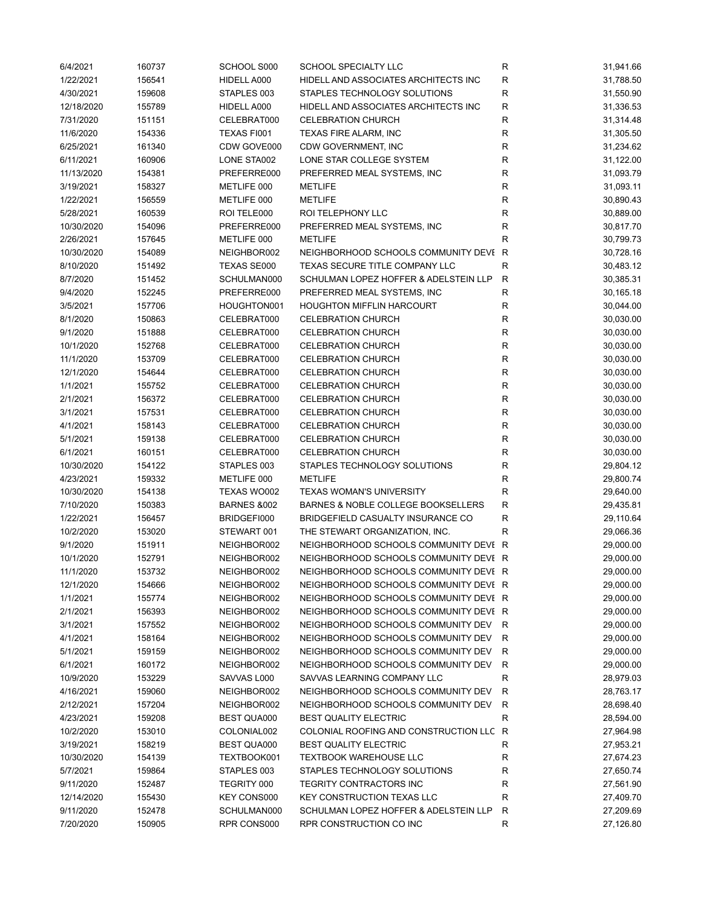| 6/4/2021   | 160737 | SCHOOL S000            | SCHOOL SPECIALTY LLC                  | R            | 31,941.66 |
|------------|--------|------------------------|---------------------------------------|--------------|-----------|
| 1/22/2021  | 156541 | HIDELL A000            | HIDELL AND ASSOCIATES ARCHITECTS INC  | R            | 31,788.50 |
| 4/30/2021  | 159608 | STAPLES 003            | STAPLES TECHNOLOGY SOLUTIONS          | R            | 31,550.90 |
| 12/18/2020 | 155789 | HIDELL A000            | HIDELL AND ASSOCIATES ARCHITECTS INC  | R            | 31,336.53 |
| 7/31/2020  | 151151 | CELEBRAT000            | <b>CELEBRATION CHURCH</b>             | $\mathsf R$  | 31,314.48 |
| 11/6/2020  | 154336 | TEXAS FI001            | TEXAS FIRE ALARM, INC                 | R            | 31,305.50 |
| 6/25/2021  | 161340 | CDW GOVE000            | CDW GOVERNMENT, INC                   | $\mathsf R$  | 31,234.62 |
| 6/11/2021  | 160906 | LONE STA002            | LONE STAR COLLEGE SYSTEM              | $\mathsf R$  | 31,122.00 |
| 11/13/2020 | 154381 | PREFERRE000            | PREFERRED MEAL SYSTEMS, INC           | $\mathsf R$  | 31,093.79 |
| 3/19/2021  | 158327 | METLIFE 000            | <b>METLIFE</b>                        | ${\sf R}$    | 31,093.11 |
| 1/22/2021  | 156559 | METLIFE 000            | <b>METLIFE</b>                        | ${\sf R}$    | 30,890.43 |
| 5/28/2021  | 160539 | ROI TELE000            | ROI TELEPHONY LLC                     | ${\sf R}$    | 30,889.00 |
| 10/30/2020 | 154096 | PREFERRE000            | PREFERRED MEAL SYSTEMS, INC           | $\mathsf R$  | 30,817.70 |
| 2/26/2021  | 157645 | METLIFE 000            | <b>METLIFE</b>                        | R            | 30,799.73 |
| 10/30/2020 | 154089 | NEIGHBOR002            | NEIGHBORHOOD SCHOOLS COMMUNITY DEVI R |              | 30,728.16 |
| 8/10/2020  | 151492 | TEXAS SE000            | TEXAS SECURE TITLE COMPANY LLC        | $\mathsf R$  | 30,483.12 |
| 8/7/2020   | 151452 | SCHULMAN000            | SCHULMAN LOPEZ HOFFER & ADELSTEIN LLP | $\mathsf{R}$ | 30,385.31 |
| 9/4/2020   | 152245 | PREFERRE000            | PREFERRED MEAL SYSTEMS, INC           | $\mathsf R$  | 30,165.18 |
| 3/5/2021   | 157706 | HOUGHTON001            | <b>HOUGHTON MIFFLIN HARCOURT</b>      | $\mathsf R$  | 30,044.00 |
| 8/1/2020   | 150863 | CELEBRAT000            | <b>CELEBRATION CHURCH</b>             | $\mathsf R$  | 30,030.00 |
| 9/1/2020   | 151888 | CELEBRAT000            | <b>CELEBRATION CHURCH</b>             | $\mathsf R$  | 30,030.00 |
| 10/1/2020  | 152768 | CELEBRAT000            | <b>CELEBRATION CHURCH</b>             | $\mathsf R$  | 30,030.00 |
| 11/1/2020  | 153709 | CELEBRAT000            | <b>CELEBRATION CHURCH</b>             | ${\sf R}$    | 30,030.00 |
| 12/1/2020  | 154644 | CELEBRAT000            | <b>CELEBRATION CHURCH</b>             | $\mathsf R$  | 30,030.00 |
| 1/1/2021   | 155752 | CELEBRAT000            | <b>CELEBRATION CHURCH</b>             | ${\sf R}$    | 30,030.00 |
| 2/1/2021   | 156372 | CELEBRAT000            | <b>CELEBRATION CHURCH</b>             | ${\sf R}$    | 30,030.00 |
| 3/1/2021   | 157531 | CELEBRAT000            | <b>CELEBRATION CHURCH</b>             | ${\sf R}$    | 30,030.00 |
|            |        |                        |                                       |              |           |
| 4/1/2021   | 158143 | CELEBRAT000            | <b>CELEBRATION CHURCH</b>             | R            | 30,030.00 |
| 5/1/2021   | 159138 | CELEBRAT000            | <b>CELEBRATION CHURCH</b>             | $\mathsf R$  | 30,030.00 |
| 6/1/2021   | 160151 | CELEBRAT000            | <b>CELEBRATION CHURCH</b>             | $\mathsf R$  | 30,030.00 |
| 10/30/2020 | 154122 | STAPLES 003            | STAPLES TECHNOLOGY SOLUTIONS          | $\mathsf R$  | 29,804.12 |
| 4/23/2021  | 159332 | METLIFE 000            | <b>METLIFE</b>                        | $\mathsf R$  | 29,800.74 |
| 10/30/2020 | 154138 | TEXAS WO002            | TEXAS WOMAN'S UNIVERSITY              | $\mathsf R$  | 29,640.00 |
| 7/10/2020  | 150383 | <b>BARNES &amp;002</b> | BARNES & NOBLE COLLEGE BOOKSELLERS    | $\mathsf R$  | 29,435.81 |
| 1/22/2021  | 156457 | BRIDGEFI000            | BRIDGEFIELD CASUALTY INSURANCE CO     | $\mathsf R$  | 29,110.64 |
| 10/2/2020  | 153020 | STEWART 001            | THE STEWART ORGANIZATION, INC.        | R            | 29,066.36 |
| 9/1/2020   | 151911 | NEIGHBOR002            | NEIGHBORHOOD SCHOOLS COMMUNITY DEVI R |              | 29,000.00 |
| 10/1/2020  | 152791 | NEIGHBOR002            | NEIGHBORHOOD SCHOOLS COMMUNITY DEVI R |              | 29,000.00 |
| 11/1/2020  | 153732 | NEIGHBOR002            | NEIGHBORHOOD SCHOOLS COMMUNITY DEVI R |              | 29,000.00 |
| 12/1/2020  | 154666 | NEIGHBOR002            | NEIGHBORHOOD SCHOOLS COMMUNITY DEVI R |              | 29,000.00 |
| 1/1/2021   | 155774 | NEIGHBOR002            | NEIGHBORHOOD SCHOOLS COMMUNITY DEVI R |              | 29,000.00 |
| 2/1/2021   | 156393 | NEIGHBOR002            | NEIGHBORHOOD SCHOOLS COMMUNITY DEVI R |              | 29,000.00 |
| 3/1/2021   | 157552 | NEIGHBOR002            | NEIGHBORHOOD SCHOOLS COMMUNITY DEV    | R            | 29,000.00 |
| 4/1/2021   | 158164 | NEIGHBOR002            | NEIGHBORHOOD SCHOOLS COMMUNITY DEV    | R            | 29,000.00 |
| 5/1/2021   | 159159 | NEIGHBOR002            | NEIGHBORHOOD SCHOOLS COMMUNITY DEV    | R            | 29,000.00 |
| 6/1/2021   | 160172 | NEIGHBOR002            | NEIGHBORHOOD SCHOOLS COMMUNITY DEV    | R            | 29,000.00 |
| 10/9/2020  | 153229 | SAVVAS L000            | SAVVAS LEARNING COMPANY LLC           | $\mathsf{R}$ | 28,979.03 |
| 4/16/2021  | 159060 | NEIGHBOR002            | NEIGHBORHOOD SCHOOLS COMMUNITY DEV    | $\mathsf{R}$ | 28,763.17 |
| 2/12/2021  | 157204 | NEIGHBOR002            | NEIGHBORHOOD SCHOOLS COMMUNITY DEV    | R            | 28,698.40 |
| 4/23/2021  | 159208 | <b>BEST QUA000</b>     | <b>BEST QUALITY ELECTRIC</b>          | R            | 28,594.00 |
| 10/2/2020  | 153010 | COLONIAL002            | COLONIAL ROOFING AND CONSTRUCTION LLC | R            | 27,964.98 |
| 3/19/2021  | 158219 | <b>BEST QUA000</b>     | <b>BEST QUALITY ELECTRIC</b>          | R            | 27,953.21 |
| 10/30/2020 | 154139 | TEXTBOOK001            | <b>TEXTBOOK WAREHOUSE LLC</b>         | R            | 27,674.23 |
| 5/7/2021   | 159864 | STAPLES 003            | STAPLES TECHNOLOGY SOLUTIONS          | R            | 27,650.74 |
| 9/11/2020  | 152487 | TEGRITY 000            | TEGRITY CONTRACTORS INC               | R            | 27,561.90 |
| 12/14/2020 | 155430 | <b>KEY CONS000</b>     | <b>KEY CONSTRUCTION TEXAS LLC</b>     | $\mathsf{R}$ | 27,409.70 |
| 9/11/2020  | 152478 | SCHULMAN000            | SCHULMAN LOPEZ HOFFER & ADELSTEIN LLP | R            | 27,209.69 |
| 7/20/2020  | 150905 | RPR CONS000            | RPR CONSTRUCTION CO INC               | R            | 27,126.80 |
|            |        |                        |                                       |              |           |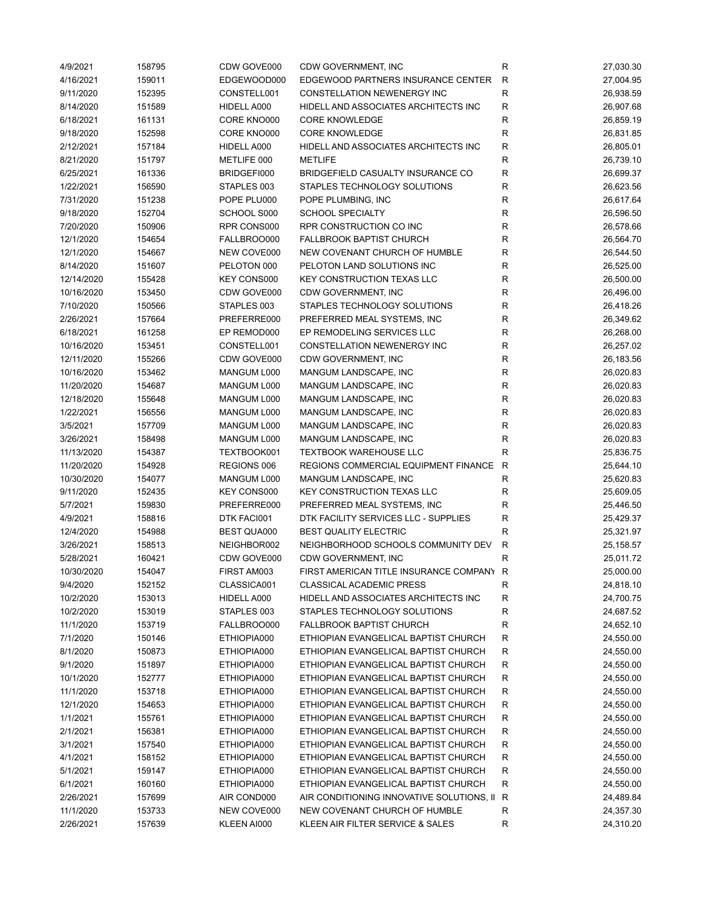| 4/9/2021   | 158795 | CDW GOVE000 | CDW GOVERNMENT, INC                         | R            | 27,030.30 |
|------------|--------|-------------|---------------------------------------------|--------------|-----------|
| 4/16/2021  | 159011 | EDGEWOOD000 | EDGEWOOD PARTNERS INSURANCE CENTER          | $\mathsf{R}$ | 27,004.95 |
| 9/11/2020  | 152395 | CONSTELL001 | CONSTELLATION NEWENERGY INC                 | $\mathsf R$  | 26,938.59 |
| 8/14/2020  | 151589 | HIDELL A000 | HIDELL AND ASSOCIATES ARCHITECTS INC        | R            | 26,907.68 |
| 6/18/2021  | 161131 | CORE KNO000 | <b>CORE KNOWLEDGE</b>                       | $\mathsf R$  | 26,859.19 |
| 9/18/2020  | 152598 | CORE KNO000 | <b>CORE KNOWLEDGE</b>                       | $\mathsf{R}$ | 26,831.85 |
| 2/12/2021  | 157184 | HIDELL A000 | HIDELL AND ASSOCIATES ARCHITECTS INC        | $\mathsf R$  | 26,805.01 |
| 8/21/2020  | 151797 | METLIFE 000 | <b>METLIFE</b>                              | $\mathsf R$  | 26,739.10 |
| 6/25/2021  | 161336 | BRIDGEFI000 | BRIDGEFIELD CASUALTY INSURANCE CO           | $\mathsf R$  | 26,699.37 |
| 1/22/2021  | 156590 | STAPLES 003 | STAPLES TECHNOLOGY SOLUTIONS                | ${\sf R}$    | 26,623.56 |
| 7/31/2020  | 151238 | POPE PLU000 | POPE PLUMBING, INC                          | ${\sf R}$    | 26,617.64 |
| 9/18/2020  | 152704 | SCHOOL S000 | <b>SCHOOL SPECIALTY</b>                     | ${\sf R}$    | 26,596.50 |
| 7/20/2020  | 150906 | RPR CONS000 | RPR CONSTRUCTION CO INC                     | ${\sf R}$    | 26,578.66 |
| 12/1/2020  | 154654 | FALLBROO000 | <b>FALLBROOK BAPTIST CHURCH</b>             | $\mathsf R$  | 26,564.70 |
| 12/1/2020  | 154667 | NEW COVE000 | NEW COVENANT CHURCH OF HUMBLE               | $\mathsf R$  | 26,544.50 |
| 8/14/2020  | 151607 | PELOTON 000 | PELOTON LAND SOLUTIONS INC                  | $\mathsf R$  | 26,525.00 |
| 12/14/2020 | 155428 | KEY CONS000 | <b>KEY CONSTRUCTION TEXAS LLC</b>           | $\mathsf R$  | 26,500.00 |
| 10/16/2020 | 153450 | CDW GOVE000 | CDW GOVERNMENT, INC                         | $\mathsf R$  | 26,496.00 |
| 7/10/2020  | 150566 | STAPLES 003 | STAPLES TECHNOLOGY SOLUTIONS                | $\mathsf R$  | 26,418.26 |
| 2/26/2021  | 157664 | PREFERRE000 | PREFERRED MEAL SYSTEMS, INC                 | $\mathsf R$  | 26,349.62 |
| 6/18/2021  | 161258 | EP REMOD000 | EP REMODELING SERVICES LLC                  | $\mathsf R$  | 26,268.00 |
| 10/16/2020 | 153451 | CONSTELL001 | CONSTELLATION NEWENERGY INC                 | $\mathsf R$  | 26,257.02 |
| 12/11/2020 | 155266 | CDW GOVE000 | CDW GOVERNMENT, INC                         | $\mathsf R$  | 26,183.56 |
| 10/16/2020 | 153462 | MANGUM L000 | MANGUM LANDSCAPE, INC                       | $\mathsf R$  | 26,020.83 |
| 11/20/2020 |        | MANGUM L000 |                                             | ${\sf R}$    |           |
|            | 154687 |             | MANGUM LANDSCAPE, INC                       | ${\sf R}$    | 26,020.83 |
| 12/18/2020 | 155648 | MANGUM L000 | MANGUM LANDSCAPE, INC                       |              | 26,020.83 |
| 1/22/2021  | 156556 | MANGUM L000 | MANGUM LANDSCAPE, INC                       | ${\sf R}$    | 26,020.83 |
| 3/5/2021   | 157709 | MANGUM L000 | MANGUM LANDSCAPE, INC                       | $\mathsf R$  | 26,020.83 |
| 3/26/2021  | 158498 | MANGUM L000 | MANGUM LANDSCAPE, INC                       | $\mathsf R$  | 26,020.83 |
| 11/13/2020 | 154387 | TEXTBOOK001 | <b>TEXTBOOK WAREHOUSE LLC</b>               | ${\sf R}$    | 25,836.75 |
| 11/20/2020 | 154928 | REGIONS 006 | REGIONS COMMERCIAL EQUIPMENT FINANCE        | $\mathsf{R}$ | 25,644.10 |
| 10/30/2020 | 154077 | MANGUM L000 | MANGUM LANDSCAPE, INC                       | $\mathsf R$  | 25,620.83 |
| 9/11/2020  | 152435 | KEY CONS000 | <b>KEY CONSTRUCTION TEXAS LLC</b>           | R            | 25,609.05 |
| 5/7/2021   | 159830 | PREFERRE000 | PREFERRED MEAL SYSTEMS, INC                 | $\mathsf R$  | 25,446.50 |
| 4/9/2021   | 158816 | DTK FACI001 | DTK FACILITY SERVICES LLC - SUPPLIES        | $\mathsf R$  | 25,429.37 |
| 12/4/2020  | 154988 | BEST QUA000 | <b>BEST QUALITY ELECTRIC</b>                | R            | 25,321.97 |
| 3/26/2021  | 158513 | NEIGHBOR002 | NEIGHBORHOOD SCHOOLS COMMUNITY DEV          | $\mathsf R$  | 25,158.57 |
| 5/28/2021  | 160421 | CDW GOVE000 | CDW GOVERNMENT, INC                         | $\mathsf R$  | 25,011.72 |
| 10/30/2020 | 154047 | FIRST AM003 | FIRST AMERICAN TITLE INSURANCE COMPANY      | R            | 25,000.00 |
| 9/4/2020   | 152152 | CLASSICA001 | <b>CLASSICAL ACADEMIC PRESS</b>             | R            | 24,818.10 |
| 10/2/2020  | 153013 | HIDELL A000 | HIDELL AND ASSOCIATES ARCHITECTS INC        | R            | 24,700.75 |
| 10/2/2020  | 153019 | STAPLES 003 | STAPLES TECHNOLOGY SOLUTIONS                | R            | 24,687.52 |
| 11/1/2020  | 153719 | FALLBROO000 | <b>FALLBROOK BAPTIST CHURCH</b>             | R            | 24,652.10 |
| 7/1/2020   | 150146 | ETHIOPIA000 | ETHIOPIAN EVANGELICAL BAPTIST CHURCH        | R            | 24,550.00 |
| 8/1/2020   | 150873 | ETHIOPIA000 | ETHIOPIAN EVANGELICAL BAPTIST CHURCH        | $\mathsf R$  | 24,550.00 |
| 9/1/2020   | 151897 | ETHIOPIA000 | ETHIOPIAN EVANGELICAL BAPTIST CHURCH        | R            | 24,550.00 |
| 10/1/2020  | 152777 | ETHIOPIA000 | ETHIOPIAN EVANGELICAL BAPTIST CHURCH        | R            | 24,550.00 |
| 11/1/2020  | 153718 | ETHIOPIA000 | ETHIOPIAN EVANGELICAL BAPTIST CHURCH        | ${\sf R}$    | 24,550.00 |
| 12/1/2020  | 154653 | ETHIOPIA000 | ETHIOPIAN EVANGELICAL BAPTIST CHURCH        | R            | 24,550.00 |
| 1/1/2021   | 155761 | ETHIOPIA000 | ETHIOPIAN EVANGELICAL BAPTIST CHURCH        | R            | 24,550.00 |
| 2/1/2021   | 156381 | ETHIOPIA000 | ETHIOPIAN EVANGELICAL BAPTIST CHURCH        | R            | 24,550.00 |
| 3/1/2021   | 157540 | ETHIOPIA000 | ETHIOPIAN EVANGELICAL BAPTIST CHURCH        | R            | 24,550.00 |
| 4/1/2021   | 158152 | ETHIOPIA000 | ETHIOPIAN EVANGELICAL BAPTIST CHURCH        | R            | 24,550.00 |
| 5/1/2021   | 159147 | ETHIOPIA000 | ETHIOPIAN EVANGELICAL BAPTIST CHURCH        | R            | 24,550.00 |
| 6/1/2021   | 160160 | ETHIOPIA000 | ETHIOPIAN EVANGELICAL BAPTIST CHURCH        | $\mathsf{R}$ | 24,550.00 |
| 2/26/2021  | 157699 | AIR COND000 | AIR CONDITIONING INNOVATIVE SOLUTIONS, II R |              | 24,489.84 |
| 11/1/2020  | 153733 | NEW COVE000 | NEW COVENANT CHURCH OF HUMBLE               | R            | 24,357.30 |
| 2/26/2021  | 157639 | KLEEN AI000 | KLEEN AIR FILTER SERVICE & SALES            | R            | 24,310.20 |
|            |        |             |                                             |              |           |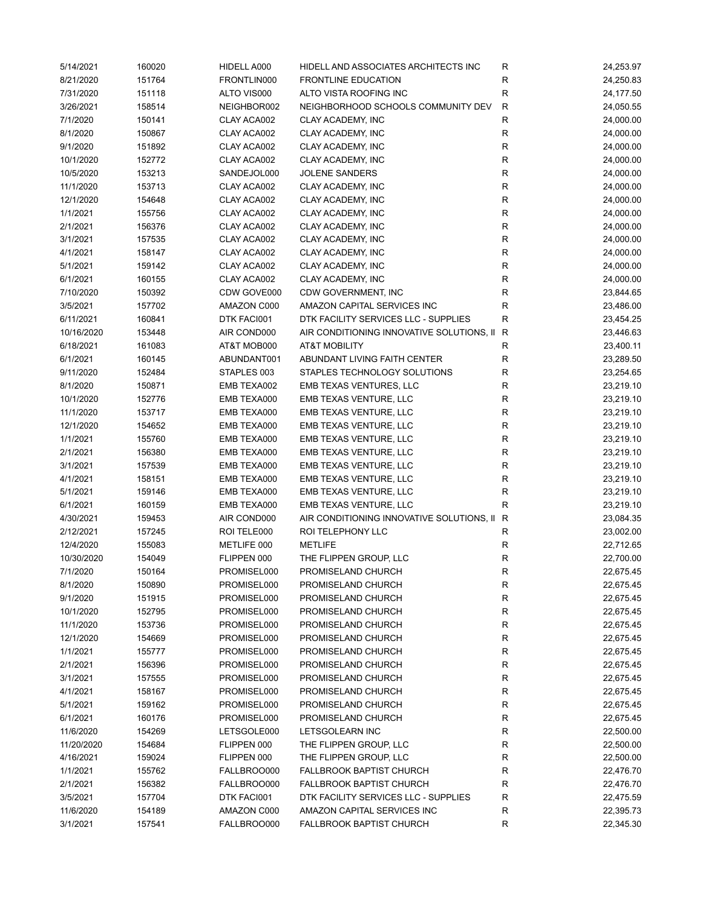| 5/14/2021  | 160020 | HIDELL A000 | HIDELL AND ASSOCIATES ARCHITECTS INC      | R            | 24,253.97 |
|------------|--------|-------------|-------------------------------------------|--------------|-----------|
| 8/21/2020  | 151764 | FRONTLIN000 | <b>FRONTLINE EDUCATION</b>                | R            | 24,250.83 |
| 7/31/2020  | 151118 | ALTO VIS000 | ALTO VISTA ROOFING INC                    | R            | 24,177.50 |
| 3/26/2021  | 158514 | NEIGHBOR002 | NEIGHBORHOOD SCHOOLS COMMUNITY DEV        | $\mathsf R$  | 24,050.55 |
| 7/1/2020   | 150141 | CLAY ACA002 | CLAY ACADEMY, INC                         | R            | 24,000.00 |
| 8/1/2020   | 150867 | CLAY ACA002 | CLAY ACADEMY, INC                         | $\mathsf R$  | 24,000.00 |
| 9/1/2020   | 151892 | CLAY ACA002 | CLAY ACADEMY, INC                         | $\mathsf R$  | 24,000.00 |
| 10/1/2020  | 152772 | CLAY ACA002 | CLAY ACADEMY, INC                         | R            | 24,000.00 |
| 10/5/2020  | 153213 | SANDEJOL000 | <b>JOLENE SANDERS</b>                     | ${\sf R}$    | 24,000.00 |
| 11/1/2020  | 153713 | CLAY ACA002 | CLAY ACADEMY, INC                         | ${\sf R}$    | 24,000.00 |
| 12/1/2020  | 154648 | CLAY ACA002 | CLAY ACADEMY, INC                         | ${\sf R}$    | 24,000.00 |
| 1/1/2021   | 155756 | CLAY ACA002 | CLAY ACADEMY, INC                         | ${\sf R}$    | 24,000.00 |
| 2/1/2021   | 156376 | CLAY ACA002 | CLAY ACADEMY, INC                         | $\mathsf R$  | 24,000.00 |
| 3/1/2021   | 157535 | CLAY ACA002 | CLAY ACADEMY, INC                         | $\mathsf R$  | 24,000.00 |
| 4/1/2021   | 158147 | CLAY ACA002 | CLAY ACADEMY, INC                         | R            | 24,000.00 |
| 5/1/2021   | 159142 | CLAY ACA002 | CLAY ACADEMY, INC                         | R            | 24,000.00 |
| 6/1/2021   | 160155 | CLAY ACA002 | CLAY ACADEMY, INC                         | $\mathsf R$  | 24,000.00 |
| 7/10/2020  | 150392 | CDW GOVE000 | CDW GOVERNMENT, INC                       | $\mathsf R$  | 23,844.65 |
| 3/5/2021   | 157702 | AMAZON C000 | AMAZON CAPITAL SERVICES INC               | R            | 23,486.00 |
| 6/11/2021  | 160841 | DTK FACI001 | DTK FACILITY SERVICES LLC - SUPPLIES      | R            | 23,454.25 |
| 10/16/2020 | 153448 | AIR COND000 | AIR CONDITIONING INNOVATIVE SOLUTIONS, II | R            | 23,446.63 |
| 6/18/2021  | 161083 | AT&T MOB000 | <b>AT&amp;T MOBILITY</b>                  | $\mathsf R$  | 23,400.11 |
| 6/1/2021   | 160145 | ABUNDANT001 | ABUNDANT LIVING FAITH CENTER              | $\mathsf R$  | 23,289.50 |
| 9/11/2020  | 152484 | STAPLES 003 | STAPLES TECHNOLOGY SOLUTIONS              | $\mathsf R$  | 23,254.65 |
| 8/1/2020   | 150871 | EMB TEXA002 | EMB TEXAS VENTURES, LLC                   | ${\sf R}$    | 23,219.10 |
| 10/1/2020  | 152776 | EMB TEXA000 | EMB TEXAS VENTURE, LLC                    | ${\sf R}$    | 23,219.10 |
| 11/1/2020  | 153717 | EMB TEXA000 | EMB TEXAS VENTURE, LLC                    | $\mathsf R$  | 23,219.10 |
|            |        |             |                                           | $\mathsf R$  |           |
| 12/1/2020  | 154652 | EMB TEXA000 | EMB TEXAS VENTURE, LLC                    |              | 23,219.10 |
| 1/1/2021   | 155760 | EMB TEXA000 | EMB TEXAS VENTURE, LLC                    | $\mathsf R$  | 23,219.10 |
| 2/1/2021   | 156380 | EMB TEXA000 | EMB TEXAS VENTURE, LLC                    | $\mathsf R$  | 23,219.10 |
| 3/1/2021   | 157539 | EMB TEXA000 | EMB TEXAS VENTURE, LLC                    | $\mathsf R$  | 23,219.10 |
| 4/1/2021   | 158151 | EMB TEXA000 | EMB TEXAS VENTURE, LLC                    | $\mathsf R$  | 23,219.10 |
| 5/1/2021   | 159146 | EMB TEXA000 | EMB TEXAS VENTURE, LLC                    | $\mathsf R$  | 23,219.10 |
| 6/1/2021   | 160159 | EMB TEXA000 | EMB TEXAS VENTURE, LLC                    | R            | 23,219.10 |
| 4/30/2021  | 159453 | AIR COND000 | AIR CONDITIONING INNOVATIVE SOLUTIONS, II | R            | 23,084.35 |
| 2/12/2021  | 157245 | ROI TELE000 | ROI TELEPHONY LLC                         | R            | 23,002.00 |
| 12/4/2020  | 155083 | METLIFE 000 | <b>METLIFE</b>                            | R            | 22,712.65 |
| 10/30/2020 | 154049 | FLIPPEN 000 | THE FLIPPEN GROUP, LLC                    | ${\sf R}$    | 22,700.00 |
| 7/1/2020   | 150164 | PROMISEL000 | PROMISELAND CHURCH                        | $\mathsf{R}$ | 22,675.45 |
| 8/1/2020   | 150890 | PROMISEL000 | PROMISELAND CHURCH                        | ${\sf R}$    | 22,675.45 |
| 9/1/2020   | 151915 | PROMISEL000 | PROMISELAND CHURCH                        | R            | 22,675.45 |
| 10/1/2020  | 152795 | PROMISEL000 | PROMISELAND CHURCH                        | ${\sf R}$    | 22,675.45 |
| 11/1/2020  | 153736 | PROMISEL000 | PROMISELAND CHURCH                        | R            | 22,675.45 |
| 12/1/2020  | 154669 | PROMISEL000 | PROMISELAND CHURCH                        | R            | 22,675.45 |
| 1/1/2021   | 155777 | PROMISEL000 | PROMISELAND CHURCH                        | R            | 22,675.45 |
| 2/1/2021   | 156396 | PROMISEL000 | PROMISELAND CHURCH                        | R            | 22,675.45 |
| 3/1/2021   | 157555 | PROMISEL000 | PROMISELAND CHURCH                        | ${\sf R}$    | 22,675.45 |
| 4/1/2021   | 158167 | PROMISEL000 | PROMISELAND CHURCH                        | R            | 22,675.45 |
| 5/1/2021   | 159162 | PROMISEL000 | PROMISELAND CHURCH                        | R            | 22,675.45 |
| 6/1/2021   | 160176 | PROMISEL000 | PROMISELAND CHURCH                        | R            | 22,675.45 |
| 11/6/2020  | 154269 | LETSGOLE000 | LETSGOLEARN INC                           | R            | 22,500.00 |
| 11/20/2020 | 154684 | FLIPPEN 000 | THE FLIPPEN GROUP, LLC                    | R            | 22,500.00 |
| 4/16/2021  | 159024 | FLIPPEN 000 | THE FLIPPEN GROUP, LLC                    | ${\sf R}$    | 22,500.00 |
| 1/1/2021   | 155762 | FALLBROO000 | <b>FALLBROOK BAPTIST CHURCH</b>           | ${\sf R}$    | 22,476.70 |
| 2/1/2021   | 156382 | FALLBROO000 | <b>FALLBROOK BAPTIST CHURCH</b>           | R            | 22,476.70 |
| 3/5/2021   | 157704 | DTK FACI001 | DTK FACILITY SERVICES LLC - SUPPLIES      | R            | 22,475.59 |
| 11/6/2020  | 154189 | AMAZON C000 | AMAZON CAPITAL SERVICES INC               | R            | 22,395.73 |
| 3/1/2021   | 157541 | FALLBROO000 | FALLBROOK BAPTIST CHURCH                  | R            | 22,345.30 |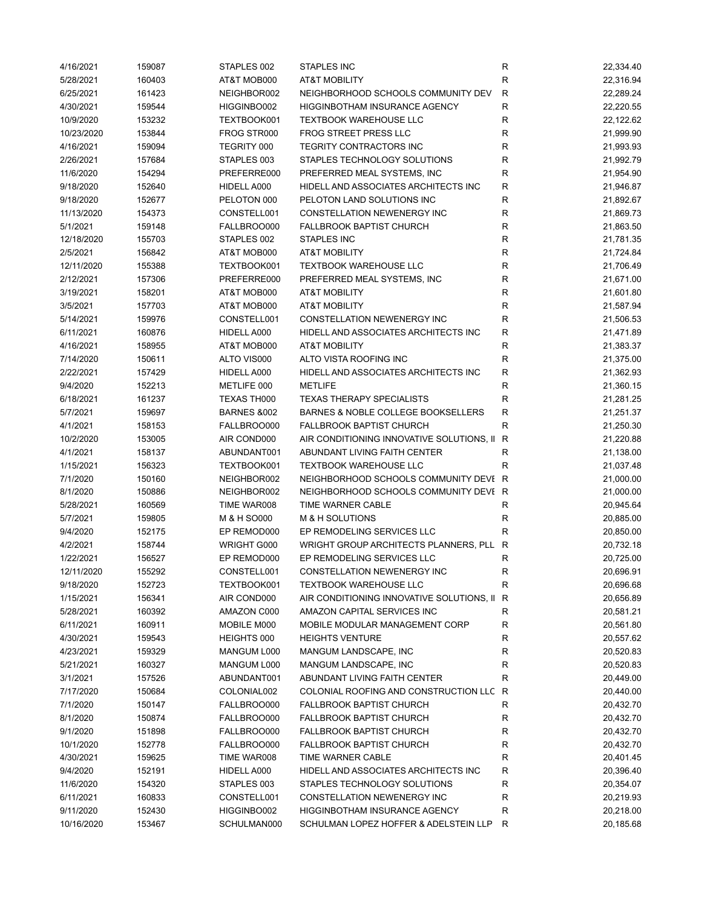| 4/16/2021  | 159087 | STAPLES 002            | <b>STAPLES INC</b>                          | R            | 22,334.40 |
|------------|--------|------------------------|---------------------------------------------|--------------|-----------|
| 5/28/2021  | 160403 | AT&T MOB000            | <b>AT&amp;T MOBILITY</b>                    | $\mathsf{R}$ | 22,316.94 |
| 6/25/2021  | 161423 | NEIGHBOR002            | NEIGHBORHOOD SCHOOLS COMMUNITY DEV          | $\mathsf{R}$ | 22,289.24 |
| 4/30/2021  | 159544 | HIGGINBO002            | HIGGINBOTHAM INSURANCE AGENCY               | $\mathsf R$  | 22,220.55 |
| 10/9/2020  | 153232 | TEXTBOOK001            | <b>TEXTBOOK WAREHOUSE LLC</b>               | R            | 22,122.62 |
| 10/23/2020 | 153844 | FROG STR000            | <b>FROG STREET PRESS LLC</b>                | R            | 21,999.90 |
| 4/16/2021  | 159094 | TEGRITY 000            | TEGRITY CONTRACTORS INC                     | $\mathsf{R}$ | 21,993.93 |
| 2/26/2021  | 157684 | STAPLES 003            | STAPLES TECHNOLOGY SOLUTIONS                | R            | 21,992.79 |
| 11/6/2020  | 154294 | PREFERRE000            | PREFERRED MEAL SYSTEMS, INC                 | $\mathsf{R}$ | 21,954.90 |
| 9/18/2020  | 152640 | HIDELL A000            | HIDELL AND ASSOCIATES ARCHITECTS INC        | $\mathsf{R}$ | 21,946.87 |
| 9/18/2020  | 152677 | PELOTON 000            | PELOTON LAND SOLUTIONS INC                  | $\mathsf{R}$ | 21,892.67 |
| 11/13/2020 | 154373 | CONSTELL001            | CONSTELLATION NEWENERGY INC                 | R            | 21,869.73 |
| 5/1/2021   | 159148 | FALLBROO000            | <b>FALLBROOK BAPTIST CHURCH</b>             | R            | 21,863.50 |
| 12/18/2020 | 155703 | STAPLES 002            | STAPLES INC                                 | R            | 21,781.35 |
| 2/5/2021   | 156842 | AT&T MOB000            | <b>AT&amp;T MOBILITY</b>                    | R            | 21,724.84 |
| 12/11/2020 | 155388 | TEXTBOOK001            | <b>TEXTBOOK WAREHOUSE LLC</b>               | R            | 21,706.49 |
| 2/12/2021  | 157306 | PREFERRE000            | PREFERRED MEAL SYSTEMS, INC                 | R            | 21,671.00 |
| 3/19/2021  | 158201 | AT&T MOB000            | <b>AT&amp;T MOBILITY</b>                    | R            | 21,601.80 |
| 3/5/2021   | 157703 | AT&T MOB000            | <b>AT&amp;T MOBILITY</b>                    | R            | 21,587.94 |
| 5/14/2021  | 159976 | CONSTELL001            | <b>CONSTELLATION NEWENERGY INC</b>          | R            | 21,506.53 |
| 6/11/2021  | 160876 | HIDELL A000            | HIDELL AND ASSOCIATES ARCHITECTS INC        | R            | 21,471.89 |
| 4/16/2021  | 158955 | AT&T MOB000            | <b>AT&amp;T MOBILITY</b>                    | $\mathsf{R}$ | 21,383.37 |
| 7/14/2020  | 150611 | ALTO VIS000            | ALTO VISTA ROOFING INC                      | $\mathsf{R}$ | 21,375.00 |
| 2/22/2021  | 157429 | HIDELL A000            | HIDELL AND ASSOCIATES ARCHITECTS INC        | $\mathsf{R}$ | 21,362.93 |
| 9/4/2020   | 152213 | METLIFE 000            | <b>METLIFE</b>                              | $\mathsf{R}$ | 21,360.15 |
| 6/18/2021  | 161237 | TEXAS TH000            | <b>TEXAS THERAPY SPECIALISTS</b>            | $\mathsf{R}$ | 21,281.25 |
| 5/7/2021   | 159697 | <b>BARNES &amp;002</b> | BARNES & NOBLE COLLEGE BOOKSELLERS          | R            | 21,251.37 |
| 4/1/2021   | 158153 | FALLBROO000            | <b>FALLBROOK BAPTIST CHURCH</b>             | R            | 21,250.30 |
| 10/2/2020  | 153005 | AIR COND000            | AIR CONDITIONING INNOVATIVE SOLUTIONS, II   | R            | 21,220.88 |
| 4/1/2021   | 158137 | ABUNDANT001            | ABUNDANT LIVING FAITH CENTER                | R            | 21,138.00 |
| 1/15/2021  | 156323 | TEXTBOOK001            | <b>TEXTBOOK WAREHOUSE LLC</b>               | R            | 21,037.48 |
| 7/1/2020   | 150160 | NEIGHBOR002            | NEIGHBORHOOD SCHOOLS COMMUNITY DEVI R       |              | 21,000.00 |
| 8/1/2020   | 150886 | NEIGHBOR002            | NEIGHBORHOOD SCHOOLS COMMUNITY DEVI R       |              | 21,000.00 |
| 5/28/2021  | 160569 | TIME WAR008            | TIME WARNER CABLE                           | R            | 20,945.64 |
| 5/7/2021   | 159805 | M & H SO000            | M & H SOLUTIONS                             | R            | 20,885.00 |
| 9/4/2020   | 152175 | EP REMOD000            | EP REMODELING SERVICES LLC                  | R            | 20,850.00 |
| 4/2/2021   | 158744 | WRIGHT G000            | WRIGHT GROUP ARCHITECTS PLANNERS, PLL       | R            | 20,732.18 |
| 1/22/2021  | 156527 | EP REMOD000            | EP REMODELING SERVICES LLC                  | R            | 20,725.00 |
| 12/11/2020 | 155292 | CONSTELL001            | CONSTELLATION NEWENERGY INC                 | R            | 20,696.91 |
| 9/18/2020  | 152723 | TEXTBOOK001            | <b>TEXTBOOK WAREHOUSE LLC</b>               | R            | 20,696.68 |
| 1/15/2021  | 156341 | AIR COND000            | AIR CONDITIONING INNOVATIVE SOLUTIONS, II R |              | 20,656.89 |
| 5/28/2021  | 160392 | AMAZON C000            | AMAZON CAPITAL SERVICES INC                 | R            | 20,581.21 |
| 6/11/2021  | 160911 | MOBILE M000            | MOBILE MODULAR MANAGEMENT CORP              | R            | 20,561.80 |
| 4/30/2021  | 159543 | HEIGHTS 000            | <b>HEIGHTS VENTURE</b>                      | R            | 20,557.62 |
| 4/23/2021  | 159329 | MANGUM L000            | MANGUM LANDSCAPE, INC                       | R            | 20,520.83 |
| 5/21/2021  | 160327 | MANGUM L000            | MANGUM LANDSCAPE, INC                       | R            | 20,520.83 |
| 3/1/2021   | 157526 | ABUNDANT001            | ABUNDANT LIVING FAITH CENTER                | $\mathsf R$  | 20,449.00 |
| 7/17/2020  | 150684 | COLONIAL002            | COLONIAL ROOFING AND CONSTRUCTION LLC R     |              | 20,440.00 |
| 7/1/2020   | 150147 | FALLBROO000            | <b>FALLBROOK BAPTIST CHURCH</b>             | R            | 20,432.70 |
| 8/1/2020   | 150874 | FALLBROO000            | <b>FALLBROOK BAPTIST CHURCH</b>             | R            | 20,432.70 |
| 9/1/2020   | 151898 | FALLBROO000            | <b>FALLBROOK BAPTIST CHURCH</b>             | R            | 20,432.70 |
| 10/1/2020  | 152778 | FALLBROO000            | <b>FALLBROOK BAPTIST CHURCH</b>             | R            | 20,432.70 |
| 4/30/2021  | 159625 | TIME WAR008            | TIME WARNER CABLE                           | R            | 20,401.45 |
| 9/4/2020   | 152191 | HIDELL A000            | HIDELL AND ASSOCIATES ARCHITECTS INC        | R            | 20,396.40 |
| 11/6/2020  | 154320 | STAPLES 003            | STAPLES TECHNOLOGY SOLUTIONS                | ${\sf R}$    | 20,354.07 |
| 6/11/2021  | 160833 | CONSTELL001            | CONSTELLATION NEWENERGY INC                 | R            | 20,219.93 |
| 9/11/2020  | 152430 | HIGGINBO002            | HIGGINBOTHAM INSURANCE AGENCY               | R            | 20,218.00 |
| 10/16/2020 | 153467 | SCHULMAN000            | SCHULMAN LOPEZ HOFFER & ADELSTEIN LLP       | R            | 20,185.68 |
|            |        |                        |                                             |              |           |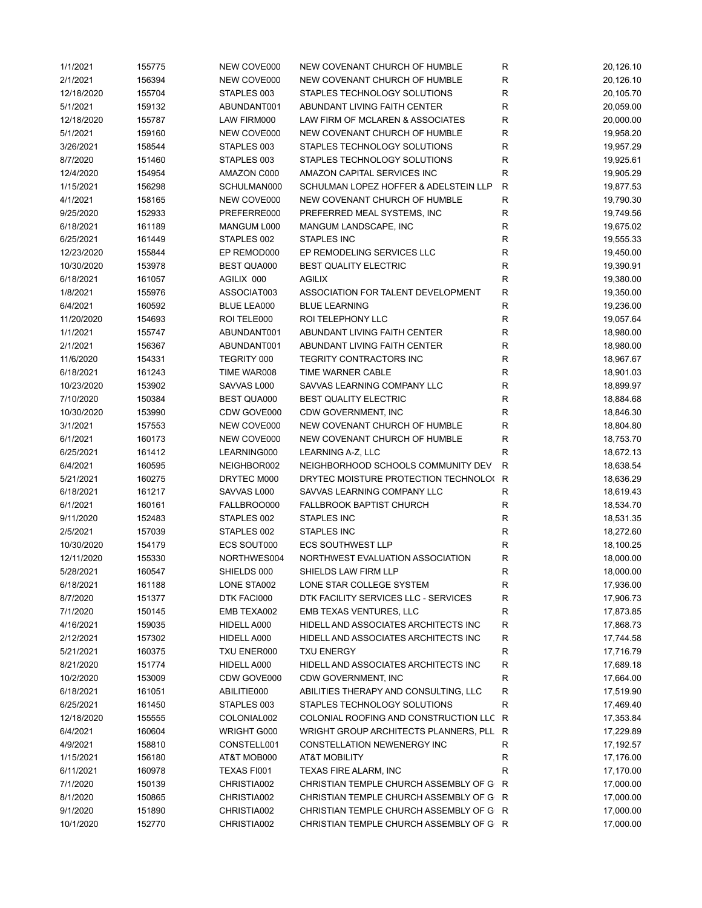| 1/1/2021   | 155775 | NEW COVE000        | NEW COVENANT CHURCH OF HUMBLE           | R            | 20,126.10 |
|------------|--------|--------------------|-----------------------------------------|--------------|-----------|
| 2/1/2021   | 156394 | NEW COVE000        | NEW COVENANT CHURCH OF HUMBLE           | R            | 20,126.10 |
| 12/18/2020 | 155704 | STAPLES 003        | STAPLES TECHNOLOGY SOLUTIONS            | R            | 20,105.70 |
| 5/1/2021   | 159132 | ABUNDANT001        | ABUNDANT LIVING FAITH CENTER            | $\mathsf R$  | 20,059.00 |
| 12/18/2020 | 155787 | LAW FIRM000        | LAW FIRM OF MCLAREN & ASSOCIATES        | R            | 20,000.00 |
| 5/1/2021   | 159160 | NEW COVE000        | NEW COVENANT CHURCH OF HUMBLE           | R            | 19,958.20 |
| 3/26/2021  | 158544 | STAPLES 003        | STAPLES TECHNOLOGY SOLUTIONS            | $\mathsf R$  | 19,957.29 |
| 8/7/2020   | 151460 | STAPLES 003        | STAPLES TECHNOLOGY SOLUTIONS            | $\mathsf R$  | 19,925.61 |
| 12/4/2020  | 154954 | AMAZON C000        | AMAZON CAPITAL SERVICES INC             | $\mathsf R$  | 19,905.29 |
| 1/15/2021  | 156298 | SCHULMAN000        | SCHULMAN LOPEZ HOFFER & ADELSTEIN LLP   | $\mathsf{R}$ | 19,877.53 |
| 4/1/2021   | 158165 | NEW COVE000        | NEW COVENANT CHURCH OF HUMBLE           | $\mathsf R$  | 19,790.30 |
| 9/25/2020  | 152933 | PREFERRE000        | PREFERRED MEAL SYSTEMS, INC             | $\mathsf R$  | 19,749.56 |
| 6/18/2021  | 161189 | MANGUM L000        | MANGUM LANDSCAPE, INC                   | $\mathsf R$  | 19,675.02 |
| 6/25/2021  | 161449 | STAPLES 002        | STAPLES INC                             | $\mathsf R$  | 19,555.33 |
| 12/23/2020 | 155844 | EP REMOD000        | EP REMODELING SERVICES LLC              | R            | 19,450.00 |
| 10/30/2020 | 153978 | <b>BEST QUA000</b> | <b>BEST QUALITY ELECTRIC</b>            | $\mathsf R$  | 19,390.91 |
| 6/18/2021  | 161057 | AGILIX 000         | <b>AGILIX</b>                           | $\mathsf R$  | 19,380.00 |
| 1/8/2021   |        | ASSOCIAT003        |                                         | $\mathsf R$  |           |
|            | 155976 |                    | ASSOCIATION FOR TALENT DEVELOPMENT      |              | 19,350.00 |
| 6/4/2021   | 160592 | BLUE LEA000        | <b>BLUE LEARNING</b>                    | $\mathsf R$  | 19,236.00 |
| 11/20/2020 | 154693 | ROI TELE000        | <b>ROI TELEPHONY LLC</b>                | R            | 19,057.64 |
| 1/1/2021   | 155747 | ABUNDANT001        | ABUNDANT LIVING FAITH CENTER            | R            | 18,980.00 |
| 2/1/2021   | 156367 | ABUNDANT001        | ABUNDANT LIVING FAITH CENTER            | $\mathsf R$  | 18,980.00 |
| 11/6/2020  | 154331 | TEGRITY 000        | <b>TEGRITY CONTRACTORS INC</b>          | $\mathsf R$  | 18,967.67 |
| 6/18/2021  | 161243 | TIME WAR008        | TIME WARNER CABLE                       | $\mathsf R$  | 18,901.03 |
| 10/23/2020 | 153902 | SAVVAS L000        | SAVVAS LEARNING COMPANY LLC             | ${\sf R}$    | 18,899.97 |
| 7/10/2020  | 150384 | <b>BEST QUA000</b> | <b>BEST QUALITY ELECTRIC</b>            | $\mathsf R$  | 18,884.68 |
| 10/30/2020 | 153990 | CDW GOVE000        | CDW GOVERNMENT, INC                     | $\mathsf R$  | 18,846.30 |
| 3/1/2021   | 157553 | NEW COVE000        | NEW COVENANT CHURCH OF HUMBLE           | $\mathsf R$  | 18,804.80 |
| 6/1/2021   | 160173 | NEW COVE000        | NEW COVENANT CHURCH OF HUMBLE           | $\mathsf R$  | 18,753.70 |
| 6/25/2021  | 161412 | LEARNING000        | LEARNING A-Z, LLC                       | R            | 18,672.13 |
| 6/4/2021   | 160595 | NEIGHBOR002        | NEIGHBORHOOD SCHOOLS COMMUNITY DEV      | $\mathsf{R}$ | 18,638.54 |
| 5/21/2021  | 160275 | DRYTEC M000        | DRYTEC MOISTURE PROTECTION TECHNOLO(    | $\mathsf{R}$ | 18,636.29 |
| 6/18/2021  | 161217 | SAVVAS L000        | SAVVAS LEARNING COMPANY LLC             | R            | 18,619.43 |
| 6/1/2021   | 160161 | FALLBROO000        | FALLBROOK BAPTIST CHURCH                | R            | 18,534.70 |
| 9/11/2020  | 152483 | STAPLES 002        | STAPLES INC                             | R            | 18,531.35 |
| 2/5/2021   | 157039 | STAPLES 002        | STAPLES INC                             | $\mathsf R$  | 18,272.60 |
| 10/30/2020 | 154179 | ECS SOUT000        | <b>ECS SOUTHWEST LLP</b>                | $\mathsf R$  | 18,100.25 |
| 12/11/2020 | 155330 | NORTHWES004        | NORTHWEST EVALUATION ASSOCIATION        | ${\sf R}$    | 18,000.00 |
| 5/28/2021  | 160547 | SHIELDS 000        | SHIELDS LAW FIRM LLP                    | R            | 18,000.00 |
| 6/18/2021  | 161188 | LONE STA002        | LONE STAR COLLEGE SYSTEM                | R            | 17,936.00 |
| 8/7/2020   | 151377 | DTK FACI000        | DTK FACILITY SERVICES LLC - SERVICES    | R            | 17,906.73 |
| 7/1/2020   | 150145 | EMB TEXA002        | EMB TEXAS VENTURES, LLC                 | $\mathsf{R}$ | 17,873.85 |
| 4/16/2021  | 159035 | HIDELL A000        | HIDELL AND ASSOCIATES ARCHITECTS INC    | $\mathsf{R}$ | 17,868.73 |
| 2/12/2021  | 157302 | HIDELL A000        | HIDELL AND ASSOCIATES ARCHITECTS INC    | R            | 17,744.58 |
| 5/21/2021  |        |                    | <b>TXU ENERGY</b>                       |              | 17,716.79 |
|            | 160375 | TXU ENER000        |                                         | R            |           |
| 8/21/2020  | 151774 | HIDELL A000        | HIDELL AND ASSOCIATES ARCHITECTS INC    | $\mathsf{R}$ | 17,689.18 |
| 10/2/2020  | 153009 | CDW GOVE000        | CDW GOVERNMENT, INC                     | ${\sf R}$    | 17,664.00 |
| 6/18/2021  | 161051 | ABILITIE000        | ABILITIES THERAPY AND CONSULTING, LLC   | $\mathsf{R}$ | 17,519.90 |
| 6/25/2021  | 161450 | STAPLES 003        | STAPLES TECHNOLOGY SOLUTIONS            | R            | 17,469.40 |
| 12/18/2020 | 155555 | COLONIAL002        | COLONIAL ROOFING AND CONSTRUCTION LLC R |              | 17,353.84 |
| 6/4/2021   | 160604 | WRIGHT G000        | WRIGHT GROUP ARCHITECTS PLANNERS, PLL   | R            | 17,229.89 |
| 4/9/2021   | 158810 | CONSTELL001        | CONSTELLATION NEWENERGY INC             | R            | 17,192.57 |
| 1/15/2021  | 156180 | AT&T MOB000        | <b>AT&amp;T MOBILITY</b>                | $\mathsf{R}$ | 17,176.00 |
| 6/11/2021  | 160978 | TEXAS FI001        | TEXAS FIRE ALARM, INC                   | $\mathsf{R}$ | 17,170.00 |
| 7/1/2020   | 150139 | CHRISTIA002        | CHRISTIAN TEMPLE CHURCH ASSEMBLY OF G   | R            | 17,000.00 |
| 8/1/2020   | 150865 | CHRISTIA002        | CHRISTIAN TEMPLE CHURCH ASSEMBLY OF G R |              | 17,000.00 |
| 9/1/2020   | 151890 | CHRISTIA002        | CHRISTIAN TEMPLE CHURCH ASSEMBLY OF G R |              | 17,000.00 |
| 10/1/2020  | 152770 | CHRISTIA002        | CHRISTIAN TEMPLE CHURCH ASSEMBLY OF G R |              | 17,000.00 |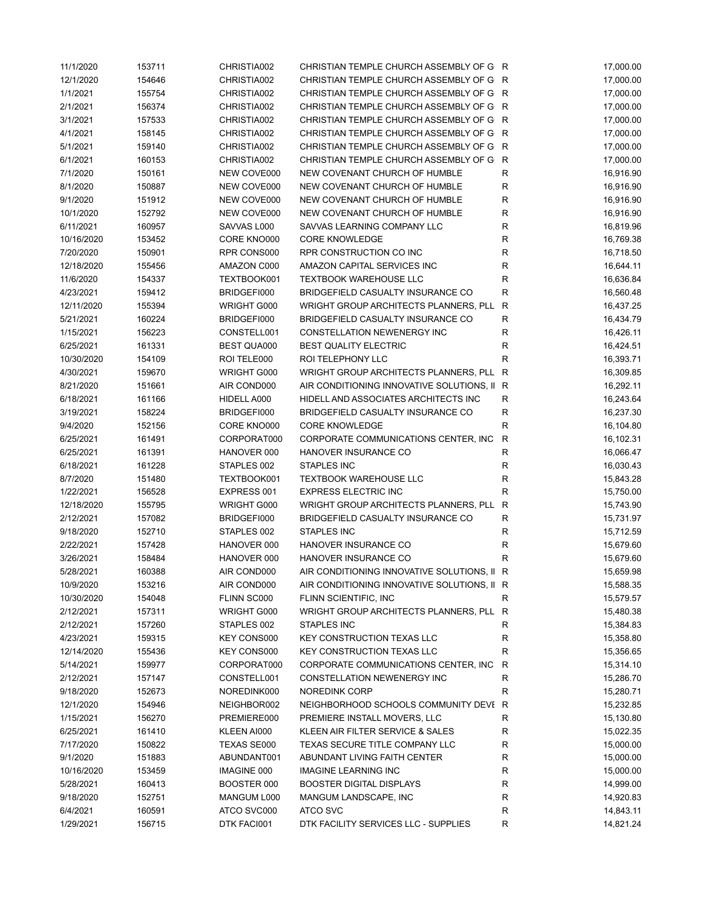| 11/1/2020  | 153711 | CHRISTIA002        | CHRISTIAN TEMPLE CHURCH ASSEMBLY OF G R     |              | 17,000.00 |
|------------|--------|--------------------|---------------------------------------------|--------------|-----------|
| 12/1/2020  | 154646 | CHRISTIA002        | CHRISTIAN TEMPLE CHURCH ASSEMBLY OF G R     |              | 17,000.00 |
| 1/1/2021   | 155754 | CHRISTIA002        | CHRISTIAN TEMPLE CHURCH ASSEMBLY OF G R     |              | 17,000.00 |
| 2/1/2021   | 156374 | CHRISTIA002        | CHRISTIAN TEMPLE CHURCH ASSEMBLY OF G R     |              | 17,000.00 |
| 3/1/2021   | 157533 | CHRISTIA002        | CHRISTIAN TEMPLE CHURCH ASSEMBLY OF G R     |              | 17,000.00 |
| 4/1/2021   | 158145 | CHRISTIA002        | CHRISTIAN TEMPLE CHURCH ASSEMBLY OF G R     |              | 17,000.00 |
| 5/1/2021   | 159140 | CHRISTIA002        | CHRISTIAN TEMPLE CHURCH ASSEMBLY OF G R     |              | 17,000.00 |
| 6/1/2021   | 160153 | CHRISTIA002        | CHRISTIAN TEMPLE CHURCH ASSEMBLY OF G       | $\mathsf{R}$ | 17,000.00 |
| 7/1/2020   | 150161 | NEW COVE000        | NEW COVENANT CHURCH OF HUMBLE               | R            | 16,916.90 |
| 8/1/2020   | 150887 | NEW COVE000        | NEW COVENANT CHURCH OF HUMBLE               | R            | 16,916.90 |
| 9/1/2020   | 151912 | NEW COVE000        | NEW COVENANT CHURCH OF HUMBLE               | $\mathsf R$  | 16,916.90 |
| 10/1/2020  | 152792 | NEW COVE000        | NEW COVENANT CHURCH OF HUMBLE               | ${\sf R}$    | 16,916.90 |
| 6/11/2021  | 160957 | SAVVAS L000        | SAVVAS LEARNING COMPANY LLC                 | $\mathsf R$  | 16,819.96 |
| 10/16/2020 | 153452 | CORE KNO000        | <b>CORE KNOWLEDGE</b>                       | $\mathsf R$  | 16,769.38 |
| 7/20/2020  | 150901 | RPR CONS000        | RPR CONSTRUCTION CO INC                     | R            | 16,718.50 |
| 12/18/2020 | 155456 | AMAZON C000        | AMAZON CAPITAL SERVICES INC                 | R            | 16,644.11 |
| 11/6/2020  | 154337 | TEXTBOOK001        | <b>TEXTBOOK WAREHOUSE LLC</b>               | R            | 16,636.84 |
| 4/23/2021  |        |                    | BRIDGEFIELD CASUALTY INSURANCE CO           |              |           |
|            | 159412 | BRIDGEFI000        |                                             | R            | 16,560.48 |
| 12/11/2020 | 155394 | WRIGHT G000        | WRIGHT GROUP ARCHITECTS PLANNERS, PLL       | R            | 16,437.25 |
| 5/21/2021  | 160224 | BRIDGEFI000        | BRIDGEFIELD CASUALTY INSURANCE CO           | $\mathsf R$  | 16,434.79 |
| 1/15/2021  | 156223 | CONSTELL001        | CONSTELLATION NEWENERGY INC                 | R            | 16,426.11 |
| 6/25/2021  | 161331 | <b>BEST QUA000</b> | <b>BEST QUALITY ELECTRIC</b>                | R            | 16,424.51 |
| 10/30/2020 | 154109 | ROI TELE000        | ROI TELEPHONY LLC                           | R            | 16,393.71 |
| 4/30/2021  | 159670 | WRIGHT G000        | WRIGHT GROUP ARCHITECTS PLANNERS, PLL       | R            | 16,309.85 |
| 8/21/2020  | 151661 | AIR COND000        | AIR CONDITIONING INNOVATIVE SOLUTIONS, II   | R            | 16,292.11 |
| 6/18/2021  | 161166 | HIDELL A000        | HIDELL AND ASSOCIATES ARCHITECTS INC        | $\mathsf R$  | 16,243.64 |
| 3/19/2021  | 158224 | BRIDGEFI000        | BRIDGEFIELD CASUALTY INSURANCE CO           | R            | 16,237.30 |
| 9/4/2020   | 152156 | CORE KNO000        | <b>CORE KNOWLEDGE</b>                       | $\mathsf{R}$ | 16,104.80 |
| 6/25/2021  | 161491 | CORPORAT000        | CORPORATE COMMUNICATIONS CENTER, INC.       | R            | 16,102.31 |
| 6/25/2021  | 161391 | HANOVER 000        | HANOVER INSURANCE CO                        | $\mathsf R$  | 16,066.47 |
| 6/18/2021  | 161228 | STAPLES 002        | <b>STAPLES INC</b>                          | $\mathsf R$  | 16,030.43 |
| 8/7/2020   | 151480 | TEXTBOOK001        | <b>TEXTBOOK WAREHOUSE LLC</b>               | R            | 15,843.28 |
| 1/22/2021  | 156528 | EXPRESS 001        | <b>EXPRESS ELECTRIC INC</b>                 | R            | 15,750.00 |
| 12/18/2020 | 155795 | WRIGHT G000        | WRIGHT GROUP ARCHITECTS PLANNERS, PLL       | $\mathsf{R}$ | 15,743.90 |
| 2/12/2021  | 157082 | BRIDGEFI000        | BRIDGEFIELD CASUALTY INSURANCE CO           | R            | 15,731.97 |
| 9/18/2020  | 152710 | STAPLES 002        | <b>STAPLES INC</b>                          | R            | 15,712.59 |
| 2/22/2021  | 157428 | HANOVER 000        | HANOVER INSURANCE CO                        | $\mathsf{R}$ | 15,679.60 |
| 3/26/2021  | 158484 | HANOVER 000        | HANOVER INSURANCE CO                        | R            | 15,679.60 |
| 5/28/2021  | 160388 | AIR COND000        | AIR CONDITIONING INNOVATIVE SOLUTIONS, II R |              | 15,659.98 |
| 10/9/2020  | 153216 | AIR COND000        | AIR CONDITIONING INNOVATIVE SOLUTIONS, II R |              | 15,588.35 |
| 10/30/2020 | 154048 | FLINN SC000        | FLINN SCIENTIFIC, INC                       | R            | 15,579.57 |
| 2/12/2021  | 157311 | WRIGHT G000        | WRIGHT GROUP ARCHITECTS PLANNERS, PLL R     |              | 15,480.38 |
| 2/12/2021  | 157260 | STAPLES 002        | STAPLES INC                                 | R            | 15,384.83 |
|            |        | <b>KEY CONS000</b> | <b>KEY CONSTRUCTION TEXAS LLC</b>           |              |           |
| 4/23/2021  | 159315 |                    |                                             | R            | 15,358.80 |
| 12/14/2020 | 155436 | KEY CONS000        | <b>KEY CONSTRUCTION TEXAS LLC</b>           | $\mathsf R$  | 15,356.65 |
| 5/14/2021  | 159977 | CORPORAT000        | CORPORATE COMMUNICATIONS CENTER, INC.       | R            | 15,314.10 |
| 2/12/2021  | 157147 | CONSTELL001        | CONSTELLATION NEWENERGY INC                 | R            | 15,286.70 |
| 9/18/2020  | 152673 | NOREDINK000        | NOREDINK CORP                               | $\mathsf R$  | 15,280.71 |
| 12/1/2020  | 154946 | NEIGHBOR002        | NEIGHBORHOOD SCHOOLS COMMUNITY DEVI R       |              | 15,232.85 |
| 1/15/2021  | 156270 | PREMIERE000        | PREMIERE INSTALL MOVERS, LLC                | R            | 15,130.80 |
| 6/25/2021  | 161410 | KLEEN AI000        | KLEEN AIR FILTER SERVICE & SALES            | R            | 15,022.35 |
| 7/17/2020  | 150822 | TEXAS SE000        | TEXAS SECURE TITLE COMPANY LLC              | R            | 15,000.00 |
| 9/1/2020   | 151883 | ABUNDANT001        | ABUNDANT LIVING FAITH CENTER                | R            | 15,000.00 |
| 10/16/2020 | 153459 | <b>IMAGINE 000</b> | <b>IMAGINE LEARNING INC</b>                 | R            | 15,000.00 |
| 5/28/2021  | 160413 | BOOSTER 000        | <b>BOOSTER DIGITAL DISPLAYS</b>             | R            | 14,999.00 |
| 9/18/2020  | 152751 | MANGUM L000        | MANGUM LANDSCAPE, INC                       | ${\sf R}$    | 14,920.83 |
| 6/4/2021   | 160591 | ATCO SVC000        | ATCO SVC                                    | R            | 14,843.11 |
| 1/29/2021  | 156715 | DTK FACI001        | DTK FACILITY SERVICES LLC - SUPPLIES        | R            | 14,821.24 |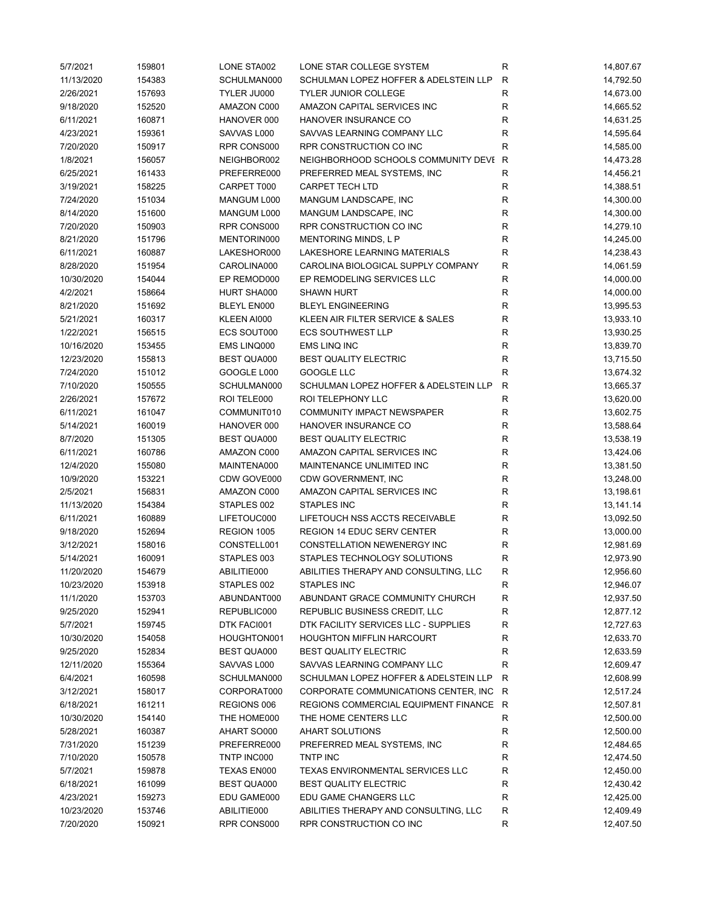| 5/7/2021   | 159801 | LONE STA002        | LONE STAR COLLEGE SYSTEM              | R            | 14,807.67 |
|------------|--------|--------------------|---------------------------------------|--------------|-----------|
| 11/13/2020 | 154383 | SCHULMAN000        | SCHULMAN LOPEZ HOFFER & ADELSTEIN LLP | $\mathsf{R}$ | 14,792.50 |
| 2/26/2021  | 157693 | TYLER JU000        | <b>TYLER JUNIOR COLLEGE</b>           | $\mathsf R$  | 14,673.00 |
| 9/18/2020  | 152520 | AMAZON C000        | AMAZON CAPITAL SERVICES INC           | R            | 14,665.52 |
| 6/11/2021  | 160871 | HANOVER 000        | HANOVER INSURANCE CO                  | $\mathsf R$  | 14,631.25 |
| 4/23/2021  | 159361 | SAVVAS L000        | SAVVAS LEARNING COMPANY LLC           | R            | 14,595.64 |
| 7/20/2020  | 150917 | RPR CONS000        | RPR CONSTRUCTION CO INC               | R            | 14,585.00 |
| 1/8/2021   | 156057 | NEIGHBOR002        | NEIGHBORHOOD SCHOOLS COMMUNITY DEVI   | $\mathsf{R}$ | 14,473.28 |
| 6/25/2021  | 161433 | PREFERRE000        | PREFERRED MEAL SYSTEMS, INC           | R            | 14,456.21 |
| 3/19/2021  | 158225 | CARPET T000        | <b>CARPET TECH LTD</b>                | R            | 14,388.51 |
| 7/24/2020  | 151034 | MANGUM L000        | MANGUM LANDSCAPE, INC                 | ${\sf R}$    | 14,300.00 |
| 8/14/2020  | 151600 | MANGUM L000        | MANGUM LANDSCAPE, INC                 | ${\sf R}$    | 14,300.00 |
| 7/20/2020  | 150903 | RPR CONS000        | RPR CONSTRUCTION CO INC               | $\mathsf R$  | 14,279.10 |
| 8/21/2020  | 151796 | MENTORIN000        | <b>MENTORING MINDS, L P</b>           | $\mathsf R$  | 14,245.00 |
| 6/11/2021  | 160887 | LAKESHOR000        | LAKESHORE LEARNING MATERIALS          | $\mathsf R$  | 14,238.43 |
| 8/28/2020  | 151954 | CAROLINA000        | CAROLINA BIOLOGICAL SUPPLY COMPANY    | $\mathsf R$  | 14,061.59 |
| 10/30/2020 | 154044 | EP REMOD000        | EP REMODELING SERVICES LLC            | $\mathsf R$  | 14,000.00 |
| 4/2/2021   | 158664 | HURT SHA000        | <b>SHAWN HURT</b>                     | $\mathsf R$  | 14,000.00 |
| 8/21/2020  | 151692 | BLEYL EN000        | <b>BLEYL ENGINEERING</b>              | $\mathsf R$  | 13,995.53 |
| 5/21/2021  | 160317 | KLEEN AI000        | KLEEN AIR FILTER SERVICE & SALES      | $\mathsf R$  | 13,933.10 |
| 1/22/2021  | 156515 | ECS SOUT000        | <b>ECS SOUTHWEST LLP</b>              | R            | 13,930.25 |
| 10/16/2020 | 153455 | EMS LINQ000        | EMS LINQ INC                          | $\mathsf R$  | 13,839.70 |
| 12/23/2020 | 155813 | BEST QUA000        | <b>BEST QUALITY ELECTRIC</b>          | $\mathsf R$  | 13,715.50 |
| 7/24/2020  | 151012 | GOOGLE L000        | GOOGLE LLC                            | $\mathsf R$  | 13,674.32 |
| 7/10/2020  | 150555 | SCHULMAN000        | SCHULMAN LOPEZ HOFFER & ADELSTEIN LLP | $\mathsf{R}$ | 13,665.37 |
| 2/26/2021  | 157672 | ROI TELE000        | ROI TELEPHONY LLC                     | ${\sf R}$    | 13,620.00 |
| 6/11/2021  | 161047 | COMMUNIT010        | COMMUNITY IMPACT NEWSPAPER            | $\mathsf R$  | 13,602.75 |
|            |        |                    |                                       | $\mathsf R$  |           |
| 5/14/2021  | 160019 | HANOVER 000        | HANOVER INSURANCE CO                  |              | 13,588.64 |
| 8/7/2020   | 151305 | BEST QUA000        | <b>BEST QUALITY ELECTRIC</b>          | $\mathsf R$  | 13,538.19 |
| 6/11/2021  | 160786 | AMAZON C000        | AMAZON CAPITAL SERVICES INC           | $\mathsf R$  | 13,424.06 |
| 12/4/2020  | 155080 | MAINTENA000        | MAINTENANCE UNLIMITED INC             | $\mathsf R$  | 13,381.50 |
| 10/9/2020  | 153221 | CDW GOVE000        | CDW GOVERNMENT, INC                   | $\mathsf R$  | 13,248.00 |
| 2/5/2021   | 156831 | AMAZON C000        | AMAZON CAPITAL SERVICES INC           | $\mathsf R$  | 13,198.61 |
| 11/13/2020 | 154384 | STAPLES 002        | <b>STAPLES INC</b>                    | $\mathsf R$  | 13,141.14 |
| 6/11/2021  | 160889 | LIFETOUC000        | LIFETOUCH NSS ACCTS RECEIVABLE        | $\mathsf R$  | 13,092.50 |
| 9/18/2020  | 152694 | REGION 1005        | REGION 14 EDUC SERV CENTER            | R            | 13,000.00 |
| 3/12/2021  | 158016 | CONSTELL001        | CONSTELLATION NEWENERGY INC           | $\mathsf R$  | 12,981.69 |
| 5/14/2021  | 160091 | STAPLES 003        | STAPLES TECHNOLOGY SOLUTIONS          | R            | 12,973.90 |
| 11/20/2020 | 154679 | ABILITIE000        | ABILITIES THERAPY AND CONSULTING, LLC | R            | 12,956.60 |
| 10/23/2020 | 153918 | STAPLES 002        | STAPLES INC                           | R            | 12,946.07 |
| 11/1/2020  | 153703 | ABUNDANT000        | ABUNDANT GRACE COMMUNITY CHURCH       | R            | 12,937.50 |
| 9/25/2020  | 152941 | REPUBLIC000        | REPUBLIC BUSINESS CREDIT, LLC         | $\mathsf R$  | 12,877.12 |
| 5/7/2021   | 159745 | DTK FACI001        | DTK FACILITY SERVICES LLC - SUPPLIES  | R            | 12,727.63 |
| 10/30/2020 | 154058 | HOUGHTON001        | <b>HOUGHTON MIFFLIN HARCOURT</b>      | R            | 12,633.70 |
| 9/25/2020  | 152834 | <b>BEST QUA000</b> | <b>BEST QUALITY ELECTRIC</b>          | R            | 12,633.59 |
| 12/11/2020 | 155364 | SAVVAS L000        | SAVVAS LEARNING COMPANY LLC           | R            | 12,609.47 |
| 6/4/2021   | 160598 | SCHULMAN000        | SCHULMAN LOPEZ HOFFER & ADELSTEIN LLP | R            | 12,608.99 |
| 3/12/2021  | 158017 | CORPORAT000        | CORPORATE COMMUNICATIONS CENTER, INC. | R            | 12,517.24 |
| 6/18/2021  | 161211 | REGIONS 006        | REGIONS COMMERCIAL EQUIPMENT FINANCE  | R            | 12,507.81 |
| 10/30/2020 | 154140 | THE HOME000        | THE HOME CENTERS LLC                  | R            | 12,500.00 |
| 5/28/2021  | 160387 | AHART SO000        | <b>AHART SOLUTIONS</b>                | R            | 12,500.00 |
| 7/31/2020  | 151239 | PREFERRE000        | PREFERRED MEAL SYSTEMS, INC           | R            | 12,484.65 |
| 7/10/2020  | 150578 | TNTP INC000        | TNTP INC                              | R            | 12,474.50 |
| 5/7/2021   | 159878 | TEXAS EN000        | TEXAS ENVIRONMENTAL SERVICES LLC      | R            | 12,450.00 |
| 6/18/2021  | 161099 | <b>BEST QUA000</b> | <b>BEST QUALITY ELECTRIC</b>          | $\mathsf{R}$ | 12,430.42 |
| 4/23/2021  | 159273 | EDU GAME000        | EDU GAME CHANGERS LLC                 | ${\sf R}$    | 12,425.00 |
| 10/23/2020 | 153746 | ABILITIE000        | ABILITIES THERAPY AND CONSULTING, LLC | R            | 12,409.49 |
| 7/20/2020  | 150921 | RPR CONS000        | RPR CONSTRUCTION CO INC               | R            | 12,407.50 |
|            |        |                    |                                       |              |           |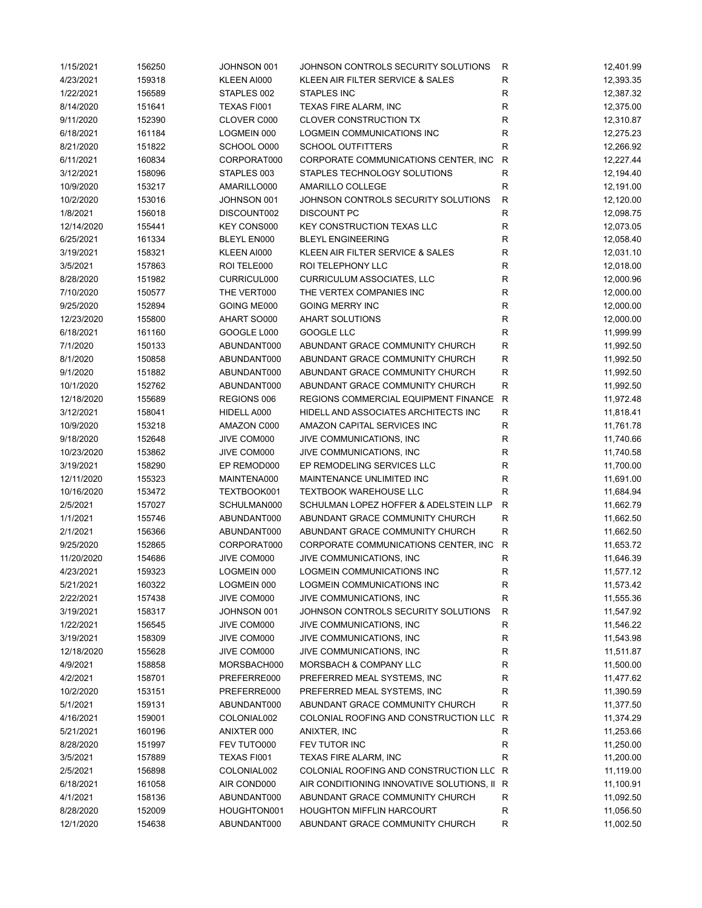| 4/23/2021            | 156250 | JOHNSON 001 | JOHNSON CONTROLS SECURITY SOLUTIONS       | R                         | 12,401.99              |
|----------------------|--------|-------------|-------------------------------------------|---------------------------|------------------------|
|                      | 159318 | KLEEN AI000 | KLEEN AIR FILTER SERVICE & SALES          | $\mathsf R$               | 12,393.35              |
| 1/22/2021            | 156589 | STAPLES 002 | <b>STAPLES INC</b>                        | R                         | 12,387.32              |
| 8/14/2020            | 151641 | TEXAS FI001 | <b>TEXAS FIRE ALARM, INC</b>              | R                         | 12,375.00              |
| 9/11/2020            | 152390 | CLOVER C000 | <b>CLOVER CONSTRUCTION TX</b>             | R                         | 12,310.87              |
| 6/18/2021            | 161184 | LOGMEIN 000 | <b>LOGMEIN COMMUNICATIONS INC</b>         | R                         | 12,275.23              |
| 8/21/2020            | 151822 | SCHOOL 0000 | <b>SCHOOL OUTFITTERS</b>                  | R                         | 12,266.92              |
| 6/11/2021            | 160834 | CORPORAT000 | CORPORATE COMMUNICATIONS CENTER, INC.     | $\mathsf{R}$              | 12,227.44              |
| 3/12/2021            | 158096 | STAPLES 003 | STAPLES TECHNOLOGY SOLUTIONS              | $\mathsf{R}$              | 12,194.40              |
| 10/9/2020            | 153217 | AMARILLO000 | AMARILLO COLLEGE                          | $\mathsf{R}$              | 12,191.00              |
| 10/2/2020            | 153016 | JOHNSON 001 | JOHNSON CONTROLS SECURITY SOLUTIONS       | $\mathsf{R}$              | 12,120.00              |
| 1/8/2021             | 156018 | DISCOUNT002 | DISCOUNT PC                               | ${\sf R}$                 | 12,098.75              |
| 12/14/2020           | 155441 | KEY CONS000 | <b>KEY CONSTRUCTION TEXAS LLC</b>         | ${\sf R}$                 | 12,073.05              |
| 6/25/2021            | 161334 | BLEYL EN000 | <b>BLEYL ENGINEERING</b>                  | R                         | 12,058.40              |
| 3/19/2021            | 158321 | KLEEN AI000 | KLEEN AIR FILTER SERVICE & SALES          | R                         | 12,031.10              |
| 3/5/2021             | 157863 | ROI TELE000 | ROI TELEPHONY LLC                         | $\mathsf R$               | 12,018.00              |
| 8/28/2020            | 151982 | CURRICUL000 | <b>CURRICULUM ASSOCIATES, LLC</b>         | R                         | 12,000.96              |
| 7/10/2020            | 150577 | THE VERT000 | THE VERTEX COMPANIES INC                  | R                         | 12,000.00              |
| 9/25/2020            | 152894 | GOING ME000 | <b>GOING MERRY INC</b>                    | R                         | 12,000.00              |
| 12/23/2020           | 155800 | AHART SO000 | <b>AHART SOLUTIONS</b>                    | $\mathsf{R}$              | 12,000.00              |
| 6/18/2021            | 161160 | GOOGLE L000 | GOOGLE LLC                                | R                         | 11,999.99              |
| 7/1/2020             | 150133 | ABUNDANT000 | ABUNDANT GRACE COMMUNITY CHURCH           | R                         | 11,992.50              |
| 8/1/2020             | 150858 | ABUNDANT000 | ABUNDANT GRACE COMMUNITY CHURCH           | R                         | 11,992.50              |
| 9/1/2020             | 151882 | ABUNDANT000 | ABUNDANT GRACE COMMUNITY CHURCH           | $\mathsf{R}$              | 11,992.50              |
| 10/1/2020            | 152762 | ABUNDANT000 | ABUNDANT GRACE COMMUNITY CHURCH           | $\mathsf{R}$              | 11,992.50              |
| 12/18/2020           | 155689 | REGIONS 006 | REGIONS COMMERCIAL EQUIPMENT FINANCE      | ${\sf R}$                 | 11,972.48              |
| 3/12/2021            | 158041 | HIDELL A000 | HIDELL AND ASSOCIATES ARCHITECTS INC      | $\mathsf{R}$              | 11,818.41              |
| 10/9/2020            | 153218 | AMAZON C000 | AMAZON CAPITAL SERVICES INC               | $\mathsf R$               | 11,761.78              |
| 9/18/2020            | 152648 | JIVE COM000 | JIVE COMMUNICATIONS, INC                  | $\mathsf{R}$              | 11,740.66              |
| 10/23/2020           | 153862 | JIVE COM000 | JIVE COMMUNICATIONS, INC                  | R                         | 11,740.58              |
| 3/19/2021            | 158290 | EP REMOD000 | EP REMODELING SERVICES LLC                | R                         | 11,700.00              |
| 12/11/2020           | 155323 | MAINTENA000 | MAINTENANCE UNLIMITED INC                 | $\mathsf R$               | 11,691.00              |
| 10/16/2020           | 153472 | TEXTBOOK001 | <b>TEXTBOOK WAREHOUSE LLC</b>             | R                         | 11,684.94              |
|                      |        |             |                                           |                           |                        |
| 2/5/2021             | 157027 | SCHULMAN000 | SCHULMAN LOPEZ HOFFER & ADELSTEIN LLP     | $\mathsf{R}$              |                        |
|                      | 155746 | ABUNDANT000 | ABUNDANT GRACE COMMUNITY CHURCH           | $\mathsf{R}$              | 11,662.79              |
| 1/1/2021<br>2/1/2021 | 156366 | ABUNDANT000 | ABUNDANT GRACE COMMUNITY CHURCH           | R                         | 11,662.50<br>11,662.50 |
| 9/25/2020            | 152865 | CORPORAT000 | CORPORATE COMMUNICATIONS CENTER, INC.     | ${\sf R}$                 | 11,653.72              |
| 11/20/2020           | 154686 | JIVE COM000 | JIVE COMMUNICATIONS, INC                  | $\mathsf{R}$              | 11,646.39              |
| 4/23/2021            | 159323 | LOGMEIN 000 | LOGMEIN COMMUNICATIONS INC                | R                         | 11,577.12              |
| 5/21/2021            | 160322 | LOGMEIN 000 | LOGMEIN COMMUNICATIONS INC                | R                         | 11,573.42              |
| 2/22/2021            | 157438 | JIVE COM000 | JIVE COMMUNICATIONS, INC.                 | R                         | 11,555.36              |
| 3/19/2021            | 158317 | JOHNSON 001 | JOHNSON CONTROLS SECURITY SOLUTIONS       |                           | 11,547.92              |
| 1/22/2021            | 156545 | JIVE COM000 | JIVE COMMUNICATIONS, INC                  | ${\sf R}$<br>$\mathsf{R}$ | 11,546.22              |
| 3/19/2021            | 158309 | JIVE COM000 | JIVE COMMUNICATIONS, INC                  | R                         | 11,543.98              |
| 12/18/2020           | 155628 | JIVE COM000 | JIVE COMMUNICATIONS, INC                  |                           |                        |
| 4/9/2021             | 158858 | MORSBACH000 | MORSBACH & COMPANY LLC                    | R<br>R                    | 11,511.87<br>11,500.00 |
| 4/2/2021             | 158701 | PREFERRE000 | PREFERRED MEAL SYSTEMS, INC               | R                         | 11,477.62              |
| 10/2/2020            | 153151 | PREFERRE000 | PREFERRED MEAL SYSTEMS, INC               | R                         | 11,390.59              |
| 5/1/2021             | 159131 | ABUNDANT000 | ABUNDANT GRACE COMMUNITY CHURCH           | $\mathsf{R}$              | 11,377.50              |
| 4/16/2021            | 159001 | COLONIAL002 | COLONIAL ROOFING AND CONSTRUCTION LLC     | R                         | 11,374.29              |
| 5/21/2021            | 160196 | ANIXTER 000 | ANIXTER, INC                              | R                         | 11,253.66              |
| 8/28/2020            | 151997 | FEV TUTO000 | FEV TUTOR INC                             | R                         | 11,250.00              |
| 3/5/2021             | 157889 | TEXAS FI001 | TEXAS FIRE ALARM, INC                     | R                         | 11,200.00              |
| 2/5/2021             | 156898 | COLONIAL002 | COLONIAL ROOFING AND CONSTRUCTION LLC     | R                         | 11,119.00              |
| 6/18/2021            | 161058 | AIR COND000 | AIR CONDITIONING INNOVATIVE SOLUTIONS, II | R                         | 11,100.91              |
| 4/1/2021             | 158136 | ABUNDANT000 | ABUNDANT GRACE COMMUNITY CHURCH           | R                         | 11,092.50              |
| 8/28/2020            | 152009 | HOUGHTON001 | HOUGHTON MIFFLIN HARCOURT                 | $\mathsf{R}$              | 11,056.50              |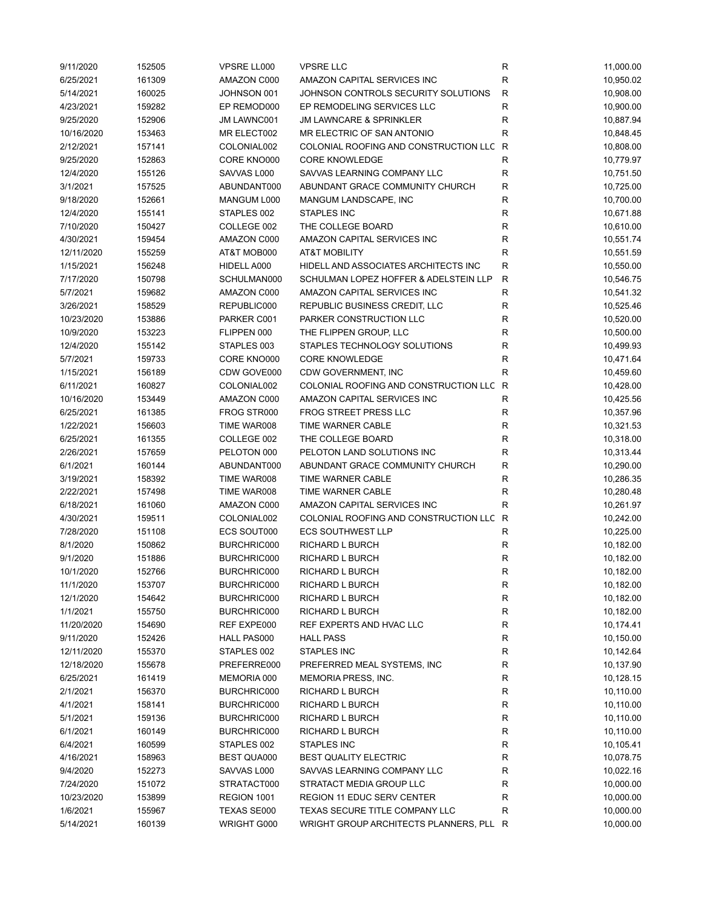| 9/11/2020  | 152505 | VPSRE LL000 | <b>VPSRE LLC</b>                        | R                | 11,000.00 |
|------------|--------|-------------|-----------------------------------------|------------------|-----------|
| 6/25/2021  | 161309 | AMAZON C000 | AMAZON CAPITAL SERVICES INC             | R                | 10,950.02 |
| 5/14/2021  | 160025 | JOHNSON 001 | JOHNSON CONTROLS SECURITY SOLUTIONS     | R                | 10,908.00 |
| 4/23/2021  | 159282 | EP REMOD000 | EP REMODELING SERVICES LLC              | $\mathsf R$      | 10,900.00 |
| 9/25/2020  | 152906 | JM LAWNC001 | <b>JM LAWNCARE &amp; SPRINKLER</b>      | R                | 10,887.94 |
| 10/16/2020 | 153463 | MR ELECT002 | MR ELECTRIC OF SAN ANTONIO              | R                | 10,848.45 |
| 2/12/2021  | 157141 | COLONIAL002 | COLONIAL ROOFING AND CONSTRUCTION LLC   | R                | 10,808.00 |
| 9/25/2020  | 152863 | CORE KNO000 | <b>CORE KNOWLEDGE</b>                   | R                | 10,779.97 |
| 12/4/2020  | 155126 | SAVVAS L000 | SAVVAS LEARNING COMPANY LLC             | R                | 10,751.50 |
| 3/1/2021   | 157525 | ABUNDANT000 | ABUNDANT GRACE COMMUNITY CHURCH         | ${\sf R}$        | 10,725.00 |
| 9/18/2020  | 152661 | MANGUM L000 | MANGUM LANDSCAPE, INC                   | ${\sf R}$        | 10,700.00 |
| 12/4/2020  | 155141 | STAPLES 002 | <b>STAPLES INC</b>                      | $\mathsf R$      | 10,671.88 |
| 7/10/2020  | 150427 | COLLEGE 002 | THE COLLEGE BOARD                       | $\mathsf R$      | 10,610.00 |
| 4/30/2021  | 159454 | AMAZON C000 | AMAZON CAPITAL SERVICES INC             | $\mathsf R$      | 10,551.74 |
| 12/11/2020 | 155259 | AT&T MOB000 | <b>AT&amp;T MOBILITY</b>                | $\mathsf R$      | 10,551.59 |
| 1/15/2021  | 156248 | HIDELL A000 | HIDELL AND ASSOCIATES ARCHITECTS INC    | $\mathsf R$      | 10,550.00 |
| 7/17/2020  | 150798 | SCHULMAN000 | SCHULMAN LOPEZ HOFFER & ADELSTEIN LLP   | $\mathsf{R}$     | 10,546.75 |
| 5/7/2021   | 159682 | AMAZON C000 | AMAZON CAPITAL SERVICES INC             | $\mathsf R$      | 10,541.32 |
| 3/26/2021  | 158529 | REPUBLIC000 | REPUBLIC BUSINESS CREDIT, LLC           | R                | 10,525.46 |
| 10/23/2020 | 153886 | PARKER C001 | PARKER CONSTRUCTION LLC                 | R                | 10,520.00 |
| 10/9/2020  | 153223 | FLIPPEN 000 | THE FLIPPEN GROUP, LLC                  | R                | 10,500.00 |
| 12/4/2020  | 155142 | STAPLES 003 | STAPLES TECHNOLOGY SOLUTIONS            | $\mathsf R$      | 10,499.93 |
| 5/7/2021   | 159733 | CORE KNO000 | <b>CORE KNOWLEDGE</b>                   | $\mathsf R$      | 10,471.64 |
| 1/15/2021  | 156189 | CDW GOVE000 | CDW GOVERNMENT, INC                     | $\mathsf R$      | 10,459.60 |
| 6/11/2021  | 160827 | COLONIAL002 | COLONIAL ROOFING AND CONSTRUCTION LLC   | $\mathsf R$      | 10,428.00 |
| 10/16/2020 | 153449 | AMAZON C000 | AMAZON CAPITAL SERVICES INC             | $\mathsf R$      | 10,425.56 |
|            |        |             | <b>FROG STREET PRESS LLC</b>            |                  |           |
| 6/25/2021  | 161385 | FROG STR000 |                                         | R<br>$\mathsf R$ | 10,357.96 |
| 1/22/2021  | 156603 | TIME WAR008 | TIME WARNER CABLE                       |                  | 10,321.53 |
| 6/25/2021  | 161355 | COLLEGE 002 | THE COLLEGE BOARD                       | $\mathsf R$      | 10,318.00 |
| 2/26/2021  | 157659 | PELOTON 000 | PELOTON LAND SOLUTIONS INC              | R                | 10,313.44 |
| 6/1/2021   | 160144 | ABUNDANT000 | ABUNDANT GRACE COMMUNITY CHURCH         | $\mathsf R$      | 10,290.00 |
| 3/19/2021  | 158392 | TIME WAR008 | TIME WARNER CABLE                       | $\mathsf R$      | 10,286.35 |
| 2/22/2021  | 157498 | TIME WAR008 | TIME WARNER CABLE                       | R                | 10,280.48 |
| 6/18/2021  | 161060 | AMAZON C000 | AMAZON CAPITAL SERVICES INC             | R                | 10,261.97 |
| 4/30/2021  | 159511 | COLONIAL002 | COLONIAL ROOFING AND CONSTRUCTION LLC R |                  | 10,242.00 |
| 7/28/2020  | 151108 | ECS SOUT000 | <b>ECS SOUTHWEST LLP</b>                | R                | 10,225.00 |
| 8/1/2020   | 150862 | BURCHRIC000 | <b>RICHARD L BURCH</b>                  | $\mathsf R$      | 10,182.00 |
| 9/1/2020   | 151886 | BURCHRIC000 | <b>RICHARD L BURCH</b>                  | ${\sf R}$        | 10,182.00 |
| 10/1/2020  | 152766 | BURCHRIC000 | RICHARD L BURCH                         | $\mathsf{R}$     | 10,182.00 |
| 11/1/2020  | 153707 | BURCHRIC000 | RICHARD L BURCH                         | ${\sf R}$        | 10,182.00 |
| 12/1/2020  | 154642 | BURCHRIC000 | RICHARD L BURCH                         | R                | 10,182.00 |
| 1/1/2021   | 155750 | BURCHRIC000 | RICHARD L BURCH                         | R                | 10,182.00 |
| 11/20/2020 | 154690 | REF EXPE000 | REF EXPERTS AND HVAC LLC                | R                | 10,174.41 |
| 9/11/2020  | 152426 | HALL PAS000 | <b>HALL PASS</b>                        | R                | 10,150.00 |
| 12/11/2020 | 155370 | STAPLES 002 | STAPLES INC                             | R                | 10,142.64 |
| 12/18/2020 | 155678 | PREFERRE000 | PREFERRED MEAL SYSTEMS, INC             | R                | 10,137.90 |
| 6/25/2021  | 161419 | MEMORIA 000 | MEMORIA PRESS, INC.                     | R                | 10,128.15 |
| 2/1/2021   | 156370 | BURCHRIC000 | RICHARD L BURCH                         | R                | 10,110.00 |
| 4/1/2021   | 158141 | BURCHRIC000 | RICHARD L BURCH                         | R                | 10,110.00 |
| 5/1/2021   | 159136 | BURCHRIC000 | RICHARD L BURCH                         | R                | 10,110.00 |
| 6/1/2021   | 160149 | BURCHRIC000 | RICHARD L BURCH                         | R                | 10,110.00 |
| 6/4/2021   | 160599 | STAPLES 002 | STAPLES INC                             | R                | 10,105.41 |
| 4/16/2021  | 158963 | BEST QUA000 | <b>BEST QUALITY ELECTRIC</b>            | R                | 10,078.75 |
| 9/4/2020   | 152273 | SAVVAS L000 | SAVVAS LEARNING COMPANY LLC             | R                | 10,022.16 |
| 7/24/2020  | 151072 | STRATACT000 | STRATACT MEDIA GROUP LLC                | $\mathsf R$      | 10,000.00 |
| 10/23/2020 | 153899 | REGION 1001 | <b>REGION 11 EDUC SERV CENTER</b>       | $\mathsf R$      | 10,000.00 |
| 1/6/2021   | 155967 | TEXAS SE000 | TEXAS SECURE TITLE COMPANY LLC          | R                | 10,000.00 |
| 5/14/2021  | 160139 | WRIGHT G000 | WRIGHT GROUP ARCHITECTS PLANNERS, PLL R |                  | 10,000.00 |
|            |        |             |                                         |                  |           |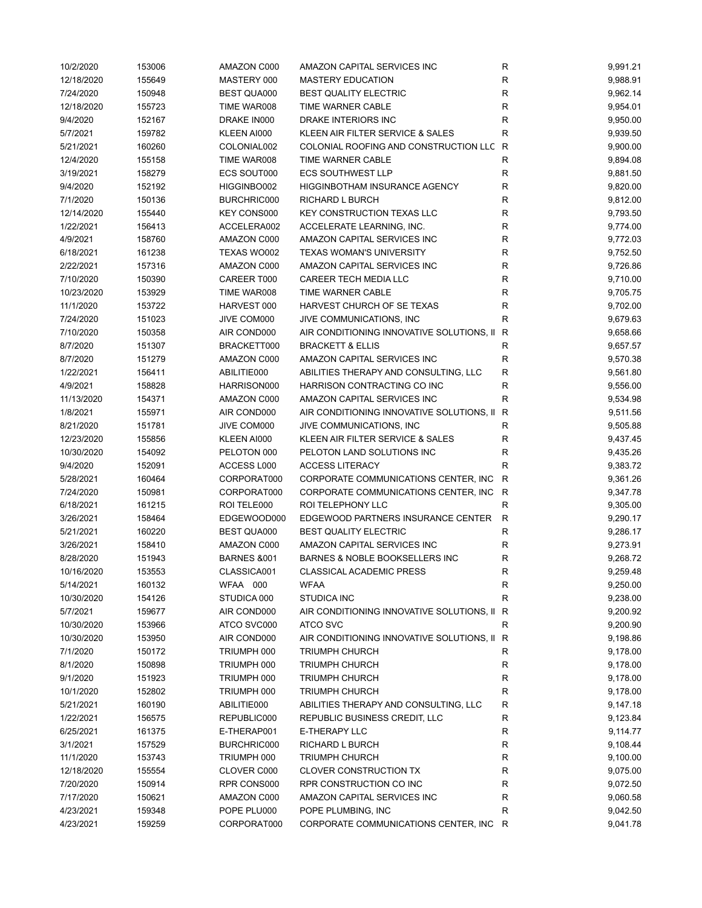| 10/2/2020  | 153006 | AMAZON C000            | AMAZON CAPITAL SERVICES INC                 | ${\sf R}$    | 9,991.21 |
|------------|--------|------------------------|---------------------------------------------|--------------|----------|
| 12/18/2020 | 155649 | MASTERY 000            | <b>MASTERY EDUCATION</b>                    | $\mathsf R$  | 9,988.91 |
| 7/24/2020  | 150948 | <b>BEST QUA000</b>     | <b>BEST QUALITY ELECTRIC</b>                | R            | 9,962.14 |
| 12/18/2020 | 155723 | TIME WAR008            | TIME WARNER CABLE                           | R            | 9,954.01 |
| 9/4/2020   | 152167 | DRAKE IN000            | DRAKE INTERIORS INC                         | R            | 9,950.00 |
| 5/7/2021   | 159782 | KLEEN AI000            | KLEEN AIR FILTER SERVICE & SALES            | R            | 9,939.50 |
| 5/21/2021  | 160260 | COLONIAL002            | COLONIAL ROOFING AND CONSTRUCTION LLC       | R            | 9,900.00 |
| 12/4/2020  | 155158 | TIME WAR008            | TIME WARNER CABLE                           | R            | 9,894.08 |
| 3/19/2021  | 158279 | <b>ECS SOUT000</b>     | <b>ECS SOUTHWEST LLP</b>                    | $\mathsf{R}$ | 9,881.50 |
| 9/4/2020   | 152192 | HIGGINBO002            | HIGGINBOTHAM INSURANCE AGENCY               | $\mathsf R$  | 9,820.00 |
| 7/1/2020   | 150136 | BURCHRIC000            | RICHARD L BURCH                             | $\mathsf{R}$ | 9,812.00 |
| 12/14/2020 | 155440 | KEY CONS000            | <b>KEY CONSTRUCTION TEXAS LLC</b>           | $\mathsf{R}$ | 9,793.50 |
| 1/22/2021  | 156413 | ACCELERA002            | ACCELERATE LEARNING, INC.                   | R            | 9,774.00 |
| 4/9/2021   | 158760 | AMAZON C000            | AMAZON CAPITAL SERVICES INC                 | R            | 9,772.03 |
| 6/18/2021  | 161238 | TEXAS WO002            | <b>TEXAS WOMAN'S UNIVERSITY</b>             | $\mathsf R$  | 9,752.50 |
| 2/22/2021  | 157316 | AMAZON C000            | AMAZON CAPITAL SERVICES INC                 | $\mathsf R$  | 9,726.86 |
| 7/10/2020  | 150390 | CAREER T000            | <b>CAREER TECH MEDIA LLC</b>                | R            | 9,710.00 |
| 10/23/2020 | 153929 | TIME WAR008            | TIME WARNER CABLE                           | R            | 9,705.75 |
| 11/1/2020  | 153722 | HARVEST 000            | HARVEST CHURCH OF SE TEXAS                  | R            | 9,702.00 |
| 7/24/2020  | 151023 | JIVE COM000            | JIVE COMMUNICATIONS, INC                    | R            | 9,679.63 |
| 7/10/2020  | 150358 | AIR COND000            | AIR CONDITIONING INNOVATIVE SOLUTIONS, II   | R            | 9,658.66 |
| 8/7/2020   | 151307 | BRACKETT000            | <b>BRACKETT &amp; ELLIS</b>                 | R            | 9,657.57 |
| 8/7/2020   | 151279 | AMAZON C000            | AMAZON CAPITAL SERVICES INC                 | R            | 9,570.38 |
| 1/22/2021  | 156411 | ABILITIE000            | ABILITIES THERAPY AND CONSULTING, LLC       | R            | 9,561.80 |
| 4/9/2021   | 158828 | HARRISON000            | HARRISON CONTRACTING CO INC                 | R            | 9,556.00 |
| 11/13/2020 | 154371 | AMAZON C000            | AMAZON CAPITAL SERVICES INC                 | R            | 9,534.98 |
|            |        |                        |                                             |              |          |
| 1/8/2021   | 155971 | AIR COND000            | AIR CONDITIONING INNOVATIVE SOLUTIONS, II   | R            | 9,511.56 |
| 8/21/2020  | 151781 | JIVE COM000            | JIVE COMMUNICATIONS, INC                    | R            | 9,505.88 |
| 12/23/2020 | 155856 | KLEEN AI000            | KLEEN AIR FILTER SERVICE & SALES            | R            | 9,437.45 |
| 10/30/2020 | 154092 | PELOTON 000            | PELOTON LAND SOLUTIONS INC                  | R            | 9,435.26 |
| 9/4/2020   | 152091 | ACCESS L000            | <b>ACCESS LITERACY</b>                      | R            | 9,383.72 |
| 5/28/2021  | 160464 | CORPORAT000            | CORPORATE COMMUNICATIONS CENTER, INC.       | R            | 9,361.26 |
| 7/24/2020  | 150981 | CORPORAT000            | CORPORATE COMMUNICATIONS CENTER, INC        | R            | 9,347.78 |
| 6/18/2021  | 161215 | ROI TELE000            | ROI TELEPHONY LLC                           | $\mathsf{R}$ | 9,305.00 |
| 3/26/2021  | 158464 | EDGEWOOD000            | EDGEWOOD PARTNERS INSURANCE CENTER          | R            | 9,290.17 |
| 5/21/2021  | 160220 | <b>BEST QUA000</b>     | <b>BEST QUALITY ELECTRIC</b>                | R            | 9,286.17 |
| 3/26/2021  | 158410 | AMAZON C000            | AMAZON CAPITAL SERVICES INC                 | R            | 9,273.91 |
| 8/28/2020  | 151943 | <b>BARNES &amp;001</b> | <b>BARNES &amp; NOBLE BOOKSELLERS INC</b>   | R            | 9,268.72 |
| 10/16/2020 | 153553 | CLASSICA001            | CLASSICAL ACADEMIC PRESS                    | R            | 9,259.48 |
| 5/14/2021  | 160132 | WFAA 000               | <b>WFAA</b>                                 | R            | 9,250.00 |
| 10/30/2020 | 154126 | STUDICA 000            | <b>STUDICA INC</b>                          | $\mathsf{R}$ | 9,238.00 |
| 5/7/2021   | 159677 | AIR COND000            | AIR CONDITIONING INNOVATIVE SOLUTIONS, II   | R            | 9,200.92 |
| 10/30/2020 | 153966 | ATCO SVC000            | ATCO SVC                                    | R            | 9,200.90 |
| 10/30/2020 | 153950 | AIR COND000            | AIR CONDITIONING INNOVATIVE SOLUTIONS, II R |              | 9,198.86 |
| 7/1/2020   | 150172 | TRIUMPH 000            | <b>TRIUMPH CHURCH</b>                       | R            | 9,178.00 |
| 8/1/2020   | 150898 | TRIUMPH 000            | <b>TRIUMPH CHURCH</b>                       | R            | 9,178.00 |
| 9/1/2020   | 151923 | TRIUMPH 000            | <b>TRIUMPH CHURCH</b>                       | R            | 9,178.00 |
| 10/1/2020  | 152802 | TRIUMPH 000            | <b>TRIUMPH CHURCH</b>                       | $\mathsf{R}$ | 9,178.00 |
| 5/21/2021  | 160190 | ABILITIE000            | ABILITIES THERAPY AND CONSULTING, LLC       | R            | 9,147.18 |
| 1/22/2021  | 156575 | REPUBLIC000            | REPUBLIC BUSINESS CREDIT, LLC               | R            | 9,123.84 |
| 6/25/2021  | 161375 | E-THERAP001            | E-THERAPY LLC                               | R            | 9,114.77 |
| 3/1/2021   | 157529 | BURCHRIC000            | RICHARD L BURCH                             | R            | 9,108.44 |
| 11/1/2020  | 153743 | TRIUMPH 000            | <b>TRIUMPH CHURCH</b>                       | R            | 9,100.00 |
| 12/18/2020 | 155554 | CLOVER C000            | <b>CLOVER CONSTRUCTION TX</b>               | $\mathsf{R}$ | 9,075.00 |
| 7/20/2020  | 150914 | RPR CONS000            | RPR CONSTRUCTION CO INC                     | $\mathsf{R}$ | 9,072.50 |
| 7/17/2020  | 150621 | AMAZON C000            | AMAZON CAPITAL SERVICES INC                 | $\mathsf{R}$ | 9,060.58 |
| 4/23/2021  | 159348 | POPE PLU000            | POPE PLUMBING, INC                          | R            | 9,042.50 |
| 4/23/2021  | 159259 | CORPORAT000            | CORPORATE COMMUNICATIONS CENTER, INC R      |              | 9,041.78 |
|            |        |                        |                                             |              |          |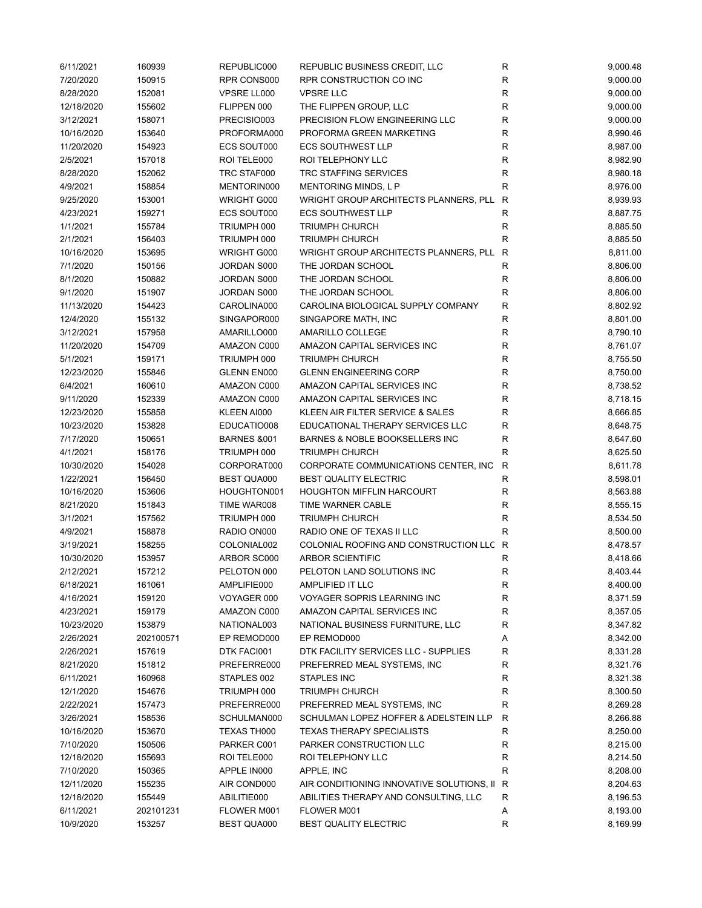| 6/11/2021  | 160939    | REPUBLIC000            | REPUBLIC BUSINESS CREDIT, LLC             | R            | 9,000.48 |
|------------|-----------|------------------------|-------------------------------------------|--------------|----------|
| 7/20/2020  | 150915    | RPR CONS000            | RPR CONSTRUCTION CO INC                   | R            | 9,000.00 |
| 8/28/2020  | 152081    | VPSRE LL000            | <b>VPSRE LLC</b>                          | R            | 9,000.00 |
| 12/18/2020 | 155602    | FLIPPEN 000            | THE FLIPPEN GROUP, LLC                    | $\mathsf R$  | 9,000.00 |
| 3/12/2021  | 158071    | PRECISIO003            | PRECISION FLOW ENGINEERING LLC            | R            | 9,000.00 |
| 10/16/2020 | 153640    | PROFORMA000            | PROFORMA GREEN MARKETING                  | R            | 8,990.46 |
| 11/20/2020 | 154923    | ECS SOUT000            | <b>ECS SOUTHWEST LLP</b>                  | $\mathsf R$  | 8,987.00 |
| 2/5/2021   | 157018    | ROI TELE000            | ROI TELEPHONY LLC                         | $\mathsf R$  | 8,982.90 |
| 8/28/2020  | 152062    | TRC STAF000            | TRC STAFFING SERVICES                     | $\mathsf R$  | 8,980.18 |
| 4/9/2021   | 158854    | MENTORIN000            | <b>MENTORING MINDS, L P</b>               | $\mathsf R$  | 8,976.00 |
| 9/25/2020  | 153001    | WRIGHT G000            | WRIGHT GROUP ARCHITECTS PLANNERS, PLL     | $\mathsf{R}$ | 8,939.93 |
| 4/23/2021  | 159271    | ECS SOUT000            | <b>ECS SOUTHWEST LLP</b>                  | $\mathsf R$  | 8,887.75 |
| 1/1/2021   | 155784    | TRIUMPH 000            | <b>TRIUMPH CHURCH</b>                     | R            | 8,885.50 |
| 2/1/2021   | 156403    | TRIUMPH 000            | <b>TRIUMPH CHURCH</b>                     | $\mathsf R$  | 8,885.50 |
| 10/16/2020 | 153695    | WRIGHT G000            | WRIGHT GROUP ARCHITECTS PLANNERS, PLL     | R            | 8,811.00 |
| 7/1/2020   | 150156    | JORDAN S000            | THE JORDAN SCHOOL                         | R            | 8,806.00 |
| 8/1/2020   | 150882    | JORDAN S000            | THE JORDAN SCHOOL                         | R            | 8,806.00 |
| 9/1/2020   | 151907    | JORDAN S000            | THE JORDAN SCHOOL                         | $\mathsf R$  | 8,806.00 |
| 11/13/2020 | 154423    | CAROLINA000            | CAROLINA BIOLOGICAL SUPPLY COMPANY        | R            | 8,802.92 |
| 12/4/2020  | 155132    | SINGAPOR000            | SINGAPORE MATH, INC                       | R            | 8,801.00 |
| 3/12/2021  | 157958    | AMARILLO000            | AMARILLO COLLEGE                          | R            | 8,790.10 |
| 11/20/2020 | 154709    | AMAZON C000            | AMAZON CAPITAL SERVICES INC               | $\mathsf R$  | 8,761.07 |
| 5/1/2021   | 159171    | TRIUMPH 000            | <b>TRIUMPH CHURCH</b>                     | $\mathsf R$  | 8,755.50 |
| 12/23/2020 | 155846    | GLENN EN000            | <b>GLENN ENGINEERING CORP</b>             | $\mathsf R$  | 8,750.00 |
| 6/4/2021   | 160610    | AMAZON C000            | AMAZON CAPITAL SERVICES INC               | $\mathsf R$  | 8,738.52 |
| 9/11/2020  | 152339    | AMAZON C000            | AMAZON CAPITAL SERVICES INC               | $\mathsf R$  | 8,718.15 |
| 12/23/2020 | 155858    | KLEEN AI000            | KLEEN AIR FILTER SERVICE & SALES          | R            | 8,666.85 |
| 10/23/2020 | 153828    | EDUCATIO008            | EDUCATIONAL THERAPY SERVICES LLC          | R            | 8,648.75 |
| 7/17/2020  | 150651    | <b>BARNES &amp;001</b> | BARNES & NOBLE BOOKSELLERS INC            | $\mathsf R$  | 8,647.60 |
| 4/1/2021   | 158176    | TRIUMPH 000            | <b>TRIUMPH CHURCH</b>                     | R            | 8,625.50 |
| 10/30/2020 | 154028    | CORPORAT000            | CORPORATE COMMUNICATIONS CENTER, INC.     | R            | 8,611.78 |
| 1/22/2021  | 156450    | BEST QUA000            | <b>BEST QUALITY ELECTRIC</b>              | R            | 8,598.01 |
| 10/16/2020 | 153606    | HOUGHTON001            | <b>HOUGHTON MIFFLIN HARCOURT</b>          | R            | 8,563.88 |
| 8/21/2020  | 151843    | TIME WAR008            | TIME WARNER CABLE                         | R            | 8,555.15 |
| 3/1/2021   | 157562    | TRIUMPH 000            | <b>TRIUMPH CHURCH</b>                     | R            | 8,534.50 |
| 4/9/2021   | 158878    | RADIO ON000            | RADIO ONE OF TEXAS II LLC                 | R            | 8,500.00 |
| 3/19/2021  | 158255    | COLONIAL002            | COLONIAL ROOFING AND CONSTRUCTION LLC R   |              | 8,478.57 |
| 10/30/2020 | 153957    | ARBOR SC000            | <b>ARBOR SCIENTIFIC</b>                   | R            | 8,418.66 |
| 2/12/2021  | 157212    |                        |                                           | R            | 8,403.44 |
|            |           | PELOTON 000            | PELOTON LAND SOLUTIONS INC                |              |          |
| 6/18/2021  | 161061    | AMPLIFIE000            | AMPLIFIED IT LLC                          | R            | 8,400.00 |
| 4/16/2021  | 159120    | VOYAGER 000            | <b>VOYAGER SOPRIS LEARNING INC</b>        | R            | 8,371.59 |
| 4/23/2021  | 159179    | AMAZON C000            | AMAZON CAPITAL SERVICES INC               | R            | 8,357.05 |
| 10/23/2020 | 153879    | NATIONAL003            | NATIONAL BUSINESS FURNITURE, LLC          | R            | 8,347.82 |
| 2/26/2021  | 202100571 | EP REMOD000            | EP REMOD000                               | А            | 8,342.00 |
| 2/26/2021  | 157619    | DTK FACI001            | DTK FACILITY SERVICES LLC - SUPPLIES      | R            | 8,331.28 |
| 8/21/2020  | 151812    | PREFERRE000            | PREFERRED MEAL SYSTEMS, INC               | R            | 8,321.76 |
| 6/11/2021  | 160968    | STAPLES 002            | <b>STAPLES INC</b>                        | R            | 8,321.38 |
| 12/1/2020  | 154676    | TRIUMPH 000            | <b>TRIUMPH CHURCH</b>                     | R            | 8,300.50 |
| 2/22/2021  | 157473    | PREFERRE000            | PREFERRED MEAL SYSTEMS, INC               | R            | 8,269.28 |
| 3/26/2021  | 158536    | SCHULMAN000            | SCHULMAN LOPEZ HOFFER & ADELSTEIN LLP     | R            | 8,266.88 |
| 10/16/2020 | 153670    | TEXAS TH000            | <b>TEXAS THERAPY SPECIALISTS</b>          | R            | 8,250.00 |
| 7/10/2020  | 150506    | PARKER C001            | PARKER CONSTRUCTION LLC                   | R            | 8,215.00 |
| 12/18/2020 | 155693    | ROI TELE000            | ROI TELEPHONY LLC                         | R            | 8,214.50 |
| 7/10/2020  | 150365    | APPLE IN000            | APPLE, INC                                | R            | 8,208.00 |
| 12/11/2020 | 155235    | AIR COND000            | AIR CONDITIONING INNOVATIVE SOLUTIONS, II | R            | 8,204.63 |
| 12/18/2020 | 155449    | ABILITIE000            | ABILITIES THERAPY AND CONSULTING, LLC     | R            | 8,196.53 |
| 6/11/2021  | 202101231 | FLOWER M001            | FLOWER M001                               | Α            | 8,193.00 |
| 10/9/2020  | 153257    | BEST QUA000            | <b>BEST QUALITY ELECTRIC</b>              | $\mathsf R$  | 8,169.99 |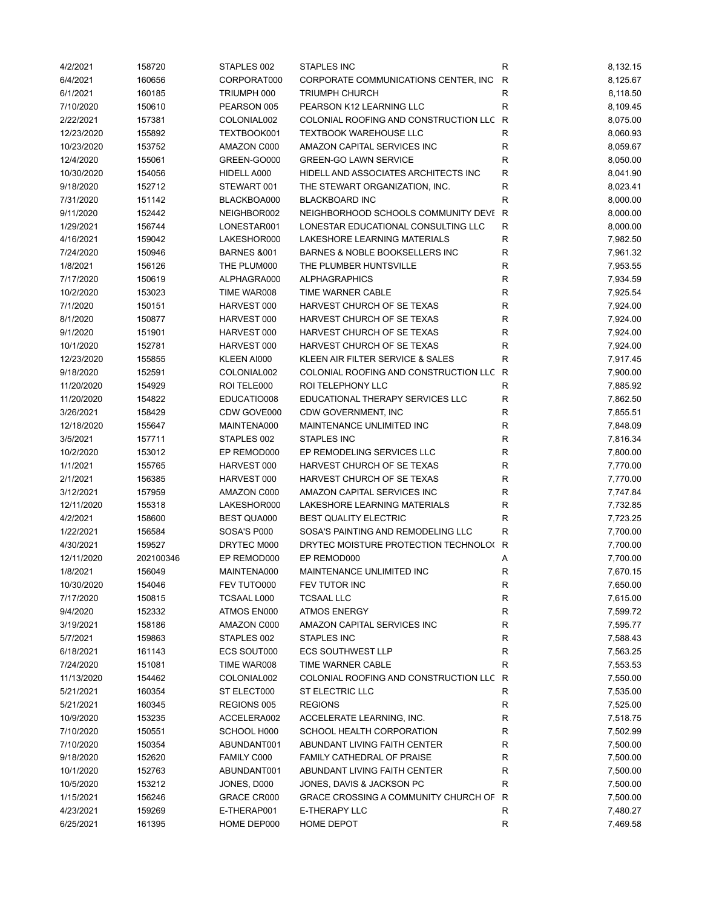| 4/2/2021   | 158720    | STAPLES 002            | <b>STAPLES INC</b>                      | R            | 8,132.15 |
|------------|-----------|------------------------|-----------------------------------------|--------------|----------|
| 6/4/2021   | 160656    | CORPORAT000            | CORPORATE COMMUNICATIONS CENTER, INC.   | R            | 8,125.67 |
| 6/1/2021   | 160185    | TRIUMPH 000            | <b>TRIUMPH CHURCH</b>                   | R            | 8,118.50 |
| 7/10/2020  | 150610    | PEARSON 005            | PEARSON K12 LEARNING LLC                | $\mathsf{R}$ | 8,109.45 |
| 2/22/2021  | 157381    | COLONIAL002            | COLONIAL ROOFING AND CONSTRUCTION LLC   | R            | 8,075.00 |
| 12/23/2020 | 155892    | TEXTBOOK001            | <b>TEXTBOOK WAREHOUSE LLC</b>           | R            | 8,060.93 |
| 10/23/2020 | 153752    | AMAZON C000            | AMAZON CAPITAL SERVICES INC             | R            | 8,059.67 |
| 12/4/2020  | 155061    | GREEN-GO000            | <b>GREEN-GO LAWN SERVICE</b>            | R            | 8,050.00 |
| 10/30/2020 | 154056    | HIDELL A000            | HIDELL AND ASSOCIATES ARCHITECTS INC    | $\mathsf{R}$ | 8,041.90 |
| 9/18/2020  | 152712    | STEWART 001            | THE STEWART ORGANIZATION, INC.          | R            | 8,023.41 |
| 7/31/2020  | 151142    | BLACKBOA000            | <b>BLACKBOARD INC</b>                   | $\mathsf{R}$ | 8,000.00 |
| 9/11/2020  | 152442    | NEIGHBOR002            | NEIGHBORHOOD SCHOOLS COMMUNITY DEVI R   |              | 8,000.00 |
| 1/29/2021  | 156744    | LONESTAR001            | LONESTAR EDUCATIONAL CONSULTING LLC     | R            | 8,000.00 |
| 4/16/2021  | 159042    | LAKESHOR000            | LAKESHORE LEARNING MATERIALS            | R            | 7,982.50 |
| 7/24/2020  | 150946    | <b>BARNES &amp;001</b> | BARNES & NOBLE BOOKSELLERS INC          | R            | 7,961.32 |
| 1/8/2021   | 156126    | THE PLUM000            | THE PLUMBER HUNTSVILLE                  | R            | 7,953.55 |
| 7/17/2020  | 150619    | ALPHAGRA000            | <b>ALPHAGRAPHICS</b>                    | R            | 7,934.59 |
| 10/2/2020  | 153023    | TIME WAR008            | TIME WARNER CABLE                       | R            | 7,925.54 |
| 7/1/2020   | 150151    | HARVEST 000            | HARVEST CHURCH OF SE TEXAS              | R            | 7,924.00 |
| 8/1/2020   | 150877    | HARVEST 000            | HARVEST CHURCH OF SE TEXAS              | R            | 7,924.00 |
| 9/1/2020   | 151901    | HARVEST 000            | HARVEST CHURCH OF SE TEXAS              | R            | 7,924.00 |
| 10/1/2020  | 152781    | HARVEST 000            | HARVEST CHURCH OF SE TEXAS              | $\mathsf{R}$ | 7,924.00 |
| 12/23/2020 | 155855    | KLEEN AI000            | KLEEN AIR FILTER SERVICE & SALES        | R            | 7,917.45 |
| 9/18/2020  | 152591    | COLONIAL002            | COLONIAL ROOFING AND CONSTRUCTION LLC   | R            | 7,900.00 |
| 11/20/2020 | 154929    | ROI TELE000            | ROI TELEPHONY LLC                       | R            | 7,885.92 |
| 11/20/2020 | 154822    | EDUCATIO008            | EDUCATIONAL THERAPY SERVICES LLC        | $\mathsf{R}$ | 7,862.50 |
|            |           |                        |                                         |              |          |
| 3/26/2021  | 158429    | CDW GOVE000            | CDW GOVERNMENT, INC                     | R            | 7,855.51 |
| 12/18/2020 | 155647    | MAINTENA000            | MAINTENANCE UNLIMITED INC               | R            | 7,848.09 |
| 3/5/2021   | 157711    | STAPLES 002            | <b>STAPLES INC</b>                      | $\mathsf R$  | 7,816.34 |
| 10/2/2020  | 153012    | EP REMOD000            | EP REMODELING SERVICES LLC              | R            | 7,800.00 |
| 1/1/2021   | 155765    | HARVEST 000            | HARVEST CHURCH OF SE TEXAS              | R            | 7,770.00 |
| 2/1/2021   | 156385    | HARVEST 000            | HARVEST CHURCH OF SE TEXAS              | R            | 7,770.00 |
| 3/12/2021  | 157959    | AMAZON C000            | AMAZON CAPITAL SERVICES INC             | R            | 7,747.84 |
| 12/11/2020 | 155318    | LAKESHOR000            | LAKESHORE LEARNING MATERIALS            | R            | 7,732.85 |
| 4/2/2021   | 158600    | <b>BEST QUA000</b>     | <b>BEST QUALITY ELECTRIC</b>            | R            | 7,723.25 |
| 1/22/2021  | 156584    | SOSA'S P000            | SOSA'S PAINTING AND REMODELING LLC      | R            | 7,700.00 |
| 4/30/2021  | 159527    | DRYTEC M000            | DRYTEC MOISTURE PROTECTION TECHNOLO(    | R            | 7,700.00 |
| 12/11/2020 | 202100346 | EP REMOD000            | EP REMOD000                             | Α            | 7,700.00 |
| 1/8/2021   | 156049    | MAINTENA000            | MAINTENANCE UNLIMITED INC               | R            | 7,670.15 |
| 10/30/2020 | 154046    | FEV TUTO000            | FEV TUTOR INC                           | ${\sf R}$    | 7,650.00 |
| 7/17/2020  | 150815    | TCSAAL L000            | <b>TCSAAL LLC</b>                       | ${\sf R}$    | 7,615.00 |
| 9/4/2020   | 152332    | ATMOS EN000            | <b>ATMOS ENERGY</b>                     | ${\sf R}$    | 7,599.72 |
| 3/19/2021  | 158186    | AMAZON C000            | AMAZON CAPITAL SERVICES INC             | R            | 7,595.77 |
| 5/7/2021   | 159863    | STAPLES 002            | STAPLES INC                             | R            | 7,588.43 |
| 6/18/2021  | 161143    | ECS SOUT000            | <b>ECS SOUTHWEST LLP</b>                | R            | 7,563.25 |
| 7/24/2020  | 151081    | TIME WAR008            | TIME WARNER CABLE                       | R            | 7,553.53 |
| 11/13/2020 | 154462    | COLONIAL002            | COLONIAL ROOFING AND CONSTRUCTION LLC R |              | 7,550.00 |
| 5/21/2021  | 160354    | ST ELECT000            | ST ELECTRIC LLC                         | R            | 7,535.00 |
| 5/21/2021  | 160345    | REGIONS 005            | <b>REGIONS</b>                          | R            | 7,525.00 |
| 10/9/2020  | 153235    | ACCELERA002            | ACCELERATE LEARNING, INC.               | R            | 7,518.75 |
| 7/10/2020  | 150551    | SCHOOL H000            | SCHOOL HEALTH CORPORATION               | R            | 7,502.99 |
| 7/10/2020  | 150354    | ABUNDANT001            | ABUNDANT LIVING FAITH CENTER            | R            | 7,500.00 |
| 9/18/2020  | 152620    | FAMILY C000            | FAMILY CATHEDRAL OF PRAISE              | R            | 7,500.00 |
| 10/1/2020  | 152763    | ABUNDANT001            | ABUNDANT LIVING FAITH CENTER            | R            | 7,500.00 |
| 10/5/2020  | 153212    | JONES, D000            | JONES, DAVIS & JACKSON PC               | R            | 7,500.00 |
| 1/15/2021  | 156246    | GRACE CR000            | GRACE CROSSING A COMMUNITY CHURCH OF    | R            | 7,500.00 |
| 4/23/2021  | 159269    | E-THERAP001            | E-THERAPY LLC                           | R            | 7,480.27 |
| 6/25/2021  | 161395    | HOME DEP000            | <b>HOME DEPOT</b>                       | R            | 7,469.58 |
|            |           |                        |                                         |              |          |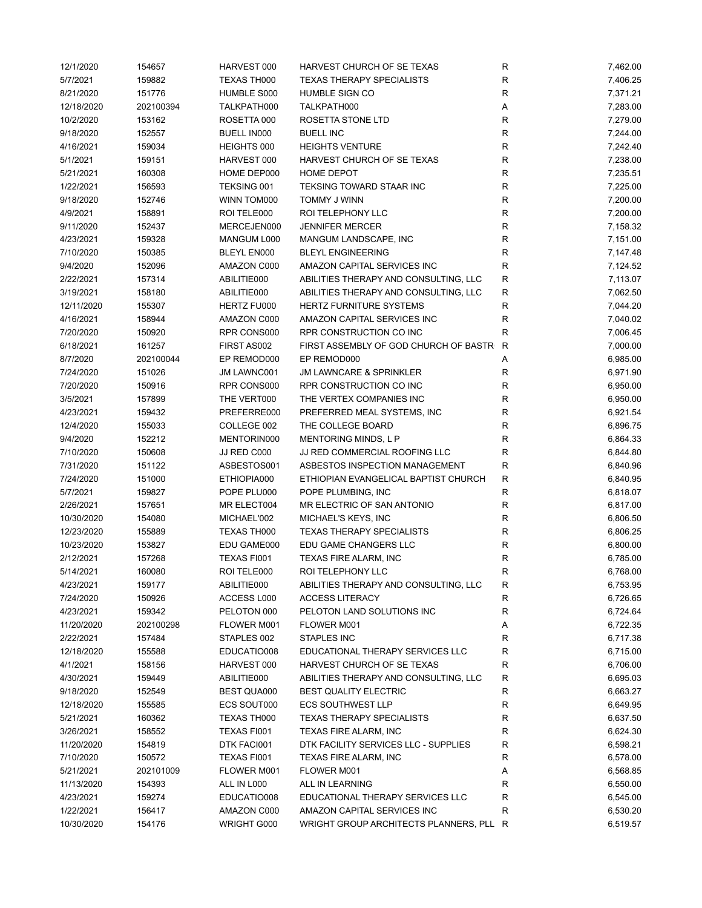| 12/1/2020  | 154657    | HARVEST 000        | HARVEST CHURCH OF SE TEXAS                                            | ${\sf R}$    | 7,462.00 |
|------------|-----------|--------------------|-----------------------------------------------------------------------|--------------|----------|
| 5/7/2021   | 159882    | TEXAS TH000        | <b>TEXAS THERAPY SPECIALISTS</b>                                      | $\mathsf{R}$ | 7,406.25 |
| 8/21/2020  | 151776    | HUMBLE S000        | <b>HUMBLE SIGN CO</b>                                                 | $\mathsf{R}$ | 7,371.21 |
| 12/18/2020 | 202100394 | TALKPATH000        | TALKPATH000                                                           | Α            | 7,283.00 |
| 10/2/2020  | 153162    | ROSETTA 000        | ROSETTA STONE LTD                                                     | $\mathsf{R}$ | 7,279.00 |
| 9/18/2020  | 152557    | BUELL IN000        | <b>BUELL INC</b>                                                      | R            | 7,244.00 |
| 4/16/2021  | 159034    | HEIGHTS 000        | <b>HEIGHTS VENTURE</b>                                                | R            | 7,242.40 |
| 5/1/2021   | 159151    | HARVEST 000        | HARVEST CHURCH OF SE TEXAS                                            | $\mathsf{R}$ | 7,238.00 |
| 5/21/2021  | 160308    | HOME DEP000        | <b>HOME DEPOT</b>                                                     | $\mathsf{R}$ | 7,235.51 |
| 1/22/2021  | 156593    | TEKSING 001        | TEKSING TOWARD STAAR INC                                              | $\mathsf{R}$ | 7,225.00 |
| 9/18/2020  | 152746    | WINN TOM000        | TOMMY J WINN                                                          | $\mathsf{R}$ | 7,200.00 |
| 4/9/2021   | 158891    | ROI TELE000        | ROI TELEPHONY LLC                                                     | ${\sf R}$    | 7,200.00 |
| 9/11/2020  | 152437    | MERCEJEN000        | <b>JENNIFER MERCER</b>                                                | $\mathsf{R}$ | 7,158.32 |
| 4/23/2021  | 159328    | MANGUM L000        | MANGUM LANDSCAPE, INC                                                 | $\mathsf{R}$ | 7,151.00 |
| 7/10/2020  | 150385    | BLEYL EN000        | <b>BLEYL ENGINEERING</b>                                              | $\mathsf{R}$ | 7,147.48 |
| 9/4/2020   | 152096    | AMAZON C000        | AMAZON CAPITAL SERVICES INC                                           | $\mathsf{R}$ | 7,124.52 |
| 2/22/2021  | 157314    | ABILITIE000        | ABILITIES THERAPY AND CONSULTING, LLC                                 | R            | 7,113.07 |
| 3/19/2021  | 158180    | ABILITIE000        | ABILITIES THERAPY AND CONSULTING, LLC                                 | R            | 7,062.50 |
| 12/11/2020 | 155307    | HERTZ FU000        | HERTZ FURNITURE SYSTEMS                                               | $\mathsf{R}$ | 7,044.20 |
| 4/16/2021  | 158944    | AMAZON C000        | AMAZON CAPITAL SERVICES INC                                           | R            | 7,040.02 |
| 7/20/2020  | 150920    | RPR CONS000        | RPR CONSTRUCTION CO INC                                               | R            | 7,006.45 |
| 6/18/2021  | 161257    | FIRST AS002        | FIRST ASSEMBLY OF GOD CHURCH OF BASTR                                 | R            | 7,000.00 |
| 8/7/2020   | 202100044 | EP REMOD000        | EP REMOD000                                                           | Α            | 6,985.00 |
| 7/24/2020  | 151026    | JM LAWNC001        | <b>JM LAWNCARE &amp; SPRINKLER</b>                                    | R            | 6,971.90 |
| 7/20/2020  | 150916    | RPR CONS000        | RPR CONSTRUCTION CO INC                                               | $\mathsf{R}$ | 6,950.00 |
| 3/5/2021   | 157899    | THE VERT000        | THE VERTEX COMPANIES INC                                              | ${\sf R}$    | 6,950.00 |
| 4/23/2021  | 159432    | PREFERRE000        | PREFERRED MEAL SYSTEMS, INC                                           | $\mathsf{R}$ | 6,921.54 |
| 12/4/2020  | 155033    | COLLEGE 002        | THE COLLEGE BOARD                                                     | R            | 6,896.75 |
| 9/4/2020   | 152212    | MENTORIN000        | MENTORING MINDS, L P                                                  | R            | 6,864.33 |
| 7/10/2020  | 150608    | JJ RED C000        | JJ RED COMMERCIAL ROOFING LLC                                         | $\mathsf{R}$ | 6,844.80 |
| 7/31/2020  | 151122    | ASBESTOS001        | ASBESTOS INSPECTION MANAGEMENT                                        | $\mathsf{R}$ | 6,840.96 |
| 7/24/2020  | 151000    | ETHIOPIA000        | ETHIOPIAN EVANGELICAL BAPTIST CHURCH                                  | R            | 6,840.95 |
| 5/7/2021   | 159827    | POPE PLU000        | POPE PLUMBING, INC                                                    | R            | 6,818.07 |
| 2/26/2021  | 157651    | MR ELECT004        | MR ELECTRIC OF SAN ANTONIO                                            | $\mathsf{R}$ | 6,817.00 |
| 10/30/2020 | 154080    | MICHAEL'002        | MICHAEL'S KEYS, INC                                                   | R            | 6,806.50 |
| 12/23/2020 | 155889    | TEXAS TH000        | <b>TEXAS THERAPY SPECIALISTS</b>                                      | R            | 6,806.25 |
| 10/23/2020 | 153827    | EDU GAME000        | EDU GAME CHANGERS LLC                                                 | $\mathsf{R}$ | 6,800.00 |
| 2/12/2021  | 157268    | TEXAS FI001        | TEXAS FIRE ALARM, INC                                                 | $\mathsf{R}$ | 6,785.00 |
| 5/14/2021  | 160080    | ROI TELE000        | ROI TELEPHONY LLC                                                     | $\mathsf{R}$ | 6,768.00 |
| 4/23/2021  | 159177    | ABILITIE000        | ABILITIES THERAPY AND CONSULTING, LLC                                 | R            | 6,753.95 |
| 7/24/2020  | 150926    | ACCESS L000        | <b>ACCESS LITERACY</b>                                                | R            | 6,726.65 |
| 4/23/2021  | 159342    | PELOTON 000        | PELOTON LAND SOLUTIONS INC                                            | $\mathsf{R}$ | 6,724.64 |
| 11/20/2020 | 202100298 | FLOWER M001        | FLOWER M001                                                           | Α            | 6,722.35 |
| 2/22/2021  | 157484    | STAPLES 002        | STAPLES INC                                                           | R            | 6,717.38 |
| 12/18/2020 | 155588    | EDUCATIO008        | EDUCATIONAL THERAPY SERVICES LLC                                      | R            | 6,715.00 |
| 4/1/2021   | 158156    | HARVEST 000        | HARVEST CHURCH OF SE TEXAS                                            | R            | 6,706.00 |
| 4/30/2021  | 159449    | ABILITIE000        |                                                                       | R            | 6,695.03 |
| 9/18/2020  | 152549    | <b>BEST QUA000</b> | ABILITIES THERAPY AND CONSULTING, LLC<br><b>BEST QUALITY ELECTRIC</b> | R            | 6,663.27 |
| 12/18/2020 | 155585    | ECS SOUT000        | <b>ECS SOUTHWEST LLP</b>                                              | R            | 6,649.95 |
|            |           |                    | <b>TEXAS THERAPY SPECIALISTS</b>                                      |              |          |
| 5/21/2021  | 160362    | TEXAS TH000        |                                                                       | R            | 6,637.50 |
| 3/26/2021  | 158552    | TEXAS FI001        | TEXAS FIRE ALARM, INC                                                 | R            | 6,624.30 |
| 11/20/2020 | 154819    | DTK FACI001        | DTK FACILITY SERVICES LLC - SUPPLIES                                  | R            | 6,598.21 |
| 7/10/2020  | 150572    | TEXAS FI001        | <b>TEXAS FIRE ALARM, INC</b>                                          | R            | 6,578.00 |
| 5/21/2021  | 202101009 | FLOWER M001        | FLOWER M001                                                           | Α            | 6,568.85 |
| 11/13/2020 | 154393    | ALL IN L000        | ALL IN LEARNING                                                       | R            | 6,550.00 |
| 4/23/2021  | 159274    | EDUCATIO008        | EDUCATIONAL THERAPY SERVICES LLC                                      | $\mathsf{R}$ | 6,545.00 |
| 1/22/2021  | 156417    | AMAZON C000        | AMAZON CAPITAL SERVICES INC                                           | R            | 6,530.20 |
| 10/30/2020 | 154176    | WRIGHT G000        | WRIGHT GROUP ARCHITECTS PLANNERS, PLL R                               |              | 6,519.57 |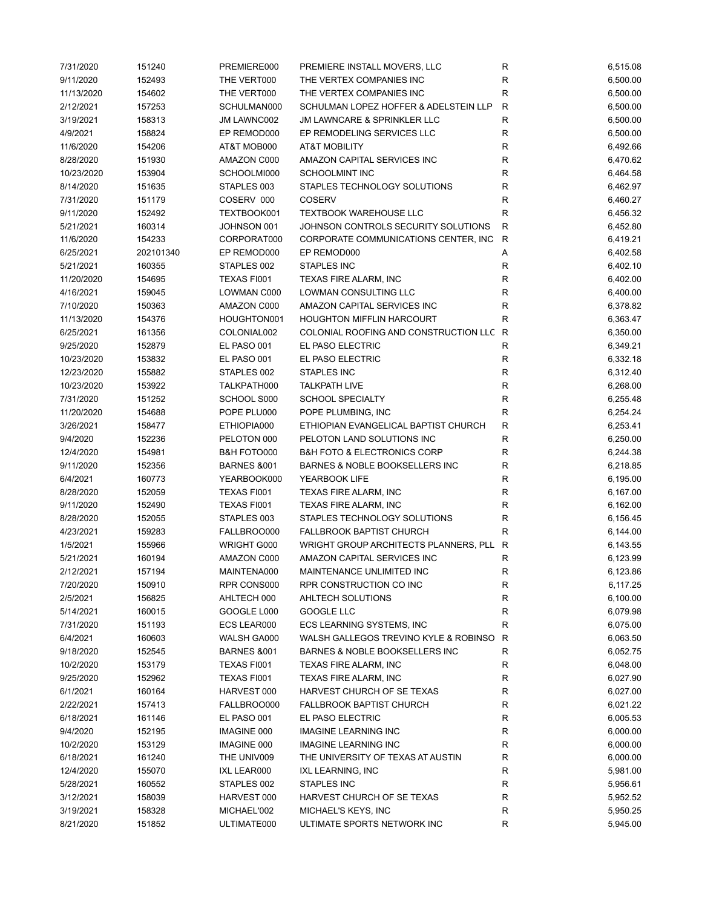| 7/31/2020  | 151240    | PREMIERE000            | PREMIERE INSTALL MOVERS, LLC               | R                      | 6,515.08 |
|------------|-----------|------------------------|--------------------------------------------|------------------------|----------|
| 9/11/2020  | 152493    | THE VERT000            | THE VERTEX COMPANIES INC                   | R                      | 6,500.00 |
| 11/13/2020 | 154602    | THE VERT000            | THE VERTEX COMPANIES INC                   | $\mathsf R$            | 6,500.00 |
| 2/12/2021  | 157253    | SCHULMAN000            | SCHULMAN LOPEZ HOFFER & ADELSTEIN LLP      | $\mathsf{R}$           | 6,500.00 |
| 3/19/2021  | 158313    | JM LAWNC002            | JM LAWNCARE & SPRINKLER LLC                | $\mathsf R$            | 6,500.00 |
| 4/9/2021   | 158824    | EP REMOD000            | EP REMODELING SERVICES LLC                 | R                      | 6,500.00 |
| 11/6/2020  | 154206    | AT&T MOB000            | <b>AT&amp;T MOBILITY</b>                   | R                      | 6,492.66 |
| 8/28/2020  | 151930    | AMAZON C000            | AMAZON CAPITAL SERVICES INC                | R                      | 6,470.62 |
| 10/23/2020 | 153904    | SCHOOLMI000            | SCHOOLMINT INC                             | $\mathsf{R}$           | 6,464.58 |
| 8/14/2020  | 151635    | STAPLES 003            | STAPLES TECHNOLOGY SOLUTIONS               | R                      | 6,462.97 |
| 7/31/2020  | 151179    | COSERV 000             | <b>COSERV</b>                              | $\mathsf{R}$           | 6,460.27 |
| 9/11/2020  | 152492    | TEXTBOOK001            | <b>TEXTBOOK WAREHOUSE LLC</b>              | $\mathsf{R}$           | 6,456.32 |
| 5/21/2021  | 160314    | JOHNSON 001            | JOHNSON CONTROLS SECURITY SOLUTIONS        | $\mathsf{R}$           | 6,452.80 |
| 11/6/2020  | 154233    | CORPORAT000            | CORPORATE COMMUNICATIONS CENTER, INC       | $\mathsf{R}$           | 6,419.21 |
| 6/25/2021  | 202101340 | EP REMOD000            | EP REMOD000                                | Α                      | 6,402.58 |
| 5/21/2021  | 160355    | STAPLES 002            | STAPLES INC                                | ${\sf R}$              | 6,402.10 |
| 11/20/2020 | 154695    | TEXAS FI001            | <b>TEXAS FIRE ALARM, INC</b>               | R                      | 6,402.00 |
| 4/16/2021  | 159045    | <b>LOWMAN C000</b>     | LOWMAN CONSULTING LLC                      | $\mathsf{R}$           | 6,400.00 |
| 7/10/2020  | 150363    | AMAZON C000            | AMAZON CAPITAL SERVICES INC                | R                      | 6,378.82 |
| 11/13/2020 | 154376    | HOUGHTON001            | <b>HOUGHTON MIFFLIN HARCOURT</b>           | R                      | 6,363.47 |
| 6/25/2021  | 161356    | COLONIAL002            | COLONIAL ROOFING AND CONSTRUCTION LLC R    |                        | 6,350.00 |
| 9/25/2020  | 152879    | EL PASO 001            | EL PASO ELECTRIC                           | R                      | 6,349.21 |
| 10/23/2020 | 153832    | EL PASO 001            | EL PASO ELECTRIC                           | R                      | 6,332.18 |
| 12/23/2020 | 155882    | STAPLES 002            | STAPLES INC                                | $\mathsf{R}$           | 6,312.40 |
|            |           |                        |                                            |                        |          |
| 10/23/2020 | 153922    | TALKPATH000            | <b>TALKPATH LIVE</b>                       | ${\sf R}$<br>${\sf R}$ | 6,268.00 |
| 7/31/2020  | 151252    | SCHOOL S000            | <b>SCHOOL SPECIALTY</b>                    |                        | 6,255.48 |
| 11/20/2020 | 154688    | POPE PLU000            | POPE PLUMBING, INC                         | ${\sf R}$              | 6,254.24 |
| 3/26/2021  | 158477    | ETHIOPIA000            | ETHIOPIAN EVANGELICAL BAPTIST CHURCH       | $\mathsf{R}$           | 6,253.41 |
| 9/4/2020   | 152236    | PELOTON 000            | PELOTON LAND SOLUTIONS INC                 | $\mathsf R$            | 6,250.00 |
| 12/4/2020  | 154981    | B&H FOTO000            | <b>B&amp;H FOTO &amp; ELECTRONICS CORP</b> | R                      | 6,244.38 |
| 9/11/2020  | 152356    | <b>BARNES &amp;001</b> | BARNES & NOBLE BOOKSELLERS INC             | $\mathsf R$            | 6,218.85 |
| 6/4/2021   | 160773    | YEARBOOK000            | YEARBOOK LIFE                              | $\mathsf R$            | 6,195.00 |
| 8/28/2020  | 152059    | TEXAS FI001            | TEXAS FIRE ALARM, INC                      | R                      | 6,167.00 |
| 9/11/2020  | 152490    | TEXAS FI001            | TEXAS FIRE ALARM, INC                      | R                      | 6,162.00 |
| 8/28/2020  | 152055    | STAPLES 003            | STAPLES TECHNOLOGY SOLUTIONS               | R                      | 6,156.45 |
| 4/23/2021  | 159283    | FALLBROO000            | <b>FALLBROOK BAPTIST CHURCH</b>            | R                      | 6,144.00 |
| 1/5/2021   | 155966    | WRIGHT G000            | WRIGHT GROUP ARCHITECTS PLANNERS, PLL      | R                      | 6,143.55 |
| 5/21/2021  | 160194    | AMAZON C000            | AMAZON CAPITAL SERVICES INC                | R                      | 6,123.99 |
| 2/12/2021  | 157194    | MAINTENA000            | MAINTENANCE UNLIMITED INC                  | R                      | 6,123.86 |
| 7/20/2020  | 150910    | RPR CONS000            | RPR CONSTRUCTION CO INC                    | R                      | 6,117.25 |
| 2/5/2021   | 156825    | AHLTECH 000            | AHLTECH SOLUTIONS                          | R                      | 6,100.00 |
| 5/14/2021  | 160015    | GOOGLE L000            | GOOGLE LLC                                 | ${\sf R}$              | 6,079.98 |
| 7/31/2020  | 151193    | ECS LEAR000            | ECS LEARNING SYSTEMS, INC                  | $\mathsf{R}$           | 6,075.00 |
| 6/4/2021   | 160603    | WALSH GA000            | WALSH GALLEGOS TREVINO KYLE & ROBINSO      | R                      | 6,063.50 |
| 9/18/2020  | 152545    | <b>BARNES &amp;001</b> | BARNES & NOBLE BOOKSELLERS INC             | R                      | 6,052.75 |
| 10/2/2020  | 153179    | TEXAS FI001            | TEXAS FIRE ALARM, INC                      | R                      | 6,048.00 |
| 9/25/2020  | 152962    | TEXAS FI001            | TEXAS FIRE ALARM, INC                      | R                      | 6,027.90 |
| 6/1/2021   | 160164    | HARVEST 000            | HARVEST CHURCH OF SE TEXAS                 | R                      | 6,027.00 |
| 2/22/2021  | 157413    | FALLBROO000            | <b>FALLBROOK BAPTIST CHURCH</b>            | $\mathsf{R}$           | 6,021.22 |
| 6/18/2021  | 161146    | EL PASO 001            | EL PASO ELECTRIC                           | R                      | 6,005.53 |
| 9/4/2020   | 152195    | <b>IMAGINE 000</b>     | <b>IMAGINE LEARNING INC</b>                | R                      | 6,000.00 |
| 10/2/2020  | 153129    | IMAGINE 000            | <b>IMAGINE LEARNING INC</b>                | R                      | 6,000.00 |
| 6/18/2021  | 161240    | THE UNIV009            | THE UNIVERSITY OF TEXAS AT AUSTIN          | R                      | 6,000.00 |
| 12/4/2020  | 155070    | IXL LEAR000            | IXL LEARNING, INC                          | R                      | 5,981.00 |
| 5/28/2021  | 160552    | STAPLES 002            | STAPLES INC                                | R                      | 5,956.61 |
| 3/12/2021  | 158039    | HARVEST 000            | HARVEST CHURCH OF SE TEXAS                 | ${\sf R}$              | 5,952.52 |
| 3/19/2021  | 158328    | MICHAEL'002            | MICHAEL'S KEYS, INC                        | ${\sf R}$              | 5,950.25 |
| 8/21/2020  | 151852    | ULTIMATE000            | ULTIMATE SPORTS NETWORK INC                | R                      | 5,945.00 |
|            |           |                        |                                            |                        |          |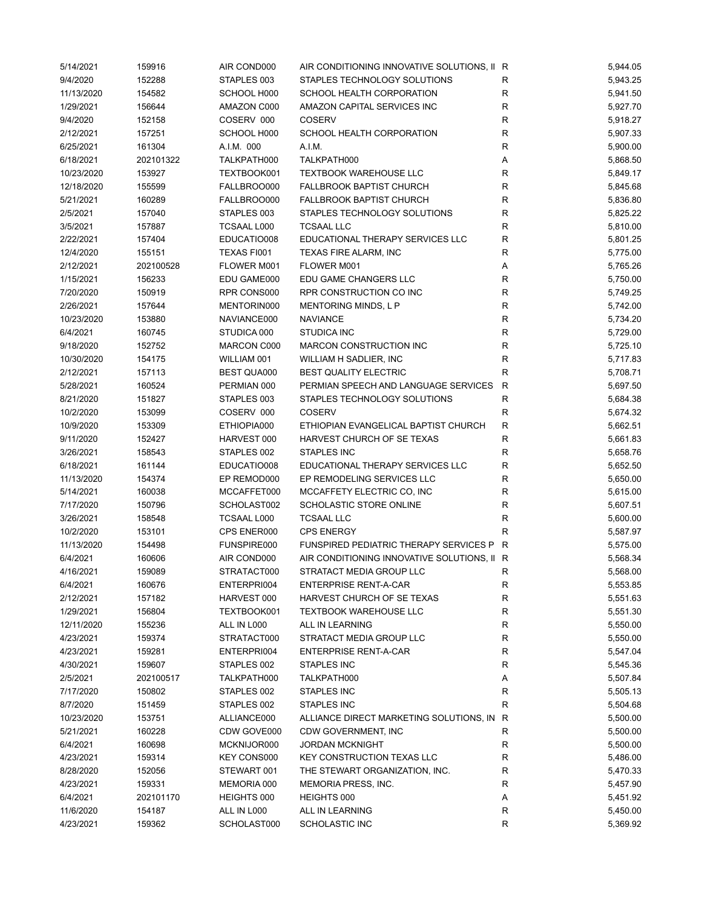| 5/14/2021  | 159916    | AIR COND000        | AIR CONDITIONING INNOVATIVE SOLUTIONS, II R |              | 5,944.05 |
|------------|-----------|--------------------|---------------------------------------------|--------------|----------|
| 9/4/2020   | 152288    | STAPLES 003        | STAPLES TECHNOLOGY SOLUTIONS                | R            | 5,943.25 |
| 11/13/2020 | 154582    | SCHOOL H000        | SCHOOL HEALTH CORPORATION                   | R            | 5,941.50 |
| 1/29/2021  | 156644    | AMAZON C000        | AMAZON CAPITAL SERVICES INC                 | R            | 5,927.70 |
| 9/4/2020   | 152158    | COSERV 000         | <b>COSERV</b>                               | $\mathsf R$  | 5,918.27 |
| 2/12/2021  | 157251    | SCHOOL H000        | SCHOOL HEALTH CORPORATION                   | R            | 5,907.33 |
| 6/25/2021  | 161304    | A.I.M. 000         | A.I.M.                                      | R            | 5,900.00 |
| 6/18/2021  | 202101322 | TALKPATH000        | TALKPATH000                                 | Α            | 5,868.50 |
| 10/23/2020 | 153927    | TEXTBOOK001        | <b>TEXTBOOK WAREHOUSE LLC</b>               | $\mathsf{R}$ | 5,849.17 |
| 12/18/2020 | 155599    | FALLBROO000        | <b>FALLBROOK BAPTIST CHURCH</b>             | $\mathsf{R}$ | 5,845.68 |
| 5/21/2021  | 160289    | FALLBROO000        | <b>FALLBROOK BAPTIST CHURCH</b>             | $\mathsf{R}$ | 5,836.80 |
| 2/5/2021   | 157040    | STAPLES 003        | STAPLES TECHNOLOGY SOLUTIONS                | R            | 5,825.22 |
| 3/5/2021   | 157887    | <b>TCSAAL L000</b> | <b>TCSAAL LLC</b>                           | $\mathsf{R}$ | 5,810.00 |
| 2/22/2021  | 157404    | EDUCATIO008        | EDUCATIONAL THERAPY SERVICES LLC            | R            | 5,801.25 |
| 12/4/2020  | 155151    | TEXAS FI001        | TEXAS FIRE ALARM, INC                       | R            | 5,775.00 |
| 2/12/2021  | 202100528 | FLOWER M001        | FLOWER M001                                 | Α            | 5,765.26 |
| 1/15/2021  | 156233    | EDU GAME000        | EDU GAME CHANGERS LLC                       | $\mathsf R$  | 5,750.00 |
| 7/20/2020  | 150919    | RPR CONS000        | RPR CONSTRUCTION CO INC                     | $\mathsf{R}$ | 5,749.25 |
| 2/26/2021  | 157644    | MENTORIN000        | MENTORING MINDS, L P                        | R            | 5,742.00 |
| 10/23/2020 | 153880    | NAVIANCE000        | <b>NAVIANCE</b>                             | $\mathsf{R}$ | 5,734.20 |
| 6/4/2021   | 160745    | STUDICA 000        | <b>STUDICA INC</b>                          | R            | 5,729.00 |
| 9/18/2020  | 152752    | MARCON C000        | MARCON CONSTRUCTION INC                     | R            | 5,725.10 |
| 10/30/2020 | 154175    | WILLIAM 001        | WILLIAM H SADLIER, INC                      | R            | 5,717.83 |
| 2/12/2021  | 157113    | <b>BEST QUA000</b> | <b>BEST QUALITY ELECTRIC</b>                | R            | 5,708.71 |
|            |           |                    | PERMIAN SPEECH AND LANGUAGE SERVICES        | R            |          |
| 5/28/2021  | 160524    | PERMIAN 000        |                                             | $\mathsf R$  | 5,697.50 |
| 8/21/2020  | 151827    | STAPLES 003        | STAPLES TECHNOLOGY SOLUTIONS                | $\mathsf{R}$ | 5,684.38 |
| 10/2/2020  | 153099    | COSERV 000         | <b>COSERV</b>                               |              | 5,674.32 |
| 10/9/2020  | 153309    | ETHIOPIA000        | ETHIOPIAN EVANGELICAL BAPTIST CHURCH        | $\mathsf{R}$ | 5,662.51 |
| 9/11/2020  | 152427    | HARVEST 000        | HARVEST CHURCH OF SE TEXAS                  | $\mathsf{R}$ | 5,661.83 |
| 3/26/2021  | 158543    | STAPLES 002        | <b>STAPLES INC</b>                          | R            | 5,658.76 |
| 6/18/2021  | 161144    | EDUCATIO008        | EDUCATIONAL THERAPY SERVICES LLC            | $\mathsf R$  | 5,652.50 |
| 11/13/2020 | 154374    | EP REMOD000        | EP REMODELING SERVICES LLC                  | $\mathsf R$  | 5,650.00 |
| 5/14/2021  | 160038    | MCCAFFET000        | MCCAFFETY ELECTRIC CO, INC                  | R            | 5,615.00 |
| 7/17/2020  | 150796    | SCHOLAST002        | SCHOLASTIC STORE ONLINE                     | R            | 5,607.51 |
| 3/26/2021  | 158548    | <b>TCSAAL L000</b> | <b>TCSAAL LLC</b>                           | $\mathsf{R}$ | 5,600.00 |
| 10/2/2020  | 153101    | CPS ENER000        | <b>CPS ENERGY</b>                           | R            | 5,587.97 |
| 11/13/2020 | 154498    | FUNSPIRE000        | FUNSPIRED PEDIATRIC THERAPY SERVICES P      | R            | 5,575.00 |
| 6/4/2021   | 160606    | AIR COND000        | AIR CONDITIONING INNOVATIVE SOLUTIONS, II R |              | 5,568.34 |
| 4/16/2021  | 159089    | STRATACT000        | STRATACT MEDIA GROUP LLC                    | R            | 5,568.00 |
| 6/4/2021   | 160676    | ENTERPRI004        | <b>ENTERPRISE RENT-A-CAR</b>                | R            | 5,553.85 |
| 2/12/2021  | 157182    | HARVEST 000        | HARVEST CHURCH OF SE TEXAS                  | ${\sf R}$    | 5,551.63 |
| 1/29/2021  | 156804    | TEXTBOOK001        | <b>TEXTBOOK WAREHOUSE LLC</b>               | $\mathsf{R}$ | 5,551.30 |
| 12/11/2020 | 155236    | ALL IN L000        | ALL IN LEARNING                             | $\mathsf{R}$ | 5,550.00 |
| 4/23/2021  | 159374    | STRATACT000        | STRATACT MEDIA GROUP LLC                    | R            | 5,550.00 |
| 4/23/2021  | 159281    | ENTERPRI004        | <b>ENTERPRISE RENT-A-CAR</b>                | R            | 5,547.04 |
| 4/30/2021  | 159607    | STAPLES 002        | STAPLES INC                                 | R            | 5,545.36 |
| 2/5/2021   | 202100517 | TALKPATH000        | TALKPATH000                                 | А            | 5,507.84 |
| 7/17/2020  | 150802    | STAPLES 002        | <b>STAPLES INC</b>                          | R            | 5,505.13 |
| 8/7/2020   | 151459    | STAPLES 002        | STAPLES INC                                 | $\mathsf{R}$ | 5,504.68 |
| 10/23/2020 | 153751    | ALLIANCE000        | ALLIANCE DIRECT MARKETING SOLUTIONS, IN     | R            | 5,500.00 |
| 5/21/2021  | 160228    | CDW GOVE000        | CDW GOVERNMENT, INC                         | R            | 5,500.00 |
| 6/4/2021   | 160698    | MCKNIJOR000        | <b>JORDAN MCKNIGHT</b>                      | R            | 5,500.00 |
| 4/23/2021  | 159314    | KEY CONS000        | <b>KEY CONSTRUCTION TEXAS LLC</b>           | R            | 5,486.00 |
| 8/28/2020  | 152056    | STEWART 001        | THE STEWART ORGANIZATION, INC.              | R            | 5,470.33 |
| 4/23/2021  | 159331    | MEMORIA 000        | MEMORIA PRESS, INC.                         | $\mathsf{R}$ | 5,457.90 |
| 6/4/2021   | 202101170 | HEIGHTS 000        | HEIGHTS 000                                 | Α            | 5,451.92 |
| 11/6/2020  | 154187    | ALL IN L000        | ALL IN LEARNING                             | R            | 5,450.00 |
| 4/23/2021  | 159362    | SCHOLAST000        | <b>SCHOLASTIC INC</b>                       | $\mathsf{R}$ | 5,369.92 |
|            |           |                    |                                             |              |          |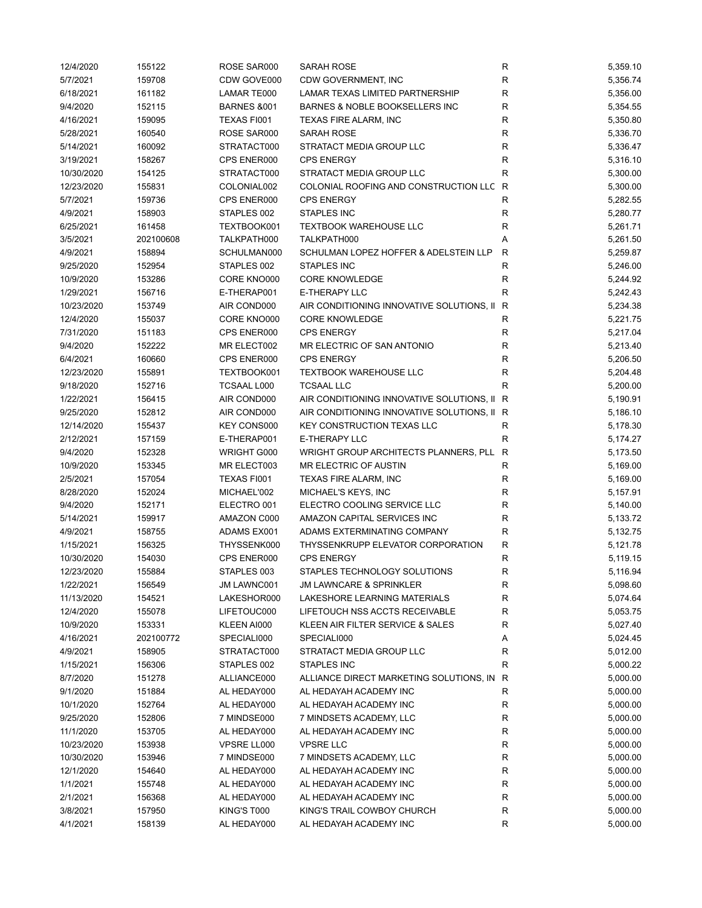| 12/4/2020  | 155122    | ROSE SAR000            | SARAH ROSE                                  | R            | 5,359.10 |
|------------|-----------|------------------------|---------------------------------------------|--------------|----------|
| 5/7/2021   | 159708    | CDW GOVE000            | CDW GOVERNMENT, INC                         | R            | 5,356.74 |
| 6/18/2021  | 161182    | LAMAR TE000            | LAMAR TEXAS LIMITED PARTNERSHIP             | R            | 5,356.00 |
| 9/4/2020   | 152115    | <b>BARNES &amp;001</b> | BARNES & NOBLE BOOKSELLERS INC              | $\mathsf R$  | 5,354.55 |
| 4/16/2021  | 159095    | TEXAS FI001            | TEXAS FIRE ALARM, INC                       | R            | 5,350.80 |
| 5/28/2021  | 160540    | ROSE SAR000            | SARAH ROSE                                  | $\mathsf R$  | 5,336.70 |
| 5/14/2021  | 160092    | STRATACT000            | <b>STRATACT MEDIA GROUP LLC</b>             | $\mathsf R$  | 5,336.47 |
| 3/19/2021  | 158267    | CPS ENER000            | <b>CPS ENERGY</b>                           | $\mathsf R$  | 5,316.10 |
| 10/30/2020 | 154125    | STRATACT000            | STRATACT MEDIA GROUP LLC                    | $\mathsf R$  | 5,300.00 |
| 12/23/2020 | 155831    | COLONIAL002            | COLONIAL ROOFING AND CONSTRUCTION LLC       | R            | 5,300.00 |
| 5/7/2021   | 159736    | CPS ENER000            | <b>CPS ENERGY</b>                           | R            | 5,282.55 |
| 4/9/2021   | 158903    | STAPLES 002            | STAPLES INC                                 | R            | 5,280.77 |
| 6/25/2021  | 161458    | TEXTBOOK001            | <b>TEXTBOOK WAREHOUSE LLC</b>               | R            | 5,261.71 |
| 3/5/2021   | 202100608 | TALKPATH000            | TALKPATH000                                 | Α            | 5,261.50 |
| 4/9/2021   | 158894    | SCHULMAN000            | SCHULMAN LOPEZ HOFFER & ADELSTEIN LLP       | $\mathsf{R}$ | 5,259.87 |
| 9/25/2020  | 152954    | STAPLES 002            | STAPLES INC                                 | R            | 5,246.00 |
| 10/9/2020  | 153286    | CORE KNO000            | <b>CORE KNOWLEDGE</b>                       | $\mathsf{R}$ | 5,244.92 |
| 1/29/2021  | 156716    | E-THERAP001            | E-THERAPY LLC                               | R            | 5,242.43 |
| 10/23/2020 | 153749    | AIR COND000            | AIR CONDITIONING INNOVATIVE SOLUTIONS, II   | R            | 5,234.38 |
| 12/4/2020  | 155037    | CORE KNO000            | <b>CORE KNOWLEDGE</b>                       | R            | 5,221.75 |
|            |           |                        |                                             |              |          |
| 7/31/2020  | 151183    | CPS ENER000            | <b>CPS ENERGY</b>                           | $\mathsf R$  | 5,217.04 |
| 9/4/2020   | 152222    | MR ELECT002            | MR ELECTRIC OF SAN ANTONIO                  | $\mathsf R$  | 5,213.40 |
| 6/4/2021   | 160660    | CPS ENER000            | <b>CPS ENERGY</b>                           | $\mathsf{R}$ | 5,206.50 |
| 12/23/2020 | 155891    | TEXTBOOK001            | <b>TEXTBOOK WAREHOUSE LLC</b>               | $\mathsf R$  | 5,204.48 |
| 9/18/2020  | 152716    | <b>TCSAAL L000</b>     | <b>TCSAAL LLC</b>                           | R            | 5,200.00 |
| 1/22/2021  | 156415    | AIR COND000            | AIR CONDITIONING INNOVATIVE SOLUTIONS, II R |              | 5,190.91 |
| 9/25/2020  | 152812    | AIR COND000            | AIR CONDITIONING INNOVATIVE SOLUTIONS, II R |              | 5,186.10 |
| 12/14/2020 | 155437    | <b>KEY CONS000</b>     | <b>KEY CONSTRUCTION TEXAS LLC</b>           | R            | 5,178.30 |
| 2/12/2021  | 157159    | E-THERAP001            | E-THERAPY LLC                               | R            | 5,174.27 |
| 9/4/2020   | 152328    | WRIGHT G000            | WRIGHT GROUP ARCHITECTS PLANNERS, PLL       | R            | 5,173.50 |
| 10/9/2020  | 153345    | MR ELECT003            | MR ELECTRIC OF AUSTIN                       | R            | 5,169.00 |
| 2/5/2021   | 157054    | TEXAS FI001            | TEXAS FIRE ALARM, INC                       | R            | 5,169.00 |
| 8/28/2020  | 152024    | MICHAEL'002            | MICHAEL'S KEYS, INC                         | R            | 5,157.91 |
| 9/4/2020   | 152171    | ELECTRO 001            | ELECTRO COOLING SERVICE LLC                 | R            | 5,140.00 |
| 5/14/2021  | 159917    | AMAZON C000            | AMAZON CAPITAL SERVICES INC                 | R            | 5,133.72 |
| 4/9/2021   | 158755    | ADAMS EX001            | ADAMS EXTERMINATING COMPANY                 | $\mathsf R$  | 5,132.75 |
| 1/15/2021  | 156325    | THYSSENK000            | THYSSENKRUPP ELEVATOR CORPORATION           | $\mathsf{R}$ | 5,121.78 |
| 10/30/2020 | 154030    | CPS ENER000            | <b>CPS ENERGY</b>                           | $\mathsf R$  | 5,119.15 |
| 12/23/2020 | 155884    | STAPLES 003            | STAPLES TECHNOLOGY SOLUTIONS                | R            | 5,116.94 |
| 1/22/2021  | 156549    | JM LAWNC001            | <b>JM LAWNCARE &amp; SPRINKLER</b>          | R            | 5,098.60 |
| 11/13/2020 | 154521    | LAKESHOR000            | LAKESHORE LEARNING MATERIALS                | R            | 5,074.64 |
| 12/4/2020  | 155078    | LIFETOUC000            | LIFETOUCH NSS ACCTS RECEIVABLE              | $\mathsf R$  | 5,053.75 |
| 10/9/2020  | 153331    | KLEEN AI000            | KLEEN AIR FILTER SERVICE & SALES            | $\mathsf R$  | 5,027.40 |
| 4/16/2021  | 202100772 | SPECIALI000            | SPECIALI000                                 | А            | 5,024.45 |
| 4/9/2021   | 158905    | STRATACT000            | STRATACT MEDIA GROUP LLC                    | R            | 5,012.00 |
| 1/15/2021  | 156306    | STAPLES 002            | STAPLES INC                                 | R            | 5,000.22 |
| 8/7/2020   | 151278    | ALLIANCE000            | ALLIANCE DIRECT MARKETING SOLUTIONS, IN     | R            | 5,000.00 |
| 9/1/2020   | 151884    | AL HEDAY000            | AL HEDAYAH ACADEMY INC                      | R            | 5,000.00 |
| 10/1/2020  | 152764    | AL HEDAY000            | AL HEDAYAH ACADEMY INC                      | R            | 5,000.00 |
| 9/25/2020  | 152806    | 7 MINDSE000            | 7 MINDSETS ACADEMY, LLC                     | R            | 5,000.00 |
| 11/1/2020  | 153705    | AL HEDAY000            | AL HEDAYAH ACADEMY INC                      | R            | 5,000.00 |
| 10/23/2020 | 153938    | VPSRE LL000            | <b>VPSRE LLC</b>                            | R            | 5,000.00 |
| 10/30/2020 | 153946    | 7 MINDSE000            | 7 MINDSETS ACADEMY, LLC                     | R            | 5,000.00 |
| 12/1/2020  |           | AL HEDAY000            | AL HEDAYAH ACADEMY INC                      | R            | 5,000.00 |
|            | 154640    |                        |                                             |              |          |
| 1/1/2021   | 155748    | AL HEDAY000            | AL HEDAYAH ACADEMY INC                      | R            | 5,000.00 |
| 2/1/2021   | 156368    | AL HEDAY000            | AL HEDAYAH ACADEMY INC                      | R            | 5,000.00 |
| 3/8/2021   | 157950    | KING'S T000            | KING'S TRAIL COWBOY CHURCH                  | R            | 5,000.00 |
| 4/1/2021   | 158139    | AL HEDAY000            | AL HEDAYAH ACADEMY INC                      | $\mathsf R$  | 5,000.00 |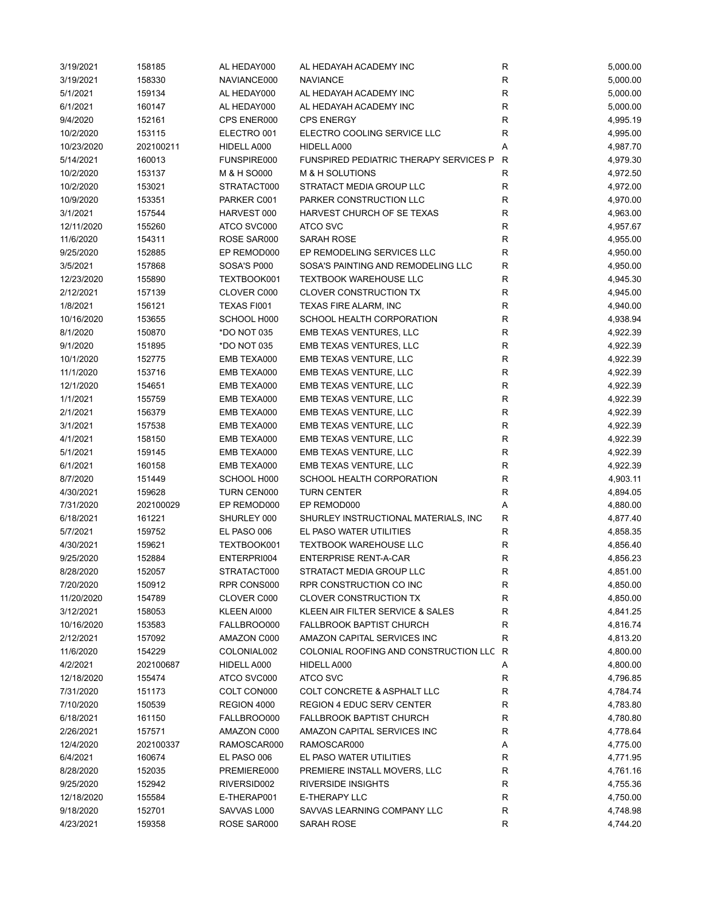| 3/19/2021  | 158185    | AL HEDAY000 | AL HEDAYAH ACADEMY INC                        | R            | 5,000.00 |
|------------|-----------|-------------|-----------------------------------------------|--------------|----------|
| 3/19/2021  | 158330    | NAVIANCE000 | <b>NAVIANCE</b>                               | R            | 5,000.00 |
| 5/1/2021   | 159134    | AL HEDAY000 | AL HEDAYAH ACADEMY INC                        | R            | 5,000.00 |
| 6/1/2021   | 160147    | AL HEDAY000 | AL HEDAYAH ACADEMY INC                        | $\mathsf{R}$ | 5,000.00 |
| 9/4/2020   | 152161    | CPS ENER000 | <b>CPS ENERGY</b>                             | R            | 4,995.19 |
| 10/2/2020  | 153115    | ELECTRO 001 | ELECTRO COOLING SERVICE LLC                   | R            | 4,995.00 |
| 10/23/2020 | 202100211 | HIDELL A000 | HIDELL A000                                   | Α            | 4,987.70 |
| 5/14/2021  | 160013    | FUNSPIRE000 | <b>FUNSPIRED PEDIATRIC THERAPY SERVICES P</b> | R            | 4,979.30 |
| 10/2/2020  | 153137    | M & H SO000 | M & H SOLUTIONS                               | R            | 4,972.50 |
| 10/2/2020  | 153021    | STRATACT000 | STRATACT MEDIA GROUP LLC                      | $\mathsf{R}$ | 4,972.00 |
| 10/9/2020  | 153351    | PARKER C001 | PARKER CONSTRUCTION LLC                       | $\mathsf{R}$ | 4,970.00 |
| 3/1/2021   | 157544    | HARVEST 000 | HARVEST CHURCH OF SE TEXAS                    | $\mathsf R$  | 4,963.00 |
| 12/11/2020 | 155260    | ATCO SVC000 | <b>ATCO SVC</b>                               | R            | 4,957.67 |
| 11/6/2020  | 154311    | ROSE SAR000 | SARAH ROSE                                    | R            | 4,955.00 |
| 9/25/2020  | 152885    | EP REMOD000 | EP REMODELING SERVICES LLC                    | R            | 4,950.00 |
| 3/5/2021   | 157868    | SOSA'S P000 | SOSA'S PAINTING AND REMODELING LLC            | R            | 4,950.00 |
| 12/23/2020 | 155890    | TEXTBOOK001 | <b>TEXTBOOK WAREHOUSE LLC</b>                 | R            | 4,945.30 |
| 2/12/2021  | 157139    | CLOVER C000 | <b>CLOVER CONSTRUCTION TX</b>                 | $\mathsf{R}$ | 4,945.00 |
| 1/8/2021   | 156121    | TEXAS FI001 | TEXAS FIRE ALARM, INC                         | R            | 4,940.00 |
| 10/16/2020 | 153655    | SCHOOL H000 | SCHOOL HEALTH CORPORATION                     | R            | 4,938.94 |
| 8/1/2020   | 150870    | *DO NOT 035 | EMB TEXAS VENTURES, LLC                       | R            | 4,922.39 |
| 9/1/2020   | 151895    | *DO NOT 035 | EMB TEXAS VENTURES, LLC                       | $\mathsf{R}$ | 4,922.39 |
| 10/1/2020  | 152775    | EMB TEXA000 | EMB TEXAS VENTURE, LLC                        | $\mathsf{R}$ | 4,922.39 |
| 11/1/2020  | 153716    | EMB TEXA000 | EMB TEXAS VENTURE, LLC                        | ${\sf R}$    | 4,922.39 |
| 12/1/2020  | 154651    | EMB TEXA000 | EMB TEXAS VENTURE, LLC                        | $\mathsf{R}$ | 4,922.39 |
| 1/1/2021   | 155759    | EMB TEXA000 | EMB TEXAS VENTURE, LLC                        | $\mathsf{R}$ | 4,922.39 |
| 2/1/2021   | 156379    | EMB TEXA000 | EMB TEXAS VENTURE, LLC                        | R            | 4,922.39 |
| 3/1/2021   | 157538    | EMB TEXA000 | EMB TEXAS VENTURE, LLC                        | R            | 4,922.39 |
| 4/1/2021   | 158150    | EMB TEXA000 | EMB TEXAS VENTURE, LLC                        | $\mathsf{R}$ | 4,922.39 |
| 5/1/2021   | 159145    | EMB TEXA000 | EMB TEXAS VENTURE, LLC                        | $\mathsf R$  | 4,922.39 |
| 6/1/2021   | 160158    | EMB TEXA000 | EMB TEXAS VENTURE, LLC                        | R            | 4,922.39 |
| 8/7/2020   | 151449    | SCHOOL H000 | SCHOOL HEALTH CORPORATION                     | R            | 4,903.11 |
| 4/30/2021  | 159628    | TURN CEN000 | <b>TURN CENTER</b>                            | R            | 4,894.05 |
| 7/31/2020  | 202100029 | EP REMOD000 | EP REMOD000                                   | Α            | 4,880.00 |
| 6/18/2021  | 161221    | SHURLEY 000 | SHURLEY INSTRUCTIONAL MATERIALS, INC.         | R            | 4,877.40 |
| 5/7/2021   | 159752    | EL PASO 006 | EL PASO WATER UTILITIES                       | R            | 4,858.35 |
| 4/30/2021  | 159621    | TEXTBOOK001 | <b>TEXTBOOK WAREHOUSE LLC</b>                 | R            | 4,856.40 |
| 9/25/2020  | 152884    | ENTERPRI004 | <b>ENTERPRISE RENT-A-CAR</b>                  | $\mathsf{R}$ | 4,856.23 |
| 8/28/2020  | 152057    | STRATACT000 | STRATACT MEDIA GROUP LLC                      | R            | 4,851.00 |
| 7/20/2020  | 150912    | RPR CONS000 | RPR CONSTRUCTION CO INC                       | ${\sf R}$    | 4,850.00 |
| 11/20/2020 | 154789    | CLOVER C000 | <b>CLOVER CONSTRUCTION TX</b>                 | $\mathsf R$  | 4,850.00 |
| 3/12/2021  | 158053    | KLEEN AI000 | KLEEN AIR FILTER SERVICE & SALES              | R            | 4,841.25 |
| 10/16/2020 | 153583    | FALLBROO000 | <b>FALLBROOK BAPTIST CHURCH</b>               | R            | 4,816.74 |
| 2/12/2021  | 157092    | AMAZON C000 | AMAZON CAPITAL SERVICES INC                   | R            | 4,813.20 |
| 11/6/2020  | 154229    | COLONIAL002 | COLONIAL ROOFING AND CONSTRUCTION LLC         | R            | 4,800.00 |
| 4/2/2021   | 202100687 | HIDELL A000 | HIDELL A000                                   | А            | 4,800.00 |
| 12/18/2020 | 155474    | ATCO SVC000 | <b>ATCO SVC</b>                               | R            | 4,796.85 |
| 7/31/2020  | 151173    | COLT CON000 | COLT CONCRETE & ASPHALT LLC                   | R            | 4,784.74 |
| 7/10/2020  | 150539    | REGION 4000 | <b>REGION 4 EDUC SERV CENTER</b>              | R            | 4,783.80 |
| 6/18/2021  | 161150    | FALLBROO000 | <b>FALLBROOK BAPTIST CHURCH</b>               | R            | 4,780.80 |
| 2/26/2021  | 157571    | AMAZON C000 | AMAZON CAPITAL SERVICES INC                   | R            | 4,778.64 |
| 12/4/2020  | 202100337 | RAMOSCAR000 | RAMOSCAR000                                   | Α            | 4,775.00 |
| 6/4/2021   | 160674    | EL PASO 006 | EL PASO WATER UTILITIES                       | R            | 4,771.95 |
| 8/28/2020  | 152035    | PREMIERE000 | PREMIERE INSTALL MOVERS, LLC                  | R            | 4,761.16 |
| 9/25/2020  | 152942    | RIVERSID002 | <b>RIVERSIDE INSIGHTS</b>                     | $\mathsf{R}$ | 4,755.36 |
| 12/18/2020 | 155584    | E-THERAP001 | E-THERAPY LLC                                 | ${\sf R}$    | 4,750.00 |
| 9/18/2020  | 152701    | SAVVAS L000 | SAVVAS LEARNING COMPANY LLC                   | R            | 4,748.98 |
| 4/23/2021  | 159358    | ROSE SAR000 | SARAH ROSE                                    | R            | 4,744.20 |
|            |           |             |                                               |              |          |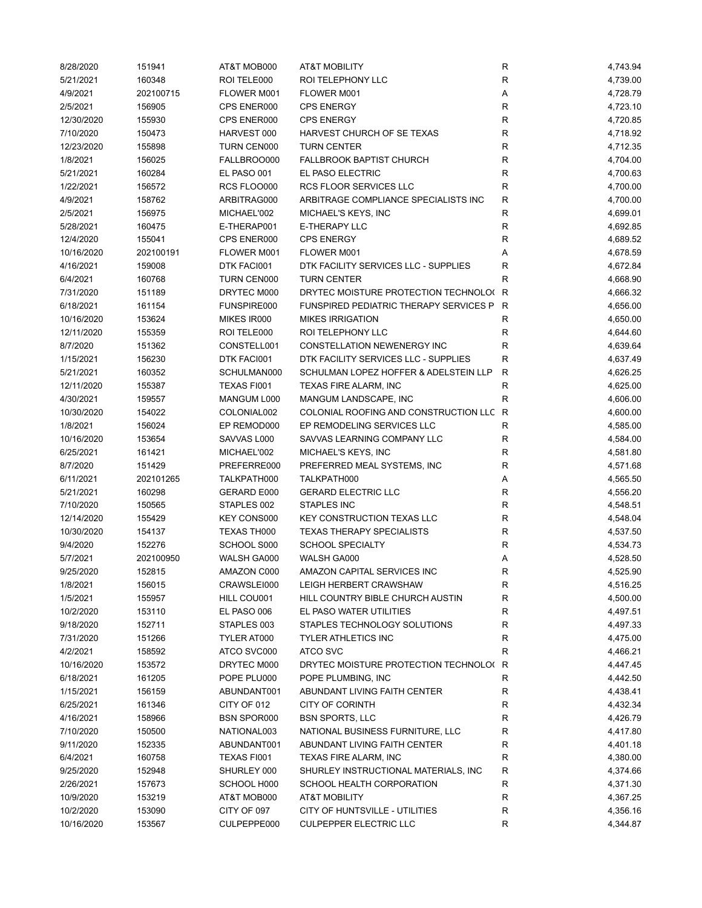| 8/28/2020  | 151941    | AT&T MOB000        | <b>AT&amp;T MOBILITY</b>                | R           | 4,743.94 |
|------------|-----------|--------------------|-----------------------------------------|-------------|----------|
| 5/21/2021  | 160348    | ROI TELE000        | ROI TELEPHONY LLC                       | R           | 4,739.00 |
| 4/9/2021   | 202100715 | FLOWER M001        | FLOWER M001                             | Α           | 4,728.79 |
| 2/5/2021   | 156905    | CPS ENER000        | <b>CPS ENERGY</b>                       | $\mathsf R$ | 4,723.10 |
| 12/30/2020 | 155930    | CPS ENER000        | <b>CPS ENERGY</b>                       | R           | 4,720.85 |
| 7/10/2020  | 150473    | HARVEST 000        | HARVEST CHURCH OF SE TEXAS              | R           | 4,718.92 |
| 12/23/2020 | 155898    | TURN CEN000        | <b>TURN CENTER</b>                      | $\mathsf R$ | 4,712.35 |
| 1/8/2021   | 156025    | FALLBROO000        | <b>FALLBROOK BAPTIST CHURCH</b>         | $\mathsf R$ | 4,704.00 |
| 5/21/2021  | 160284    | EL PASO 001        | EL PASO ELECTRIC                        | $\mathsf R$ | 4,700.63 |
| 1/22/2021  | 156572    | RCS FLOO000        | RCS FLOOR SERVICES LLC                  | $\mathsf R$ | 4,700.00 |
| 4/9/2021   | 158762    | ARBITRAG000        | ARBITRAGE COMPLIANCE SPECIALISTS INC    | $\mathsf R$ | 4,700.00 |
| 2/5/2021   | 156975    | MICHAEL'002        | MICHAEL'S KEYS, INC                     | $\mathsf R$ | 4,699.01 |
| 5/28/2021  | 160475    | E-THERAP001        | E-THERAPY LLC                           | R           | 4,692.85 |
| 12/4/2020  | 155041    | CPS ENER000        | <b>CPS ENERGY</b>                       | R           | 4,689.52 |
| 10/16/2020 | 202100191 | FLOWER M001        | FLOWER M001                             | Α           | 4,678.59 |
| 4/16/2021  | 159008    | DTK FACI001        | DTK FACILITY SERVICES LLC - SUPPLIES    | R           | 4,672.84 |
| 6/4/2021   | 160768    | TURN CEN000        | <b>TURN CENTER</b>                      | R           | 4,668.90 |
| 7/31/2020  |           |                    |                                         |             |          |
|            | 151189    | DRYTEC M000        | DRYTEC MOISTURE PROTECTION TECHNOLO(R   |             | 4,666.32 |
| 6/18/2021  | 161154    | FUNSPIRE000        | FUNSPIRED PEDIATRIC THERAPY SERVICES P  | R           | 4,656.00 |
| 10/16/2020 | 153624    | MIKES IR000        | <b>MIKES IRRIGATION</b>                 | R           | 4,650.00 |
| 12/11/2020 | 155359    | ROI TELE000        | ROI TELEPHONY LLC                       | R           | 4,644.60 |
| 8/7/2020   | 151362    | CONSTELL001        | CONSTELLATION NEWENERGY INC             | R           | 4,639.64 |
| 1/15/2021  | 156230    | DTK FACI001        | DTK FACILITY SERVICES LLC - SUPPLIES    | R           | 4,637.49 |
| 5/21/2021  | 160352    | SCHULMAN000        | SCHULMAN LOPEZ HOFFER & ADELSTEIN LLP   | R           | 4,626.25 |
| 12/11/2020 | 155387    | TEXAS FI001        | <b>TEXAS FIRE ALARM, INC</b>            | R           | 4,625.00 |
| 4/30/2021  | 159557    | MANGUM L000        | MANGUM LANDSCAPE, INC                   | $\mathsf R$ | 4,606.00 |
| 10/30/2020 | 154022    | COLONIAL002        | COLONIAL ROOFING AND CONSTRUCTION LLC R |             | 4,600.00 |
| 1/8/2021   | 156024    | EP REMOD000        | EP REMODELING SERVICES LLC              | R           | 4,585.00 |
| 10/16/2020 | 153654    | SAVVAS L000        | SAVVAS LEARNING COMPANY LLC             | $\mathsf R$ | 4,584.00 |
| 6/25/2021  | 161421    | MICHAEL'002        | MICHAEL'S KEYS, INC                     | R           | 4,581.80 |
| 8/7/2020   | 151429    | PREFERRE000        | PREFERRED MEAL SYSTEMS, INC             | $\mathsf R$ | 4,571.68 |
| 6/11/2021  | 202101265 | TALKPATH000        | TALKPATH000                             | Α           | 4,565.50 |
| 5/21/2021  | 160298    | GERARD E000        | <b>GERARD ELECTRIC LLC</b>              | $\mathsf R$ | 4,556.20 |
| 7/10/2020  | 150565    | STAPLES 002        | <b>STAPLES INC</b>                      | $\mathsf R$ | 4,548.51 |
| 12/14/2020 | 155429    | <b>KEY CONS000</b> | KEY CONSTRUCTION TEXAS LLC              | R           | 4,548.04 |
| 10/30/2020 | 154137    | TEXAS TH000        | <b>TEXAS THERAPY SPECIALISTS</b>        | $\mathsf R$ | 4,537.50 |
| 9/4/2020   | 152276    | SCHOOL S000        | <b>SCHOOL SPECIALTY</b>                 | R           | 4,534.73 |
| 5/7/2021   | 202100950 | WALSH GA000        | WALSH GA000                             | Α           | 4,528.50 |
| 9/25/2020  | 152815    | AMAZON C000        | AMAZON CAPITAL SERVICES INC             | R           | 4,525.90 |
| 1/8/2021   | 156015    | CRAWSLEI000        | LEIGH HERBERT CRAWSHAW                  | R           | 4,516.25 |
| 1/5/2021   | 155957    | HILL COU001        | HILL COUNTRY BIBLE CHURCH AUSTIN        | $\mathsf R$ | 4,500.00 |
| 10/2/2020  | 153110    | EL PASO 006        | EL PASO WATER UTILITIES                 | R           | 4,497.51 |
| 9/18/2020  | 152711    | STAPLES 003        | STAPLES TECHNOLOGY SOLUTIONS            | R           | 4,497.33 |
| 7/31/2020  | 151266    | TYLER AT000        | <b>TYLER ATHLETICS INC</b>              | R           | 4,475.00 |
| 4/2/2021   | 158592    | ATCO SVC000        | ATCO SVC                                | R           | 4,466.21 |
| 10/16/2020 | 153572    | DRYTEC M000        | DRYTEC MOISTURE PROTECTION TECHNOLO(R   |             | 4,447.45 |
| 6/18/2021  | 161205    | POPE PLU000        | POPE PLUMBING, INC                      | $\mathsf R$ | 4,442.50 |
|            |           |                    | ABUNDANT LIVING FAITH CENTER            |             |          |
| 1/15/2021  | 156159    | ABUNDANT001        |                                         | R           | 4,438.41 |
| 6/25/2021  | 161346    | CITY OF 012        | <b>CITY OF CORINTH</b>                  | R           | 4,432.34 |
| 4/16/2021  | 158966    | <b>BSN SPOR000</b> | <b>BSN SPORTS, LLC</b>                  | R           | 4,426.79 |
| 7/10/2020  | 150500    | NATIONAL003        | NATIONAL BUSINESS FURNITURE, LLC        | R           | 4,417.80 |
| 9/11/2020  | 152335    | ABUNDANT001        | ABUNDANT LIVING FAITH CENTER            | R           | 4,401.18 |
| 6/4/2021   | 160758    | TEXAS FI001        | TEXAS FIRE ALARM, INC                   | R           | 4,380.00 |
| 9/25/2020  | 152948    | SHURLEY 000        | SHURLEY INSTRUCTIONAL MATERIALS, INC    | R           | 4,374.66 |
| 2/26/2021  | 157673    | SCHOOL H000        | SCHOOL HEALTH CORPORATION               | $\mathsf R$ | 4,371.30 |
| 10/9/2020  | 153219    | AT&T MOB000        | <b>AT&amp;T MOBILITY</b>                | $\mathsf R$ | 4,367.25 |
| 10/2/2020  | 153090    | CITY OF 097        | CITY OF HUNTSVILLE - UTILITIES          | R           | 4,356.16 |
| 10/16/2020 | 153567    | CULPEPPE000        | <b>CULPEPPER ELECTRIC LLC</b>           | $\mathsf R$ | 4,344.87 |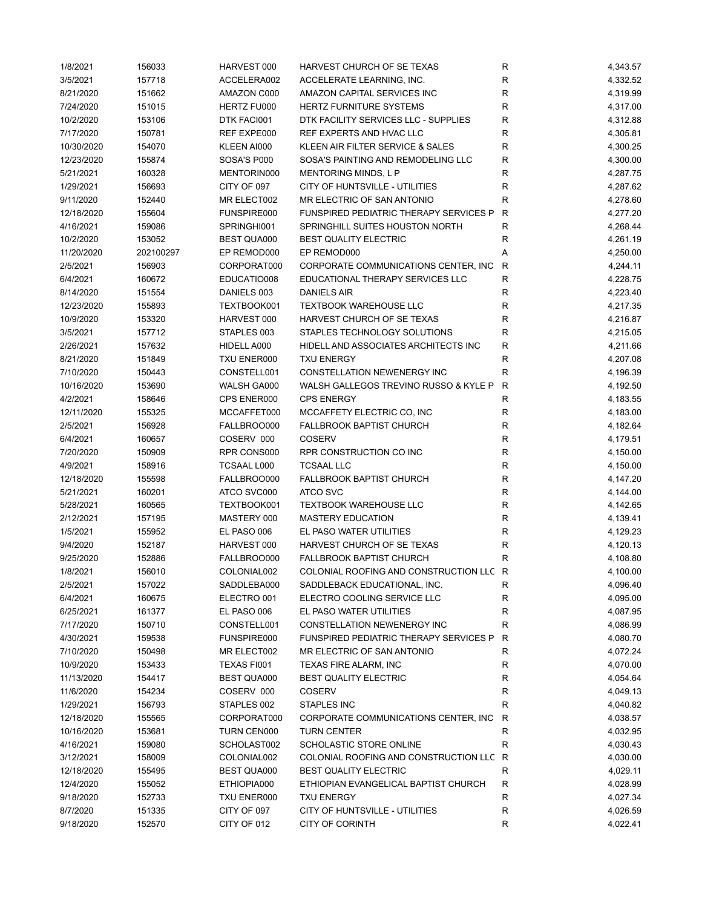| 1/8/2021               | 156033           | HARVEST 000                | HARVEST CHURCH OF SE TEXAS                    | R                 | 4,343.57             |
|------------------------|------------------|----------------------------|-----------------------------------------------|-------------------|----------------------|
| 3/5/2021               | 157718           | ACCELERA002                | ACCELERATE LEARNING, INC.                     | $\mathsf R$       | 4,332.52             |
| 8/21/2020              | 151662           | AMAZON C000                | AMAZON CAPITAL SERVICES INC                   | $\mathsf R$       | 4,319.99             |
| 7/24/2020              | 151015           | HERTZ FU000                | <b>HERTZ FURNITURE SYSTEMS</b>                | R                 | 4,317.00             |
| 10/2/2020              | 153106           | DTK FACI001                | DTK FACILITY SERVICES LLC - SUPPLIES          | $\mathsf R$       | 4,312.88             |
| 7/17/2020              | 150781           | REF EXPE000                | REF EXPERTS AND HVAC LLC                      | R                 | 4,305.81             |
| 10/30/2020             | 154070           | KLEEN AI000                | KLEEN AIR FILTER SERVICE & SALES              | R                 | 4,300.25             |
| 12/23/2020             | 155874           | SOSA'S P000                | SOSA'S PAINTING AND REMODELING LLC            | R                 | 4,300.00             |
| 5/21/2021              | 160328           | MENTORIN000                | MENTORING MINDS, L P                          | R                 | 4,287.75             |
| 1/29/2021              | 156693           | CITY OF 097                | CITY OF HUNTSVILLE - UTILITIES                | R                 | 4,287.62             |
| 9/11/2020              | 152440           | MR ELECT002                | MR ELECTRIC OF SAN ANTONIO                    | $\mathsf{R}$      | 4,278.60             |
| 12/18/2020             | 155604           | FUNSPIRE000                | FUNSPIRED PEDIATRIC THERAPY SERVICES P        | R                 | 4,277.20             |
| 4/16/2021              | 159086           | SPRINGHI001                | SPRINGHILL SUITES HOUSTON NORTH               | $\mathsf R$       | 4,268.44             |
| 10/2/2020              | 153052           | <b>BEST QUA000</b>         | <b>BEST QUALITY ELECTRIC</b>                  | $\mathsf{R}$      | 4,261.19             |
| 11/20/2020             | 202100297        | EP REMOD000                | EP REMOD000                                   | Α                 | 4,250.00             |
| 2/5/2021               | 156903           | CORPORAT000                | CORPORATE COMMUNICATIONS CENTER, INC          | R                 | 4,244.11             |
| 6/4/2021               | 160672           | EDUCATIO008                | EDUCATIONAL THERAPY SERVICES LLC              | $\mathsf{R}$      | 4,228.75             |
| 8/14/2020              | 151554           | DANIELS 003                | DANIELS AIR                                   | R                 | 4,223.40             |
| 12/23/2020             | 155893           | TEXTBOOK001                | <b>TEXTBOOK WAREHOUSE LLC</b>                 | R                 | 4,217.35             |
| 10/9/2020              | 153320           | HARVEST 000                | HARVEST CHURCH OF SE TEXAS                    | R                 | 4,216.87             |
| 3/5/2021               | 157712           | STAPLES 003                | STAPLES TECHNOLOGY SOLUTIONS                  | R                 | 4,215.05             |
| 2/26/2021              | 157632           | HIDELL A000                | HIDELL AND ASSOCIATES ARCHITECTS INC          | R                 | 4,211.66             |
| 8/21/2020              | 151849           | TXU ENER000                | <b>TXU ENERGY</b>                             | R                 | 4,207.08             |
| 7/10/2020              | 150443           | CONSTELL001                | <b>CONSTELLATION NEWENERGY INC</b>            | $\mathsf{R}$      | 4,196.39             |
| 10/16/2020             | 153690           | WALSH GA000                | WALSH GALLEGOS TREVINO RUSSO & KYLE P         | R                 | 4,192.50             |
| 4/2/2021               | 158646           | CPS ENER000                | <b>CPS ENERGY</b>                             | R                 | 4,183.55             |
| 12/11/2020             | 155325           | MCCAFFET000                | MCCAFFETY ELECTRIC CO, INC                    | $\mathsf{R}$      | 4,183.00             |
| 2/5/2021               | 156928           | FALLBROO000                | <b>FALLBROOK BAPTIST CHURCH</b>               | $\mathsf R$       | 4,182.64             |
| 6/4/2021               | 160657           | COSERV 000                 | <b>COSERV</b>                                 | $\mathsf R$       | 4,179.51             |
| 7/20/2020              | 150909           | RPR CONS000                | RPR CONSTRUCTION CO INC                       | $\mathsf R$       | 4,150.00             |
| 4/9/2021               | 158916           | <b>TCSAAL L000</b>         | <b>TCSAAL LLC</b>                             | $\mathsf R$       | 4,150.00             |
| 12/18/2020             | 155598           | FALLBROO000                | FALLBROOK BAPTIST CHURCH                      | $\mathsf R$       | 4,147.20             |
| 5/21/2021              | 160201           | ATCO SVC000                | <b>ATCO SVC</b>                               | $\mathsf{R}$      | 4,144.00             |
| 5/28/2021              | 160565           | TEXTBOOK001                | <b>TEXTBOOK WAREHOUSE LLC</b>                 | R                 | 4,142.65             |
| 2/12/2021              | 157195           | MASTERY 000                | <b>MASTERY EDUCATION</b>                      | $\mathsf{R}$      | 4,139.41             |
| 1/5/2021               | 155952           | EL PASO 006                | EL PASO WATER UTILITIES                       | R                 | 4,129.23             |
| 9/4/2020               | 152187           | HARVEST 000                | HARVEST CHURCH OF SE TEXAS                    | R                 | 4,120.13             |
| 9/25/2020              | 152886           | FALLBROO000                | <b>FALLBROOK BAPTIST CHURCH</b>               | R                 | 4,108.80             |
| 1/8/2021               | 156010           | COLONIAL002                | COLONIAL ROOFING AND CONSTRUCTION LLC         | R                 | 4,100.00             |
| 2/5/2021               | 157022           | SADDLEBA000                | SADDLEBACK EDUCATIONAL, INC.                  | R                 | 4,096.40             |
| 6/4/2021               | 160675           | ELECTRO 001                | ELECTRO COOLING SERVICE LLC                   | R                 | 4,095.00             |
| 6/25/2021              | 161377           | EL PASO 006                | EL PASO WATER UTILITIES                       | $\mathsf{R}$      | 4,087.95             |
| 7/17/2020              | 150710           | CONSTELL001                | CONSTELLATION NEWENERGY INC                   | $\mathsf{R}$      | 4,086.99             |
|                        |                  |                            | <b>FUNSPIRED PEDIATRIC THERAPY SERVICES P</b> |                   |                      |
| 4/30/2021              | 159538           | FUNSPIRE000<br>MR ELECT002 | MR ELECTRIC OF SAN ANTONIO                    | R                 | 4,080.70             |
| 7/10/2020<br>10/9/2020 | 150498           | TEXAS FI001                | TEXAS FIRE ALARM, INC                         | R                 | 4,072.24<br>4,070.00 |
|                        | 153433           |                            | <b>BEST QUALITY ELECTRIC</b>                  | R                 | 4,054.64             |
| 11/13/2020             | 154417           | <b>BEST QUA000</b>         |                                               | R                 |                      |
| 11/6/2020              | 154234<br>156793 | COSERV 000                 | <b>COSERV</b>                                 | R<br>$\mathsf{R}$ | 4,049.13<br>4,040.82 |
| 1/29/2021              |                  | STAPLES 002                | STAPLES INC                                   |                   |                      |
| 12/18/2020             | 155565           | CORPORAT000                | CORPORATE COMMUNICATIONS CENTER, INC.         | R                 | 4,038.57             |
| 10/16/2020             | 153681           | TURN CEN000                | <b>TURN CENTER</b>                            | R                 | 4,032.95             |
| 4/16/2021              | 159080           | SCHOLAST002                | SCHOLASTIC STORE ONLINE                       | R                 | 4,030.43             |
| 3/12/2021              | 158009           | COLONIAL002                | COLONIAL ROOFING AND CONSTRUCTION LLC         | R                 | 4,030.00             |
| 12/18/2020             | 155495           | <b>BEST QUA000</b>         | <b>BEST QUALITY ELECTRIC</b>                  | R                 | 4,029.11             |
| 12/4/2020              | 155052           | ETHIOPIA000                | ETHIOPIAN EVANGELICAL BAPTIST CHURCH          | R                 | 4,028.99             |
| 9/18/2020              | 152733           | TXU ENER000                | <b>TXU ENERGY</b>                             | R                 | 4,027.34             |
| 8/7/2020               | 151335           | CITY OF 097                | CITY OF HUNTSVILLE - UTILITIES                | R                 | 4,026.59             |
| 9/18/2020              | 152570           | CITY OF 012                | <b>CITY OF CORINTH</b>                        | R                 | 4,022.41             |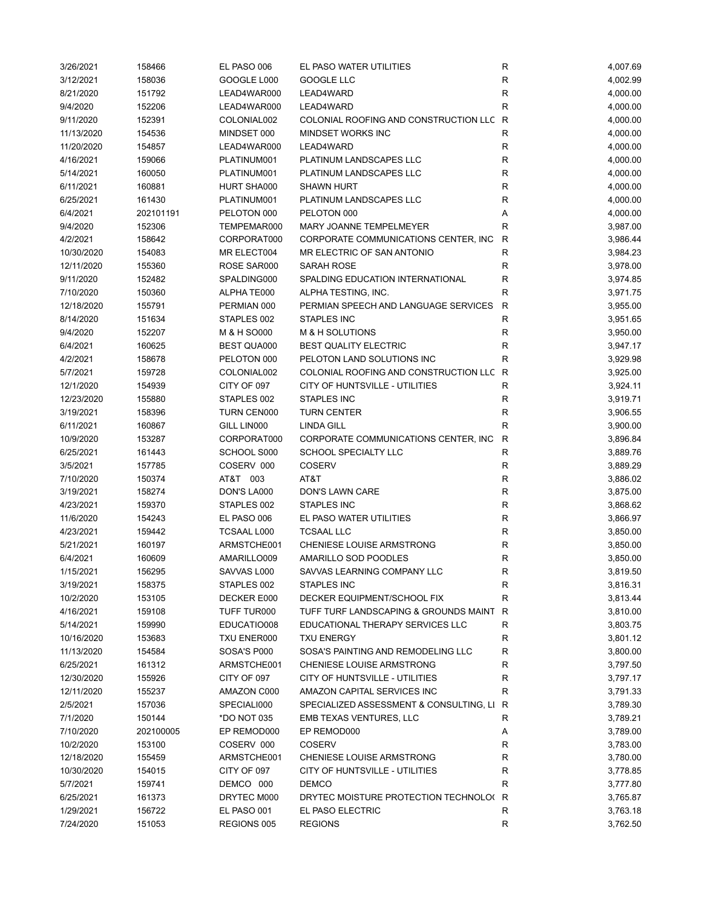| 3/26/2021  | 158466    | EL PASO 006                | EL PASO WATER UTILITIES                           | ${\sf R}$         | 4,007.69 |
|------------|-----------|----------------------------|---------------------------------------------------|-------------------|----------|
| 3/12/2021  | 158036    | GOOGLE L000                | <b>GOOGLE LLC</b>                                 | $\mathsf{R}$      | 4,002.99 |
| 8/21/2020  | 151792    | LEAD4WAR000                | LEAD4WARD                                         | $\mathsf{R}$      | 4,000.00 |
| 9/4/2020   | 152206    | LEAD4WAR000                | LEAD4WARD                                         | $\mathsf{R}$      | 4,000.00 |
| 9/11/2020  | 152391    | COLONIAL002                | COLONIAL ROOFING AND CONSTRUCTION LLC R           |                   | 4,000.00 |
| 11/13/2020 | 154536    | MINDSET 000                | MINDSET WORKS INC                                 | R                 | 4,000.00 |
| 11/20/2020 | 154857    | LEAD4WAR000                | LEAD4WARD                                         | R                 | 4,000.00 |
| 4/16/2021  | 159066    | PLATINUM001                | PLATINUM LANDSCAPES LLC                           | $\mathsf{R}$      | 4,000.00 |
| 5/14/2021  | 160050    | PLATINUM001                | PLATINUM LANDSCAPES LLC                           | $\mathsf{R}$      | 4,000.00 |
| 6/11/2021  | 160881    | HURT SHA000                | <b>SHAWN HURT</b>                                 | $\mathsf{R}$      | 4,000.00 |
| 6/25/2021  | 161430    | PLATINUM001                | PLATINUM LANDSCAPES LLC                           | $\mathsf{R}$      | 4,000.00 |
| 6/4/2021   | 202101191 | PELOTON 000                | PELOTON 000                                       | Α                 | 4,000.00 |
| 9/4/2020   | 152306    | TEMPEMAR000                | MARY JOANNE TEMPELMEYER                           | R                 | 3,987.00 |
| 4/2/2021   | 158642    | CORPORAT000                | CORPORATE COMMUNICATIONS CENTER, INC              | R                 | 3,986.44 |
| 10/30/2020 | 154083    | MR ELECT004                | MR ELECTRIC OF SAN ANTONIO                        | $\mathsf{R}$      | 3,984.23 |
| 12/11/2020 | 155360    | ROSE SAR000                | SARAH ROSE                                        | R                 | 3,978.00 |
| 9/11/2020  | 152482    | SPALDING000                | SPALDING EDUCATION INTERNATIONAL                  | R                 | 3,974.85 |
| 7/10/2020  | 150360    | ALPHATE000                 | ALPHA TESTING, INC.                               | $\mathsf{R}$      | 3,971.75 |
| 12/18/2020 | 155791    | PERMIAN 000                | PERMIAN SPEECH AND LANGUAGE SERVICES              | R                 | 3,955.00 |
| 8/14/2020  | 151634    | STAPLES 002                | <b>STAPLES INC</b>                                | R                 | 3,951.65 |
| 9/4/2020   | 152207    | M & H SO000                | M & H SOLUTIONS                                   | R                 | 3,950.00 |
| 6/4/2021   | 160625    | <b>BEST QUA000</b>         | <b>BEST QUALITY ELECTRIC</b>                      | R                 | 3,947.17 |
| 4/2/2021   | 158678    | PELOTON 000                | PELOTON LAND SOLUTIONS INC                        | R                 | 3,929.98 |
| 5/7/2021   | 159728    | COLONIAL002                | COLONIAL ROOFING AND CONSTRUCTION LLC R           |                   | 3,925.00 |
| 12/1/2020  | 154939    | CITY OF 097                | CITY OF HUNTSVILLE - UTILITIES                    | R                 | 3,924.11 |
| 12/23/2020 | 155880    | STAPLES 002                | STAPLES INC                                       | $\mathsf{R}$      | 3,919.71 |
| 3/19/2021  | 158396    | TURN CEN000                | <b>TURN CENTER</b>                                | $\mathsf{R}$      | 3,906.55 |
| 6/11/2021  | 160867    | GILL LIN000                | <b>LINDA GILL</b>                                 | R                 | 3,900.00 |
| 10/9/2020  | 153287    | CORPORAT000                | CORPORATE COMMUNICATIONS CENTER, INC.             | R                 | 3,896.84 |
| 6/25/2021  | 161443    | SCHOOL S000                | SCHOOL SPECIALTY LLC                              | R                 | 3,889.76 |
| 3/5/2021   | 157785    | COSERV 000                 | <b>COSERV</b>                                     | R                 | 3,889.29 |
| 7/10/2020  | 150374    | AT&T 003                   | AT&T                                              | $\mathsf{R}$      | 3,886.02 |
| 3/19/2021  | 158274    | DON'S LA000                | DON'S LAWN CARE                                   | $\mathsf{R}$      | 3,875.00 |
| 4/23/2021  | 159370    | STAPLES 002                | <b>STAPLES INC</b>                                | $\mathsf{R}$      | 3,868.62 |
| 11/6/2020  | 154243    | EL PASO 006                | EL PASO WATER UTILITIES                           | $\mathsf{R}$      | 3,866.97 |
| 4/23/2021  | 159442    | <b>TCSAAL L000</b>         | <b>TCSAAL LLC</b>                                 | R                 | 3,850.00 |
| 5/21/2021  | 160197    | ARMSTCHE001                | CHENIESE LOUISE ARMSTRONG                         | $\mathsf{R}$      | 3,850.00 |
| 6/4/2021   | 160609    | AMARILLO009                | AMARILLO SOD POODLES                              | R                 | 3,850.00 |
|            |           |                            |                                                   | R                 |          |
| 1/15/2021  | 156295    | SAVVAS L000<br>STAPLES 002 | SAVVAS LEARNING COMPANY LLC<br><b>STAPLES INC</b> |                   | 3,819.50 |
| 3/19/2021  | 158375    | DECKER E000                |                                                   | R<br>$\mathsf{R}$ | 3,816.31 |
| 10/2/2020  | 153105    |                            | DECKER EQUIPMENT/SCHOOL FIX                       |                   | 3,813.44 |
| 4/16/2021  | 159108    | TUFF TUR000                | TUFF TURF LANDSCAPING & GROUNDS MAINT             | R                 | 3,810.00 |
| 5/14/2021  | 159990    | EDUCATIO008                | EDUCATIONAL THERAPY SERVICES LLC                  | R                 | 3,803.75 |
| 10/16/2020 | 153683    | TXU ENER000                | <b>TXU ENERGY</b>                                 | R                 | 3,801.12 |
| 11/13/2020 | 154584    | SOSA'S P000                | SOSA'S PAINTING AND REMODELING LLC                | R                 | 3,800.00 |
| 6/25/2021  | 161312    | ARMSTCHE001                | <b>CHENIESE LOUISE ARMSTRONG</b>                  | R                 | 3,797.50 |
| 12/30/2020 | 155926    | CITY OF 097                | CITY OF HUNTSVILLE - UTILITIES                    | R                 | 3,797.17 |
| 12/11/2020 | 155237    | AMAZON C000                | AMAZON CAPITAL SERVICES INC                       | R                 | 3,791.33 |
| 2/5/2021   | 157036    | SPECIALI000                | SPECIALIZED ASSESSMENT & CONSULTING, LI           | R                 | 3,789.30 |
| 7/1/2020   | 150144    | *DO NOT 035                | EMB TEXAS VENTURES, LLC                           | R                 | 3,789.21 |
| 7/10/2020  | 202100005 | EP REMOD000                | EP REMOD000                                       | Α                 | 3,789.00 |
| 10/2/2020  | 153100    | COSERV 000                 | <b>COSERV</b>                                     | R                 | 3,783.00 |
| 12/18/2020 | 155459    | ARMSTCHE001                | CHENIESE LOUISE ARMSTRONG                         | R                 | 3,780.00 |
| 10/30/2020 | 154015    | CITY OF 097                | CITY OF HUNTSVILLE - UTILITIES                    | R                 | 3,778.85 |
| 5/7/2021   | 159741    | DEMCO 000                  | <b>DEMCO</b>                                      | R                 | 3,777.80 |
| 6/25/2021  | 161373    | DRYTEC M000                | DRYTEC MOISTURE PROTECTION TECHNOLO( R            |                   | 3,765.87 |
| 1/29/2021  | 156722    | EL PASO 001                | EL PASO ELECTRIC                                  | R                 | 3,763.18 |
| 7/24/2020  | 151053    | REGIONS 005                | <b>REGIONS</b>                                    | R                 | 3,762.50 |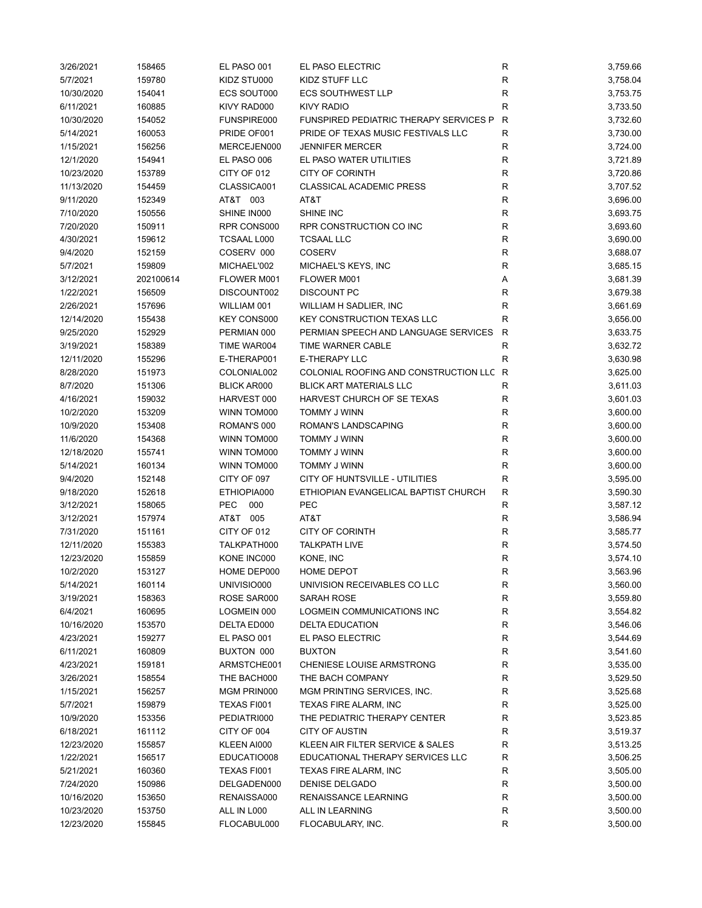| 3/26/2021               | 158465           | EL PASO 001        | EL PASO ELECTRIC                              | ${\sf R}$    | 3,759.66             |
|-------------------------|------------------|--------------------|-----------------------------------------------|--------------|----------------------|
| 5/7/2021                | 159780           | KIDZ STU000        | <b>KIDZ STUFF LLC</b>                         | R            | 3,758.04             |
| 10/30/2020              | 154041           | <b>ECS SOUT000</b> | <b>ECS SOUTHWEST LLP</b>                      | R            | 3,753.75             |
| 6/11/2021               | 160885           | KIVY RAD000        | <b>KIVY RADIO</b>                             | $\mathsf R$  | 3,733.50             |
| 10/30/2020              | 154052           | FUNSPIRE000        | <b>FUNSPIRED PEDIATRIC THERAPY SERVICES P</b> | R            | 3,732.60             |
| 5/14/2021               | 160053           | PRIDE OF001        | PRIDE OF TEXAS MUSIC FESTIVALS LLC            | R            | 3,730.00             |
| 1/15/2021               | 156256           | MERCEJEN000        | <b>JENNIFER MERCER</b>                        | R            | 3,724.00             |
| 12/1/2020               | 154941           | EL PASO 006        | EL PASO WATER UTILITIES                       | $\mathsf{R}$ | 3,721.89             |
| 10/23/2020              | 153789           | CITY OF 012        | <b>CITY OF CORINTH</b>                        | $\mathsf{R}$ | 3,720.86             |
| 11/13/2020              | 154459           | CLASSICA001        | <b>CLASSICAL ACADEMIC PRESS</b>               | $\mathsf{R}$ | 3,707.52             |
| 9/11/2020               | 152349           | AT&T 003           | AT&T                                          | ${\sf R}$    | 3,696.00             |
| 7/10/2020               | 150556           | SHINE IN000        | SHINE INC                                     | $\mathsf{R}$ | 3,693.75             |
| 7/20/2020               | 150911           | RPR CONS000        | RPR CONSTRUCTION CO INC                       | R            | 3,693.60             |
| 4/30/2021               | 159612           | <b>TCSAAL L000</b> | <b>TCSAAL LLC</b>                             | R            | 3,690.00             |
| 9/4/2020                | 152159           | COSERV 000         | <b>COSERV</b>                                 | $\mathsf R$  | 3,688.07             |
| 5/7/2021                | 159809           | MICHAEL'002        | MICHAEL'S KEYS, INC                           | $\mathsf{R}$ | 3,685.15             |
| 3/12/2021               | 202100614        | FLOWER M001        | FLOWER M001                                   | Α            | 3,681.39             |
| 1/22/2021               | 156509           | DISCOUNT002        | <b>DISCOUNT PC</b>                            | $\mathsf{R}$ | 3,679.38             |
| 2/26/2021               | 157696           | WILLIAM 001        | WILLIAM H SADLIER, INC                        | R            | 3,661.69             |
| 12/14/2020              | 155438           | <b>KEY CONS000</b> | <b>KEY CONSTRUCTION TEXAS LLC</b>             | R            | 3,656.00             |
| 9/25/2020               | 152929           | PERMIAN 000        | PERMIAN SPEECH AND LANGUAGE SERVICES          | R            | 3,633.75             |
| 3/19/2021               | 158389           | TIME WAR004        | TIME WARNER CABLE                             | R            | 3,632.72             |
| 12/11/2020              | 155296           | E-THERAP001        | <b>E-THERAPY LLC</b>                          | $\mathsf{R}$ | 3,630.98             |
| 8/28/2020               | 151973           | COLONIAL002        | COLONIAL ROOFING AND CONSTRUCTION LLC         | R            | 3,625.00             |
| 8/7/2020                | 151306           | <b>BLICK AR000</b> | <b>BLICK ART MATERIALS LLC</b>                | R            | 3,611.03             |
| 4/16/2021               | 159032           | HARVEST 000        | HARVEST CHURCH OF SE TEXAS                    | $\mathsf R$  | 3,601.03             |
| 10/2/2020               | 153209           | WINN TOM000        | TOMMY J WINN                                  | R            | 3,600.00             |
| 10/9/2020               | 153408           | ROMAN'S 000        | ROMAN'S LANDSCAPING                           | R            | 3,600.00             |
| 11/6/2020               | 154368           | WINN TOM000        | TOMMY J WINN                                  | $\mathsf R$  | 3,600.00             |
| 12/18/2020              | 155741           | WINN TOM000        | TOMMY J WINN                                  | $\mathsf R$  | 3,600.00             |
| 5/14/2021               | 160134           | WINN TOM000        | TOMMY J WINN                                  | R            | 3,600.00             |
| 9/4/2020                | 152148           | CITY OF 097        | CITY OF HUNTSVILLE - UTILITIES                | R            | 3,595.00             |
| 9/18/2020               | 152618           | ETHIOPIA000        | ETHIOPIAN EVANGELICAL BAPTIST CHURCH          | $\mathsf{R}$ | 3,590.30             |
|                         |                  | <b>PEC</b><br>000  | <b>PEC</b>                                    |              |                      |
| 3/12/2021               | 158065           | AT&T 005           | AT&T                                          | R            | 3,587.12             |
| 3/12/2021<br>7/31/2020  | 157974<br>151161 | CITY OF 012        | <b>CITY OF CORINTH</b>                        | R<br>R       | 3,586.94<br>3,585.77 |
|                         |                  |                    |                                               | $\mathsf{R}$ |                      |
| 12/11/2020              | 155383           | TALKPATH000        | <b>TALKPATH LIVE</b><br>KONE, INC             | $\mathsf{R}$ | 3,574.50<br>3,574.10 |
| 12/23/2020<br>10/2/2020 | 155859           | KONE INC000        | <b>HOME DEPOT</b>                             | R            | 3,563.96             |
|                         | 153127<br>160114 | HOME DEP000        |                                               |              |                      |
| 5/14/2021               |                  | UNIVISIO000        | UNIVISION RECEIVABLES CO LLC                  | ${\sf R}$    | 3,560.00             |
| 3/19/2021               | 158363           | ROSE SAR000        | SARAH ROSE                                    | R            | 3,559.80             |
| 6/4/2021                | 160695           | LOGMEIN 000        | LOGMEIN COMMUNICATIONS INC                    | ${\sf R}$    | 3,554.82             |
| 10/16/2020              | 153570           | DELTA ED000        | <b>DELTA EDUCATION</b>                        | R            | 3,546.06             |
| 4/23/2021               | 159277           | EL PASO 001        | EL PASO ELECTRIC                              | R            | 3,544.69             |
| 6/11/2021               | 160809           | BUXTON 000         | <b>BUXTON</b>                                 | R            | 3,541.60             |
| 4/23/2021               | 159181           | ARMSTCHE001        | CHENIESE LOUISE ARMSTRONG                     | R            | 3,535.00             |
| 3/26/2021               | 158554           | THE BACH000        | THE BACH COMPANY                              | ${\sf R}$    | 3,529.50             |
| 1/15/2021               | 156257           | MGM PRIN000        | MGM PRINTING SERVICES, INC.                   | R            | 3,525.68             |
| 5/7/2021                | 159879           | TEXAS FI001        | TEXAS FIRE ALARM, INC                         | R            | 3,525.00             |
| 10/9/2020               | 153356           | PEDIATRI000        | THE PEDIATRIC THERAPY CENTER                  | R            | 3,523.85             |
| 6/18/2021               | 161112           | CITY OF 004        | <b>CITY OF AUSTIN</b>                         | R            | 3,519.37             |
| 12/23/2020              | 155857           | KLEEN AI000        | KLEEN AIR FILTER SERVICE & SALES              | R            | 3,513.25             |
| 1/22/2021               | 156517           | EDUCATIO008        | EDUCATIONAL THERAPY SERVICES LLC              | R            | 3,506.25             |
| 5/21/2021               | 160360           | TEXAS FI001        | TEXAS FIRE ALARM, INC                         | ${\sf R}$    | 3,505.00             |
| 7/24/2020               | 150986           | DELGADEN000        | DENISE DELGADO                                | ${\sf R}$    | 3,500.00             |
| 10/16/2020              | 153650           | RENAISSA000        | RENAISSANCE LEARNING                          | R            | 3,500.00             |
| 10/23/2020              | 153750           | ALL IN L000        | ALL IN LEARNING                               | R            | 3,500.00             |
| 12/23/2020              | 155845           | FLOCABUL000        | FLOCABULARY, INC.                             | R            | 3,500.00             |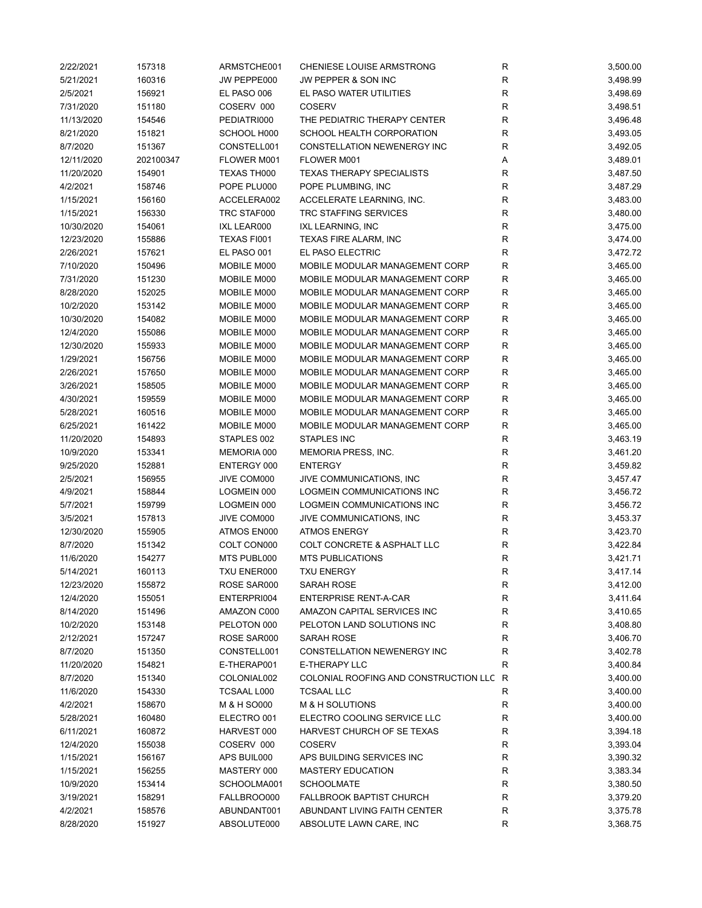| 2/22/2021             | 157318           | ARMSTCHE001                | CHENIESE LOUISE ARMSTRONG                 | ${\sf R}$    | 3,500.00             |
|-----------------------|------------------|----------------------------|-------------------------------------------|--------------|----------------------|
| 5/21/2021             | 160316           | JW PEPPE000                | <b>JW PEPPER &amp; SON INC</b>            | R            | 3,498.99             |
| 2/5/2021              | 156921           | EL PASO 006                | EL PASO WATER UTILITIES                   | $\mathsf{R}$ | 3,498.69             |
| 7/31/2020             | 151180           | COSERV 000                 | <b>COSERV</b>                             | $\mathsf{R}$ | 3,498.51             |
| 11/13/2020            | 154546           | PEDIATRI000                | THE PEDIATRIC THERAPY CENTER              | $\mathsf{R}$ | 3,496.48             |
| 8/21/2020             | 151821           | SCHOOL H000                | SCHOOL HEALTH CORPORATION                 | R            | 3,493.05             |
| 8/7/2020              | 151367           | CONSTELL001                | CONSTELLATION NEWENERGY INC               | $\mathsf{R}$ | 3,492.05             |
| 12/11/2020            | 202100347        | FLOWER M001                | FLOWER M001                               | Α            | 3,489.01             |
| 11/20/2020            | 154901           | TEXAS TH000                | <b>TEXAS THERAPY SPECIALISTS</b>          | $\mathsf{R}$ | 3,487.50             |
| 4/2/2021              | 158746           | POPE PLU000                | POPE PLUMBING, INC                        | $\mathsf{R}$ | 3,487.29             |
| 1/15/2021             | 156160           | ACCELERA002                | ACCELERATE LEARNING, INC.                 | $\mathsf{R}$ | 3,483.00             |
| 1/15/2021             | 156330           | TRC STAF000                | TRC STAFFING SERVICES                     | ${\sf R}$    | 3,480.00             |
| 10/30/2020            | 154061           | IXL LEAR000                | IXL LEARNING, INC                         | $\mathsf{R}$ | 3,475.00             |
| 12/23/2020            | 155886           | TEXAS FI001                | <b>TEXAS FIRE ALARM, INC</b>              | $\mathsf{R}$ | 3,474.00             |
| 2/26/2021             | 157621           | EL PASO 001                | EL PASO ELECTRIC                          | $\mathsf{R}$ | 3,472.72             |
| 7/10/2020             | 150496           | MOBILE M000                | MOBILE MODULAR MANAGEMENT CORP            | $\mathsf{R}$ | 3,465.00             |
| 7/31/2020             | 151230           | MOBILE M000                | MOBILE MODULAR MANAGEMENT CORP            | $\mathsf{R}$ | 3,465.00             |
| 8/28/2020             | 152025           | MOBILE M000                | MOBILE MODULAR MANAGEMENT CORP            | $\mathsf{R}$ | 3,465.00             |
| 10/2/2020             | 153142           | MOBILE M000                | MOBILE MODULAR MANAGEMENT CORP            | $\mathsf{R}$ | 3,465.00             |
| 10/30/2020            | 154082           | MOBILE M000                | MOBILE MODULAR MANAGEMENT CORP            | $\mathsf{R}$ | 3,465.00             |
| 12/4/2020             | 155086           | MOBILE M000                | MOBILE MODULAR MANAGEMENT CORP            | R            | 3,465.00             |
| 12/30/2020            | 155933           | MOBILE M000                | MOBILE MODULAR MANAGEMENT CORP            | R            | 3,465.00             |
| 1/29/2021             | 156756           | MOBILE M000                | MOBILE MODULAR MANAGEMENT CORP            | $\mathsf{R}$ | 3,465.00             |
| 2/26/2021             | 157650           | MOBILE M000                | MOBILE MODULAR MANAGEMENT CORP            | $\mathsf{R}$ | 3,465.00             |
| 3/26/2021             | 158505           | MOBILE M000                | MOBILE MODULAR MANAGEMENT CORP            | $\mathsf{R}$ | 3,465.00             |
| 4/30/2021             | 159559           | MOBILE M000                | MOBILE MODULAR MANAGEMENT CORP            | ${\sf R}$    | 3,465.00             |
| 5/28/2021             | 160516           | MOBILE M000                | MOBILE MODULAR MANAGEMENT CORP            | $\mathsf{R}$ | 3,465.00             |
| 6/25/2021             | 161422           | MOBILE M000                | MOBILE MODULAR MANAGEMENT CORP            | $\mathsf{R}$ | 3,465.00             |
| 11/20/2020            | 154893           | STAPLES 002                | STAPLES INC                               | $\mathsf{R}$ | 3,463.19             |
| 10/9/2020             | 153341           | MEMORIA 000                | MEMORIA PRESS, INC.                       | $\mathsf{R}$ | 3,461.20             |
| 9/25/2020             | 152881           | ENTERGY 000                | <b>ENTERGY</b>                            | $\mathsf{R}$ | 3,459.82             |
| 2/5/2021              | 156955           | JIVE COM000                | JIVE COMMUNICATIONS, INC                  | $\mathsf{R}$ | 3,457.47             |
| 4/9/2021              | 158844           | LOGMEIN 000                | LOGMEIN COMMUNICATIONS INC                | $\mathsf{R}$ | 3,456.72             |
| 5/7/2021              | 159799           | LOGMEIN 000                | LOGMEIN COMMUNICATIONS INC                | $\mathsf{R}$ | 3,456.72             |
| 3/5/2021              | 157813           | JIVE COM000                | JIVE COMMUNICATIONS, INC                  | $\mathsf{R}$ | 3,453.37             |
| 12/30/2020            | 155905           | ATMOS EN000                | <b>ATMOS ENERGY</b>                       | R            | 3,423.70             |
| 8/7/2020              | 151342           | COLT CON000                | COLT CONCRETE & ASPHALT LLC               | $\mathsf{R}$ | 3,422.84             |
| 11/6/2020             | 154277           | MTS PUBL000                | <b>MTS PUBLICATIONS</b>                   | R            | 3,421.71             |
| 5/14/2021             | 160113           | TXU ENER000                | <b>TXU ENERGY</b>                         | $\mathsf{R}$ | 3,417.14             |
| 12/23/2020            | 155872           | ROSE SAR000                | SARAH ROSE                                | R            | 3,412.00             |
| 12/4/2020             | 155051           | ENTERPRI004                | <b>ENTERPRISE RENT-A-CAR</b>              | ${\sf R}$    | 3,411.64             |
| 8/14/2020             | 151496           | AMAZON C000                | AMAZON CAPITAL SERVICES INC               | $\mathsf{R}$ | 3,410.65             |
| 10/2/2020             | 153148           | PELOTON 000                | PELOTON LAND SOLUTIONS INC                | R            | 3,408.80             |
|                       |                  |                            |                                           |              |                      |
| 2/12/2021<br>8/7/2020 | 157247           | ROSE SAR000<br>CONSTELL001 | SARAH ROSE<br>CONSTELLATION NEWENERGY INC | R            | 3,406.70<br>3,402.78 |
| 11/20/2020            | 151350<br>154821 | E-THERAP001                | E-THERAPY LLC                             | R<br>R       | 3,400.84             |
|                       |                  | COLONIAL002                | COLONIAL ROOFING AND CONSTRUCTION LLC R   |              |                      |
| 8/7/2020              | 151340           |                            | <b>TCSAAL LLC</b>                         | $\mathsf{R}$ | 3,400.00             |
| 11/6/2020             | 154330           | TCSAAL L000                |                                           |              | 3,400.00             |
| 4/2/2021              | 158670           | M & H SO000                | M & H SOLUTIONS                           | R            | 3,400.00             |
| 5/28/2021             | 160480           | ELECTRO 001                | ELECTRO COOLING SERVICE LLC               | R            | 3,400.00             |
| 6/11/2021             | 160872           | HARVEST 000                | HARVEST CHURCH OF SE TEXAS                | R            | 3,394.18             |
| 12/4/2020             | 155038           | COSERV 000                 | <b>COSERV</b>                             | R            | 3,393.04             |
| 1/15/2021             | 156167           | APS BUIL000                | APS BUILDING SERVICES INC                 | R            | 3,390.32             |
| 1/15/2021             | 156255           | MASTERY 000                | <b>MASTERY EDUCATION</b>                  | R            | 3,383.34             |
| 10/9/2020             | 153414           | SCHOOLMA001                | <b>SCHOOLMATE</b>                         | R            | 3,380.50             |
| 3/19/2021             | 158291           | FALLBROO000                | <b>FALLBROOK BAPTIST CHURCH</b>           | $\mathsf{R}$ | 3,379.20             |
| 4/2/2021              | 158576           | ABUNDANT001                | ABUNDANT LIVING FAITH CENTER              | R            | 3,375.78             |
| 8/28/2020             | 151927           | ABSOLUTE000                | ABSOLUTE LAWN CARE, INC                   | R            | 3,368.75             |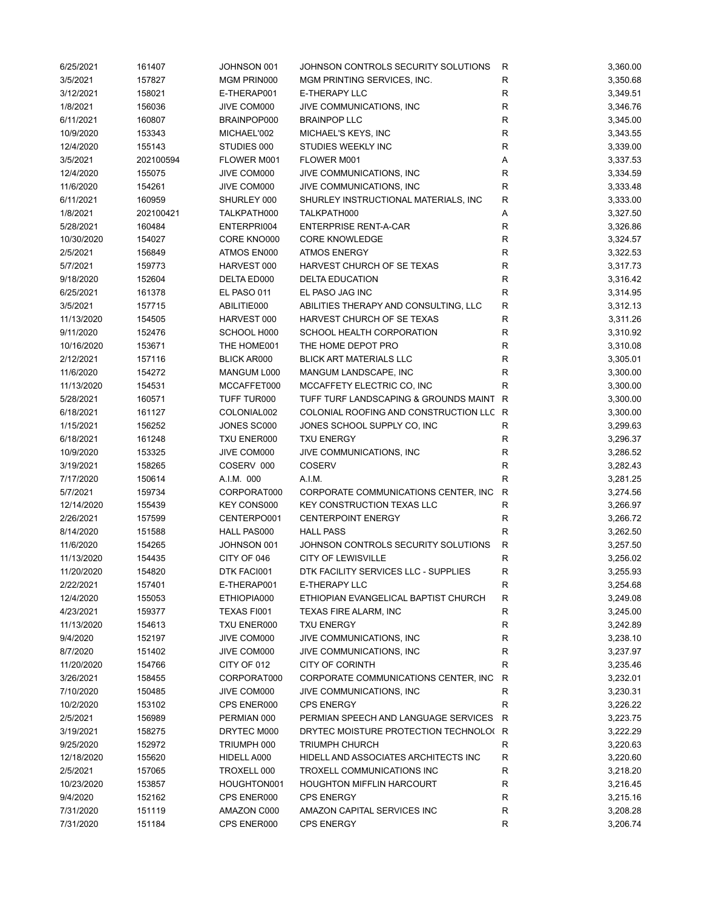| 6/25/2021               | 161407           | JOHNSON 001        | JOHNSON CONTROLS SECURITY SOLUTIONS     | R                 | 3,360.00 |
|-------------------------|------------------|--------------------|-----------------------------------------|-------------------|----------|
| 3/5/2021                | 157827           | MGM PRIN000        | MGM PRINTING SERVICES, INC.             | $\mathsf{R}$      | 3,350.68 |
| 3/12/2021               | 158021           | E-THERAP001        | <b>E-THERAPY LLC</b>                    | R                 | 3,349.51 |
| 1/8/2021                | 156036           | JIVE COM000        | JIVE COMMUNICATIONS, INC                | $\mathsf{R}$      | 3,346.76 |
| 6/11/2021               | 160807           | BRAINPOP000        | <b>BRAINPOP LLC</b>                     | $\mathsf{R}$      | 3,345.00 |
| 10/9/2020               | 153343           | MICHAEL'002        | MICHAEL'S KEYS, INC                     | $\mathsf{R}$      | 3,343.55 |
| 12/4/2020               | 155143           | STUDIES 000        | STUDIES WEEKLY INC                      | R                 | 3,339.00 |
| 3/5/2021                | 202100594        | FLOWER M001        | FLOWER M001                             | Α                 | 3,337.53 |
| 12/4/2020               | 155075           | JIVE COM000        | JIVE COMMUNICATIONS, INC                | $\mathsf{R}$      | 3,334.59 |
| 11/6/2020               | 154261           | JIVE COM000        | JIVE COMMUNICATIONS, INC                | $\mathsf{R}$      | 3,333.48 |
| 6/11/2021               | 160959           | SHURLEY 000        | SHURLEY INSTRUCTIONAL MATERIALS, INC    | $\mathsf{R}$      | 3,333.00 |
| 1/8/2021                | 202100421        | TALKPATH000        | TALKPATH000                             | Α                 | 3,327.50 |
| 5/28/2021               | 160484           | ENTERPRI004        | <b>ENTERPRISE RENT-A-CAR</b>            | $\mathsf{R}$      | 3,326.86 |
| 10/30/2020              | 154027           | CORE KNO000        | <b>CORE KNOWLEDGE</b>                   | $\mathsf{R}$      | 3,324.57 |
| 2/5/2021                | 156849           | ATMOS EN000        | <b>ATMOS ENERGY</b>                     | $\mathsf{R}$      | 3,322.53 |
| 5/7/2021                | 159773           | HARVEST 000        | HARVEST CHURCH OF SE TEXAS              | $\mathsf{R}$      | 3,317.73 |
| 9/18/2020               | 152604           | DELTA ED000        | <b>DELTA EDUCATION</b>                  | $\mathsf{R}$      | 3,316.42 |
| 6/25/2021               | 161378           | EL PASO 011        | EL PASO JAG INC                         | $\mathsf{R}$      | 3,314.95 |
| 3/5/2021                | 157715           | ABILITIE000        | ABILITIES THERAPY AND CONSULTING, LLC   | $\mathsf{R}$      | 3,312.13 |
| 11/13/2020              | 154505           | HARVEST 000        | HARVEST CHURCH OF SE TEXAS              | $\mathsf{R}$      | 3,311.26 |
| 9/11/2020               | 152476           | SCHOOL H000        | SCHOOL HEALTH CORPORATION               | R                 | 3,310.92 |
| 10/16/2020              | 153671           | THE HOME001        | THE HOME DEPOT PRO                      | R                 | 3,310.08 |
| 2/12/2021               | 157116           | <b>BLICK AR000</b> | <b>BLICK ART MATERIALS LLC</b>          | R                 | 3,305.01 |
| 11/6/2020               | 154272           | MANGUM L000        | MANGUM LANDSCAPE, INC                   | $\mathsf{R}$      | 3,300.00 |
| 11/13/2020              | 154531           | MCCAFFET000        | MCCAFFETY ELECTRIC CO, INC              | R                 | 3,300.00 |
| 5/28/2021               | 160571           | TUFF TUR000        | TUFF TURF LANDSCAPING & GROUNDS MAINT   | R                 | 3,300.00 |
| 6/18/2021               | 161127           | COLONIAL002        | COLONIAL ROOFING AND CONSTRUCTION LLC R |                   | 3,300.00 |
| 1/15/2021               | 156252           | JONES SC000        | JONES SCHOOL SUPPLY CO, INC             | $\mathsf{R}$      | 3,299.63 |
| 6/18/2021               | 161248           | TXU ENER000        | <b>TXU ENERGY</b>                       | R                 | 3,296.37 |
| 10/9/2020               | 153325           | JIVE COM000        | JIVE COMMUNICATIONS, INC                | $\mathsf{R}$      | 3,286.52 |
| 3/19/2021               | 158265           | COSERV 000         | <b>COSERV</b>                           | $\mathsf{R}$      | 3,282.43 |
| 7/17/2020               | 150614           | A.I.M. 000         | A.I.M.                                  | R                 | 3,281.25 |
| 5/7/2021                | 159734           | CORPORAT000        | CORPORATE COMMUNICATIONS CENTER, INC.   | $\mathsf{R}$      | 3,274.56 |
| 12/14/2020              | 155439           | KEY CONS000        | <b>KEY CONSTRUCTION TEXAS LLC</b>       | R                 | 3,266.97 |
| 2/26/2021               | 157599           | CENTERPO001        | <b>CENTERPOINT ENERGY</b>               | $\mathsf{R}$      | 3,266.72 |
| 8/14/2020               | 151588           | HALL PAS000        | <b>HALL PASS</b>                        | R                 | 3,262.50 |
| 11/6/2020               | 154265           | JOHNSON 001        | JOHNSON CONTROLS SECURITY SOLUTIONS     | $\mathsf{R}$      | 3,257.50 |
| 11/13/2020              | 154435           | CITY OF 046        | <b>CITY OF LEWISVILLE</b>               | R                 | 3,256.02 |
|                         |                  |                    |                                         |                   |          |
| 11/20/2020<br>2/22/2021 | 154820<br>157401 | DTK FACI001        | DTK FACILITY SERVICES LLC - SUPPLIES    | R                 | 3,255.93 |
|                         |                  | E-THERAP001        | E-THERAPY LLC                           | R                 | 3,254.68 |
| 12/4/2020               | 155053           | ETHIOPIA000        | ETHIOPIAN EVANGELICAL BAPTIST CHURCH    | R<br>$\mathsf{R}$ | 3,249.08 |
| 4/23/2021               | 159377           | TEXAS FI001        | TEXAS FIRE ALARM, INC                   |                   | 3,245.00 |
| 11/13/2020              | 154613           | TXU ENER000        | <b>TXU ENERGY</b>                       | R                 | 3,242.89 |
| 9/4/2020                | 152197           | JIVE COM000        | JIVE COMMUNICATIONS, INC                | R                 | 3,238.10 |
| 8/7/2020                | 151402           | JIVE COM000        | JIVE COMMUNICATIONS, INC                | R                 | 3,237.97 |
| 11/20/2020              | 154766           | CITY OF 012        | <b>CITY OF CORINTH</b>                  | R                 | 3,235.46 |
| 3/26/2021               | 158455           | CORPORAT000        | CORPORATE COMMUNICATIONS CENTER, INC.   | R                 | 3,232.01 |
| 7/10/2020               | 150485           | JIVE COM000        | JIVE COMMUNICATIONS, INC                | R                 | 3,230.31 |
| 10/2/2020               | 153102           | CPS ENER000        | <b>CPS ENERGY</b>                       | R                 | 3,226.22 |
| 2/5/2021                | 156989           | PERMIAN 000        | PERMIAN SPEECH AND LANGUAGE SERVICES    | R                 | 3,223.75 |
| 3/19/2021               | 158275           | DRYTEC M000        | DRYTEC MOISTURE PROTECTION TECHNOLO(R   |                   | 3,222.29 |
| 9/25/2020               | 152972           | TRIUMPH 000        | <b>TRIUMPH CHURCH</b>                   | R                 | 3,220.63 |
| 12/18/2020              | 155620           | HIDELL A000        | HIDELL AND ASSOCIATES ARCHITECTS INC    | R                 | 3,220.60 |
| 2/5/2021                | 157065           | TROXELL 000        | TROXELL COMMUNICATIONS INC              | R                 | 3,218.20 |
| 10/23/2020              | 153857           | HOUGHTON001        | <b>HOUGHTON MIFFLIN HARCOURT</b>        | R                 | 3,216.45 |
| 9/4/2020                | 152162           | CPS ENER000        | <b>CPS ENERGY</b>                       | R                 | 3,215.16 |
| 7/31/2020               | 151119           | AMAZON C000        | AMAZON CAPITAL SERVICES INC             | $\mathsf{R}$      | 3,208.28 |
| 7/31/2020               | 151184           | CPS ENER000        | <b>CPS ENERGY</b>                       | R                 | 3,206.74 |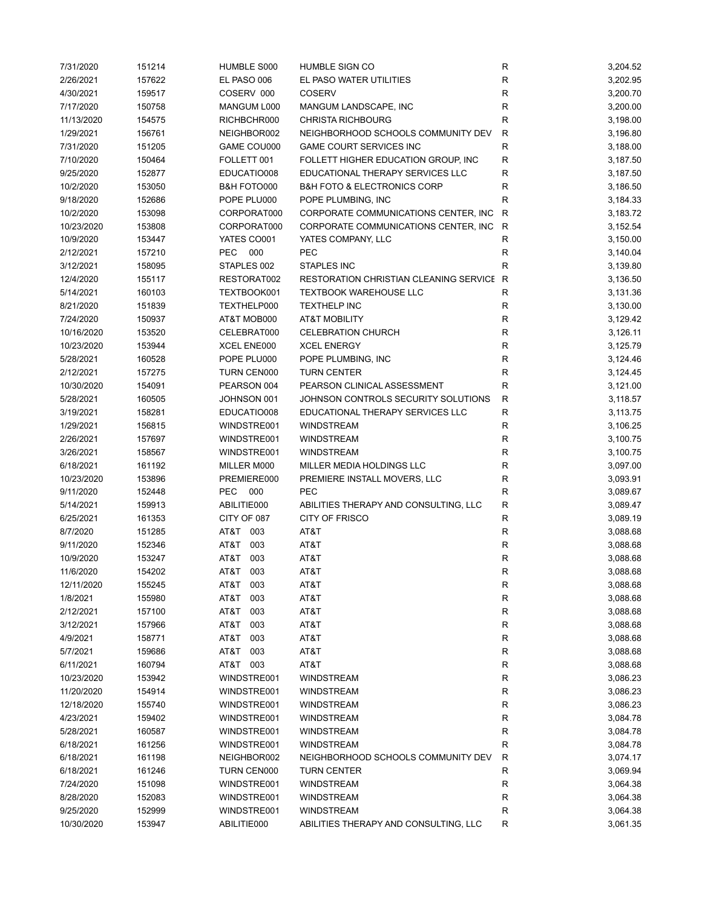| 7/31/2020  | 151214 | HUMBLE S000       | HUMBLE SIGN CO                                  | R            | 3,204.52 |
|------------|--------|-------------------|-------------------------------------------------|--------------|----------|
| 2/26/2021  | 157622 | EL PASO 006       | EL PASO WATER UTILITIES                         | R            | 3,202.95 |
| 4/30/2021  | 159517 | COSERV 000        | <b>COSERV</b>                                   | R            | 3,200.70 |
| 7/17/2020  | 150758 | MANGUM L000       | MANGUM LANDSCAPE, INC                           | R            | 3,200.00 |
| 11/13/2020 | 154575 | RICHBCHR000       | <b>CHRISTA RICHBOURG</b>                        | $\mathsf R$  | 3,198.00 |
| 1/29/2021  | 156761 | NEIGHBOR002       | NEIGHBORHOOD SCHOOLS COMMUNITY DEV              | R            | 3,196.80 |
| 7/31/2020  | 151205 | GAME COU000       | <b>GAME COURT SERVICES INC</b>                  | $\mathsf R$  | 3,188.00 |
| 7/10/2020  | 150464 | FOLLETT 001       | FOLLETT HIGHER EDUCATION GROUP, INC             | $\mathsf R$  | 3,187.50 |
| 9/25/2020  | 152877 | EDUCATIO008       | EDUCATIONAL THERAPY SERVICES LLC                | $\mathsf R$  | 3,187.50 |
| 10/2/2020  | 153050 | B&H FOTO000       | <b>B&amp;H FOTO &amp; ELECTRONICS CORP</b>      | $\mathsf R$  | 3,186.50 |
| 9/18/2020  | 152686 | POPE PLU000       | POPE PLUMBING, INC                              | R            | 3,184.33 |
| 10/2/2020  | 153098 | CORPORAT000       | CORPORATE COMMUNICATIONS CENTER, INC.           | R            | 3,183.72 |
| 10/23/2020 | 153808 | CORPORAT000       | CORPORATE COMMUNICATIONS CENTER, INC.           | R            | 3,152.54 |
| 10/9/2020  | 153447 | YATES CO001       | YATES COMPANY, LLC                              | R            | 3,150.00 |
| 2/12/2021  | 157210 | 000<br>PEC        | <b>PEC</b>                                      | R            | 3,140.04 |
| 3/12/2021  | 158095 | STAPLES 002       | STAPLES INC                                     | R            | 3,139.80 |
| 12/4/2020  | 155117 | RESTORAT002       | <b>RESTORATION CHRISTIAN CLEANING SERVICE R</b> |              | 3,136.50 |
| 5/14/2021  | 160103 | TEXTBOOK001       | <b>TEXTBOOK WAREHOUSE LLC</b>                   | R            | 3,131.36 |
| 8/21/2020  | 151839 | TEXTHELP000       | <b>TEXTHELP INC</b>                             | R            | 3,130.00 |
|            |        |                   |                                                 |              |          |
| 7/24/2020  | 150937 | AT&T MOB000       | <b>AT&amp;T MOBILITY</b>                        | $\mathsf R$  | 3,129.42 |
| 10/16/2020 | 153520 | CELEBRAT000       | <b>CELEBRATION CHURCH</b>                       | $\mathsf R$  | 3,126.11 |
| 10/23/2020 | 153944 | XCEL ENE000       | <b>XCEL ENERGY</b>                              | $\mathsf{R}$ | 3,125.79 |
| 5/28/2021  | 160528 | POPE PLU000       | POPE PLUMBING, INC                              | ${\sf R}$    | 3,124.46 |
| 2/12/2021  | 157275 | TURN CEN000       | <b>TURN CENTER</b>                              | ${\sf R}$    | 3,124.45 |
| 10/30/2020 | 154091 | PEARSON 004       | PEARSON CLINICAL ASSESSMENT                     | $\mathsf R$  | 3,121.00 |
| 5/28/2021  | 160505 | JOHNSON 001       | JOHNSON CONTROLS SECURITY SOLUTIONS             | R            | 3,118.57 |
| 3/19/2021  | 158281 | EDUCATIO008       | EDUCATIONAL THERAPY SERVICES LLC                | $\mathsf R$  | 3,113.75 |
| 1/29/2021  | 156815 | WINDSTRE001       | <b>WINDSTREAM</b>                               | $\mathsf R$  | 3,106.25 |
| 2/26/2021  | 157697 | WINDSTRE001       | <b>WINDSTREAM</b>                               | $\mathsf R$  | 3,100.75 |
| 3/26/2021  | 158567 | WINDSTRE001       | <b>WINDSTREAM</b>                               | R            | 3,100.75 |
| 6/18/2021  | 161192 | MILLER M000       | MILLER MEDIA HOLDINGS LLC                       | $\mathsf R$  | 3,097.00 |
| 10/23/2020 | 153896 | PREMIERE000       | PREMIERE INSTALL MOVERS, LLC                    | R            | 3,093.91 |
| 9/11/2020  | 152448 | <b>PEC</b><br>000 | <b>PEC</b>                                      | R            | 3,089.67 |
| 5/14/2021  | 159913 | ABILITIE000       | ABILITIES THERAPY AND CONSULTING, LLC           | R            | 3,089.47 |
| 6/25/2021  | 161353 | CITY OF 087       | <b>CITY OF FRISCO</b>                           | $\mathsf R$  | 3,089.19 |
| 8/7/2020   | 151285 | AT&T 003          | AT&T                                            | R            | 3,088.68 |
| 9/11/2020  | 152346 | AT&T<br>003       | AT&T                                            | $\mathsf R$  | 3,088.68 |
| 10/9/2020  | 153247 | AT&T<br>003       | AT&T                                            | ${\sf R}$    | 3,088.68 |
| 11/6/2020  | 154202 | AT&T<br>003       | AT&T                                            | R            | 3,088.68 |
| 12/11/2020 | 155245 | AT&T<br>003       | AT&T                                            | ${\sf R}$    | 3,088.68 |
| 1/8/2021   | 155980 | AT&T<br>003       | AT&T                                            | R            | 3,088.68 |
| 2/12/2021  | 157100 | AT&T<br>003       | AT&T                                            | R            | 3,088.68 |
| 3/12/2021  | 157966 | AT&T<br>003       | AT&T                                            | R            | 3,088.68 |
| 4/9/2021   | 158771 | AT&T<br>003       | AT&T                                            | R            | 3,088.68 |
| 5/7/2021   | 159686 | AT&T<br>003       | AT&T                                            | R            | 3,088.68 |
| 6/11/2021  | 160794 | AT&T<br>003       | AT&T                                            | R            | 3,088.68 |
| 10/23/2020 | 153942 | WINDSTRE001       | <b>WINDSTREAM</b>                               | R            | 3,086.23 |
|            |        |                   |                                                 |              |          |
| 11/20/2020 | 154914 | WINDSTRE001       | <b>WINDSTREAM</b>                               | R            | 3,086.23 |
| 12/18/2020 | 155740 | WINDSTRE001       | <b>WINDSTREAM</b>                               | R            | 3,086.23 |
| 4/23/2021  | 159402 | WINDSTRE001       | <b>WINDSTREAM</b>                               | R            | 3,084.78 |
| 5/28/2021  | 160587 | WINDSTRE001       | <b>WINDSTREAM</b>                               | R            | 3,084.78 |
| 6/18/2021  | 161256 | WINDSTRE001       | <b>WINDSTREAM</b>                               | $\mathsf R$  | 3,084.78 |
| 6/18/2021  | 161198 | NEIGHBOR002       | NEIGHBORHOOD SCHOOLS COMMUNITY DEV              | $\mathsf{R}$ | 3,074.17 |
| 6/18/2021  | 161246 | TURN CEN000       | <b>TURN CENTER</b>                              | $\mathsf R$  | 3,069.94 |
| 7/24/2020  | 151098 | WINDSTRE001       | WINDSTREAM                                      | R            | 3,064.38 |
| 8/28/2020  | 152083 | WINDSTRE001       | <b>WINDSTREAM</b>                               | R            | 3,064.38 |
| 9/25/2020  | 152999 | WINDSTRE001       | WINDSTREAM                                      | R            | 3,064.38 |
| 10/30/2020 | 153947 | ABILITIE000       | ABILITIES THERAPY AND CONSULTING, LLC           | $\mathsf R$  | 3,061.35 |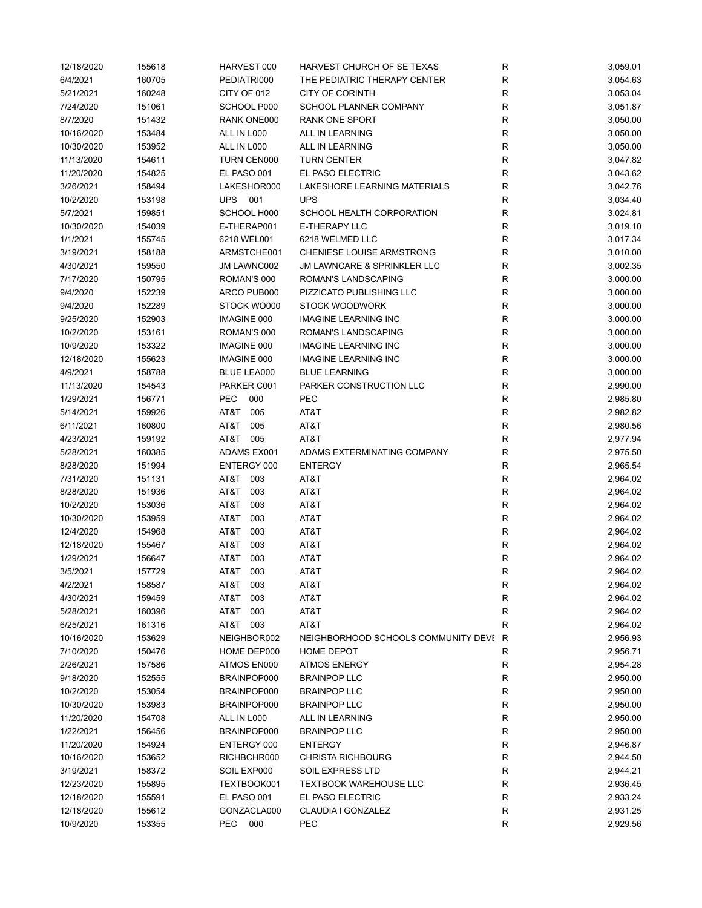| 12/18/2020 | 155618 | HARVEST 000        | HARVEST CHURCH OF SE TEXAS            | R            | 3,059.01 |
|------------|--------|--------------------|---------------------------------------|--------------|----------|
| 6/4/2021   | 160705 | PEDIATRI000        | THE PEDIATRIC THERAPY CENTER          | $\mathsf R$  | 3,054.63 |
| 5/21/2021  | 160248 | CITY OF 012        | <b>CITY OF CORINTH</b>                | $\mathsf R$  | 3,053.04 |
| 7/24/2020  | 151061 | SCHOOL P000        | <b>SCHOOL PLANNER COMPANY</b>         | R            | 3,051.87 |
| 8/7/2020   | 151432 | RANK ONE000        | RANK ONE SPORT                        | $\mathsf R$  | 3,050.00 |
| 10/16/2020 | 153484 | ALL IN L000        | ALL IN LEARNING                       | $\mathsf R$  | 3,050.00 |
| 10/30/2020 | 153952 | ALL IN L000        | ALL IN LEARNING                       | $\mathsf R$  | 3,050.00 |
| 11/13/2020 | 154611 | TURN CEN000        | <b>TURN CENTER</b>                    | R            | 3,047.82 |
| 11/20/2020 | 154825 | EL PASO 001        | EL PASO ELECTRIC                      | $\mathsf R$  | 3,043.62 |
| 3/26/2021  | 158494 | LAKESHOR000        | LAKESHORE LEARNING MATERIALS          | $\mathsf R$  | 3,042.76 |
| 10/2/2020  | 153198 | 001<br><b>UPS</b>  | <b>UPS</b>                            | R            | 3,034.40 |
| 5/7/2021   | 159851 | SCHOOL H000        | SCHOOL HEALTH CORPORATION             | R            | 3,024.81 |
| 10/30/2020 | 154039 | E-THERAP001        | E-THERAPY LLC                         | $\mathsf R$  | 3,019.10 |
| 1/1/2021   | 155745 | 6218 WEL001        | 6218 WELMED LLC                       | R            | 3,017.34 |
| 3/19/2021  | 158188 | ARMSTCHE001        | CHENIESE LOUISE ARMSTRONG             | R            | 3,010.00 |
|            |        |                    |                                       |              |          |
| 4/30/2021  | 159550 | JM LAWNC002        | JM LAWNCARE & SPRINKLER LLC           | $\mathsf R$  | 3,002.35 |
| 7/17/2020  | 150795 | ROMAN'S 000        | ROMAN'S LANDSCAPING                   | $\mathsf R$  | 3,000.00 |
| 9/4/2020   | 152239 | ARCO PUB000        | PIZZICATO PUBLISHING LLC              | $\mathsf{R}$ | 3,000.00 |
| 9/4/2020   | 152289 | STOCK WO000        | <b>STOCK WOODWORK</b>                 | $\mathsf R$  | 3,000.00 |
| 9/25/2020  | 152903 | <b>IMAGINE 000</b> | <b>IMAGINE LEARNING INC</b>           | $\mathsf R$  | 3,000.00 |
| 10/2/2020  | 153161 | ROMAN'S 000        | ROMAN'S LANDSCAPING                   | $\mathsf R$  | 3,000.00 |
| 10/9/2020  | 153322 | <b>IMAGINE 000</b> | <b>IMAGINE LEARNING INC</b>           | $\mathsf R$  | 3,000.00 |
| 12/18/2020 | 155623 | <b>IMAGINE 000</b> | <b>IMAGINE LEARNING INC</b>           | R            | 3,000.00 |
| 4/9/2021   | 158788 | BLUE LEA000        | <b>BLUE LEARNING</b>                  | $\mathsf R$  | 3,000.00 |
| 11/13/2020 | 154543 | PARKER C001        | PARKER CONSTRUCTION LLC               | $\mathsf R$  | 2,990.00 |
| 1/29/2021  | 156771 | <b>PEC</b><br>000  | <b>PEC</b>                            | R            | 2,985.80 |
| 5/14/2021  | 159926 | AT&T<br>005        | AT&T                                  | $\mathsf R$  | 2,982.82 |
| 6/11/2021  | 160800 | AT&T<br>005        | AT&T                                  | R            | 2,980.56 |
| 4/23/2021  | 159192 | AT&T 005           | AT&T                                  | R            | 2,977.94 |
| 5/28/2021  | 160385 | ADAMS EX001        | ADAMS EXTERMINATING COMPANY           | R            | 2,975.50 |
| 8/28/2020  | 151994 | ENTERGY 000        | <b>ENTERGY</b>                        | $\mathsf{R}$ | 2,965.54 |
|            |        |                    |                                       |              |          |
| 7/31/2020  | 151131 | AT&T 003           | AT&T                                  | $\mathsf R$  | 2,964.02 |
| 8/28/2020  | 151936 | AT&T<br>003        | AT&T                                  | $\mathsf{R}$ | 2,964.02 |
| 10/2/2020  | 153036 | AT&T<br>003        | AT&T                                  | $\mathsf R$  | 2,964.02 |
| 10/30/2020 | 153959 | AT&T<br>003        | AT&T                                  | $\mathsf R$  | 2,964.02 |
| 12/4/2020  | 154968 | AT&T<br>003        | AT&T                                  | $\mathsf R$  | 2,964.02 |
| 12/18/2020 | 155467 | 003<br>AT&T        | AT&T                                  | R            | 2,964.02 |
| 1/29/2021  | 156647 | 003<br>AT&T        | AT&T                                  | $\mathsf R$  | 2,964.02 |
| 3/5/2021   | 157729 | AT&T<br>003        | AT&T                                  | R            | 2,964.02 |
| 4/2/2021   | 158587 | AT&T<br>003        | AT&T                                  | R            | 2,964.02 |
| 4/30/2021  | 159459 | AT&T<br>003        | AT&T                                  | R            | 2,964.02 |
| 5/28/2021  | 160396 | AT&T<br>003        | AT&T                                  | R            | 2,964.02 |
| 6/25/2021  | 161316 | AT&T 003           | AT&T                                  | R            | 2,964.02 |
| 10/16/2020 | 153629 | NEIGHBOR002        | NEIGHBORHOOD SCHOOLS COMMUNITY DEVI R |              | 2,956.93 |
| 7/10/2020  | 150476 | HOME DEP000        | HOME DEPOT                            | R            | 2,956.71 |
| 2/26/2021  | 157586 | ATMOS EN000        | <b>ATMOS ENERGY</b>                   | R            | 2,954.28 |
| 9/18/2020  | 152555 | BRAINPOP000        | <b>BRAINPOP LLC</b>                   | R            | 2,950.00 |
| 10/2/2020  | 153054 | BRAINPOP000        | <b>BRAINPOP LLC</b>                   | R            | 2,950.00 |
| 10/30/2020 | 153983 | BRAINPOP000        | <b>BRAINPOP LLC</b>                   | ${\sf R}$    | 2,950.00 |
| 11/20/2020 | 154708 | ALL IN L000        | ALL IN LEARNING                       | R            | 2,950.00 |
| 1/22/2021  | 156456 | BRAINPOP000        | <b>BRAINPOP LLC</b>                   | R            | 2,950.00 |
| 11/20/2020 | 154924 | ENTERGY 000        | <b>ENTERGY</b>                        | R            |          |
|            |        |                    |                                       |              | 2,946.87 |
| 10/16/2020 | 153652 | RICHBCHR000        | <b>CHRISTA RICHBOURG</b>              | R            | 2,944.50 |
| 3/19/2021  | 158372 | SOIL EXP000        | SOIL EXPRESS LTD                      | R            | 2,944.21 |
| 12/23/2020 | 155895 | TEXTBOOK001        | <b>TEXTBOOK WAREHOUSE LLC</b>         | R            | 2,936.45 |
| 12/18/2020 | 155591 | EL PASO 001        | EL PASO ELECTRIC                      | R            | 2,933.24 |
| 12/18/2020 | 155612 | GONZACLA000        | CLAUDIA I GONZALEZ                    | R            | 2,931.25 |
| 10/9/2020  | 153355 | PEC<br>000         | PEC                                   | R            | 2,929.56 |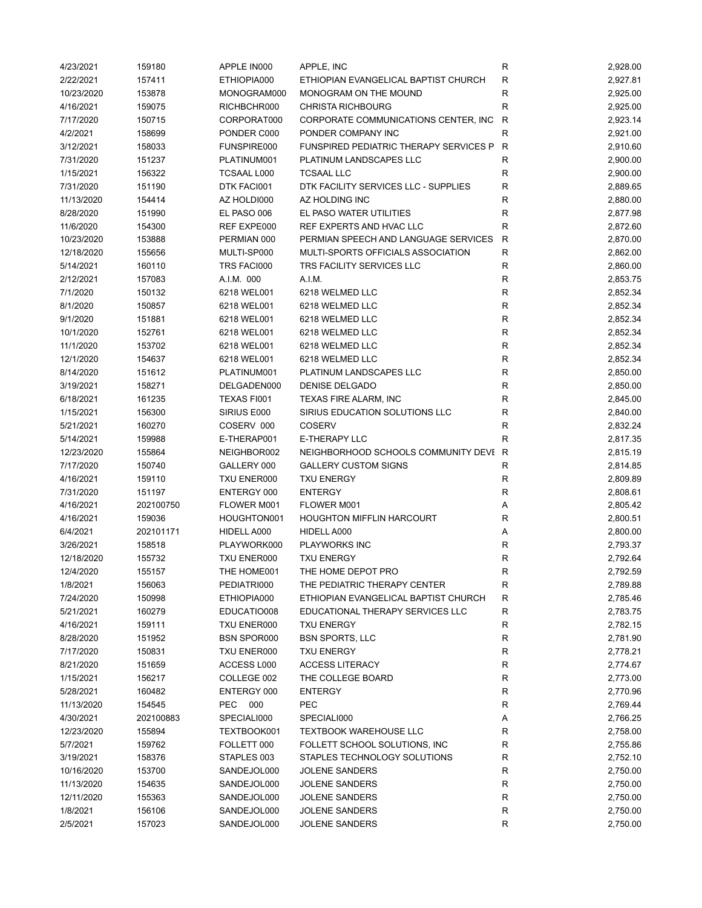| 4/23/2021  | 159180    | APPLE IN000        | APPLE, INC                             | R            | 2,928.00 |
|------------|-----------|--------------------|----------------------------------------|--------------|----------|
| 2/22/2021  | 157411    | ETHIOPIA000        | ETHIOPIAN EVANGELICAL BAPTIST CHURCH   | R            | 2,927.81 |
| 10/23/2020 | 153878    | MONOGRAM000        | MONOGRAM ON THE MOUND                  | R            | 2,925.00 |
| 4/16/2021  | 159075    | RICHBCHR000        | <b>CHRISTA RICHBOURG</b>               | R            | 2,925.00 |
| 7/17/2020  | 150715    | CORPORAT000        | CORPORATE COMMUNICATIONS CENTER, INC   | R            | 2,923.14 |
| 4/2/2021   | 158699    | PONDER C000        | PONDER COMPANY INC                     | $\mathsf R$  | 2,921.00 |
| 3/12/2021  | 158033    | FUNSPIRE000        | FUNSPIRED PEDIATRIC THERAPY SERVICES P | R            | 2,910.60 |
| 7/31/2020  | 151237    | PLATINUM001        | PLATINUM LANDSCAPES LLC                | $\mathsf R$  | 2,900.00 |
| 1/15/2021  | 156322    | <b>TCSAAL L000</b> | <b>TCSAAL LLC</b>                      | R            | 2,900.00 |
| 7/31/2020  | 151190    | DTK FACI001        | DTK FACILITY SERVICES LLC - SUPPLIES   | R            | 2,889.65 |
| 11/13/2020 | 154414    | AZ HOLDI000        | AZ HOLDING INC                         | R            | 2,880.00 |
| 8/28/2020  | 151990    | EL PASO 006        | EL PASO WATER UTILITIES                | $\mathsf R$  | 2,877.98 |
| 11/6/2020  | 154300    | REF EXPE000        | REF EXPERTS AND HVAC LLC               | $\mathsf R$  | 2,872.60 |
| 10/23/2020 | 153888    | PERMIAN 000        | PERMIAN SPEECH AND LANGUAGE SERVICES   | R            | 2,870.00 |
| 12/18/2020 | 155656    | MULTI-SP000        | MULTI-SPORTS OFFICIALS ASSOCIATION     | $\mathsf R$  | 2,862.00 |
| 5/14/2021  | 160110    | TRS FACI000        | TRS FACILITY SERVICES LLC              | R            | 2,860.00 |
| 2/12/2021  | 157083    | A.I.M. 000         | A.I.M.                                 | R            | 2,853.75 |
| 7/1/2020   | 150132    | 6218 WEL001        | 6218 WELMED LLC                        | R            | 2,852.34 |
| 8/1/2020   | 150857    | 6218 WEL001        | 6218 WELMED LLC                        | $\mathsf R$  | 2,852.34 |
|            |           |                    |                                        |              |          |
| 9/1/2020   | 151881    | 6218 WEL001        | 6218 WELMED LLC                        | $\mathsf R$  | 2,852.34 |
| 10/1/2020  | 152761    | 6218 WEL001        | 6218 WELMED LLC                        | R            | 2,852.34 |
| 11/1/2020  | 153702    | 6218 WEL001        | 6218 WELMED LLC                        | R            | 2,852.34 |
| 12/1/2020  | 154637    | 6218 WEL001        | 6218 WELMED LLC                        | ${\sf R}$    | 2,852.34 |
| 8/14/2020  | 151612    | PLATINUM001        | PLATINUM LANDSCAPES LLC                | $\mathsf R$  | 2,850.00 |
| 3/19/2021  | 158271    | DELGADEN000        | DENISE DELGADO                         | $\mathsf R$  | 2,850.00 |
| 6/18/2021  | 161235    | TEXAS FI001        | <b>TEXAS FIRE ALARM, INC</b>           | R            | 2,845.00 |
| 1/15/2021  | 156300    | SIRIUS E000        | SIRIUS EDUCATION SOLUTIONS LLC         | R            | 2,840.00 |
| 5/21/2021  | 160270    | COSERV 000         | <b>COSERV</b>                          | R            | 2,832.24 |
| 5/14/2021  | 159988    | E-THERAP001        | <b>E-THERAPY LLC</b>                   | R            | 2,817.35 |
| 12/23/2020 | 155864    | NEIGHBOR002        | NEIGHBORHOOD SCHOOLS COMMUNITY DEVI    | $\mathsf{R}$ | 2,815.19 |
| 7/17/2020  | 150740    | GALLERY 000        | <b>GALLERY CUSTOM SIGNS</b>            | R            | 2,814.85 |
| 4/16/2021  | 159110    | TXU ENER000        | <b>TXU ENERGY</b>                      | R            | 2,809.89 |
| 7/31/2020  | 151197    | ENTERGY 000        | <b>ENTERGY</b>                         | R            | 2,808.61 |
| 4/16/2021  | 202100750 | FLOWER M001        | FLOWER M001                            | Α            | 2,805.42 |
| 4/16/2021  | 159036    | HOUGHTON001        | <b>HOUGHTON MIFFLIN HARCOURT</b>       | R            | 2,800.51 |
| 6/4/2021   | 202101171 | HIDELL A000        | HIDELL A000                            | Α            | 2,800.00 |
| 3/26/2021  | 158518    | PLAYWORK000        | PLAYWORKS INC                          | $\mathsf R$  | 2,793.37 |
| 12/18/2020 | 155732    | TXU ENER000        | <b>TXU ENERGY</b>                      | $\mathsf R$  | 2,792.64 |
| 12/4/2020  | 155157    | THE HOME001        | THE HOME DEPOT PRO                     | R            | 2,792.59 |
| 1/8/2021   | 156063    | PEDIATRI000        | THE PEDIATRIC THERAPY CENTER           | R            | 2,789.88 |
| 7/24/2020  | 150998    | ETHIOPIA000        | ETHIOPIAN EVANGELICAL BAPTIST CHURCH   | R            | 2,785.46 |
| 5/21/2021  | 160279    | EDUCATIO008        | EDUCATIONAL THERAPY SERVICES LLC       | R            | 2,783.75 |
| 4/16/2021  | 159111    | TXU ENER000        | <b>TXU ENERGY</b>                      | R            | 2,782.15 |
| 8/28/2020  | 151952    | <b>BSN SPOR000</b> | <b>BSN SPORTS, LLC</b>                 | R            | 2,781.90 |
| 7/17/2020  | 150831    | TXU ENER000        | <b>TXU ENERGY</b>                      | R            | 2,778.21 |
|            |           | ACCESS L000        | <b>ACCESS LITERACY</b>                 |              |          |
| 8/21/2020  | 151659    |                    |                                        | R            | 2,774.67 |
| 1/15/2021  | 156217    | COLLEGE 002        | THE COLLEGE BOARD                      | R            | 2,773.00 |
| 5/28/2021  | 160482    | ENTERGY 000        | <b>ENTERGY</b>                         | R            | 2,770.96 |
| 11/13/2020 | 154545    | 000<br>PEC         | PEC                                    | R            | 2,769.44 |
| 4/30/2021  | 202100883 | SPECIALI000        | SPECIALI000                            | А            | 2,766.25 |
| 12/23/2020 | 155894    | TEXTBOOK001        | <b>TEXTBOOK WAREHOUSE LLC</b>          | R            | 2,758.00 |
| 5/7/2021   | 159762    | FOLLETT 000        | FOLLETT SCHOOL SOLUTIONS, INC          | R            | 2,755.86 |
| 3/19/2021  | 158376    | STAPLES 003        | STAPLES TECHNOLOGY SOLUTIONS           | R            | 2,752.10 |
| 10/16/2020 | 153700    | SANDEJOL000        | <b>JOLENE SANDERS</b>                  | R            | 2,750.00 |
| 11/13/2020 | 154635    | SANDEJOL000        | <b>JOLENE SANDERS</b>                  | R            | 2,750.00 |
| 12/11/2020 | 155363    | SANDEJOL000        | <b>JOLENE SANDERS</b>                  | R            | 2,750.00 |
| 1/8/2021   | 156106    | SANDEJOL000        | <b>JOLENE SANDERS</b>                  | R            | 2,750.00 |
| 2/5/2021   | 157023    | SANDEJOL000        | <b>JOLENE SANDERS</b>                  | R            | 2,750.00 |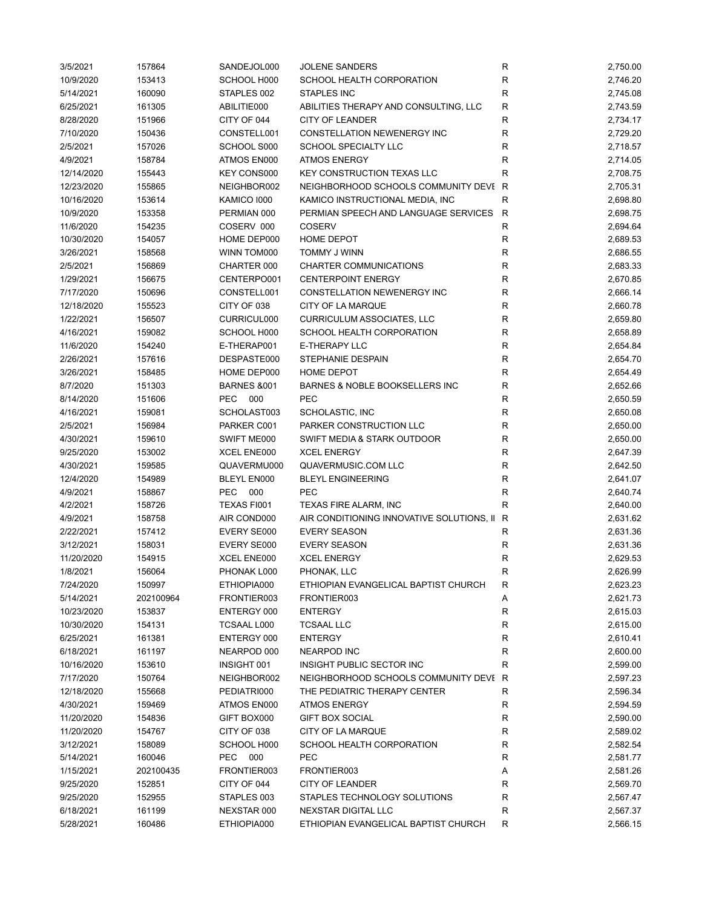| 3/5/2021   | 157864    | SANDEJOL000            | <b>JOLENE SANDERS</b>                     | ${\sf R}$    | 2,750.00 |
|------------|-----------|------------------------|-------------------------------------------|--------------|----------|
| 10/9/2020  | 153413    | SCHOOL H000            | SCHOOL HEALTH CORPORATION                 | R            | 2,746.20 |
| 5/14/2021  | 160090    | STAPLES 002            | <b>STAPLES INC</b>                        | R            | 2,745.08 |
| 6/25/2021  | 161305    | ABILITIE000            | ABILITIES THERAPY AND CONSULTING, LLC     | R            | 2,743.59 |
| 8/28/2020  | 151966    | CITY OF 044            | <b>CITY OF LEANDER</b>                    | $\mathsf R$  | 2,734.17 |
| 7/10/2020  | 150436    | CONSTELL001            | CONSTELLATION NEWENERGY INC               | R            | 2,729.20 |
| 2/5/2021   | 157026    | SCHOOL S000            | SCHOOL SPECIALTY LLC                      | R            | 2,718.57 |
| 4/9/2021   | 158784    | ATMOS EN000            | <b>ATMOS ENERGY</b>                       | $\mathsf{R}$ | 2,714.05 |
| 12/14/2020 | 155443    | <b>KEY CONS000</b>     | <b>KEY CONSTRUCTION TEXAS LLC</b>         | R            | 2,708.75 |
| 12/23/2020 | 155865    | NEIGHBOR002            | NEIGHBORHOOD SCHOOLS COMMUNITY DEVI R     |              | 2,705.31 |
| 10/16/2020 | 153614    | KAMICO 1000            | KAMICO INSTRUCTIONAL MEDIA, INC           | R            | 2,698.80 |
| 10/9/2020  | 153358    | PERMIAN 000            | PERMIAN SPEECH AND LANGUAGE SERVICES      | $\mathsf{R}$ | 2,698.75 |
| 11/6/2020  | 154235    | COSERV 000             | <b>COSERV</b>                             | $\mathsf{R}$ | 2,694.64 |
| 10/30/2020 | 154057    | HOME DEP000            | <b>HOME DEPOT</b>                         | R            | 2,689.53 |
| 3/26/2021  | 158568    | WINN TOM000            | TOMMY J WINN                              | $\mathsf{R}$ | 2,686.55 |
| 2/5/2021   | 156869    | CHARTER 000            | CHARTER COMMUNICATIONS                    | $\mathsf R$  | 2,683.33 |
| 1/29/2021  | 156675    | CENTERPO001            | <b>CENTERPOINT ENERGY</b>                 | $\mathsf{R}$ | 2,670.85 |
| 7/17/2020  | 150696    | CONSTELL001            | CONSTELLATION NEWENERGY INC               | R            | 2,666.14 |
| 12/18/2020 | 155523    | CITY OF 038            | CITY OF LA MARQUE                         | R            | 2,660.78 |
| 1/22/2021  | 156507    | CURRICUL000            | <b>CURRICULUM ASSOCIATES, LLC</b>         | $\mathsf R$  | 2,659.80 |
| 4/16/2021  | 159082    | SCHOOL H000            | SCHOOL HEALTH CORPORATION                 | R            | 2,658.89 |
| 11/6/2020  | 154240    | E-THERAP001            | <b>E-THERAPY LLC</b>                      | R            | 2,654.84 |
| 2/26/2021  | 157616    | DESPASTE000            | STEPHANIE DESPAIN                         | $\mathsf{R}$ | 2,654.70 |
| 3/26/2021  | 158485    | HOME DEP000            | HOME DEPOT                                | $\mathsf R$  | 2,654.49 |
| 8/7/2020   | 151303    | <b>BARNES &amp;001</b> | BARNES & NOBLE BOOKSELLERS INC            | $\mathsf R$  | 2,652.66 |
| 8/14/2020  | 151606    | PEC<br>000             | PEC                                       | ${\sf R}$    | 2,650.59 |
| 4/16/2021  | 159081    | SCHOLAST003            | SCHOLASTIC, INC                           | $\mathsf R$  | 2,650.08 |
| 2/5/2021   | 156984    | PARKER C001            | PARKER CONSTRUCTION LLC                   | $\mathsf R$  | 2,650.00 |
|            |           |                        |                                           | $\mathsf R$  |          |
| 4/30/2021  | 159610    | SWIFT ME000            | SWIFT MEDIA & STARK OUTDOOR               |              | 2,650.00 |
| 9/25/2020  | 153002    | XCEL ENE000            | <b>XCEL ENERGY</b>                        | $\mathsf R$  | 2,647.39 |
| 4/30/2021  | 159585    | QUAVERMU000            | QUAVERMUSIC.COM LLC                       | $\mathsf R$  | 2,642.50 |
| 12/4/2020  | 154989    | <b>BLEYL EN000</b>     | <b>BLEYL ENGINEERING</b>                  | $\mathsf{R}$ | 2,641.07 |
| 4/9/2021   | 158867    | <b>PEC</b><br>000      | <b>PEC</b>                                | R            | 2,640.74 |
| 4/2/2021   | 158726    | TEXAS FI001            | TEXAS FIRE ALARM, INC                     | R            | 2,640.00 |
| 4/9/2021   | 158758    | AIR COND000            | AIR CONDITIONING INNOVATIVE SOLUTIONS, II | R            | 2,631.62 |
| 2/22/2021  | 157412    | EVERY SE000            | <b>EVERY SEASON</b>                       | R            | 2,631.36 |
| 3/12/2021  | 158031    | EVERY SE000            | <b>EVERY SEASON</b>                       | R            | 2,631.36 |
| 11/20/2020 | 154915    | XCEL ENE000            | <b>XCEL ENERGY</b>                        | $\mathsf{R}$ | 2,629.53 |
| 1/8/2021   | 156064    | PHONAK L000            | PHONAK, LLC                               | R            | 2,626.99 |
| 7/24/2020  | 150997    | ETHIOPIA000            | ETHIOPIAN EVANGELICAL BAPTIST CHURCH      | R            | 2,623.23 |
| 5/14/2021  | 202100964 | FRONTIER003            | FRONTIER003                               | Α            | 2,621.73 |
| 10/23/2020 | 153837    | ENTERGY 000            | <b>ENTERGY</b>                            | R            | 2,615.03 |
| 10/30/2020 | 154131    | TCSAAL L000            | <b>TCSAAL LLC</b>                         | R            | 2,615.00 |
| 6/25/2021  | 161381    | ENTERGY 000            | <b>ENTERGY</b>                            | R            | 2,610.41 |
| 6/18/2021  | 161197    | NEARPOD 000            | <b>NEARPOD INC</b>                        | R            | 2,600.00 |
| 10/16/2020 | 153610    | INSIGHT 001            | INSIGHT PUBLIC SECTOR INC                 | R            | 2,599.00 |
| 7/17/2020  | 150764    | NEIGHBOR002            | NEIGHBORHOOD SCHOOLS COMMUNITY DEVI R     |              | 2,597.23 |
| 12/18/2020 | 155668    | PEDIATRI000            | THE PEDIATRIC THERAPY CENTER              | R            | 2,596.34 |
| 4/30/2021  | 159469    | ATMOS EN000            | <b>ATMOS ENERGY</b>                       | R            | 2,594.59 |
| 11/20/2020 | 154836    | GIFT BOX000            | <b>GIFT BOX SOCIAL</b>                    | R            | 2,590.00 |
| 11/20/2020 | 154767    | CITY OF 038            | CITY OF LA MARQUE                         | R            | 2,589.02 |
| 3/12/2021  | 158089    | SCHOOL H000            | SCHOOL HEALTH CORPORATION                 | R            | 2,582.54 |
| 5/14/2021  | 160046    | <b>PEC</b><br>000      | <b>PEC</b>                                | R            | 2,581.77 |
| 1/15/2021  | 202100435 | FRONTIER003            | FRONTIER003                               | Α            | 2,581.26 |
| 9/25/2020  | 152851    | CITY OF 044            | CITY OF LEANDER                           | R            | 2,569.70 |
| 9/25/2020  | 152955    | STAPLES 003            | STAPLES TECHNOLOGY SOLUTIONS              | $\mathsf{R}$ | 2,567.47 |
| 6/18/2021  | 161199    | NEXSTAR 000            | NEXSTAR DIGITAL LLC                       | R            | 2,567.37 |
| 5/28/2021  | 160486    | ETHIOPIA000            | ETHIOPIAN EVANGELICAL BAPTIST CHURCH      | R            | 2,566.15 |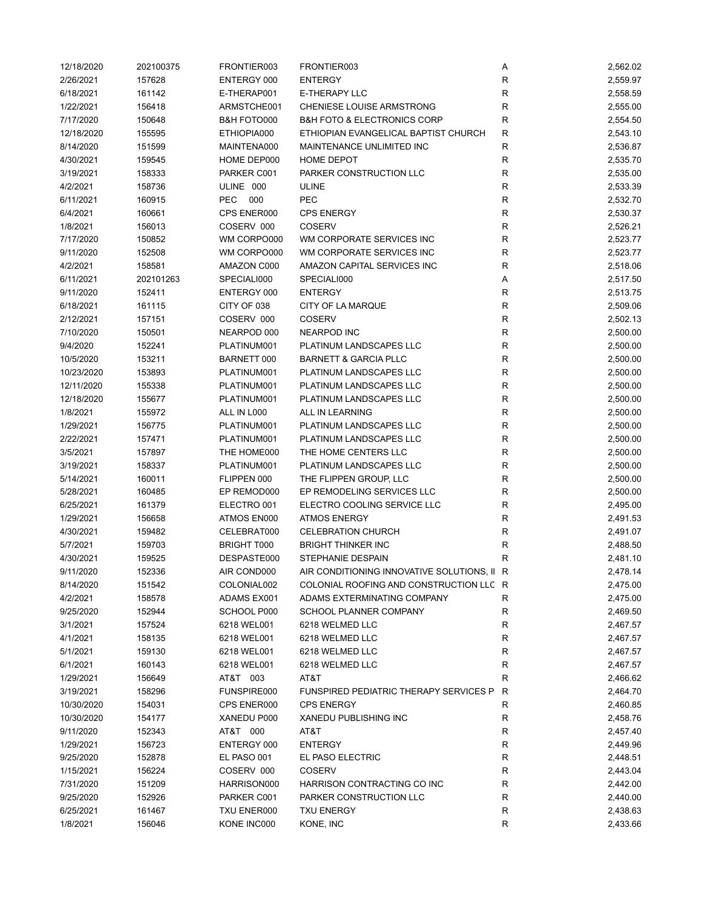| 12/18/2020 | 202100375 | FRONTIER003        | FRONTIER003                                   | Α           | 2,562.02 |
|------------|-----------|--------------------|-----------------------------------------------|-------------|----------|
| 2/26/2021  | 157628    | ENTERGY 000        | <b>ENTERGY</b>                                | R           | 2,559.97 |
| 6/18/2021  | 161142    | E-THERAP001        | <b>E-THERAPY LLC</b>                          | R           | 2,558.59 |
| 1/22/2021  | 156418    | ARMSTCHE001        | CHENIESE LOUISE ARMSTRONG                     | R           | 2,555.00 |
| 7/17/2020  | 150648    | B&H FOTO000        | <b>B&amp;H FOTO &amp; ELECTRONICS CORP</b>    | R           | 2,554.50 |
| 12/18/2020 | 155595    | ETHIOPIA000        | ETHIOPIAN EVANGELICAL BAPTIST CHURCH          | R           | 2,543.10 |
| 8/14/2020  | 151599    | MAINTENA000        | MAINTENANCE UNLIMITED INC                     | $\mathsf R$ | 2,536.87 |
| 4/30/2021  | 159545    | HOME DEP000        | HOME DEPOT                                    | $\mathsf R$ | 2,535.70 |
| 3/19/2021  | 158333    | PARKER C001        | PARKER CONSTRUCTION LLC                       | $\mathsf R$ | 2,535.00 |
|            |           | ULINE 000          |                                               | $\mathsf R$ |          |
| 4/2/2021   | 158736    |                    | <b>ULINE</b>                                  |             | 2,533.39 |
| 6/11/2021  | 160915    | PEC<br>000         | <b>PEC</b>                                    | $\mathsf R$ | 2,532.70 |
| 6/4/2021   | 160661    | CPS ENER000        | <b>CPS ENERGY</b>                             | $\mathsf R$ | 2,530.37 |
| 1/8/2021   | 156013    | COSERV 000         | <b>COSERV</b>                                 | R           | 2,526.21 |
| 7/17/2020  | 150852    | WM CORPO000        | WM CORPORATE SERVICES INC                     | R           | 2,523.77 |
| 9/11/2020  | 152508    | WM CORPO000        | WM CORPORATE SERVICES INC                     | $\mathsf R$ | 2,523.77 |
| 4/2/2021   | 158581    | AMAZON C000        | AMAZON CAPITAL SERVICES INC                   | $\mathsf R$ | 2,518.06 |
| 6/11/2021  | 202101263 | SPECIALI000        | SPECIALI000                                   | Α           | 2,517.50 |
| 9/11/2020  | 152411    | ENTERGY 000        | <b>ENTERGY</b>                                | R           | 2,513.75 |
| 6/18/2021  | 161115    | CITY OF 038        | CITY OF LA MARQUE                             | R           | 2,509.06 |
| 2/12/2021  | 157151    | COSERV 000         | <b>COSERV</b>                                 | ${\sf R}$   | 2,502.13 |
| 7/10/2020  | 150501    | NEARPOD 000        | <b>NEARPOD INC</b>                            | $\mathsf R$ | 2,500.00 |
| 9/4/2020   | 152241    | PLATINUM001        | PLATINUM LANDSCAPES LLC                       | ${\sf R}$   | 2,500.00 |
| 10/5/2020  | 153211    | BARNETT 000        | <b>BARNETT &amp; GARCIA PLLC</b>              | $\mathsf R$ | 2,500.00 |
| 10/23/2020 | 153893    | PLATINUM001        | PLATINUM LANDSCAPES LLC                       | ${\sf R}$   | 2,500.00 |
|            |           |                    |                                               |             |          |
| 12/11/2020 | 155338    | PLATINUM001        | PLATINUM LANDSCAPES LLC                       | $\mathsf R$ | 2,500.00 |
| 12/18/2020 | 155677    | PLATINUM001        | PLATINUM LANDSCAPES LLC                       | R           | 2,500.00 |
| 1/8/2021   | 155972    | ALL IN L000        | ALL IN LEARNING                               | $\mathsf R$ | 2,500.00 |
| 1/29/2021  | 156775    | PLATINUM001        | PLATINUM LANDSCAPES LLC                       | $\mathsf R$ | 2,500.00 |
| 2/22/2021  | 157471    | PLATINUM001        | PLATINUM LANDSCAPES LLC                       | R           | 2,500.00 |
| 3/5/2021   | 157897    | THE HOME000        | THE HOME CENTERS LLC                          | R           | 2,500.00 |
| 3/19/2021  | 158337    | PLATINUM001        | PLATINUM LANDSCAPES LLC                       | R           | 2,500.00 |
| 5/14/2021  | 160011    | FLIPPEN 000        | THE FLIPPEN GROUP, LLC                        | R           | 2,500.00 |
| 5/28/2021  | 160485    | EP REMOD000        | EP REMODELING SERVICES LLC                    | R           | 2,500.00 |
| 6/25/2021  | 161379    | ELECTRO 001        | ELECTRO COOLING SERVICE LLC                   | R           | 2,495.00 |
| 1/29/2021  | 156658    | ATMOS EN000        | <b>ATMOS ENERGY</b>                           | $\mathsf R$ | 2,491.53 |
| 4/30/2021  | 159482    | CELEBRAT000        | <b>CELEBRATION CHURCH</b>                     | R           | 2,491.07 |
| 5/7/2021   | 159703    | <b>BRIGHT T000</b> | <b>BRIGHT THINKER INC</b>                     | $\mathsf R$ | 2,488.50 |
| 4/30/2021  | 159525    | DESPASTE000        | STEPHANIE DESPAIN                             | R           | 2,481.10 |
| 9/11/2020  | 152336    | AIR COND000        | AIR CONDITIONING INNOVATIVE SOLUTIONS, II R   |             | 2,478.14 |
| 8/14/2020  | 151542    | COLONIAL002        | COLONIAL ROOFING AND CONSTRUCTION LLC R       |             | 2,475.00 |
|            |           |                    | ADAMS EXTERMINATING COMPANY                   |             |          |
| 4/2/2021   | 158578    | ADAMS EX001        |                                               | R           | 2,475.00 |
| 9/25/2020  | 152944    | SCHOOL P000        | <b>SCHOOL PLANNER COMPANY</b>                 | R           | 2,469.50 |
| 3/1/2021   | 157524    | 6218 WEL001        | 6218 WELMED LLC                               | R           | 2,467.57 |
| 4/1/2021   | 158135    | 6218 WEL001        | 6218 WELMED LLC                               | R           | 2,467.57 |
| 5/1/2021   | 159130    | 6218 WEL001        | 6218 WELMED LLC                               | R           | 2,467.57 |
| 6/1/2021   | 160143    | 6218 WEL001        | 6218 WELMED LLC                               | R           | 2,467.57 |
| 1/29/2021  | 156649    | AT&T 003           | AT&T                                          | R           | 2,466.62 |
| 3/19/2021  | 158296    | FUNSPIRE000        | <b>FUNSPIRED PEDIATRIC THERAPY SERVICES P</b> | R           | 2,464.70 |
| 10/30/2020 | 154031    | CPS ENER000        | <b>CPS ENERGY</b>                             | R           | 2,460.85 |
| 10/30/2020 | 154177    | XANEDU P000        | XANEDU PUBLISHING INC                         | R           | 2,458.76 |
| 9/11/2020  | 152343    | AT&T 000           | AT&T                                          | R           | 2,457.40 |
| 1/29/2021  | 156723    | ENTERGY 000        | <b>ENTERGY</b>                                | R           | 2,449.96 |
| 9/25/2020  | 152878    | EL PASO 001        | EL PASO ELECTRIC                              | ${\sf R}$   | 2,448.51 |
| 1/15/2021  | 156224    | COSERV 000         | COSERV                                        | R           | 2,443.04 |
| 7/31/2020  | 151209    | HARRISON000        | HARRISON CONTRACTING CO INC                   | R           | 2,442.00 |
| 9/25/2020  | 152926    | PARKER C001        | PARKER CONSTRUCTION LLC                       | R           | 2,440.00 |
| 6/25/2021  |           |                    | <b>TXU ENERGY</b>                             | R           | 2,438.63 |
|            | 161467    | TXU ENER000        |                                               |             |          |
| 1/8/2021   | 156046    | KONE INC000        | KONE, INC                                     | $\mathsf R$ | 2,433.66 |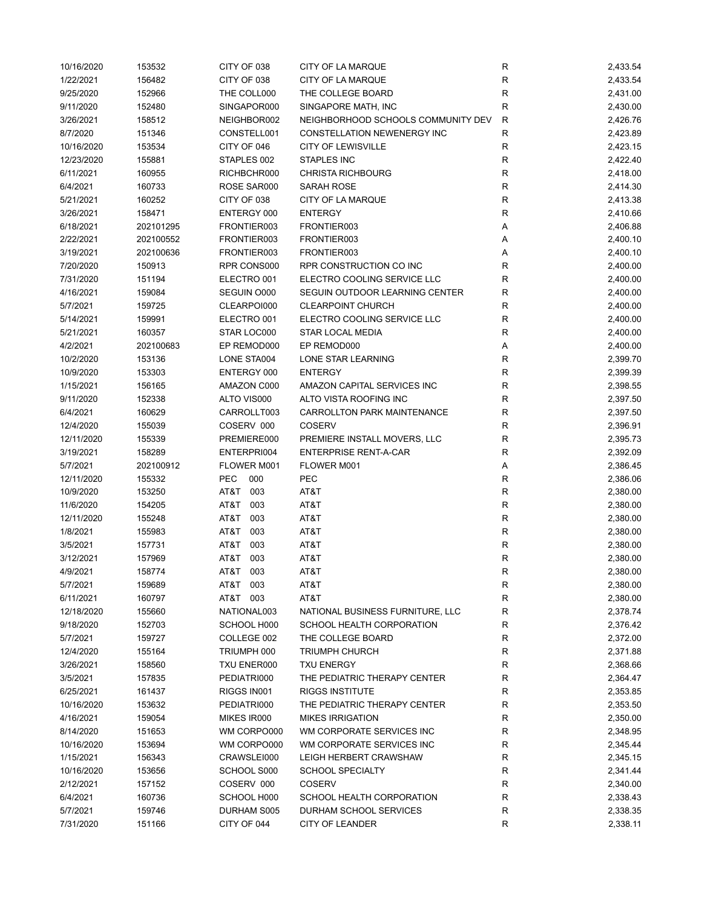| 10/16/2020 | 153532    | CITY OF 038 | CITY OF LA MARQUE                  | R            | 2,433.54 |
|------------|-----------|-------------|------------------------------------|--------------|----------|
| 1/22/2021  | 156482    | CITY OF 038 | CITY OF LA MARQUE                  | $\mathsf{R}$ | 2,433.54 |
| 9/25/2020  | 152966    | THE COLL000 | THE COLLEGE BOARD                  | $\mathsf{R}$ | 2,431.00 |
| 9/11/2020  | 152480    | SINGAPOR000 | SINGAPORE MATH, INC                | $\mathsf{R}$ | 2,430.00 |
| 3/26/2021  | 158512    | NEIGHBOR002 | NEIGHBORHOOD SCHOOLS COMMUNITY DEV | R            | 2,426.76 |
| 8/7/2020   | 151346    | CONSTELL001 | CONSTELLATION NEWENERGY INC        | R            | 2,423.89 |
| 10/16/2020 | 153534    | CITY OF 046 | <b>CITY OF LEWISVILLE</b>          | $\mathsf{R}$ | 2,423.15 |
| 12/23/2020 | 155881    | STAPLES 002 | STAPLES INC                        | $\mathsf{R}$ | 2,422.40 |
| 6/11/2021  | 160955    | RICHBCHR000 | <b>CHRISTA RICHBOURG</b>           | $\mathsf{R}$ | 2,418.00 |
| 6/4/2021   | 160733    | ROSE SAR000 | SARAH ROSE                         | $\mathsf{R}$ | 2,414.30 |
| 5/21/2021  | 160252    | CITY OF 038 | CITY OF LA MARQUE                  | ${\sf R}$    | 2,413.38 |
| 3/26/2021  | 158471    | ENTERGY 000 | <b>ENTERGY</b>                     | $\mathsf{R}$ | 2,410.66 |
| 6/18/2021  | 202101295 | FRONTIER003 | FRONTIER003                        | Α            | 2,406.88 |
|            |           |             |                                    |              |          |
| 2/22/2021  | 202100552 | FRONTIER003 | FRONTIER003                        | Α            | 2,400.10 |
| 3/19/2021  | 202100636 | FRONTIER003 | FRONTIER003                        | Α            | 2,400.10 |
| 7/20/2020  | 150913    | RPR CONS000 | RPR CONSTRUCTION CO INC            | R            | 2,400.00 |
| 7/31/2020  | 151194    | ELECTRO 001 | ELECTRO COOLING SERVICE LLC        | R            | 2,400.00 |
| 4/16/2021  | 159084    | SEGUIN 0000 | SEGUIN OUTDOOR LEARNING CENTER     | $\mathsf{R}$ | 2,400.00 |
| 5/7/2021   | 159725    | CLEARPOI000 | <b>CLEARPOINT CHURCH</b>           | R            | 2,400.00 |
| 5/14/2021  | 159991    | ELECTRO 001 | ELECTRO COOLING SERVICE LLC        | R            | 2,400.00 |
| 5/21/2021  | 160357    | STAR LOC000 | <b>STAR LOCAL MEDIA</b>            | R            | 2,400.00 |
| 4/2/2021   | 202100683 | EP REMOD000 | EP REMOD000                        | Α            | 2,400.00 |
| 10/2/2020  | 153136    | LONE STA004 | LONE STAR LEARNING                 | $\mathsf{R}$ | 2,399.70 |
| 10/9/2020  | 153303    | ENTERGY 000 | <b>ENTERGY</b>                     | $\mathsf{R}$ | 2,399.39 |
| 1/15/2021  | 156165    | AMAZON C000 | AMAZON CAPITAL SERVICES INC        | $\mathsf{R}$ | 2,398.55 |
| 9/11/2020  | 152338    | ALTO VIS000 | ALTO VISTA ROOFING INC             | $\mathsf{R}$ | 2,397.50 |
| 6/4/2021   | 160629    | CARROLLT003 | CARROLLTON PARK MAINTENANCE        | $\mathsf{R}$ | 2,397.50 |
| 12/4/2020  | 155039    | COSERV 000  | <b>COSERV</b>                      | R            | 2,396.91 |
| 12/11/2020 | 155339    | PREMIERE000 | PREMIERE INSTALL MOVERS, LLC       | $\mathsf{R}$ | 2,395.73 |
| 3/19/2021  | 158289    | ENTERPRI004 | <b>ENTERPRISE RENT-A-CAR</b>       | $\mathsf R$  | 2,392.09 |
| 5/7/2021   | 202100912 | FLOWER M001 | FLOWER M001                        | Α            | 2,386.45 |
| 12/11/2020 | 155332    | PEC<br>000  | PEC                                | R            | 2,386.06 |
| 10/9/2020  | 153250    | AT&T<br>003 | AT&T                               | $\mathsf{R}$ | 2,380.00 |
| 11/6/2020  | 154205    | T&TA<br>003 | AT&T                               | $\mathsf{R}$ | 2,380.00 |
|            |           |             |                                    |              |          |
| 12/11/2020 | 155248    | AT&T<br>003 | AT&T                               | R            | 2,380.00 |
| 1/8/2021   | 155983    | AT&T 003    | AT&T                               | R            | 2,380.00 |
| 3/5/2021   | 157731    | AT&T 003    | AT&T                               | $\mathsf{R}$ | 2,380.00 |
| 3/12/2021  | 157969    | 003<br>AT&T | AT&T                               | $\mathsf{R}$ | 2,380.00 |
| 4/9/2021   | 158774    | T&TA<br>003 | AT&T                               | R            | 2,380.00 |
| 5/7/2021   | 159689    | AT&T<br>003 | AT&T                               | ${\sf R}$    | 2,380.00 |
| 6/11/2021  | 160797    | AT&T 003    | AT&T                               | ${\sf R}$    | 2,380.00 |
| 12/18/2020 | 155660    | NATIONAL003 | NATIONAL BUSINESS FURNITURE, LLC   | R            | 2,378.74 |
| 9/18/2020  | 152703    | SCHOOL H000 | SCHOOL HEALTH CORPORATION          | R            | 2,376.42 |
| 5/7/2021   | 159727    | COLLEGE 002 | THE COLLEGE BOARD                  | R            | 2,372.00 |
| 12/4/2020  | 155164    | TRIUMPH 000 | <b>TRIUMPH CHURCH</b>              | R            | 2,371.88 |
| 3/26/2021  | 158560    | TXU ENER000 | <b>TXU ENERGY</b>                  | R            | 2,368.66 |
| 3/5/2021   | 157835    | PEDIATRI000 | THE PEDIATRIC THERAPY CENTER       | $\mathsf{R}$ | 2,364.47 |
| 6/25/2021  | 161437    | RIGGS IN001 | <b>RIGGS INSTITUTE</b>             | R            | 2,353.85 |
| 10/16/2020 | 153632    | PEDIATRI000 | THE PEDIATRIC THERAPY CENTER       | R            | 2,353.50 |
| 4/16/2021  | 159054    | MIKES IR000 | <b>MIKES IRRIGATION</b>            | R            | 2,350.00 |
| 8/14/2020  | 151653    | WM CORPO000 | WM CORPORATE SERVICES INC          | R            | 2,348.95 |
| 10/16/2020 | 153694    | WM CORPO000 | WM CORPORATE SERVICES INC          | R            | 2,345.44 |
| 1/15/2021  | 156343    | CRAWSLEI000 | LEIGH HERBERT CRAWSHAW             | R            | 2,345.15 |
| 10/16/2020 | 153656    | SCHOOL S000 | <b>SCHOOL SPECIALTY</b>            | R            | 2,341.44 |
| 2/12/2021  | 157152    | COSERV 000  | <b>COSERV</b>                      | $\mathsf{R}$ | 2,340.00 |
| 6/4/2021   | 160736    | SCHOOL H000 | SCHOOL HEALTH CORPORATION          | $\mathsf{R}$ | 2,338.43 |
| 5/7/2021   | 159746    | DURHAM S005 | DURHAM SCHOOL SERVICES             | R            | 2,338.35 |
|            |           |             |                                    | $\mathsf{R}$ |          |
| 7/31/2020  | 151166    | CITY OF 044 | CITY OF LEANDER                    |              | 2,338.11 |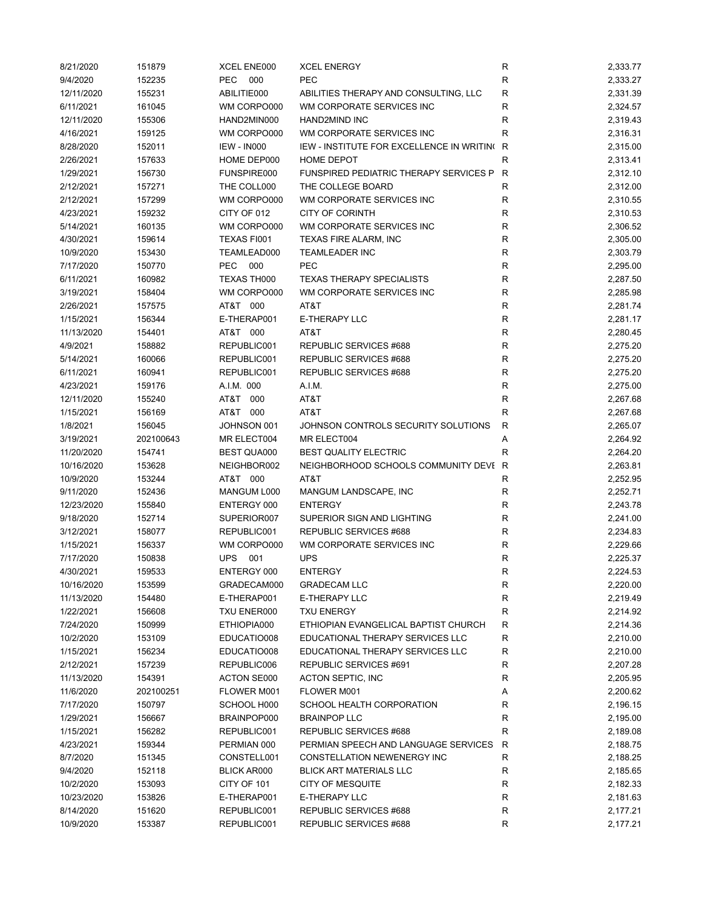| 8/21/2020  | 151879    | XCEL ENE000        | <b>XCEL ENERGY</b>                            | R            | 2,333.77 |
|------------|-----------|--------------------|-----------------------------------------------|--------------|----------|
| 9/4/2020   | 152235    | <b>PEC</b><br>000  | <b>PEC</b>                                    | R            | 2,333.27 |
| 12/11/2020 | 155231    | ABILITIE000        | ABILITIES THERAPY AND CONSULTING, LLC         | $\mathsf{R}$ | 2,331.39 |
| 6/11/2021  | 161045    | WM CORPO000        | WM CORPORATE SERVICES INC                     | $\mathsf{R}$ | 2,324.57 |
| 12/11/2020 | 155306    | HAND2MIN000        | <b>HAND2MIND INC</b>                          | R            | 2,319.43 |
| 4/16/2021  | 159125    | WM CORPO000        | WM CORPORATE SERVICES INC                     | R            | 2,316.31 |
| 8/28/2020  | 152011    | <b>IEW - IN000</b> | IEW - INSTITUTE FOR EXCELLENCE IN WRITING     | R            | 2,315.00 |
| 2/26/2021  | 157633    | HOME DEP000        | <b>HOME DEPOT</b>                             | R            | 2,313.41 |
| 1/29/2021  | 156730    | FUNSPIRE000        | <b>FUNSPIRED PEDIATRIC THERAPY SERVICES P</b> | R            | 2,312.10 |
| 2/12/2021  | 157271    | THE COLL000        | THE COLLEGE BOARD                             | R            | 2,312.00 |
| 2/12/2021  | 157299    | WM CORPO000        | WM CORPORATE SERVICES INC                     | $\mathsf{R}$ | 2,310.55 |
| 4/23/2021  | 159232    | CITY OF 012        | <b>CITY OF CORINTH</b>                        | $\mathsf{R}$ | 2,310.53 |
| 5/14/2021  | 160135    | WM CORPO000        | WM CORPORATE SERVICES INC                     | R            | 2,306.52 |
| 4/30/2021  | 159614    | <b>TEXAS FI001</b> | TEXAS FIRE ALARM, INC                         | R            | 2,305.00 |
| 10/9/2020  | 153430    | TEAMLEAD000        | <b>TEAMLEADER INC</b>                         | $\mathsf{R}$ | 2,303.79 |
| 7/17/2020  | 150770    | <b>PEC</b><br>000  | <b>PEC</b>                                    | $\mathsf{R}$ | 2,295.00 |
| 6/11/2021  | 160982    | TEXAS TH000        | <b>TEXAS THERAPY SPECIALISTS</b>              | $\mathsf{R}$ | 2,287.50 |
| 3/19/2021  | 158404    | WM CORPO000        | WM CORPORATE SERVICES INC                     | $\mathsf{R}$ | 2,285.98 |
| 2/26/2021  | 157575    | AT&T 000           | AT&T                                          | R            | 2,281.74 |
| 1/15/2021  | 156344    | E-THERAP001        | E-THERAPY LLC                                 | R            | 2,281.17 |
| 11/13/2020 | 154401    | AT&T 000           | AT&T                                          | R            | 2,280.45 |
|            |           |                    |                                               |              |          |
| 4/9/2021   | 158882    | REPUBLIC001        | REPUBLIC SERVICES #688                        | $\mathsf{R}$ | 2,275.20 |
| 5/14/2021  | 160066    | REPUBLIC001        | REPUBLIC SERVICES #688                        | $\mathsf{R}$ | 2,275.20 |
| 6/11/2021  | 160941    | REPUBLIC001        | REPUBLIC SERVICES #688                        | $\mathsf{R}$ | 2,275.20 |
| 4/23/2021  | 159176    | A.I.M. 000         | A.I.M.                                        | $\mathsf{R}$ | 2,275.00 |
| 12/11/2020 | 155240    | AT&T 000           | AT&T                                          | $\mathsf{R}$ | 2,267.68 |
| 1/15/2021  | 156169    | AT&T 000           | AT&T                                          | R            | 2,267.68 |
| 1/8/2021   | 156045    | JOHNSON 001        | JOHNSON CONTROLS SECURITY SOLUTIONS           | R            | 2,265.07 |
| 3/19/2021  | 202100643 | MR ELECT004        | MR ELECT004                                   | Α            | 2,264.92 |
| 11/20/2020 | 154741    | <b>BEST QUA000</b> | <b>BEST QUALITY ELECTRIC</b>                  | R            | 2,264.20 |
| 10/16/2020 | 153628    | NEIGHBOR002        | NEIGHBORHOOD SCHOOLS COMMUNITY DEVI R         |              | 2,263.81 |
| 10/9/2020  | 153244    | AT&T 000           | AT&T                                          | R            | 2,252.95 |
| 9/11/2020  | 152436    | MANGUM L000        | MANGUM LANDSCAPE, INC                         | R            | 2,252.71 |
| 12/23/2020 | 155840    | ENTERGY 000        | <b>ENTERGY</b>                                | R            | 2,243.78 |
| 9/18/2020  | 152714    | SUPERIOR007        | SUPERIOR SIGN AND LIGHTING                    | R            | 2,241.00 |
| 3/12/2021  | 158077    | REPUBLIC001        | REPUBLIC SERVICES #688                        | R            | 2,234.83 |
| 1/15/2021  | 156337    | WM CORPO000        | WM CORPORATE SERVICES INC                     | $\mathsf{R}$ | 2,229.66 |
| 7/17/2020  | 150838    | <b>UPS</b><br>001  | <b>UPS</b>                                    | $\mathsf{R}$ | 2,225.37 |
| 4/30/2021  | 159533    | ENTERGY 000        | <b>ENTERGY</b>                                | R            | 2,224.53 |
| 10/16/2020 | 153599    | GRADECAM000        | <b>GRADECAM LLC</b>                           | ${\sf R}$    | 2,220.00 |
| 11/13/2020 | 154480    | E-THERAP001        | E-THERAPY LLC                                 | ${\sf R}$    | 2,219.49 |
| 1/22/2021  | 156608    | TXU ENER000        | <b>TXU ENERGY</b>                             | R            | 2,214.92 |
| 7/24/2020  | 150999    | ETHIOPIA000        | ETHIOPIAN EVANGELICAL BAPTIST CHURCH          | R            | 2,214.36 |
| 10/2/2020  | 153109    | EDUCATIO008        | EDUCATIONAL THERAPY SERVICES LLC              | ${\sf R}$    | 2,210.00 |
| 1/15/2021  | 156234    | EDUCATIO008        | EDUCATIONAL THERAPY SERVICES LLC              | R            | 2,210.00 |
| 2/12/2021  | 157239    | REPUBLIC006        | REPUBLIC SERVICES #691                        | R            | 2,207.28 |
| 11/13/2020 | 154391    | ACTON SE000        | ACTON SEPTIC, INC                             | R            | 2,205.95 |
| 11/6/2020  | 202100251 | FLOWER M001        | FLOWER M001                                   | Α            | 2,200.62 |
| 7/17/2020  | 150797    | SCHOOL H000        | SCHOOL HEALTH CORPORATION                     | R            | 2,196.15 |
| 1/29/2021  | 156667    | BRAINPOP000        | <b>BRAINPOP LLC</b>                           | R            | 2,195.00 |
| 1/15/2021  | 156282    | REPUBLIC001        | REPUBLIC SERVICES #688                        | R            | 2,189.08 |
| 4/23/2021  | 159344    | PERMIAN 000        | PERMIAN SPEECH AND LANGUAGE SERVICES          | R            | 2,188.75 |
| 8/7/2020   | 151345    | CONSTELL001        | CONSTELLATION NEWENERGY INC                   | R            | 2,188.25 |
| 9/4/2020   | 152118    |                    | <b>BLICK ART MATERIALS LLC</b>                | R            | 2,185.65 |
|            |           | BLICK AR000        |                                               |              |          |
| 10/2/2020  | 153093    | CITY OF 101        | <b>CITY OF MESQUITE</b>                       | ${\sf R}$    | 2,182.33 |
| 10/23/2020 | 153826    | E-THERAP001        | E-THERAPY LLC                                 | R            | 2,181.63 |
| 8/14/2020  | 151620    | REPUBLIC001        | REPUBLIC SERVICES #688                        | R            | 2,177.21 |
| 10/9/2020  | 153387    | REPUBLIC001        | REPUBLIC SERVICES #688                        | R            | 2,177.21 |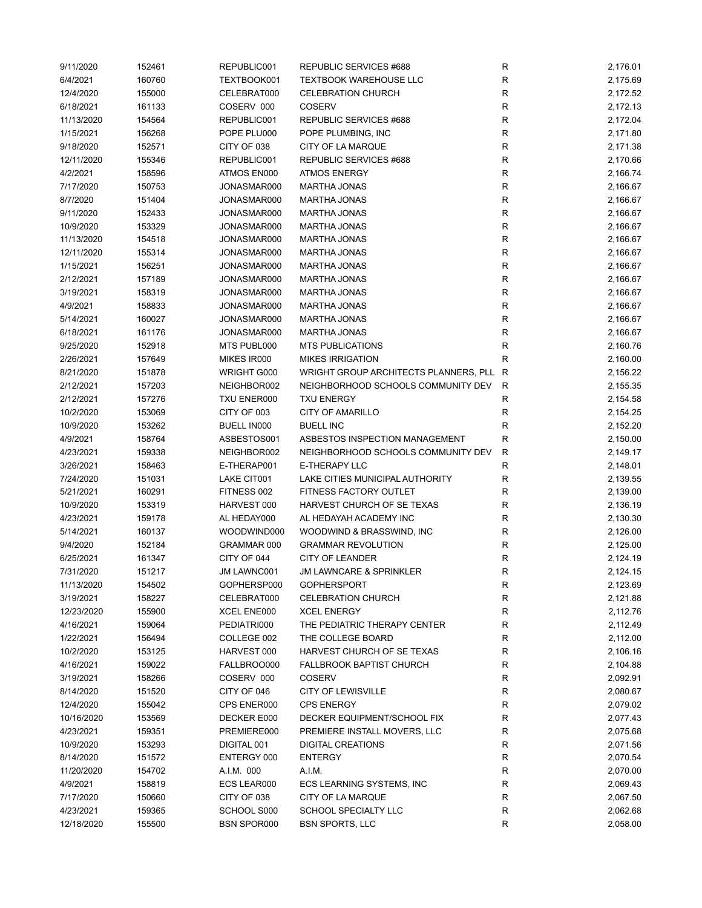| 9/11/2020  | 152461 | REPUBLIC001        | REPUBLIC SERVICES #688                | ${\sf R}$    | 2,176.01 |
|------------|--------|--------------------|---------------------------------------|--------------|----------|
| 6/4/2021   | 160760 | TEXTBOOK001        | <b>TEXTBOOK WAREHOUSE LLC</b>         | R            | 2,175.69 |
| 12/4/2020  | 155000 | CELEBRAT000        | <b>CELEBRATION CHURCH</b>             | $\mathsf R$  | 2,172.52 |
| 6/18/2021  | 161133 | COSERV 000         | <b>COSERV</b>                         | R            | 2,172.13 |
| 11/13/2020 | 154564 | REPUBLIC001        | REPUBLIC SERVICES #688                | R            | 2,172.04 |
| 1/15/2021  | 156268 | POPE PLU000        | POPE PLUMBING, INC                    | R            | 2,171.80 |
| 9/18/2020  | 152571 | CITY OF 038        | CITY OF LA MARQUE                     | $\mathsf R$  | 2,171.38 |
|            |        |                    |                                       |              |          |
| 12/11/2020 | 155346 | REPUBLIC001        | REPUBLIC SERVICES #688                | R            | 2,170.66 |
| 4/2/2021   | 158596 | ATMOS EN000        | <b>ATMOS ENERGY</b>                   | $\mathsf{R}$ | 2,166.74 |
| 7/17/2020  | 150753 | JONASMAR000        | <b>MARTHA JONAS</b>                   | ${\sf R}$    | 2,166.67 |
| 8/7/2020   | 151404 | JONASMAR000        | <b>MARTHA JONAS</b>                   | ${\sf R}$    | 2,166.67 |
| 9/11/2020  | 152433 | JONASMAR000        | <b>MARTHA JONAS</b>                   | ${\sf R}$    | 2,166.67 |
| 10/9/2020  | 153329 | JONASMAR000        | <b>MARTHA JONAS</b>                   | ${\sf R}$    | 2,166.67 |
| 11/13/2020 | 154518 | JONASMAR000        | <b>MARTHA JONAS</b>                   | ${\sf R}$    | 2,166.67 |
| 12/11/2020 | 155314 | JONASMAR000        | <b>MARTHA JONAS</b>                   | ${\sf R}$    | 2,166.67 |
| 1/15/2021  | 156251 | JONASMAR000        | <b>MARTHA JONAS</b>                   | R            | 2,166.67 |
| 2/12/2021  | 157189 | JONASMAR000        | <b>MARTHA JONAS</b>                   | R            | 2,166.67 |
| 3/19/2021  | 158319 | JONASMAR000        | <b>MARTHA JONAS</b>                   | R            | 2,166.67 |
| 4/9/2021   | 158833 | JONASMAR000        | <b>MARTHA JONAS</b>                   | ${\sf R}$    | 2,166.67 |
| 5/14/2021  | 160027 | JONASMAR000        | <b>MARTHA JONAS</b>                   | R            | 2,166.67 |
| 6/18/2021  | 161176 | JONASMAR000        | <b>MARTHA JONAS</b>                   | R            | 2,166.67 |
| 9/25/2020  | 152918 | MTS PUBL000        | <b>MTS PUBLICATIONS</b>               | R            | 2,160.76 |
|            |        |                    | <b>MIKES IRRIGATION</b>               |              |          |
| 2/26/2021  | 157649 | MIKES IR000        |                                       | R            | 2,160.00 |
| 8/21/2020  | 151878 | WRIGHT G000        | WRIGHT GROUP ARCHITECTS PLANNERS, PLL | R            | 2,156.22 |
| 2/12/2021  | 157203 | NEIGHBOR002        | NEIGHBORHOOD SCHOOLS COMMUNITY DEV    | R            | 2,155.35 |
| 2/12/2021  | 157276 | TXU ENER000        | <b>TXU ENERGY</b>                     | R            | 2,154.58 |
| 10/2/2020  | 153069 | CITY OF 003        | <b>CITY OF AMARILLO</b>               | ${\sf R}$    | 2,154.25 |
| 10/9/2020  | 153262 | <b>BUELL IN000</b> | <b>BUELL INC</b>                      | ${\sf R}$    | 2,152.20 |
| 4/9/2021   | 158764 | ASBESTOS001        | ASBESTOS INSPECTION MANAGEMENT        | $\mathsf R$  | 2,150.00 |
| 4/23/2021  | 159338 | NEIGHBOR002        | NEIGHBORHOOD SCHOOLS COMMUNITY DEV    | R            | 2,149.17 |
| 3/26/2021  | 158463 | E-THERAP001        | E-THERAPY LLC                         | R            | 2,148.01 |
| 7/24/2020  | 151031 | LAKE CIT001        | LAKE CITIES MUNICIPAL AUTHORITY       | $\mathsf R$  | 2,139.55 |
| 5/21/2021  | 160291 | FITNESS 002        | FITNESS FACTORY OUTLET                | $\mathsf R$  | 2,139.00 |
| 10/9/2020  | 153319 | HARVEST 000        | HARVEST CHURCH OF SE TEXAS            | R            | 2,136.19 |
| 4/23/2021  | 159178 | AL HEDAY000        | AL HEDAYAH ACADEMY INC                | R            | 2,130.30 |
| 5/14/2021  | 160137 | WOODWIND000        | WOODWIND & BRASSWIND, INC             | R            | 2,126.00 |
| 9/4/2020   | 152184 | GRAMMAR 000        | <b>GRAMMAR REVOLUTION</b>             | R            | 2,125.00 |
| 6/25/2021  | 161347 | CITY OF 044        | <b>CITY OF LEANDER</b>                | $\mathsf R$  | 2,124.19 |
| 7/31/2020  | 151217 | JM LAWNC001        | <b>JM LAWNCARE &amp; SPRINKLER</b>    | R            | 2,124.15 |
|            |        |                    |                                       |              |          |
| 11/13/2020 | 154502 | GOPHERSP000        | <b>GOPHERSPORT</b>                    | R            | 2,123.69 |
| 3/19/2021  | 158227 | CELEBRAT000        | <b>CELEBRATION CHURCH</b>             | R            | 2,121.88 |
| 12/23/2020 | 155900 | XCEL ENE000        | <b>XCEL ENERGY</b>                    | R            | 2,112.76 |
| 4/16/2021  | 159064 | PEDIATRI000        | THE PEDIATRIC THERAPY CENTER          | R            | 2,112.49 |
| 1/22/2021  | 156494 | COLLEGE 002        | THE COLLEGE BOARD                     | $\mathsf R$  | 2,112.00 |
| 10/2/2020  | 153125 | HARVEST 000        | HARVEST CHURCH OF SE TEXAS            | R            | 2,106.16 |
| 4/16/2021  | 159022 | FALLBROO000        | <b>FALLBROOK BAPTIST CHURCH</b>       | R            | 2,104.88 |
| 3/19/2021  | 158266 | COSERV 000         | <b>COSERV</b>                         | R            | 2,092.91 |
| 8/14/2020  | 151520 | CITY OF 046        | <b>CITY OF LEWISVILLE</b>             | R            | 2,080.67 |
| 12/4/2020  | 155042 | CPS ENER000        | <b>CPS ENERGY</b>                     | R            | 2,079.02 |
| 10/16/2020 | 153569 | DECKER E000        | DECKER EQUIPMENT/SCHOOL FIX           | R            | 2,077.43 |
| 4/23/2021  | 159351 | PREMIERE000        | PREMIERE INSTALL MOVERS, LLC          | R            | 2,075.68 |
| 10/9/2020  | 153293 | DIGITAL 001        | <b>DIGITAL CREATIONS</b>              | R            | 2,071.56 |
| 8/14/2020  | 151572 | ENTERGY 000        | <b>ENTERGY</b>                        | R            | 2,070.54 |
| 11/20/2020 | 154702 | A.I.M. 000         | A.I.M.                                | R            | 2,070.00 |
| 4/9/2021   | 158819 | ECS LEAR000        | ECS LEARNING SYSTEMS, INC             | R            | 2,069.43 |
| 7/17/2020  | 150660 | CITY OF 038        | CITY OF LA MARQUE                     | R            | 2,067.50 |
| 4/23/2021  | 159365 | SCHOOL S000        | SCHOOL SPECIALTY LLC                  | R            | 2,062.68 |
|            |        |                    |                                       |              |          |
| 12/18/2020 | 155500 | <b>BSN SPOR000</b> | <b>BSN SPORTS, LLC</b>                | $\mathsf R$  | 2,058.00 |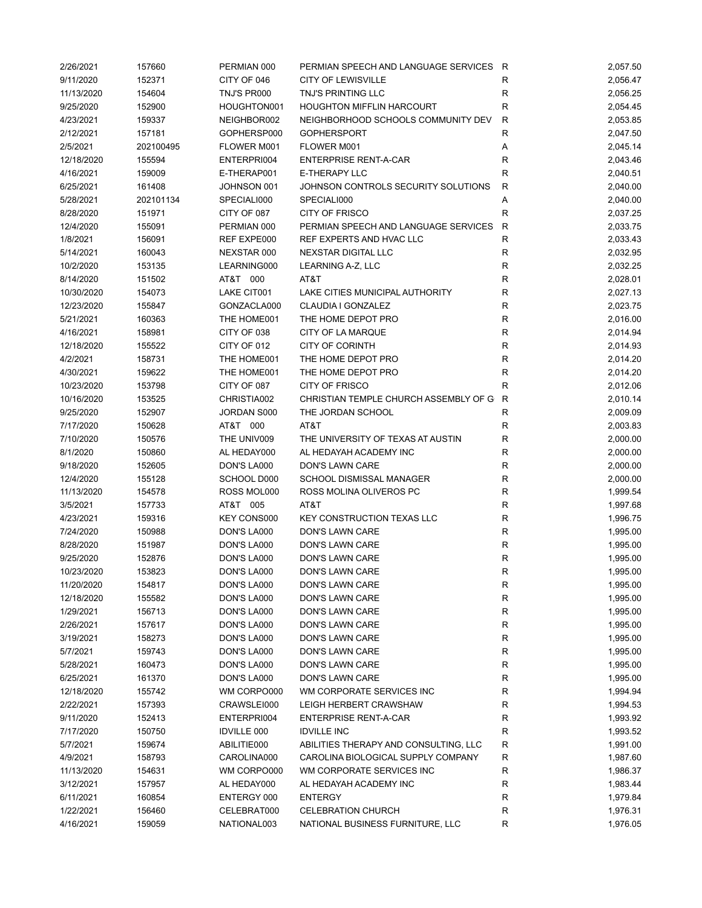| 2/26/2021              | 157660           | PERMIAN 000                | PERMIAN SPEECH AND LANGUAGE SERVICES R      |              | 2,057.50             |
|------------------------|------------------|----------------------------|---------------------------------------------|--------------|----------------------|
| 9/11/2020              | 152371           | CITY OF 046                | <b>CITY OF LEWISVILLE</b>                   | R            | 2,056.47             |
| 11/13/2020             | 154604           | TNJ'S PR000                | <b>TNJ'S PRINTING LLC</b>                   | R            | 2,056.25             |
| 9/25/2020              | 152900           | HOUGHTON001                | <b>HOUGHTON MIFFLIN HARCOURT</b>            | $\mathsf R$  | 2,054.45             |
| 4/23/2021              | 159337           | NEIGHBOR002                | NEIGHBORHOOD SCHOOLS COMMUNITY DEV          | $\mathsf{R}$ | 2,053.85             |
| 2/12/2021              | 157181           | GOPHERSP000                | <b>GOPHERSPORT</b>                          | R            | 2,047.50             |
| 2/5/2021               | 202100495        | FLOWER M001                | FLOWER M001                                 | Α            | 2,045.14             |
| 12/18/2020             | 155594           | ENTERPRI004                | ENTERPRISE RENT-A-CAR                       | R            | 2,043.46             |
| 4/16/2021              | 159009           | E-THERAP001                | E-THERAPY LLC                               | R            | 2,040.51             |
| 6/25/2021              | 161408           | JOHNSON 001                | JOHNSON CONTROLS SECURITY SOLUTIONS         | R            | 2,040.00             |
| 5/28/2021              | 202101134        | SPECIALI000                | SPECIALI000                                 | Α            | 2,040.00             |
| 8/28/2020              | 151971           | CITY OF 087                | <b>CITY OF FRISCO</b>                       | R            | 2,037.25             |
| 12/4/2020              | 155091           | PERMIAN 000                | PERMIAN SPEECH AND LANGUAGE SERVICES        | $\mathsf{R}$ | 2,033.75             |
| 1/8/2021               | 156091           | REF EXPE000                | REF EXPERTS AND HVAC LLC                    | $\mathsf R$  | 2,033.43             |
| 5/14/2021              | 160043           | NEXSTAR 000                | NEXSTAR DIGITAL LLC                         | R            | 2,032.95             |
| 10/2/2020              | 153135           | LEARNING000                | LEARNING A-Z, LLC                           | $\mathsf{R}$ | 2,032.25             |
| 8/14/2020              | 151502           | AT&T 000                   | AT&T                                        | $\mathsf R$  | 2,028.01             |
| 10/30/2020             | 154073           | LAKE CIT001                | LAKE CITIES MUNICIPAL AUTHORITY             | $\mathsf{R}$ | 2,027.13             |
| 12/23/2020             | 155847           | GONZACLA000                | CLAUDIA I GONZALEZ                          | R            | 2,023.75             |
| 5/21/2021              | 160363           | THE HOME001                | THE HOME DEPOT PRO                          | $\mathsf{R}$ | 2,016.00             |
| 4/16/2021              | 158981           | CITY OF 038                | CITY OF LA MARQUE                           | R            | 2,014.94             |
| 12/18/2020             | 155522           | CITY OF 012                | <b>CITY OF CORINTH</b>                      | R            | 2,014.93             |
| 4/2/2021               | 158731           | THE HOME001                | THE HOME DEPOT PRO                          | R            | 2,014.20             |
| 4/30/2021              | 159622           | THE HOME001                | THE HOME DEPOT PRO                          | R            | 2,014.20             |
| 10/23/2020             | 153798           | CITY OF 087                | <b>CITY OF FRISCO</b>                       | $\mathsf R$  | 2,012.06             |
| 10/16/2020             | 153525           | CHRISTIA002                | CHRISTIAN TEMPLE CHURCH ASSEMBLY OF G       | R            | 2,010.14             |
| 9/25/2020              | 152907           | JORDAN S000                | THE JORDAN SCHOOL                           | $\mathsf{R}$ | 2,009.09             |
| 7/17/2020              | 150628           | AT&T 000                   | AT&T                                        | $\mathsf{R}$ | 2,003.83             |
| 7/10/2020              | 150576           | THE UNIV009                | THE UNIVERSITY OF TEXAS AT AUSTIN           | R            | 2,000.00             |
| 8/1/2020               | 150860           | AL HEDAY000                | AL HEDAYAH ACADEMY INC                      | R            | 2,000.00             |
| 9/18/2020              | 152605           | DON'S LA000                | DON'S LAWN CARE                             | $\mathsf{R}$ | 2,000.00             |
| 12/4/2020              | 155128           | SCHOOL D000                | SCHOOL DISMISSAL MANAGER                    | $\mathsf R$  | 2,000.00             |
| 11/13/2020             | 154578           | ROSS MOL000                | ROSS MOLINA OLIVEROS PC                     | $\mathsf{R}$ | 1,999.54             |
| 3/5/2021               | 157733           | AT&T 005                   | AT&T                                        | R            | 1,997.68             |
| 4/23/2021              | 159316           | KEY CONS000                | KEY CONSTRUCTION TEXAS LLC                  | $\mathsf{R}$ | 1,996.75             |
| 7/24/2020              | 150988           | DON'S LA000                | DON'S LAWN CARE                             | R            | 1,995.00             |
| 8/28/2020              | 151987           | DON'S LA000                | DON'S LAWN CARE                             | R            | 1,995.00             |
| 9/25/2020              | 152876           | DON'S LA000                | DON'S LAWN CARE                             | $\mathsf{R}$ | 1,995.00             |
| 10/23/2020             | 153823           | DON'S LA000                | DON'S LAWN CARE                             | R            | 1,995.00             |
| 11/20/2020             | 154817           | DON'S LA000                | DON'S LAWN CARE                             | R            | 1,995.00             |
| 12/18/2020             | 155582           | DON'S LA000                | DON'S LAWN CARE                             | ${\sf R}$    | 1,995.00             |
| 1/29/2021              | 156713           | DON'S LA000                | DON'S LAWN CARE                             | ${\sf R}$    | 1,995.00             |
| 2/26/2021              | 157617           | DON'S LA000                | DON'S LAWN CARE                             | $\mathsf{R}$ | 1,995.00             |
| 3/19/2021              | 158273           | DON'S LA000                | DON'S LAWN CARE                             | R            | 1,995.00             |
| 5/7/2021               | 159743           | DON'S LA000                | DON'S LAWN CARE                             | R            | 1,995.00             |
| 5/28/2021              | 160473           | DON'S LA000                | DON'S LAWN CARE                             | R            | 1,995.00             |
| 6/25/2021              | 161370           | DON'S LA000                | DON'S LAWN CARE                             | R            | 1,995.00             |
| 12/18/2020             | 155742           | WM CORPO000                | WM CORPORATE SERVICES INC                   | R            | 1,994.94             |
| 2/22/2021              | 157393           | CRAWSLEI000                | LEIGH HERBERT CRAWSHAW                      | R            | 1,994.53             |
| 9/11/2020              | 152413           | ENTERPRI004                | <b>ENTERPRISE RENT-A-CAR</b>                | R            | 1,993.92             |
| 7/17/2020              | 150750           | <b>IDVILLE 000</b>         | <b>IDVILLE INC</b>                          | R            | 1,993.52             |
| 5/7/2021               | 159674           | ABILITIE000                | ABILITIES THERAPY AND CONSULTING, LLC       | R            | 1,991.00             |
| 4/9/2021               | 158793           | CAROLINA000                | CAROLINA BIOLOGICAL SUPPLY COMPANY          | R            | 1,987.60             |
| 11/13/2020             | 154631           | WM CORPO000                | WM CORPORATE SERVICES INC                   | R            | 1,986.37             |
| 3/12/2021              | 157957           | AL HEDAY000                | AL HEDAYAH ACADEMY INC                      | R            | 1,983.44             |
|                        |                  |                            |                                             | $\mathsf{R}$ |                      |
| 6/11/2021<br>1/22/2021 | 160854<br>156460 | ENTERGY 000<br>CELEBRAT000 | <b>ENTERGY</b><br><b>CELEBRATION CHURCH</b> | R            | 1,979.84<br>1,976.31 |
|                        |                  |                            |                                             |              |                      |
| 4/16/2021              | 159059           | NATIONAL003                | NATIONAL BUSINESS FURNITURE, LLC            | R            | 1,976.05             |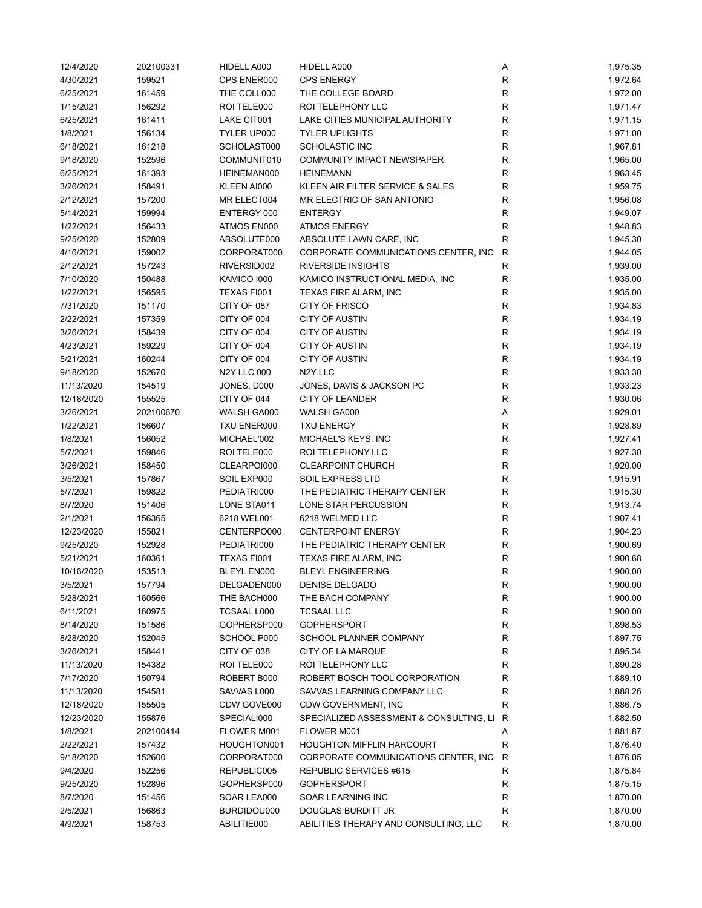| 12/4/2020  | 202100331 | HIDELL A000        | HIDELL A000                             | Α            | 1,975.35 |
|------------|-----------|--------------------|-----------------------------------------|--------------|----------|
| 4/30/2021  | 159521    | CPS ENER000        | <b>CPS ENERGY</b>                       | R            | 1,972.64 |
| 6/25/2021  | 161459    | THE COLL000        | THE COLLEGE BOARD                       | R            | 1,972.00 |
| 1/15/2021  | 156292    | ROI TELE000        | ROI TELEPHONY LLC                       | $\mathsf{R}$ | 1,971.47 |
| 6/25/2021  | 161411    | LAKE CIT001        | LAKE CITIES MUNICIPAL AUTHORITY         | R            | 1,971.15 |
| 1/8/2021   | 156134    | TYLER UP000        | <b>TYLER UPLIGHTS</b>                   | R            | 1,971.00 |
| 6/18/2021  | 161218    | SCHOLAST000        | SCHOLASTIC INC                          | $\mathsf{R}$ | 1,967.81 |
| 9/18/2020  | 152596    | COMMUNIT010        | COMMUNITY IMPACT NEWSPAPER              | $\mathsf R$  | 1,965.00 |
| 6/25/2021  | 161393    | HEINEMAN000        | <b>HEINEMANN</b>                        | $\mathsf{R}$ | 1,963.45 |
| 3/26/2021  | 158491    | KLEEN AI000        | KLEEN AIR FILTER SERVICE & SALES        | $\mathsf R$  | 1,959.75 |
| 2/12/2021  | 157200    | MR ELECT004        | MR ELECTRIC OF SAN ANTONIO              | $\mathsf{R}$ | 1,956.08 |
| 5/14/2021  | 159994    | ENTERGY 000        | <b>ENTERGY</b>                          | $\mathsf R$  | 1,949.07 |
| 1/22/2021  | 156433    | ATMOS EN000        | <b>ATMOS ENERGY</b>                     | R            | 1,948.83 |
| 9/25/2020  | 152809    | ABSOLUTE000        | ABSOLUTE LAWN CARE, INC                 | R            | 1,945.30 |
| 4/16/2021  | 159002    | CORPORAT000        | CORPORATE COMMUNICATIONS CENTER, INC    | R            | 1,944.05 |
| 2/12/2021  | 157243    | RIVERSID002        | <b>RIVERSIDE INSIGHTS</b>               | R            | 1,939.00 |
| 7/10/2020  | 150488    | KAMICO 1000        | KAMICO INSTRUCTIONAL MEDIA, INC         | R            | 1,935.00 |
| 1/22/2021  | 156595    | TEXAS FI001        | TEXAS FIRE ALARM, INC                   | $\mathsf{R}$ | 1,935.00 |
| 7/31/2020  | 151170    | CITY OF 087        | CITY OF FRISCO                          | R            | 1,934.83 |
| 2/22/2021  | 157359    | CITY OF 004        | <b>CITY OF AUSTIN</b>                   | R            | 1,934.19 |
| 3/26/2021  | 158439    | CITY OF 004        | <b>CITY OF AUSTIN</b>                   | R            | 1,934.19 |
| 4/23/2021  | 159229    | CITY OF 004        | <b>CITY OF AUSTIN</b>                   | $\mathsf{R}$ | 1,934.19 |
| 5/21/2021  | 160244    | CITY OF 004        | <b>CITY OF AUSTIN</b>                   | $\mathsf{R}$ | 1,934.19 |
| 9/18/2020  | 152670    | <b>N2Y LLC 000</b> | N <sub>2</sub> Y LLC                    | ${\sf R}$    | 1,933.30 |
|            |           | JONES, D000        |                                         | ${\sf R}$    |          |
| 11/13/2020 | 154519    |                    | JONES, DAVIS & JACKSON PC               | $\mathsf{R}$ | 1,933.23 |
| 12/18/2020 | 155525    | CITY OF 044        | CITY OF LEANDER                         |              | 1,930.06 |
| 3/26/2021  | 202100670 | WALSH GA000        | WALSH GA000                             | Α            | 1,929.01 |
| 1/22/2021  | 156607    | TXU ENER000        | <b>TXU ENERGY</b>                       | R            | 1,928.89 |
| 1/8/2021   | 156052    | MICHAEL'002        | MICHAEL'S KEYS, INC                     | ${\sf R}$    | 1,927.41 |
| 5/7/2021   | 159846    | ROI TELE000        | ROI TELEPHONY LLC                       | $\mathsf R$  | 1,927.30 |
| 3/26/2021  | 158450    | CLEARPOI000        | <b>CLEARPOINT CHURCH</b>                | $\mathsf{R}$ | 1,920.00 |
| 3/5/2021   | 157867    | SOIL EXP000        | SOIL EXPRESS LTD                        | $\mathsf R$  | 1,915.91 |
| 5/7/2021   | 159822    | PEDIATRI000        | THE PEDIATRIC THERAPY CENTER            | $\mathsf R$  | 1,915.30 |
| 8/7/2020   | 151406    | LONE STA011        | LONE STAR PERCUSSION                    | R            | 1,913.74 |
| 2/1/2021   | 156365    | 6218 WEL001        | 6218 WELMED LLC                         | R            | 1,907.41 |
| 12/23/2020 | 155821    | CENTERPO000        | <b>CENTERPOINT ENERGY</b>               | $\mathsf{R}$ | 1,904.23 |
| 9/25/2020  | 152928    | PEDIATRI000        | THE PEDIATRIC THERAPY CENTER            | $\mathsf{R}$ | 1,900.69 |
| 5/21/2021  | 160361    | TEXAS FI001        | TEXAS FIRE ALARM, INC                   | $\mathsf{R}$ | 1,900.68 |
| 10/16/2020 | 153513    | BLEYL EN000        | <b>BLEYL ENGINEERING</b>                | R            | 1,900.00 |
| 3/5/2021   | 157794    | DELGADEN000        | DENISE DELGADO                          | ${\sf R}$    | 1,900.00 |
| 5/28/2021  | 160566    | THE BACH000        | THE BACH COMPANY                        | R            | 1,900.00 |
| 6/11/2021  | 160975    | <b>TCSAAL L000</b> | <b>TCSAAL LLC</b>                       | ${\sf R}$    | 1,900.00 |
| 8/14/2020  | 151586    | GOPHERSP000        | <b>GOPHERSPORT</b>                      | R            | 1,898.53 |
| 8/28/2020  | 152045    | SCHOOL P000        | SCHOOL PLANNER COMPANY                  | R            | 1,897.75 |
| 3/26/2021  | 158441    | CITY OF 038        | CITY OF LA MARQUE                       | R            | 1,895.34 |
| 11/13/2020 | 154382    | ROI TELE000        | ROI TELEPHONY LLC                       | R            | 1,890.28 |
| 7/17/2020  | 150794    | ROBERT B000        | ROBERT BOSCH TOOL CORPORATION           | $\mathsf R$  | 1,889.10 |
| 11/13/2020 | 154581    | SAVVAS L000        | SAVVAS LEARNING COMPANY LLC             | R            | 1,888.26 |
| 12/18/2020 | 155505    | CDW GOVE000        | CDW GOVERNMENT, INC                     | R            | 1,886.75 |
| 12/23/2020 | 155876    | SPECIALI000        | SPECIALIZED ASSESSMENT & CONSULTING, LI | R            | 1,882.50 |
| 1/8/2021   | 202100414 | FLOWER M001        | FLOWER M001                             | Α            | 1,881.87 |
| 2/22/2021  | 157432    | HOUGHTON001        | <b>HOUGHTON MIFFLIN HARCOURT</b>        | R            | 1,876.40 |
| 9/18/2020  | 152600    | CORPORAT000        | CORPORATE COMMUNICATIONS CENTER, INC.   | R            | 1,876.05 |
| 9/4/2020   | 152256    | REPUBLIC005        | REPUBLIC SERVICES #615                  | R            | 1,875.84 |
| 9/25/2020  | 152896    | GOPHERSP000        | <b>GOPHERSPORT</b>                      | ${\sf R}$    | 1,875.15 |
| 8/7/2020   | 151456    | SOAR LEA000        | SOAR LEARNING INC                       | R            | 1,870.00 |
| 2/5/2021   | 156863    | BURDIDOU000        | DOUGLAS BURDITT JR                      | R            | 1,870.00 |
| 4/9/2021   | 158753    | ABILITIE000        | ABILITIES THERAPY AND CONSULTING, LLC   | R            | 1,870.00 |
|            |           |                    |                                         |              |          |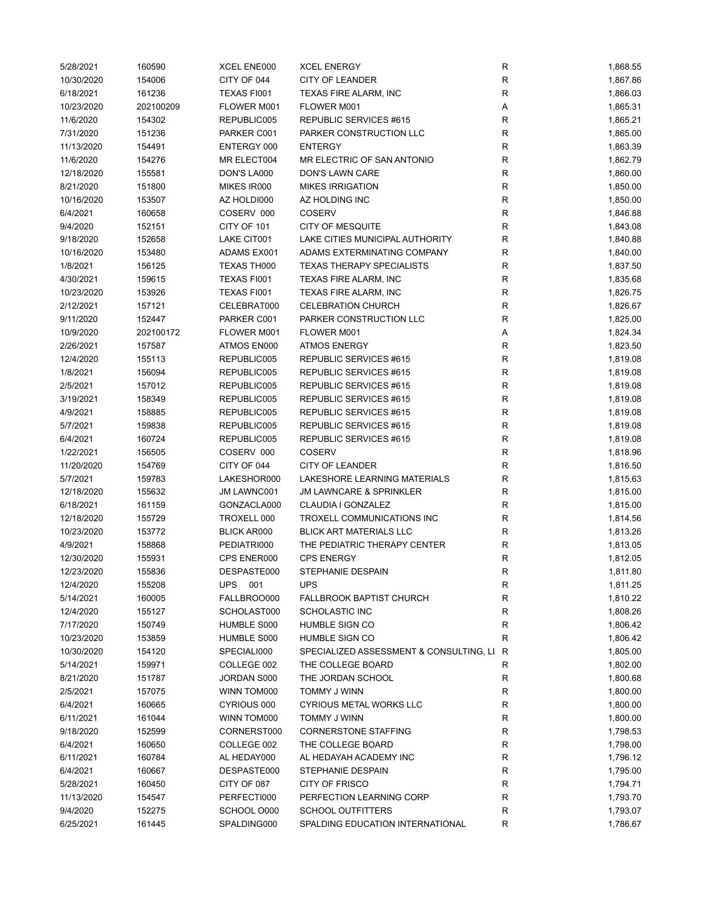| 5/28/2021  | 160590    | XCEL ENE000        | <b>XCEL ENERGY</b>                      | R            | 1,868.55 |
|------------|-----------|--------------------|-----------------------------------------|--------------|----------|
| 10/30/2020 | 154006    | CITY OF 044        | CITY OF LEANDER                         | R            | 1,867.86 |
| 6/18/2021  | 161236    | TEXAS FI001        | TEXAS FIRE ALARM, INC                   | ${\sf R}$    | 1,866.03 |
| 10/23/2020 | 202100209 | FLOWER M001        | FLOWER M001                             | Α            | 1,865.31 |
| 11/6/2020  | 154302    | REPUBLIC005        | REPUBLIC SERVICES #615                  | R            | 1,865.21 |
| 7/31/2020  | 151236    | PARKER C001        | PARKER CONSTRUCTION LLC                 | R            | 1,865.00 |
| 11/13/2020 | 154491    | ENTERGY 000        | <b>ENTERGY</b>                          | $\mathsf{R}$ | 1,863.39 |
| 11/6/2020  | 154276    | MR ELECT004        | MR ELECTRIC OF SAN ANTONIO              | $\mathsf{R}$ | 1,862.79 |
| 12/18/2020 | 155581    |                    | DON'S LAWN CARE                         | $\mathsf{R}$ | 1,860.00 |
|            |           | DON'S LA000        |                                         |              |          |
| 8/21/2020  | 151800    | MIKES IR000        | <b>MIKES IRRIGATION</b>                 | $\mathsf{R}$ | 1,850.00 |
| 10/16/2020 | 153507    | AZ HOLDI000        | AZ HOLDING INC                          | $\mathsf R$  | 1,850.00 |
| 6/4/2021   | 160658    | COSERV 000         | <b>COSERV</b>                           | R            | 1,846.88 |
| 9/4/2020   | 152151    | CITY OF 101        | <b>CITY OF MESQUITE</b>                 | R            | 1,843.08 |
| 9/18/2020  | 152658    | LAKE CIT001        | LAKE CITIES MUNICIPAL AUTHORITY         | $\mathsf{R}$ | 1,840.88 |
| 10/16/2020 | 153480    | ADAMS EX001        | ADAMS EXTERMINATING COMPANY             | R            | 1,840.00 |
| 1/8/2021   | 156125    | TEXAS TH000        | <b>TEXAS THERAPY SPECIALISTS</b>        | R            | 1,837.50 |
| 4/30/2021  | 159615    | TEXAS FI001        | TEXAS FIRE ALARM, INC                   | $\mathsf{R}$ | 1,835.68 |
| 10/23/2020 | 153926    | TEXAS FI001        | TEXAS FIRE ALARM, INC                   | R            | 1,826.75 |
| 2/12/2021  | 157121    | CELEBRAT000        | <b>CELEBRATION CHURCH</b>               | R            | 1,826.67 |
| 9/11/2020  | 152447    | PARKER C001        | PARKER CONSTRUCTION LLC                 | R            | 1,825.00 |
| 10/9/2020  | 202100172 | FLOWER M001        | FLOWER M001                             | Α            | 1,824.34 |
| 2/26/2021  | 157587    | ATMOS EN000        | <b>ATMOS ENERGY</b>                     | R            | 1,823.50 |
| 12/4/2020  | 155113    | REPUBLIC005        | REPUBLIC SERVICES #615                  | ${\sf R}$    | 1,819.08 |
| 1/8/2021   | 156094    | REPUBLIC005        | REPUBLIC SERVICES #615                  | ${\sf R}$    | 1,819.08 |
| 2/5/2021   | 157012    | REPUBLIC005        | REPUBLIC SERVICES #615                  | $\mathsf{R}$ | 1,819.08 |
| 3/19/2021  | 158349    | REPUBLIC005        | REPUBLIC SERVICES #615                  | R            | 1,819.08 |
|            |           |                    |                                         |              |          |
| 4/9/2021   | 158885    | REPUBLIC005        | REPUBLIC SERVICES #615                  | R            | 1,819.08 |
| 5/7/2021   | 159838    | REPUBLIC005        | REPUBLIC SERVICES #615                  | R            | 1,819.08 |
| 6/4/2021   | 160724    | REPUBLIC005        | REPUBLIC SERVICES #615                  | $\mathsf R$  | 1,819.08 |
| 1/22/2021  | 156505    | COSERV 000         | <b>COSERV</b>                           | $\mathsf R$  | 1,818.96 |
| 11/20/2020 | 154769    | CITY OF 044        | <b>CITY OF LEANDER</b>                  | R            | 1,816.50 |
| 5/7/2021   | 159783    | LAKESHOR000        | LAKESHORE LEARNING MATERIALS            | R            | 1,815.63 |
| 12/18/2020 | 155632    | JM LAWNC001        | <b>JM LAWNCARE &amp; SPRINKLER</b>      | R            | 1,815.00 |
| 6/18/2021  | 161159    | GONZACLA000        | CLAUDIA I GONZALEZ                      | R            | 1,815.00 |
| 12/18/2020 | 155729    | TROXELL 000        | TROXELL COMMUNICATIONS INC              | R            | 1,814.56 |
| 10/23/2020 | 153772    | <b>BLICK AR000</b> | <b>BLICK ART MATERIALS LLC</b>          | R            | 1,813.26 |
| 4/9/2021   | 158868    | PEDIATRI000        | THE PEDIATRIC THERAPY CENTER            | $\mathsf{R}$ | 1,813.05 |
| 12/30/2020 | 155931    | CPS ENER000        | <b>CPS ENERGY</b>                       | R            | 1,812.05 |
| 12/23/2020 | 155836    | DESPASTE000        | STEPHANIE DESPAIN                       | R            | 1,811.80 |
| 12/4/2020  | 155208    | <b>UPS</b><br>001  | <b>UPS</b>                              | ${\sf R}$    | 1,811.25 |
| 5/14/2021  | 160005    | FALLBROO000        | <b>FALLBROOK BAPTIST CHURCH</b>         | R            | 1,810.22 |
| 12/4/2020  | 155127    | SCHOLAST000        | <b>SCHOLASTIC INC</b>                   | R            | 1,808.26 |
| 7/17/2020  | 150749    | HUMBLE S000        | HUMBLE SIGN CO                          | R            | 1,806.42 |
| 10/23/2020 | 153859    | HUMBLE S000        | HUMBLE SIGN CO                          | R            | 1,806.42 |
| 10/30/2020 | 154120    | SPECIALI000        | SPECIALIZED ASSESSMENT & CONSULTING, LI | R            | 1,805.00 |
| 5/14/2021  | 159971    | COLLEGE 002        | THE COLLEGE BOARD                       | R            | 1,802.00 |
| 8/21/2020  | 151787    | JORDAN S000        | THE JORDAN SCHOOL                       | R            | 1,800.68 |
| 2/5/2021   | 157075    | WINN TOM000        | TOMMY J WINN                            | R            | 1,800.00 |
| 6/4/2021   | 160665    | CYRIOUS 000        | <b>CYRIOUS METAL WORKS LLC</b>          | R            | 1,800.00 |
|            |           |                    |                                         |              |          |
| 6/11/2021  | 161044    | WINN TOM000        | TOMMY J WINN                            | R            | 1,800.00 |
| 9/18/2020  | 152599    | CORNERST000        | <b>CORNERSTONE STAFFING</b>             | R            | 1,798.53 |
| 6/4/2021   | 160650    | COLLEGE 002        | THE COLLEGE BOARD                       | R            | 1,798.00 |
| 6/11/2021  | 160784    | AL HEDAY000        | AL HEDAYAH ACADEMY INC                  | R            | 1,796.12 |
| 6/4/2021   | 160667    | DESPASTE000        | STEPHANIE DESPAIN                       | $\mathsf{R}$ | 1,795.00 |
| 5/28/2021  | 160450    | CITY OF 087        | CITY OF FRISCO                          | R            | 1,794.71 |
| 11/13/2020 | 154547    | PERFECTI000        | PERFECTION LEARNING CORP                | R            | 1,793.70 |
| 9/4/2020   | 152275    | SCHOOL O000        | <b>SCHOOL OUTFITTERS</b>                | R            | 1,793.07 |
| 6/25/2021  | 161445    | SPALDING000        | SPALDING EDUCATION INTERNATIONAL        | R            | 1,786.67 |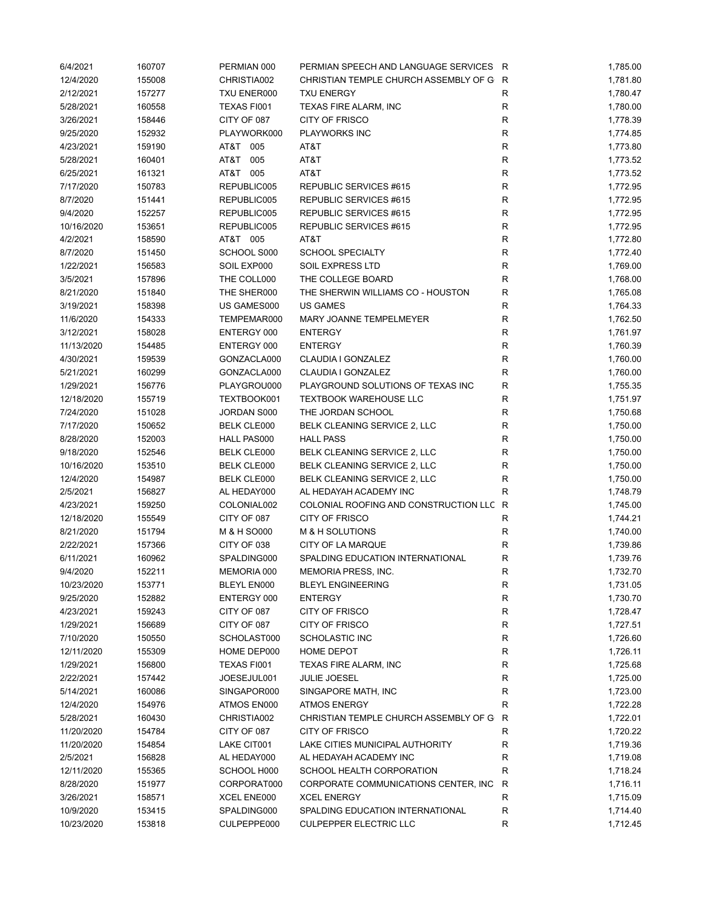| 6/4/2021   | 160707 | PERMIAN 000        | PERMIAN SPEECH AND LANGUAGE SERVICES R  |              | 1,785.00 |
|------------|--------|--------------------|-----------------------------------------|--------------|----------|
| 12/4/2020  | 155008 | CHRISTIA002        | CHRISTIAN TEMPLE CHURCH ASSEMBLY OF G R |              | 1,781.80 |
| 2/12/2021  | 157277 | TXU ENER000        | <b>TXU ENERGY</b>                       | R            | 1,780.47 |
| 5/28/2021  | 160558 | TEXAS FI001        | TEXAS FIRE ALARM, INC                   | R            | 1,780.00 |
| 3/26/2021  | 158446 | CITY OF 087        | <b>CITY OF FRISCO</b>                   | $\mathsf R$  | 1,778.39 |
| 9/25/2020  | 152932 | PLAYWORK000        | <b>PLAYWORKS INC</b>                    | R            | 1,774.85 |
| 4/23/2021  | 159190 | AT&T 005           | AT&T                                    | R            | 1,773.80 |
| 5/28/2021  | 160401 | AT&T 005           | AT&T                                    | $\mathsf{R}$ | 1,773.52 |
| 6/25/2021  | 161321 | AT&T 005           | AT&T                                    | ${\sf R}$    | 1,773.52 |
| 7/17/2020  | 150783 | REPUBLIC005        | REPUBLIC SERVICES #615                  | ${\sf R}$    | 1,772.95 |
| 8/7/2020   | 151441 | REPUBLIC005        | REPUBLIC SERVICES #615                  | $\mathsf{R}$ | 1,772.95 |
| 9/4/2020   | 152257 | REPUBLIC005        | REPUBLIC SERVICES #615                  | ${\sf R}$    | 1,772.95 |
| 10/16/2020 | 153651 | REPUBLIC005        | REPUBLIC SERVICES #615                  | $\mathsf R$  | 1,772.95 |
| 4/2/2021   | 158590 | AT&T 005           | AT&T                                    | $\mathsf R$  | 1,772.80 |
| 8/7/2020   | 151450 | SCHOOL S000        | <b>SCHOOL SPECIALTY</b>                 | R            | 1,772.40 |
| 1/22/2021  | 156583 | SOIL EXP000        | SOIL EXPRESS LTD                        | R            | 1,769.00 |
| 3/5/2021   | 157896 | THE COLL000        | THE COLLEGE BOARD                       | $\mathsf R$  | 1,768.00 |
| 8/21/2020  | 151840 | THE SHER000        | THE SHERWIN WILLIAMS CO - HOUSTON       | $\mathsf R$  | 1,765.08 |
| 3/19/2021  | 158398 | US GAMES000        | <b>US GAMES</b>                         | $\mathsf R$  | 1,764.33 |
| 11/6/2020  | 154333 | TEMPEMAR000        | MARY JOANNE TEMPELMEYER                 | R            | 1,762.50 |
| 3/12/2021  | 158028 | ENTERGY 000        | <b>ENTERGY</b>                          | R            | 1,761.97 |
| 11/13/2020 | 154485 | ENTERGY 000        | <b>ENTERGY</b>                          | R            | 1,760.39 |
| 4/30/2021  | 159539 | GONZACLA000        | CLAUDIA I GONZALEZ                      | $\mathsf R$  | 1,760.00 |
| 5/21/2021  | 160299 | GONZACLA000        | CLAUDIA I GONZALEZ                      | $\mathsf R$  | 1,760.00 |
|            |        |                    |                                         | $\mathsf R$  |          |
| 1/29/2021  | 156776 | PLAYGROU000        | PLAYGROUND SOLUTIONS OF TEXAS INC       | ${\sf R}$    | 1,755.35 |
| 12/18/2020 | 155719 | TEXTBOOK001        | <b>TEXTBOOK WAREHOUSE LLC</b>           | $\mathsf R$  | 1,751.97 |
| 7/24/2020  | 151028 | JORDAN S000        | THE JORDAN SCHOOL                       |              | 1,750.68 |
| 7/17/2020  | 150652 | <b>BELK CLE000</b> | BELK CLEANING SERVICE 2, LLC            | $\mathsf R$  | 1,750.00 |
| 8/28/2020  | 152003 | HALL PAS000        | <b>HALL PASS</b>                        | R            | 1,750.00 |
| 9/18/2020  | 152546 | <b>BELK CLE000</b> | BELK CLEANING SERVICE 2, LLC            | $\mathsf R$  | 1,750.00 |
| 10/16/2020 | 153510 | <b>BELK CLE000</b> | BELK CLEANING SERVICE 2, LLC            | $\mathsf R$  | 1,750.00 |
| 12/4/2020  | 154987 | <b>BELK CLE000</b> | BELK CLEANING SERVICE 2, LLC            | R            | 1,750.00 |
| 2/5/2021   | 156827 | AL HEDAY000        | AL HEDAYAH ACADEMY INC                  | R            | 1,748.79 |
| 4/23/2021  | 159250 | COLONIAL002        | COLONIAL ROOFING AND CONSTRUCTION LLC R |              | 1,745.00 |
| 12/18/2020 | 155549 | CITY OF 087        | CITY OF FRISCO                          | R            | 1,744.21 |
| 8/21/2020  | 151794 | M & H SO000        | M & H SOLUTIONS                         | R            | 1,740.00 |
| 2/22/2021  | 157366 | CITY OF 038        | CITY OF LA MARQUE                       | $\mathsf R$  | 1,739.86 |
| 6/11/2021  | 160962 | SPALDING000        | SPALDING EDUCATION INTERNATIONAL        | $\mathsf R$  | 1,739.76 |
| 9/4/2020   | 152211 | MEMORIA 000        | MEMORIA PRESS, INC.                     | R            | 1,732.70 |
| 10/23/2020 | 153771 | BLEYL EN000        | <b>BLEYL ENGINEERING</b>                | R            | 1,731.05 |
| 9/25/2020  | 152882 | ENTERGY 000        | <b>ENTERGY</b>                          | R            | 1,730.70 |
| 4/23/2021  | 159243 | CITY OF 087        | CITY OF FRISCO                          | R            | 1,728.47 |
| 1/29/2021  | 156689 | CITY OF 087        | CITY OF FRISCO                          | R            | 1,727.51 |
| 7/10/2020  | 150550 | SCHOLAST000        | <b>SCHOLASTIC INC</b>                   | R            | 1,726.60 |
| 12/11/2020 | 155309 | HOME DEP000        | <b>HOME DEPOT</b>                       | R            | 1,726.11 |
| 1/29/2021  | 156800 | TEXAS FI001        | TEXAS FIRE ALARM, INC                   | R            | 1,725.68 |
| 2/22/2021  | 157442 | JOESEJUL001        | <b>JULIE JOESEL</b>                     | R            | 1,725.00 |
| 5/14/2021  | 160086 | SINGAPOR000        | SINGAPORE MATH, INC                     | R            | 1,723.00 |
| 12/4/2020  | 154976 | ATMOS EN000        | <b>ATMOS ENERGY</b>                     | R            | 1,722.28 |
| 5/28/2021  | 160430 | CHRISTIA002        | CHRISTIAN TEMPLE CHURCH ASSEMBLY OF G   | R            | 1,722.01 |
| 11/20/2020 | 154784 | CITY OF 087        | <b>CITY OF FRISCO</b>                   | R            | 1,720.22 |
| 11/20/2020 | 154854 | LAKE CIT001        | LAKE CITIES MUNICIPAL AUTHORITY         | R            | 1,719.36 |
| 2/5/2021   | 156828 | AL HEDAY000        | AL HEDAYAH ACADEMY INC                  | R            | 1,719.08 |
| 12/11/2020 | 155365 | SCHOOL H000        | SCHOOL HEALTH CORPORATION               | R            | 1,718.24 |
| 8/28/2020  | 151977 | CORPORAT000        | CORPORATE COMMUNICATIONS CENTER, INC.   | R            | 1,716.11 |
| 3/26/2021  | 158571 | XCEL ENE000        | <b>XCEL ENERGY</b>                      | $\mathsf{R}$ | 1,715.09 |
| 10/9/2020  | 153415 | SPALDING000        | SPALDING EDUCATION INTERNATIONAL        | R            | 1,714.40 |
| 10/23/2020 | 153818 | CULPEPPE000        | <b>CULPEPPER ELECTRIC LLC</b>           | R            | 1,712.45 |
|            |        |                    |                                         |              |          |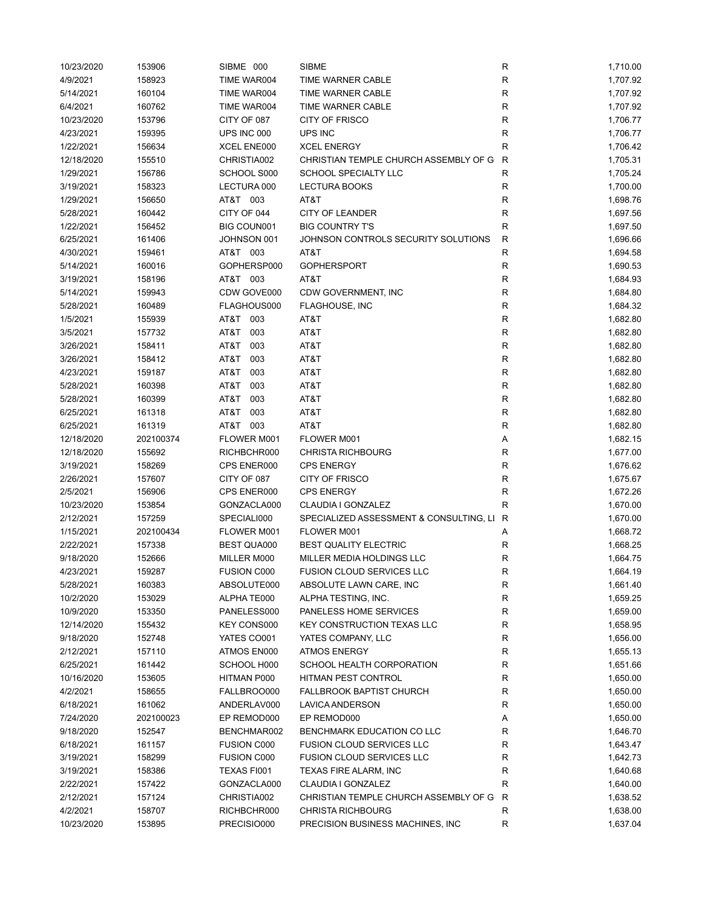| 10/23/2020 | 153906    | SIBME 000          | <b>SIBME</b>                            | R            | 1,710.00 |
|------------|-----------|--------------------|-----------------------------------------|--------------|----------|
| 4/9/2021   | 158923    | TIME WAR004        | TIME WARNER CABLE                       | R            | 1,707.92 |
| 5/14/2021  | 160104    | TIME WAR004        | TIME WARNER CABLE                       | R            | 1,707.92 |
| 6/4/2021   | 160762    | TIME WAR004        | TIME WARNER CABLE                       | R            | 1,707.92 |
| 10/23/2020 | 153796    | CITY OF 087        | <b>CITY OF FRISCO</b>                   | R            | 1,706.77 |
| 4/23/2021  | 159395    | UPS INC 000        | UPS INC                                 | R            | 1,706.77 |
| 1/22/2021  | 156634    | XCEL ENE000        | <b>XCEL ENERGY</b>                      | R            | 1,706.42 |
| 12/18/2020 | 155510    | CHRISTIA002        | CHRISTIAN TEMPLE CHURCH ASSEMBLY OF G   | R            | 1,705.31 |
| 1/29/2021  | 156786    | SCHOOL S000        | SCHOOL SPECIALTY LLC                    | R            | 1,705.24 |
| 3/19/2021  | 158323    | LECTURA 000        | <b>LECTURA BOOKS</b>                    | R            | 1,700.00 |
| 1/29/2021  | 156650    | AT&T 003           | AT&T                                    | R            | 1,698.76 |
| 5/28/2021  | 160442    | CITY OF 044        | CITY OF LEANDER                         | $\mathsf R$  | 1,697.56 |
| 1/22/2021  | 156452    | BIG COUN001        | <b>BIG COUNTRY T'S</b>                  | $\mathsf R$  | 1,697.50 |
| 6/25/2021  | 161406    | JOHNSON 001        | JOHNSON CONTROLS SECURITY SOLUTIONS     | R            | 1,696.66 |
| 4/30/2021  | 159461    | AT&T 003           | AT&T                                    | $\mathsf R$  | 1,694.58 |
| 5/14/2021  | 160016    | GOPHERSP000        | <b>GOPHERSPORT</b>                      | R            | 1,690.53 |
| 3/19/2021  | 158196    | AT&T 003           | AT&T                                    | R            | 1,684.93 |
| 5/14/2021  | 159943    | CDW GOVE000        | CDW GOVERNMENT, INC                     | $\mathsf R$  | 1,684.80 |
| 5/28/2021  | 160489    | FLAGHOUS000        | FLAGHOUSE, INC                          | $\mathsf R$  | 1,684.32 |
| 1/5/2021   | 155939    | AT&T 003           | AT&T                                    | R            | 1,682.80 |
| 3/5/2021   | 157732    | AT&T<br>003        | AT&T                                    | R            | 1,682.80 |
| 3/26/2021  | 158411    | T&TA<br>003        | AT&T                                    | R            | 1,682.80 |
| 3/26/2021  | 158412    | AT&T<br>003        | AT&T                                    | R            | 1,682.80 |
| 4/23/2021  | 159187    | T&TA<br>003        | AT&T                                    | R            | 1,682.80 |
| 5/28/2021  | 160398    | AT&T<br>003        | AT&T                                    | $\mathsf R$  | 1,682.80 |
| 5/28/2021  | 160399    | AT&T<br>003        | AT&T                                    | $\mathsf R$  | 1,682.80 |
| 6/25/2021  | 161318    | AT&T<br>003        | AT&T                                    | $\mathsf R$  | 1,682.80 |
|            |           | AT&T<br>003        |                                         | $\mathsf R$  |          |
| 6/25/2021  | 161319    |                    | AT&T                                    |              | 1,682.80 |
| 12/18/2020 | 202100374 | FLOWER M001        | FLOWER M001                             | Α            | 1,682.15 |
| 12/18/2020 | 155692    | RICHBCHR000        | <b>CHRISTA RICHBOURG</b>                | $\mathsf R$  | 1,677.00 |
| 3/19/2021  | 158269    | CPS ENER000        | <b>CPS ENERGY</b>                       | R            | 1,676.62 |
| 2/26/2021  | 157607    | CITY OF 087        | <b>CITY OF FRISCO</b>                   | $\mathsf R$  | 1,675.67 |
| 2/5/2021   | 156906    | CPS ENER000        | <b>CPS ENERGY</b>                       | R            | 1,672.26 |
| 10/23/2020 | 153854    | GONZACLA000        | CLAUDIA I GONZALEZ                      | R            | 1,670.00 |
| 2/12/2021  | 157259    | SPECIALI000        | SPECIALIZED ASSESSMENT & CONSULTING, LI | R            | 1,670.00 |
| 1/15/2021  | 202100434 | FLOWER M001        | FLOWER M001                             | A            | 1,668.72 |
| 2/22/2021  | 157338    | <b>BEST QUA000</b> | <b>BEST QUALITY ELECTRIC</b>            | R            | 1,668.25 |
| 9/18/2020  | 152666    | MILLER M000        | MILLER MEDIA HOLDINGS LLC               | R            | 1,664.75 |
| 4/23/2021  | 159287    | FUSION C000        | FUSION CLOUD SERVICES LLC               | R            | 1,664.19 |
| 5/28/2021  | 160383    | ABSOLUTE000        | ABSOLUTE LAWN CARE, INC                 | R            | 1,661.40 |
| 10/2/2020  | 153029    | ALPHATE000         | ALPHA TESTING, INC.                     | R            | 1,659.25 |
| 10/9/2020  | 153350    | PANELESS000        | PANELESS HOME SERVICES                  | R            | 1,659.00 |
| 12/14/2020 | 155432    | <b>KEY CONS000</b> | <b>KEY CONSTRUCTION TEXAS LLC</b>       | R            | 1,658.95 |
| 9/18/2020  | 152748    | YATES CO001        | YATES COMPANY, LLC                      | R            | 1,656.00 |
| 2/12/2021  | 157110    | ATMOS EN000        | <b>ATMOS ENERGY</b>                     | R            | 1,655.13 |
| 6/25/2021  | 161442    | SCHOOL H000        | SCHOOL HEALTH CORPORATION               | R            | 1,651.66 |
| 10/16/2020 | 153605    | HITMAN P000        | HITMAN PEST CONTROL                     | R            | 1,650.00 |
| 4/2/2021   | 158655    | FALLBROO000        | <b>FALLBROOK BAPTIST CHURCH</b>         | R            | 1,650.00 |
| 6/18/2021  | 161062    | ANDERLAV000        | <b>LAVICA ANDERSON</b>                  | R            | 1,650.00 |
| 7/24/2020  | 202100023 | EP REMOD000        | EP REMOD000                             | Α            | 1,650.00 |
| 9/18/2020  | 152547    | BENCHMAR002        | BENCHMARK EDUCATION CO LLC              | R            | 1,646.70 |
| 6/18/2021  | 161157    | <b>FUSION C000</b> | FUSION CLOUD SERVICES LLC               | R            | 1,643.47 |
| 3/19/2021  | 158299    | <b>FUSION C000</b> | <b>FUSION CLOUD SERVICES LLC</b>        | R            | 1,642.73 |
| 3/19/2021  | 158386    | TEXAS FI001        | TEXAS FIRE ALARM, INC                   | R            | 1,640.68 |
| 2/22/2021  | 157422    | GONZACLA000        | CLAUDIA I GONZALEZ                      | R            | 1,640.00 |
| 2/12/2021  | 157124    | CHRISTIA002        | CHRISTIAN TEMPLE CHURCH ASSEMBLY OF G   | $\mathsf{R}$ | 1,638.52 |
| 4/2/2021   | 158707    | RICHBCHR000        | <b>CHRISTA RICHBOURG</b>                | R            | 1,638.00 |
| 10/23/2020 | 153895    | PRECISIO000        | PRECISION BUSINESS MACHINES, INC.       | R            | 1,637.04 |
|            |           |                    |                                         |              |          |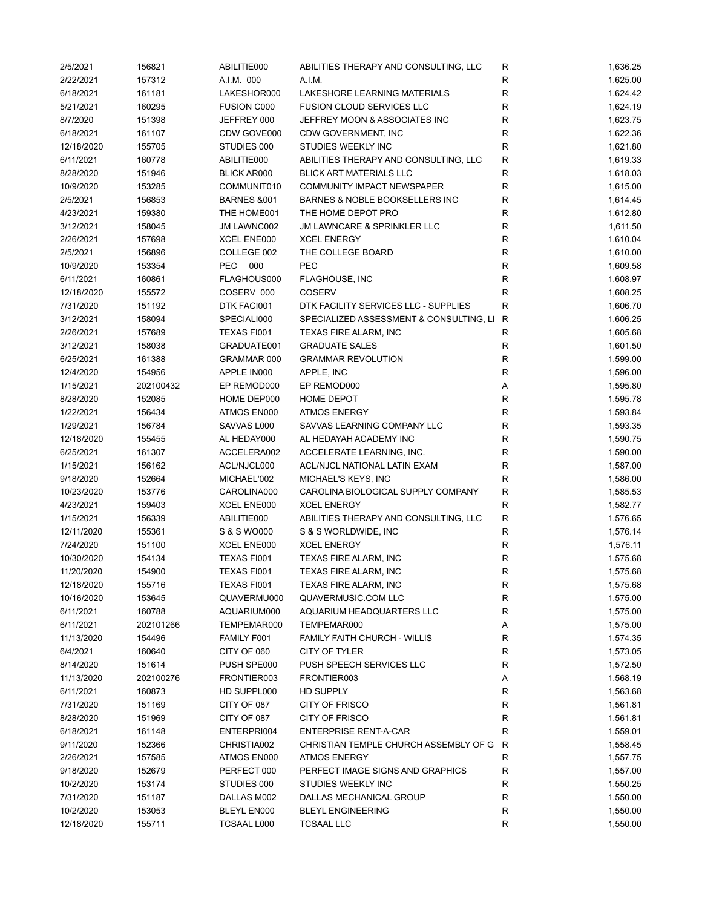| 2/5/2021               | 156821              | ABILITIE000                | ABILITIES THERAPY AND CONSULTING, LLC   | R              | 1,636.25             |
|------------------------|---------------------|----------------------------|-----------------------------------------|----------------|----------------------|
| 2/22/2021              | 157312              | A.I.M. 000                 | A.I.M.                                  | R              | 1,625.00             |
| 6/18/2021              | 161181              | LAKESHOR000                | LAKESHORE LEARNING MATERIALS            | $\mathsf R$    | 1,624.42             |
| 5/21/2021              | 160295              | <b>FUSION C000</b>         | <b>FUSION CLOUD SERVICES LLC</b>        | R              | 1,624.19             |
| 8/7/2020               | 151398              | JEFFREY 000                | JEFFREY MOON & ASSOCIATES INC           | $\mathsf R$    | 1,623.75             |
| 6/18/2021              | 161107              | CDW GOVE000                | CDW GOVERNMENT, INC                     | R              | 1,622.36             |
| 12/18/2020             | 155705              | STUDIES 000                | STUDIES WEEKLY INC                      | R              | 1,621.80             |
| 6/11/2021              | 160778              | ABILITIE000                | ABILITIES THERAPY AND CONSULTING, LLC   | R              | 1,619.33             |
| 8/28/2020              | 151946              | <b>BLICK AR000</b>         | <b>BLICK ART MATERIALS LLC</b>          | $\mathsf{R}$   | 1,618.03             |
| 10/9/2020              | 153285              | COMMUNIT010                | COMMUNITY IMPACT NEWSPAPER              | $\mathsf R$    | 1,615.00             |
| 2/5/2021               | 156853              | <b>BARNES &amp;001</b>     | BARNES & NOBLE BOOKSELLERS INC          | $\mathsf R$    | 1,614.45             |
| 4/23/2021              | 159380              | THE HOME001                | THE HOME DEPOT PRO                      | $\mathsf{R}$   | 1,612.80             |
| 3/12/2021              | 158045              | JM LAWNC002                | JM LAWNCARE & SPRINKLER LLC             | ${\sf R}$      | 1,611.50             |
| 2/26/2021              | 157698              | XCEL ENE000                | <b>XCEL ENERGY</b>                      | $\mathsf R$    | 1,610.04             |
| 2/5/2021               | 156896              | COLLEGE 002                | THE COLLEGE BOARD                       | $\mathsf R$    | 1,610.00             |
| 10/9/2020              | 153354              | <b>PEC</b><br>000          | <b>PEC</b>                              | $\mathsf{R}$   | 1,609.58             |
| 6/11/2021              | 160861              | FLAGHOUS000                | <b>FLAGHOUSE, INC</b>                   | $\mathsf R$    | 1,608.97             |
| 12/18/2020             | 155572              | COSERV 000                 | <b>COSERV</b>                           | R              | 1,608.25             |
| 7/31/2020              | 151192              | DTK FACI001                | DTK FACILITY SERVICES LLC - SUPPLIES    | R              | 1,606.70             |
| 3/12/2021              | 158094              | SPECIALI000                | SPECIALIZED ASSESSMENT & CONSULTING, LI | R              | 1,606.25             |
| 2/26/2021              | 157689              | TEXAS FI001                | TEXAS FIRE ALARM, INC                   | R              | 1,605.68             |
| 3/12/2021              | 158038              | GRADUATE001                | <b>GRADUATE SALES</b>                   | R              | 1,601.50             |
| 6/25/2021              | 161388              | GRAMMAR 000                | <b>GRAMMAR REVOLUTION</b>               | R              | 1,599.00             |
| 12/4/2020              | 154956              | APPLE IN000                | APPLE, INC                              | $\mathsf{R}$   | 1,596.00             |
|                        |                     |                            |                                         |                |                      |
| 1/15/2021<br>8/28/2020 | 202100432<br>152085 | EP REMOD000<br>HOME DEP000 | EP REMOD000<br>HOME DEPOT               | Α<br>${\sf R}$ | 1,595.80<br>1,595.78 |
|                        |                     |                            |                                         | ${\sf R}$      |                      |
| 1/22/2021              | 156434              | ATMOS EN000                | <b>ATMOS ENERGY</b>                     |                | 1,593.84             |
| 1/29/2021              | 156784              | SAVVAS L000                | SAVVAS LEARNING COMPANY LLC             | ${\sf R}$      | 1,593.35             |
| 12/18/2020             | 155455              | AL HEDAY000                | AL HEDAYAH ACADEMY INC                  | $\mathsf R$    | 1,590.75             |
| 6/25/2021              | 161307              | ACCELERA002                | ACCELERATE LEARNING, INC.               | R              | 1,590.00             |
| 1/15/2021              | 156162              | ACL/NJCL000                | ACL/NJCL NATIONAL LATIN EXAM            | $\mathsf R$    | 1,587.00             |
| 9/18/2020              | 152664              | MICHAEL'002                | MICHAEL'S KEYS, INC                     | $\mathsf R$    | 1,586.00             |
| 10/23/2020             | 153776              | CAROLINA000                | CAROLINA BIOLOGICAL SUPPLY COMPANY      | $\mathsf{R}$   | 1,585.53             |
| 4/23/2021              | 159403              | XCEL ENE000                | <b>XCEL ENERGY</b>                      | R              | 1,582.77             |
| 1/15/2021              | 156339              | ABILITIE000                | ABILITIES THERAPY AND CONSULTING, LLC   | ${\sf R}$      | 1,576.65             |
| 12/11/2020             | 155361              | S & S WO000                | S & S WORLDWIDE, INC                    | R              | 1,576.14             |
| 7/24/2020              | 151100              | XCEL ENE000                | <b>XCEL ENERGY</b>                      | R              | 1,576.11             |
| 10/30/2020             | 154134              | TEXAS FI001                | TEXAS FIRE ALARM, INC                   | $\mathsf{R}$   | 1,575.68             |
| 11/20/2020             | 154900              | TEXAS FI001                | TEXAS FIRE ALARM, INC                   | R              | 1,575.68             |
| 12/18/2020             | 155716              | TEXAS FI001                | <b>TEXAS FIRE ALARM, INC</b>            | R              | 1,575.68             |
| 10/16/2020             | 153645              | QUAVERMU000                | QUAVERMUSIC.COM LLC                     | ${\sf R}$      | 1,575.00             |
| 6/11/2021              | 160788              | AQUARIUM000                | AQUARIUM HEADQUARTERS LLC               | ${\sf R}$      | 1,575.00             |
| 6/11/2021              | 202101266           | TEMPEMAR000                | TEMPEMAR000                             | Α              | 1,575.00             |
| 11/13/2020             | 154496              | FAMILY F001                | <b>FAMILY FAITH CHURCH - WILLIS</b>     | R              | 1,574.35             |
| 6/4/2021               | 160640              | CITY OF 060                | CITY OF TYLER                           | R              | 1,573.05             |
| 8/14/2020              | 151614              | PUSH SPE000                | PUSH SPEECH SERVICES LLC                | R              | 1,572.50             |
| 11/13/2020             | 202100276           | FRONTIER003                | FRONTIER003                             | А              | 1,568.19             |
| 6/11/2021              | 160873              | HD SUPPL000                | HD SUPPLY                               | R              | 1,563.68             |
| 7/31/2020              | 151169              | CITY OF 087                | <b>CITY OF FRISCO</b>                   | R              | 1,561.81             |
| 8/28/2020              | 151969              | CITY OF 087                | <b>CITY OF FRISCO</b>                   | R              | 1,561.81             |
| 6/18/2021              | 161148              | ENTERPRI004                | <b>ENTERPRISE RENT-A-CAR</b>            | R              | 1,559.01             |
| 9/11/2020              | 152366              | CHRISTIA002                | CHRISTIAN TEMPLE CHURCH ASSEMBLY OF G   | R              | 1,558.45             |
| 2/26/2021              | 157585              | ATMOS EN000                | <b>ATMOS ENERGY</b>                     | R              | 1,557.75             |
| 9/18/2020              | 152679              | PERFECT 000                | PERFECT IMAGE SIGNS AND GRAPHICS        | R              | 1,557.00             |
| 10/2/2020              | 153174              | STUDIES 000                | STUDIES WEEKLY INC                      | R              | 1,550.25             |
| 7/31/2020              | 151187              | DALLAS M002                | DALLAS MECHANICAL GROUP                 | ${\sf R}$      | 1,550.00             |
| 10/2/2020              | 153053              | BLEYL EN000                | <b>BLEYL ENGINEERING</b>                | ${\sf R}$      | 1,550.00             |
| 12/18/2020             | 155711              | TCSAAL L000                | <b>TCSAAL LLC</b>                       | R              | 1,550.00             |
|                        |                     |                            |                                         |                |                      |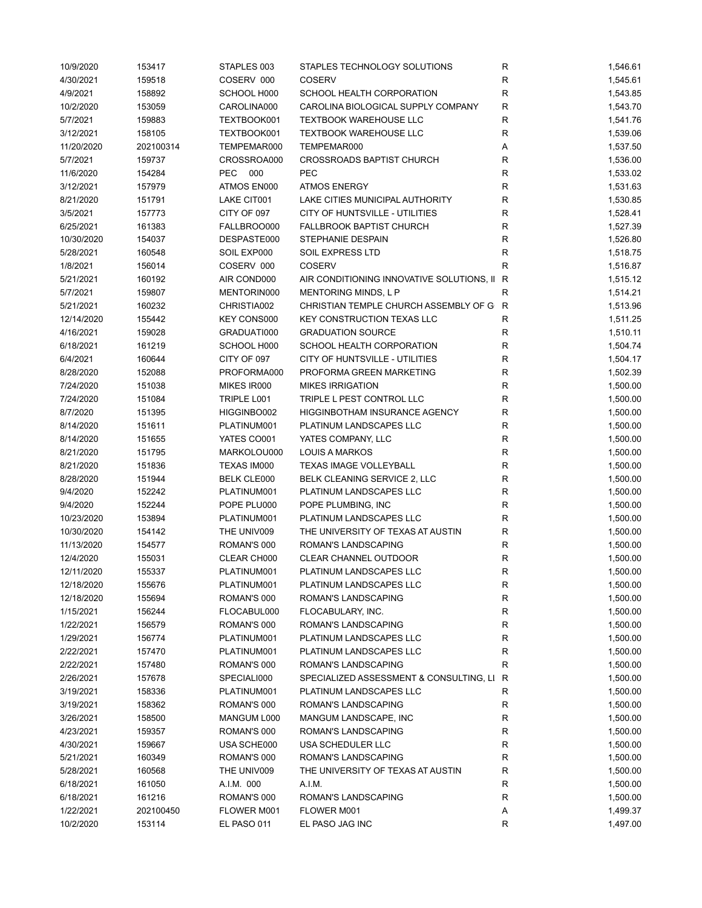| 10/9/2020  | 153417    | STAPLES 003        | STAPLES TECHNOLOGY SOLUTIONS                | R            | 1,546.61 |
|------------|-----------|--------------------|---------------------------------------------|--------------|----------|
| 4/30/2021  | 159518    | COSERV 000         | <b>COSERV</b>                               | $\mathsf R$  | 1,545.61 |
| 4/9/2021   | 158892    | SCHOOL H000        | SCHOOL HEALTH CORPORATION                   | $\mathsf R$  | 1,543.85 |
| 10/2/2020  | 153059    | CAROLINA000        | CAROLINA BIOLOGICAL SUPPLY COMPANY          | ${\sf R}$    | 1,543.70 |
| 5/7/2021   | 159883    | TEXTBOOK001        | <b>TEXTBOOK WAREHOUSE LLC</b>               | $\mathsf R$  | 1,541.76 |
| 3/12/2021  | 158105    | TEXTBOOK001        | <b>TEXTBOOK WAREHOUSE LLC</b>               | $\mathsf{R}$ | 1,539.06 |
| 11/20/2020 | 202100314 | TEMPEMAR000        | TEMPEMAR000                                 | Α            | 1,537.50 |
|            |           |                    | <b>CROSSROADS BAPTIST CHURCH</b>            |              |          |
| 5/7/2021   | 159737    | CROSSROA000        |                                             | R            | 1,536.00 |
| 11/6/2020  | 154284    | <b>PEC</b><br>000  | <b>PEC</b>                                  | $\mathsf{R}$ | 1,533.02 |
| 3/12/2021  | 157979    | ATMOS EN000        | <b>ATMOS ENERGY</b>                         | $\mathsf{R}$ | 1,531.63 |
| 8/21/2020  | 151791    | LAKE CIT001        | LAKE CITIES MUNICIPAL AUTHORITY             | $\mathsf{R}$ | 1,530.85 |
| 3/5/2021   | 157773    | CITY OF 097        | CITY OF HUNTSVILLE - UTILITIES              | $\mathsf{R}$ | 1,528.41 |
| 6/25/2021  | 161383    | FALLBROO000        | <b>FALLBROOK BAPTIST CHURCH</b>             | $\mathsf{R}$ | 1,527.39 |
| 10/30/2020 | 154037    | DESPASTE000        | STEPHANIE DESPAIN                           | $\mathsf R$  | 1,526.80 |
| 5/28/2021  | 160548    | SOIL EXP000        | SOIL EXPRESS LTD                            | R            | 1,518.75 |
| 1/8/2021   | 156014    | COSERV 000         | <b>COSERV</b>                               | R            | 1,516.87 |
| 5/21/2021  | 160192    | AIR COND000        | AIR CONDITIONING INNOVATIVE SOLUTIONS, II R |              | 1,515.12 |
| 5/7/2021   | 159807    | MENTORIN000        | <b>MENTORING MINDS, L P</b>                 | $\mathsf{R}$ | 1,514.21 |
| 5/21/2021  | 160232    | CHRISTIA002        | CHRISTIAN TEMPLE CHURCH ASSEMBLY OF G       | $\mathsf{R}$ | 1,513.96 |
| 12/14/2020 | 155442    | KEY CONS000        | <b>KEY CONSTRUCTION TEXAS LLC</b>           | $\mathsf R$  | 1,511.25 |
| 4/16/2021  | 159028    | GRADUATI000        | <b>GRADUATION SOURCE</b>                    | R            | 1,510.11 |
| 6/18/2021  | 161219    | SCHOOL H000        | SCHOOL HEALTH CORPORATION                   | R            | 1,504.74 |
| 6/4/2021   | 160644    | CITY OF 097        | CITY OF HUNTSVILLE - UTILITIES              | R            | 1,504.17 |
|            |           |                    |                                             |              |          |
| 8/28/2020  | 152088    | PROFORMA000        | PROFORMA GREEN MARKETING                    | $\mathsf{R}$ | 1,502.39 |
| 7/24/2020  | 151038    | MIKES IR000        | <b>MIKES IRRIGATION</b>                     | $\mathsf R$  | 1,500.00 |
| 7/24/2020  | 151084    | TRIPLE L001        | TRIPLE L PEST CONTROL LLC                   | ${\sf R}$    | 1,500.00 |
| 8/7/2020   | 151395    | HIGGINBO002        | HIGGINBOTHAM INSURANCE AGENCY               | ${\sf R}$    | 1,500.00 |
| 8/14/2020  | 151611    | PLATINUM001        | PLATINUM LANDSCAPES LLC                     | $\mathsf R$  | 1,500.00 |
| 8/14/2020  | 151655    | YATES CO001        | YATES COMPANY, LLC                          | $\mathsf R$  | 1,500.00 |
| 8/21/2020  | 151795    | MARKOLOU000        | <b>LOUIS A MARKOS</b>                       | R            | 1,500.00 |
| 8/21/2020  | 151836    | TEXAS IM000        | <b>TEXAS IMAGE VOLLEYBALL</b>               | R            | 1,500.00 |
| 8/28/2020  | 151944    | <b>BELK CLE000</b> | BELK CLEANING SERVICE 2, LLC                | $\mathsf R$  | 1,500.00 |
| 9/4/2020   | 152242    | PLATINUM001        | PLATINUM LANDSCAPES LLC                     | $\mathsf R$  | 1,500.00 |
| 9/4/2020   | 152244    | POPE PLU000        | POPE PLUMBING, INC                          | R            | 1,500.00 |
| 10/23/2020 | 153894    | PLATINUM001        | PLATINUM LANDSCAPES LLC                     | R            | 1,500.00 |
| 10/30/2020 | 154142    | THE UNIV009        | THE UNIVERSITY OF TEXAS AT AUSTIN           | R            | 1,500.00 |
| 11/13/2020 | 154577    | ROMAN'S 000        | ROMAN'S LANDSCAPING                         | R            | 1,500.00 |
| 12/4/2020  | 155031    | CLEAR CH000        | CLEAR CHANNEL OUTDOOR                       | $\mathsf{R}$ | 1,500.00 |
| 12/11/2020 | 155337    | PLATINUM001        | PLATINUM LANDSCAPES LLC                     | R            | 1,500.00 |
|            |           |                    |                                             |              |          |
| 12/18/2020 | 155676    | PLATINUM001        | PLATINUM LANDSCAPES LLC                     | R            | 1,500.00 |
| 12/18/2020 | 155694    | ROMAN'S 000        | ROMAN'S LANDSCAPING                         | R            | 1,500.00 |
| 1/15/2021  | 156244    | FLOCABUL000        | FLOCABULARY, INC.                           | ${\sf R}$    | 1,500.00 |
| 1/22/2021  | 156579    | ROMAN'S 000        | ROMAN'S LANDSCAPING                         | R            | 1,500.00 |
| 1/29/2021  | 156774    | PLATINUM001        | PLATINUM LANDSCAPES LLC                     | R            | 1,500.00 |
| 2/22/2021  | 157470    | PLATINUM001        | PLATINUM LANDSCAPES LLC                     | R            | 1,500.00 |
| 2/22/2021  | 157480    | ROMAN'S 000        | ROMAN'S LANDSCAPING                         | R            | 1,500.00 |
| 2/26/2021  | 157678    | SPECIALI000        | SPECIALIZED ASSESSMENT & CONSULTING, LI     | R            | 1,500.00 |
| 3/19/2021  | 158336    | PLATINUM001        | PLATINUM LANDSCAPES LLC                     | R            | 1,500.00 |
| 3/19/2021  | 158362    | ROMAN'S 000        | ROMAN'S LANDSCAPING                         | R            | 1,500.00 |
| 3/26/2021  | 158500    | MANGUM L000        | MANGUM LANDSCAPE, INC                       | R            | 1,500.00 |
| 4/23/2021  | 159357    | ROMAN'S 000        | ROMAN'S LANDSCAPING                         | R            | 1,500.00 |
| 4/30/2021  | 159667    | USA SCHE000        | USA SCHEDULER LLC                           | R            | 1,500.00 |
| 5/21/2021  | 160349    | ROMAN'S 000        | ROMAN'S LANDSCAPING                         | R            | 1,500.00 |
| 5/28/2021  | 160568    | THE UNIV009        | THE UNIVERSITY OF TEXAS AT AUSTIN           | R            | 1,500.00 |
| 6/18/2021  | 161050    | A.I.M. 000         | A.I.M.                                      | ${\sf R}$    | 1,500.00 |
| 6/18/2021  | 161216    | ROMAN'S 000        | ROMAN'S LANDSCAPING                         | ${\sf R}$    | 1,500.00 |
| 1/22/2021  | 202100450 | FLOWER M001        | FLOWER M001                                 |              | 1,499.37 |
|            |           |                    |                                             | Α            |          |
| 10/2/2020  | 153114    | EL PASO 011        | EL PASO JAG INC                             | R            | 1,497.00 |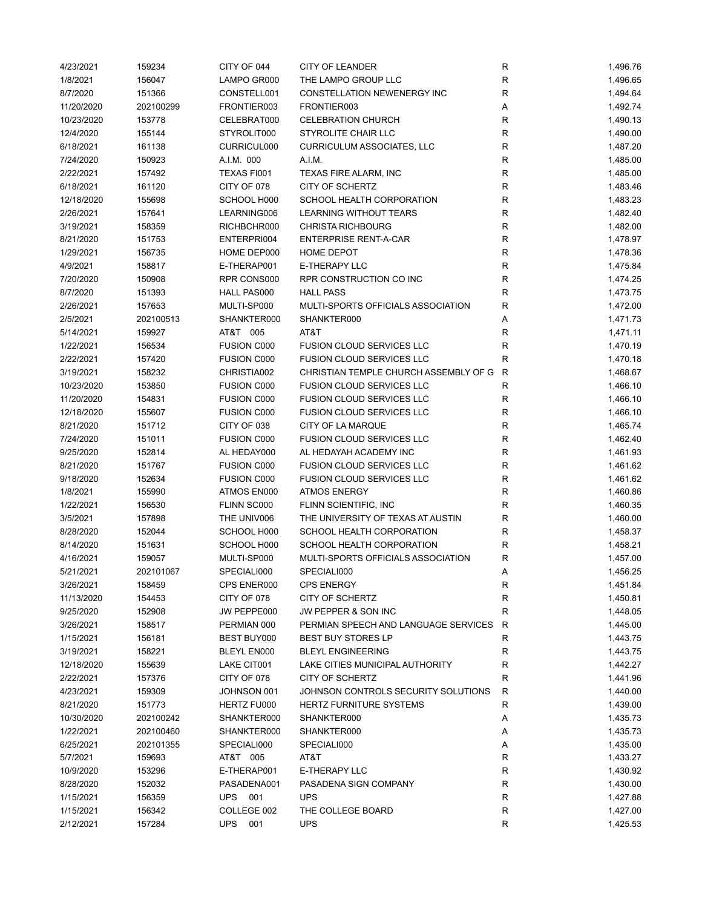| 4/23/2021  | 159234    | CITY OF 044        | <b>CITY OF LEANDER</b>                | ${\sf R}$    | 1,496.76 |
|------------|-----------|--------------------|---------------------------------------|--------------|----------|
| 1/8/2021   | 156047    | LAMPO GR000        | THE LAMPO GROUP LLC                   | $\mathsf{R}$ | 1,496.65 |
| 8/7/2020   | 151366    | CONSTELL001        | CONSTELLATION NEWENERGY INC           | $\mathsf{R}$ | 1,494.64 |
| 11/20/2020 | 202100299 | FRONTIER003        | FRONTIER003                           | Α            | 1,492.74 |
| 10/23/2020 | 153778    | CELEBRAT000        | <b>CELEBRATION CHURCH</b>             | $\mathsf{R}$ | 1,490.13 |
| 12/4/2020  | 155144    | STYROLIT000        | STYROLITE CHAIR LLC                   | R            | 1,490.00 |
| 6/18/2021  | 161138    | CURRICUL000        | <b>CURRICULUM ASSOCIATES, LLC</b>     | R            | 1,487.20 |
| 7/24/2020  | 150923    | A.I.M. 000         | A.I.M.                                | $\mathsf{R}$ | 1,485.00 |
|            |           |                    |                                       | $\mathsf{R}$ |          |
| 2/22/2021  | 157492    | TEXAS FI001        | TEXAS FIRE ALARM, INC                 |              | 1,485.00 |
| 6/18/2021  | 161120    | CITY OF 078        | CITY OF SCHERTZ                       | $\mathsf{R}$ | 1,483.46 |
| 12/18/2020 | 155698    | SCHOOL H000        | SCHOOL HEALTH CORPORATION             | $\mathsf{R}$ | 1,483.23 |
| 2/26/2021  | 157641    | LEARNING006        | <b>LEARNING WITHOUT TEARS</b>         | $\mathsf{R}$ | 1,482.40 |
| 3/19/2021  | 158359    | RICHBCHR000        | <b>CHRISTA RICHBOURG</b>              | $\mathsf{R}$ | 1,482.00 |
| 8/21/2020  | 151753    | ENTERPRI004        | <b>ENTERPRISE RENT-A-CAR</b>          | R            | 1,478.97 |
| 1/29/2021  | 156735    | HOME DEP000        | HOME DEPOT                            | $\mathsf{R}$ | 1,478.36 |
| 4/9/2021   | 158817    | E-THERAP001        | E-THERAPY LLC                         | $\mathsf{R}$ | 1,475.84 |
| 7/20/2020  | 150908    | RPR CONS000        | RPR CONSTRUCTION CO INC               | $\mathsf{R}$ | 1,474.25 |
| 8/7/2020   | 151393    | HALL PAS000        | <b>HALL PASS</b>                      | $\mathsf{R}$ | 1,473.75 |
| 2/26/2021  | 157653    | MULTI-SP000        | MULTI-SPORTS OFFICIALS ASSOCIATION    | $\mathsf{R}$ | 1,472.00 |
| 2/5/2021   | 202100513 | SHANKTER000        | SHANKTER000                           | Α            | 1,471.73 |
| 5/14/2021  | 159927    | AT&T 005           | AT&T                                  | R            | 1,471.11 |
| 1/22/2021  | 156534    | FUSION C000        | <b>FUSION CLOUD SERVICES LLC</b>      | R            | 1,470.19 |
| 2/22/2021  | 157420    | <b>FUSION C000</b> | FUSION CLOUD SERVICES LLC             | R            | 1,470.18 |
| 3/19/2021  | 158232    | CHRISTIA002        | CHRISTIAN TEMPLE CHURCH ASSEMBLY OF G | R            | 1,468.67 |
| 10/23/2020 | 153850    | FUSION C000        | <b>FUSION CLOUD SERVICES LLC</b>      | R            | 1,466.10 |
|            |           |                    |                                       | $\mathsf{R}$ |          |
| 11/20/2020 | 154831    | FUSION C000        | <b>FUSION CLOUD SERVICES LLC</b>      |              | 1,466.10 |
| 12/18/2020 | 155607    | <b>FUSION C000</b> | <b>FUSION CLOUD SERVICES LLC</b>      | $\mathsf{R}$ | 1,466.10 |
| 8/21/2020  | 151712    | CITY OF 038        | CITY OF LA MARQUE                     | R            | 1,465.74 |
| 7/24/2020  | 151011    | <b>FUSION C000</b> | <b>FUSION CLOUD SERVICES LLC</b>      | R            | 1,462.40 |
| 9/25/2020  | 152814    | AL HEDAY000        | AL HEDAYAH ACADEMY INC                | $\mathsf{R}$ | 1,461.93 |
| 8/21/2020  | 151767    | <b>FUSION C000</b> | <b>FUSION CLOUD SERVICES LLC</b>      | $\mathsf{R}$ | 1,461.62 |
| 9/18/2020  | 152634    | <b>FUSION C000</b> | <b>FUSION CLOUD SERVICES LLC</b>      | $\mathsf{R}$ | 1,461.62 |
| 1/8/2021   | 155990    | ATMOS EN000        | <b>ATMOS ENERGY</b>                   | R            | 1,460.86 |
| 1/22/2021  | 156530    | FLINN SC000        | FLINN SCIENTIFIC, INC                 | $\mathsf{R}$ | 1,460.35 |
| 3/5/2021   | 157898    | THE UNIV006        | THE UNIVERSITY OF TEXAS AT AUSTIN     | R            | 1,460.00 |
| 8/28/2020  | 152044    | SCHOOL H000        | SCHOOL HEALTH CORPORATION             | R            | 1,458.37 |
| 8/14/2020  | 151631    | SCHOOL H000        | SCHOOL HEALTH CORPORATION             | R            | 1,458.21 |
| 4/16/2021  | 159057    | MULTI-SP000        | MULTI-SPORTS OFFICIALS ASSOCIATION    | R            | 1,457.00 |
| 5/21/2021  | 202101067 | SPECIALI000        | SPECIALI000                           | Α            | 1,456.25 |
| 3/26/2021  | 158459    | CPS ENER000        | <b>CPS ENERGY</b>                     | R            | 1,451.84 |
| 11/13/2020 | 154453    | CITY OF 078        | CITY OF SCHERTZ                       | ${\sf R}$    | 1,450.81 |
| 9/25/2020  | 152908    | JW PEPPE000        | JW PEPPER & SON INC                   | $\mathsf{R}$ | 1,448.05 |
| 3/26/2021  | 158517    | PERMIAN 000        | PERMIAN SPEECH AND LANGUAGE SERVICES  | R            | 1,445.00 |
| 1/15/2021  | 156181    | <b>BEST BUY000</b> | <b>BEST BUY STORES LP</b>             | R            | 1,443.75 |
| 3/19/2021  | 158221    | BLEYL EN000        | <b>BLEYL ENGINEERING</b>              | R            | 1,443.75 |
| 12/18/2020 | 155639    | LAKE CIT001        | LAKE CITIES MUNICIPAL AUTHORITY       | R            | 1,442.27 |
|            |           |                    |                                       |              |          |
| 2/22/2021  | 157376    | CITY OF 078        | CITY OF SCHERTZ                       | R            | 1,441.96 |
| 4/23/2021  | 159309    | JOHNSON 001        | JOHNSON CONTROLS SECURITY SOLUTIONS   | $\mathsf{R}$ | 1,440.00 |
| 8/21/2020  | 151773    | HERTZ FU000        | <b>HERTZ FURNITURE SYSTEMS</b>        | R            | 1,439.00 |
| 10/30/2020 | 202100242 | SHANKTER000        | SHANKTER000                           | Α            | 1,435.73 |
| 1/22/2021  | 202100460 | SHANKTER000        | SHANKTER000                           | Α            | 1,435.73 |
| 6/25/2021  | 202101355 | SPECIALI000        | SPECIALI000                           | Α            | 1,435.00 |
| 5/7/2021   | 159693    | AT&T 005           | AT&T                                  | R            | 1,433.27 |
| 10/9/2020  | 153296    | E-THERAP001        | E-THERAPY LLC                         | R            | 1,430.92 |
| 8/28/2020  | 152032    | PASADENA001        | PASADENA SIGN COMPANY                 | R            | 1,430.00 |
| 1/15/2021  | 156359    | UPS 001            | <b>UPS</b>                            | $\mathsf{R}$ | 1,427.88 |
| 1/15/2021  | 156342    | COLLEGE 002        | THE COLLEGE BOARD                     | R            | 1,427.00 |
| 2/12/2021  | 157284    | <b>UPS</b><br>001  | <b>UPS</b>                            | R            | 1,425.53 |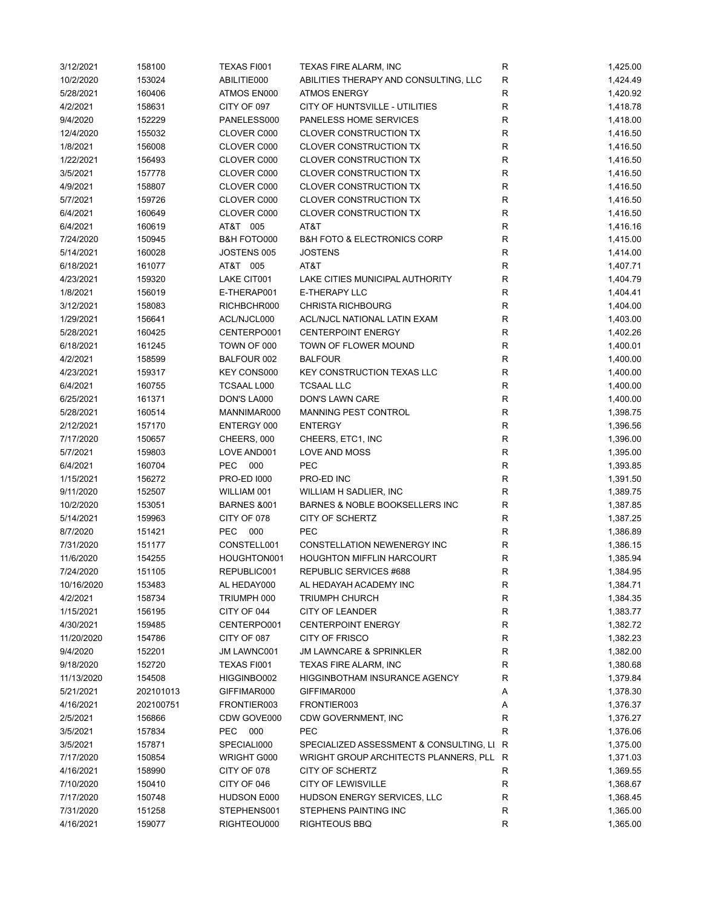| 3/12/2021  | 158100    | TEXAS FI001            | TEXAS FIRE ALARM, INC                      | ${\sf R}$    | 1,425.00 |
|------------|-----------|------------------------|--------------------------------------------|--------------|----------|
| 10/2/2020  | 153024    | ABILITIE000            | ABILITIES THERAPY AND CONSULTING, LLC      | R            | 1,424.49 |
| 5/28/2021  | 160406    | ATMOS EN000            | <b>ATMOS ENERGY</b>                        | R            | 1,420.92 |
| 4/2/2021   | 158631    | CITY OF 097            | CITY OF HUNTSVILLE - UTILITIES             | $\mathsf{R}$ | 1,418.78 |
| 9/4/2020   | 152229    | PANELESS000            | PANELESS HOME SERVICES                     | $\mathsf R$  | 1,418.00 |
| 12/4/2020  | 155032    | CLOVER C000            | <b>CLOVER CONSTRUCTION TX</b>              | R            | 1,416.50 |
| 1/8/2021   | 156008    | CLOVER C000            | CLOVER CONSTRUCTION TX                     | R            | 1,416.50 |
| 1/22/2021  | 156493    | CLOVER C000            | CLOVER CONSTRUCTION TX                     | R            | 1,416.50 |
| 3/5/2021   | 157778    | CLOVER C000            | CLOVER CONSTRUCTION TX                     | $\mathsf{R}$ | 1,416.50 |
| 4/9/2021   | 158807    | CLOVER C000            | <b>CLOVER CONSTRUCTION TX</b>              | $\mathsf{R}$ | 1,416.50 |
| 5/7/2021   | 159726    | CLOVER C000            | <b>CLOVER CONSTRUCTION TX</b>              | $\mathsf{R}$ | 1,416.50 |
| 6/4/2021   | 160649    | CLOVER C000            | <b>CLOVER CONSTRUCTION TX</b>              | $\mathsf{R}$ | 1,416.50 |
| 6/4/2021   | 160619    | AT&T 005               | AT&T                                       | $\mathsf{R}$ | 1,416.16 |
| 7/24/2020  | 150945    | B&H FOTO000            | <b>B&amp;H FOTO &amp; ELECTRONICS CORP</b> | R            | 1,415.00 |
| 5/14/2021  | 160028    | JOSTENS 005            | <b>JOSTENS</b>                             | $\mathsf R$  |          |
|            |           |                        |                                            |              | 1,414.00 |
| 6/18/2021  | 161077    | AT&T 005               | AT&T                                       | $\mathsf R$  | 1,407.71 |
| 4/23/2021  | 159320    | LAKE CIT001            | LAKE CITIES MUNICIPAL AUTHORITY            | R            | 1,404.79 |
| 1/8/2021   | 156019    | E-THERAP001            | E-THERAPY LLC                              | R            | 1,404.41 |
| 3/12/2021  | 158083    | RICHBCHR000            | <b>CHRISTA RICHBOURG</b>                   | ${\sf R}$    | 1,404.00 |
| 1/29/2021  | 156641    | ACL/NJCL000            | ACL/NJCL NATIONAL LATIN EXAM               | R            | 1,403.00 |
| 5/28/2021  | 160425    | CENTERPO001            | <b>CENTERPOINT ENERGY</b>                  | R            | 1,402.26 |
| 6/18/2021  | 161245    | TOWN OF 000            | TOWN OF FLOWER MOUND                       | R            | 1,400.01 |
| 4/2/2021   | 158599    | BALFOUR 002            | <b>BALFOUR</b>                             | $\mathsf{R}$ | 1,400.00 |
| 4/23/2021  | 159317    | <b>KEY CONS000</b>     | <b>KEY CONSTRUCTION TEXAS LLC</b>          | $\mathsf{R}$ | 1,400.00 |
| 6/4/2021   | 160755    | <b>TCSAAL L000</b>     | <b>TCSAAL LLC</b>                          | ${\sf R}$    | 1,400.00 |
| 6/25/2021  | 161371    | DON'S LA000            | DON'S LAWN CARE                            | ${\sf R}$    | 1,400.00 |
| 5/28/2021  | 160514    | MANNIMAR000            | MANNING PEST CONTROL                       | $\mathsf{R}$ | 1,398.75 |
| 2/12/2021  | 157170    | ENTERGY 000            | <b>ENTERGY</b>                             | $\mathsf{R}$ | 1,396.56 |
| 7/17/2020  | 150657    | CHEERS, 000            | CHEERS, ETC1, INC                          | R            | 1,396.00 |
| 5/7/2021   | 159803    | LOVE AND001            | LOVE AND MOSS                              | ${\sf R}$    | 1,395.00 |
| 6/4/2021   | 160704    | <b>PEC</b><br>000      | <b>PEC</b>                                 | $\mathsf R$  | 1,393.85 |
| 1/15/2021  | 156272    | <b>PRO-ED 1000</b>     | PRO-ED INC                                 | $\mathsf R$  | 1,391.50 |
| 9/11/2020  | 152507    | WILLIAM 001            | WILLIAM H SADLIER, INC                     | R            | 1,389.75 |
| 10/2/2020  | 153051    | <b>BARNES &amp;001</b> | BARNES & NOBLE BOOKSELLERS INC             | R            | 1,387.85 |
| 5/14/2021  | 159963    | CITY OF 078            | CITY OF SCHERTZ                            | R            | 1,387.25 |
| 8/7/2020   | 151421    | <b>PEC</b><br>000      | <b>PEC</b>                                 | R            | 1,386.89 |
| 7/31/2020  | 151177    | CONSTELL001            | CONSTELLATION NEWENERGY INC                | $\mathsf{R}$ | 1,386.15 |
| 11/6/2020  | 154255    | HOUGHTON001            | <b>HOUGHTON MIFFLIN HARCOURT</b>           | R            | 1,385.94 |
|            |           |                        |                                            | R            |          |
| 7/24/2020  | 151105    | REPUBLIC001            | REPUBLIC SERVICES #688                     |              | 1,384.95 |
| 10/16/2020 | 153483    | AL HEDAY000            | AL HEDAYAH ACADEMY INC                     | R            | 1,384.71 |
| 4/2/2021   | 158734    | TRIUMPH 000            | <b>TRIUMPH CHURCH</b>                      | ${\sf R}$    | 1,384.35 |
| 1/15/2021  | 156195    | CITY OF 044            | CITY OF LEANDER                            | ${\sf R}$    | 1,383.77 |
| 4/30/2021  | 159485    | CENTERPO001            | <b>CENTERPOINT ENERGY</b>                  | R            | 1,382.72 |
| 11/20/2020 | 154786    | CITY OF 087            | CITY OF FRISCO                             | R            | 1,382.23 |
| 9/4/2020   | 152201    | JM LAWNC001            | <b>JM LAWNCARE &amp; SPRINKLER</b>         | R            | 1,382.00 |
| 9/18/2020  | 152720    | TEXAS FI001            | TEXAS FIRE ALARM, INC                      | R            | 1,380.68 |
| 11/13/2020 | 154508    | HIGGINBO002            | HIGGINBOTHAM INSURANCE AGENCY              | R            | 1,379.84 |
| 5/21/2021  | 202101013 | GIFFIMAR000            | GIFFIMAR000                                | Α            | 1,378.30 |
| 4/16/2021  | 202100751 | FRONTIER003            | FRONTIER003                                | Α            | 1,376.37 |
| 2/5/2021   | 156866    | CDW GOVE000            | CDW GOVERNMENT, INC                        | R            | 1,376.27 |
| 3/5/2021   | 157834    | <b>PEC</b><br>000      | <b>PEC</b>                                 | R            | 1,376.06 |
| 3/5/2021   | 157871    | SPECIALI000            | SPECIALIZED ASSESSMENT & CONSULTING, LI R  |              | 1,375.00 |
| 7/17/2020  | 150854    | WRIGHT G000            | WRIGHT GROUP ARCHITECTS PLANNERS, PLL R    |              | 1,371.03 |
| 4/16/2021  | 158990    | CITY OF 078            | CITY OF SCHERTZ                            | R            | 1,369.55 |
| 7/10/2020  | 150410    | CITY OF 046            | <b>CITY OF LEWISVILLE</b>                  | R            | 1,368.67 |
| 7/17/2020  | 150748    | HUDSON E000            | HUDSON ENERGY SERVICES, LLC                | ${\sf R}$    | 1,368.45 |
| 7/31/2020  | 151258    | STEPHENS001            | STEPHENS PAINTING INC                      | R            | 1,365.00 |
| 4/16/2021  | 159077    | RIGHTEOU000            | <b>RIGHTEOUS BBQ</b>                       | R            | 1,365.00 |
|            |           |                        |                                            |              |          |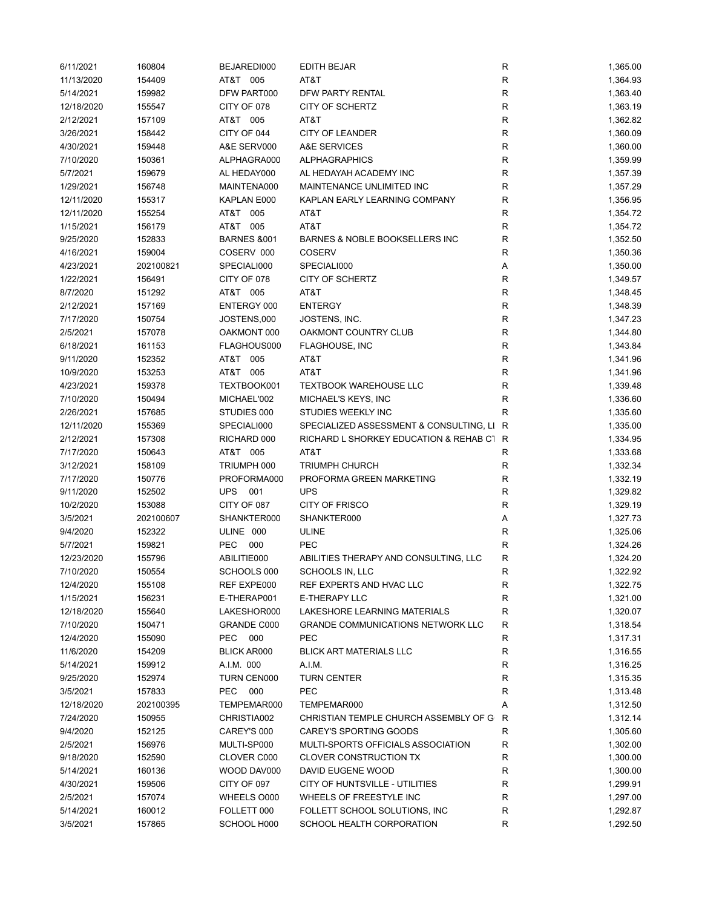| 6/11/2021  | 160804           | BEJAREDI000            | <b>EDITH BEJAR</b>                        | ${\sf R}$    | 1,365.00 |
|------------|------------------|------------------------|-------------------------------------------|--------------|----------|
| 11/13/2020 | 154409           | AT&T 005               | AT&T                                      | ${\sf R}$    | 1,364.93 |
| 5/14/2021  | 159982           | DFW PART000            | <b>DFW PARTY RENTAL</b>                   | $\mathsf R$  | 1,363.40 |
| 12/18/2020 | 155547           | CITY OF 078            | CITY OF SCHERTZ                           | ${\sf R}$    | 1,363.19 |
| 2/12/2021  | 157109           | AT&T 005               | AT&T                                      | $\mathsf{R}$ | 1,362.82 |
| 3/26/2021  | 158442           | CITY OF 044            | <b>CITY OF LEANDER</b>                    | $\mathsf{R}$ | 1,360.09 |
| 4/30/2021  | 159448           | A&E SERV000            | A&E SERVICES                              | R            | 1,360.00 |
| 7/10/2020  | 150361           | ALPHAGRA000            | <b>ALPHAGRAPHICS</b>                      | R            | 1,359.99 |
| 5/7/2021   | 159679           | AL HEDAY000            | AL HEDAYAH ACADEMY INC                    | $\mathsf{R}$ | 1,357.39 |
| 1/29/2021  | 156748           | MAINTENA000            | MAINTENANCE UNLIMITED INC                 | $\mathsf{R}$ | 1,357.29 |
| 12/11/2020 | 155317           | KAPLAN E000            | KAPLAN EARLY LEARNING COMPANY             | $\mathsf{R}$ | 1,356.95 |
| 12/11/2020 | 155254           | AT&T 005               | AT&T                                      | $\mathsf{R}$ | 1,354.72 |
| 1/15/2021  | 156179           | AT&T 005               | AT&T                                      | ${\sf R}$    | 1,354.72 |
| 9/25/2020  | 152833           | <b>BARNES &amp;001</b> | BARNES & NOBLE BOOKSELLERS INC            | R            | 1,352.50 |
| 4/16/2021  | 159004           | COSERV 000             | <b>COSERV</b>                             | R            | 1,350.36 |
| 4/23/2021  | 202100821        | SPECIALI000            | SPECIALI000                               | Α            | 1,350.00 |
| 1/22/2021  | 156491           | CITY OF 078            | CITY OF SCHERTZ                           | $\mathsf{R}$ | 1,349.57 |
| 8/7/2020   | 151292           | AT&T 005               | AT&T                                      | $\mathsf{R}$ | 1,348.45 |
| 2/12/2021  | 157169           | ENTERGY 000            | <b>ENTERGY</b>                            | $\mathsf{R}$ | 1,348.39 |
| 7/17/2020  | 150754           | JOSTENS,000            | JOSTENS, INC.                             | $\mathsf{R}$ | 1,347.23 |
| 2/5/2021   | 157078           | OAKMONT 000            | OAKMONT COUNTRY CLUB                      | $\mathsf{R}$ | 1,344.80 |
| 6/18/2021  | 161153           | FLAGHOUS000            | <b>FLAGHOUSE, INC</b>                     | R            | 1,343.84 |
| 9/11/2020  | 152352           | AT&T 005               | AT&T                                      | R            | 1,341.96 |
| 10/9/2020  | 153253           | AT&T 005               | AT&T                                      | $\mathsf{R}$ | 1,341.96 |
| 4/23/2021  |                  | TEXTBOOK001            | <b>TEXTBOOK WAREHOUSE LLC</b>             | $\mathsf{R}$ | 1,339.48 |
| 7/10/2020  | 159378<br>150494 | MICHAEL'002            | MICHAEL'S KEYS, INC                       | $\mathsf{R}$ | 1,336.60 |
|            |                  |                        |                                           | R            |          |
| 2/26/2021  | 157685           | STUDIES 000            | STUDIES WEEKLY INC                        |              | 1,335.60 |
| 12/11/2020 | 155369           | SPECIALI000            | SPECIALIZED ASSESSMENT & CONSULTING, LI R |              | 1,335.00 |
| 2/12/2021  | 157308           | RICHARD 000            | RICHARD L SHORKEY EDUCATION & REHAB C1 R  |              | 1,334.95 |
| 7/17/2020  | 150643           | AT&T 005               | AT&T                                      | R            | 1,333.68 |
| 3/12/2021  | 158109           | TRIUMPH 000            | <b>TRIUMPH CHURCH</b>                     | ${\sf R}$    | 1,332.34 |
| 7/17/2020  | 150776           | PROFORMA000            | PROFORMA GREEN MARKETING                  | $\mathsf R$  | 1,332.19 |
| 9/11/2020  | 152502           | <b>UPS</b><br>001      | <b>UPS</b>                                | $\mathsf R$  | 1,329.82 |
| 10/2/2020  | 153088           | CITY OF 087            | CITY OF FRISCO                            | R            | 1,329.19 |
| 3/5/2021   | 202100607        | SHANKTER000            | SHANKTER000                               | Α            | 1,327.73 |
| 9/4/2020   | 152322           | ULINE 000              | <b>ULINE</b>                              | R            | 1,325.06 |
| 5/7/2021   | 159821           | PEC<br>000             | <b>PEC</b>                                | R            | 1,324.26 |
| 12/23/2020 | 155796           | ABILITIE000            | ABILITIES THERAPY AND CONSULTING, LLC     | R            | 1,324.20 |
| 7/10/2020  | 150554           | SCHOOLS 000            | SCHOOLS IN, LLC                           | R            | 1,322.92 |
| 12/4/2020  | 155108           | REF EXPE000            | REF EXPERTS AND HVAC LLC                  | R            | 1,322.75 |
| 1/15/2021  | 156231           | E-THERAP001            | E-THERAPY LLC                             | R            | 1,321.00 |
| 12/18/2020 | 155640           | LAKESHOR000            | LAKESHORE LEARNING MATERIALS              | $\mathsf{R}$ | 1,320.07 |
| 7/10/2020  | 150471           | <b>GRANDE C000</b>     | <b>GRANDE COMMUNICATIONS NETWORK LLC</b>  | R            | 1,318.54 |
| 12/4/2020  | 155090           | PEC<br>000             | <b>PEC</b>                                | R            | 1,317.31 |
| 11/6/2020  | 154209           | <b>BLICK AR000</b>     | <b>BLICK ART MATERIALS LLC</b>            | R            | 1,316.55 |
| 5/14/2021  | 159912           | A.I.M. 000             | A.I.M.                                    | R            | 1,316.25 |
| 9/25/2020  | 152974           | TURN CEN000            | <b>TURN CENTER</b>                        | R            | 1,315.35 |
| 3/5/2021   | 157833           | <b>PEC</b><br>000      | PEC                                       | R            | 1,313.48 |
| 12/18/2020 | 202100395        | TEMPEMAR000            | TEMPEMAR000                               | Α            | 1,312.50 |
| 7/24/2020  | 150955           | CHRISTIA002            | CHRISTIAN TEMPLE CHURCH ASSEMBLY OF G     | R            | 1,312.14 |
| 9/4/2020   | 152125           | CAREY'S 000            | CAREY'S SPORTING GOODS                    | R            | 1,305.60 |
| 2/5/2021   | 156976           | MULTI-SP000            | MULTI-SPORTS OFFICIALS ASSOCIATION        | R            | 1,302.00 |
| 9/18/2020  | 152590           | CLOVER C000            | <b>CLOVER CONSTRUCTION TX</b>             | R            | 1,300.00 |
| 5/14/2021  | 160136           | WOOD DAV000            | DAVID EUGENE WOOD                         | R            | 1,300.00 |
| 4/30/2021  | 159506           | CITY OF 097            | CITY OF HUNTSVILLE - UTILITIES            | R            | 1,299.91 |
| 2/5/2021   | 157074           | WHEELS 0000            | WHEELS OF FREESTYLE INC                   | $\mathsf{R}$ | 1,297.00 |
| 5/14/2021  | 160012           | FOLLETT 000            | FOLLETT SCHOOL SOLUTIONS, INC             | ${\sf R}$    | 1,292.87 |
| 3/5/2021   | 157865           | SCHOOL H000            | SCHOOL HEALTH CORPORATION                 | R            | 1,292.50 |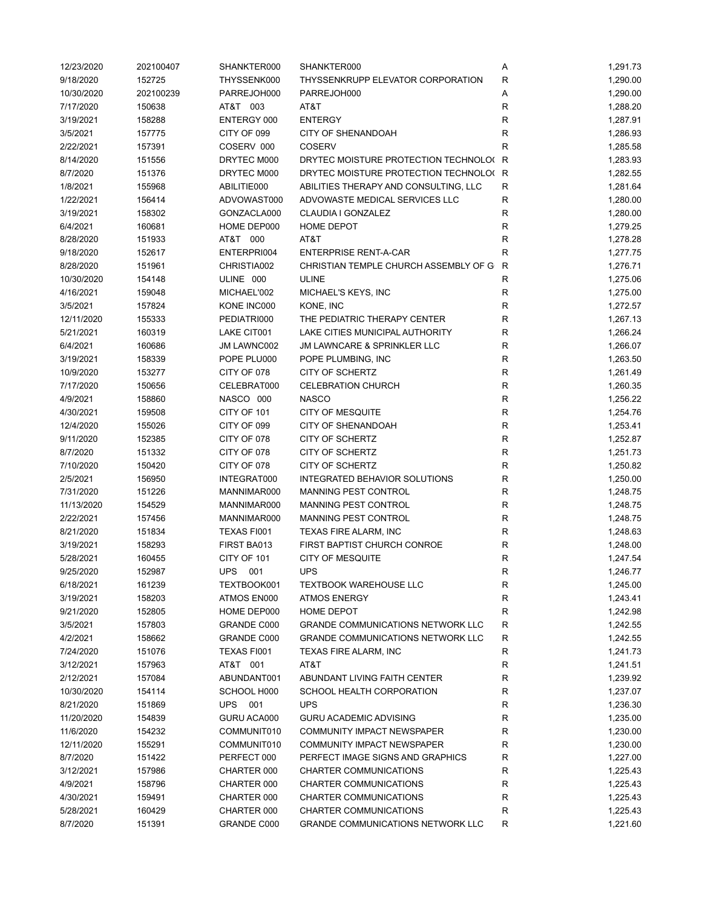| 12/23/2020 | 202100407 | SHANKTER000              | SHANKTER000                              | Α            | 1,291.73 |
|------------|-----------|--------------------------|------------------------------------------|--------------|----------|
| 9/18/2020  | 152725    | THYSSENK000              | THYSSENKRUPP ELEVATOR CORPORATION        | $\mathsf{R}$ | 1,290.00 |
| 10/30/2020 | 202100239 | PARREJOH000              | PARREJOH000                              | Α            | 1,290.00 |
| 7/17/2020  | 150638    | AT&T 003                 | AT&T                                     | $\mathsf{R}$ | 1,288.20 |
| 3/19/2021  | 158288    | ENTERGY 000              | <b>ENTERGY</b>                           | $\mathsf{R}$ | 1,287.91 |
| 3/5/2021   | 157775    | CITY OF 099              | <b>CITY OF SHENANDOAH</b>                | R            | 1,286.93 |
| 2/22/2021  | 157391    | COSERV 000               | <b>COSERV</b>                            | R            | 1,285.58 |
| 8/14/2020  | 151556    | DRYTEC M000              | DRYTEC MOISTURE PROTECTION TECHNOLO( R   |              | 1,283.93 |
| 8/7/2020   | 151376    | DRYTEC M000              | DRYTEC MOISTURE PROTECTION TECHNOLO(R    |              | 1,282.55 |
| 1/8/2021   | 155968    | ABILITIE000              | ABILITIES THERAPY AND CONSULTING, LLC    | R            | 1,281.64 |
| 1/22/2021  | 156414    | ADVOWAST000              | ADVOWASTE MEDICAL SERVICES LLC           | $\mathsf{R}$ | 1,280.00 |
| 3/19/2021  | 158302    | GONZACLA000              | CLAUDIA I GONZALEZ                       | $\mathsf{R}$ | 1,280.00 |
| 6/4/2021   | 160681    | HOME DEP000              | <b>HOME DEPOT</b>                        | $\mathsf{R}$ | 1,279.25 |
| 8/28/2020  | 151933    | AT&T 000                 | AT&T                                     | R            | 1,278.28 |
| 9/18/2020  | 152617    | ENTERPRI004              | <b>ENTERPRISE RENT-A-CAR</b>             | R            | 1,277.75 |
| 8/28/2020  | 151961    | CHRISTIA002              | CHRISTIAN TEMPLE CHURCH ASSEMBLY OF G    | R            | 1,276.71 |
| 10/30/2020 | 154148    | ULINE 000                | <b>ULINE</b>                             | R            | 1,275.06 |
| 4/16/2021  | 159048    | MICHAEL'002              | MICHAEL'S KEYS, INC                      | $\mathsf{R}$ | 1,275.00 |
| 3/5/2021   | 157824    | KONE INC000              | KONE, INC                                | $\mathsf{R}$ | 1,272.57 |
| 12/11/2020 | 155333    | PEDIATRI000              | THE PEDIATRIC THERAPY CENTER             | $\mathsf{R}$ | 1,267.13 |
| 5/21/2021  | 160319    | LAKE CIT001              | LAKE CITIES MUNICIPAL AUTHORITY          | R            | 1,266.24 |
| 6/4/2021   | 160686    | JM LAWNC002              | JM LAWNCARE & SPRINKLER LLC              | R            | 1,266.07 |
| 3/19/2021  | 158339    | POPE PLU000              | POPE PLUMBING, INC                       | $\mathsf{R}$ | 1,263.50 |
| 10/9/2020  | 153277    | CITY OF 078              | CITY OF SCHERTZ                          | $\mathsf{R}$ | 1,261.49 |
|            |           | CELEBRAT000              |                                          | $\mathsf{R}$ |          |
| 7/17/2020  | 150656    |                          | <b>CELEBRATION CHURCH</b>                | ${\sf R}$    | 1,260.35 |
| 4/9/2021   | 158860    | NASCO 000<br>CITY OF 101 | <b>NASCO</b>                             | ${\sf R}$    | 1,256.22 |
| 4/30/2021  | 159508    |                          | <b>CITY OF MESQUITE</b>                  |              | 1,254.76 |
| 12/4/2020  | 155026    | CITY OF 099              | <b>CITY OF SHENANDOAH</b>                | $\mathsf{R}$ | 1,253.41 |
| 9/11/2020  | 152385    | CITY OF 078              | CITY OF SCHERTZ                          | $\mathsf{R}$ | 1,252.87 |
| 8/7/2020   | 151332    | CITY OF 078              | CITY OF SCHERTZ                          | $\mathsf{R}$ | 1,251.73 |
| 7/10/2020  | 150420    | CITY OF 078              | CITY OF SCHERTZ                          | $\mathsf{R}$ | 1,250.82 |
| 2/5/2021   | 156950    | INTEGRAT000              | INTEGRATED BEHAVIOR SOLUTIONS            | $\mathsf{R}$ | 1,250.00 |
| 7/31/2020  | 151226    | MANNIMAR000              | MANNING PEST CONTROL                     | $\mathsf{R}$ | 1,248.75 |
| 11/13/2020 | 154529    | MANNIMAR000              | MANNING PEST CONTROL                     | $\mathsf{R}$ | 1,248.75 |
| 2/22/2021  | 157456    | MANNIMAR000              | MANNING PEST CONTROL                     | $\mathsf{R}$ | 1,248.75 |
| 8/21/2020  | 151834    | TEXAS FI001              | <b>TEXAS FIRE ALARM, INC</b>             | R            | 1,248.63 |
| 3/19/2021  | 158293    | FIRST BA013              | FIRST BAPTIST CHURCH CONROE              | R            | 1,248.00 |
| 5/28/2021  | 160455    | CITY OF 101              | <b>CITY OF MESQUITE</b>                  | R            | 1,247.54 |
| 9/25/2020  | 152987    | <b>UPS</b><br>001        | <b>UPS</b>                               | R            | 1,246.77 |
| 6/18/2021  | 161239    | TEXTBOOK001              | <b>TEXTBOOK WAREHOUSE LLC</b>            | R            | 1,245.00 |
| 3/19/2021  | 158203    | ATMOS EN000              | <b>ATMOS ENERGY</b>                      | $\mathsf{R}$ | 1,243.41 |
| 9/21/2020  | 152805    | HOME DEP000              | HOME DEPOT                               | $\mathsf{R}$ | 1,242.98 |
| 3/5/2021   | 157803    | GRANDE C000              | <b>GRANDE COMMUNICATIONS NETWORK LLC</b> | R            | 1,242.55 |
| 4/2/2021   | 158662    | GRANDE C000              | <b>GRANDE COMMUNICATIONS NETWORK LLC</b> | R            | 1,242.55 |
| 7/24/2020  | 151076    | TEXAS FI001              | TEXAS FIRE ALARM, INC                    | R            | 1,241.73 |
| 3/12/2021  | 157963    | AT&T 001                 | AT&T                                     | R            | 1,241.51 |
| 2/12/2021  | 157084    | ABUNDANT001              | ABUNDANT LIVING FAITH CENTER             | R            | 1,239.92 |
| 10/30/2020 | 154114    | SCHOOL H000              | SCHOOL HEALTH CORPORATION                | $\mathsf{R}$ | 1,237.07 |
| 8/21/2020  | 151869    | UPS<br>001               | <b>UPS</b>                               | R            | 1,236.30 |
| 11/20/2020 | 154839    | GURU ACA000              | <b>GURU ACADEMIC ADVISING</b>            | R            | 1,235.00 |
| 11/6/2020  | 154232    | COMMUNIT010              | COMMUNITY IMPACT NEWSPAPER               | R            | 1,230.00 |
| 12/11/2020 | 155291    | COMMUNIT010              | COMMUNITY IMPACT NEWSPAPER               | R            | 1,230.00 |
| 8/7/2020   | 151422    | PERFECT 000              | PERFECT IMAGE SIGNS AND GRAPHICS         | R            | 1,227.00 |
| 3/12/2021  | 157986    | CHARTER 000              | CHARTER COMMUNICATIONS                   | R            | 1,225.43 |
| 4/9/2021   | 158796    | CHARTER 000              | CHARTER COMMUNICATIONS                   | R            | 1,225.43 |
| 4/30/2021  | 159491    | CHARTER 000              | CHARTER COMMUNICATIONS                   | $\mathsf{R}$ | 1,225.43 |
| 5/28/2021  | 160429    | CHARTER 000              | CHARTER COMMUNICATIONS                   | R            | 1,225.43 |
| 8/7/2020   | 151391    | GRANDE C000              | <b>GRANDE COMMUNICATIONS NETWORK LLC</b> | R            | 1,221.60 |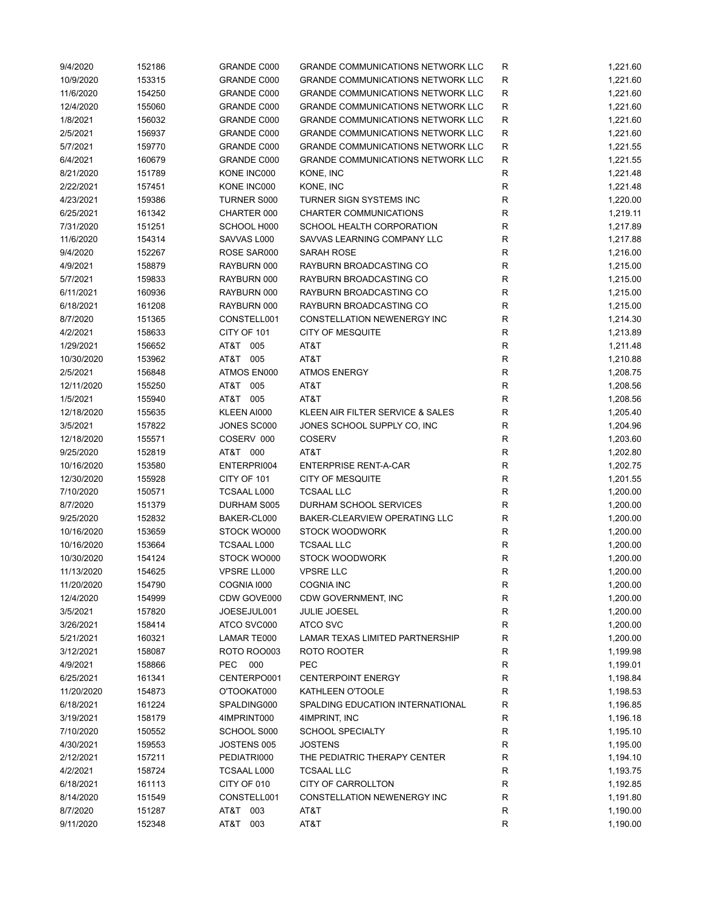| 9/4/2020   | 152186 | GRANDE C000        | <b>GRANDE COMMUNICATIONS NETWORK LLC</b> | R            | 1,221.60 |
|------------|--------|--------------------|------------------------------------------|--------------|----------|
| 10/9/2020  | 153315 | GRANDE C000        | <b>GRANDE COMMUNICATIONS NETWORK LLC</b> | $\mathsf{R}$ | 1,221.60 |
| 11/6/2020  | 154250 | <b>GRANDE C000</b> | <b>GRANDE COMMUNICATIONS NETWORK LLC</b> | $\mathsf{R}$ | 1,221.60 |
| 12/4/2020  | 155060 | <b>GRANDE C000</b> | <b>GRANDE COMMUNICATIONS NETWORK LLC</b> | R            | 1,221.60 |
| 1/8/2021   | 156032 | GRANDE C000        | <b>GRANDE COMMUNICATIONS NETWORK LLC</b> | $\mathsf{R}$ | 1,221.60 |
| 2/5/2021   | 156937 | GRANDE C000        | <b>GRANDE COMMUNICATIONS NETWORK LLC</b> | R            | 1,221.60 |
| 5/7/2021   | 159770 | GRANDE C000        | <b>GRANDE COMMUNICATIONS NETWORK LLC</b> | R            | 1,221.55 |
| 6/4/2021   | 160679 | GRANDE C000        | GRANDE COMMUNICATIONS NETWORK LLC        | R            | 1,221.55 |
| 8/21/2020  | 151789 | KONE INC000        | KONE, INC                                | $\mathsf{R}$ | 1,221.48 |
| 2/22/2021  | 157451 | KONE INC000        | KONE, INC                                | $\mathsf{R}$ | 1,221.48 |
| 4/23/2021  | 159386 | <b>TURNER S000</b> | TURNER SIGN SYSTEMS INC                  | $\mathsf{R}$ | 1,220.00 |
| 6/25/2021  | 161342 | CHARTER 000        | CHARTER COMMUNICATIONS                   | $\mathsf{R}$ | 1,219.11 |
| 7/31/2020  | 151251 | SCHOOL H000        | SCHOOL HEALTH CORPORATION                | $\mathsf{R}$ | 1,217.89 |
| 11/6/2020  | 154314 | SAVVAS L000        | SAVVAS LEARNING COMPANY LLC              | $\mathsf R$  | 1,217.88 |
| 9/4/2020   | 152267 | ROSE SAR000        | SARAH ROSE                               | R            | 1,216.00 |
| 4/9/2021   | 158879 | RAYBURN 000        | RAYBURN BROADCASTING CO                  | $\mathsf{R}$ | 1,215.00 |
| 5/7/2021   | 159833 | RAYBURN 000        | RAYBURN BROADCASTING CO                  | $\mathsf R$  | 1,215.00 |
| 6/11/2021  | 160936 | RAYBURN 000        | RAYBURN BROADCASTING CO                  | R            | 1,215.00 |
| 6/18/2021  | 161208 | RAYBURN 000        | RAYBURN BROADCASTING CO                  | R            | 1,215.00 |
| 8/7/2020   | 151365 | CONSTELL001        | CONSTELLATION NEWENERGY INC              | R            | 1,214.30 |
| 4/2/2021   | 158633 | CITY OF 101        | <b>CITY OF MESQUITE</b>                  | R            | 1,213.89 |
| 1/29/2021  | 156652 | AT&T 005           | AT&T                                     | R            | 1,211.48 |
| 10/30/2020 | 153962 | AT&T 005           | AT&T                                     | R            | 1,210.88 |
| 2/5/2021   |        | ATMOS EN000        |                                          | $\mathsf{R}$ |          |
|            | 156848 |                    | <b>ATMOS ENERGY</b>                      |              | 1,208.75 |
| 12/11/2020 | 155250 | AT&T 005           | AT&T                                     | ${\sf R}$    | 1,208.56 |
| 1/5/2021   | 155940 | AT&T 005           | AT&T                                     | ${\sf R}$    | 1,208.56 |
| 12/18/2020 | 155635 | KLEEN AI000        | KLEEN AIR FILTER SERVICE & SALES         | ${\sf R}$    | 1,205.40 |
| 3/5/2021   | 157822 | JONES SC000        | JONES SCHOOL SUPPLY CO, INC              | $\mathsf R$  | 1,204.96 |
| 12/18/2020 | 155571 | COSERV 000         | <b>COSERV</b>                            | R            | 1,203.60 |
| 9/25/2020  | 152819 | AT&T 000           | AT&T                                     | R            | 1,202.80 |
| 10/16/2020 | 153580 | ENTERPRI004        | <b>ENTERPRISE RENT-A-CAR</b>             | R            | 1,202.75 |
| 12/30/2020 | 155928 | CITY OF 101        | <b>CITY OF MESQUITE</b>                  | $\mathsf R$  | 1,201.55 |
| 7/10/2020  | 150571 | <b>TCSAAL L000</b> | <b>TCSAAL LLC</b>                        | $\mathsf R$  | 1,200.00 |
| 8/7/2020   | 151379 | DURHAM S005        | DURHAM SCHOOL SERVICES                   | R            | 1,200.00 |
| 9/25/2020  | 152832 | BAKER-CL000        | BAKER-CLEARVIEW OPERATING LLC            | R            | 1,200.00 |
| 10/16/2020 | 153659 | STOCK WO000        | <b>STOCK WOODWORK</b>                    | R            | 1,200.00 |
| 10/16/2020 | 153664 | <b>TCSAAL L000</b> | <b>TCSAAL LLC</b>                        | R            | 1,200.00 |
| 10/30/2020 | 154124 | STOCK WO000        | <b>STOCK WOODWORK</b>                    | $\mathsf{R}$ | 1,200.00 |
| 11/13/2020 | 154625 | VPSRE LL000        | <b>VPSRE LLC</b>                         | R            | 1,200.00 |
| 11/20/2020 | 154790 | COGNIA 1000        | <b>COGNIA INC</b>                        | R            | 1,200.00 |
| 12/4/2020  | 154999 | CDW GOVE000        | CDW GOVERNMENT, INC                      | ${\sf R}$    | 1,200.00 |
| 3/5/2021   | 157820 | JOESEJUL001        | <b>JULIE JOESEL</b>                      | ${\sf R}$    | 1,200.00 |
| 3/26/2021  | 158414 | ATCO SVC000        | <b>ATCO SVC</b>                          | $\mathsf{R}$ | 1,200.00 |
| 5/21/2021  | 160321 | LAMAR TE000        | LAMAR TEXAS LIMITED PARTNERSHIP          | R            | 1,200.00 |
| 3/12/2021  | 158087 | <b>ROTO ROO003</b> | ROTO ROOTER                              | R            | 1,199.98 |
| 4/9/2021   | 158866 | 000<br><b>PEC</b>  | PEC                                      | R            | 1,199.01 |
| 6/25/2021  | 161341 | CENTERPO001        | <b>CENTERPOINT ENERGY</b>                | R            | 1,198.84 |
| 11/20/2020 | 154873 | O'TOOKAT000        | KATHLEEN O'TOOLE                         | R            | 1,198.53 |
| 6/18/2021  | 161224 | SPALDING000        | SPALDING EDUCATION INTERNATIONAL         | $\mathsf{R}$ | 1,196.85 |
| 3/19/2021  | 158179 | 4IMPRINT000        | 4IMPRINT, INC                            | R            | 1,196.18 |
| 7/10/2020  | 150552 | SCHOOL S000        | <b>SCHOOL SPECIALTY</b>                  | R            | 1,195.10 |
| 4/30/2021  | 159553 | JOSTENS 005        | <b>JOSTENS</b>                           | R            | 1,195.00 |
| 2/12/2021  | 157211 | PEDIATRI000        | THE PEDIATRIC THERAPY CENTER             | $\mathsf{R}$ | 1,194.10 |
| 4/2/2021   | 158724 | TCSAAL L000        | <b>TCSAAL LLC</b>                        | R            | 1,193.75 |
| 6/18/2021  | 161113 | CITY OF 010        | CITY OF CARROLLTON                       | R            | 1,192.85 |
| 8/14/2020  | 151549 | CONSTELL001        | CONSTELLATION NEWENERGY INC              | ${\sf R}$    | 1,191.80 |
| 8/7/2020   | 151287 | AT&T 003           | AT&T                                     | ${\sf R}$    | 1,190.00 |
| 9/11/2020  | 152348 | AT&T 003           | AT&T                                     | $\mathsf{R}$ | 1,190.00 |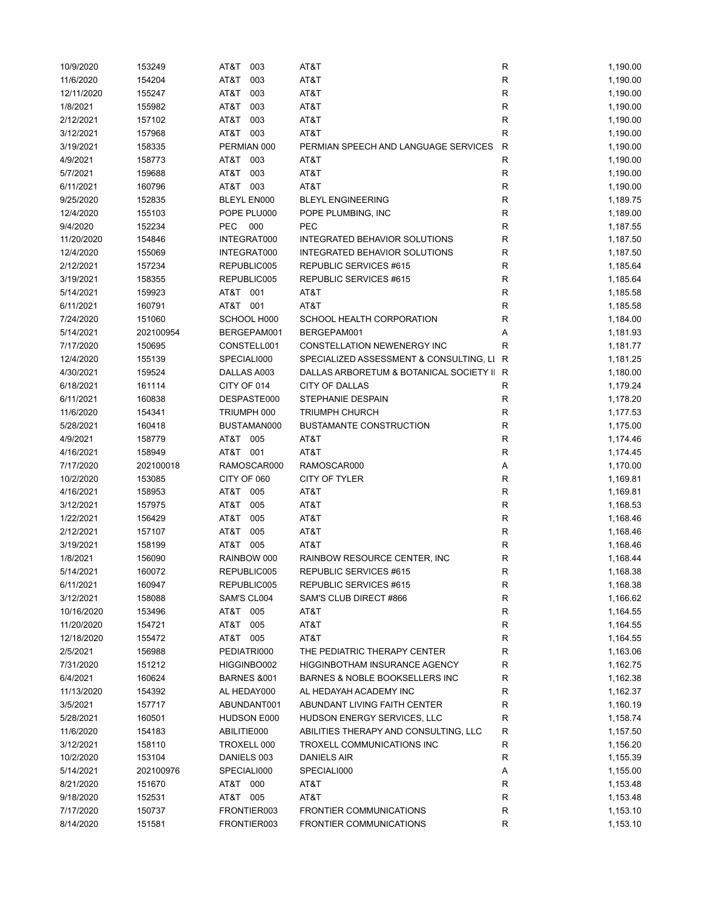| 10/9/2020  | 153249    | AT&T<br>003            | AT&T                                      | R            | 1,190.00 |
|------------|-----------|------------------------|-------------------------------------------|--------------|----------|
| 11/6/2020  | 154204    | AT&T<br>003            | AT&T                                      | R            | 1,190.00 |
| 12/11/2020 | 155247    | AT&T<br>003            | AT&T                                      | R            | 1,190.00 |
| 1/8/2021   | 155982    | AT&T<br>003            | AT&T                                      | $\mathsf R$  | 1,190.00 |
| 2/12/2021  | 157102    | AT&T<br>003            | AT&T                                      | R            | 1,190.00 |
| 3/12/2021  | 157968    | AT&T 003               | AT&T                                      | R            | 1,190.00 |
| 3/19/2021  | 158335    | PERMIAN 000            | PERMIAN SPEECH AND LANGUAGE SERVICES      | R            | 1,190.00 |
| 4/9/2021   | 158773    | AT&T<br>003            | AT&T                                      | R            | 1,190.00 |
| 5/7/2021   | 159688    | 003<br>AT&T            | AT&T                                      | $\mathsf{R}$ | 1,190.00 |
| 6/11/2021  | 160796    | AT&T 003               | AT&T                                      | R            | 1,190.00 |
| 9/25/2020  | 152835    | BLEYL EN000            | <b>BLEYL ENGINEERING</b>                  | ${\sf R}$    | 1,189.75 |
| 12/4/2020  | 155103    | POPE PLU000            | POPE PLUMBING, INC                        | $\mathsf R$  | 1,189.00 |
| 9/4/2020   | 152234    | <b>PEC</b><br>000      | PEC                                       | R            | 1,187.55 |
| 11/20/2020 | 154846    | INTEGRAT000            | INTEGRATED BEHAVIOR SOLUTIONS             | R            | 1,187.50 |
| 12/4/2020  | 155069    | INTEGRAT000            | INTEGRATED BEHAVIOR SOLUTIONS             | R            | 1,187.50 |
|            |           |                        |                                           |              |          |
| 2/12/2021  | 157234    | REPUBLIC005            | REPUBLIC SERVICES #615                    | R            | 1,185.64 |
| 3/19/2021  | 158355    | REPUBLIC005            | REPUBLIC SERVICES #615                    | R            | 1,185.64 |
| 5/14/2021  | 159923    | AT&T<br>001            | AT&T                                      | R            | 1,185.58 |
| 6/11/2021  | 160791    | AT&T 001               | AT&T                                      | R            | 1,185.58 |
| 7/24/2020  | 151060    | SCHOOL H000            | SCHOOL HEALTH CORPORATION                 | R            | 1,184.00 |
| 5/14/2021  | 202100954 | BERGEPAM001            | BERGEPAM001                               | Α            | 1,181.93 |
| 7/17/2020  | 150695    | CONSTELL001            | CONSTELLATION NEWENERGY INC               | R            | 1,181.77 |
| 12/4/2020  | 155139    | SPECIALI000            | SPECIALIZED ASSESSMENT & CONSULTING, LI   | R            | 1,181.25 |
| 4/30/2021  | 159524    | DALLAS A003            | DALLAS ARBORETUM & BOTANICAL SOCIETY II R |              | 1,180.00 |
| 6/18/2021  | 161114    | CITY OF 014            | CITY OF DALLAS                            | R            | 1,179.24 |
| 6/11/2021  | 160838    | DESPASTE000            | STEPHANIE DESPAIN                         | $\mathsf R$  | 1,178.20 |
| 11/6/2020  | 154341    | TRIUMPH 000            | <b>TRIUMPH CHURCH</b>                     | R            | 1,177.53 |
| 5/28/2021  | 160418    | BUSTAMAN000            | <b>BUSTAMANTE CONSTRUCTION</b>            | $\mathsf R$  | 1,175.00 |
| 4/9/2021   | 158779    | AT&T 005               | AT&T                                      | $\mathsf R$  | 1,174.46 |
| 4/16/2021  | 158949    | AT&T 001               | AT&T                                      | $\mathsf R$  | 1,174.45 |
| 7/17/2020  | 202100018 | RAMOSCAR000            | RAMOSCAR000                               | Α            | 1,170.00 |
| 10/2/2020  | 153085    | CITY OF 060            | CITY OF TYLER                             | R            | 1,169.81 |
| 4/16/2021  | 158953    | AT&T<br>005            | AT&T                                      | $\mathsf R$  | 1,169.81 |
| 3/12/2021  | 157975    | AT&T<br>005            | AT&T                                      | R            | 1,168.53 |
| 1/22/2021  | 156429    | AT&T<br>005            | AT&T                                      | R            | 1,168.46 |
| 2/12/2021  | 157107    | AT&T<br>005            | AT&T                                      | $\mathsf{R}$ | 1,168.46 |
| 3/19/2021  | 158199    | AT&T 005               | AT&T                                      | $\mathsf R$  | 1,168.46 |
| 1/8/2021   | 156090    | RAINBOW 000            | RAINBOW RESOURCE CENTER, INC              | $\mathsf R$  | 1,168.44 |
| 5/14/2021  | 160072    | REPUBLIC005            | REPUBLIC SERVICES #615                    | R            | 1,168.38 |
|            |           |                        |                                           |              |          |
| 6/11/2021  | 160947    | REPUBLIC005            | REPUBLIC SERVICES #615                    | R            | 1,168.38 |
| 3/12/2021  | 158088    | SAM'S CL004            | SAM'S CLUB DIRECT #866                    | R            | 1,166.62 |
| 10/16/2020 | 153496    | AT&T 005               | AT&T                                      | R            | 1,164.55 |
| 11/20/2020 | 154721    | AT&T<br>005            | AT&T                                      | R            | 1,164.55 |
| 12/18/2020 | 155472    | AT&T 005               | AT&T                                      | R            | 1,164.55 |
| 2/5/2021   | 156988    | PEDIATRI000            | THE PEDIATRIC THERAPY CENTER              | R            | 1,163.06 |
| 7/31/2020  | 151212    | HIGGINBO002            | <b>HIGGINBOTHAM INSURANCE AGENCY</b>      | R            | 1,162.75 |
| 6/4/2021   | 160624    | <b>BARNES &amp;001</b> | BARNES & NOBLE BOOKSELLERS INC            | R            | 1,162.38 |
| 11/13/2020 | 154392    | AL HEDAY000            | AL HEDAYAH ACADEMY INC                    | R            | 1,162.37 |
| 3/5/2021   | 157717    | ABUNDANT001            | ABUNDANT LIVING FAITH CENTER              | R            | 1,160.19 |
| 5/28/2021  | 160501    | HUDSON E000            | HUDSON ENERGY SERVICES, LLC               | R            | 1,158.74 |
| 11/6/2020  | 154183    | ABILITIE000            | ABILITIES THERAPY AND CONSULTING, LLC     | R            | 1,157.50 |
| 3/12/2021  | 158110    | TROXELL 000            | TROXELL COMMUNICATIONS INC                | R            | 1,156.20 |
| 10/2/2020  | 153104    | DANIELS 003            | DANIELS AIR                               | R            | 1,155.39 |
| 5/14/2021  | 202100976 | SPECIALI000            | SPECIALI000                               | Α            | 1,155.00 |
| 8/21/2020  | 151670    | AT&T 000               | AT&T                                      | $\mathsf R$  | 1,153.48 |
| 9/18/2020  | 152531    | AT&T 005               | AT&T                                      | R            | 1,153.48 |
| 7/17/2020  | 150737    | FRONTIER003            | <b>FRONTIER COMMUNICATIONS</b>            | R            | 1,153.10 |
| 8/14/2020  | 151581    | FRONTIER003            | FRONTIER COMMUNICATIONS                   | $\mathsf R$  | 1,153.10 |
|            |           |                        |                                           |              |          |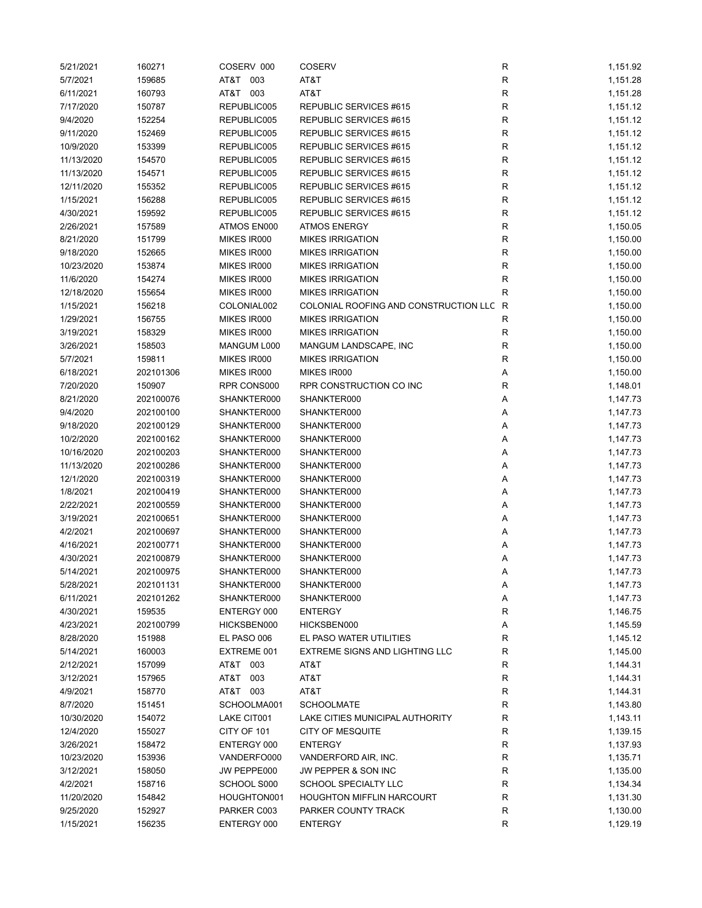| 5/21/2021  | 160271           | COSERV 000  | <b>COSERV</b>                             | R           | 1,151.92 |
|------------|------------------|-------------|-------------------------------------------|-------------|----------|
| 5/7/2021   | 159685           | AT&T 003    | AT&T                                      | R           | 1,151.28 |
| 6/11/2021  | 160793           | AT&T 003    | AT&T                                      | $\mathsf R$ | 1,151.28 |
| 7/17/2020  | 150787           | REPUBLIC005 | REPUBLIC SERVICES #615                    | R           | 1,151.12 |
| 9/4/2020   | 152254           | REPUBLIC005 | REPUBLIC SERVICES #615                    | R           | 1,151.12 |
| 9/11/2020  | 152469           | REPUBLIC005 | REPUBLIC SERVICES #615                    | R           | 1,151.12 |
| 10/9/2020  | 153399           | REPUBLIC005 | REPUBLIC SERVICES #615                    | R           | 1,151.12 |
| 11/13/2020 | 154570           | REPUBLIC005 | REPUBLIC SERVICES #615                    | R           | 1,151.12 |
| 11/13/2020 | 154571           | REPUBLIC005 | REPUBLIC SERVICES #615                    | R           | 1,151.12 |
| 12/11/2020 | 155352           | REPUBLIC005 | REPUBLIC SERVICES #615                    | R           | 1,151.12 |
| 1/15/2021  | 156288           | REPUBLIC005 | REPUBLIC SERVICES #615                    | R           | 1,151.12 |
| 4/30/2021  | 159592           | REPUBLIC005 | REPUBLIC SERVICES #615                    | $\mathsf R$ | 1,151.12 |
| 2/26/2021  | 157589           | ATMOS EN000 | <b>ATMOS ENERGY</b>                       | $\mathsf R$ | 1,150.05 |
| 8/21/2020  | 151799           | MIKES IR000 | <b>MIKES IRRIGATION</b>                   | $\mathsf R$ | 1,150.00 |
| 9/18/2020  | 152665           | MIKES IR000 | <b>MIKES IRRIGATION</b>                   | $\mathsf R$ | 1,150.00 |
| 10/23/2020 | 153874           | MIKES IR000 | <b>MIKES IRRIGATION</b>                   | $\mathsf R$ | 1,150.00 |
| 11/6/2020  | 154274           | MIKES IR000 | <b>MIKES IRRIGATION</b>                   | R           | 1,150.00 |
| 12/18/2020 | 155654           | MIKES IR000 | <b>MIKES IRRIGATION</b>                   | $\mathsf R$ | 1,150.00 |
| 1/15/2021  | 156218           | COLONIAL002 | COLONIAL ROOFING AND CONSTRUCTION LLC R   |             | 1,150.00 |
| 1/29/2021  | 156755           | MIKES IR000 | <b>MIKES IRRIGATION</b>                   | R           | 1,150.00 |
| 3/19/2021  | 158329           | MIKES IR000 | <b>MIKES IRRIGATION</b>                   | R           | 1,150.00 |
| 3/26/2021  | 158503           | MANGUM L000 | MANGUM LANDSCAPE, INC                     | R           | 1,150.00 |
| 5/7/2021   | 159811           | MIKES IR000 | <b>MIKES IRRIGATION</b>                   | $\mathsf R$ | 1,150.00 |
| 6/18/2021  | 202101306        | MIKES IR000 | MIKES IR000                               | Α           | 1,150.00 |
| 7/20/2020  | 150907           | RPR CONS000 | RPR CONSTRUCTION CO INC                   | $\mathsf R$ | 1,148.01 |
| 8/21/2020  | 202100076        | SHANKTER000 | SHANKTER000                               | Α           | 1,147.73 |
| 9/4/2020   | 202100100        | SHANKTER000 | SHANKTER000                               | Α           | 1,147.73 |
| 9/18/2020  | 202100129        | SHANKTER000 | SHANKTER000                               | Α           | 1,147.73 |
| 10/2/2020  | 202100162        | SHANKTER000 | SHANKTER000                               | Α           | 1,147.73 |
| 10/16/2020 | 202100203        | SHANKTER000 | SHANKTER000                               | Α           | 1,147.73 |
| 11/13/2020 | 202100286        | SHANKTER000 | SHANKTER000                               | Α           | 1,147.73 |
| 12/1/2020  | 202100319        | SHANKTER000 | SHANKTER000                               | Α           | 1,147.73 |
| 1/8/2021   | 202100419        | SHANKTER000 | SHANKTER000                               | Α           | 1,147.73 |
| 2/22/2021  | 202100559        | SHANKTER000 | SHANKTER000                               | Α           | 1,147.73 |
| 3/19/2021  | 202100651        | SHANKTER000 | SHANKTER000                               | Α           | 1,147.73 |
| 4/2/2021   | 202100697        | SHANKTER000 | SHANKTER000                               | Α           | 1,147.73 |
| 4/16/2021  | 202100771        | SHANKTER000 | SHANKTER000                               | Α           | 1,147.73 |
| 4/30/2021  | 202100879        | SHANKTER000 | SHANKTER000                               | Α           | 1,147.73 |
| 5/14/2021  | 202100975        | SHANKTER000 | SHANKTER000                               | Α           | 1,147.73 |
| 5/28/2021  | 202101131        | SHANKTER000 | SHANKTER000                               | Α           | 1,147.73 |
| 6/11/2021  | 202101262        | SHANKTER000 | SHANKTER000                               | Α           | 1,147.73 |
| 4/30/2021  | 159535           | ENTERGY 000 | <b>ENTERGY</b>                            | $\mathsf R$ | 1,146.75 |
| 4/23/2021  | 202100799        | HICKSBEN000 | HICKSBEN000                               | Α           | 1,145.59 |
| 8/28/2020  | 151988           | EL PASO 006 | EL PASO WATER UTILITIES                   | R           | 1,145.12 |
| 5/14/2021  | 160003           | EXTREME 001 | <b>EXTREME SIGNS AND LIGHTING LLC</b>     | $\mathsf R$ | 1,145.00 |
| 2/12/2021  | 157099           | AT&T 003    | AT&T                                      | R           | 1,144.31 |
| 3/12/2021  |                  | AT&T<br>003 | AT&T                                      | R           | 1,144.31 |
| 4/9/2021   | 157965<br>158770 | AT&T 003    | AT&T                                      | R           | 1,144.31 |
| 8/7/2020   | 151451           | SCHOOLMA001 | <b>SCHOOLMATE</b>                         | R           | 1,143.80 |
|            |                  |             |                                           |             |          |
| 10/30/2020 | 154072           | LAKE CIT001 | LAKE CITIES MUNICIPAL AUTHORITY           | R           | 1,143.11 |
| 12/4/2020  | 155027           | CITY OF 101 | <b>CITY OF MESQUITE</b><br><b>ENTERGY</b> | R           | 1,139.15 |
| 3/26/2021  | 158472           | ENTERGY 000 |                                           | R           | 1,137.93 |
| 10/23/2020 | 153936           | VANDERFO000 | VANDERFORD AIR, INC.                      | R           | 1,135.71 |
| 3/12/2021  | 158050           | JW PEPPE000 | JW PEPPER & SON INC                       | R           | 1,135.00 |
| 4/2/2021   | 158716           | SCHOOL S000 | SCHOOL SPECIALTY LLC                      | R           | 1,134.34 |
| 11/20/2020 | 154842           | HOUGHTON001 | <b>HOUGHTON MIFFLIN HARCOURT</b>          | R           | 1,131.30 |
| 9/25/2020  | 152927           | PARKER C003 | PARKER COUNTY TRACK                       | R           | 1,130.00 |
| 1/15/2021  | 156235           | ENTERGY 000 | <b>ENTERGY</b>                            | R           | 1,129.19 |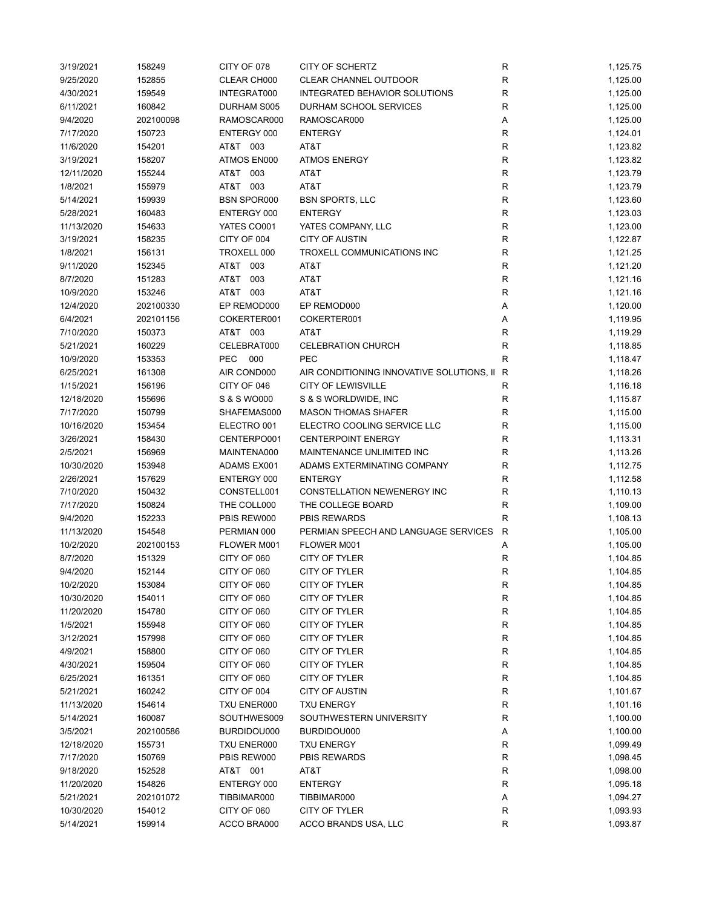| 9/25/2020  | 158249    | CITY OF 078        | CITY OF SCHERTZ                           | ${\sf R}$    | 1,125.75 |
|------------|-----------|--------------------|-------------------------------------------|--------------|----------|
|            | 152855    | CLEAR CH000        | CLEAR CHANNEL OUTDOOR                     | R            | 1,125.00 |
| 4/30/2021  | 159549    | INTEGRAT000        | <b>INTEGRATED BEHAVIOR SOLUTIONS</b>      | $\mathsf R$  | 1,125.00 |
| 6/11/2021  | 160842    | DURHAM S005        | DURHAM SCHOOL SERVICES                    | R            | 1,125.00 |
| 9/4/2020   | 202100098 | RAMOSCAR000        | RAMOSCAR000                               | Α            | 1,125.00 |
| 7/17/2020  | 150723    | ENTERGY 000        | <b>ENTERGY</b>                            | $\mathsf{R}$ | 1,124.01 |
| 11/6/2020  | 154201    | AT&T 003           | AT&T                                      | R            | 1,123.82 |
| 3/19/2021  | 158207    | ATMOS EN000        | <b>ATMOS ENERGY</b>                       | R            | 1,123.82 |
| 12/11/2020 | 155244    | AT&T 003           | AT&T                                      | $\mathsf{R}$ | 1,123.79 |
| 1/8/2021   | 155979    | AT&T 003           | AT&T                                      | $\mathsf{R}$ | 1,123.79 |
| 5/14/2021  | 159939    | <b>BSN SPOR000</b> | <b>BSN SPORTS, LLC</b>                    | $\mathsf{R}$ | 1,123.60 |
| 5/28/2021  | 160483    | ENTERGY 000        | <b>ENTERGY</b>                            | $\mathsf{R}$ | 1,123.03 |
| 11/13/2020 | 154633    | YATES CO001        | YATES COMPANY, LLC                        | ${\sf R}$    | 1,123.00 |
| 3/19/2021  | 158235    | CITY OF 004        | <b>CITY OF AUSTIN</b>                     | $\mathsf{R}$ | 1,122.87 |
| 1/8/2021   | 156131    | TROXELL 000        | TROXELL COMMUNICATIONS INC                | R            | 1,121.25 |
| 9/11/2020  | 152345    | AT&T 003           | AT&T                                      | $\mathsf{R}$ | 1,121.20 |
| 8/7/2020   | 151283    | AT&T<br>003        | AT&T                                      | $\mathsf{R}$ | 1,121.16 |
| 10/9/2020  | 153246    | AT&T 003           | AT&T                                      | $\mathsf{R}$ | 1,121.16 |
| 12/4/2020  | 202100330 | EP REMOD000        | EP REMOD000                               | Α            | 1,120.00 |
| 6/4/2021   | 202101156 | COKERTER001        | COKERTER001                               | Α            | 1,119.95 |
| 7/10/2020  | 150373    | AT&T 003           | AT&T                                      | $\mathsf{R}$ | 1,119.29 |
| 5/21/2021  | 160229    | CELEBRAT000        | <b>CELEBRATION CHURCH</b>                 | R            | 1,118.85 |
|            |           | <b>PEC</b><br>000  | <b>PEC</b>                                | R            |          |
| 10/9/2020  | 153353    |                    |                                           |              | 1,118.47 |
| 6/25/2021  | 161308    | AIR COND000        | AIR CONDITIONING INNOVATIVE SOLUTIONS, II | R            | 1,118.26 |
| 1/15/2021  | 156196    | CITY OF 046        | <b>CITY OF LEWISVILLE</b>                 | R            | 1,116.18 |
| 12/18/2020 | 155696    | S & S WO000        | S & S WORLDWIDE, INC                      | $\mathsf{R}$ | 1,115.87 |
| 7/17/2020  | 150799    | SHAFEMAS000        | <b>MASON THOMAS SHAFER</b>                | ${\sf R}$    | 1,115.00 |
| 10/16/2020 | 153454    | ELECTRO 001        | ELECTRO COOLING SERVICE LLC               | $\mathsf R$  | 1,115.00 |
| 3/26/2021  | 158430    | CENTERPO001        | <b>CENTERPOINT ENERGY</b>                 | $\mathsf R$  | 1,113.31 |
| 2/5/2021   | 156969    | MAINTENA000        | MAINTENANCE UNLIMITED INC                 | R            | 1,113.26 |
|            |           |                    | ADAMS EXTERMINATING COMPANY               |              |          |
| 10/30/2020 | 153948    | ADAMS EX001        |                                           | $\mathsf R$  | 1,112.75 |
| 2/26/2021  | 157629    | ENTERGY 000        | <b>ENTERGY</b>                            | $\mathsf R$  | 1,112.58 |
| 7/10/2020  | 150432    | CONSTELL001        | CONSTELLATION NEWENERGY INC               | R            | 1,110.13 |
| 7/17/2020  | 150824    | THE COLL000        | THE COLLEGE BOARD                         | R            | 1,109.00 |
| 9/4/2020   | 152233    | PBIS REW000        | <b>PBIS REWARDS</b>                       | R            | 1,108.13 |
| 11/13/2020 | 154548    | PERMIAN 000        | PERMIAN SPEECH AND LANGUAGE SERVICES      | R            | 1,105.00 |
| 10/2/2020  | 202100153 | FLOWER M001        | FLOWER M001                               | Α            | 1,105.00 |
| 8/7/2020   | 151329    | CITY OF 060        | <b>CITY OF TYLER</b>                      | $\mathsf{R}$ | 1,104.85 |
| 9/4/2020   | 152144    | CITY OF 060        | CITY OF TYLER                             | R            | 1,104.85 |
| 10/2/2020  | 153084    | CITY OF 060        | CITY OF TYLER                             | R            | 1,104.85 |
| 10/30/2020 | 154011    | CITY OF 060        | CITY OF TYLER                             | ${\sf R}$    | 1,104.85 |
| 11/20/2020 | 154780    | CITY OF 060        | CITY OF TYLER                             | ${\sf R}$    | 1,104.85 |
| 1/5/2021   | 155948    | CITY OF 060        | CITY OF TYLER                             | $\mathsf{R}$ | 1,104.85 |
| 3/12/2021  | 157998    | CITY OF 060        | CITY OF TYLER                             | ${\sf R}$    | 1,104.85 |
| 4/9/2021   | 158800    | CITY OF 060        | CITY OF TYLER                             | R            | 1,104.85 |
| 4/30/2021  | 159504    | CITY OF 060        | CITY OF TYLER                             | R            | 1,104.85 |
| 6/25/2021  | 161351    | CITY OF 060        | CITY OF TYLER                             | R            | 1,104.85 |
| 5/21/2021  | 160242    | CITY OF 004        | <b>CITY OF AUSTIN</b>                     | R            | 1,101.67 |
| 11/13/2020 | 154614    | TXU ENER000        | <b>TXU ENERGY</b>                         | ${\sf R}$    | 1,101.16 |
| 5/14/2021  | 160087    | SOUTHWES009        | SOUTHWESTERN UNIVERSITY                   | R            | 1,100.00 |
| 3/5/2021   | 202100586 | BURDIDOU000        | BURDIDOU000                               | Α            | 1,100.00 |
| 12/18/2020 | 155731    | TXU ENER000        | <b>TXU ENERGY</b>                         | R            | 1,099.49 |
| 7/17/2020  | 150769    | PBIS REW000        | PBIS REWARDS                              | R            | 1,098.45 |
| 9/18/2020  | 152528    | AT&T 001           | AT&T                                      | R            | 1,098.00 |
| 11/20/2020 | 154826    | ENTERGY 000        | <b>ENTERGY</b>                            | ${\sf R}$    | 1,095.18 |
| 5/21/2021  | 202101072 | TIBBIMAR000        | TIBBIMAR000                               | Α            | 1,094.27 |
| 10/30/2020 | 154012    | CITY OF 060        | CITY OF TYLER                             | ${\sf R}$    | 1,093.93 |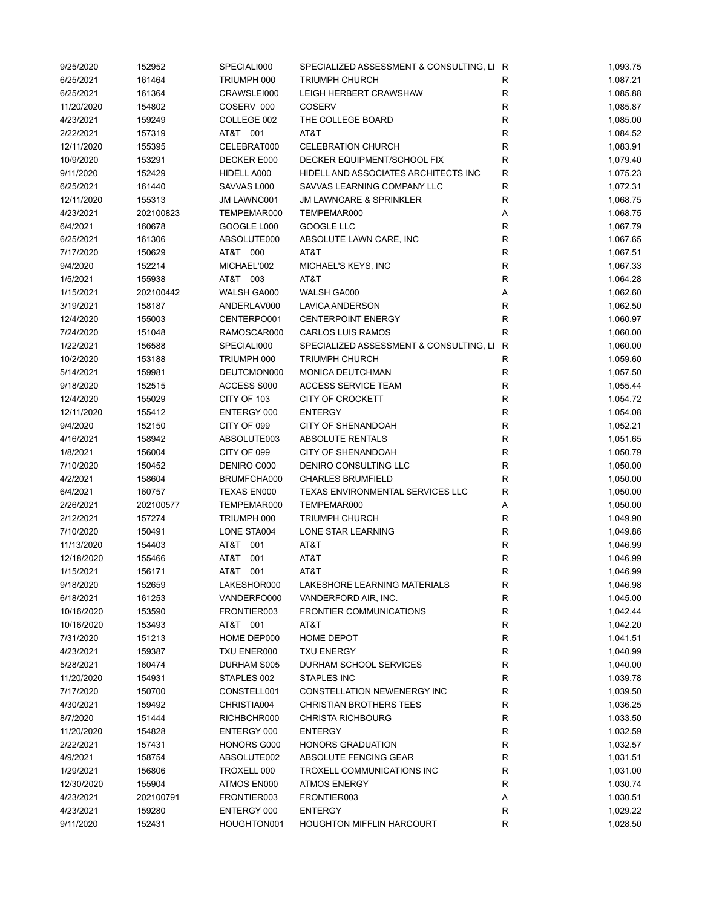| 9/25/2020  | 152952    | SPECIALI000        | SPECIALIZED ASSESSMENT & CONSULTING, LI R |              | 1,093.75 |
|------------|-----------|--------------------|-------------------------------------------|--------------|----------|
| 6/25/2021  | 161464    | TRIUMPH 000        | <b>TRIUMPH CHURCH</b>                     | R            | 1,087.21 |
| 6/25/2021  | 161364    | CRAWSLEI000        | LEIGH HERBERT CRAWSHAW                    | R            | 1,085.88 |
| 11/20/2020 | 154802    | COSERV 000         | <b>COSERV</b>                             | R            | 1,085.87 |
| 4/23/2021  | 159249    | COLLEGE 002        | THE COLLEGE BOARD                         | $\mathsf{R}$ | 1,085.00 |
| 2/22/2021  | 157319    | AT&T 001           | AT&T                                      | R            | 1,084.52 |
| 12/11/2020 | 155395    | CELEBRAT000        | <b>CELEBRATION CHURCH</b>                 | R            | 1,083.91 |
| 10/9/2020  | 153291    | DECKER E000        | DECKER EQUIPMENT/SCHOOL FIX               | R            | 1,079.40 |
| 9/11/2020  | 152429    | HIDELL A000        | HIDELL AND ASSOCIATES ARCHITECTS INC      | R            | 1,075.23 |
| 6/25/2021  | 161440    | SAVVAS L000        | SAVVAS LEARNING COMPANY LLC               | R            | 1,072.31 |
| 12/11/2020 | 155313    | JM LAWNC001        | <b>JM LAWNCARE &amp; SPRINKLER</b>        | $\mathsf{R}$ | 1,068.75 |
| 4/23/2021  | 202100823 | TEMPEMAR000        | TEMPEMAR000                               | Α            | 1,068.75 |
| 6/4/2021   | 160678    | GOOGLE L000        | GOOGLE LLC                                | $\mathsf{R}$ | 1,067.79 |
| 6/25/2021  | 161306    | ABSOLUTE000        | ABSOLUTE LAWN CARE, INC                   | $\mathsf{R}$ | 1,067.65 |
| 7/17/2020  | 150629    | AT&T 000           | AT&T                                      | R            | 1,067.51 |
| 9/4/2020   | 152214    | MICHAEL'002        | MICHAEL'S KEYS, INC                       | $\mathsf{R}$ | 1,067.33 |
| 1/5/2021   | 155938    | AT&T 003           | AT&T                                      | $\mathsf{R}$ | 1,064.28 |
| 1/15/2021  | 202100442 | WALSH GA000        | WALSH GA000                               | Α            | 1,062.60 |
| 3/19/2021  | 158187    | ANDERLAV000        | LAVICA ANDERSON                           | R            | 1,062.50 |
| 12/4/2020  | 155003    | CENTERPO001        | <b>CENTERPOINT ENERGY</b>                 | $\mathsf{R}$ | 1,060.97 |
| 7/24/2020  | 151048    | RAMOSCAR000        | <b>CARLOS LUIS RAMOS</b>                  | R            | 1,060.00 |
|            |           |                    |                                           |              |          |
| 1/22/2021  | 156588    | SPECIALI000        | SPECIALIZED ASSESSMENT & CONSULTING, LI   | R            | 1,060.00 |
| 10/2/2020  | 153188    | TRIUMPH 000        | <b>TRIUMPH CHURCH</b>                     | R            | 1,059.60 |
| 5/14/2021  | 159981    | DEUTCMON000        | MONICA DEUTCHMAN                          | R            | 1,057.50 |
| 9/18/2020  | 152515    | ACCESS S000        | <b>ACCESS SERVICE TEAM</b>                | $\mathsf{R}$ | 1,055.44 |
| 12/4/2020  | 155029    | CITY OF 103        | <b>CITY OF CROCKETT</b>                   | ${\sf R}$    | 1,054.72 |
| 12/11/2020 | 155412    | ENTERGY 000        | <b>ENTERGY</b>                            | ${\sf R}$    | 1,054.08 |
| 9/4/2020   | 152150    | CITY OF 099        | <b>CITY OF SHENANDOAH</b>                 | $\mathsf{R}$ | 1,052.21 |
| 4/16/2021  | 158942    | ABSOLUTE003        | ABSOLUTE RENTALS                          | $\mathsf{R}$ | 1,051.65 |
| 1/8/2021   | 156004    | CITY OF 099        | <b>CITY OF SHENANDOAH</b>                 | R            | 1,050.79 |
| 7/10/2020  | 150452    | DENIRO C000        | DENIRO CONSULTING LLC                     | $\mathsf{R}$ | 1,050.00 |
| 4/2/2021   | 158604    | BRUMFCHA000        | <b>CHARLES BRUMFIELD</b>                  | $\mathsf R$  | 1,050.00 |
| 6/4/2021   | 160757    | <b>TEXAS EN000</b> | TEXAS ENVIRONMENTAL SERVICES LLC          | $\mathsf{R}$ | 1,050.00 |
| 2/26/2021  | 202100577 | TEMPEMAR000        | TEMPEMAR000                               | Α            | 1,050.00 |
| 2/12/2021  | 157274    | TRIUMPH 000        | <b>TRIUMPH CHURCH</b>                     | ${\sf R}$    | 1,049.90 |
| 7/10/2020  | 150491    | LONE STA004        | LONE STAR LEARNING                        | R            | 1,049.86 |
| 11/13/2020 | 154403    | AT&T 001           | AT&T                                      | R            | 1,046.99 |
| 12/18/2020 | 155466    | AT&T 001           | AT&T                                      | $\mathsf{R}$ | 1,046.99 |
| 1/15/2021  | 156171    | AT&T 001           | AT&T                                      | R            | 1,046.99 |
| 9/18/2020  | 152659    | LAKESHOR000        | LAKESHORE LEARNING MATERIALS              | R            | 1,046.98 |
| 6/18/2021  | 161253    | VANDERFO000        | VANDERFORD AIR, INC.                      | R            | 1,045.00 |
| 10/16/2020 | 153590    | FRONTIER003        | <b>FRONTIER COMMUNICATIONS</b>            | ${\sf R}$    | 1,042.44 |
| 10/16/2020 | 153493    | AT&T 001           | AT&T                                      | $\mathsf{R}$ | 1,042.20 |
| 7/31/2020  | 151213    | HOME DEP000        | HOME DEPOT                                | R            | 1,041.51 |
| 4/23/2021  | 159387    | TXU ENER000        | <b>TXU ENERGY</b>                         | R            | 1,040.99 |
| 5/28/2021  | 160474    | DURHAM S005        | DURHAM SCHOOL SERVICES                    | R            | 1,040.00 |
| 11/20/2020 | 154931    | STAPLES 002        | STAPLES INC                               | R            | 1,039.78 |
| 7/17/2020  | 150700    | CONSTELL001        | CONSTELLATION NEWENERGY INC               | R            | 1,039.50 |
| 4/30/2021  | 159492    | CHRISTIA004        | <b>CHRISTIAN BROTHERS TEES</b>            | $\mathsf{R}$ | 1,036.25 |
| 8/7/2020   | 151444    | RICHBCHR000        | <b>CHRISTA RICHBOURG</b>                  | R            | 1,033.50 |
| 11/20/2020 | 154828    | ENTERGY 000        | <b>ENTERGY</b>                            | R            | 1,032.59 |
| 2/22/2021  | 157431    | HONORS G000        | <b>HONORS GRADUATION</b>                  | R            | 1,032.57 |
| 4/9/2021   | 158754    | ABSOLUTE002        | ABSOLUTE FENCING GEAR                     | R            | 1,031.51 |
| 1/29/2021  | 156806    | TROXELL 000        | TROXELL COMMUNICATIONS INC                | R            | 1,031.00 |
| 12/30/2020 | 155904    | ATMOS EN000        | <b>ATMOS ENERGY</b>                       | R            | 1,030.74 |
| 4/23/2021  | 202100791 | FRONTIER003        | FRONTIER003                               | Α            | 1,030.51 |
| 4/23/2021  | 159280    | ENTERGY 000        | <b>ENTERGY</b>                            | R            | 1,029.22 |
| 9/11/2020  | 152431    | HOUGHTON001        | <b>HOUGHTON MIFFLIN HARCOURT</b>          | R            | 1,028.50 |
|            |           |                    |                                           |              |          |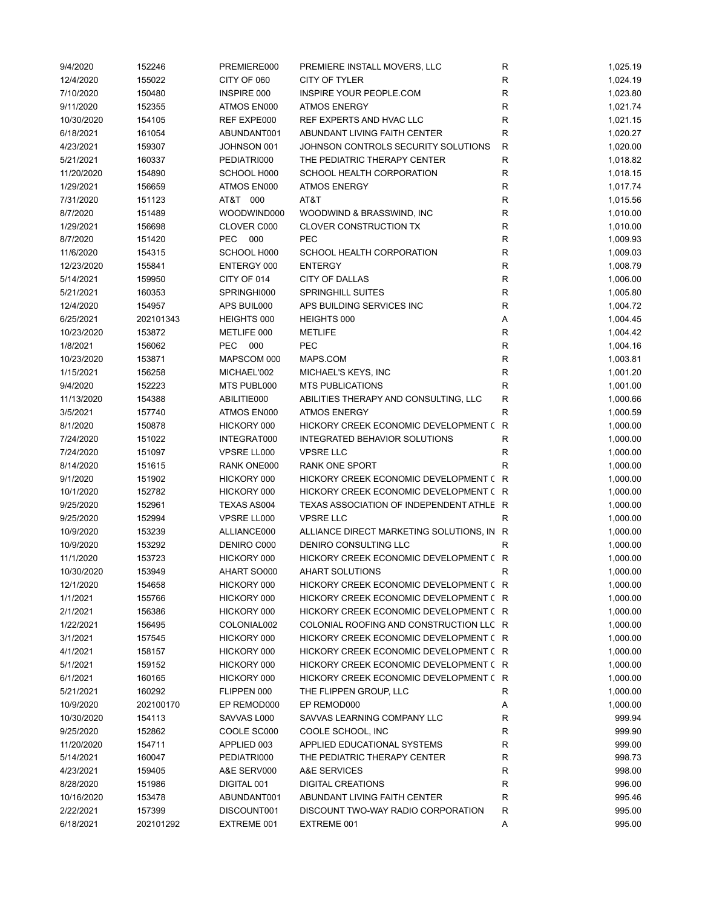| 9/4/2020   | 152246    | PREMIERE000       | PREMIERE INSTALL MOVERS, LLC              | R            | 1,025.19 |
|------------|-----------|-------------------|-------------------------------------------|--------------|----------|
| 12/4/2020  | 155022    | CITY OF 060       | CITY OF TYLER                             | R            | 1,024.19 |
| 7/10/2020  | 150480    | INSPIRE 000       | INSPIRE YOUR PEOPLE.COM                   | R            | 1,023.80 |
| 9/11/2020  | 152355    | ATMOS EN000       | <b>ATMOS ENERGY</b>                       | $\mathsf R$  | 1,021.74 |
| 10/30/2020 | 154105    | REF EXPE000       | REF EXPERTS AND HVAC LLC                  | R            | 1,021.15 |
| 6/18/2021  | 161054    | ABUNDANT001       | ABUNDANT LIVING FAITH CENTER              | $\mathsf R$  | 1,020.27 |
| 4/23/2021  | 159307    | JOHNSON 001       | JOHNSON CONTROLS SECURITY SOLUTIONS       | $\mathsf R$  | 1,020.00 |
| 5/21/2021  | 160337    | PEDIATRI000       | THE PEDIATRIC THERAPY CENTER              | $\mathsf R$  | 1,018.82 |
| 11/20/2020 | 154890    | SCHOOL H000       | SCHOOL HEALTH CORPORATION                 | R            | 1,018.15 |
|            |           |                   |                                           |              |          |
| 1/29/2021  | 156659    | ATMOS EN000       | <b>ATMOS ENERGY</b>                       | ${\sf R}$    | 1,017.74 |
| 7/31/2020  | 151123    | AT&T 000          | AT&T                                      | $\mathsf R$  | 1,015.56 |
| 8/7/2020   | 151489    | WOODWIND000       | WOODWIND & BRASSWIND, INC                 | $\mathsf R$  | 1,010.00 |
| 1/29/2021  | 156698    | CLOVER C000       | <b>CLOVER CONSTRUCTION TX</b>             | $\mathsf R$  | 1,010.00 |
| 8/7/2020   | 151420    | <b>PEC</b><br>000 | <b>PEC</b>                                | R            | 1,009.93 |
| 11/6/2020  | 154315    | SCHOOL H000       | SCHOOL HEALTH CORPORATION                 | R            | 1,009.03 |
| 12/23/2020 | 155841    | ENTERGY 000       | <b>ENTERGY</b>                            | R            | 1,008.79 |
| 5/14/2021  | 159950    | CITY OF 014       | CITY OF DALLAS                            | $\mathsf R$  | 1,006.00 |
| 5/21/2021  | 160353    | SPRINGHI000       | <b>SPRINGHILL SUITES</b>                  | $\mathsf R$  | 1,005.80 |
| 12/4/2020  | 154957    | APS BUIL000       | APS BUILDING SERVICES INC                 | $\mathsf R$  | 1,004.72 |
| 6/25/2021  | 202101343 | HEIGHTS 000       | HEIGHTS 000                               | Α            | 1,004.45 |
| 10/23/2020 | 153872    | METLIFE 000       | <b>METLIFE</b>                            | $\mathsf R$  | 1,004.42 |
| 1/8/2021   | 156062    | <b>PEC</b><br>000 | <b>PEC</b>                                | $\mathsf R$  | 1,004.16 |
| 10/23/2020 | 153871    | MAPSCOM 000       | MAPS.COM                                  | ${\sf R}$    | 1,003.81 |
| 1/15/2021  | 156258    | MICHAEL'002       | MICHAEL'S KEYS, INC                       | ${\sf R}$    | 1,001.20 |
|            |           | MTS PUBL000       |                                           |              |          |
| 9/4/2020   | 152223    |                   | <b>MTS PUBLICATIONS</b>                   | ${\sf R}$    | 1,001.00 |
| 11/13/2020 | 154388    | ABILITIE000       | ABILITIES THERAPY AND CONSULTING, LLC     | R            | 1,000.66 |
| 3/5/2021   | 157740    | ATMOS EN000       | <b>ATMOS ENERGY</b>                       | $\mathsf R$  | 1,000.59 |
| 8/1/2020   | 150878    | HICKORY 000       | HICKORY CREEK ECONOMIC DEVELOPMENT (      | $\mathsf{R}$ | 1,000.00 |
| 7/24/2020  | 151022    | INTEGRAT000       | INTEGRATED BEHAVIOR SOLUTIONS             | $\mathsf R$  | 1,000.00 |
| 7/24/2020  | 151097    | VPSRE LL000       | <b>VPSRE LLC</b>                          | R            | 1,000.00 |
| 8/14/2020  | 151615    | RANK ONE000       | <b>RANK ONE SPORT</b>                     | R            | 1,000.00 |
| 9/1/2020   | 151902    | HICKORY 000       | HICKORY CREEK ECONOMIC DEVELOPMENT ( R    |              | 1,000.00 |
| 10/1/2020  | 152782    | HICKORY 000       | HICKORY CREEK ECONOMIC DEVELOPMENT ( R    |              | 1,000.00 |
| 9/25/2020  | 152961    | TEXAS AS004       | TEXAS ASSOCIATION OF INDEPENDENT ATHLE R  |              | 1,000.00 |
| 9/25/2020  | 152994    | VPSRE LL000       | <b>VPSRE LLC</b>                          | R            | 1,000.00 |
| 10/9/2020  | 153239    | ALLIANCE000       | ALLIANCE DIRECT MARKETING SOLUTIONS, IN R |              | 1,000.00 |
| 10/9/2020  | 153292    | DENIRO C000       | DENIRO CONSULTING LLC                     | R            | 1,000.00 |
| 11/1/2020  | 153723    | HICKORY 000       | HICKORY CREEK ECONOMIC DEVELOPMENT ( R    |              | 1,000.00 |
| 10/30/2020 | 153949    | AHART SO000       | <b>AHART SOLUTIONS</b>                    | R            | 1,000.00 |
| 12/1/2020  | 154658    | HICKORY 000       | HICKORY CREEK ECONOMIC DEVELOPMENT ( R    |              | 1,000.00 |
|            |           |                   | HICKORY CREEK ECONOMIC DEVELOPMENT (R     |              |          |
| 1/1/2021   | 155766    | HICKORY 000       |                                           |              | 1,000.00 |
| 2/1/2021   | 156386    | HICKORY 000       | HICKORY CREEK ECONOMIC DEVELOPMENT (R     |              | 1,000.00 |
| 1/22/2021  | 156495    | COLONIAL002       | COLONIAL ROOFING AND CONSTRUCTION LLC R   |              | 1,000.00 |
| 3/1/2021   | 157545    | HICKORY 000       | HICKORY CREEK ECONOMIC DEVELOPMENT (R     |              | 1,000.00 |
| 4/1/2021   | 158157    | HICKORY 000       | HICKORY CREEK ECONOMIC DEVELOPMENT (R     |              | 1,000.00 |
| 5/1/2021   | 159152    | HICKORY 000       | HICKORY CREEK ECONOMIC DEVELOPMENT ( R    |              | 1,000.00 |
| 6/1/2021   | 160165    | HICKORY 000       | HICKORY CREEK ECONOMIC DEVELOPMENT ( R    |              | 1,000.00 |
| 5/21/2021  | 160292    | FLIPPEN 000       | THE FLIPPEN GROUP, LLC                    | R            | 1,000.00 |
| 10/9/2020  | 202100170 | EP REMOD000       | EP REMOD000                               | Α            | 1,000.00 |
| 10/30/2020 | 154113    | SAVVAS L000       | SAVVAS LEARNING COMPANY LLC               | R            | 999.94   |
| 9/25/2020  | 152862    | COOLE SC000       | COOLE SCHOOL, INC                         | R            | 999.90   |
| 11/20/2020 | 154711    | APPLIED 003       | APPLIED EDUCATIONAL SYSTEMS               | R            | 999.00   |
| 5/14/2021  | 160047    | PEDIATRI000       | THE PEDIATRIC THERAPY CENTER              | R            | 998.73   |
| 4/23/2021  | 159405    | A&E SERV000       | A&E SERVICES                              | $\mathsf R$  | 998.00   |
| 8/28/2020  | 151986    | DIGITAL 001       | <b>DIGITAL CREATIONS</b>                  | $\mathsf R$  | 996.00   |
| 10/16/2020 | 153478    | ABUNDANT001       | ABUNDANT LIVING FAITH CENTER              | R            | 995.46   |
| 2/22/2021  | 157399    | DISCOUNT001       | DISCOUNT TWO-WAY RADIO CORPORATION        | R            | 995.00   |
|            |           |                   |                                           |              |          |
| 6/18/2021  | 202101292 | EXTREME 001       | EXTREME 001                               | Α            | 995.00   |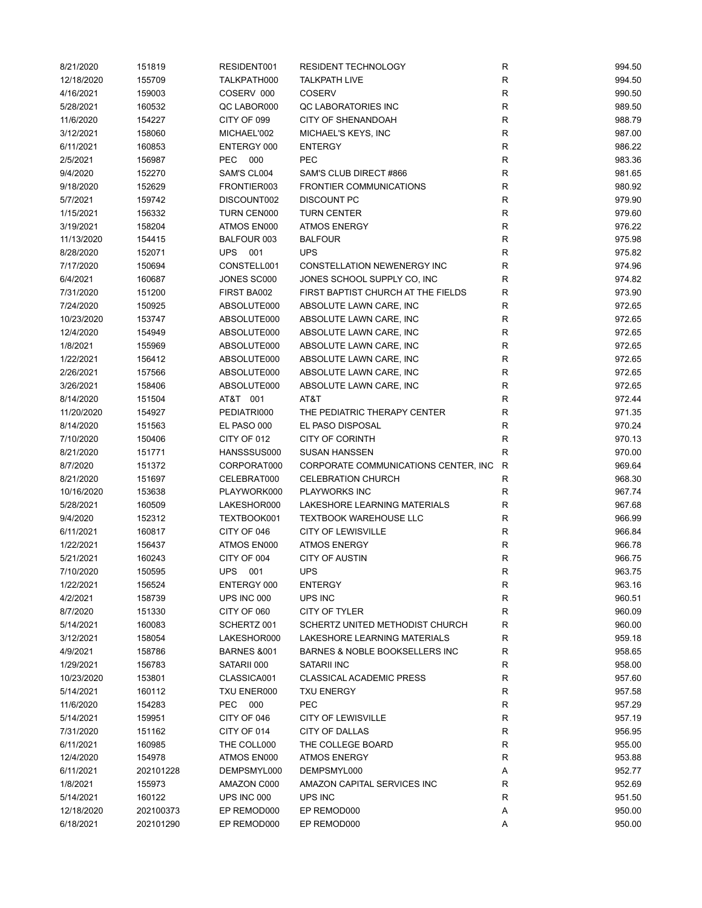| 8/21/2020              | 151819           | RESIDENT001            | RESIDENT TECHNOLOGY                   | ${\sf R}$    | 994.50           |
|------------------------|------------------|------------------------|---------------------------------------|--------------|------------------|
| 12/18/2020             | 155709           | TALKPATH000            | <b>TALKPATH LIVE</b>                  | ${\sf R}$    | 994.50           |
| 4/16/2021              | 159003           | COSERV 000             | <b>COSERV</b>                         | $\mathsf{R}$ | 990.50           |
| 5/28/2021              | 160532           | QC LABOR000            | QC LABORATORIES INC                   | $\mathsf{R}$ | 989.50           |
| 11/6/2020              | 154227           | CITY OF 099            | <b>CITY OF SHENANDOAH</b>             | $\mathsf{R}$ | 988.79           |
| 3/12/2021              | 158060           | MICHAEL'002            | MICHAEL'S KEYS, INC                   | R            | 987.00           |
| 6/11/2021              | 160853           | ENTERGY 000            | <b>ENTERGY</b>                        | R            | 986.22           |
| 2/5/2021               | 156987           | PEC.<br>000            | <b>PEC</b>                            | $\mathsf{R}$ | 983.36           |
| 9/4/2020               | 152270           | SAM'S CL004            | SAM'S CLUB DIRECT #866                | $\mathsf{R}$ | 981.65           |
| 9/18/2020              | 152629           | FRONTIER003            | <b>FRONTIER COMMUNICATIONS</b>        | $\mathsf{R}$ | 980.92           |
| 5/7/2021               | 159742           | DISCOUNT002            | <b>DISCOUNT PC</b>                    | $\mathsf{R}$ | 979.90           |
| 1/15/2021              | 156332           | TURN CEN000            | <b>TURN CENTER</b>                    | ${\sf R}$    | 979.60           |
| 3/19/2021              | 158204           | ATMOS EN000            | <b>ATMOS ENERGY</b>                   | $\mathsf{R}$ | 976.22           |
| 11/13/2020             | 154415           | BALFOUR 003            | <b>BALFOUR</b>                        | $\mathsf{R}$ | 975.98           |
| 8/28/2020              | 152071           | UPS 001                | <b>UPS</b>                            | $\mathsf{R}$ | 975.82           |
| 7/17/2020              | 150694           | CONSTELL001            | CONSTELLATION NEWENERGY INC           | $\mathsf{R}$ | 974.96           |
| 6/4/2021               | 160687           | JONES SC000            | JONES SCHOOL SUPPLY CO, INC           | R            | 974.82           |
| 7/31/2020              | 151200           | FIRST BA002            | FIRST BAPTIST CHURCH AT THE FIELDS    | $\mathsf{R}$ | 973.90           |
| 7/24/2020              | 150925           | ABSOLUTE000            | ABSOLUTE LAWN CARE, INC               | $\mathsf{R}$ | 972.65           |
| 10/23/2020             | 153747           | ABSOLUTE000            | ABSOLUTE LAWN CARE, INC               | R            | 972.65           |
| 12/4/2020              | 154949           | ABSOLUTE000            | ABSOLUTE LAWN CARE, INC               | R            | 972.65           |
| 1/8/2021               | 155969           | ABSOLUTE000            | ABSOLUTE LAWN CARE, INC               | R            | 972.65           |
| 1/22/2021              | 156412           | ABSOLUTE000            | ABSOLUTE LAWN CARE, INC               | $\mathsf{R}$ | 972.65           |
| 2/26/2021              | 157566           | ABSOLUTE000            | ABSOLUTE LAWN CARE, INC               | $\mathsf{R}$ | 972.65           |
|                        |                  | ABSOLUTE000            |                                       | $\mathsf{R}$ |                  |
| 3/26/2021<br>8/14/2020 | 158406<br>151504 | AT&T 001               | ABSOLUTE LAWN CARE, INC<br>AT&T       | ${\sf R}$    | 972.65<br>972.44 |
| 11/20/2020             | 154927           | PEDIATRI000            | THE PEDIATRIC THERAPY CENTER          | $\mathsf{R}$ | 971.35           |
|                        |                  |                        | EL PASO DISPOSAL                      | $\mathsf{R}$ | 970.24           |
| 8/14/2020              | 151563           | EL PASO 000            |                                       | $\mathsf{R}$ |                  |
| 7/10/2020              | 150406           | CITY OF 012            | <b>CITY OF CORINTH</b>                |              | 970.13           |
| 8/21/2020              | 151771           | HANSSSUS000            | <b>SUSAN HANSSEN</b>                  | R            | 970.00           |
| 8/7/2020               | 151372           | CORPORAT000            | CORPORATE COMMUNICATIONS CENTER, INC. | $\mathsf{R}$ | 969.64           |
| 8/21/2020              | 151697           | CELEBRAT000            | <b>CELEBRATION CHURCH</b>             | R            | 968.30           |
| 10/16/2020             | 153638           | PLAYWORK000            | <b>PLAYWORKS INC</b>                  | $\mathsf{R}$ | 967.74           |
| 5/28/2021              | 160509           | LAKESHOR000            | LAKESHORE LEARNING MATERIALS          | $\mathsf{R}$ | 967.68           |
| 9/4/2020               | 152312           | TEXTBOOK001            | <b>TEXTBOOK WAREHOUSE LLC</b>         | R            | 966.99           |
| 6/11/2021              | 160817           | CITY OF 046            | <b>CITY OF LEWISVILLE</b>             | R            | 966.84           |
| 1/22/2021              | 156437           | ATMOS EN000            | <b>ATMOS ENERGY</b>                   | $\mathsf{R}$ | 966.78           |
| 5/21/2021              | 160243           | CITY OF 004            | <b>CITY OF AUSTIN</b>                 | $\mathsf{R}$ | 966.75           |
| 7/10/2020              | 150595           | <b>UPS</b><br>001      | <b>UPS</b>                            | $\mathsf{R}$ | 963.75           |
| 1/22/2021              | 156524           | ENTERGY 000            | <b>ENTERGY</b>                        | R            | 963.16           |
| 4/2/2021               | 158739           | UPS INC 000            | UPS INC                               | ${\sf R}$    | 960.51           |
| 8/7/2020               | 151330           | CITY OF 060            | CITY OF TYLER                         | $\mathsf{R}$ | 960.09           |
| 5/14/2021              | 160083           | SCHERTZ 001            | SCHERTZ UNITED METHODIST CHURCH       | R            | 960.00           |
| 3/12/2021              | 158054           | LAKESHOR000            | LAKESHORE LEARNING MATERIALS          | R            | 959.18           |
| 4/9/2021               | 158786           | <b>BARNES &amp;001</b> | BARNES & NOBLE BOOKSELLERS INC        | R            | 958.65           |
| 1/29/2021              | 156783           | SATARII 000            | SATARII INC                           | R            | 958.00           |
| 10/23/2020             | 153801           | CLASSICA001            | <b>CLASSICAL ACADEMIC PRESS</b>       | R            | 957.60           |
| 5/14/2021              | 160112           | TXU ENER000            | <b>TXU ENERGY</b>                     | $\mathsf{R}$ | 957.58           |
| 11/6/2020              | 154283           | PEC.<br>000            | <b>PEC</b>                            | R            | 957.29           |
| 5/14/2021              | 159951           | CITY OF 046            | <b>CITY OF LEWISVILLE</b>             | R            | 957.19           |
| 7/31/2020              | 151162           | CITY OF 014            | CITY OF DALLAS                        | R            | 956.95           |
| 6/11/2021              | 160985           | THE COLL000            | THE COLLEGE BOARD                     | R            | 955.00           |
| 12/4/2020              | 154978           | ATMOS EN000            | <b>ATMOS ENERGY</b>                   | R            | 953.88           |
| 6/11/2021              | 202101228        | DEMPSMYL000            | DEMPSMYL000                           | Α            | 952.77           |
| 1/8/2021               | 155973           | AMAZON C000            | AMAZON CAPITAL SERVICES INC           | R            | 952.69           |
| 5/14/2021              | 160122           | UPS INC 000            | UPS INC                               | $\mathsf{R}$ | 951.50           |
| 12/18/2020             | 202100373        | EP REMOD000            | EP REMOD000                           | Α            | 950.00           |
| 6/18/2021              | 202101290        | EP REMOD000            | EP REMOD000                           | Α            | 950.00           |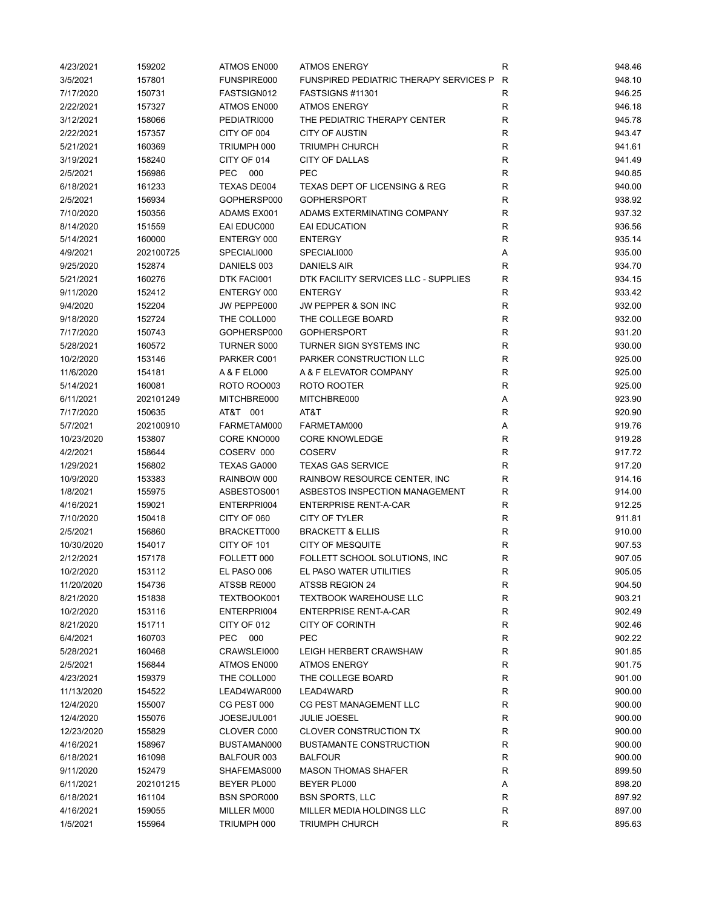| 4/23/2021  | 159202    | ATMOS EN000        | <b>ATMOS ENERGY</b>                           | R            | 948.46 |
|------------|-----------|--------------------|-----------------------------------------------|--------------|--------|
| 3/5/2021   | 157801    | FUNSPIRE000        | <b>FUNSPIRED PEDIATRIC THERAPY SERVICES P</b> | R            | 948.10 |
| 7/17/2020  | 150731    | FASTSIGN012        | FASTSIGNS #11301                              | R            | 946.25 |
| 2/22/2021  | 157327    | ATMOS EN000        | <b>ATMOS ENERGY</b>                           | R            | 946.18 |
| 3/12/2021  | 158066    | PEDIATRI000        | THE PEDIATRIC THERAPY CENTER                  | $\mathsf{R}$ | 945.78 |
| 2/22/2021  | 157357    | CITY OF 004        | <b>CITY OF AUSTIN</b>                         | R            | 943.47 |
| 5/21/2021  | 160369    | TRIUMPH 000        | <b>TRIUMPH CHURCH</b>                         | R            | 941.61 |
| 3/19/2021  | 158240    | CITY OF 014        | <b>CITY OF DALLAS</b>                         | R            | 941.49 |
| 2/5/2021   | 156986    | <b>PEC</b><br>000  | PEC                                           | R            | 940.85 |
| 6/18/2021  | 161233    | <b>TEXAS DE004</b> | TEXAS DEPT OF LICENSING & REG                 | $\mathsf{R}$ | 940.00 |
| 2/5/2021   | 156934    | GOPHERSP000        | <b>GOPHERSPORT</b>                            | $\mathsf{R}$ | 938.92 |
| 7/10/2020  | 150356    | ADAMS EX001        | ADAMS EXTERMINATING COMPANY                   | $\mathsf{R}$ | 937.32 |
| 8/14/2020  | 151559    | EAI EDUC000        | EAI EDUCATION                                 | $\mathsf{R}$ | 936.56 |
| 5/14/2021  | 160000    | ENTERGY 000        | <b>ENTERGY</b>                                | $\mathsf{R}$ | 935.14 |
| 4/9/2021   | 202100725 | SPECIALI000        | SPECIALI000                                   | Α            | 935.00 |
| 9/25/2020  | 152874    | DANIELS 003        | DANIELS AIR                                   | R            | 934.70 |
| 5/21/2021  | 160276    | DTK FACI001        | DTK FACILITY SERVICES LLC - SUPPLIES          | R            | 934.15 |
| 9/11/2020  | 152412    | ENTERGY 000        | <b>ENTERGY</b>                                | R            | 933.42 |
| 9/4/2020   | 152204    | JW PEPPE000        | <b>JW PEPPER &amp; SON INC</b>                | R            | 932.00 |
| 9/18/2020  | 152724    | THE COLL000        | THE COLLEGE BOARD                             | $\mathsf{R}$ | 932.00 |
| 7/17/2020  | 150743    | GOPHERSP000        | <b>GOPHERSPORT</b>                            | R            | 931.20 |
| 5/28/2021  | 160572    | <b>TURNER S000</b> | TURNER SIGN SYSTEMS INC                       | R            | 930.00 |
| 10/2/2020  | 153146    | PARKER C001        | PARKER CONSTRUCTION LLC                       | R            | 925.00 |
| 11/6/2020  | 154181    | A & F EL000        | A & F ELEVATOR COMPANY                        | R            | 925.00 |
| 5/14/2021  | 160081    | <b>ROTO ROO003</b> | ROTO ROOTER                                   | R            | 925.00 |
| 6/11/2021  | 202101249 | MITCHBRE000        | MITCHBRE000                                   | Α            | 923.90 |
| 7/17/2020  | 150635    | AT&T 001           | AT&T                                          | $\mathsf{R}$ | 920.90 |
| 5/7/2021   | 202100910 | FARMETAM000        | FARMETAM000                                   | Α            | 919.76 |
| 10/23/2020 | 153807    | CORE KNO000        | <b>CORE KNOWLEDGE</b>                         | $\mathsf{R}$ | 919.28 |
| 4/2/2021   | 158644    | COSERV 000         | <b>COSERV</b>                                 | R            | 917.72 |
| 1/29/2021  | 156802    | TEXAS GA000        | <b>TEXAS GAS SERVICE</b>                      | $\mathsf{R}$ | 917.20 |
| 10/9/2020  | 153383    | RAINBOW 000        | RAINBOW RESOURCE CENTER, INC                  | R            | 914.16 |
| 1/8/2021   | 155975    | ASBESTOS001        | ASBESTOS INSPECTION MANAGEMENT                | R            | 914.00 |
| 4/16/2021  | 159021    | ENTERPRI004        | <b>ENTERPRISE RENT-A-CAR</b>                  | R            | 912.25 |
| 7/10/2020  | 150418    | CITY OF 060        | <b>CITY OF TYLER</b>                          | R            | 911.81 |
| 2/5/2021   | 156860    | BRACKETT000        | <b>BRACKETT &amp; ELLIS</b>                   | R            | 910.00 |
| 10/30/2020 | 154017    | CITY OF 101        | <b>CITY OF MESQUITE</b>                       | R            | 907.53 |
| 2/12/2021  | 157178    | FOLLETT 000        | FOLLETT SCHOOL SOLUTIONS, INC                 | R            | 907.05 |
| 10/2/2020  | 153112    | EL PASO 006        | EL PASO WATER UTILITIES                       | R            | 905.05 |
| 11/20/2020 | 154736    | ATSSB RE000        | ATSSB REGION 24                               | R            | 904.50 |
| 8/21/2020  | 151838    | TEXTBOOK001        | <b>TEXTBOOK WAREHOUSE LLC</b>                 | ${\sf R}$    | 903.21 |
| 10/2/2020  | 153116    | ENTERPRI004        | <b>ENTERPRISE RENT-A-CAR</b>                  | $\mathsf{R}$ | 902.49 |
| 8/21/2020  | 151711    | CITY OF 012        | <b>CITY OF CORINTH</b>                        | $\mathsf{R}$ | 902.46 |
| 6/4/2021   | 160703    | PEC<br>000         | <b>PEC</b>                                    | R            | 902.22 |
| 5/28/2021  | 160468    | CRAWSLEI000        | LEIGH HERBERT CRAWSHAW                        | R            | 901.85 |
| 2/5/2021   | 156844    | ATMOS EN000        | <b>ATMOS ENERGY</b>                           | R            | 901.75 |
| 4/23/2021  | 159379    | THE COLL000        | THE COLLEGE BOARD                             | R            | 901.00 |
| 11/13/2020 | 154522    | LEAD4WAR000        | LEAD4WARD                                     | R            | 900.00 |
| 12/4/2020  | 155007    | CG PEST 000        | CG PEST MANAGEMENT LLC                        | $\mathsf{R}$ | 900.00 |
| 12/4/2020  | 155076    | JOESEJUL001        | <b>JULIE JOESEL</b>                           | R            | 900.00 |
| 12/23/2020 | 155829    | CLOVER C000        | <b>CLOVER CONSTRUCTION TX</b>                 | R            | 900.00 |
| 4/16/2021  | 158967    | BUSTAMAN000        | <b>BUSTAMANTE CONSTRUCTION</b>                | R            | 900.00 |
| 6/18/2021  | 161098    | BALFOUR 003        | <b>BALFOUR</b>                                | R            | 900.00 |
| 9/11/2020  | 152479    | SHAFEMAS000        | <b>MASON THOMAS SHAFER</b>                    | R            | 899.50 |
| 6/11/2021  | 202101215 | BEYER PL000        | BEYER PL000                                   | Α            | 898.20 |
| 6/18/2021  | 161104    | <b>BSN SPOR000</b> | <b>BSN SPORTS, LLC</b>                        | R            | 897.92 |
| 4/16/2021  | 159055    | MILLER M000        | MILLER MEDIA HOLDINGS LLC                     | $\mathsf{R}$ | 897.00 |
| 1/5/2021   | 155964    | TRIUMPH 000        | <b>TRIUMPH CHURCH</b>                         | R            | 895.63 |
|            |           |                    |                                               |              |        |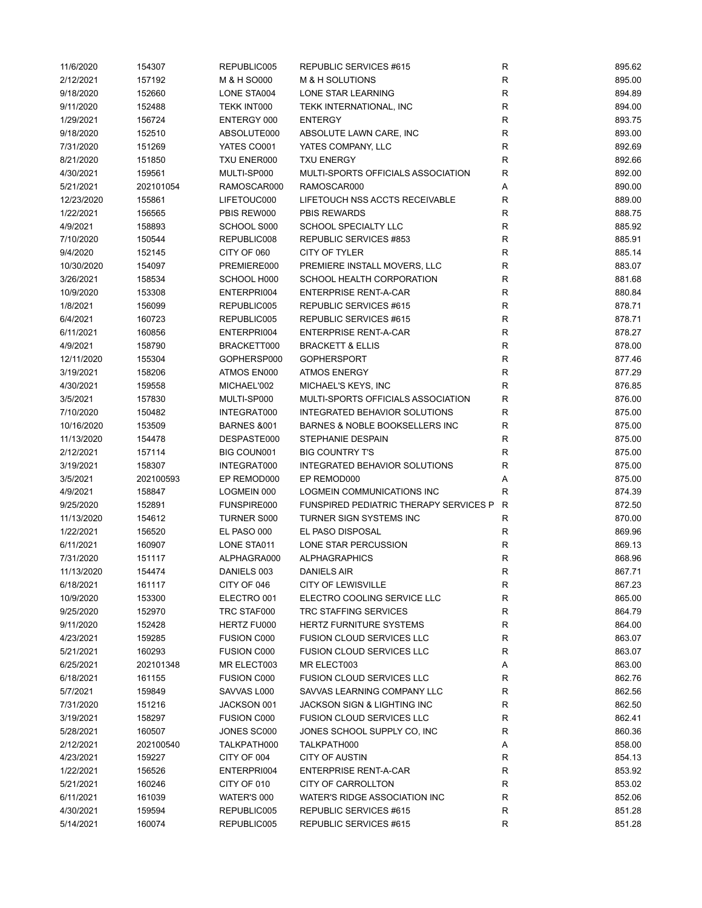| 11/6/2020  | 154307    | REPUBLIC005                | REPUBLIC SERVICES #615                          | $\mathsf{R}$ | 895.62 |
|------------|-----------|----------------------------|-------------------------------------------------|--------------|--------|
| 2/12/2021  | 157192    | M & H SO000                | M & H SOLUTIONS                                 | ${\sf R}$    | 895.00 |
| 9/18/2020  | 152660    | LONE STA004                | LONE STAR LEARNING                              | $\mathsf R$  | 894.89 |
| 9/11/2020  | 152488    | TEKK INT000                | TEKK INTERNATIONAL, INC                         | ${\sf R}$    | 894.00 |
| 1/29/2021  | 156724    | ENTERGY 000                | <b>ENTERGY</b>                                  | $\mathsf{R}$ | 893.75 |
| 9/18/2020  | 152510    | ABSOLUTE000                | ABSOLUTE LAWN CARE, INC                         | $\mathsf{R}$ | 893.00 |
| 7/31/2020  | 151269    | YATES CO001                | YATES COMPANY, LLC                              | R            | 892.69 |
| 8/21/2020  | 151850    | TXU ENER000                | <b>TXU ENERGY</b>                               | R            | 892.66 |
| 4/30/2021  | 159561    | MULTI-SP000                | MULTI-SPORTS OFFICIALS ASSOCIATION              | $\mathsf{R}$ | 892.00 |
| 5/21/2021  | 202101054 | RAMOSCAR000                | RAMOSCAR000                                     | Α            | 890.00 |
| 12/23/2020 | 155861    | LIFETOUC000                | LIFETOUCH NSS ACCTS RECEIVABLE                  | $\mathsf{R}$ | 889.00 |
| 1/22/2021  | 156565    | PBIS REW000                | <b>PBIS REWARDS</b>                             | $\mathsf{R}$ | 888.75 |
| 4/9/2021   | 158893    | SCHOOL S000                | SCHOOL SPECIALTY LLC                            | ${\sf R}$    | 885.92 |
| 7/10/2020  | 150544    | REPUBLIC008                | REPUBLIC SERVICES #853                          | $\mathsf R$  | 885.91 |
| 9/4/2020   | 152145    | CITY OF 060                | CITY OF TYLER                                   | R            | 885.14 |
| 10/30/2020 | 154097    | PREMIERE000                | PREMIERE INSTALL MOVERS, LLC                    | $\mathsf{R}$ | 883.07 |
| 3/26/2021  | 158534    | SCHOOL H000                | SCHOOL HEALTH CORPORATION                       | $\mathsf R$  | 881.68 |
| 10/9/2020  | 153308    | ENTERPRI004                | <b>ENTERPRISE RENT-A-CAR</b>                    | $\mathsf{R}$ | 880.84 |
| 1/8/2021   | 156099    | REPUBLIC005                | REPUBLIC SERVICES #615                          | R            | 878.71 |
| 6/4/2021   | 160723    | REPUBLIC005                | REPUBLIC SERVICES #615                          | $\mathsf{R}$ | 878.71 |
| 6/11/2021  | 160856    | ENTERPRI004                | <b>ENTERPRISE RENT-A-CAR</b>                    | $\mathsf{R}$ | 878.27 |
| 4/9/2021   | 158790    | BRACKETT000                | <b>BRACKETT &amp; ELLIS</b>                     | R            | 878.00 |
| 12/11/2020 | 155304    | GOPHERSP000                | <b>GOPHERSPORT</b>                              | R            | 877.46 |
| 3/19/2021  | 158206    | ATMOS EN000                | <b>ATMOS ENERGY</b>                             | $\mathsf{R}$ | 877.29 |
| 4/30/2021  | 159558    | MICHAEL'002                | MICHAEL'S KEYS, INC                             | $\mathsf{R}$ | 876.85 |
| 3/5/2021   | 157830    | MULTI-SP000                | MULTI-SPORTS OFFICIALS ASSOCIATION              | ${\sf R}$    | 876.00 |
| 7/10/2020  | 150482    | INTEGRAT000                | INTEGRATED BEHAVIOR SOLUTIONS                   | ${\sf R}$    | 875.00 |
| 10/16/2020 | 153509    | <b>BARNES &amp;001</b>     | BARNES & NOBLE BOOKSELLERS INC                  | R            | 875.00 |
| 11/13/2020 | 154478    | DESPASTE000                | STEPHANIE DESPAIN                               | R            | 875.00 |
| 2/12/2021  | 157114    | BIG COUN001                | <b>BIG COUNTRY T'S</b>                          | R            | 875.00 |
| 3/19/2021  | 158307    | INTEGRAT000                | INTEGRATED BEHAVIOR SOLUTIONS                   | $\mathsf R$  | 875.00 |
| 3/5/2021   | 202100593 | EP REMOD000                | EP REMOD000                                     | Α            | 875.00 |
| 4/9/2021   | 158847    | LOGMEIN 000                | LOGMEIN COMMUNICATIONS INC                      | R            | 874.39 |
| 9/25/2020  | 152891    | FUNSPIRE000                | <b>FUNSPIRED PEDIATRIC THERAPY SERVICES P</b>   | R            | 872.50 |
| 11/13/2020 | 154612    | <b>TURNER S000</b>         | TURNER SIGN SYSTEMS INC                         | $\mathsf{R}$ | 870.00 |
| 1/22/2021  | 156520    | EL PASO 000                | EL PASO DISPOSAL                                | R            | 869.96 |
| 6/11/2021  | 160907    | LONE STA011                | LONE STAR PERCUSSION                            | R            | 869.13 |
| 7/31/2020  | 151117    | ALPHAGRA000                | <b>ALPHAGRAPHICS</b>                            | $\mathsf{R}$ | 868.96 |
| 11/13/2020 | 154474    | DANIELS 003                | <b>DANIELS AIR</b>                              | R            | 867.71 |
| 6/18/2021  | 161117    | CITY OF 046                | <b>CITY OF LEWISVILLE</b>                       | R            | 867.23 |
| 10/9/2020  | 153300    | ELECTRO 001                | ELECTRO COOLING SERVICE LLC                     | ${\sf R}$    | 865.00 |
| 9/25/2020  | 152970    |                            | <b>TRC STAFFING SERVICES</b>                    | $\mathsf{R}$ | 864.79 |
|            |           | TRC STAF000<br>HERTZ FU000 | <b>HERTZ FURNITURE SYSTEMS</b>                  | $\mathsf{R}$ |        |
| 9/11/2020  | 152428    |                            | <b>FUSION CLOUD SERVICES LLC</b>                |              | 864.00 |
| 4/23/2021  | 159285    | <b>FUSION C000</b>         |                                                 | R            | 863.07 |
| 5/21/2021  | 160293    | <b>FUSION C000</b>         | <b>FUSION CLOUD SERVICES LLC</b>                | R            | 863.07 |
| 6/25/2021  | 202101348 | MR ELECT003                | MR ELECT003<br><b>FUSION CLOUD SERVICES LLC</b> | Α            | 863.00 |
| 6/18/2021  | 161155    | <b>FUSION C000</b>         | SAVVAS LEARNING COMPANY LLC                     | R            | 862.76 |
| 5/7/2021   | 159849    | SAVVAS L000                | <b>JACKSON SIGN &amp; LIGHTING INC</b>          | R            | 862.56 |
| 7/31/2020  | 151216    | JACKSON 001                |                                                 | R            | 862.50 |
| 3/19/2021  | 158297    | <b>FUSION C000</b>         | <b>FUSION CLOUD SERVICES LLC</b>                | R            | 862.41 |
| 5/28/2021  | 160507    | JONES SC000                | JONES SCHOOL SUPPLY CO, INC                     | R            | 860.36 |
| 2/12/2021  | 202100540 | TALKPATH000                | TALKPATH000                                     | Α            | 858.00 |
| 4/23/2021  | 159227    | CITY OF 004                | <b>CITY OF AUSTIN</b>                           | R            | 854.13 |
| 1/22/2021  | 156526    | ENTERPRI004                | <b>ENTERPRISE RENT-A-CAR</b>                    | R            | 853.92 |
| 5/21/2021  | 160246    | CITY OF 010                | CITY OF CARROLLTON                              | R            | 853.02 |
| 6/11/2021  | 161039    | WATER'S 000                | WATER'S RIDGE ASSOCIATION INC                   | ${\sf R}$    | 852.06 |
| 4/30/2021  | 159594    | REPUBLIC005                | REPUBLIC SERVICES #615                          | R            | 851.28 |
| 5/14/2021  | 160074    | REPUBLIC005                | REPUBLIC SERVICES #615                          | R            | 851.28 |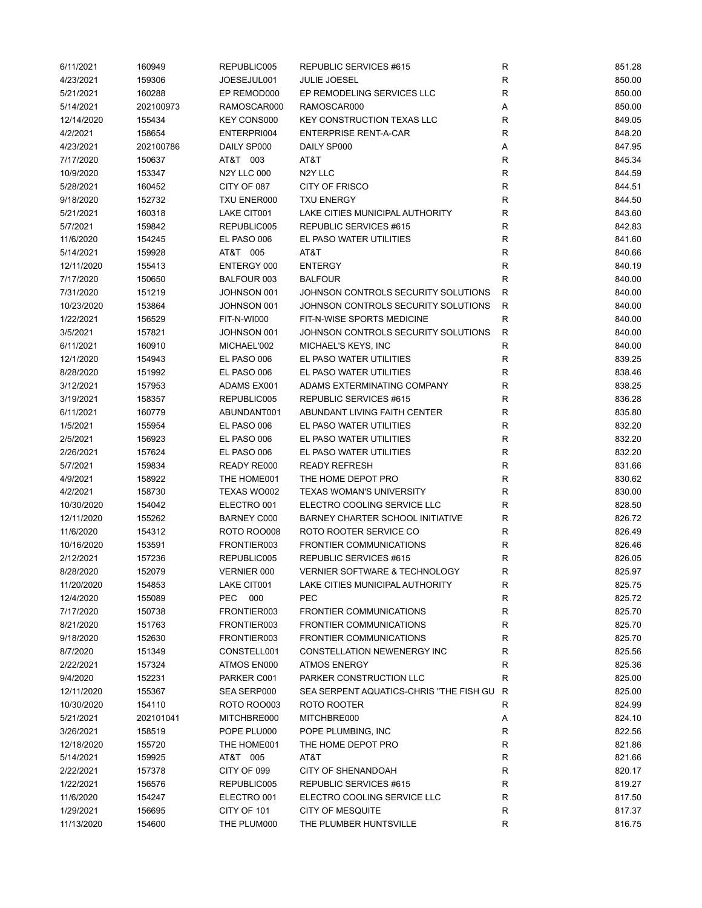| 6/11/2021  | 160949    | REPUBLIC005        | REPUBLIC SERVICES #615                  | R            | 851.28 |
|------------|-----------|--------------------|-----------------------------------------|--------------|--------|
| 4/23/2021  | 159306    | JOESEJUL001        | <b>JULIE JOESEL</b>                     | ${\sf R}$    | 850.00 |
| 5/21/2021  | 160288    | EP REMOD000        | EP REMODELING SERVICES LLC              | $\mathsf{R}$ | 850.00 |
| 5/14/2021  | 202100973 | RAMOSCAR000        | RAMOSCAR000                             | Α            | 850.00 |
| 12/14/2020 | 155434    | <b>KEY CONS000</b> | KEY CONSTRUCTION TEXAS LLC              | $\mathsf{R}$ | 849.05 |
| 4/2/2021   | 158654    | ENTERPRI004        | <b>ENTERPRISE RENT-A-CAR</b>            | $\mathsf{R}$ | 848.20 |
| 4/23/2021  | 202100786 | DAILY SP000        | DAILY SP000                             | Α            | 847.95 |
| 7/17/2020  | 150637    | AT&T 003           | AT&T                                    | R            | 845.34 |
| 10/9/2020  | 153347    | <b>N2Y LLC 000</b> | N <sub>2</sub> Y LLC                    | $\mathsf{R}$ | 844.59 |
| 5/28/2021  | 160452    | CITY OF 087        | <b>CITY OF FRISCO</b>                   | $\mathsf{R}$ | 844.51 |
| 9/18/2020  | 152732    | TXU ENER000        | <b>TXU ENERGY</b>                       | $\mathsf{R}$ | 844.50 |
| 5/21/2021  | 160318    | LAKE CIT001        | LAKE CITIES MUNICIPAL AUTHORITY         | $\mathsf{R}$ | 843.60 |
| 5/7/2021   | 159842    | REPUBLIC005        | REPUBLIC SERVICES #615                  | $\mathsf{R}$ | 842.83 |
| 11/6/2020  | 154245    | EL PASO 006        | EL PASO WATER UTILITIES                 | $\mathsf{R}$ | 841.60 |
| 5/14/2021  | 159928    | AT&T 005           | AT&T                                    | R            | 840.66 |
| 12/11/2020 | 155413    | ENTERGY 000        | <b>ENTERGY</b>                          | $\mathsf{R}$ | 840.19 |
| 7/17/2020  | 150650    | BALFOUR 003        | <b>BALFOUR</b>                          | $\mathsf{R}$ | 840.00 |
| 7/31/2020  | 151219    | JOHNSON 001        | JOHNSON CONTROLS SECURITY SOLUTIONS     | R            | 840.00 |
| 10/23/2020 | 153864    | JOHNSON 001        | JOHNSON CONTROLS SECURITY SOLUTIONS     | R            | 840.00 |
| 1/22/2021  | 156529    | FIT-N-WI000        | FIT-N-WISE SPORTS MEDICINE              | $\mathsf{R}$ | 840.00 |
| 3/5/2021   | 157821    | JOHNSON 001        | JOHNSON CONTROLS SECURITY SOLUTIONS     | R            | 840.00 |
| 6/11/2021  | 160910    | MICHAEL'002        | MICHAEL'S KEYS, INC                     | R            | 840.00 |
| 12/1/2020  | 154943    | EL PASO 006        | EL PASO WATER UTILITIES                 | R            | 839.25 |
| 8/28/2020  | 151992    | EL PASO 006        | EL PASO WATER UTILITIES                 | $\mathsf{R}$ | 838.46 |
| 3/12/2021  | 157953    | ADAMS EX001        | ADAMS EXTERMINATING COMPANY             | $\mathsf{R}$ | 838.25 |
| 3/19/2021  | 158357    | REPUBLIC005        | REPUBLIC SERVICES #615                  | $\mathsf{R}$ | 836.28 |
| 6/11/2021  | 160779    | ABUNDANT001        | ABUNDANT LIVING FAITH CENTER            | $\mathsf{R}$ | 835.80 |
| 1/5/2021   | 155954    | EL PASO 006        | EL PASO WATER UTILITIES                 | $\mathsf{R}$ | 832.20 |
| 2/5/2021   | 156923    | EL PASO 006        | EL PASO WATER UTILITIES                 | R            | 832.20 |
| 2/26/2021  | 157624    | EL PASO 006        | EL PASO WATER UTILITIES                 | R            | 832.20 |
| 5/7/2021   | 159834    | READY RE000        | <b>READY REFRESH</b>                    | R            | 831.66 |
| 4/9/2021   | 158922    | THE HOME001        | THE HOME DEPOT PRO                      | $\mathsf{R}$ | 830.62 |
| 4/2/2021   | 158730    | TEXAS WO002        | <b>TEXAS WOMAN'S UNIVERSITY</b>         | R            | 830.00 |
| 10/30/2020 | 154042    | ELECTRO 001        | ELECTRO COOLING SERVICE LLC             | R            | 828.50 |
| 12/11/2020 | 155262    | <b>BARNEY C000</b> | BARNEY CHARTER SCHOOL INITIATIVE        | R            | 826.72 |
| 11/6/2020  | 154312    | ROTO ROO008        | ROTO ROOTER SERVICE CO                  | R            | 826.49 |
| 10/16/2020 | 153591    | FRONTIER003        | <b>FRONTIER COMMUNICATIONS</b>          | R            | 826.46 |
| 2/12/2021  | 157236    | REPUBLIC005        | REPUBLIC SERVICES #615                  | R            | 826.05 |
| 8/28/2020  | 152079    | VERNIER 000        | VERNIER SOFTWARE & TECHNOLOGY           | R            | 825.97 |
| 11/20/2020 | 154853    | LAKE CIT001        | LAKE CITIES MUNICIPAL AUTHORITY         | R            | 825.75 |
| 12/4/2020  | 155089    | PEC<br>000         | PEC                                     | $\mathsf{R}$ | 825.72 |
| 7/17/2020  | 150738    | FRONTIER003        | <b>FRONTIER COMMUNICATIONS</b>          | $\mathsf{R}$ | 825.70 |
| 8/21/2020  | 151763    | FRONTIER003        | <b>FRONTIER COMMUNICATIONS</b>          | $\mathsf{R}$ | 825.70 |
| 9/18/2020  | 152630    | FRONTIER003        | <b>FRONTIER COMMUNICATIONS</b>          | R            | 825.70 |
| 8/7/2020   | 151349    | CONSTELL001        | CONSTELLATION NEWENERGY INC             | R            | 825.56 |
| 2/22/2021  | 157324    | ATMOS EN000        | <b>ATMOS ENERGY</b>                     | R            | 825.36 |
| 9/4/2020   | 152231    | PARKER C001        | PARKER CONSTRUCTION LLC                 | R            | 825.00 |
| 12/11/2020 | 155367    | SEA SERP000        | SEA SERPENT AQUATICS-CHRIS "THE FISH GU | R            | 825.00 |
| 10/30/2020 | 154110    | ROTO ROO003        | ROTO ROOTER                             | R            | 824.99 |
| 5/21/2021  |           | MITCHBRE000        |                                         |              |        |
|            | 202101041 |                    | MITCHBRE000                             | Α            | 824.10 |
| 3/26/2021  | 158519    | POPE PLU000        | POPE PLUMBING, INC                      | R            | 822.56 |
| 12/18/2020 | 155720    | THE HOME001        | THE HOME DEPOT PRO                      | R            | 821.86 |
| 5/14/2021  | 159925    | AT&T 005           | AT&T                                    | R            | 821.66 |
| 2/22/2021  | 157378    | CITY OF 099        | <b>CITY OF SHENANDOAH</b>               | R            | 820.17 |
| 1/22/2021  | 156576    | REPUBLIC005        | REPUBLIC SERVICES #615                  | R            | 819.27 |
| 11/6/2020  | 154247    | ELECTRO 001        | ELECTRO COOLING SERVICE LLC             | $\mathsf{R}$ | 817.50 |
| 1/29/2021  | 156695    | CITY OF 101        | <b>CITY OF MESQUITE</b>                 | $\mathsf{R}$ | 817.37 |
| 11/13/2020 | 154600    | THE PLUM000        | THE PLUMBER HUNTSVILLE                  | R            | 816.75 |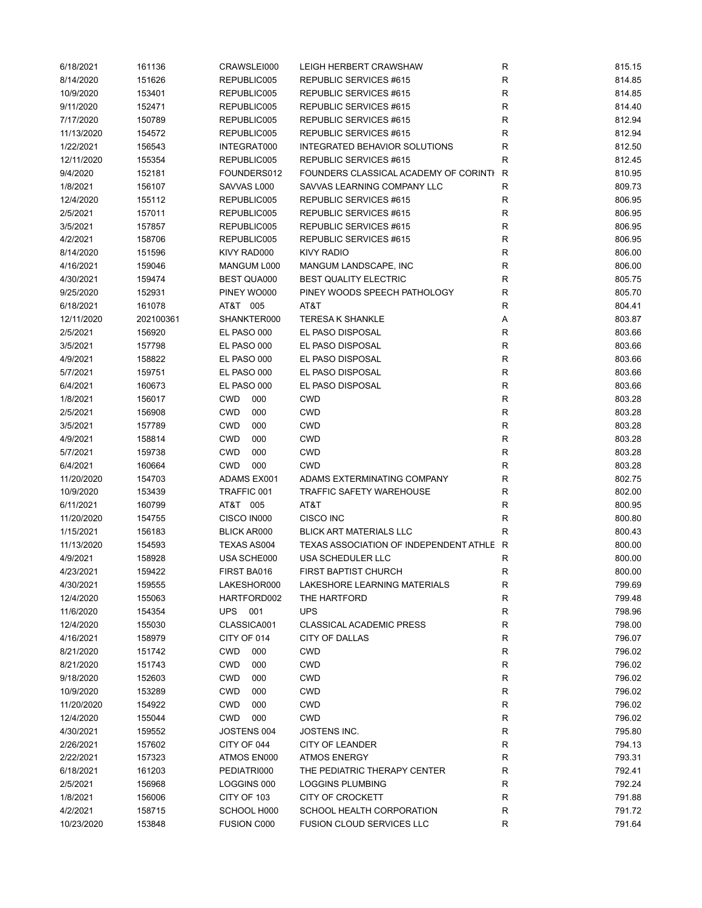| 6/18/2021  | 161136    | CRAWSLEI000        | LEIGH HERBERT CRAWSHAW                   | R            | 815.15 |
|------------|-----------|--------------------|------------------------------------------|--------------|--------|
| 8/14/2020  | 151626    | REPUBLIC005        | REPUBLIC SERVICES #615                   | R            | 814.85 |
| 10/9/2020  | 153401    | REPUBLIC005        | REPUBLIC SERVICES #615                   | R            | 814.85 |
| 9/11/2020  | 152471    | REPUBLIC005        | REPUBLIC SERVICES #615                   | R            | 814.40 |
| 7/17/2020  | 150789    | REPUBLIC005        | REPUBLIC SERVICES #615                   | R            | 812.94 |
| 11/13/2020 | 154572    | REPUBLIC005        | REPUBLIC SERVICES #615                   | R            | 812.94 |
| 1/22/2021  | 156543    | INTEGRAT000        | INTEGRATED BEHAVIOR SOLUTIONS            | R            | 812.50 |
| 12/11/2020 | 155354    | REPUBLIC005        | <b>REPUBLIC SERVICES #615</b>            | R            | 812.45 |
|            |           |                    |                                          |              |        |
| 9/4/2020   | 152181    | FOUNDERS012        | FOUNDERS CLASSICAL ACADEMY OF CORINTI    | R            | 810.95 |
| 1/8/2021   | 156107    | SAVVAS L000        | SAVVAS LEARNING COMPANY LLC              | R            | 809.73 |
| 12/4/2020  | 155112    | REPUBLIC005        | REPUBLIC SERVICES #615                   | R            | 806.95 |
| 2/5/2021   | 157011    | REPUBLIC005        | <b>REPUBLIC SERVICES #615</b>            | $\mathsf R$  | 806.95 |
| 3/5/2021   | 157857    | REPUBLIC005        | REPUBLIC SERVICES #615                   | $\mathsf R$  | 806.95 |
| 4/2/2021   | 158706    | REPUBLIC005        | REPUBLIC SERVICES #615                   | R            | 806.95 |
| 8/14/2020  | 151596    | KIVY RAD000        | KIVY RADIO                               | $\mathsf R$  | 806.00 |
| 4/16/2021  | 159046    | MANGUM L000        | MANGUM LANDSCAPE, INC                    | $\mathsf R$  | 806.00 |
| 4/30/2021  | 159474    | <b>BEST QUA000</b> | <b>BEST QUALITY ELECTRIC</b>             | $\mathsf R$  | 805.75 |
| 9/25/2020  | 152931    | PINEY WO000        | PINEY WOODS SPEECH PATHOLOGY             | R            | 805.70 |
| 6/18/2021  | 161078    | AT&T 005           | AT&T                                     | $\mathsf R$  | 804.41 |
| 12/11/2020 | 202100361 | SHANKTER000        | <b>TERESAK SHANKLE</b>                   | Α            | 803.87 |
| 2/5/2021   | 156920    | EL PASO 000        | EL PASO DISPOSAL                         | R            | 803.66 |
| 3/5/2021   | 157798    | EL PASO 000        | EL PASO DISPOSAL                         | R            | 803.66 |
|            |           |                    |                                          | $\mathsf{R}$ |        |
| 4/9/2021   | 158822    | EL PASO 000        | EL PASO DISPOSAL                         |              | 803.66 |
| 5/7/2021   | 159751    | EL PASO 000        | EL PASO DISPOSAL                         | $\mathsf R$  | 803.66 |
| 6/4/2021   | 160673    | EL PASO 000        | EL PASO DISPOSAL                         | $\mathsf{R}$ | 803.66 |
| 1/8/2021   | 156017    | <b>CWD</b><br>000  | <b>CWD</b>                               | ${\sf R}$    | 803.28 |
| 2/5/2021   | 156908    | <b>CWD</b><br>000  | <b>CWD</b>                               | $\mathsf R$  | 803.28 |
| 3/5/2021   | 157789    | <b>CWD</b><br>000  | CWD                                      | R            | 803.28 |
| 4/9/2021   | 158814    | <b>CWD</b><br>000  | CWD                                      | R            | 803.28 |
| 5/7/2021   | 159738    | <b>CWD</b><br>000  | <b>CWD</b>                               | $\mathsf R$  | 803.28 |
| 6/4/2021   | 160664    | <b>CWD</b><br>000  | <b>CWD</b>                               | $\mathsf R$  | 803.28 |
| 11/20/2020 | 154703    | ADAMS EX001        | ADAMS EXTERMINATING COMPANY              | $\mathsf R$  | 802.75 |
| 10/9/2020  | 153439    | TRAFFIC 001        | <b>TRAFFIC SAFETY WAREHOUSE</b>          | R            | 802.00 |
| 6/11/2021  | 160799    | AT&T 005           | AT&T                                     | R            | 800.95 |
| 11/20/2020 | 154755    | CISCO IN000        | <b>CISCO INC</b>                         | R            | 800.80 |
| 1/15/2021  | 156183    | <b>BLICK AR000</b> | <b>BLICK ART MATERIALS LLC</b>           | R            | 800.43 |
| 11/13/2020 | 154593    | TEXAS AS004        | TEXAS ASSOCIATION OF INDEPENDENT ATHLE R |              | 800.00 |
| 4/9/2021   | 158928    | USA SCHE000        | USA SCHEDULER LLC                        | R            | 800.00 |
| 4/23/2021  |           |                    |                                          | R            | 800.00 |
|            | 159422    | FIRST BA016        | FIRST BAPTIST CHURCH                     |              |        |
| 4/30/2021  | 159555    | LAKESHOR000        | LAKESHORE LEARNING MATERIALS             | R            | 799.69 |
| 12/4/2020  | 155063    | HARTFORD002        | THE HARTFORD                             | R            | 799.48 |
| 11/6/2020  | 154354    | UPS 001            | <b>UPS</b>                               | $\mathsf R$  | 798.96 |
| 12/4/2020  | 155030    | CLASSICA001        | <b>CLASSICAL ACADEMIC PRESS</b>          | $\mathsf{R}$ | 798.00 |
| 4/16/2021  | 158979    | CITY OF 014        | CITY OF DALLAS                           | R            | 796.07 |
| 8/21/2020  | 151742    | <b>CWD</b><br>000  | <b>CWD</b>                               | R            | 796.02 |
| 8/21/2020  | 151743    | <b>CWD</b><br>000  | <b>CWD</b>                               | R            | 796.02 |
| 9/18/2020  | 152603    | <b>CWD</b><br>000  | <b>CWD</b>                               | R            | 796.02 |
| 10/9/2020  | 153289    | <b>CWD</b><br>000  | <b>CWD</b>                               | ${\sf R}$    | 796.02 |
| 11/20/2020 | 154922    | <b>CWD</b><br>000  | <b>CWD</b>                               | R            | 796.02 |
| 12/4/2020  | 155044    | <b>CWD</b><br>000  | <b>CWD</b>                               | R            | 796.02 |
| 4/30/2021  | 159552    | JOSTENS 004        | JOSTENS INC.                             | R            | 795.80 |
| 2/26/2021  | 157602    | CITY OF 044        | CITY OF LEANDER                          | R            | 794.13 |
| 2/22/2021  | 157323    | ATMOS EN000        | <b>ATMOS ENERGY</b>                      | R            | 793.31 |
| 6/18/2021  | 161203    | PEDIATRI000        | THE PEDIATRIC THERAPY CENTER             | R            | 792.41 |
|            |           |                    |                                          | $\mathsf{R}$ |        |
| 2/5/2021   | 156968    | LOGGINS 000        | LOGGINS PLUMBING                         |              | 792.24 |
| 1/8/2021   | 156006    | CITY OF 103        | <b>CITY OF CROCKETT</b>                  | $\mathsf{R}$ | 791.88 |
| 4/2/2021   | 158715    | SCHOOL H000        | SCHOOL HEALTH CORPORATION                | R            | 791.72 |
| 10/23/2020 | 153848    | <b>FUSION C000</b> | <b>FUSION CLOUD SERVICES LLC</b>         | R            | 791.64 |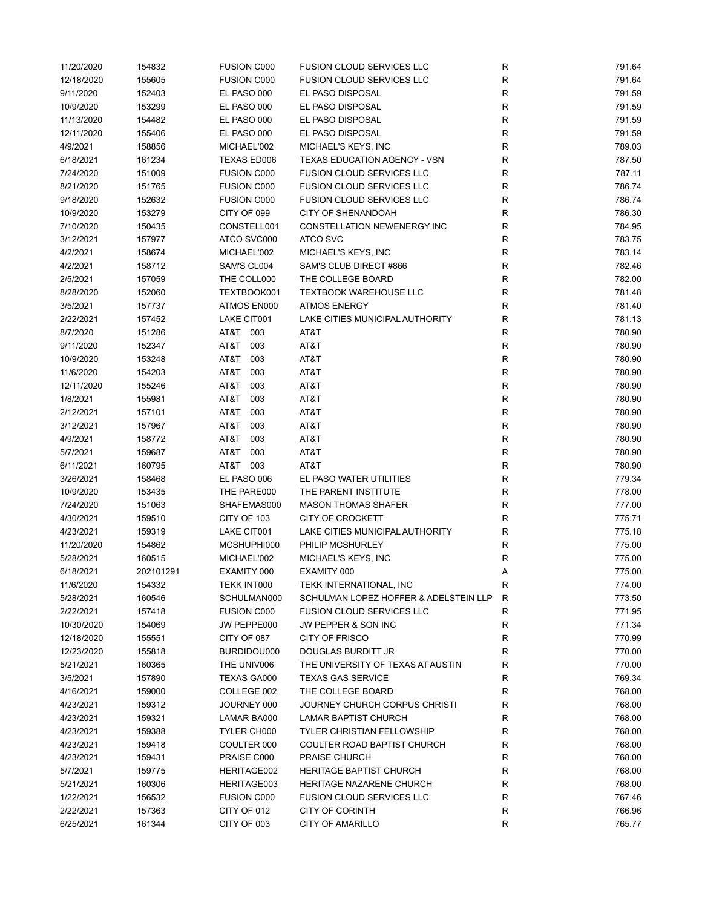| 11/20/2020 | 154832           | <b>FUSION C000</b> | <b>FUSION CLOUD SERVICES LLC</b>      | R           | 791.64           |
|------------|------------------|--------------------|---------------------------------------|-------------|------------------|
| 12/18/2020 | 155605           | <b>FUSION C000</b> | <b>FUSION CLOUD SERVICES LLC</b>      | $\mathsf R$ | 791.64           |
| 9/11/2020  | 152403           | EL PASO 000        | EL PASO DISPOSAL                      | R           | 791.59           |
| 10/9/2020  | 153299           | EL PASO 000        | EL PASO DISPOSAL                      | $\mathsf R$ | 791.59           |
| 11/13/2020 | 154482           | EL PASO 000        | EL PASO DISPOSAL                      | $\mathsf R$ | 791.59           |
| 12/11/2020 | 155406           | EL PASO 000        | EL PASO DISPOSAL                      | $\mathsf R$ | 791.59           |
| 4/9/2021   | 158856           | MICHAEL'002        | MICHAEL'S KEYS, INC                   | R           | 789.03           |
| 6/18/2021  | 161234           | TEXAS ED006        | TEXAS EDUCATION AGENCY - VSN          | R           | 787.50           |
| 7/24/2020  | 151009           | <b>FUSION C000</b> | <b>FUSION CLOUD SERVICES LLC</b>      | $\mathsf R$ | 787.11           |
| 8/21/2020  | 151765           | <b>FUSION C000</b> | <b>FUSION CLOUD SERVICES LLC</b>      | $\mathsf R$ | 786.74           |
| 9/18/2020  | 152632           | <b>FUSION C000</b> | <b>FUSION CLOUD SERVICES LLC</b>      | $\mathsf R$ | 786.74           |
| 10/9/2020  | 153279           | CITY OF 099        | <b>CITY OF SHENANDOAH</b>             | $\mathsf R$ | 786.30           |
| 7/10/2020  | 150435           | CONSTELL001        | CONSTELLATION NEWENERGY INC           | ${\sf R}$   | 784.95           |
| 3/12/2021  | 157977           | ATCO SVC000        | <b>ATCO SVC</b>                       | $\mathsf R$ | 783.75           |
| 4/2/2021   | 158674           | MICHAEL'002        | MICHAEL'S KEYS, INC                   | $\mathsf R$ | 783.14           |
| 4/2/2021   | 158712           | SAM'S CL004        | SAM'S CLUB DIRECT #866                | $\mathsf R$ | 782.46           |
| 2/5/2021   | 157059           | THE COLL000        | THE COLLEGE BOARD                     | $\mathsf R$ | 782.00           |
| 8/28/2020  | 152060           | TEXTBOOK001        | <b>TEXTBOOK WAREHOUSE LLC</b>         | $\mathsf R$ | 781.48           |
| 3/5/2021   | 157737           | ATMOS EN000        | <b>ATMOS ENERGY</b>                   | $\mathsf R$ | 781.40           |
| 2/22/2021  | 157452           | LAKE CIT001        | LAKE CITIES MUNICIPAL AUTHORITY       | $\mathsf R$ | 781.13           |
| 8/7/2020   | 151286           | AT&T 003           | AT&T                                  | R           | 780.90           |
| 9/11/2020  | 152347           | AT&T<br>003        | AT&T                                  | R           | 780.90           |
| 10/9/2020  | 153248           | AT&T<br>003        | AT&T                                  | R           | 780.90           |
| 11/6/2020  | 154203           | AT&T<br>003        | AT&T                                  | $\mathsf R$ | 780.90           |
| 12/11/2020 |                  | AT&T<br>003        | AT&T                                  | R           |                  |
| 1/8/2021   | 155246<br>155981 | AT&T<br>003        | AT&T                                  | $\mathsf R$ | 780.90<br>780.90 |
|            |                  | AT&T<br>003        | AT&T                                  | ${\sf R}$   |                  |
| 2/12/2021  | 157101           |                    |                                       |             | 780.90           |
| 3/12/2021  | 157967           | AT&T<br>003        | AT&T                                  | $\mathsf R$ | 780.90           |
| 4/9/2021   | 158772           | AT&T<br>003        | AT&T                                  | $\mathsf R$ | 780.90           |
| 5/7/2021   | 159687           | AT&T<br>003        | AT&T                                  | R           | 780.90           |
| 6/11/2021  | 160795           | AT&T 003           | AT&T                                  | R           | 780.90           |
| 3/26/2021  | 158468           | EL PASO 006        | EL PASO WATER UTILITIES               | R           | 779.34           |
| 10/9/2020  | 153435           | THE PARE000        | THE PARENT INSTITUTE                  | $\mathsf R$ | 778.00           |
| 7/24/2020  | 151063           | SHAFEMAS000        | <b>MASON THOMAS SHAFER</b>            | $\mathsf R$ | 777.00           |
| 4/30/2021  | 159510           | CITY OF 103        | <b>CITY OF CROCKETT</b>               | $\mathsf R$ | 775.71           |
| 4/23/2021  | 159319           | LAKE CIT001        | LAKE CITIES MUNICIPAL AUTHORITY       | R           | 775.18           |
| 11/20/2020 | 154862           | MCSHUPHI000        | PHILIP MCSHURLEY                      | R           | 775.00           |
| 5/28/2021  | 160515           | MICHAEL'002        | MICHAEL'S KEYS, INC                   | R           | 775.00           |
| 6/18/2021  | 202101291        | EXAMITY 000        | EXAMITY 000                           | Α           | 775.00           |
| 11/6/2020  | 154332           | TEKK INT000        | TEKK INTERNATIONAL, INC               | R           | 774.00           |
| 5/28/2021  | 160546           | SCHULMAN000        | SCHULMAN LOPEZ HOFFER & ADELSTEIN LLP | R           | 773.50           |
| 2/22/2021  | 157418           | <b>FUSION C000</b> | <b>FUSION CLOUD SERVICES LLC</b>      | R           | 771.95           |
| 10/30/2020 | 154069           | JW PEPPE000        | JW PEPPER & SON INC                   | R           | 771.34           |
| 12/18/2020 | 155551           | CITY OF 087        | <b>CITY OF FRISCO</b>                 | R           | 770.99           |
| 12/23/2020 | 155818           | BURDIDOU000        | DOUGLAS BURDITT JR                    | R           | 770.00           |
| 5/21/2021  | 160365           | THE UNIV006        | THE UNIVERSITY OF TEXAS AT AUSTIN     | $\mathsf R$ | 770.00           |
| 3/5/2021   | 157890           | TEXAS GA000        | <b>TEXAS GAS SERVICE</b>              | R           | 769.34           |
| 4/16/2021  | 159000           | COLLEGE 002        | THE COLLEGE BOARD                     | R           | 768.00           |
| 4/23/2021  | 159312           | JOURNEY 000        | JOURNEY CHURCH CORPUS CHRISTI         | R           | 768.00           |
| 4/23/2021  | 159321           | LAMAR BA000        | LAMAR BAPTIST CHURCH                  | R           | 768.00           |
| 4/23/2021  | 159388           | TYLER CH000        | <b>TYLER CHRISTIAN FELLOWSHIP</b>     | R           | 768.00           |
| 4/23/2021  | 159418           | COULTER 000        | COULTER ROAD BAPTIST CHURCH           | R           | 768.00           |
| 4/23/2021  | 159431           | PRAISE C000        | PRAISE CHURCH                         | R           | 768.00           |
| 5/7/2021   | 159775           | HERITAGE002        | <b>HERITAGE BAPTIST CHURCH</b>        | R           | 768.00           |
| 5/21/2021  | 160306           | HERITAGE003        | HERITAGE NAZARENE CHURCH              | R           | 768.00           |
| 1/22/2021  | 156532           | <b>FUSION C000</b> | <b>FUSION CLOUD SERVICES LLC</b>      | R           | 767.46           |
| 2/22/2021  | 157363           | CITY OF 012        | <b>CITY OF CORINTH</b>                | R           | 766.96           |
| 6/25/2021  | 161344           | CITY OF 003        | CITY OF AMARILLO                      | $\mathsf R$ | 765.77           |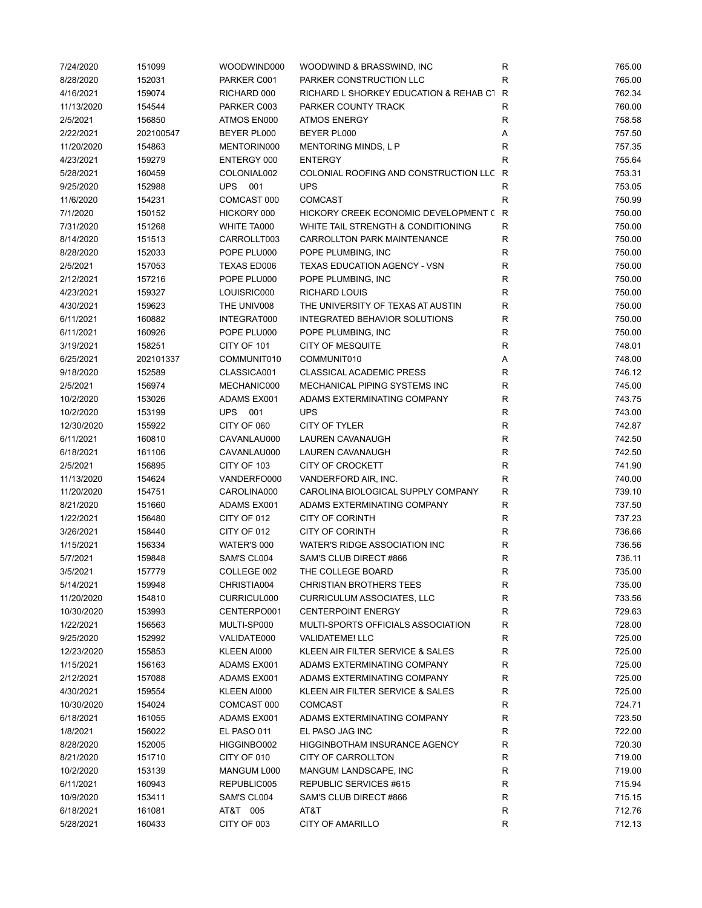| 7/24/2020  | 151099    | WOODWIND000    | WOODWIND & BRASSWIND, INC              | R            | 765.00 |
|------------|-----------|----------------|----------------------------------------|--------------|--------|
| 8/28/2020  | 152031    | PARKER C001    | PARKER CONSTRUCTION LLC                | $\mathsf R$  | 765.00 |
| 4/16/2021  | 159074    | RICHARD 000    | RICHARD L SHORKEY EDUCATION & REHAB C1 | R            | 762.34 |
| 11/13/2020 | 154544    | PARKER C003    | PARKER COUNTY TRACK                    | $\mathsf R$  | 760.00 |
| 2/5/2021   | 156850    | ATMOS EN000    | <b>ATMOS ENERGY</b>                    | R            | 758.58 |
| 2/22/2021  | 202100547 | BEYER PL000    | BEYER PL000                            | Α            | 757.50 |
| 11/20/2020 | 154863    | MENTORIN000    | MENTORING MINDS, L P                   | $\mathsf{R}$ | 757.35 |
|            |           |                |                                        |              | 755.64 |
| 4/23/2021  | 159279    | ENTERGY 000    | <b>ENTERGY</b>                         | R            |        |
| 5/28/2021  | 160459    | COLONIAL002    | COLONIAL ROOFING AND CONSTRUCTION LLC  | R            | 753.31 |
| 9/25/2020  | 152988    | <b>UPS 001</b> | <b>UPS</b>                             | R            | 753.05 |
| 11/6/2020  | 154231    | COMCAST 000    | <b>COMCAST</b>                         | $\mathsf{R}$ | 750.99 |
| 7/1/2020   | 150152    | HICKORY 000    | HICKORY CREEK ECONOMIC DEVELOPMENT (   | R            | 750.00 |
| 7/31/2020  | 151268    | WHITE TA000    | WHITE TAIL STRENGTH & CONDITIONING     | $\mathsf R$  | 750.00 |
| 8/14/2020  | 151513    | CARROLLT003    | CARROLLTON PARK MAINTENANCE            | $\mathsf{R}$ | 750.00 |
| 8/28/2020  | 152033    | POPE PLU000    | POPE PLUMBING, INC                     | R            | 750.00 |
| 2/5/2021   | 157053    | TEXAS ED006    | TEXAS EDUCATION AGENCY - VSN           | R            | 750.00 |
| 2/12/2021  | 157216    | POPE PLU000    | POPE PLUMBING, INC                     | $\mathsf R$  | 750.00 |
| 4/23/2021  | 159327    | LOUISRIC000    | <b>RICHARD LOUIS</b>                   | $\mathsf R$  | 750.00 |
| 4/30/2021  | 159623    | THE UNIV008    | THE UNIVERSITY OF TEXAS AT AUSTIN      | R            | 750.00 |
| 6/11/2021  | 160882    | INTEGRAT000    | INTEGRATED BEHAVIOR SOLUTIONS          | R            | 750.00 |
| 6/11/2021  | 160926    | POPE PLU000    | POPE PLUMBING, INC                     | $\mathsf R$  | 750.00 |
| 3/19/2021  | 158251    | CITY OF 101    | <b>CITY OF MESQUITE</b>                | $\mathsf{R}$ | 748.01 |
| 6/25/2021  | 202101337 | COMMUNIT010    | COMMUNIT010                            | Α            | 748.00 |
| 9/18/2020  | 152589    | CLASSICA001    | <b>CLASSICAL ACADEMIC PRESS</b>        | R            | 746.12 |
| 2/5/2021   | 156974    | MECHANIC000    | MECHANICAL PIPING SYSTEMS INC          | $\mathsf{R}$ | 745.00 |
| 10/2/2020  | 153026    | ADAMS EX001    | ADAMS EXTERMINATING COMPANY            | $\mathsf{R}$ | 743.75 |
|            |           |                |                                        |              |        |
| 10/2/2020  | 153199    | UPS 001        | <b>UPS</b>                             | $\mathsf{R}$ | 743.00 |
| 12/30/2020 | 155922    | CITY OF 060    | <b>CITY OF TYLER</b>                   | ${\sf R}$    | 742.87 |
| 6/11/2021  | 160810    | CAVANLAU000    | LAUREN CAVANAUGH                       | $\mathsf{R}$ | 742.50 |
| 6/18/2021  | 161106    | CAVANLAU000    | LAUREN CAVANAUGH                       | $\mathsf{R}$ | 742.50 |
| 2/5/2021   | 156895    | CITY OF 103    | <b>CITY OF CROCKETT</b>                | R            | 741.90 |
| 11/13/2020 | 154624    | VANDERFO000    | VANDERFORD AIR, INC.                   | $\mathsf R$  | 740.00 |
| 11/20/2020 | 154751    | CAROLINA000    | CAROLINA BIOLOGICAL SUPPLY COMPANY     | R            | 739.10 |
| 8/21/2020  | 151660    | ADAMS EX001    | ADAMS EXTERMINATING COMPANY            | $\mathsf R$  | 737.50 |
| 1/22/2021  | 156480    | CITY OF 012    | <b>CITY OF CORINTH</b>                 | R            | 737.23 |
| 3/26/2021  | 158440    | CITY OF 012    | <b>CITY OF CORINTH</b>                 | $\mathsf{R}$ | 736.66 |
| 1/15/2021  | 156334    | WATER'S 000    | WATER'S RIDGE ASSOCIATION INC          | R            | 736.56 |
| 5/7/2021   | 159848    | SAM'S CL004    | SAM'S CLUB DIRECT #866                 | R            | 736.11 |
| 3/5/2021   | 157779    | COLLEGE 002    | THE COLLEGE BOARD                      | R            | 735.00 |
| 5/14/2021  | 159948    | CHRISTIA004    | <b>CHRISTIAN BROTHERS TEES</b>         | R            | 735.00 |
| 11/20/2020 | 154810    | CURRICUL000    | <b>CURRICULUM ASSOCIATES, LLC</b>      | ${\sf R}$    | 733.56 |
| 10/30/2020 | 153993    | CENTERPO001    | <b>CENTERPOINT ENERGY</b>              | ${\sf R}$    | 729.63 |
| 1/22/2021  | 156563    | MULTI-SP000    | MULTI-SPORTS OFFICIALS ASSOCIATION     | $\mathsf{R}$ | 728.00 |
| 9/25/2020  | 152992    | VALIDATE000    | <b>VALIDATEME! LLC</b>                 | R            | 725.00 |
| 12/23/2020 | 155853    | KLEEN AI000    | KLEEN AIR FILTER SERVICE & SALES       | R            | 725.00 |
| 1/15/2021  | 156163    | ADAMS EX001    | ADAMS EXTERMINATING COMPANY            | R            | 725.00 |
| 2/12/2021  | 157088    | ADAMS EX001    | ADAMS EXTERMINATING COMPANY            | R            | 725.00 |
| 4/30/2021  | 159554    | KLEEN AI000    | KLEEN AIR FILTER SERVICE & SALES       | R            | 725.00 |
|            |           |                |                                        |              |        |
| 10/30/2020 | 154024    | COMCAST 000    | <b>COMCAST</b>                         | R            | 724.71 |
| 6/18/2021  | 161055    | ADAMS EX001    | ADAMS EXTERMINATING COMPANY            | $\mathsf{R}$ | 723.50 |
| 1/8/2021   | 156022    | EL PASO 011    | EL PASO JAG INC                        | R            | 722.00 |
| 8/28/2020  | 152005    | HIGGINBO002    | <b>HIGGINBOTHAM INSURANCE AGENCY</b>   | R            | 720.30 |
| 8/21/2020  | 151710    | CITY OF 010    | CITY OF CARROLLTON                     | R            | 719.00 |
| 10/2/2020  | 153139    | MANGUM L000    | MANGUM LANDSCAPE, INC                  | R            | 719.00 |
| 6/11/2021  | 160943    | REPUBLIC005    | REPUBLIC SERVICES #615                 | R            | 715.94 |
| 10/9/2020  | 153411    | SAM'S CL004    | SAM'S CLUB DIRECT #866                 | R            | 715.15 |
| 6/18/2021  | 161081    | AT&T 005       | AT&T                                   | ${\sf R}$    | 712.76 |
| 5/28/2021  | 160433    | CITY OF 003    | CITY OF AMARILLO                       | $\mathsf{R}$ | 712.13 |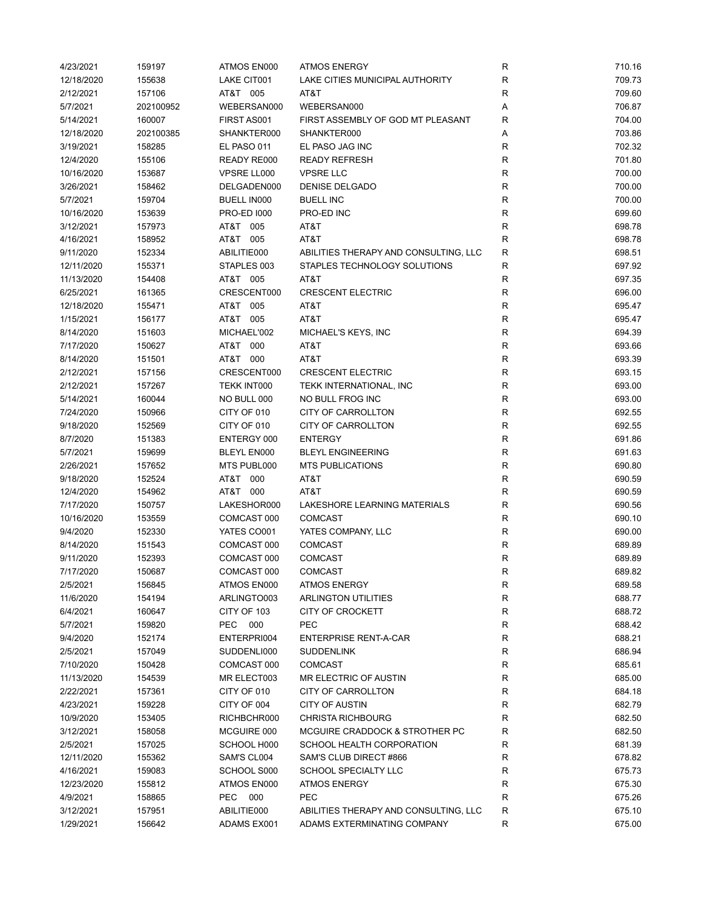| 4/23/2021  | 159197    | ATMOS EN000        | <b>ATMOS ENERGY</b>                   | R            | 710.16           |
|------------|-----------|--------------------|---------------------------------------|--------------|------------------|
| 12/18/2020 | 155638    | LAKE CIT001        | LAKE CITIES MUNICIPAL AUTHORITY       | $\mathsf R$  | 709.73           |
| 2/12/2021  | 157106    | AT&T 005           | AT&T                                  | R            | 709.60           |
| 5/7/2021   | 202100952 | WEBERSAN000        | WEBERSAN000                           | Α            | 706.87           |
| 5/14/2021  | 160007    | FIRST AS001        | FIRST ASSEMBLY OF GOD MT PLEASANT     | R            | 704.00           |
| 12/18/2020 | 202100385 | SHANKTER000        | SHANKTER000                           | Α            | 703.86           |
| 3/19/2021  | 158285    | EL PASO 011        | EL PASO JAG INC                       | R            | 702.32           |
| 12/4/2020  | 155106    | READY RE000        | <b>READY REFRESH</b>                  | R            | 701.80           |
| 10/16/2020 | 153687    | VPSRE LL000        | <b>VPSRE LLC</b>                      | R            | 700.00           |
| 3/26/2021  | 158462    | DELGADEN000        | <b>DENISE DELGADO</b>                 | $\mathsf R$  | 700.00           |
| 5/7/2021   | 159704    | <b>BUELL IN000</b> | <b>BUELL INC</b>                      | $\mathsf R$  | 700.00           |
| 10/16/2020 | 153639    | <b>PRO-ED 1000</b> | PRO-ED INC                            | $\mathsf R$  | 699.60           |
| 3/12/2021  | 157973    | AT&T 005           | AT&T                                  | $\mathsf R$  | 698.78           |
| 4/16/2021  | 158952    | AT&T<br>005        | AT&T                                  | $\mathsf{R}$ | 698.78           |
| 9/11/2020  | 152334    | ABILITIE000        | ABILITIES THERAPY AND CONSULTING, LLC | R            | 698.51           |
| 12/11/2020 | 155371    | STAPLES 003        | STAPLES TECHNOLOGY SOLUTIONS          | R            | 697.92           |
| 11/13/2020 | 154408    | AT&T 005           | AT&T                                  | $\mathsf R$  | 697.35           |
| 6/25/2021  | 161365    | CRESCENT000        | <b>CRESCENT ELECTRIC</b>              | R            | 696.00           |
| 12/18/2020 | 155471    | AT&T<br>005        | AT&T                                  | $\mathsf R$  | 695.47           |
| 1/15/2021  | 156177    | AT&T 005           | AT&T                                  | $\mathsf R$  | 695.47           |
| 8/14/2020  | 151603    | MICHAEL'002        | MICHAEL'S KEYS, INC                   | $\mathsf R$  | 694.39           |
| 7/17/2020  | 150627    | AT&T 000           | AT&T                                  | R            | 693.66           |
| 8/14/2020  |           | AT&T 000           | AT&T                                  |              |                  |
|            | 151501    |                    |                                       | R            | 693.39<br>693.15 |
| 2/12/2021  | 157156    | CRESCENT000        | <b>CRESCENT ELECTRIC</b>              | R            |                  |
| 2/12/2021  | 157267    | TEKK INT000        | TEKK INTERNATIONAL, INC               | $\mathsf R$  | 693.00           |
| 5/14/2021  | 160044    | NO BULL 000        | NO BULL FROG INC                      | R            | 693.00           |
| 7/24/2020  | 150966    | CITY OF 010        | CITY OF CARROLLTON                    | $\mathsf R$  | 692.55           |
| 9/18/2020  | 152569    | CITY OF 010        | CITY OF CARROLLTON                    | ${\sf R}$    | 692.55           |
| 8/7/2020   | 151383    | ENTERGY 000        | <b>ENTERGY</b>                        | $\mathsf R$  | 691.86           |
| 5/7/2021   | 159699    | <b>BLEYL EN000</b> | <b>BLEYL ENGINEERING</b>              | R            | 691.63           |
| 2/26/2021  | 157652    | MTS PUBL000        | <b>MTS PUBLICATIONS</b>               | $\mathsf R$  | 690.80           |
| 9/18/2020  | 152524    | AT&T 000           | AT&T                                  | $\mathsf R$  | 690.59           |
| 12/4/2020  | 154962    | AT&T 000           | AT&T                                  | $\mathsf R$  | 690.59           |
| 7/17/2020  | 150757    | LAKESHOR000        | LAKESHORE LEARNING MATERIALS          | $\mathsf R$  | 690.56           |
| 10/16/2020 | 153559    | COMCAST 000        | <b>COMCAST</b>                        | $\mathsf R$  | 690.10           |
| 9/4/2020   | 152330    | YATES CO001        | YATES COMPANY, LLC                    | $\mathsf R$  | 690.00           |
| 8/14/2020  | 151543    | COMCAST 000        | <b>COMCAST</b>                        | R            | 689.89           |
| 9/11/2020  | 152393    | COMCAST 000        | <b>COMCAST</b>                        | R            | 689.89           |
| 7/17/2020  | 150687    | COMCAST 000        | <b>COMCAST</b>                        | R            | 689.82           |
| 2/5/2021   | 156845    | ATMOS EN000        | <b>ATMOS ENERGY</b>                   | R            | 689.58           |
| 11/6/2020  | 154194    | ARLINGTO003        | <b>ARLINGTON UTILITIES</b>            | R            | 688.77           |
| 6/4/2021   | 160647    | CITY OF 103        | <b>CITY OF CROCKETT</b>               | $\mathsf R$  | 688.72           |
| 5/7/2021   | 159820    | PEC 000            | PEC                                   | R            | 688.42           |
| 9/4/2020   | 152174    | ENTERPRI004        | <b>ENTERPRISE RENT-A-CAR</b>          | R            | 688.21           |
| 2/5/2021   | 157049    | SUDDENLI000        | <b>SUDDENLINK</b>                     | R            | 686.94           |
| 7/10/2020  | 150428    | COMCAST 000        | <b>COMCAST</b>                        | R            | 685.61           |
| 11/13/2020 | 154539    | MR ELECT003        | <b>MR ELECTRIC OF AUSTIN</b>          | R            | 685.00           |
| 2/22/2021  | 157361    | CITY OF 010        | CITY OF CARROLLTON                    | R            | 684.18           |
| 4/23/2021  | 159228    | CITY OF 004        | <b>CITY OF AUSTIN</b>                 | R            | 682.79           |
| 10/9/2020  | 153405    | RICHBCHR000        | <b>CHRISTA RICHBOURG</b>              | $\mathsf R$  | 682.50           |
| 3/12/2021  | 158058    | MCGUIRE 000        | MCGUIRE CRADDOCK & STROTHER PC        | R            | 682.50           |
| 2/5/2021   | 157025    | SCHOOL H000        | SCHOOL HEALTH CORPORATION             | R            | 681.39           |
| 12/11/2020 | 155362    | SAM'S CL004        | SAM'S CLUB DIRECT #866                | R            | 678.82           |
| 4/16/2021  | 159083    | SCHOOL S000        | SCHOOL SPECIALTY LLC                  | R            | 675.73           |
| 12/23/2020 | 155812    | ATMOS EN000        | <b>ATMOS ENERGY</b>                   | R            | 675.30           |
| 4/9/2021   | 158865    | PEC<br>000         | <b>PEC</b>                            | R            | 675.26           |
| 3/12/2021  | 157951    | ABILITIE000        | ABILITIES THERAPY AND CONSULTING, LLC | R            | 675.10           |
| 1/29/2021  | 156642    | ADAMS EX001        | ADAMS EXTERMINATING COMPANY           | R            | 675.00           |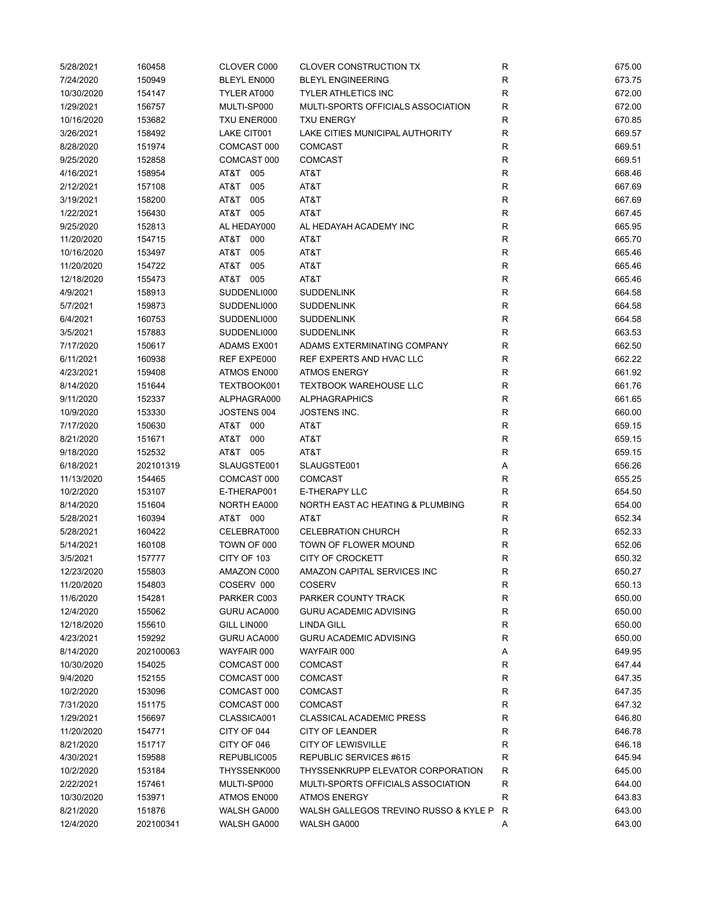| 5/28/2021  | 160458    | CLOVER C000        | <b>CLOVER CONSTRUCTION TX</b>         | R           | 675.00 |
|------------|-----------|--------------------|---------------------------------------|-------------|--------|
| 7/24/2020  | 150949    | BLEYL EN000        | <b>BLEYL ENGINEERING</b>              | $\mathsf R$ | 673.75 |
| 10/30/2020 | 154147    | TYLER AT000        | <b>TYLER ATHLETICS INC</b>            | $\mathsf R$ | 672.00 |
| 1/29/2021  | 156757    | MULTI-SP000        | MULTI-SPORTS OFFICIALS ASSOCIATION    | R           | 672.00 |
| 10/16/2020 | 153682    | TXU ENER000        | <b>TXU ENERGY</b>                     | $\mathsf R$ | 670.85 |
| 3/26/2021  | 158492    | LAKE CIT001        | LAKE CITIES MUNICIPAL AUTHORITY       | $\mathsf R$ | 669.57 |
| 8/28/2020  | 151974    | COMCAST 000        | <b>COMCAST</b>                        | R           | 669.51 |
| 9/25/2020  | 152858    | COMCAST 000        | <b>COMCAST</b>                        | R           | 669.51 |
| 4/16/2021  | 158954    | AT&T 005           | AT&T                                  | $\mathsf R$ | 668.46 |
| 2/12/2021  | 157108    | AT&T<br>005        | AT&T                                  | R           | 667.69 |
| 3/19/2021  | 158200    | AT&T<br>005        | AT&T                                  | $\mathsf R$ | 667.69 |
| 1/22/2021  | 156430    | AT&T 005           | AT&T                                  | $\mathsf R$ | 667.45 |
| 9/25/2020  | 152813    | AL HEDAY000        | AL HEDAYAH ACADEMY INC                | $\mathsf R$ | 665.95 |
| 11/20/2020 | 154715    | AT&T<br>000        | AT&T                                  | $\mathsf R$ | 665.70 |
| 10/16/2020 | 153497    | AT&T<br>005        | AT&T                                  | $\mathsf R$ | 665.46 |
| 11/20/2020 | 154722    | AT&T<br>005        | AT&T                                  | $\mathsf R$ | 665.46 |
| 12/18/2020 | 155473    | AT&T 005           | AT&T                                  | $\mathsf R$ | 665.46 |
| 4/9/2021   | 158913    | SUDDENLI000        | <b>SUDDENLINK</b>                     | R           | 664.58 |
| 5/7/2021   | 159873    | SUDDENLI000        | <b>SUDDENLINK</b>                     | $\mathsf R$ | 664.58 |
| 6/4/2021   | 160753    | SUDDENLI000        | <b>SUDDENLINK</b>                     | $\mathsf R$ | 664.58 |
| 3/5/2021   | 157883    | SUDDENLI000        | <b>SUDDENLINK</b>                     | $\mathsf R$ | 663.53 |
| 7/17/2020  | 150617    | ADAMS EX001        | ADAMS EXTERMINATING COMPANY           | R           | 662.50 |
| 6/11/2021  | 160938    | REF EXPE000        | REF EXPERTS AND HVAC LLC              | R           | 662.22 |
| 4/23/2021  |           | ATMOS EN000        | <b>ATMOS ENERGY</b>                   | R           | 661.92 |
|            | 159408    |                    |                                       |             |        |
| 8/14/2020  | 151644    | TEXTBOOK001        | <b>TEXTBOOK WAREHOUSE LLC</b>         | $\mathsf R$ | 661.76 |
| 9/11/2020  | 152337    | ALPHAGRA000        | <b>ALPHAGRAPHICS</b>                  | $\mathsf R$ | 661.65 |
| 10/9/2020  | 153330    | JOSTENS 004        | <b>JOSTENS INC.</b>                   | $\mathsf R$ | 660.00 |
| 7/17/2020  | 150630    | AT&T 000           | AT&T                                  | $\mathsf R$ | 659.15 |
| 8/21/2020  | 151671    | T&TA<br>000        | AT&T                                  | $\mathsf R$ | 659.15 |
| 9/18/2020  | 152532    | AT&T 005           | AT&T                                  | R           | 659.15 |
| 6/18/2021  | 202101319 | SLAUGSTE001        | SLAUGSTE001                           | Α           | 656.26 |
| 11/13/2020 | 154465    | COMCAST 000        | <b>COMCAST</b>                        | $\mathsf R$ | 655.25 |
| 10/2/2020  | 153107    | E-THERAP001        | E-THERAPY LLC                         | $\mathsf R$ | 654.50 |
| 8/14/2020  | 151604    | <b>NORTH EA000</b> | NORTH EAST AC HEATING & PLUMBING      | $\mathsf R$ | 654.00 |
| 5/28/2021  | 160394    | AT&T 000           | AT&T                                  | R           | 652.34 |
| 5/28/2021  | 160422    | CELEBRAT000        | <b>CELEBRATION CHURCH</b>             | R           | 652.33 |
| 5/14/2021  | 160108    | TOWN OF 000        | TOWN OF FLOWER MOUND                  | R           | 652.06 |
| 3/5/2021   | 157777    | CITY OF 103        | <b>CITY OF CROCKETT</b>               | R           | 650.32 |
| 12/23/2020 | 155803    | AMAZON C000        | AMAZON CAPITAL SERVICES INC           | R           | 650.27 |
| 11/20/2020 | 154803    | COSERV 000         | <b>COSERV</b>                         | R           | 650.13 |
| 11/6/2020  | 154281    | PARKER C003        | PARKER COUNTY TRACK                   | R           | 650.00 |
| 12/4/2020  | 155062    | GURU ACA000        | <b>GURU ACADEMIC ADVISING</b>         | $\mathsf R$ | 650.00 |
| 12/18/2020 | 155610    | GILL LIN000        | <b>LINDA GILL</b>                     | $\mathsf R$ | 650.00 |
| 4/23/2021  | 159292    | GURU ACA000        | <b>GURU ACADEMIC ADVISING</b>         | R           | 650.00 |
| 8/14/2020  | 202100063 | WAYFAIR 000        | WAYFAIR 000                           | А           | 649.95 |
| 10/30/2020 | 154025    | COMCAST 000        | <b>COMCAST</b>                        | R           | 647.44 |
| 9/4/2020   | 152155    | COMCAST 000        | <b>COMCAST</b>                        | R           | 647.35 |
| 10/2/2020  | 153096    | COMCAST 000        | <b>COMCAST</b>                        | R           | 647.35 |
| 7/31/2020  | 151175    | COMCAST 000        | <b>COMCAST</b>                        | $\mathsf R$ | 647.32 |
| 1/29/2021  | 156697    | CLASSICA001        | <b>CLASSICAL ACADEMIC PRESS</b>       | R           | 646.80 |
| 11/20/2020 | 154771    | CITY OF 044        | CITY OF LEANDER                       | R           | 646.78 |
| 8/21/2020  | 151717    | CITY OF 046        | <b>CITY OF LEWISVILLE</b>             | R           | 646.18 |
| 4/30/2021  | 159588    | REPUBLIC005        | REPUBLIC SERVICES #615                | R           | 645.94 |
| 10/2/2020  | 153184    | THYSSENK000        | THYSSENKRUPP ELEVATOR CORPORATION     | R           | 645.00 |
| 2/22/2021  | 157461    | MULTI-SP000        | MULTI-SPORTS OFFICIALS ASSOCIATION    | R           | 644.00 |
| 10/30/2020 | 153971    | ATMOS EN000        | <b>ATMOS ENERGY</b>                   | R           | 643.83 |
| 8/21/2020  | 151876    | WALSH GA000        | WALSH GALLEGOS TREVINO RUSSO & KYLE P | R           | 643.00 |
| 12/4/2020  | 202100341 | WALSH GA000        | WALSH GA000                           | Α           | 643.00 |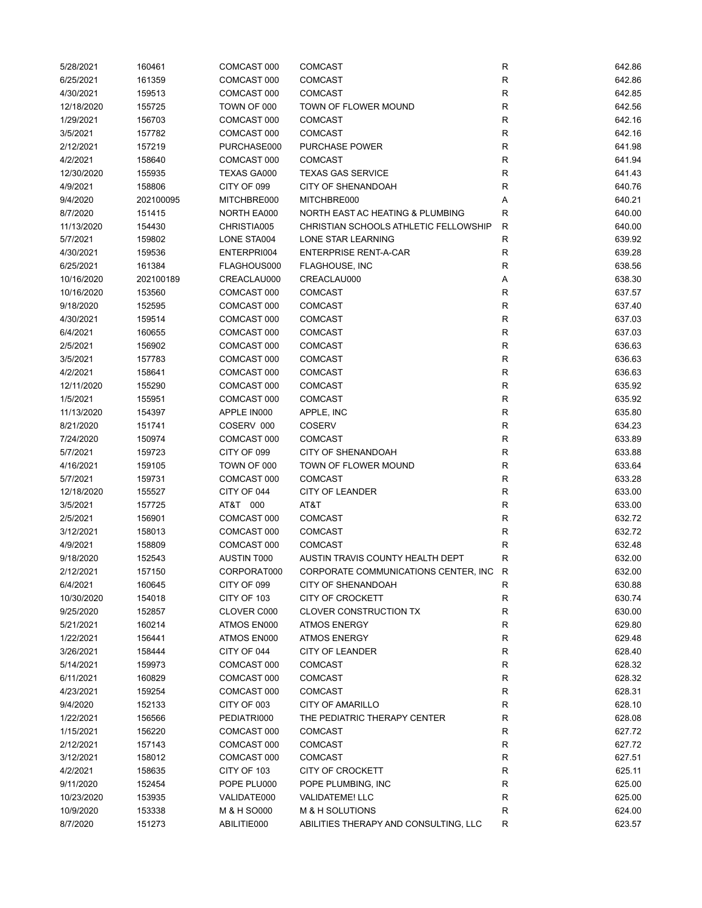| 6/25/2021  | 160461    | COMCAST 000 | <b>COMCAST</b>                        | R            | 642.86 |
|------------|-----------|-------------|---------------------------------------|--------------|--------|
|            | 161359    | COMCAST 000 | <b>COMCAST</b>                        | ${\sf R}$    | 642.86 |
| 4/30/2021  | 159513    | COMCAST 000 | <b>COMCAST</b>                        | $\mathsf{R}$ | 642.85 |
| 12/18/2020 | 155725    | TOWN OF 000 | TOWN OF FLOWER MOUND                  | $\mathsf{R}$ | 642.56 |
| 1/29/2021  | 156703    | COMCAST 000 | <b>COMCAST</b>                        | $\mathsf{R}$ | 642.16 |
| 3/5/2021   | 157782    | COMCAST 000 | <b>COMCAST</b>                        | $\mathsf{R}$ | 642.16 |
| 2/12/2021  | 157219    | PURCHASE000 | <b>PURCHASE POWER</b>                 | R            | 641.98 |
| 4/2/2021   | 158640    | COMCAST 000 | <b>COMCAST</b>                        | R            | 641.94 |
| 12/30/2020 | 155935    | TEXAS GA000 | <b>TEXAS GAS SERVICE</b>              | $\mathsf{R}$ | 641.43 |
| 4/9/2021   | 158806    | CITY OF 099 | <b>CITY OF SHENANDOAH</b>             | $\mathsf{R}$ | 640.76 |
| 9/4/2020   | 202100095 | MITCHBRE000 | MITCHBRE000                           | Α            | 640.21 |
| 8/7/2020   | 151415    | NORTH EA000 | NORTH EAST AC HEATING & PLUMBING      | R            | 640.00 |
| 11/13/2020 | 154430    | CHRISTIA005 | CHRISTIAN SCHOOLS ATHLETIC FELLOWSHIP | $\mathsf{R}$ | 640.00 |
| 5/7/2021   | 159802    | LONE STA004 | LONE STAR LEARNING                    | $\mathsf{R}$ | 639.92 |
| 4/30/2021  | 159536    | ENTERPRI004 | <b>ENTERPRISE RENT-A-CAR</b>          | R            | 639.28 |
| 6/25/2021  | 161384    | FLAGHOUS000 | <b>FLAGHOUSE, INC</b>                 | $\mathsf{R}$ | 638.56 |
| 10/16/2020 | 202100189 | CREACLAU000 | CREACLAU000                           | Α            | 638.30 |
| 10/16/2020 | 153560    | COMCAST 000 | <b>COMCAST</b>                        | $\mathsf{R}$ | 637.57 |
| 9/18/2020  | 152595    | COMCAST 000 | <b>COMCAST</b>                        | $\mathsf{R}$ | 637.40 |
| 4/30/2021  | 159514    | COMCAST 000 | <b>COMCAST</b>                        | $\mathsf{R}$ | 637.03 |
| 6/4/2021   | 160655    | COMCAST 000 | <b>COMCAST</b>                        | R            | 637.03 |
| 2/5/2021   | 156902    | COMCAST 000 | <b>COMCAST</b>                        | R            | 636.63 |
| 3/5/2021   | 157783    | COMCAST 000 | <b>COMCAST</b>                        | R            | 636.63 |
| 4/2/2021   | 158641    | COMCAST 000 | <b>COMCAST</b>                        | $\mathsf{R}$ | 636.63 |
|            |           |             |                                       | $\mathsf{R}$ |        |
| 12/11/2020 | 155290    | COMCAST 000 | <b>COMCAST</b>                        | $\mathsf{R}$ | 635.92 |
| 1/5/2021   | 155951    | COMCAST 000 | <b>COMCAST</b>                        |              | 635.92 |
| 11/13/2020 | 154397    | APPLE IN000 | APPLE, INC                            | $\mathsf{R}$ | 635.80 |
| 8/21/2020  | 151741    | COSERV 000  | <b>COSERV</b>                         | $\mathsf{R}$ | 634.23 |
| 7/24/2020  | 150974    | COMCAST 000 | <b>COMCAST</b>                        | $\mathsf{R}$ | 633.89 |
| 5/7/2021   | 159723    | CITY OF 099 | <b>CITY OF SHENANDOAH</b>             | $\mathsf{R}$ | 633.88 |
|            | 159105    |             | TOWN OF FLOWER MOUND                  | $\mathsf{R}$ | 633.64 |
| 4/16/2021  |           | TOWN OF 000 |                                       |              |        |
| 5/7/2021   | 159731    | COMCAST 000 | <b>COMCAST</b>                        | $\mathsf{R}$ | 633.28 |
| 12/18/2020 | 155527    | CITY OF 044 | <b>CITY OF LEANDER</b>                | $\mathsf{R}$ | 633.00 |
| 3/5/2021   | 157725    | AT&T 000    | AT&T                                  | R            | 633.00 |
| 2/5/2021   | 156901    | COMCAST 000 | <b>COMCAST</b>                        | $\mathsf{R}$ | 632.72 |
| 3/12/2021  | 158013    | COMCAST 000 | <b>COMCAST</b>                        | R            | 632.72 |
| 4/9/2021   | 158809    | COMCAST 000 | <b>COMCAST</b>                        | R            | 632.48 |
| 9/18/2020  | 152543    | AUSTIN T000 | AUSTIN TRAVIS COUNTY HEALTH DEPT      | R            | 632.00 |
| 2/12/2021  | 157150    | CORPORAT000 | CORPORATE COMMUNICATIONS CENTER, INC  | R            | 632.00 |
| 6/4/2021   | 160645    | CITY OF 099 | <b>CITY OF SHENANDOAH</b>             | R            | 630.88 |
| 10/30/2020 | 154018    | CITY OF 103 | <b>CITY OF CROCKETT</b>               | $\mathsf{R}$ | 630.74 |
| 9/25/2020  | 152857    | CLOVER C000 | <b>CLOVER CONSTRUCTION TX</b>         | $\mathsf{R}$ | 630.00 |
| 5/21/2021  | 160214    | ATMOS EN000 | <b>ATMOS ENERGY</b>                   | $\mathsf{R}$ | 629.80 |
| 1/22/2021  | 156441    | ATMOS EN000 | <b>ATMOS ENERGY</b>                   | R            | 629.48 |
| 3/26/2021  | 158444    | CITY OF 044 | CITY OF LEANDER                       | R            | 628.40 |
| 5/14/2021  | 159973    | COMCAST 000 | <b>COMCAST</b>                        | R            | 628.32 |
| 6/11/2021  | 160829    | COMCAST 000 | <b>COMCAST</b>                        | R            | 628.32 |
| 4/23/2021  | 159254    | COMCAST 000 | <b>COMCAST</b>                        | R            | 628.31 |
| 9/4/2020   | 152133    | CITY OF 003 | <b>CITY OF AMARILLO</b>               | $\mathsf{R}$ | 628.10 |
| 1/22/2021  | 156566    | PEDIATRI000 | THE PEDIATRIC THERAPY CENTER          | R            | 628.08 |
| 1/15/2021  | 156220    | COMCAST 000 | <b>COMCAST</b>                        | R            | 627.72 |
| 2/12/2021  | 157143    | COMCAST 000 | <b>COMCAST</b>                        | R            | 627.72 |
| 3/12/2021  | 158012    | COMCAST 000 | <b>COMCAST</b>                        | R            | 627.51 |
| 4/2/2021   | 158635    | CITY OF 103 | <b>CITY OF CROCKETT</b>               | R            | 625.11 |
| 9/11/2020  | 152454    | POPE PLU000 | POPE PLUMBING, INC                    | R            | 625.00 |
| 10/23/2020 | 153935    | VALIDATE000 | <b>VALIDATEME! LLC</b>                | R            | 625.00 |
| 10/9/2020  | 153338    | M & H SO000 | M & H SOLUTIONS                       | $\mathsf{R}$ | 624.00 |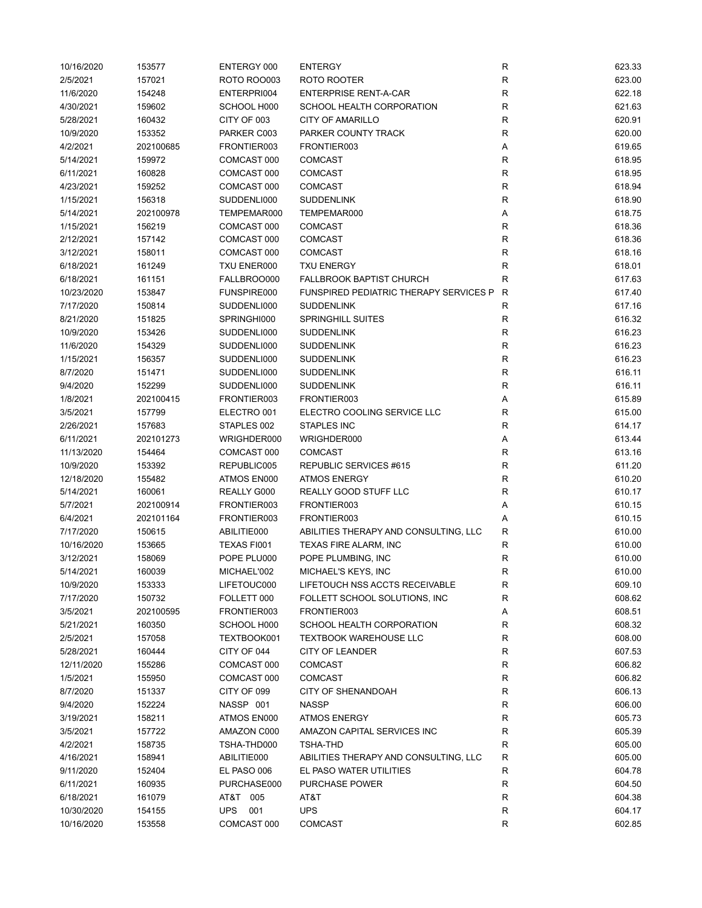| 10/16/2020 | 153577    | ENTERGY 000        | <b>ENTERGY</b>                                | R            | 623.33 |
|------------|-----------|--------------------|-----------------------------------------------|--------------|--------|
| 2/5/2021   | 157021    | <b>ROTO ROO003</b> | ROTO ROOTER                                   | R            | 623.00 |
| 11/6/2020  | 154248    | ENTERPRI004        | <b>ENTERPRISE RENT-A-CAR</b>                  | R            | 622.18 |
| 4/30/2021  | 159602    | SCHOOL H000        | SCHOOL HEALTH CORPORATION                     | $\mathsf R$  | 621.63 |
| 5/28/2021  | 160432    | CITY OF 003        | <b>CITY OF AMARILLO</b>                       | $\mathsf R$  | 620.91 |
| 10/9/2020  | 153352    | PARKER C003        | PARKER COUNTY TRACK                           | R            | 620.00 |
| 4/2/2021   | 202100685 | FRONTIER003        | FRONTIER003                                   | Α            | 619.65 |
| 5/14/2021  | 159972    | COMCAST 000        | <b>COMCAST</b>                                | $\mathsf{R}$ | 618.95 |
| 6/11/2021  | 160828    | COMCAST 000        | <b>COMCAST</b>                                | $\mathsf R$  | 618.95 |
| 4/23/2021  | 159252    | COMCAST 000        | <b>COMCAST</b>                                | ${\sf R}$    | 618.94 |
| 1/15/2021  | 156318    | SUDDENLI000        | <b>SUDDENLINK</b>                             | $\mathsf{R}$ | 618.90 |
| 5/14/2021  | 202100978 | TEMPEMAR000        | TEMPEMAR000                                   | Α            | 618.75 |
| 1/15/2021  | 156219    | COMCAST 000        | <b>COMCAST</b>                                | $\mathsf R$  | 618.36 |
| 2/12/2021  | 157142    | COMCAST 000        | <b>COMCAST</b>                                | $\mathsf R$  | 618.36 |
| 3/12/2021  | 158011    | COMCAST 000        | <b>COMCAST</b>                                | $\mathsf R$  | 618.16 |
| 6/18/2021  | 161249    | TXU ENER000        | <b>TXU ENERGY</b>                             | $\mathsf R$  | 618.01 |
| 6/18/2021  | 161151    | FALLBROO000        | <b>FALLBROOK BAPTIST CHURCH</b>               | $\mathsf R$  | 617.63 |
| 10/23/2020 | 153847    | FUNSPIRE000        | <b>FUNSPIRED PEDIATRIC THERAPY SERVICES P</b> | R            | 617.40 |
| 7/17/2020  | 150814    | SUDDENLI000        | <b>SUDDENLINK</b>                             | $\mathsf R$  | 617.16 |
| 8/21/2020  | 151825    | SPRINGHI000        | <b>SPRINGHILL SUITES</b>                      | R            | 616.32 |
| 10/9/2020  | 153426    | SUDDENLI000        | <b>SUDDENLINK</b>                             | R            | 616.23 |
| 11/6/2020  | 154329    | SUDDENLI000        | <b>SUDDENLINK</b>                             | R            | 616.23 |
| 1/15/2021  | 156357    | SUDDENLI000        | <b>SUDDENLINK</b>                             | $\mathsf{R}$ | 616.23 |
| 8/7/2020   |           | SUDDENLI000        | <b>SUDDENLINK</b>                             | $\mathsf R$  | 616.11 |
|            | 151471    |                    |                                               |              |        |
| 9/4/2020   | 152299    | SUDDENLI000        | <b>SUDDENLINK</b>                             | $\mathsf{R}$ | 616.11 |
| 1/8/2021   | 202100415 | FRONTIER003        | FRONTIER003                                   | Α            | 615.89 |
| 3/5/2021   | 157799    | ELECTRO 001        | ELECTRO COOLING SERVICE LLC                   | $\mathsf R$  | 615.00 |
| 2/26/2021  | 157683    | STAPLES 002        | STAPLES INC                                   | $\mathsf R$  | 614.17 |
| 6/11/2021  | 202101273 | WRIGHDER000        | WRIGHDER000                                   | Α            | 613.44 |
| 11/13/2020 | 154464    | COMCAST 000        | <b>COMCAST</b>                                | $\mathsf R$  | 613.16 |
| 10/9/2020  | 153392    | REPUBLIC005        | REPUBLIC SERVICES #615                        | $\mathsf R$  | 611.20 |
| 12/18/2020 | 155482    | ATMOS EN000        | <b>ATMOS ENERGY</b>                           | $\mathsf R$  | 610.20 |
| 5/14/2021  | 160061    | REALLY G000        | REALLY GOOD STUFF LLC                         | $\mathsf R$  | 610.17 |
| 5/7/2021   | 202100914 | FRONTIER003        | FRONTIER003                                   | Α            | 610.15 |
| 6/4/2021   | 202101164 | FRONTIER003        | FRONTIER003                                   | А            | 610.15 |
| 7/17/2020  | 150615    | ABILITIE000        | ABILITIES THERAPY AND CONSULTING, LLC         | R            | 610.00 |
| 10/16/2020 | 153665    | TEXAS FI001        | TEXAS FIRE ALARM, INC                         | R            | 610.00 |
| 3/12/2021  | 158069    | POPE PLU000        | POPE PLUMBING, INC                            | $\mathsf R$  | 610.00 |
| 5/14/2021  | 160039    | MICHAEL'002        | MICHAEL'S KEYS, INC                           | R            | 610.00 |
| 10/9/2020  | 153333    | LIFETOUC000        | LIFETOUCH NSS ACCTS RECEIVABLE                | R            | 609.10 |
| 7/17/2020  | 150732    | FOLLETT 000        | FOLLETT SCHOOL SOLUTIONS, INC                 | $\mathsf R$  | 608.62 |
| 3/5/2021   | 202100595 | FRONTIER003        | FRONTIER003                                   | Α            | 608.51 |
| 5/21/2021  | 160350    | SCHOOL H000        | SCHOOL HEALTH CORPORATION                     | R            | 608.32 |
| 2/5/2021   | 157058    | TEXTBOOK001        | <b>TEXTBOOK WAREHOUSE LLC</b>                 | R            | 608.00 |
| 5/28/2021  | 160444    | CITY OF 044        | CITY OF LEANDER                               | $\mathsf R$  | 607.53 |
| 12/11/2020 | 155286    | COMCAST 000        | <b>COMCAST</b>                                | R            | 606.82 |
| 1/5/2021   | 155950    | COMCAST 000        | <b>COMCAST</b>                                | R            | 606.82 |
| 8/7/2020   | 151337    | CITY OF 099        | <b>CITY OF SHENANDOAH</b>                     | R            | 606.13 |
| 9/4/2020   | 152224    | NASSP 001          | <b>NASSP</b>                                  | R            | 606.00 |
| 3/19/2021  | 158211    | ATMOS EN000        | <b>ATMOS ENERGY</b>                           | R            | 605.73 |
| 3/5/2021   | 157722    | AMAZON C000        | AMAZON CAPITAL SERVICES INC                   | R            | 605.39 |
| 4/2/2021   | 158735    | TSHA-THD000        | TSHA-THD                                      | R            | 605.00 |
| 4/16/2021  | 158941    | ABILITIE000        | ABILITIES THERAPY AND CONSULTING, LLC         | R            | 605.00 |
| 9/11/2020  | 152404    | EL PASO 006        | EL PASO WATER UTILITIES                       | R            | 604.78 |
| 6/11/2021  | 160935    | PURCHASE000        | PURCHASE POWER                                | $\mathsf{R}$ | 604.50 |
| 6/18/2021  | 161079    | AT&T 005           | AT&T                                          | $\mathsf{R}$ | 604.38 |
| 10/30/2020 | 154155    | 001<br><b>UPS</b>  | <b>UPS</b>                                    | R            | 604.17 |
| 10/16/2020 | 153558    | COMCAST 000        | COMCAST                                       | R            | 602.85 |
|            |           |                    |                                               |              |        |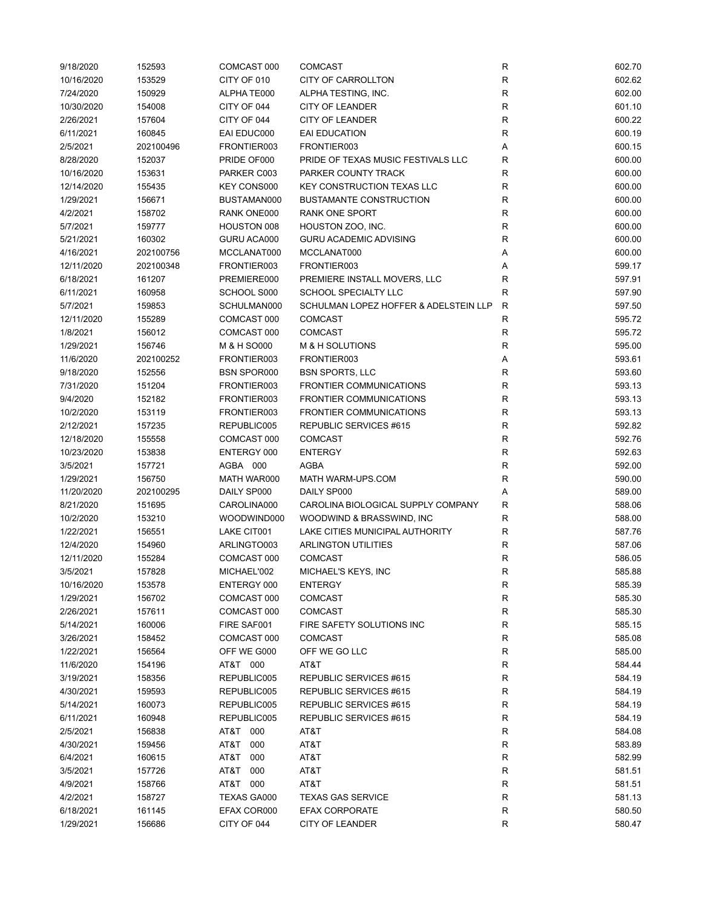| 9/18/2020  | 152593    | COMCAST 000        | <b>COMCAST</b>                        | R            | 602.70 |
|------------|-----------|--------------------|---------------------------------------|--------------|--------|
| 10/16/2020 | 153529    | CITY OF 010        | <b>CITY OF CARROLLTON</b>             | ${\sf R}$    | 602.62 |
| 7/24/2020  | 150929    | ALPHATE000         | ALPHA TESTING, INC.                   | $\mathsf{R}$ | 602.00 |
| 10/30/2020 | 154008    | CITY OF 044        | <b>CITY OF LEANDER</b>                | $\mathsf{R}$ | 601.10 |
| 2/26/2021  | 157604    | CITY OF 044        | <b>CITY OF LEANDER</b>                | $\mathsf{R}$ | 600.22 |
| 6/11/2021  | 160845    | EAI EDUC000        | <b>EAI EDUCATION</b>                  | $\mathsf{R}$ | 600.19 |
| 2/5/2021   | 202100496 | FRONTIER003        | FRONTIER003                           | Α            | 600.15 |
| 8/28/2020  | 152037    | PRIDE OF000        | PRIDE OF TEXAS MUSIC FESTIVALS LLC    | R            | 600.00 |
| 10/16/2020 | 153631    | PARKER C003        | PARKER COUNTY TRACK                   | $\mathsf{R}$ | 600.00 |
| 12/14/2020 | 155435    | <b>KEY CONS000</b> | <b>KEY CONSTRUCTION TEXAS LLC</b>     | $\mathsf{R}$ | 600.00 |
|            |           | BUSTAMAN000        | <b>BUSTAMANTE CONSTRUCTION</b>        | $\mathsf{R}$ |        |
| 1/29/2021  | 156671    |                    |                                       |              | 600.00 |
| 4/2/2021   | 158702    | RANK ONE000        | RANK ONE SPORT                        | $\mathsf{R}$ | 600.00 |
| 5/7/2021   | 159777    | HOUSTON 008        | HOUSTON ZOO, INC.                     | $\mathsf{R}$ | 600.00 |
| 5/21/2021  | 160302    | GURU ACA000        | <b>GURU ACADEMIC ADVISING</b>         | $\mathsf{R}$ | 600.00 |
| 4/16/2021  | 202100756 | MCCLANAT000        | MCCLANAT000                           | Α            | 600.00 |
| 12/11/2020 | 202100348 | FRONTIER003        | FRONTIER003                           | Α            | 599.17 |
| 6/18/2021  | 161207    | PREMIERE000        | PREMIERE INSTALL MOVERS, LLC          | $\mathsf{R}$ | 597.91 |
| 6/11/2021  | 160958    | SCHOOL S000        | SCHOOL SPECIALTY LLC                  | R            | 597.90 |
| 5/7/2021   | 159853    | SCHULMAN000        | SCHULMAN LOPEZ HOFFER & ADELSTEIN LLP | R            | 597.50 |
| 12/11/2020 | 155289    | COMCAST 000        | <b>COMCAST</b>                        | $\mathsf{R}$ | 595.72 |
| 1/8/2021   | 156012    | COMCAST 000        | <b>COMCAST</b>                        | R            | 595.72 |
| 1/29/2021  | 156746    | M & H SO000        | M & H SOLUTIONS                       | R            | 595.00 |
| 11/6/2020  | 202100252 | FRONTIER003        | FRONTIER003                           | Α            | 593.61 |
| 9/18/2020  | 152556    | <b>BSN SPOR000</b> | <b>BSN SPORTS, LLC</b>                | R            | 593.60 |
| 7/31/2020  | 151204    | FRONTIER003        | <b>FRONTIER COMMUNICATIONS</b>        | $\mathsf{R}$ | 593.13 |
| 9/4/2020   | 152182    | FRONTIER003        | <b>FRONTIER COMMUNICATIONS</b>        | $\mathsf{R}$ | 593.13 |
| 10/2/2020  | 153119    | FRONTIER003        | <b>FRONTIER COMMUNICATIONS</b>        | $\mathsf{R}$ | 593.13 |
| 2/12/2021  | 157235    | REPUBLIC005        | REPUBLIC SERVICES #615                | $\mathsf{R}$ | 592.82 |
| 12/18/2020 | 155558    | COMCAST 000        | <b>COMCAST</b>                        | $\mathsf{R}$ | 592.76 |
| 10/23/2020 | 153838    | ENTERGY 000        | <b>ENTERGY</b>                        | $\mathsf{R}$ | 592.63 |
| 3/5/2021   | 157721    | AGBA 000           | AGBA                                  | $\mathsf{R}$ | 592.00 |
| 1/29/2021  | 156750    | MATH WAR000        | MATH WARM-UPS.COM                     | $\mathsf{R}$ | 590.00 |
| 11/20/2020 | 202100295 | DAILY SP000        | DAILY SP000                           | Α            | 589.00 |
| 8/21/2020  | 151695    | CAROLINA000        | CAROLINA BIOLOGICAL SUPPLY COMPANY    | R            | 588.06 |
| 10/2/2020  | 153210    | WOODWIND000        | WOODWIND & BRASSWIND, INC             | $\mathsf{R}$ | 588.00 |
| 1/22/2021  | 156551    | LAKE CIT001        | LAKE CITIES MUNICIPAL AUTHORITY       | R            | 587.76 |
|            |           |                    |                                       |              | 587.06 |
| 12/4/2020  | 154960    | ARLINGTO003        | <b>ARLINGTON UTILITIES</b>            | R            |        |
| 12/11/2020 | 155284    | COMCAST 000        | <b>COMCAST</b>                        | R            | 586.05 |
| 3/5/2021   | 157828    | MICHAEL'002        | MICHAEL'S KEYS, INC                   | R            | 585.88 |
| 10/16/2020 | 153578    | ENTERGY 000        | <b>ENTERGY</b>                        | R            | 585.39 |
| 1/29/2021  | 156702    | COMCAST 000        | <b>COMCAST</b>                        | ${\sf R}$    | 585.30 |
| 2/26/2021  | 157611    | COMCAST 000        | <b>COMCAST</b>                        | $\mathsf{R}$ | 585.30 |
| 5/14/2021  | 160006    | FIRE SAF001        | FIRE SAFETY SOLUTIONS INC             | $\mathsf{R}$ | 585.15 |
| 3/26/2021  | 158452    | COMCAST 000        | <b>COMCAST</b>                        | R            | 585.08 |
| 1/22/2021  | 156564    | OFF WE G000        | OFF WE GO LLC                         | R            | 585.00 |
| 11/6/2020  | 154196    | AT&T 000           | AT&T                                  | R            | 584.44 |
| 3/19/2021  | 158356    | REPUBLIC005        | REPUBLIC SERVICES #615                | R            | 584.19 |
| 4/30/2021  | 159593    | REPUBLIC005        | REPUBLIC SERVICES #615                | R            | 584.19 |
| 5/14/2021  | 160073    | REPUBLIC005        | REPUBLIC SERVICES #615                | $\mathsf{R}$ | 584.19 |
| 6/11/2021  | 160948    | REPUBLIC005        | REPUBLIC SERVICES #615                | R            | 584.19 |
| 2/5/2021   | 156838    | AT&T 000           | AT&T                                  | R            | 584.08 |
| 4/30/2021  | 159456    | AT&T<br>000        | AT&T                                  | R            | 583.89 |
| 6/4/2021   | 160615    | T&TA<br>000        | AT&T                                  | R            | 582.99 |
| 3/5/2021   | 157726    | AT&T<br>000        | AT&T                                  | R            | 581.51 |
| 4/9/2021   | 158766    | AT&T 000           | AT&T                                  | R            | 581.51 |
| 4/2/2021   | 158727    | TEXAS GA000        | <b>TEXAS GAS SERVICE</b>              | $\mathsf{R}$ | 581.13 |
| 6/18/2021  | 161145    | EFAX COR000        | <b>EFAX CORPORATE</b>                 | $\mathsf{R}$ | 580.50 |
| 1/29/2021  | 156686    | CITY OF 044        | CITY OF LEANDER                       | R            | 580.47 |
|            |           |                    |                                       |              |        |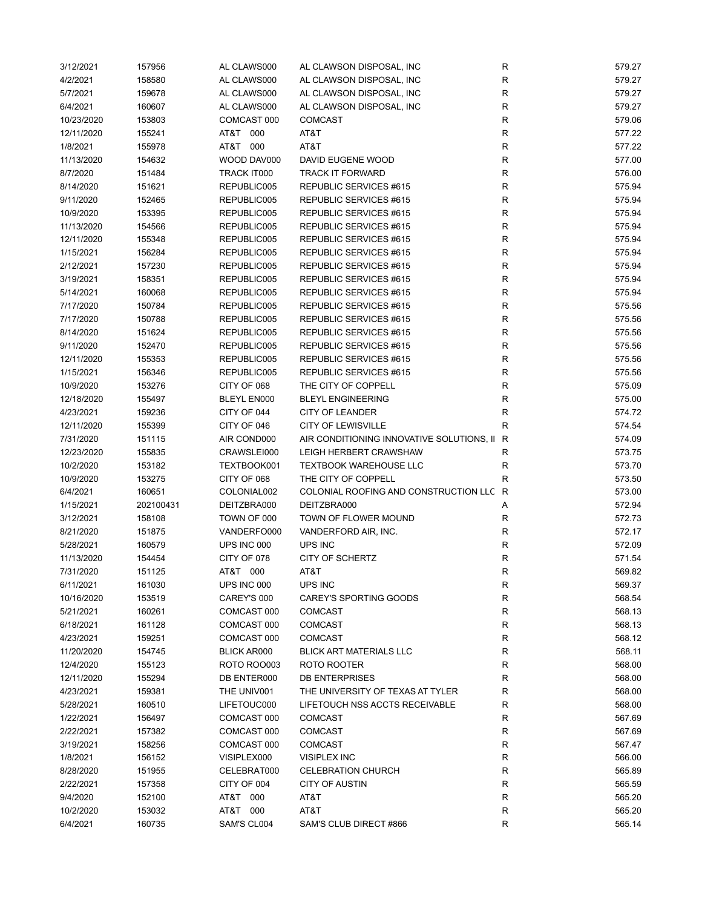| 3/12/2021  | 157956    | AL CLAWS000        | AL CLAWSON DISPOSAL, INC                    | R            | 579.27 |
|------------|-----------|--------------------|---------------------------------------------|--------------|--------|
| 4/2/2021   | 158580    | AL CLAWS000        | AL CLAWSON DISPOSAL, INC                    | R            | 579.27 |
| 5/7/2021   | 159678    | AL CLAWS000        | AL CLAWSON DISPOSAL, INC                    | R            | 579.27 |
| 6/4/2021   | 160607    | AL CLAWS000        | AL CLAWSON DISPOSAL, INC                    | R            | 579.27 |
| 10/23/2020 | 153803    | COMCAST 000        | <b>COMCAST</b>                              | R            | 579.06 |
| 12/11/2020 | 155241    | AT&T 000           | AT&T                                        | R            | 577.22 |
| 1/8/2021   | 155978    | AT&T 000           | AT&T                                        | $\mathsf{R}$ | 577.22 |
| 11/13/2020 | 154632    | WOOD DAV000        | DAVID EUGENE WOOD                           | ${\sf R}$    | 577.00 |
| 8/7/2020   | 151484    | TRACK IT000        | <b>TRACK IT FORWARD</b>                     | ${\sf R}$    | 576.00 |
| 8/14/2020  | 151621    | REPUBLIC005        | REPUBLIC SERVICES #615                      | $\mathsf{R}$ | 575.94 |
| 9/11/2020  | 152465    | REPUBLIC005        | REPUBLIC SERVICES #615                      | ${\sf R}$    | 575.94 |
| 10/9/2020  | 153395    | REPUBLIC005        | REPUBLIC SERVICES #615                      | $\mathsf R$  | 575.94 |
| 11/13/2020 | 154566    | REPUBLIC005        | REPUBLIC SERVICES #615                      | $\mathsf R$  | 575.94 |
| 12/11/2020 | 155348    | REPUBLIC005        | REPUBLIC SERVICES #615                      | R            | 575.94 |
| 1/15/2021  | 156284    | REPUBLIC005        | REPUBLIC SERVICES #615                      | R            | 575.94 |
| 2/12/2021  | 157230    | REPUBLIC005        | REPUBLIC SERVICES #615                      | ${\sf R}$    | 575.94 |
| 3/19/2021  | 158351    | REPUBLIC005        | REPUBLIC SERVICES #615                      | R            | 575.94 |
| 5/14/2021  | 160068    | REPUBLIC005        | REPUBLIC SERVICES #615                      | $\mathsf{R}$ | 575.94 |
| 7/17/2020  | 150784    | REPUBLIC005        | REPUBLIC SERVICES #615                      | R            | 575.56 |
| 7/17/2020  | 150788    | REPUBLIC005        | REPUBLIC SERVICES #615                      | R            | 575.56 |
| 8/14/2020  | 151624    | REPUBLIC005        | REPUBLIC SERVICES #615                      | R            | 575.56 |
| 9/11/2020  | 152470    | REPUBLIC005        | REPUBLIC SERVICES #615                      | $\mathsf{R}$ | 575.56 |
| 12/11/2020 | 155353    | REPUBLIC005        | REPUBLIC SERVICES #615                      | $\mathsf R$  | 575.56 |
| 1/15/2021  |           | REPUBLIC005        | REPUBLIC SERVICES #615                      | $\mathsf{R}$ | 575.56 |
|            | 156346    |                    |                                             | $\mathsf R$  |        |
| 10/9/2020  | 153276    | CITY OF 068        | THE CITY OF COPPELL                         | $\mathsf R$  | 575.09 |
| 12/18/2020 | 155497    | BLEYL EN000        | <b>BLEYL ENGINEERING</b>                    |              | 575.00 |
| 4/23/2021  | 159236    | CITY OF 044        | <b>CITY OF LEANDER</b>                      | $\mathsf R$  | 574.72 |
| 12/11/2020 | 155399    | CITY OF 046        | <b>CITY OF LEWISVILLE</b>                   | R            | 574.54 |
| 7/31/2020  | 151115    | AIR COND000        | AIR CONDITIONING INNOVATIVE SOLUTIONS, II R |              | 574.09 |
| 12/23/2020 | 155835    | CRAWSLEI000        | LEIGH HERBERT CRAWSHAW                      | R            | 573.75 |
| 10/2/2020  | 153182    | TEXTBOOK001        | <b>TEXTBOOK WAREHOUSE LLC</b>               | R            | 573.70 |
| 10/9/2020  | 153275    | CITY OF 068        | THE CITY OF COPPELL                         | R            | 573.50 |
| 6/4/2021   | 160651    | COLONIAL002        | COLONIAL ROOFING AND CONSTRUCTION LLC R     |              | 573.00 |
| 1/15/2021  | 202100431 | DEITZBRA000        | DEITZBRA000                                 | А            | 572.94 |
| 3/12/2021  | 158108    | TOWN OF 000        | TOWN OF FLOWER MOUND                        | R            | 572.73 |
| 8/21/2020  | 151875    | VANDERFO000        | VANDERFORD AIR, INC.                        | R            | 572.17 |
| 5/28/2021  | 160579    | UPS INC 000        | UPS INC                                     | $\mathsf R$  | 572.09 |
| 11/13/2020 | 154454    | CITY OF 078        | CITY OF SCHERTZ                             | $\mathsf R$  | 571.54 |
| 7/31/2020  | 151125    | AT&T 000           | AT&T                                        | $\mathsf{R}$ | 569.82 |
| 6/11/2021  | 161030    | UPS INC 000        | UPS INC                                     | ${\sf R}$    | 569.37 |
| 10/16/2020 | 153519    | CAREY'S 000        | CAREY'S SPORTING GOODS                      | R            | 568.54 |
| 5/21/2021  | 160261    | COMCAST 000        | <b>COMCAST</b>                              | $\mathsf{R}$ | 568.13 |
| 6/18/2021  | 161128    | COMCAST 000        | COMCAST                                     | R            | 568.13 |
| 4/23/2021  | 159251    | COMCAST 000        | <b>COMCAST</b>                              | R            | 568.12 |
| 11/20/2020 | 154745    | <b>BLICK AR000</b> | <b>BLICK ART MATERIALS LLC</b>              | R            | 568.11 |
| 12/4/2020  | 155123    | <b>ROTO ROO003</b> | ROTO ROOTER                                 | R            | 568.00 |
| 12/11/2020 | 155294    | DB ENTER000        | <b>DB ENTERPRISES</b>                       | $\mathsf R$  | 568.00 |
| 4/23/2021  | 159381    | THE UNIV001        | THE UNIVERSITY OF TEXAS AT TYLER            | R            | 568.00 |
| 5/28/2021  | 160510    | LIFETOUC000        | LIFETOUCH NSS ACCTS RECEIVABLE              | R            | 568.00 |
| 1/22/2021  | 156497    | COMCAST 000        | <b>COMCAST</b>                              | R            | 567.69 |
| 2/22/2021  | 157382    | COMCAST 000        | <b>COMCAST</b>                              | R            | 567.69 |
| 3/19/2021  | 158256    | COMCAST 000        | <b>COMCAST</b>                              | R            | 567.47 |
| 1/8/2021   | 156152    | VISIPLEX000        | <b>VISIPLEX INC</b>                         | R            | 566.00 |
| 8/28/2020  | 151955    | CELEBRAT000        | <b>CELEBRATION CHURCH</b>                   | R            | 565.89 |
| 2/22/2021  | 157358    | CITY OF 004        | <b>CITY OF AUSTIN</b>                       | $\mathsf{R}$ | 565.59 |
| 9/4/2020   | 152100    | AT&T 000           | AT&T                                        | $\mathsf R$  | 565.20 |
| 10/2/2020  | 153032    | AT&T 000           | AT&T                                        | R            | 565.20 |
| 6/4/2021   | 160735    | SAM'S CL004        | SAM'S CLUB DIRECT #866                      | $\mathsf R$  | 565.14 |
|            |           |                    |                                             |              |        |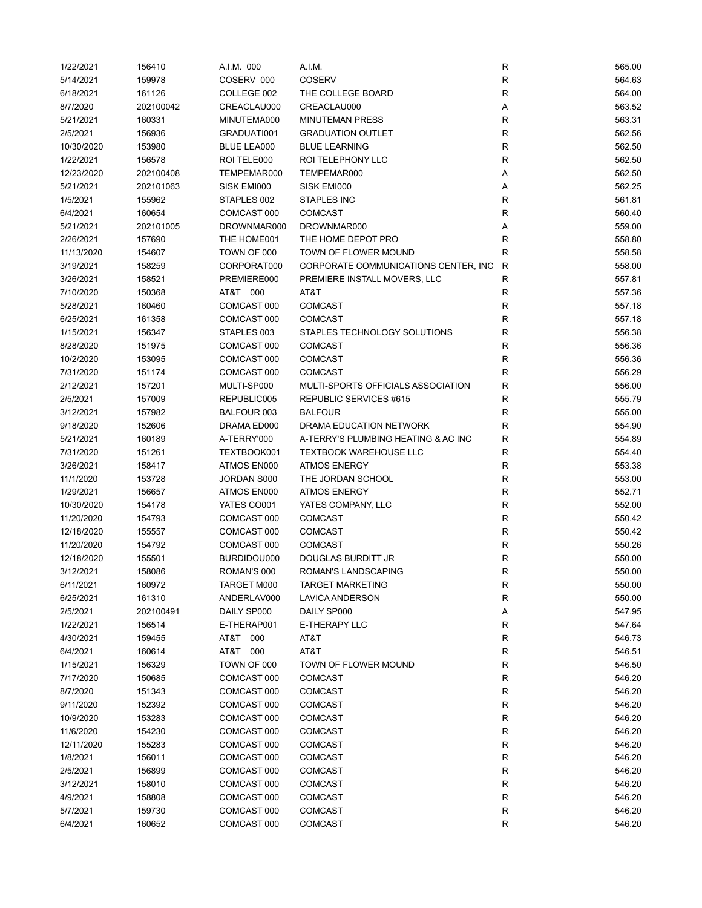| 1/22/2021  | 156410    | A.I.M. 000         | A.I.M.                                | R            | 565.00 |
|------------|-----------|--------------------|---------------------------------------|--------------|--------|
| 5/14/2021  | 159978    | COSERV 000         | COSERV                                | ${\sf R}$    | 564.63 |
| 6/18/2021  | 161126    | COLLEGE 002        | THE COLLEGE BOARD                     | $\mathsf{R}$ | 564.00 |
| 8/7/2020   | 202100042 | CREACLAU000        | CREACLAU000                           | Α            | 563.52 |
| 5/21/2021  | 160331    | MINUTEMA000        | <b>MINUTEMAN PRESS</b>                | $\mathsf{R}$ | 563.31 |
| 2/5/2021   | 156936    | GRADUATI001        | <b>GRADUATION OUTLET</b>              | R            | 562.56 |
| 10/30/2020 | 153980    | <b>BLUE LEA000</b> | <b>BLUE LEARNING</b>                  | R            | 562.50 |
|            |           |                    |                                       |              | 562.50 |
| 1/22/2021  | 156578    | ROI TELE000        | ROI TELEPHONY LLC                     | R            |        |
| 12/23/2020 | 202100408 | TEMPEMAR000        | TEMPEMAR000                           | Α            | 562.50 |
| 5/21/2021  | 202101063 | SISK EMI000        | SISK EMI000                           | Α            | 562.25 |
| 1/5/2021   | 155962    | STAPLES 002        | <b>STAPLES INC</b>                    | R            | 561.81 |
| 6/4/2021   | 160654    | COMCAST 000        | <b>COMCAST</b>                        | $\mathsf{R}$ | 560.40 |
| 5/21/2021  | 202101005 | DROWNMAR000        | DROWNMAR000                           | Α            | 559.00 |
| 2/26/2021  | 157690    | THE HOME001        | THE HOME DEPOT PRO                    | $\mathsf{R}$ | 558.80 |
| 11/13/2020 | 154607    | TOWN OF 000        | TOWN OF FLOWER MOUND                  | R            | 558.58 |
| 3/19/2021  | 158259    | CORPORAT000        | CORPORATE COMMUNICATIONS CENTER, INC. | R            | 558.00 |
| 3/26/2021  | 158521    | PREMIERE000        | PREMIERE INSTALL MOVERS, LLC          | R            | 557.81 |
| 7/10/2020  | 150368    | AT&T 000           | AT&T                                  | R            | 557.36 |
| 5/28/2021  | 160460    | COMCAST 000        | <b>COMCAST</b>                        | R            | 557.18 |
| 6/25/2021  | 161358    | COMCAST 000        | <b>COMCAST</b>                        | $\mathsf{R}$ | 557.18 |
| 1/15/2021  | 156347    | STAPLES 003        | STAPLES TECHNOLOGY SOLUTIONS          | R            | 556.38 |
| 8/28/2020  | 151975    | COMCAST 000        | <b>COMCAST</b>                        | R            | 556.36 |
| 10/2/2020  | 153095    | COMCAST 000        | <b>COMCAST</b>                        | R            | 556.36 |
|            |           |                    |                                       |              |        |
| 7/31/2020  | 151174    | COMCAST 000        | <b>COMCAST</b>                        | $\mathsf{R}$ | 556.29 |
| 2/12/2021  | 157201    | MULTI-SP000        | MULTI-SPORTS OFFICIALS ASSOCIATION    | $\mathsf{R}$ | 556.00 |
| 2/5/2021   | 157009    | REPUBLIC005        | REPUBLIC SERVICES #615                | $\mathsf{R}$ | 555.79 |
| 3/12/2021  | 157982    | BALFOUR 003        | <b>BALFOUR</b>                        | $\mathsf{R}$ | 555.00 |
| 9/18/2020  | 152606    | DRAMA ED000        | DRAMA EDUCATION NETWORK               | R            | 554.90 |
| 5/21/2021  | 160189    | A-TERRY'000        | A-TERRY'S PLUMBING HEATING & AC INC   | R            | 554.89 |
| 7/31/2020  | 151261    | TEXTBOOK001        | <b>TEXTBOOK WAREHOUSE LLC</b>         | R            | 554.40 |
| 3/26/2021  | 158417    | ATMOS EN000        | <b>ATMOS ENERGY</b>                   | R            | 553.38 |
| 11/1/2020  | 153728    | JORDAN S000        | THE JORDAN SCHOOL                     | $\mathsf{R}$ | 553.00 |
| 1/29/2021  | 156657    | ATMOS EN000        | <b>ATMOS ENERGY</b>                   | $\mathsf{R}$ | 552.71 |
| 10/30/2020 | 154178    | YATES CO001        | YATES COMPANY, LLC                    | $\mathsf{R}$ | 552.00 |
| 11/20/2020 | 154793    | COMCAST 000        | COMCAST                               | $\mathsf{R}$ | 550.42 |
| 12/18/2020 | 155557    | COMCAST 000        | <b>COMCAST</b>                        | R            | 550.42 |
| 11/20/2020 | 154792    | COMCAST 000        | <b>COMCAST</b>                        | R            | 550.26 |
| 12/18/2020 | 155501    | BURDIDOU000        | <b>DOUGLAS BURDITT JR</b>             | R            | 550.00 |
| 3/12/2021  | 158086    | ROMAN'S 000        | ROMAN'S LANDSCAPING                   | R            | 550.00 |
| 6/11/2021  | 160972    | TARGET M000        | <b>TARGET MARKETING</b>               | $\mathsf{R}$ | 550.00 |
| 6/25/2021  | 161310    | ANDERLAV000        | LAVICA ANDERSON                       | $\mathsf{R}$ | 550.00 |
| 2/5/2021   | 202100491 | DAILY SP000        | DAILY SP000                           | Α            | 547.95 |
|            |           |                    |                                       |              |        |
| 1/22/2021  | 156514    | E-THERAP001        | E-THERAPY LLC                         | $\mathsf{R}$ | 547.64 |
| 4/30/2021  | 159455    | AT&T 000           | AT&T                                  | $\mathsf{R}$ | 546.73 |
| 6/4/2021   | 160614    | AT&T 000           | AT&T                                  | R            | 546.51 |
| 1/15/2021  | 156329    | TOWN OF 000        | TOWN OF FLOWER MOUND                  | $\mathsf{R}$ | 546.50 |
| 7/17/2020  | 150685    | COMCAST 000        | <b>COMCAST</b>                        | $\mathsf{R}$ | 546.20 |
| 8/7/2020   | 151343    | COMCAST 000        | <b>COMCAST</b>                        | $\mathsf{R}$ | 546.20 |
| 9/11/2020  | 152392    | COMCAST 000        | COMCAST                               | ${\sf R}$    | 546.20 |
| 10/9/2020  | 153283    | COMCAST 000        | <b>COMCAST</b>                        | R            | 546.20 |
| 11/6/2020  | 154230    | COMCAST 000        | <b>COMCAST</b>                        | R            | 546.20 |
| 12/11/2020 | 155283    | COMCAST 000        | <b>COMCAST</b>                        | R            | 546.20 |
| 1/8/2021   | 156011    | COMCAST 000        | <b>COMCAST</b>                        | R            | 546.20 |
| 2/5/2021   | 156899    | COMCAST 000        | <b>COMCAST</b>                        | R            | 546.20 |
| 3/12/2021  | 158010    | COMCAST 000        | <b>COMCAST</b>                        | R            | 546.20 |
| 4/9/2021   | 158808    | COMCAST 000        | COMCAST                               | $\mathsf{R}$ | 546.20 |
| 5/7/2021   | 159730    | COMCAST 000        | COMCAST                               | ${\sf R}$    | 546.20 |
| 6/4/2021   | 160652    | COMCAST 000        | COMCAST                               | $\mathsf{R}$ | 546.20 |
|            |           |                    |                                       |              |        |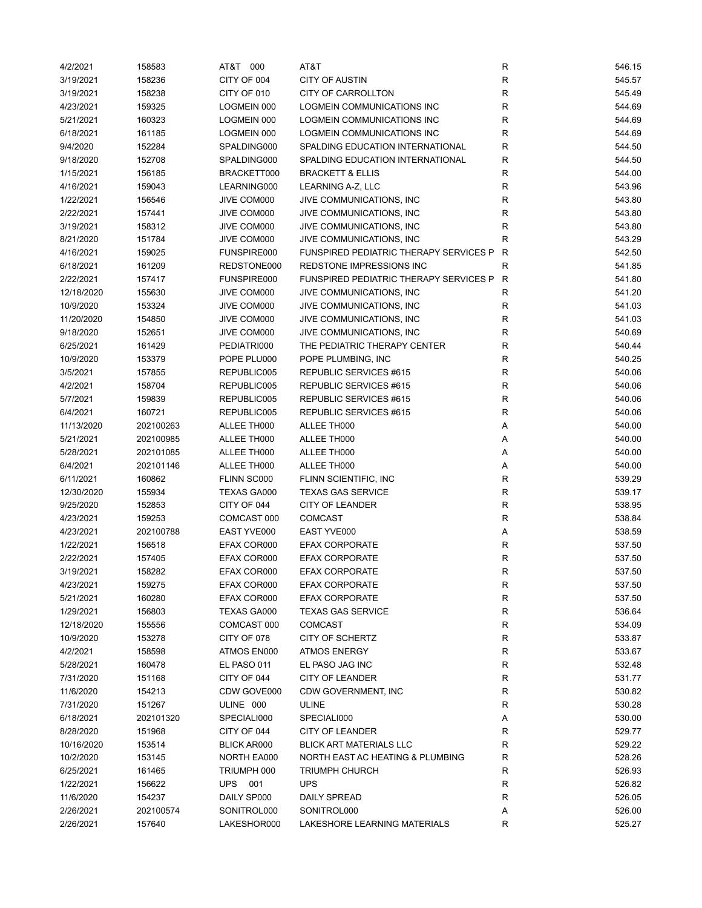| 4/2/2021   | 158583    | AT&T 000    | AT&T                                          | R            | 546.15 |
|------------|-----------|-------------|-----------------------------------------------|--------------|--------|
| 3/19/2021  | 158236    | CITY OF 004 | <b>CITY OF AUSTIN</b>                         | R            | 545.57 |
| 3/19/2021  | 158238    | CITY OF 010 | CITY OF CARROLLTON                            | $\mathsf R$  | 545.49 |
| 4/23/2021  | 159325    | LOGMEIN 000 | LOGMEIN COMMUNICATIONS INC                    | $\mathsf R$  | 544.69 |
| 5/21/2021  | 160323    | LOGMEIN 000 | LOGMEIN COMMUNICATIONS INC                    | R            | 544.69 |
| 6/18/2021  | 161185    | LOGMEIN 000 | LOGMEIN COMMUNICATIONS INC                    | $\mathsf R$  | 544.69 |
| 9/4/2020   | 152284    | SPALDING000 | SPALDING EDUCATION INTERNATIONAL              | $\mathsf R$  | 544.50 |
| 9/18/2020  | 152708    | SPALDING000 | SPALDING EDUCATION INTERNATIONAL              | $\mathsf R$  | 544.50 |
| 1/15/2021  | 156185    | BRACKETT000 | <b>BRACKETT &amp; ELLIS</b>                   | $\mathsf R$  | 544.00 |
| 4/16/2021  | 159043    | LEARNING000 | LEARNING A-Z, LLC                             | $\mathsf R$  | 543.96 |
| 1/22/2021  | 156546    | JIVE COM000 | JIVE COMMUNICATIONS, INC                      | $\mathsf R$  | 543.80 |
| 2/22/2021  | 157441    | JIVE COM000 | JIVE COMMUNICATIONS, INC                      | $\mathsf R$  | 543.80 |
| 3/19/2021  | 158312    | JIVE COM000 | JIVE COMMUNICATIONS, INC                      | R            | 543.80 |
| 8/21/2020  | 151784    | JIVE COM000 | JIVE COMMUNICATIONS, INC                      | $\mathsf R$  | 543.29 |
| 4/16/2021  | 159025    | FUNSPIRE000 | FUNSPIRED PEDIATRIC THERAPY SERVICES P        | R            | 542.50 |
| 6/18/2021  | 161209    | REDSTONE000 | REDSTONE IMPRESSIONS INC                      | $\mathsf R$  | 541.85 |
| 2/22/2021  | 157417    | FUNSPIRE000 | <b>FUNSPIRED PEDIATRIC THERAPY SERVICES P</b> | $\mathsf{R}$ | 541.80 |
| 12/18/2020 | 155630    | JIVE COM000 | JIVE COMMUNICATIONS, INC                      | R            | 541.20 |
| 10/9/2020  | 153324    | JIVE COM000 | JIVE COMMUNICATIONS, INC                      | R            | 541.03 |
| 11/20/2020 | 154850    | JIVE COM000 | JIVE COMMUNICATIONS, INC                      | R            | 541.03 |
| 9/18/2020  | 152651    | JIVE COM000 | JIVE COMMUNICATIONS, INC                      | $\mathsf R$  | 540.69 |
| 6/25/2021  | 161429    | PEDIATRI000 | THE PEDIATRIC THERAPY CENTER                  | $\mathsf R$  | 540.44 |
| 10/9/2020  | 153379    | POPE PLU000 | POPE PLUMBING, INC                            | $\mathsf{R}$ | 540.25 |
| 3/5/2021   | 157855    | REPUBLIC005 | REPUBLIC SERVICES #615                        | $\mathsf R$  | 540.06 |
| 4/2/2021   | 158704    | REPUBLIC005 | REPUBLIC SERVICES #615                        | ${\sf R}$    | 540.06 |
| 5/7/2021   | 159839    | REPUBLIC005 | REPUBLIC SERVICES #615                        | $\mathsf R$  | 540.06 |
| 6/4/2021   | 160721    |             | REPUBLIC SERVICES #615                        | R            | 540.06 |
|            |           | REPUBLIC005 |                                               |              |        |
| 11/13/2020 | 202100263 | ALLEE TH000 | ALLEE TH000                                   | Α            | 540.00 |
| 5/21/2021  | 202100985 | ALLEE TH000 | ALLEE TH000                                   | Α            | 540.00 |
| 5/28/2021  | 202101085 | ALLEE TH000 | ALLEE TH000                                   | Α            | 540.00 |
| 6/4/2021   | 202101146 | ALLEE TH000 | ALLEE TH000                                   | Α            | 540.00 |
| 6/11/2021  | 160862    | FLINN SC000 | FLINN SCIENTIFIC, INC                         | $\mathsf R$  | 539.29 |
| 12/30/2020 | 155934    | TEXAS GA000 | <b>TEXAS GAS SERVICE</b>                      | $\mathsf R$  | 539.17 |
| 9/25/2020  | 152853    | CITY OF 044 | CITY OF LEANDER                               | R            | 538.95 |
| 4/23/2021  | 159253    | COMCAST 000 | <b>COMCAST</b>                                | R            | 538.84 |
| 4/23/2021  | 202100788 | EAST YVE000 | EAST YVE000                                   | Α            | 538.59 |
| 1/22/2021  | 156518    | EFAX COR000 | <b>EFAX CORPORATE</b>                         | $\mathsf{R}$ | 537.50 |
| 2/22/2021  | 157405    | EFAX COR000 | <b>EFAX CORPORATE</b>                         | ${\sf R}$    | 537.50 |
| 3/19/2021  | 158282    | EFAX COR000 | <b>EFAX CORPORATE</b>                         | $\mathsf{R}$ | 537.50 |
| 4/23/2021  | 159275    | EFAX COR000 | <b>EFAX CORPORATE</b>                         | R            | 537.50 |
| 5/21/2021  | 160280    | EFAX COR000 | <b>EFAX CORPORATE</b>                         | R            | 537.50 |
| 1/29/2021  | 156803    | TEXAS GA000 | <b>TEXAS GAS SERVICE</b>                      | R            | 536.64 |
| 12/18/2020 | 155556    | COMCAST 000 | <b>COMCAST</b>                                | R            | 534.09 |
| 10/9/2020  | 153278    | CITY OF 078 | CITY OF SCHERTZ                               | R            | 533.87 |
| 4/2/2021   | 158598    | ATMOS EN000 | <b>ATMOS ENERGY</b>                           | R            | 533.67 |
| 5/28/2021  | 160478    | EL PASO 011 | EL PASO JAG INC                               | R            | 532.48 |
| 7/31/2020  | 151168    | CITY OF 044 | CITY OF LEANDER                               | R            | 531.77 |
| 11/6/2020  | 154213    | CDW GOVE000 | CDW GOVERNMENT, INC                           | R            | 530.82 |
| 7/31/2020  | 151267    | ULINE 000   | ULINE                                         | R            | 530.28 |
| 6/18/2021  | 202101320 | SPECIALI000 | SPECIALI000                                   | Α            | 530.00 |
| 8/28/2020  | 151968    | CITY OF 044 | CITY OF LEANDER                               | R            | 529.77 |
| 10/16/2020 | 153514    | BLICK AR000 | <b>BLICK ART MATERIALS LLC</b>                | R            | 529.22 |
| 10/2/2020  | 153145    | NORTH EA000 | NORTH EAST AC HEATING & PLUMBING              | $\mathsf R$  | 528.26 |
| 6/25/2021  | 161465    | TRIUMPH 000 | <b>TRIUMPH CHURCH</b>                         | $\mathsf{R}$ | 526.93 |
| 1/22/2021  | 156622    | UPS<br>001  | <b>UPS</b>                                    | R            | 526.82 |
| 11/6/2020  | 154237    | DAILY SP000 | <b>DAILY SPREAD</b>                           | R            | 526.05 |
| 2/26/2021  | 202100574 | SONITROL000 | SONITROL000                                   | А            | 526.00 |
| 2/26/2021  | 157640    | LAKESHOR000 | LAKESHORE LEARNING MATERIALS                  | R            | 525.27 |
|            |           |             |                                               |              |        |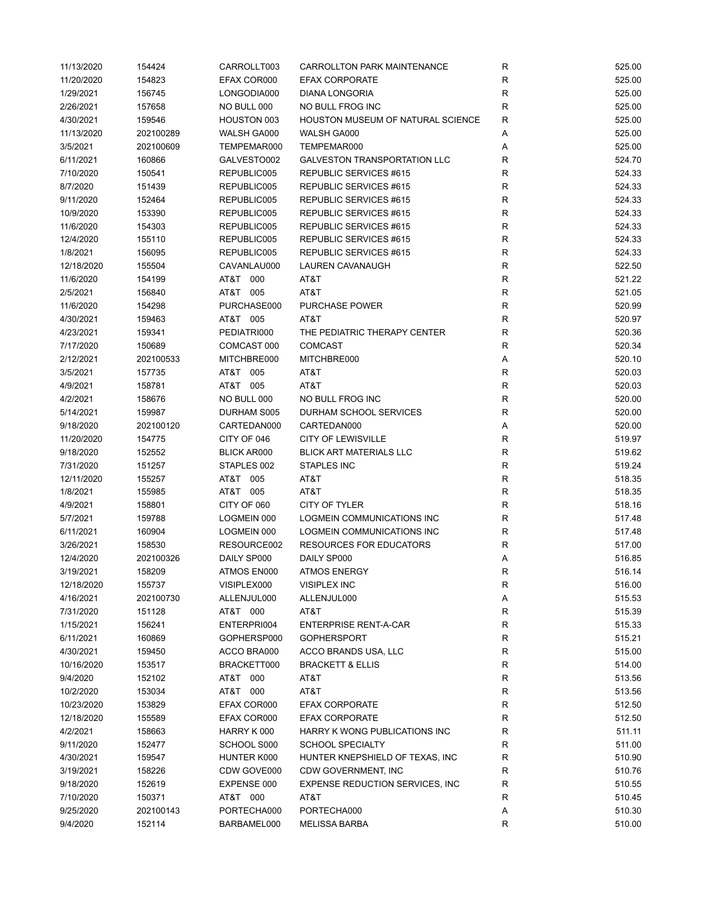| 11/13/2020 | 154424    | CARROLLT003        | <b>CARROLLTON PARK MAINTENANCE</b>       | $\mathsf{R}$ | 525.00 |
|------------|-----------|--------------------|------------------------------------------|--------------|--------|
| 11/20/2020 | 154823    | EFAX COR000        | <b>EFAX CORPORATE</b>                    | $\mathsf R$  | 525.00 |
| 1/29/2021  | 156745    | LONGODIA000        | <b>DIANA LONGORIA</b>                    | R            | 525.00 |
| 2/26/2021  | 157658    | NO BULL 000        | NO BULL FROG INC                         | R            | 525.00 |
| 4/30/2021  | 159546    | HOUSTON 003        | <b>HOUSTON MUSEUM OF NATURAL SCIENCE</b> | R            | 525.00 |
| 11/13/2020 | 202100289 | WALSH GA000        | WALSH GA000                              | Α            | 525.00 |
| 3/5/2021   | 202100609 | TEMPEMAR000        | TEMPEMAR000                              | Α            | 525.00 |
| 6/11/2021  | 160866    | GALVESTO002        | <b>GALVESTON TRANSPORTATION LLC</b>      | R            | 524.70 |
| 7/10/2020  | 150541    | REPUBLIC005        | REPUBLIC SERVICES #615                   | R            | 524.33 |
| 8/7/2020   | 151439    | REPUBLIC005        | REPUBLIC SERVICES #615                   | R            | 524.33 |
| 9/11/2020  | 152464    | REPUBLIC005        | REPUBLIC SERVICES #615                   | $\mathsf{R}$ | 524.33 |
| 10/9/2020  | 153390    | REPUBLIC005        | REPUBLIC SERVICES #615                   | $\mathsf{R}$ | 524.33 |
| 11/6/2020  | 154303    | REPUBLIC005        | REPUBLIC SERVICES #615                   | $\mathsf{R}$ | 524.33 |
| 12/4/2020  | 155110    | REPUBLIC005        | REPUBLIC SERVICES #615                   | R            | 524.33 |
| 1/8/2021   | 156095    | REPUBLIC005        | REPUBLIC SERVICES #615                   | $\mathsf{R}$ | 524.33 |
| 12/18/2020 | 155504    | CAVANLAU000        | LAUREN CAVANAUGH                         | $\mathsf{R}$ | 522.50 |
| 11/6/2020  | 154199    | AT&T 000           | AT&T                                     | R            | 521.22 |
| 2/5/2021   | 156840    | AT&T 005           | AT&T                                     | R            | 521.05 |
| 11/6/2020  | 154298    | PURCHASE000        | PURCHASE POWER                           | $\mathsf{R}$ | 520.99 |
| 4/30/2021  | 159463    | AT&T 005           | AT&T                                     | $\mathsf{R}$ | 520.97 |
|            |           |                    |                                          |              |        |
| 4/23/2021  | 159341    | PEDIATRI000        | THE PEDIATRIC THERAPY CENTER             | R            | 520.36 |
| 7/17/2020  | 150689    | COMCAST 000        | <b>COMCAST</b>                           | R            | 520.34 |
| 2/12/2021  | 202100533 | MITCHBRE000        | MITCHBRE000                              | Α            | 520.10 |
| 3/5/2021   | 157735    | AT&T 005           | AT&T                                     | R            | 520.03 |
| 4/9/2021   | 158781    | AT&T 005           | AT&T                                     | $\mathsf{R}$ | 520.03 |
| 4/2/2021   | 158676    | NO BULL 000        | NO BULL FROG INC                         | ${\sf R}$    | 520.00 |
| 5/14/2021  | 159987    | DURHAM S005        | DURHAM SCHOOL SERVICES                   | $\mathsf{R}$ | 520.00 |
| 9/18/2020  | 202100120 | CARTEDAN000        | CARTEDAN000                              | Α            | 520.00 |
| 11/20/2020 | 154775    | CITY OF 046        | <b>CITY OF LEWISVILLE</b>                | R            | 519.97 |
| 9/18/2020  | 152552    | <b>BLICK AR000</b> | <b>BLICK ART MATERIALS LLC</b>           | $\mathsf{R}$ | 519.62 |
| 7/31/2020  | 151257    | STAPLES 002        | <b>STAPLES INC</b>                       | $\mathsf R$  | 519.24 |
| 12/11/2020 | 155257    | AT&T 005           | AT&T                                     | $\mathsf{R}$ | 518.35 |
| 1/8/2021   | 155985    | AT&T 005           | AT&T                                     | R            | 518.35 |
| 4/9/2021   | 158801    | CITY OF 060        | <b>CITY OF TYLER</b>                     | $\mathsf{R}$ | 518.16 |
| 5/7/2021   | 159788    | LOGMEIN 000        | LOGMEIN COMMUNICATIONS INC               | R            | 517.48 |
| 6/11/2021  | 160904    | LOGMEIN 000        | LOGMEIN COMMUNICATIONS INC               | R            | 517.48 |
| 3/26/2021  | 158530    | RESOURCE002        | <b>RESOURCES FOR EDUCATORS</b>           | R            | 517.00 |
| 12/4/2020  | 202100326 | DAILY SP000        | DAILY SP000                              | Α            | 516.85 |
| 3/19/2021  | 158209    | ATMOS EN000        | <b>ATMOS ENERGY</b>                      | R            | 516.14 |
| 12/18/2020 | 155737    | VISIPLEX000        | <b>VISIPLEX INC</b>                      | R            | 516.00 |
| 4/16/2021  | 202100730 | ALLENJUL000        | ALLENJUL000                              | Α            | 515.53 |
| 7/31/2020  | 151128    | AT&T 000           | AT&T                                     | $\mathsf{R}$ | 515.39 |
| 1/15/2021  | 156241    | ENTERPRI004        | <b>ENTERPRISE RENT-A-CAR</b>             | $\mathsf{R}$ | 515.33 |
| 6/11/2021  | 160869    | GOPHERSP000        | <b>GOPHERSPORT</b>                       | R            | 515.21 |
| 4/30/2021  | 159450    | ACCO BRA000        | ACCO BRANDS USA, LLC                     | $\mathsf R$  | 515.00 |
| 10/16/2020 | 153517    | BRACKETT000        | <b>BRACKETT &amp; ELLIS</b>              | R            | 514.00 |
| 9/4/2020   | 152102    | AT&T 000           | AT&T                                     | R            | 513.56 |
| 10/2/2020  | 153034    | AT&T 000           | AT&T                                     | $\mathsf{R}$ | 513.56 |
| 10/23/2020 | 153829    | EFAX COR000        | <b>EFAX CORPORATE</b>                    | R            | 512.50 |
| 12/18/2020 | 155589    | EFAX COR000        | <b>EFAX CORPORATE</b>                    | R            | 512.50 |
| 4/2/2021   | 158663    | HARRY K 000        | HARRY K WONG PUBLICATIONS INC            | R            | 511.11 |
| 9/11/2020  | 152477    | SCHOOL S000        | <b>SCHOOL SPECIALTY</b>                  | R            | 511.00 |
| 4/30/2021  | 159547    | HUNTER K000        | HUNTER KNEPSHIELD OF TEXAS, INC          | R            | 510.90 |
|            |           |                    |                                          |              |        |
| 3/19/2021  | 158226    | CDW GOVE000        | CDW GOVERNMENT, INC                      | R            | 510.76 |
| 9/18/2020  | 152619    | EXPENSE 000        | <b>EXPENSE REDUCTION SERVICES, INC.</b>  | ${\sf R}$    | 510.55 |
| 7/10/2020  | 150371    | AT&T 000           | AT&T                                     | $\mathsf{R}$ | 510.45 |
| 9/25/2020  | 202100143 | PORTECHA000        | PORTECHA000                              | Α            | 510.30 |
| 9/4/2020   | 152114    | BARBAMEL000        | <b>MELISSA BARBA</b>                     | R            | 510.00 |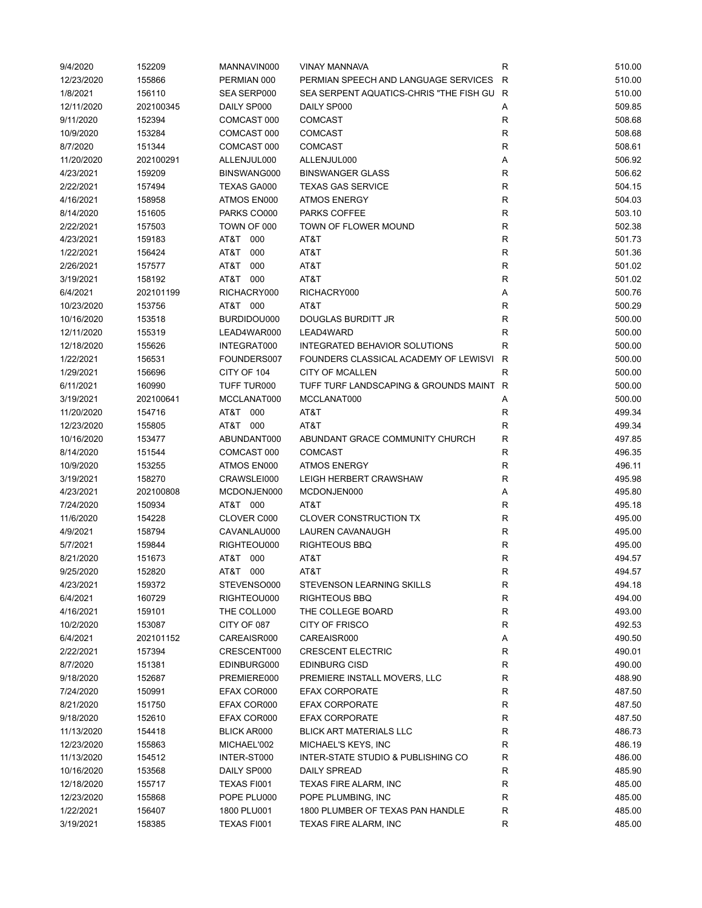| 9/4/2020   | 152209    | MANNAVIN000        | <b>VINAY MANNAVA</b>                    | R            | 510.00 |
|------------|-----------|--------------------|-----------------------------------------|--------------|--------|
| 12/23/2020 | 155866    | PERMIAN 000        | PERMIAN SPEECH AND LANGUAGE SERVICES    | R            | 510.00 |
| 1/8/2021   | 156110    | SEA SERP000        | SEA SERPENT AQUATICS-CHRIS "THE FISH GU | R            | 510.00 |
| 12/11/2020 | 202100345 | DAILY SP000        | DAILY SP000                             | Α            | 509.85 |
| 9/11/2020  | 152394    | COMCAST 000        | <b>COMCAST</b>                          | R            | 508.68 |
| 10/9/2020  | 153284    | COMCAST 000        | <b>COMCAST</b>                          | $\mathsf{R}$ | 508.68 |
| 8/7/2020   | 151344    | COMCAST 000        | <b>COMCAST</b>                          | R            | 508.61 |
| 11/20/2020 | 202100291 | ALLENJUL000        | ALLENJUL000                             | Α            | 506.92 |
| 4/23/2021  | 159209    | BINSWANG000        | <b>BINSWANGER GLASS</b>                 | R            | 506.62 |
| 2/22/2021  | 157494    | TEXAS GA000        | <b>TEXAS GAS SERVICE</b>                | $\mathsf{R}$ | 504.15 |
| 4/16/2021  | 158958    | ATMOS EN000        | <b>ATMOS ENERGY</b>                     | $\mathsf{R}$ | 504.03 |
| 8/14/2020  | 151605    | PARKS CO000        | PARKS COFFEE                            | $\mathsf{R}$ | 503.10 |
| 2/22/2021  | 157503    | TOWN OF 000        | TOWN OF FLOWER MOUND                    | $\mathsf{R}$ | 502.38 |
|            |           |                    |                                         |              |        |
| 4/23/2021  | 159183    | AT&T<br>000        | AT&T                                    | ${\sf R}$    | 501.73 |
| 1/22/2021  | 156424    | AT&T<br>000        | AT&T                                    | $\mathsf{R}$ | 501.36 |
| 2/26/2021  | 157577    | AT&T<br>000        | AT&T                                    | R            | 501.02 |
| 3/19/2021  | 158192    | AT&T 000           | AT&T                                    | $\mathsf{R}$ | 501.02 |
| 6/4/2021   | 202101199 | RICHACRY000        | RICHACRY000                             | Α            | 500.76 |
| 10/23/2020 | 153756    | AT&T 000           | AT&T                                    | $\mathsf{R}$ | 500.29 |
| 10/16/2020 | 153518    | BURDIDOU000        | DOUGLAS BURDITT JR                      | R            | 500.00 |
| 12/11/2020 | 155319    | LEAD4WAR000        | LEAD4WARD                               | R            | 500.00 |
| 12/18/2020 | 155626    | INTEGRAT000        | INTEGRATED BEHAVIOR SOLUTIONS           | R            | 500.00 |
| 1/22/2021  | 156531    | FOUNDERS007        | FOUNDERS CLASSICAL ACADEMY OF LEWISVI   | R            | 500.00 |
| 1/29/2021  | 156696    | CITY OF 104        | <b>CITY OF MCALLEN</b>                  | R            | 500.00 |
| 6/11/2021  | 160990    | TUFF TUR000        | TUFF TURF LANDSCAPING & GROUNDS MAINT   | R            | 500.00 |
| 3/19/2021  | 202100641 | MCCLANAT000        | MCCLANAT000                             | Α            | 500.00 |
| 11/20/2020 | 154716    | AT&T 000           | AT&T                                    | R            | 499.34 |
| 12/23/2020 | 155805    | AT&T 000           | AT&T                                    | R            | 499.34 |
| 10/16/2020 | 153477    | ABUNDANT000        | ABUNDANT GRACE COMMUNITY CHURCH         | R            | 497.85 |
| 8/14/2020  | 151544    | COMCAST 000        | <b>COMCAST</b>                          | R            | 496.35 |
| 10/9/2020  | 153255    | ATMOS EN000        | <b>ATMOS ENERGY</b>                     | R            | 496.11 |
| 3/19/2021  | 158270    | CRAWSLEI000        | LEIGH HERBERT CRAWSHAW                  | $\mathsf R$  | 495.98 |
| 4/23/2021  |           |                    |                                         |              |        |
|            | 202100808 | MCDONJEN000        | MCDONJEN000                             | Α            | 495.80 |
| 7/24/2020  | 150934    | AT&T 000           | AT&T                                    | $\mathsf{R}$ | 495.18 |
| 11/6/2020  | 154228    | CLOVER C000        | <b>CLOVER CONSTRUCTION TX</b>           | R            | 495.00 |
| 4/9/2021   | 158794    | CAVANLAU000        | LAUREN CAVANAUGH                        | $\mathsf{R}$ | 495.00 |
| 5/7/2021   | 159844    | RIGHTEOU000        | <b>RIGHTEOUS BBQ</b>                    | R            | 495.00 |
| 8/21/2020  | 151673    | AT&T 000           | AT&T                                    | R            | 494.57 |
| 9/25/2020  | 152820    | AT&T 000           | AT&T                                    | R            | 494.57 |
| 4/23/2021  | 159372    | STEVENSO000        | STEVENSON LEARNING SKILLS               | R            | 494.18 |
| 6/4/2021   | 160729    | RIGHTEOU000        | <b>RIGHTEOUS BBQ</b>                    | ${\sf R}$    | 494.00 |
| 4/16/2021  | 159101    | THE COLL000        | THE COLLEGE BOARD                       | ${\sf R}$    | 493.00 |
| 10/2/2020  | 153087    | CITY OF 087        | CITY OF FRISCO                          | $\mathsf{R}$ | 492.53 |
| 6/4/2021   | 202101152 | CAREAISR000        | CAREAISR000                             | Α            | 490.50 |
| 2/22/2021  | 157394    | CRESCENT000        | <b>CRESCENT ELECTRIC</b>                | R            | 490.01 |
| 8/7/2020   | 151381    | EDINBURG000        | <b>EDINBURG CISD</b>                    | R            | 490.00 |
| 9/18/2020  | 152687    | PREMIERE000        | PREMIERE INSTALL MOVERS, LLC            | R            | 488.90 |
| 7/24/2020  | 150991    | EFAX COR000        | <b>EFAX CORPORATE</b>                   | R            | 487.50 |
| 8/21/2020  | 151750    | EFAX COR000        | <b>EFAX CORPORATE</b>                   | R            | 487.50 |
| 9/18/2020  | 152610    | EFAX COR000        | <b>EFAX CORPORATE</b>                   | $\mathsf{R}$ | 487.50 |
| 11/13/2020 | 154418    | <b>BLICK AR000</b> | <b>BLICK ART MATERIALS LLC</b>          | R            | 486.73 |
| 12/23/2020 | 155863    | MICHAEL'002        | MICHAEL'S KEYS, INC                     | R            | 486.19 |
| 11/13/2020 | 154512    | INTER-ST000        | INTER-STATE STUDIO & PUBLISHING CO      | R            | 486.00 |
| 10/16/2020 | 153568    | DAILY SP000        | <b>DAILY SPREAD</b>                     | R            | 485.90 |
| 12/18/2020 | 155717    | TEXAS FI001        | TEXAS FIRE ALARM, INC                   | R            | 485.00 |
|            |           |                    |                                         |              |        |
| 12/23/2020 | 155868    | POPE PLU000        | POPE PLUMBING, INC                      | R            | 485.00 |
| 1/22/2021  | 156407    | 1800 PLU001        | 1800 PLUMBER OF TEXAS PAN HANDLE        | ${\sf R}$    | 485.00 |
| 3/19/2021  | 158385    | TEXAS FI001        | TEXAS FIRE ALARM, INC                   | $\mathsf{R}$ | 485.00 |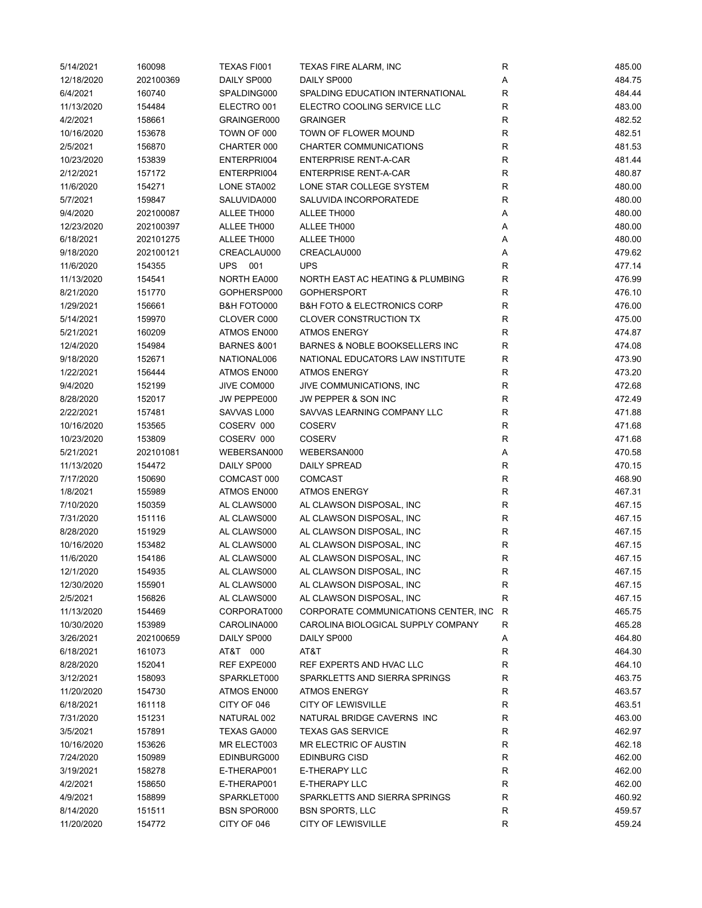| 5/14/2021  | 160098    | TEXAS FI001            | <b>TEXAS FIRE ALARM, INC</b>               | R            | 485.00 |
|------------|-----------|------------------------|--------------------------------------------|--------------|--------|
| 12/18/2020 | 202100369 | DAILY SP000            | DAILY SP000                                | Α            | 484.75 |
| 6/4/2021   | 160740    | SPALDING000            | SPALDING EDUCATION INTERNATIONAL           | $\mathsf{R}$ | 484.44 |
| 11/13/2020 | 154484    | ELECTRO 001            | ELECTRO COOLING SERVICE LLC                | $\mathsf{R}$ | 483.00 |
| 4/2/2021   | 158661    | GRAINGER000            | <b>GRAINGER</b>                            | $\mathsf{R}$ | 482.52 |
| 10/16/2020 | 153678    | TOWN OF 000            | TOWN OF FLOWER MOUND                       | $\mathsf{R}$ | 482.51 |
| 2/5/2021   | 156870    | CHARTER 000            | CHARTER COMMUNICATIONS                     | R            | 481.53 |
| 10/23/2020 | 153839    | ENTERPRI004            | <b>ENTERPRISE RENT-A-CAR</b>               | R            | 481.44 |
| 2/12/2021  | 157172    | ENTERPRI004            | <b>ENTERPRISE RENT-A-CAR</b>               | $\mathsf{R}$ | 480.87 |
| 11/6/2020  | 154271    | LONE STA002            | LONE STAR COLLEGE SYSTEM                   | $\mathsf{R}$ | 480.00 |
| 5/7/2021   | 159847    | SALUVIDA000            | SALUVIDA INCORPORATEDE                     | $\mathsf{R}$ | 480.00 |
| 9/4/2020   | 202100087 | ALLEE TH000            | ALLEE TH000                                | Α            | 480.00 |
| 12/23/2020 | 202100397 | ALLEE TH000            | ALLEE TH000                                | Α            | 480.00 |
| 6/18/2021  | 202101275 | ALLEE TH000            | ALLEE TH000                                | Α            | 480.00 |
| 9/18/2020  | 202100121 | CREACLAU000            | CREACLAU000                                | Α            | 479.62 |
| 11/6/2020  | 154355    | UPS 001                | <b>UPS</b>                                 | $\mathsf{R}$ | 477.14 |
| 11/13/2020 | 154541    | NORTH EA000            | NORTH EAST AC HEATING & PLUMBING           | $\mathsf{R}$ | 476.99 |
| 8/21/2020  | 151770    | GOPHERSP000            | <b>GOPHERSPORT</b>                         | R            | 476.10 |
| 1/29/2021  | 156661    | B&H FOTO000            | <b>B&amp;H FOTO &amp; ELECTRONICS CORP</b> | $\mathsf{R}$ | 476.00 |
| 5/14/2021  | 159970    | CLOVER C000            | <b>CLOVER CONSTRUCTION TX</b>              | $\mathsf{R}$ | 475.00 |
| 5/21/2021  | 160209    | ATMOS EN000            | <b>ATMOS ENERGY</b>                        | R            | 474.87 |
| 12/4/2020  | 154984    | <b>BARNES &amp;001</b> | BARNES & NOBLE BOOKSELLERS INC             | R            | 474.08 |
| 9/18/2020  | 152671    | NATIONAL006            | NATIONAL EDUCATORS LAW INSTITUTE           | R            | 473.90 |
| 1/22/2021  | 156444    | ATMOS EN000            | <b>ATMOS ENERGY</b>                        | R            | 473.20 |
| 9/4/2020   |           |                        | JIVE COMMUNICATIONS, INC                   | $\mathsf{R}$ | 472.68 |
|            | 152199    | JIVE COM000            |                                            | $\mathsf{R}$ |        |
| 8/28/2020  | 152017    | JW PEPPE000            | JW PEPPER & SON INC                        |              | 472.49 |
| 2/22/2021  | 157481    | SAVVAS L000            | SAVVAS LEARNING COMPANY LLC                | ${\sf R}$    | 471.88 |
| 10/16/2020 | 153565    | COSERV 000             | <b>COSERV</b>                              | $\mathsf{R}$ | 471.68 |
| 10/23/2020 | 153809    | COSERV 000             | <b>COSERV</b>                              | $\mathsf{R}$ | 471.68 |
| 5/21/2021  | 202101081 | WEBERSAN000            | WEBERSAN000                                | Α            | 470.58 |
| 11/13/2020 | 154472    | DAILY SP000            | <b>DAILY SPREAD</b>                        | $\mathsf{R}$ | 470.15 |
| 7/17/2020  | 150690    | COMCAST 000            | <b>COMCAST</b>                             | $\mathsf{R}$ | 468.90 |
| 1/8/2021   | 155989    | ATMOS EN000            | <b>ATMOS ENERGY</b>                        | $\mathsf{R}$ | 467.31 |
| 7/10/2020  | 150359    | AL CLAWS000            | AL CLAWSON DISPOSAL, INC                   | $\mathsf{R}$ | 467.15 |
| 7/31/2020  | 151116    | AL CLAWS000            | AL CLAWSON DISPOSAL, INC                   | $\mathsf{R}$ | 467.15 |
| 8/28/2020  | 151929    | AL CLAWS000            | AL CLAWSON DISPOSAL, INC                   | R            | 467.15 |
| 10/16/2020 | 153482    | AL CLAWS000            | AL CLAWSON DISPOSAL, INC                   | R            | 467.15 |
| 11/6/2020  | 154186    | AL CLAWS000            | AL CLAWSON DISPOSAL, INC                   | R            | 467.15 |
| 12/1/2020  | 154935    | AL CLAWS000            | AL CLAWSON DISPOSAL, INC                   | R            | 467.15 |
| 12/30/2020 | 155901    | AL CLAWS000            | AL CLAWSON DISPOSAL, INC                   | R            | 467.15 |
| 2/5/2021   | 156826    | AL CLAWS000            | AL CLAWSON DISPOSAL, INC                   | R            | 467.15 |
| 11/13/2020 | 154469    | CORPORAT000            | CORPORATE COMMUNICATIONS CENTER, INC.      | R            | 465.75 |
| 10/30/2020 | 153989    | CAROLINA000            | CAROLINA BIOLOGICAL SUPPLY COMPANY         | R            | 465.28 |
| 3/26/2021  | 202100659 | DAILY SP000            | DAILY SP000                                | Α            | 464.80 |
| 6/18/2021  | 161073    | AT&T 000               | AT&T                                       | R            | 464.30 |
| 8/28/2020  | 152041    | REF EXPE000            | REF EXPERTS AND HVAC LLC                   | R            | 464.10 |
| 3/12/2021  | 158093    | SPARKLET000            | SPARKLETTS AND SIERRA SPRINGS              | R            | 463.75 |
| 11/20/2020 | 154730    | ATMOS EN000            | <b>ATMOS ENERGY</b>                        | R            | 463.57 |
| 6/18/2021  | 161118    | CITY OF 046            | <b>CITY OF LEWISVILLE</b>                  | R            | 463.51 |
| 7/31/2020  | 151231    | NATURAL 002            | NATURAL BRIDGE CAVERNS INC                 | R            | 463.00 |
| 3/5/2021   | 157891    | TEXAS GA000            | <b>TEXAS GAS SERVICE</b>                   | R            | 462.97 |
| 10/16/2020 | 153626    | MR ELECT003            | MR ELECTRIC OF AUSTIN                      | R            | 462.18 |
| 7/24/2020  | 150989    | EDINBURG000            | <b>EDINBURG CISD</b>                       | R            | 462.00 |
| 3/19/2021  | 158278    | E-THERAP001            | E-THERAPY LLC                              | R            | 462.00 |
| 4/2/2021   | 158650    | E-THERAP001            | E-THERAPY LLC                              | R            | 462.00 |
| 4/9/2021   | 158899    | SPARKLET000            | SPARKLETTS AND SIERRA SPRINGS              | $\mathsf{R}$ | 460.92 |
| 8/14/2020  | 151511    | <b>BSN SPOR000</b>     | <b>BSN SPORTS, LLC</b>                     | R            | 459.57 |
| 11/20/2020 | 154772    | CITY OF 046            | <b>CITY OF LEWISVILLE</b>                  | R            | 459.24 |
|            |           |                        |                                            |              |        |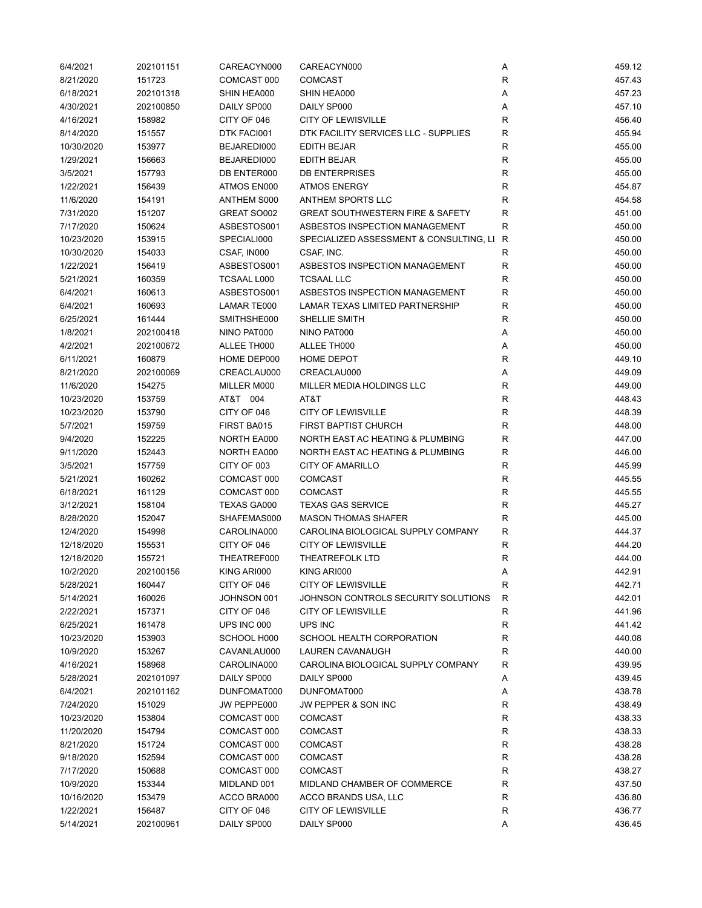| 6/4/2021   | 202101151 | CAREACYN000 | CAREACYN000                                 | Α            | 459.12 |
|------------|-----------|-------------|---------------------------------------------|--------------|--------|
| 8/21/2020  | 151723    | COMCAST 000 | <b>COMCAST</b>                              | $\mathsf{R}$ | 457.43 |
| 6/18/2021  | 202101318 | SHIN HEA000 | SHIN HEA000                                 | Α            | 457.23 |
| 4/30/2021  | 202100850 | DAILY SP000 | DAILY SP000                                 | Α            | 457.10 |
| 4/16/2021  | 158982    | CITY OF 046 | <b>CITY OF LEWISVILLE</b>                   | $\mathsf{R}$ | 456.40 |
| 8/14/2020  | 151557    | DTK FACI001 | DTK FACILITY SERVICES LLC - SUPPLIES        | $\mathsf{R}$ | 455.94 |
| 10/30/2020 | 153977    | BEJAREDI000 | EDITH BEJAR                                 | R            | 455.00 |
| 1/29/2021  | 156663    | BEJAREDI000 | EDITH BEJAR                                 | R            | 455.00 |
| 3/5/2021   | 157793    | DB ENTER000 | <b>DB ENTERPRISES</b>                       | R            | 455.00 |
| 1/22/2021  | 156439    | ATMOS EN000 | <b>ATMOS ENERGY</b>                         | $\mathsf{R}$ | 454.87 |
| 11/6/2020  | 154191    | ANTHEM S000 | ANTHEM SPORTS LLC                           | $\mathsf{R}$ | 454.58 |
|            |           |             | <b>GREAT SOUTHWESTERN FIRE &amp; SAFETY</b> | $\mathsf{R}$ |        |
| 7/31/2020  | 151207    | GREAT SO002 |                                             |              | 451.00 |
| 7/17/2020  | 150624    | ASBESTOS001 | ASBESTOS INSPECTION MANAGEMENT              | R            | 450.00 |
| 10/23/2020 | 153915    | SPECIALI000 | SPECIALIZED ASSESSMENT & CONSULTING, LI     | R            | 450.00 |
| 10/30/2020 | 154033    | CSAF, IN000 | CSAF, INC.                                  | R            | 450.00 |
| 1/22/2021  | 156419    | ASBESTOS001 | ASBESTOS INSPECTION MANAGEMENT              | $\mathsf{R}$ | 450.00 |
| 5/21/2021  | 160359    | TCSAAL L000 | <b>TCSAAL LLC</b>                           | R            | 450.00 |
| 6/4/2021   | 160613    | ASBESTOS001 | ASBESTOS INSPECTION MANAGEMENT              | $\mathsf{R}$ | 450.00 |
| 6/4/2021   | 160693    | LAMAR TE000 | <b>LAMAR TEXAS LIMITED PARTNERSHIP</b>      | R            | 450.00 |
| 6/25/2021  | 161444    | SMITHSHE000 | SHELLIE SMITH                               | $\mathsf{R}$ | 450.00 |
| 1/8/2021   | 202100418 | NINO PAT000 | NINO PAT000                                 | Α            | 450.00 |
| 4/2/2021   | 202100672 | ALLEE TH000 | ALLEE TH000                                 | Α            | 450.00 |
| 6/11/2021  | 160879    | HOME DEP000 | HOME DEPOT                                  | R            | 449.10 |
| 8/21/2020  | 202100069 | CREACLAU000 | CREACLAU000                                 | Α            | 449.09 |
| 11/6/2020  | 154275    | MILLER M000 | MILLER MEDIA HOLDINGS LLC                   | $\mathsf{R}$ | 449.00 |
| 10/23/2020 | 153759    | AT&T 004    | AT&T                                        | $\mathsf{R}$ | 448.43 |
| 10/23/2020 | 153790    | CITY OF 046 | <b>CITY OF LEWISVILLE</b>                   | $\mathsf{R}$ | 448.39 |
| 5/7/2021   | 159759    | FIRST BA015 | <b>FIRST BAPTIST CHURCH</b>                 | $\mathsf{R}$ | 448.00 |
| 9/4/2020   | 152225    | NORTH EA000 | NORTH EAST AC HEATING & PLUMBING            | R            | 447.00 |
| 9/11/2020  | 152443    | NORTH EA000 | NORTH EAST AC HEATING & PLUMBING            | R            | 446.00 |
| 3/5/2021   | 157759    | CITY OF 003 | <b>CITY OF AMARILLO</b>                     | R            | 445.99 |
| 5/21/2021  | 160262    | COMCAST 000 | <b>COMCAST</b>                              | $\mathsf{R}$ | 445.55 |
| 6/18/2021  | 161129    | COMCAST 000 | <b>COMCAST</b>                              | $\mathsf{R}$ | 445.55 |
| 3/12/2021  | 158104    | TEXAS GA000 | <b>TEXAS GAS SERVICE</b>                    | R            | 445.27 |
| 8/28/2020  | 152047    | SHAFEMAS000 | <b>MASON THOMAS SHAFER</b>                  | R            | 445.00 |
| 12/4/2020  | 154998    | CAROLINA000 | CAROLINA BIOLOGICAL SUPPLY COMPANY          | R            | 444.37 |
| 12/18/2020 | 155531    | CITY OF 046 | <b>CITY OF LEWISVILLE</b>                   | R            | 444.20 |
| 12/18/2020 | 155721    | THEATREF000 | <b>THEATREFOLK LTD</b>                      | R            | 444.00 |
| 10/2/2020  | 202100156 | KING ARI000 | KING ARI000                                 | Α            | 442.91 |
| 5/28/2021  | 160447    | CITY OF 046 | <b>CITY OF LEWISVILLE</b>                   | R            | 442.71 |
| 5/14/2021  | 160026    | JOHNSON 001 | JOHNSON CONTROLS SECURITY SOLUTIONS         | R            | 442.01 |
| 2/22/2021  | 157371    | CITY OF 046 | <b>CITY OF LEWISVILLE</b>                   | $\mathsf{R}$ | 441.96 |
| 6/25/2021  | 161478    | UPS INC 000 | UPS INC                                     | R            | 441.42 |
| 10/23/2020 | 153903    | SCHOOL H000 | SCHOOL HEALTH CORPORATION                   | R            | 440.08 |
| 10/9/2020  | 153267    | CAVANLAU000 | LAUREN CAVANAUGH                            | R            | 440.00 |
| 4/16/2021  | 158968    | CAROLINA000 | CAROLINA BIOLOGICAL SUPPLY COMPANY          | R            | 439.95 |
| 5/28/2021  | 202101097 | DAILY SP000 | DAILY SP000                                 | Α            | 439.45 |
| 6/4/2021   | 202101162 | DUNFOMAT000 | DUNFOMAT000                                 | Α            | 438.78 |
| 7/24/2020  | 151029    | JW PEPPE000 | JW PEPPER & SON INC                         | R            | 438.49 |
| 10/23/2020 | 153804    | COMCAST 000 | <b>COMCAST</b>                              | R            | 438.33 |
| 11/20/2020 | 154794    | COMCAST 000 | <b>COMCAST</b>                              | R            | 438.33 |
| 8/21/2020  | 151724    | COMCAST 000 | <b>COMCAST</b>                              | R            | 438.28 |
| 9/18/2020  | 152594    | COMCAST 000 | <b>COMCAST</b>                              | R            | 438.28 |
| 7/17/2020  | 150688    | COMCAST 000 | <b>COMCAST</b>                              | R            | 438.27 |
| 10/9/2020  | 153344    | MIDLAND 001 | MIDLAND CHAMBER OF COMMERCE                 | R            | 437.50 |
| 10/16/2020 | 153479    | ACCO BRA000 | ACCO BRANDS USA, LLC                        | $\mathsf{R}$ | 436.80 |
| 1/22/2021  | 156487    | CITY OF 046 | <b>CITY OF LEWISVILLE</b>                   | $\mathsf{R}$ | 436.77 |
| 5/14/2021  | 202100961 | DAILY SP000 | DAILY SP000                                 | Α            | 436.45 |
|            |           |             |                                             |              |        |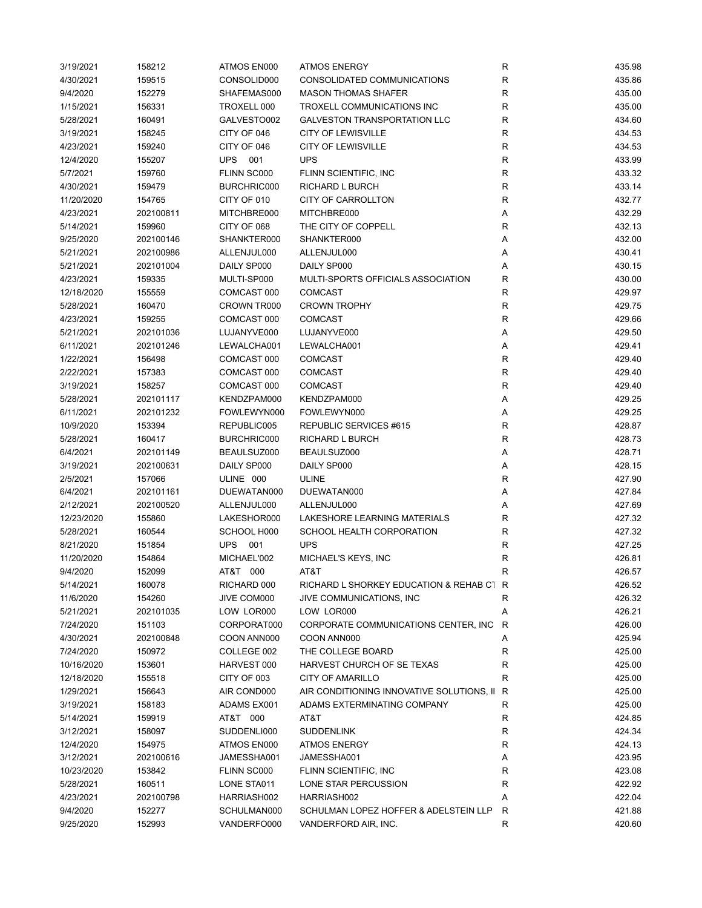| 3/19/2021  | 158212    | ATMOS EN000       | <b>ATMOS ENERGY</b>                                  | R            | 435.98 |
|------------|-----------|-------------------|------------------------------------------------------|--------------|--------|
| 4/30/2021  | 159515    | CONSOLID000       | CONSOLIDATED COMMUNICATIONS                          | R            | 435.86 |
| 9/4/2020   | 152279    | SHAFEMAS000       | <b>MASON THOMAS SHAFER</b>                           | $\mathsf R$  | 435.00 |
| 1/15/2021  | 156331    | TROXELL 000       | TROXELL COMMUNICATIONS INC                           | $\mathsf R$  | 435.00 |
| 5/28/2021  | 160491    | GALVESTO002       | <b>GALVESTON TRANSPORTATION LLC</b>                  | R            | 434.60 |
| 3/19/2021  | 158245    | CITY OF 046       | <b>CITY OF LEWISVILLE</b>                            | $\mathsf{R}$ | 434.53 |
| 4/23/2021  | 159240    | CITY OF 046       | <b>CITY OF LEWISVILLE</b>                            | $\mathsf{R}$ | 434.53 |
| 12/4/2020  | 155207    | <b>UPS</b><br>001 | <b>UPS</b>                                           | $\mathsf{R}$ | 433.99 |
| 5/7/2021   | 159760    | FLINN SC000       | FLINN SCIENTIFIC, INC                                | $\mathsf{R}$ | 433.32 |
| 4/30/2021  | 159479    | BURCHRIC000       | RICHARD L BURCH                                      | $\mathsf{R}$ | 433.14 |
| 11/20/2020 | 154765    | CITY OF 010       | CITY OF CARROLLTON                                   | $\mathsf{R}$ | 432.77 |
| 4/23/2021  | 202100811 | MITCHBRE000       | MITCHBRE000                                          | Α            | 432.29 |
| 5/14/2021  | 159960    | CITY OF 068       | THE CITY OF COPPELL                                  | R            | 432.13 |
| 9/25/2020  | 202100146 | SHANKTER000       | SHANKTER000                                          | Α            | 432.00 |
| 5/21/2021  | 202100986 | ALLENJUL000       | ALLENJUL000                                          | Α            | 430.41 |
| 5/21/2021  | 202101004 | DAILY SP000       | DAILY SP000                                          | Α            | 430.15 |
| 4/23/2021  | 159335    | MULTI-SP000       | MULTI-SPORTS OFFICIALS ASSOCIATION                   | $\mathsf{R}$ | 430.00 |
| 12/18/2020 | 155559    | COMCAST 000       | <b>COMCAST</b>                                       | R            | 429.97 |
| 5/28/2021  | 160470    | CROWN TR000       | <b>CROWN TROPHY</b>                                  | R            | 429.75 |
| 4/23/2021  | 159255    | COMCAST 000       | <b>COMCAST</b>                                       | R            | 429.66 |
|            |           | LUJANYVE000       |                                                      |              |        |
| 5/21/2021  | 202101036 |                   | LUJANYVE000                                          | Α            | 429.50 |
| 6/11/2021  | 202101246 | LEWALCHA001       | LEWALCHA001                                          | Α            | 429.41 |
| 1/22/2021  | 156498    | COMCAST 000       | <b>COMCAST</b>                                       | R            | 429.40 |
| 2/22/2021  | 157383    | COMCAST 000       | <b>COMCAST</b>                                       | $\mathsf{R}$ | 429.40 |
| 3/19/2021  | 158257    | COMCAST 000       | <b>COMCAST</b>                                       | $\mathsf{R}$ | 429.40 |
| 5/28/2021  | 202101117 | KENDZPAM000       | KENDZPAM000                                          | Α            | 429.25 |
| 6/11/2021  | 202101232 | FOWLEWYN000       | FOWLEWYN000                                          | Α            | 429.25 |
| 10/9/2020  | 153394    | REPUBLIC005       | REPUBLIC SERVICES #615                               | $\mathsf R$  | 428.87 |
| 5/28/2021  | 160417    | BURCHRIC000       | <b>RICHARD L BURCH</b>                               | $\mathsf R$  | 428.73 |
| 6/4/2021   | 202101149 | BEAULSUZ000       | BEAULSUZ000                                          | Α            | 428.71 |
| 3/19/2021  | 202100631 | DAILY SP000       | DAILY SP000                                          | Α            | 428.15 |
| 2/5/2021   | 157066    | ULINE 000         | <b>ULINE</b>                                         | R            | 427.90 |
| 6/4/2021   | 202101161 | DUEWATAN000       | DUEWATAN000                                          | Α            | 427.84 |
| 2/12/2021  | 202100520 | ALLENJUL000       | ALLENJUL000                                          | Α            | 427.69 |
| 12/23/2020 | 155860    | LAKESHOR000       | LAKESHORE LEARNING MATERIALS                         | R            | 427.32 |
| 5/28/2021  | 160544    | SCHOOL H000       | SCHOOL HEALTH CORPORATION                            | R            | 427.32 |
| 8/21/2020  | 151854    | <b>UPS</b><br>001 | <b>UPS</b>                                           | $\mathsf{R}$ | 427.25 |
| 11/20/2020 | 154864    | MICHAEL'002       | MICHAEL'S KEYS, INC                                  | R            | 426.81 |
| 9/4/2020   | 152099    | AT&T<br>000       | AT&T                                                 | $\mathsf{R}$ | 426.57 |
| 5/14/2021  | 160078    | RICHARD 000       | RICHARD L SHORKEY EDUCATION & REHAB C1 R             |              | 426.52 |
| 11/6/2020  | 154260    | JIVE COM000       | JIVE COMMUNICATIONS, INC                             | R            | 426.32 |
| 5/21/2021  | 202101035 | LOW LOR000        | LOW LOR000                                           | Α            | 426.21 |
| 7/24/2020  | 151103    | CORPORAT000       | CORPORATE COMMUNICATIONS CENTER, INC.                | R            | 426.00 |
| 4/30/2021  | 202100848 | COON ANN000       | COON ANN000                                          | Α            | 425.94 |
| 7/24/2020  | 150972    | COLLEGE 002       | THE COLLEGE BOARD                                    | R            | 425.00 |
| 10/16/2020 | 153601    | HARVEST 000       | HARVEST CHURCH OF SE TEXAS                           | R            | 425.00 |
| 12/18/2020 | 155518    | CITY OF 003       | <b>CITY OF AMARILLO</b>                              | R            | 425.00 |
| 1/29/2021  | 156643    | AIR COND000       | AIR CONDITIONING INNOVATIVE SOLUTIONS, II            | R            | 425.00 |
| 3/19/2021  | 158183    | ADAMS EX001       | ADAMS EXTERMINATING COMPANY                          | R            | 425.00 |
| 5/14/2021  | 159919    | AT&T 000          | AT&T                                                 | R            | 424.85 |
| 3/12/2021  | 158097    | SUDDENLI000       | <b>SUDDENLINK</b>                                    | R            | 424.34 |
| 12/4/2020  | 154975    | ATMOS EN000       | <b>ATMOS ENERGY</b>                                  | R            | 424.13 |
| 3/12/2021  | 202100616 | JAMESSHA001       | JAMESSHA001                                          | Α            | 423.95 |
| 10/23/2020 | 153842    | FLINN SC000       | FLINN SCIENTIFIC, INC                                | $\mathsf{R}$ | 423.08 |
| 5/28/2021  | 160511    | LONE STA011       | LONE STAR PERCUSSION                                 | R            | 422.92 |
| 4/23/2021  |           | HARRIASH002       |                                                      |              | 422.04 |
| 9/4/2020   | 202100798 |                   | HARRIASH002<br>SCHULMAN LOPEZ HOFFER & ADELSTEIN LLP | Α<br>R       | 421.88 |
|            | 152277    | SCHULMAN000       |                                                      |              |        |
| 9/25/2020  | 152993    | VANDERFO000       | VANDERFORD AIR, INC.                                 | R            | 420.60 |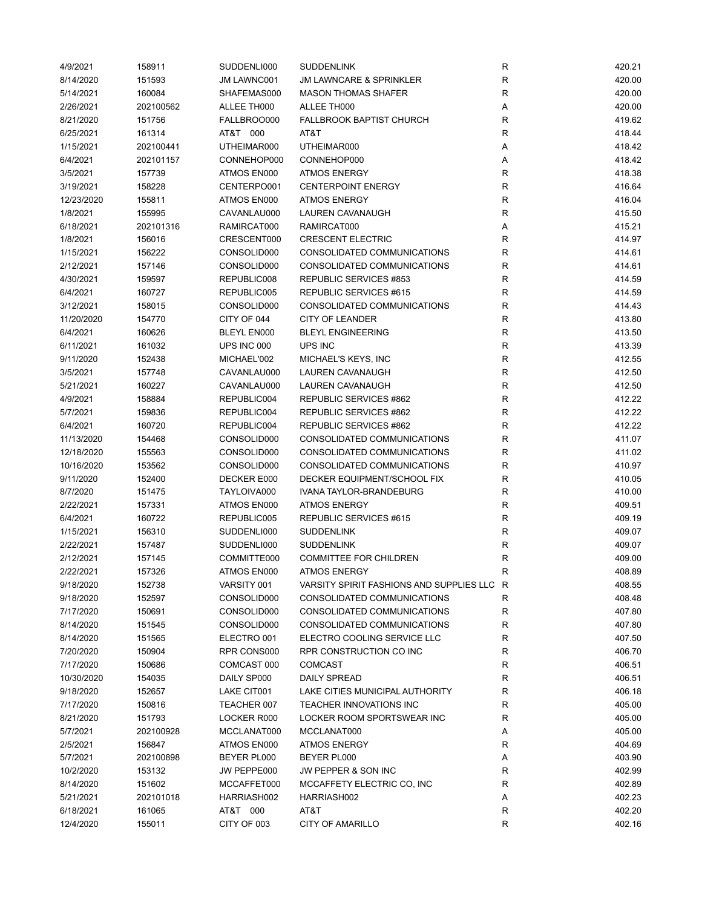| 4/9/2021   | 158911    | SUDDENLI000 | <b>SUDDENLINK</b>                          | R           | 420.21 |
|------------|-----------|-------------|--------------------------------------------|-------------|--------|
| 8/14/2020  | 151593    | JM LAWNC001 | <b>JM LAWNCARE &amp; SPRINKLER</b>         | R           | 420.00 |
| 5/14/2021  | 160084    | SHAFEMAS000 | <b>MASON THOMAS SHAFER</b>                 | $\mathsf R$ | 420.00 |
| 2/26/2021  | 202100562 | ALLEE TH000 | ALLEE TH000                                | Α           | 420.00 |
| 8/21/2020  | 151756    | FALLBROO000 | <b>FALLBROOK BAPTIST CHURCH</b>            | $\mathsf R$ | 419.62 |
| 6/25/2021  | 161314    | AT&T 000    | AT&T                                       | $\mathsf R$ | 418.44 |
| 1/15/2021  | 202100441 | UTHEIMAR000 | UTHEIMAR000                                | Α           | 418.42 |
| 6/4/2021   | 202101157 | CONNEHOP000 | CONNEHOP000                                | Α           | 418.42 |
| 3/5/2021   | 157739    | ATMOS EN000 | <b>ATMOS ENERGY</b>                        | $\mathsf R$ | 418.38 |
| 3/19/2021  | 158228    | CENTERPO001 | <b>CENTERPOINT ENERGY</b>                  | $\mathsf R$ | 416.64 |
| 12/23/2020 | 155811    | ATMOS EN000 | <b>ATMOS ENERGY</b>                        | $\mathsf R$ | 416.04 |
| 1/8/2021   | 155995    | CAVANLAU000 | LAUREN CAVANAUGH                           | $\mathsf R$ | 415.50 |
| 6/18/2021  | 202101316 | RAMIRCAT000 | RAMIRCAT000                                | Α           | 415.21 |
| 1/8/2021   | 156016    | CRESCENT000 | <b>CRESCENT ELECTRIC</b>                   | $\mathsf R$ | 414.97 |
| 1/15/2021  | 156222    | CONSOLID000 | CONSOLIDATED COMMUNICATIONS                | $\mathsf R$ | 414.61 |
| 2/12/2021  | 157146    | CONSOLID000 | CONSOLIDATED COMMUNICATIONS                | $\mathsf R$ | 414.61 |
| 4/30/2021  | 159597    | REPUBLIC008 | REPUBLIC SERVICES #853                     | $\mathsf R$ | 414.59 |
| 6/4/2021   | 160727    | REPUBLIC005 | REPUBLIC SERVICES #615                     | $\mathsf R$ | 414.59 |
| 3/12/2021  | 158015    | CONSOLID000 | CONSOLIDATED COMMUNICATIONS                | $\mathsf R$ | 414.43 |
|            |           |             | <b>CITY OF LEANDER</b>                     | $\mathsf R$ |        |
| 11/20/2020 | 154770    | CITY OF 044 |                                            |             | 413.80 |
| 6/4/2021   | 160626    | BLEYL EN000 | <b>BLEYL ENGINEERING</b>                   | R           | 413.50 |
| 6/11/2021  | 161032    | UPS INC 000 | UPS INC                                    | R           | 413.39 |
| 9/11/2020  | 152438    | MICHAEL'002 | MICHAEL'S KEYS, INC                        | R           | 412.55 |
| 3/5/2021   | 157748    | CAVANLAU000 | LAUREN CAVANAUGH                           | $\mathsf R$ | 412.50 |
| 5/21/2021  | 160227    | CAVANLAU000 | LAUREN CAVANAUGH                           | $\mathsf R$ | 412.50 |
| 4/9/2021   | 158884    | REPUBLIC004 | REPUBLIC SERVICES #862                     | R           | 412.22 |
| 5/7/2021   | 159836    | REPUBLIC004 | REPUBLIC SERVICES #862                     | $\mathsf R$ | 412.22 |
| 6/4/2021   | 160720    | REPUBLIC004 | REPUBLIC SERVICES #862                     | $\mathsf R$ | 412.22 |
| 11/13/2020 | 154468    | CONSOLID000 | CONSOLIDATED COMMUNICATIONS                | $\mathsf R$ | 411.07 |
| 12/18/2020 | 155563    | CONSOLID000 | CONSOLIDATED COMMUNICATIONS                | $\mathsf R$ | 411.02 |
| 10/16/2020 | 153562    | CONSOLID000 | CONSOLIDATED COMMUNICATIONS                | $\mathsf R$ | 410.97 |
| 9/11/2020  | 152400    | DECKER E000 | DECKER EQUIPMENT/SCHOOL FIX                | $\mathsf R$ | 410.05 |
| 8/7/2020   | 151475    | TAYLOIVA000 | IVANA TAYLOR-BRANDEBURG                    | $\mathsf R$ | 410.00 |
| 2/22/2021  | 157331    | ATMOS EN000 | <b>ATMOS ENERGY</b>                        | $\mathsf R$ | 409.51 |
| 6/4/2021   | 160722    | REPUBLIC005 | REPUBLIC SERVICES #615                     | $\mathsf R$ | 409.19 |
| 1/15/2021  | 156310    | SUDDENLI000 | <b>SUDDENLINK</b>                          | R           | 409.07 |
| 2/22/2021  | 157487    | SUDDENLI000 | <b>SUDDENLINK</b>                          | R           | 409.07 |
| 2/12/2021  | 157145    | COMMITTE000 | <b>COMMITTEE FOR CHILDREN</b>              | R           | 409.00 |
| 2/22/2021  | 157326    | ATMOS EN000 | <b>ATMOS ENERGY</b>                        | R           | 408.89 |
| 9/18/2020  | 152738    | VARSITY 001 | VARSITY SPIRIT FASHIONS AND SUPPLIES LLC R |             | 408.55 |
| 9/18/2020  | 152597    | CONSOLID000 | CONSOLIDATED COMMUNICATIONS                | R           | 408.48 |
| 7/17/2020  | 150691    | CONSOLID000 | CONSOLIDATED COMMUNICATIONS                | $\mathsf R$ | 407.80 |
| 8/14/2020  | 151545    | CONSOLID000 | CONSOLIDATED COMMUNICATIONS                | $\mathsf R$ | 407.80 |
| 8/14/2020  | 151565    | ELECTRO 001 | ELECTRO COOLING SERVICE LLC                | R           | 407.50 |
| 7/20/2020  | 150904    | RPR CONS000 | RPR CONSTRUCTION CO INC                    | R           | 406.70 |
| 7/17/2020  | 150686    | COMCAST 000 | <b>COMCAST</b>                             | R           | 406.51 |
| 10/30/2020 | 154035    | DAILY SP000 | <b>DAILY SPREAD</b>                        | R           | 406.51 |
| 9/18/2020  | 152657    | LAKE CIT001 | LAKE CITIES MUNICIPAL AUTHORITY            | R           | 406.18 |
| 7/17/2020  | 150816    | TEACHER 007 | TEACHER INNOVATIONS INC                    | $\mathsf R$ | 405.00 |
| 8/21/2020  | 151793    | LOCKER R000 | LOCKER ROOM SPORTSWEAR INC                 | R           | 405.00 |
| 5/7/2021   | 202100928 | MCCLANAT000 | MCCLANAT000                                | Α           | 405.00 |
| 2/5/2021   | 156847    | ATMOS EN000 | <b>ATMOS ENERGY</b>                        | R           | 404.69 |
| 5/7/2021   | 202100898 | BEYER PL000 | BEYER PL000                                |             | 403.90 |
|            |           |             |                                            | Α           |        |
| 10/2/2020  | 153132    | JW PEPPE000 | JW PEPPER & SON INC                        | R           | 402.99 |
| 8/14/2020  | 151602    | MCCAFFET000 | MCCAFFETY ELECTRIC CO, INC                 | R           | 402.89 |
| 5/21/2021  | 202101018 | HARRIASH002 | HARRIASH002                                | Α           | 402.23 |
| 6/18/2021  | 161065    | AT&T 000    | AT&T                                       | R           | 402.20 |
| 12/4/2020  | 155011    | CITY OF 003 | <b>CITY OF AMARILLO</b>                    | R           | 402.16 |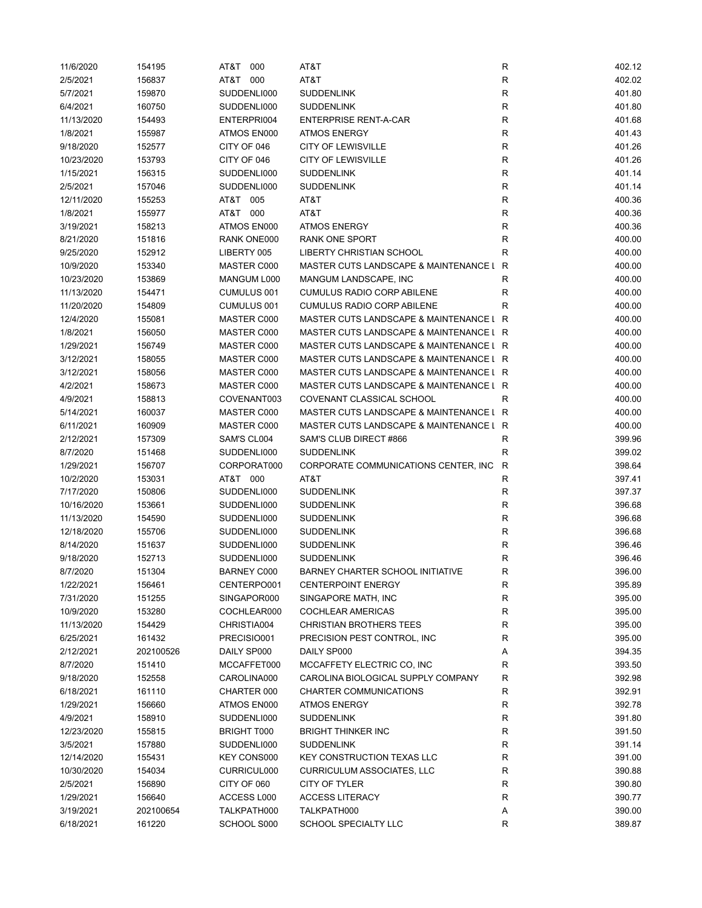| 11/6/2020  | 154195    | 000<br>AT&T        | AT&T                                    | R            | 402.12 |
|------------|-----------|--------------------|-----------------------------------------|--------------|--------|
| 2/5/2021   | 156837    | AT&T<br>000        | AT&T                                    | R            | 402.02 |
| 5/7/2021   | 159870    | SUDDENLI000        | <b>SUDDENLINK</b>                       | R            | 401.80 |
| 6/4/2021   | 160750    | SUDDENLI000        | <b>SUDDENLINK</b>                       | R            | 401.80 |
| 11/13/2020 | 154493    | ENTERPRI004        | <b>ENTERPRISE RENT-A-CAR</b>            | $\mathsf R$  | 401.68 |
| 1/8/2021   | 155987    | ATMOS EN000        | <b>ATMOS ENERGY</b>                     | R            | 401.43 |
| 9/18/2020  | 152577    | CITY OF 046        | <b>CITY OF LEWISVILLE</b>               | $\mathsf R$  | 401.26 |
| 10/23/2020 | 153793    | CITY OF 046        | <b>CITY OF LEWISVILLE</b>               | $\mathsf R$  | 401.26 |
| 1/15/2021  | 156315    | SUDDENLI000        | <b>SUDDENLINK</b>                       | $\mathsf R$  | 401.14 |
| 2/5/2021   | 157046    | SUDDENLI000        | <b>SUDDENLINK</b>                       | $\mathsf{R}$ | 401.14 |
| 12/11/2020 | 155253    | AT&T 005           | AT&T                                    | R            | 400.36 |
| 1/8/2021   | 155977    | 000<br>AT&T        | AT&T                                    | ${\sf R}$    | 400.36 |
| 3/19/2021  | 158213    | ATMOS EN000        | <b>ATMOS ENERGY</b>                     | $\mathsf R$  | 400.36 |
| 8/21/2020  | 151816    | RANK ONE000        | <b>RANK ONE SPORT</b>                   | R            | 400.00 |
| 9/25/2020  | 152912    | LIBERTY 005        | LIBERTY CHRISTIAN SCHOOL                | R            | 400.00 |
| 10/9/2020  | 153340    | MASTER C000        | MASTER CUTS LANDSCAPE & MAINTENANCE L   | R            | 400.00 |
| 10/23/2020 | 153869    | MANGUM L000        | MANGUM LANDSCAPE, INC                   | R            | 400.00 |
| 11/13/2020 | 154471    | CUMULUS 001        | <b>CUMULUS RADIO CORP ABILENE</b>       | R            | 400.00 |
| 11/20/2020 | 154809    | <b>CUMULUS 001</b> | <b>CUMULUS RADIO CORP ABILENE</b>       | R            | 400.00 |
| 12/4/2020  | 155081    | MASTER C000        | MASTER CUTS LANDSCAPE & MAINTENANCE L R |              | 400.00 |
| 1/8/2021   | 156050    | MASTER C000        | MASTER CUTS LANDSCAPE & MAINTENANCE L R |              | 400.00 |
| 1/29/2021  | 156749    | MASTER C000        | MASTER CUTS LANDSCAPE & MAINTENANCE L R |              | 400.00 |
| 3/12/2021  | 158055    | MASTER C000        | MASTER CUTS LANDSCAPE & MAINTENANCE L R |              | 400.00 |
|            |           | MASTER C000        | MASTER CUTS LANDSCAPE & MAINTENANCE L R |              |        |
| 3/12/2021  | 158056    |                    |                                         |              | 400.00 |
| 4/2/2021   | 158673    | MASTER C000        | MASTER CUTS LANDSCAPE & MAINTENANCE L R |              | 400.00 |
| 4/9/2021   | 158813    | COVENANT003        | COVENANT CLASSICAL SCHOOL               | R            | 400.00 |
| 5/14/2021  | 160037    | MASTER C000        | MASTER CUTS LANDSCAPE & MAINTENANCE L R |              | 400.00 |
| 6/11/2021  | 160909    | MASTER C000        | MASTER CUTS LANDSCAPE & MAINTENANCE L R |              | 400.00 |
| 2/12/2021  | 157309    | SAM'S CL004        | SAM'S CLUB DIRECT #866                  | R            | 399.96 |
| 8/7/2020   | 151468    | SUDDENLI000        | <b>SUDDENLINK</b>                       | $\mathsf R$  | 399.02 |
| 1/29/2021  | 156707    | CORPORAT000        | CORPORATE COMMUNICATIONS CENTER, INC.   | $\mathsf{R}$ | 398.64 |
| 10/2/2020  | 153031    | AT&T 000           | AT&T                                    | R            | 397.41 |
| 7/17/2020  | 150806    | SUDDENLI000        | <b>SUDDENLINK</b>                       | R            | 397.37 |
| 10/16/2020 | 153661    | SUDDENLI000        | <b>SUDDENLINK</b>                       | R            | 396.68 |
| 11/13/2020 | 154590    | SUDDENLI000        | <b>SUDDENLINK</b>                       | R            | 396.68 |
| 12/18/2020 | 155706    | SUDDENLI000        | <b>SUDDENLINK</b>                       | R            | 396.68 |
| 8/14/2020  | 151637    | SUDDENLI000        | <b>SUDDENLINK</b>                       | $\mathsf R$  | 396.46 |
| 9/18/2020  | 152713    | SUDDENLI000        | <b>SUDDENLINK</b>                       | R            | 396.46 |
| 8/7/2020   | 151304    | BARNEY C000        | BARNEY CHARTER SCHOOL INITIATIVE        | R            | 396.00 |
| 1/22/2021  | 156461    | CENTERPO001        | <b>CENTERPOINT ENERGY</b>               | R            | 395.89 |
| 7/31/2020  | 151255    | SINGAPOR000        | SINGAPORE MATH, INC                     | R            | 395.00 |
| 10/9/2020  | 153280    | COCHLEAR000        | <b>COCHLEAR AMERICAS</b>                | R            | 395.00 |
| 11/13/2020 | 154429    | CHRISTIA004        | <b>CHRISTIAN BROTHERS TEES</b>          | R            | 395.00 |
| 6/25/2021  | 161432    | PRECISIO001        | PRECISION PEST CONTROL, INC             | R            | 395.00 |
| 2/12/2021  | 202100526 | DAILY SP000        | DAILY SP000                             | А            | 394.35 |
| 8/7/2020   | 151410    | MCCAFFET000        | MCCAFFETY ELECTRIC CO, INC              | R            | 393.50 |
| 9/18/2020  | 152558    | CAROLINA000        | CAROLINA BIOLOGICAL SUPPLY COMPANY      | R            | 392.98 |
| 6/18/2021  | 161110    | CHARTER 000        | CHARTER COMMUNICATIONS                  | R            | 392.91 |
| 1/29/2021  | 156660    | ATMOS EN000        | <b>ATMOS ENERGY</b>                     | R            | 392.78 |
| 4/9/2021   | 158910    | SUDDENLI000        | <b>SUDDENLINK</b>                       | R            | 391.80 |
| 12/23/2020 | 155815    | <b>BRIGHT T000</b> | <b>BRIGHT THINKER INC</b>               | R            | 391.50 |
| 3/5/2021   | 157880    | SUDDENLI000        | <b>SUDDENLINK</b>                       | R            | 391.14 |
| 12/14/2020 | 155431    | KEY CONS000        | <b>KEY CONSTRUCTION TEXAS LLC</b>       | R            | 391.00 |
| 10/30/2020 | 154034    | CURRICUL000        | <b>CURRICULUM ASSOCIATES, LLC</b>       | R            | 390.88 |
| 2/5/2021   | 156890    | CITY OF 060        | CITY OF TYLER                           | $\mathsf R$  | 390.80 |
| 1/29/2021  | 156640    | ACCESS L000        | <b>ACCESS LITERACY</b>                  | $\mathsf R$  | 390.77 |
| 3/19/2021  | 202100654 | TALKPATH000        | TALKPATH000                             | Α            | 390.00 |
| 6/18/2021  | 161220    | SCHOOL S000        | SCHOOL SPECIALTY LLC                    | R            | 389.87 |
|            |           |                    |                                         |              |        |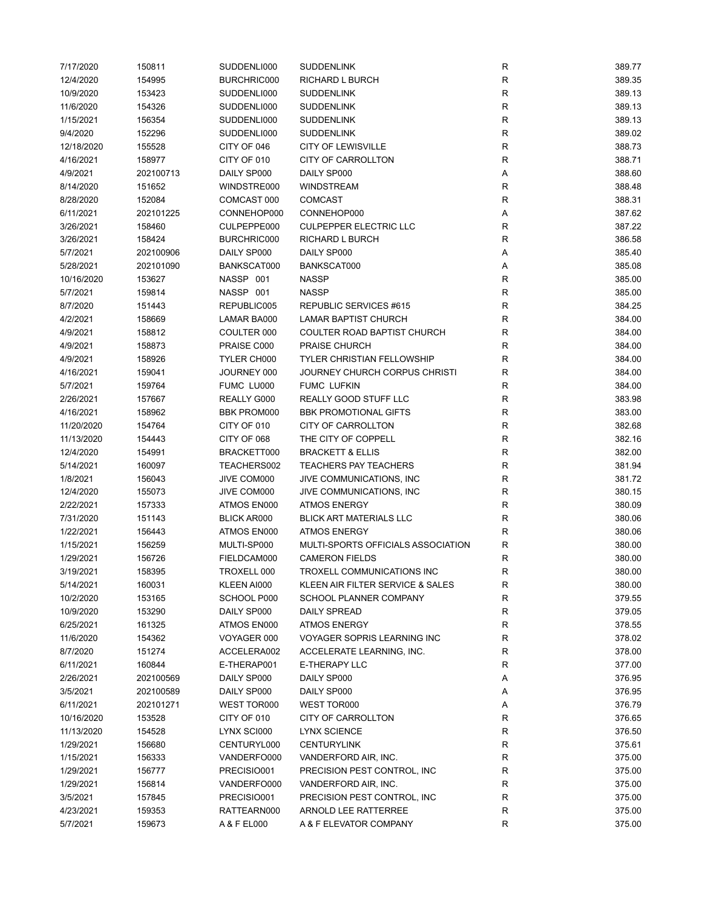| 7/17/2020  | 150811    | SUDDENLI000        | <b>SUDDENLINK</b>                  | R           | 389.77 |
|------------|-----------|--------------------|------------------------------------|-------------|--------|
| 12/4/2020  | 154995    | BURCHRIC000        | <b>RICHARD L BURCH</b>             | R           | 389.35 |
| 10/9/2020  | 153423    | SUDDENLI000        | <b>SUDDENLINK</b>                  | R           | 389.13 |
| 11/6/2020  | 154326    | SUDDENLI000        | <b>SUDDENLINK</b>                  | R           | 389.13 |
| 1/15/2021  | 156354    | SUDDENLI000        | <b>SUDDENLINK</b>                  | R           | 389.13 |
| 9/4/2020   | 152296    | SUDDENLI000        | <b>SUDDENLINK</b>                  | R           | 389.02 |
| 12/18/2020 | 155528    | CITY OF 046        | <b>CITY OF LEWISVILLE</b>          | $\mathsf R$ | 388.73 |
| 4/16/2021  | 158977    | CITY OF 010        | CITY OF CARROLLTON                 | $\mathsf R$ | 388.71 |
| 4/9/2021   | 202100713 | DAILY SP000        | DAILY SP000                        | Α           | 388.60 |
| 8/14/2020  | 151652    | WINDSTRE000        | WINDSTREAM                         | $\mathsf R$ | 388.48 |
| 8/28/2020  | 152084    | COMCAST 000        | <b>COMCAST</b>                     | ${\sf R}$   | 388.31 |
| 6/11/2021  | 202101225 | CONNEHOP000        | CONNEHOP000                        | Α           | 387.62 |
| 3/26/2021  | 158460    | CULPEPPE000        | <b>CULPEPPER ELECTRIC LLC</b>      | $\mathsf R$ | 387.22 |
| 3/26/2021  | 158424    | BURCHRIC000        | <b>RICHARD L BURCH</b>             | R           | 386.58 |
| 5/7/2021   | 202100906 | DAILY SP000        | DAILY SP000                        | Α           | 385.40 |
| 5/28/2021  | 202101090 | BANKSCAT000        | BANKSCAT000                        | Α           | 385.08 |
| 10/16/2020 | 153627    | NASSP 001          | <b>NASSP</b>                       | R           | 385.00 |
| 5/7/2021   | 159814    | NASSP 001          | <b>NASSP</b>                       | $\mathsf R$ | 385.00 |
| 8/7/2020   | 151443    | REPUBLIC005        | REPUBLIC SERVICES #615             | R           | 384.25 |
| 4/2/2021   | 158669    | LAMAR BA000        | LAMAR BAPTIST CHURCH               | R           | 384.00 |
|            |           |                    |                                    |             |        |
| 4/9/2021   | 158812    | COULTER 000        | COULTER ROAD BAPTIST CHURCH        | R           | 384.00 |
| 4/9/2021   | 158873    | PRAISE C000        | <b>PRAISE CHURCH</b>               | R           | 384.00 |
| 4/9/2021   | 158926    | TYLER CH000        | <b>TYLER CHRISTIAN FELLOWSHIP</b>  | R           | 384.00 |
| 4/16/2021  | 159041    | JOURNEY 000        | JOURNEY CHURCH CORPUS CHRISTI      | $\mathsf R$ | 384.00 |
| 5/7/2021   | 159764    | FUMC LU000         | <b>FUMC LUFKIN</b>                 | $\mathsf R$ | 384.00 |
| 2/26/2021  | 157667    | REALLY G000        | REALLY GOOD STUFF LLC              | $\mathsf R$ | 383.98 |
| 4/16/2021  | 158962    | <b>BBK PROM000</b> | <b>BBK PROMOTIONAL GIFTS</b>       | $\mathsf R$ | 383.00 |
| 11/20/2020 | 154764    | CITY OF 010        | <b>CITY OF CARROLLTON</b>          | R           | 382.68 |
| 11/13/2020 | 154443    | CITY OF 068        | THE CITY OF COPPELL                | $\mathsf R$ | 382.16 |
| 12/4/2020  | 154991    | BRACKETT000        | <b>BRACKETT &amp; ELLIS</b>        | $\mathsf R$ | 382.00 |
| 5/14/2021  | 160097    | TEACHERS002        | <b>TEACHERS PAY TEACHERS</b>       | $\mathsf R$ | 381.94 |
| 1/8/2021   | 156043    | JIVE COM000        | JIVE COMMUNICATIONS, INC.          | R           | 381.72 |
| 12/4/2020  | 155073    | JIVE COM000        | JIVE COMMUNICATIONS, INC           | R           | 380.15 |
| 2/22/2021  | 157333    | ATMOS EN000        | <b>ATMOS ENERGY</b>                | R           | 380.09 |
| 7/31/2020  | 151143    | <b>BLICK AR000</b> | <b>BLICK ART MATERIALS LLC</b>     | R           | 380.06 |
| 1/22/2021  | 156443    | ATMOS EN000        | <b>ATMOS ENERGY</b>                | R           | 380.06 |
| 1/15/2021  | 156259    | MULTI-SP000        | MULTI-SPORTS OFFICIALS ASSOCIATION | $\mathsf R$ | 380.00 |
| 1/29/2021  | 156726    | FIELDCAM000        | <b>CAMERON FIELDS</b>              | $\mathsf R$ | 380.00 |
| 3/19/2021  | 158395    | TROXELL 000        | TROXELL COMMUNICATIONS INC         | R           | 380.00 |
| 5/14/2021  | 160031    | KLEEN AI000        | KLEEN AIR FILTER SERVICE & SALES   | R           | 380.00 |
| 10/2/2020  | 153165    | SCHOOL P000        | SCHOOL PLANNER COMPANY             | R           | 379.55 |
| 10/9/2020  | 153290    | DAILY SP000        | <b>DAILY SPREAD</b>                | R           | 379.05 |
| 6/25/2021  | 161325    | ATMOS EN000        | <b>ATMOS ENERGY</b>                | R           | 378.55 |
| 11/6/2020  | 154362    | VOYAGER 000        | VOYAGER SOPRIS LEARNING INC        | R           | 378.02 |
| 8/7/2020   | 151274    | ACCELERA002        | ACCELERATE LEARNING, INC.          | R           | 378.00 |
| 6/11/2021  | 160844    | E-THERAP001        | E-THERAPY LLC                      | R           | 377.00 |
| 2/26/2021  | 202100569 | DAILY SP000        | DAILY SP000                        | А           | 376.95 |
| 3/5/2021   | 202100589 | DAILY SP000        | DAILY SP000                        | Α           | 376.95 |
| 6/11/2021  | 202101271 | WEST TOR000        | WEST TOR000                        | А           | 376.79 |
| 10/16/2020 | 153528    | CITY OF 010        | <b>CITY OF CARROLLTON</b>          | R           | 376.65 |
| 11/13/2020 | 154528    | LYNX SCI000        | <b>LYNX SCIENCE</b>                | R           | 376.50 |
|            |           |                    |                                    |             |        |
| 1/29/2021  | 156680    | CENTURYL000        | <b>CENTURYLINK</b>                 | R           | 375.61 |
| 1/15/2021  | 156333    | VANDERFO000        | VANDERFORD AIR, INC.               | R           | 375.00 |
| 1/29/2021  | 156777    | PRECISIO001        | PRECISION PEST CONTROL, INC.       | R           | 375.00 |
| 1/29/2021  | 156814    | VANDERFO000        | VANDERFORD AIR, INC.               | R           | 375.00 |
| 3/5/2021   | 157845    | PRECISIO001        | PRECISION PEST CONTROL, INC.       | R           | 375.00 |
| 4/23/2021  | 159353    | RATTEARN000        | ARNOLD LEE RATTERREE               | R           | 375.00 |
| 5/7/2021   | 159673    | A & F EL000        | A & F ELEVATOR COMPANY             | R           | 375.00 |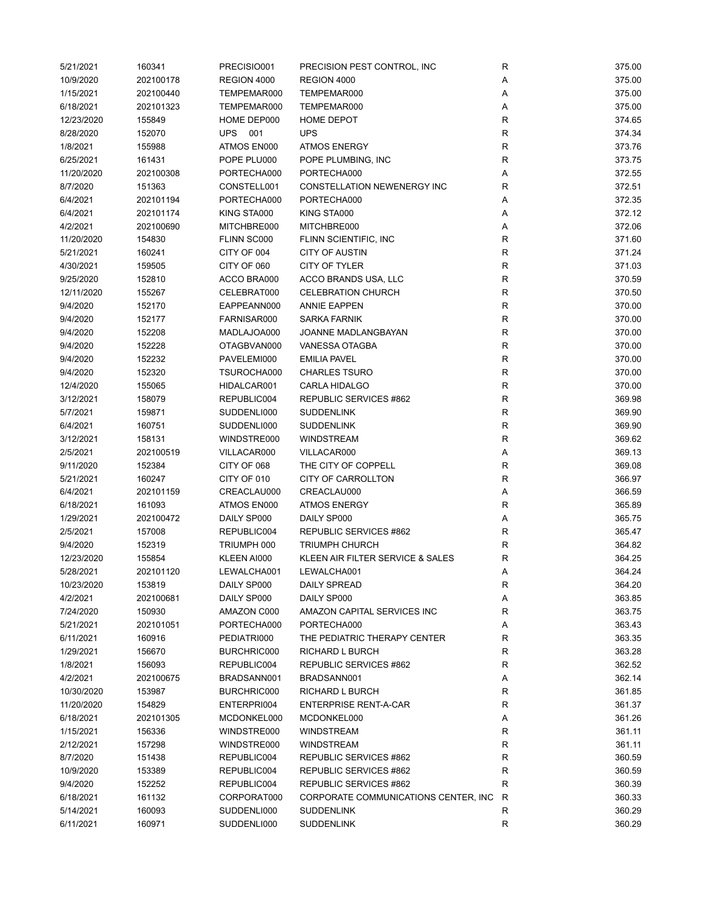| 5/21/2021  | 160341    | PRECISIO001 | PRECISION PEST CONTROL, INC           | R           | 375.00 |
|------------|-----------|-------------|---------------------------------------|-------------|--------|
| 10/9/2020  | 202100178 | REGION 4000 | REGION 4000                           | Α           | 375.00 |
| 1/15/2021  | 202100440 | TEMPEMAR000 | TEMPEMAR000                           | Α           | 375.00 |
| 6/18/2021  | 202101323 | TEMPEMAR000 | TEMPEMAR000                           | Α           | 375.00 |
| 12/23/2020 | 155849    | HOME DEP000 | <b>HOME DEPOT</b>                     | $\mathsf R$ | 374.65 |
| 8/28/2020  | 152070    | UPS<br>001  | <b>UPS</b>                            | $\mathsf R$ | 374.34 |
| 1/8/2021   | 155988    | ATMOS EN000 | <b>ATMOS ENERGY</b>                   | $\mathsf R$ | 373.76 |
| 6/25/2021  | 161431    | POPE PLU000 | POPE PLUMBING, INC                    | $\mathsf R$ | 373.75 |
| 11/20/2020 | 202100308 | PORTECHA000 | PORTECHA000                           | Α           | 372.55 |
| 8/7/2020   | 151363    | CONSTELL001 | CONSTELLATION NEWENERGY INC           | R           | 372.51 |
| 6/4/2021   | 202101194 | PORTECHA000 | PORTECHA000                           | Α           | 372.35 |
| 6/4/2021   | 202101174 | KING STA000 | KING STA000                           | Α           | 372.12 |
| 4/2/2021   | 202100690 | MITCHBRE000 | MITCHBRE000                           | Α           | 372.06 |
| 11/20/2020 | 154830    | FLINN SC000 | FLINN SCIENTIFIC, INC                 | R           | 371.60 |
| 5/21/2021  | 160241    | CITY OF 004 | <b>CITY OF AUSTIN</b>                 | $\mathsf R$ | 371.24 |
| 4/30/2021  | 159505    | CITY OF 060 | CITY OF TYLER                         | $\mathsf R$ | 371.03 |
| 9/25/2020  | 152810    | ACCO BRA000 | ACCO BRANDS USA, LLC                  | $\mathsf R$ | 370.59 |
| 12/11/2020 | 155267    | CELEBRAT000 | <b>CELEBRATION CHURCH</b>             | $\mathsf R$ | 370.50 |
| 9/4/2020   | 152170    | EAPPEANN000 | <b>ANNIE EAPPEN</b>                   | $\mathsf R$ | 370.00 |
| 9/4/2020   | 152177    | FARNISAR000 | <b>SARKA FARNIK</b>                   | $\mathsf R$ | 370.00 |
| 9/4/2020   | 152208    | MADLAJOA000 | JOANNE MADLANGBAYAN                   | $\mathsf R$ | 370.00 |
| 9/4/2020   | 152228    | OTAGBVAN000 | VANESSA OTAGBA                        | $\mathsf R$ | 370.00 |
| 9/4/2020   | 152232    | PAVELEMI000 | <b>EMILIA PAVEL</b>                   | R           | 370.00 |
| 9/4/2020   | 152320    | TSUROCHA000 | <b>CHARLES TSURO</b>                  | R           | 370.00 |
| 12/4/2020  | 155065    | HIDALCAR001 | CARLA HIDALGO                         | R           | 370.00 |
| 3/12/2021  | 158079    | REPUBLIC004 | REPUBLIC SERVICES #862                | $\mathsf R$ | 369.98 |
| 5/7/2021   | 159871    | SUDDENLI000 | <b>SUDDENLINK</b>                     | $\mathsf R$ | 369.90 |
| 6/4/2021   | 160751    | SUDDENLI000 | <b>SUDDENLINK</b>                     | $\mathsf R$ | 369.90 |
| 3/12/2021  | 158131    | WINDSTRE000 | <b>WINDSTREAM</b>                     | ${\sf R}$   | 369.62 |
| 2/5/2021   | 202100519 | VILLACAR000 | VILLACAR000                           | Α           | 369.13 |
| 9/11/2020  | 152384    | CITY OF 068 | THE CITY OF COPPELL                   | $\mathsf R$ | 369.08 |
| 5/21/2021  | 160247    | CITY OF 010 | CITY OF CARROLLTON                    | $\mathsf R$ | 366.97 |
| 6/4/2021   | 202101159 | CREACLAU000 | CREACLAU000                           | Α           | 366.59 |
| 6/18/2021  | 161093    | ATMOS EN000 | <b>ATMOS ENERGY</b>                   | $\mathsf R$ | 365.89 |
| 1/29/2021  | 202100472 | DAILY SP000 | DAILY SP000                           | Α           | 365.75 |
| 2/5/2021   | 157008    | REPUBLIC004 | REPUBLIC SERVICES #862                | $\mathsf R$ | 365.47 |
| 9/4/2020   | 152319    | TRIUMPH 000 | <b>TRIUMPH CHURCH</b>                 | R           | 364.82 |
| 12/23/2020 | 155854    | KLEEN AI000 | KLEEN AIR FILTER SERVICE & SALES      | R           | 364.25 |
| 5/28/2021  | 202101120 | LEWALCHA001 | LEWALCHA001                           | Α           | 364.24 |
| 10/23/2020 | 153819    | DAILY SP000 | DAILY SPREAD                          | R           | 364.20 |
| 4/2/2021   | 202100681 | DAILY SP000 | DAILY SP000                           | А           | 363.85 |
| 7/24/2020  | 150930    | AMAZON C000 | AMAZON CAPITAL SERVICES INC           | R           | 363.75 |
| 5/21/2021  | 202101051 | PORTECHA000 | PORTECHA000                           | Α           | 363.43 |
| 6/11/2021  | 160916    | PEDIATRI000 | THE PEDIATRIC THERAPY CENTER          | $\mathsf R$ | 363.35 |
| 1/29/2021  | 156670    | BURCHRIC000 | <b>RICHARD L BURCH</b>                | R           | 363.28 |
| 1/8/2021   | 156093    | REPUBLIC004 | REPUBLIC SERVICES #862                | R           | 362.52 |
| 4/2/2021   | 202100675 | BRADSANN001 | BRADSANN001                           | А           | 362.14 |
| 10/30/2020 | 153987    | BURCHRIC000 | RICHARD L BURCH                       | R           | 361.85 |
| 11/20/2020 | 154829    | ENTERPRI004 | <b>ENTERPRISE RENT-A-CAR</b>          | R           | 361.37 |
| 6/18/2021  | 202101305 | MCDONKEL000 | MCDONKEL000                           | Α           | 361.26 |
| 1/15/2021  | 156336    | WINDSTRE000 | <b>WINDSTREAM</b>                     | R           | 361.11 |
| 2/12/2021  | 157298    | WINDSTRE000 | <b>WINDSTREAM</b>                     | R           | 361.11 |
| 8/7/2020   | 151438    | REPUBLIC004 | REPUBLIC SERVICES #862                | R           | 360.59 |
| 10/9/2020  | 153389    | REPUBLIC004 | REPUBLIC SERVICES #862                | R           | 360.59 |
| 9/4/2020   | 152252    | REPUBLIC004 | REPUBLIC SERVICES #862                | R           | 360.39 |
| 6/18/2021  | 161132    | CORPORAT000 | CORPORATE COMMUNICATIONS CENTER, INC. | R           | 360.33 |
| 5/14/2021  | 160093    | SUDDENLI000 | <b>SUDDENLINK</b>                     | R           | 360.29 |
| 6/11/2021  | 160971    | SUDDENLI000 | <b>SUDDENLINK</b>                     | $\mathsf R$ | 360.29 |
|            |           |             |                                       |             |        |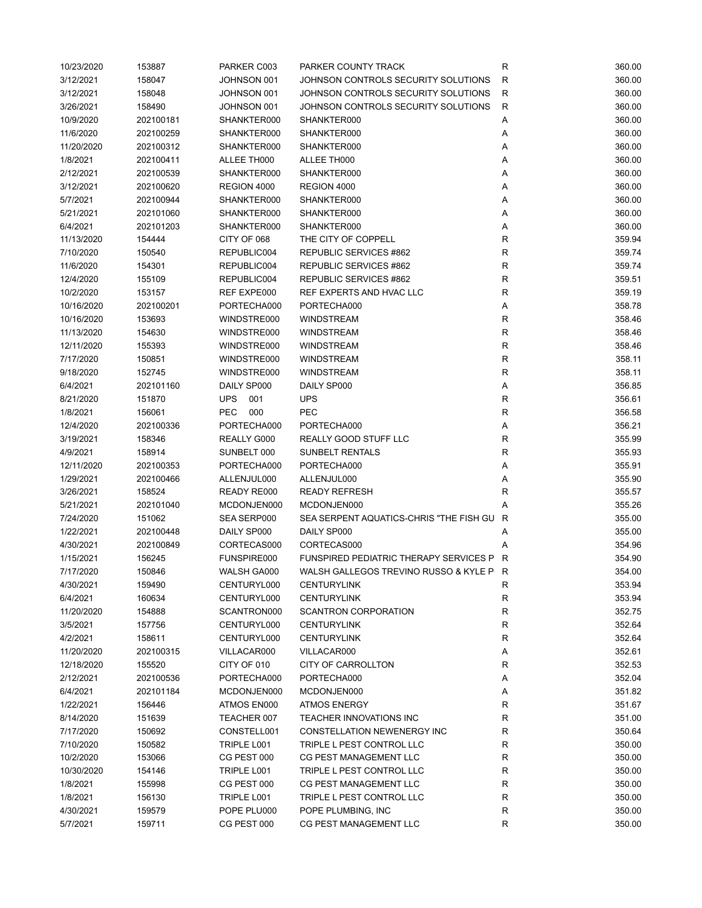| 10/23/2020 | 153887    | PARKER C003       | PARKER COUNTY TRACK                           | R           | 360.00 |
|------------|-----------|-------------------|-----------------------------------------------|-------------|--------|
| 3/12/2021  | 158047    | JOHNSON 001       | JOHNSON CONTROLS SECURITY SOLUTIONS           | R           | 360.00 |
| 3/12/2021  | 158048    | JOHNSON 001       | JOHNSON CONTROLS SECURITY SOLUTIONS           | $\mathsf R$ | 360.00 |
| 3/26/2021  | 158490    | JOHNSON 001       | JOHNSON CONTROLS SECURITY SOLUTIONS           | $\mathsf R$ | 360.00 |
| 10/9/2020  | 202100181 | SHANKTER000       | SHANKTER000                                   | Α           | 360.00 |
| 11/6/2020  | 202100259 | SHANKTER000       | SHANKTER000                                   | Α           | 360.00 |
| 11/20/2020 | 202100312 | SHANKTER000       | SHANKTER000                                   | Α           | 360.00 |
| 1/8/2021   | 202100411 | ALLEE TH000       | ALLEE TH000                                   | Α           | 360.00 |
| 2/12/2021  |           |                   |                                               |             | 360.00 |
|            | 202100539 | SHANKTER000       | SHANKTER000                                   | Α           |        |
| 3/12/2021  | 202100620 | REGION 4000       | REGION 4000                                   | Α           | 360.00 |
| 5/7/2021   | 202100944 | SHANKTER000       | SHANKTER000                                   | Α           | 360.00 |
| 5/21/2021  | 202101060 | SHANKTER000       | SHANKTER000                                   | Α           | 360.00 |
| 6/4/2021   | 202101203 | SHANKTER000       | SHANKTER000                                   | Α           | 360.00 |
| 11/13/2020 | 154444    | CITY OF 068       | THE CITY OF COPPELL                           | $\mathsf R$ | 359.94 |
| 7/10/2020  | 150540    | REPUBLIC004       | REPUBLIC SERVICES #862                        | R           | 359.74 |
| 11/6/2020  | 154301    | REPUBLIC004       | REPUBLIC SERVICES #862                        | R           | 359.74 |
| 12/4/2020  | 155109    | REPUBLIC004       | REPUBLIC SERVICES #862                        | $\mathsf R$ | 359.51 |
| 10/2/2020  | 153157    | REF EXPE000       | REF EXPERTS AND HVAC LLC                      | R           | 359.19 |
| 10/16/2020 | 202100201 | PORTECHA000       | PORTECHA000                                   | Α           | 358.78 |
| 10/16/2020 | 153693    | WINDSTRE000       | <b>WINDSTREAM</b>                             | R           | 358.46 |
| 11/13/2020 | 154630    | WINDSTRE000       | <b>WINDSTREAM</b>                             | $\mathsf R$ | 358.46 |
| 12/11/2020 | 155393    | WINDSTRE000       | <b>WINDSTREAM</b>                             | $\mathsf R$ | 358.46 |
| 7/17/2020  | 150851    | WINDSTRE000       | <b>WINDSTREAM</b>                             | R           | 358.11 |
| 9/18/2020  | 152745    | WINDSTRE000       | <b>WINDSTREAM</b>                             | $\mathsf R$ | 358.11 |
|            |           |                   |                                               |             |        |
| 6/4/2021   | 202101160 | DAILY SP000       | DAILY SP000                                   | Α           | 356.85 |
| 8/21/2020  | 151870    | <b>UPS</b><br>001 | <b>UPS</b>                                    | $\mathsf R$ | 356.61 |
| 1/8/2021   | 156061    | <b>PEC</b><br>000 | <b>PEC</b>                                    | $\mathsf R$ | 356.58 |
| 12/4/2020  | 202100336 | PORTECHA000       | PORTECHA000                                   | Α           | 356.21 |
| 3/19/2021  | 158346    | REALLY G000       | REALLY GOOD STUFF LLC                         | $\mathsf R$ | 355.99 |
| 4/9/2021   | 158914    | SUNBELT 000       | <b>SUNBELT RENTALS</b>                        | R           | 355.93 |
| 12/11/2020 | 202100353 | PORTECHA000       | PORTECHA000                                   | Α           | 355.91 |
| 1/29/2021  | 202100466 | ALLENJUL000       | ALLENJUL000                                   | Α           | 355.90 |
| 3/26/2021  | 158524    | READY RE000       | <b>READY REFRESH</b>                          | R           | 355.57 |
| 5/21/2021  | 202101040 | MCDONJEN000       | MCDONJEN000                                   | Α           | 355.26 |
| 7/24/2020  | 151062    | SEA SERP000       | SEA SERPENT AQUATICS-CHRIS "THE FISH GU       | R           | 355.00 |
| 1/22/2021  | 202100448 | DAILY SP000       | DAILY SP000                                   | Α           | 355.00 |
| 4/30/2021  | 202100849 | CORTECAS000       | CORTECAS000                                   | Α           | 354.96 |
| 1/15/2021  | 156245    | FUNSPIRE000       | <b>FUNSPIRED PEDIATRIC THERAPY SERVICES P</b> | R           | 354.90 |
| 7/17/2020  | 150846    | WALSH GA000       | WALSH GALLEGOS TREVINO RUSSO & KYLE P         | R           | 354.00 |
| 4/30/2021  | 159490    | CENTURYL000       | <b>CENTURYLINK</b>                            | R           | 353.94 |
| 6/4/2021   | 160634    | CENTURYL000       | <b>CENTURYLINK</b>                            | R           | 353.94 |
| 11/20/2020 | 154888    | SCANTRON000       | SCANTRON CORPORATION                          | R           | 352.75 |
| 3/5/2021   |           | CENTURYL000       | <b>CENTURYLINK</b>                            | R           | 352.64 |
|            | 157756    |                   |                                               |             |        |
| 4/2/2021   | 158611    | CENTURYL000       | <b>CENTURYLINK</b>                            | R           | 352.64 |
| 11/20/2020 | 202100315 | VILLACAR000       | VILLACAR000                                   | Α           | 352.61 |
| 12/18/2020 | 155520    | CITY OF 010       | CITY OF CARROLLTON                            | R           | 352.53 |
| 2/12/2021  | 202100536 | PORTECHA000       | PORTECHA000                                   | Α           | 352.04 |
| 6/4/2021   | 202101184 | MCDONJEN000       | MCDONJEN000                                   | Α           | 351.82 |
| 1/22/2021  | 156446    | ATMOS EN000       | <b>ATMOS ENERGY</b>                           | R           | 351.67 |
| 8/14/2020  | 151639    | TEACHER 007       | <b>TEACHER INNOVATIONS INC</b>                | R           | 351.00 |
| 7/17/2020  | 150692    | CONSTELL001       | CONSTELLATION NEWENERGY INC                   | R           | 350.64 |
| 7/10/2020  | 150582    | TRIPLE L001       | TRIPLE L PEST CONTROL LLC                     | R           | 350.00 |
| 10/2/2020  | 153066    | CG PEST 000       | CG PEST MANAGEMENT LLC                        | R           | 350.00 |
| 10/30/2020 | 154146    | TRIPLE L001       | TRIPLE L PEST CONTROL LLC                     | R           | 350.00 |
| 1/8/2021   | 155998    | CG PEST 000       | CG PEST MANAGEMENT LLC                        | R           | 350.00 |
| 1/8/2021   | 156130    | TRIPLE L001       | TRIPLE L PEST CONTROL LLC                     | R           | 350.00 |
| 4/30/2021  | 159579    | POPE PLU000       | POPE PLUMBING, INC                            | R           | 350.00 |
| 5/7/2021   | 159711    | CG PEST 000       | CG PEST MANAGEMENT LLC                        | R           | 350.00 |
|            |           |                   |                                               |             |        |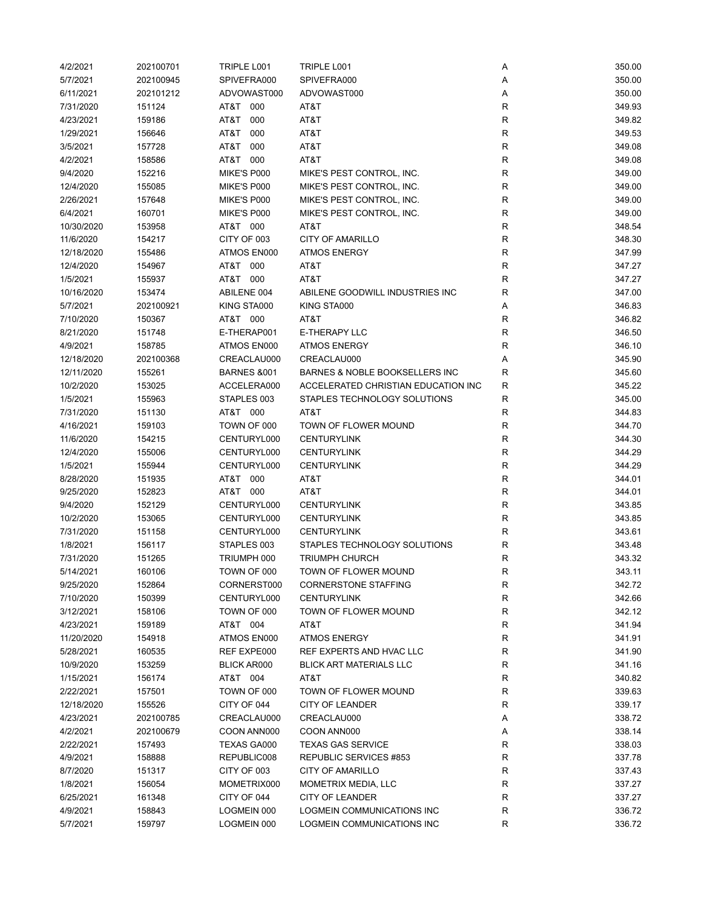| 4/2/2021   | 202100701 | TRIPLE L001            | TRIPLE L001                         | Α            | 350.00 |
|------------|-----------|------------------------|-------------------------------------|--------------|--------|
| 5/7/2021   | 202100945 | SPIVEFRA000            | SPIVEFRA000                         | Α            | 350.00 |
| 6/11/2021  | 202101212 | ADVOWAST000            | ADVOWAST000                         | Α            | 350.00 |
| 7/31/2020  | 151124    | AT&T 000               | AT&T                                | $\mathsf{R}$ | 349.93 |
| 4/23/2021  | 159186    | AT&T<br>000            | AT&T                                | $\mathsf{R}$ | 349.82 |
| 1/29/2021  | 156646    | AT&T<br>000            | AT&T                                | $\mathsf{R}$ | 349.53 |
| 3/5/2021   | 157728    | T&TA<br>000            | AT&T                                | $\mathsf{R}$ | 349.08 |
|            |           |                        |                                     |              |        |
| 4/2/2021   | 158586    | AT&T 000               | AT&T                                | R            | 349.08 |
| 9/4/2020   | 152216    | MIKE'S P000            | MIKE'S PEST CONTROL, INC.           | R            | 349.00 |
| 12/4/2020  | 155085    | MIKE'S P000            | MIKE'S PEST CONTROL, INC.           | R            | 349.00 |
| 2/26/2021  | 157648    | MIKE'S P000            | MIKE'S PEST CONTROL, INC.           | R            | 349.00 |
| 6/4/2021   | 160701    | MIKE'S P000            | MIKE'S PEST CONTROL, INC.           | $\mathsf{R}$ | 349.00 |
| 10/30/2020 | 153958    | AT&T 000               | AT&T                                | $\mathsf{R}$ | 348.54 |
| 11/6/2020  | 154217    | CITY OF 003            | <b>CITY OF AMARILLO</b>             | $\mathsf{R}$ | 348.30 |
| 12/18/2020 | 155486    | ATMOS EN000            | <b>ATMOS ENERGY</b>                 | $\mathsf{R}$ | 347.99 |
| 12/4/2020  | 154967    | AT&T 000               | AT&T                                | $\mathsf{R}$ | 347.27 |
| 1/5/2021   | 155937    | AT&T 000               | AT&T                                | $\mathsf{R}$ | 347.27 |
| 10/16/2020 | 153474    | ABILENE 004            | ABILENE GOODWILL INDUSTRIES INC     | R            | 347.00 |
| 5/7/2021   | 202100921 | KING STA000            | KING STA000                         | Α            | 346.83 |
| 7/10/2020  | 150367    | AT&T 000               | AT&T                                | R            | 346.82 |
| 8/21/2020  | 151748    | E-THERAP001            | E-THERAPY LLC                       | $\mathsf{R}$ | 346.50 |
| 4/9/2021   | 158785    | ATMOS EN000            | <b>ATMOS ENERGY</b>                 | R            | 346.10 |
|            |           |                        | CREACLAU000                         |              |        |
| 12/18/2020 | 202100368 | CREACLAU000            |                                     | Α            | 345.90 |
| 12/11/2020 | 155261    | <b>BARNES &amp;001</b> | BARNES & NOBLE BOOKSELLERS INC      | R            | 345.60 |
| 10/2/2020  | 153025    | ACCELERA000            | ACCELERATED CHRISTIAN EDUCATION INC | R            | 345.22 |
| 1/5/2021   | 155963    | STAPLES 003            | STAPLES TECHNOLOGY SOLUTIONS        | R            | 345.00 |
| 7/31/2020  | 151130    | AT&T 000               | AT&T                                | $\mathsf{R}$ | 344.83 |
| 4/16/2021  | 159103    | TOWN OF 000            | TOWN OF FLOWER MOUND                | $\mathsf{R}$ | 344.70 |
| 11/6/2020  | 154215    | CENTURYL000            | <b>CENTURYLINK</b>                  | $\mathsf{R}$ | 344.30 |
| 12/4/2020  | 155006    | CENTURYL000            | <b>CENTURYLINK</b>                  | $\mathsf{R}$ | 344.29 |
| 1/5/2021   | 155944    | CENTURYL000            | <b>CENTURYLINK</b>                  | R            | 344.29 |
| 8/28/2020  | 151935    | AT&T 000               | AT&T                                | $\mathsf{R}$ | 344.01 |
| 9/25/2020  | 152823    | AT&T 000               | AT&T                                | $\mathsf{R}$ | 344.01 |
| 9/4/2020   | 152129    | CENTURYL000            | <b>CENTURYLINK</b>                  | $\mathsf{R}$ | 343.85 |
| 10/2/2020  | 153065    | CENTURYL000            | <b>CENTURYLINK</b>                  | $\mathsf{R}$ | 343.85 |
| 7/31/2020  | 151158    | CENTURYL000            | <b>CENTURYLINK</b>                  | R            | 343.61 |
| 1/8/2021   | 156117    | STAPLES 003            | STAPLES TECHNOLOGY SOLUTIONS        | R            | 343.48 |
| 7/31/2020  | 151265    | TRIUMPH 000            | <b>TRIUMPH CHURCH</b>               | R            | 343.32 |
|            |           |                        |                                     |              |        |
| 5/14/2021  | 160106    | TOWN OF 000            | TOWN OF FLOWER MOUND                | R            | 343.11 |
| 9/25/2020  | 152864    | CORNERST000            | <b>CORNERSTONE STAFFING</b>         | R            | 342.72 |
| 7/10/2020  | 150399    | CENTURYL000            | <b>CENTURYLINK</b>                  | ${\sf R}$    | 342.66 |
| 3/12/2021  | 158106    | TOWN OF 000            | TOWN OF FLOWER MOUND                | ${\sf R}$    | 342.12 |
| 4/23/2021  | 159189    | AT&T 004               | AT&T                                | $\mathsf{R}$ | 341.94 |
| 11/20/2020 | 154918    | ATMOS EN000            | <b>ATMOS ENERGY</b>                 | $\mathsf{R}$ | 341.91 |
| 5/28/2021  | 160535    | REF EXPE000            | REF EXPERTS AND HVAC LLC            | R            | 341.90 |
| 10/9/2020  | 153259    | BLICK AR000            | <b>BLICK ART MATERIALS LLC</b>      | R            | 341.16 |
| 1/15/2021  | 156174    | AT&T 004               | AT&T                                | R            | 340.82 |
| 2/22/2021  | 157501    | TOWN OF 000            | TOWN OF FLOWER MOUND                | R            | 339.63 |
| 12/18/2020 | 155526    | CITY OF 044            | CITY OF LEANDER                     | R            | 339.17 |
| 4/23/2021  | 202100785 | CREACLAU000            | CREACLAU000                         | Α            | 338.72 |
| 4/2/2021   | 202100679 | COON ANN000            | COON ANN000                         | Α            | 338.14 |
| 2/22/2021  | 157493    | TEXAS GA000            | <b>TEXAS GAS SERVICE</b>            | R            | 338.03 |
| 4/9/2021   | 158888    | REPUBLIC008            | REPUBLIC SERVICES #853              | R            | 337.78 |
| 8/7/2020   | 151317    | CITY OF 003            | CITY OF AMARILLO                    | R            | 337.43 |
|            |           |                        |                                     |              |        |
| 1/8/2021   | 156054    | MOMETRIX000            | MOMETRIX MEDIA, LLC                 | R            | 337.27 |
| 6/25/2021  | 161348    | CITY OF 044            | CITY OF LEANDER                     | R            | 337.27 |
| 4/9/2021   | 158843    | LOGMEIN 000            | LOGMEIN COMMUNICATIONS INC          | $\mathsf{R}$ | 336.72 |
| 5/7/2021   | 159797    | LOGMEIN 000            | LOGMEIN COMMUNICATIONS INC          | $\mathsf{R}$ | 336.72 |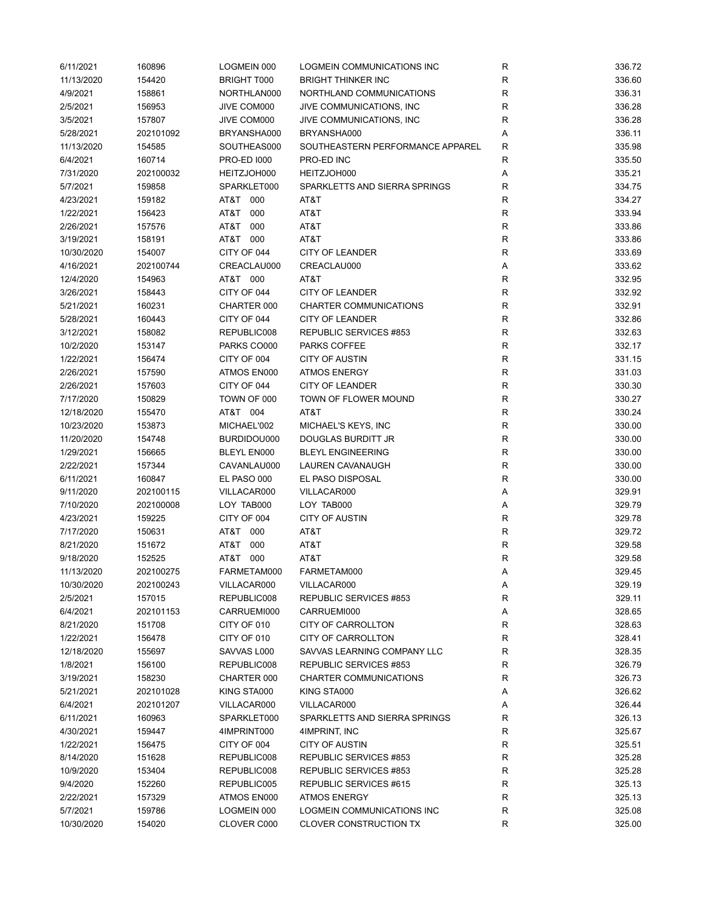| 6/11/2021  | 160896    | LOGMEIN 000        | LOGMEIN COMMUNICATIONS INC       | R            | 336.72 |
|------------|-----------|--------------------|----------------------------------|--------------|--------|
| 11/13/2020 | 154420    | <b>BRIGHT T000</b> | <b>BRIGHT THINKER INC</b>        | $\mathsf{R}$ | 336.60 |
| 4/9/2021   | 158861    | NORTHLAN000        | NORTHLAND COMMUNICATIONS         | $\mathsf{R}$ | 336.31 |
| 2/5/2021   | 156953    | JIVE COM000        | JIVE COMMUNICATIONS, INC         | $\mathsf{R}$ | 336.28 |
| 3/5/2021   | 157807    | JIVE COM000        | JIVE COMMUNICATIONS, INC         | $\mathsf{R}$ | 336.28 |
| 5/28/2021  | 202101092 | BRYANSHA000        | BRYANSHA000                      | Α            | 336.11 |
| 11/13/2020 | 154585    | SOUTHEAS000        | SOUTHEASTERN PERFORMANCE APPAREL | R            | 335.98 |
| 6/4/2021   | 160714    | <b>PRO-ED 1000</b> | PRO-ED INC                       | R            | 335.50 |
| 7/31/2020  | 202100032 | HEITZJOH000        | HEITZJOH000                      | Α            | 335.21 |
| 5/7/2021   | 159858    | SPARKLET000        | SPARKLETTS AND SIERRA SPRINGS    | R            | 334.75 |
| 4/23/2021  | 159182    | AT&T 000           | AT&T                             | $\mathsf{R}$ | 334.27 |
| 1/22/2021  | 156423    | 000<br>AT&T        | AT&T                             | $\mathsf{R}$ | 333.94 |
| 2/26/2021  | 157576    | AT&T<br>000        | AT&T                             | $\mathsf{R}$ | 333.86 |
| 3/19/2021  | 158191    | AT&T 000           | AT&T                             | $\mathsf{R}$ | 333.86 |
| 10/30/2020 | 154007    | CITY OF 044        | <b>CITY OF LEANDER</b>           | R            | 333.69 |
| 4/16/2021  | 202100744 | CREACLAU000        | CREACLAU000                      | Α            | 333.62 |
| 12/4/2020  | 154963    | AT&T 000           | AT&T                             | $\mathsf{R}$ | 332.95 |
| 3/26/2021  | 158443    | CITY OF 044        | <b>CITY OF LEANDER</b>           | $\mathsf{R}$ | 332.92 |
| 5/21/2021  | 160231    | CHARTER 000        | CHARTER COMMUNICATIONS           | $\mathsf{R}$ | 332.91 |
| 5/28/2021  | 160443    | CITY OF 044        | <b>CITY OF LEANDER</b>           | $\mathsf{R}$ | 332.86 |
| 3/12/2021  | 158082    | REPUBLIC008        | REPUBLIC SERVICES #853           | R            | 332.63 |
| 10/2/2020  | 153147    | PARKS CO000        | PARKS COFFEE                     | R            | 332.17 |
| 1/22/2021  | 156474    | CITY OF 004        | <b>CITY OF AUSTIN</b>            | R            | 331.15 |
| 2/26/2021  | 157590    | ATMOS EN000        | <b>ATMOS ENERGY</b>              | $\mathsf{R}$ | 331.03 |
| 2/26/2021  | 157603    | CITY OF 044        | <b>CITY OF LEANDER</b>           | $\mathsf{R}$ | 330.30 |
| 7/17/2020  | 150829    | TOWN OF 000        | TOWN OF FLOWER MOUND             | $\mathsf{R}$ | 330.27 |
| 12/18/2020 | 155470    | AT&T 004           | AT&T                             | $\mathsf{R}$ | 330.24 |
| 10/23/2020 | 153873    | MICHAEL'002        | MICHAEL'S KEYS, INC              | $\mathsf{R}$ | 330.00 |
| 11/20/2020 | 154748    | BURDIDOU000        | DOUGLAS BURDITT JR               | $\mathsf{R}$ | 330.00 |
| 1/29/2021  | 156665    | BLEYL EN000        | <b>BLEYL ENGINEERING</b>         | R            | 330.00 |
| 2/22/2021  | 157344    | CAVANLAU000        | LAUREN CAVANAUGH                 | ${\sf R}$    | 330.00 |
| 6/11/2021  | 160847    | EL PASO 000        | EL PASO DISPOSAL                 | $\mathsf{R}$ | 330.00 |
| 9/11/2020  | 202100115 | VILLACAR000        | VILLACAR000                      | Α            | 329.91 |
| 7/10/2020  | 202100008 | LOY TAB000         | LOY TAB000                       | Α            | 329.79 |
| 4/23/2021  | 159225    | CITY OF 004        | <b>CITY OF AUSTIN</b>            | $\mathsf{R}$ | 329.78 |
| 7/17/2020  | 150631    | AT&T 000           | AT&T                             | R            | 329.72 |
| 8/21/2020  | 151672    | AT&T 000           | AT&T                             | R            | 329.58 |
| 9/18/2020  | 152525    | AT&T 000           | AT&T                             | $\mathsf{R}$ | 329.58 |
| 11/13/2020 | 202100275 | FARMETAM000        | FARMETAM000                      | Α            | 329.45 |
| 10/30/2020 | 202100243 | VILLACAR000        | VILLACAR000                      | Α            | 329.19 |
| 2/5/2021   | 157015    | REPUBLIC008        | REPUBLIC SERVICES #853           | $\mathsf{R}$ | 329.11 |
| 6/4/2021   | 202101153 | CARRUEMI000        | CARRUEMI000                      | Α            | 328.65 |
| 8/21/2020  | 151708    | CITY OF 010        | CITY OF CARROLLTON               | R            | 328.63 |
| 1/22/2021  | 156478    | CITY OF 010        | <b>CITY OF CARROLLTON</b>        | R            | 328.41 |
| 12/18/2020 | 155697    | SAVVAS L000        | SAVVAS LEARNING COMPANY LLC      | R            | 328.35 |
| 1/8/2021   | 156100    | REPUBLIC008        | REPUBLIC SERVICES #853           | R            | 326.79 |
| 3/19/2021  | 158230    | CHARTER 000        | CHARTER COMMUNICATIONS           | R            | 326.73 |
| 5/21/2021  | 202101028 | KING STA000        | KING STA000                      | Α            | 326.62 |
| 6/4/2021   | 202101207 | VILLACAR000        | VILLACAR000                      | Α            | 326.44 |
| 6/11/2021  | 160963    | SPARKLET000        | SPARKLETTS AND SIERRA SPRINGS    | R            | 326.13 |
| 4/30/2021  | 159447    | 4IMPRINT000        | 4IMPRINT, INC                    | R            | 325.67 |
| 1/22/2021  | 156475    | CITY OF 004        | <b>CITY OF AUSTIN</b>            | R            | 325.51 |
| 8/14/2020  | 151628    | REPUBLIC008        | REPUBLIC SERVICES #853           | R            | 325.28 |
| 10/9/2020  | 153404    | REPUBLIC008        | REPUBLIC SERVICES #853           | R            | 325.28 |
| 9/4/2020   | 152260    | REPUBLIC005        | REPUBLIC SERVICES #615           | R            | 325.13 |
| 2/22/2021  | 157329    | ATMOS EN000        | <b>ATMOS ENERGY</b>              | $\mathsf{R}$ | 325.13 |
| 5/7/2021   | 159786    | LOGMEIN 000        | LOGMEIN COMMUNICATIONS INC       | $\mathsf{R}$ | 325.08 |
| 10/30/2020 | 154020    | CLOVER C000        | <b>CLOVER CONSTRUCTION TX</b>    | R            | 325.00 |
|            |           |                    |                                  |              |        |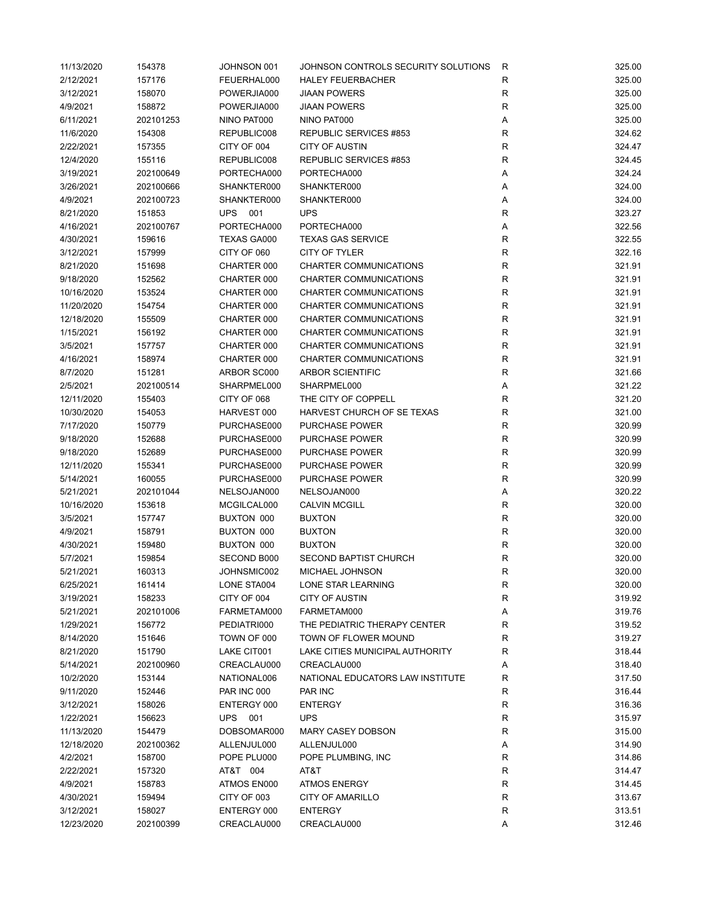| 11/13/2020 | 154378    | JOHNSON 001               | JOHNSON CONTROLS SECURITY SOLUTIONS           | R           | 325.00 |
|------------|-----------|---------------------------|-----------------------------------------------|-------------|--------|
| 2/12/2021  | 157176    | FEUERHAL000               | <b>HALEY FEUERBACHER</b>                      | R           | 325.00 |
| 3/12/2021  | 158070    | POWERJIA000               | <b>JIAAN POWERS</b>                           | R           | 325.00 |
| 4/9/2021   | 158872    | POWERJIA000               | <b>JIAAN POWERS</b>                           | R           | 325.00 |
| 6/11/2021  | 202101253 | NINO PAT000               | NINO PAT000                                   | Α           | 325.00 |
| 11/6/2020  | 154308    | REPUBLIC008               | REPUBLIC SERVICES #853                        | R           | 324.62 |
| 2/22/2021  | 157355    | CITY OF 004               | <b>CITY OF AUSTIN</b>                         | R           | 324.47 |
| 12/4/2020  | 155116    | REPUBLIC008               | REPUBLIC SERVICES #853                        | R           | 324.45 |
| 3/19/2021  | 202100649 | PORTECHA000               | PORTECHA000                                   | Α           | 324.24 |
| 3/26/2021  | 202100666 | SHANKTER000               | SHANKTER000                                   | Α           | 324.00 |
| 4/9/2021   | 202100723 | SHANKTER000               | SHANKTER000                                   | Α           | 324.00 |
| 8/21/2020  | 151853    | <b>UPS 001</b>            | <b>UPS</b>                                    | $\mathsf R$ | 323.27 |
| 4/16/2021  | 202100767 | PORTECHA000               | PORTECHA000                                   | Α           | 322.56 |
| 4/30/2021  | 159616    | TEXAS GA000               | <b>TEXAS GAS SERVICE</b>                      | $\mathsf R$ | 322.55 |
| 3/12/2021  | 157999    | CITY OF 060               | CITY OF TYLER                                 | R           | 322.16 |
| 8/21/2020  | 151698    | CHARTER 000               | CHARTER COMMUNICATIONS                        | $\mathsf R$ | 321.91 |
| 9/18/2020  | 152562    | CHARTER 000               | CHARTER COMMUNICATIONS                        | R           | 321.91 |
| 10/16/2020 | 153524    | CHARTER 000               | <b>CHARTER COMMUNICATIONS</b>                 | R           | 321.91 |
| 11/20/2020 | 154754    | CHARTER 000               | CHARTER COMMUNICATIONS                        | R           | 321.91 |
| 12/18/2020 | 155509    | CHARTER 000               | CHARTER COMMUNICATIONS                        | $\mathsf R$ | 321.91 |
| 1/15/2021  | 156192    | CHARTER 000               | <b>CHARTER COMMUNICATIONS</b>                 | R           | 321.91 |
| 3/5/2021   | 157757    | CHARTER 000               | <b>CHARTER COMMUNICATIONS</b>                 | R           | 321.91 |
| 4/16/2021  | 158974    | CHARTER 000               | CHARTER COMMUNICATIONS                        | R           | 321.91 |
| 8/7/2020   | 151281    | ARBOR SC000               | <b>ARBOR SCIENTIFIC</b>                       | R           | 321.66 |
| 2/5/2021   | 202100514 | SHARPMEL000               | SHARPMEL000                                   | Α           | 321.22 |
| 12/11/2020 | 155403    | CITY OF 068               | THE CITY OF COPPELL                           | R           | 321.20 |
| 10/30/2020 | 154053    | HARVEST 000               | HARVEST CHURCH OF SE TEXAS                    | $\mathsf R$ | 321.00 |
| 7/17/2020  | 150779    | PURCHASE000               | <b>PURCHASE POWER</b>                         | $\mathsf R$ | 320.99 |
| 9/18/2020  | 152688    | PURCHASE000               | <b>PURCHASE POWER</b>                         | R           | 320.99 |
| 9/18/2020  | 152689    | PURCHASE000               | <b>PURCHASE POWER</b>                         | R           | 320.99 |
|            |           |                           | <b>PURCHASE POWER</b>                         |             |        |
| 12/11/2020 | 155341    | PURCHASE000               |                                               | R           | 320.99 |
| 5/14/2021  | 160055    | PURCHASE000               | <b>PURCHASE POWER</b>                         | R           | 320.99 |
| 5/21/2021  | 202101044 | NELSOJAN000               | NELSOJAN000                                   | Α           | 320.22 |
| 10/16/2020 | 153618    | MCGILCAL000               | <b>CALVIN MCGILL</b>                          | R           | 320.00 |
| 3/5/2021   | 157747    | BUXTON 000                | <b>BUXTON</b>                                 | R           | 320.00 |
| 4/9/2021   | 158791    | BUXTON 000                | <b>BUXTON</b>                                 | R           | 320.00 |
| 4/30/2021  | 159480    | BUXTON 000<br>SECOND B000 | <b>BUXTON</b><br><b>SECOND BAPTIST CHURCH</b> | R           | 320.00 |
| 5/7/2021   | 159854    |                           |                                               | $\mathsf R$ | 320.00 |
| 5/21/2021  | 160313    | JOHNSMIC002               | MICHAEL JOHNSON                               | R           | 320.00 |
| 6/25/2021  | 161414    | LONE STA004               | LONE STAR LEARNING                            | R           | 320.00 |
| 3/19/2021  | 158233    | CITY OF 004               | CITY OF AUSTIN                                | R           | 319.92 |
| 5/21/2021  | 202101006 | FARMETAM000               | FARMETAM000                                   | Α           | 319.76 |
| 1/29/2021  | 156772    | PEDIATRI000               | THE PEDIATRIC THERAPY CENTER                  | $\mathsf R$ | 319.52 |
| 8/14/2020  | 151646    | TOWN OF 000               | TOWN OF FLOWER MOUND                          | R           | 319.27 |
| 8/21/2020  | 151790    | LAKE CIT001               | LAKE CITIES MUNICIPAL AUTHORITY               | R           | 318.44 |
| 5/14/2021  | 202100960 | CREACLAU000               | CREACLAU000                                   | Α           | 318.40 |
| 10/2/2020  | 153144    | NATIONAL006               | NATIONAL EDUCATORS LAW INSTITUTE              | R           | 317.50 |
| 9/11/2020  | 152446    | <b>PAR INC 000</b>        | PAR INC                                       | R           | 316.44 |
| 3/12/2021  | 158026    | ENTERGY 000               | <b>ENTERGY</b>                                | $\mathsf R$ | 316.36 |
| 1/22/2021  | 156623    | UPS<br>001                | <b>UPS</b>                                    | R           | 315.97 |
| 11/13/2020 | 154479    | DOBSOMAR000               | <b>MARY CASEY DOBSON</b>                      | R           | 315.00 |
| 12/18/2020 | 202100362 | ALLENJUL000               | ALLENJUL000                                   | А           | 314.90 |
| 4/2/2021   | 158700    | POPE PLU000               | POPE PLUMBING, INC                            | R           | 314.86 |
| 2/22/2021  | 157320    | AT&T 004                  | AT&T                                          | R           | 314.47 |
| 4/9/2021   | 158783    | ATMOS EN000               | <b>ATMOS ENERGY</b>                           | R           | 314.45 |
| 4/30/2021  | 159494    | CITY OF 003               | CITY OF AMARILLO                              | R           | 313.67 |
| 3/12/2021  | 158027    | ENTERGY 000               | <b>ENTERGY</b>                                | $\mathsf R$ | 313.51 |
| 12/23/2020 | 202100399 | CREACLAU000               | CREACLAU000                                   | Α           | 312.46 |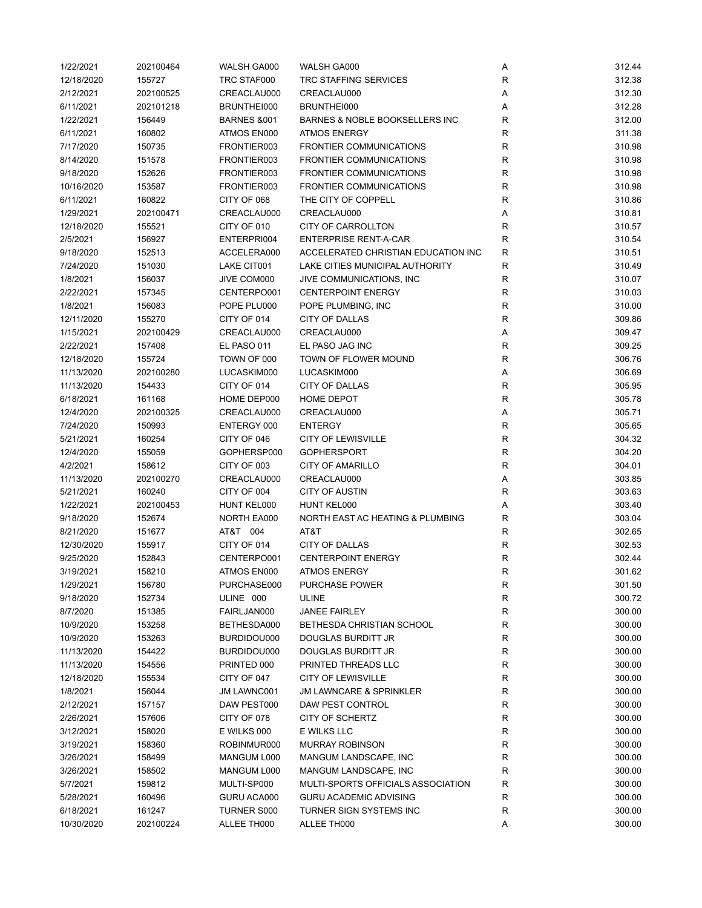| 1/22/2021  | 202100464 | WALSH GA000            | WALSH GA000                         | Α            | 312.44 |
|------------|-----------|------------------------|-------------------------------------|--------------|--------|
| 12/18/2020 | 155727    | TRC STAF000            | <b>TRC STAFFING SERVICES</b>        | $\mathsf{R}$ | 312.38 |
| 2/12/2021  | 202100525 | CREACLAU000            | CREACLAU000                         | Α            | 312.30 |
| 6/11/2021  | 202101218 | BRUNTHEI000            | BRUNTHEI000                         | Α            | 312.28 |
| 1/22/2021  | 156449    | <b>BARNES &amp;001</b> | BARNES & NOBLE BOOKSELLERS INC      | R            | 312.00 |
| 6/11/2021  | 160802    | ATMOS EN000            | <b>ATMOS ENERGY</b>                 | R            | 311.38 |
| 7/17/2020  | 150735    | FRONTIER003            | <b>FRONTIER COMMUNICATIONS</b>      | R            | 310.98 |
| 8/14/2020  | 151578    | FRONTIER003            | <b>FRONTIER COMMUNICATIONS</b>      | $\mathsf{R}$ | 310.98 |
| 9/18/2020  | 152626    | FRONTIER003            | <b>FRONTIER COMMUNICATIONS</b>      | $\mathsf{R}$ | 310.98 |
| 10/16/2020 | 153587    | FRONTIER003            | <b>FRONTIER COMMUNICATIONS</b>      | $\mathsf{R}$ | 310.98 |
|            |           |                        | THE CITY OF COPPELL                 |              |        |
| 6/11/2021  | 160822    | CITY OF 068            |                                     | $\mathsf{R}$ | 310.86 |
| 1/29/2021  | 202100471 | CREACLAU000            | CREACLAU000                         | Α            | 310.81 |
| 12/18/2020 | 155521    | CITY OF 010            | <b>CITY OF CARROLLTON</b>           | R            | 310.57 |
| 2/5/2021   | 156927    | ENTERPRI004            | <b>ENTERPRISE RENT-A-CAR</b>        | $\mathsf{R}$ | 310.54 |
| 9/18/2020  | 152513    | ACCELERA000            | ACCELERATED CHRISTIAN EDUCATION INC | R            | 310.51 |
| 7/24/2020  | 151030    | LAKE CIT001            | LAKE CITIES MUNICIPAL AUTHORITY     | R            | 310.49 |
| 1/8/2021   | 156037    | JIVE COM000            | JIVE COMMUNICATIONS, INC            | $\mathsf{R}$ | 310.07 |
| 2/22/2021  | 157345    | CENTERPO001            | <b>CENTERPOINT ENERGY</b>           | R            | 310.03 |
| 1/8/2021   | 156083    | POPE PLU000            | POPE PLUMBING, INC                  | R            | 310.00 |
| 12/11/2020 | 155270    | CITY OF 014            | CITY OF DALLAS                      | R            | 309.86 |
| 1/15/2021  | 202100429 | CREACLAU000            | CREACLAU000                         | Α            | 309.47 |
| 2/22/2021  | 157408    | EL PASO 011            | EL PASO JAG INC                     | $\mathsf{R}$ | 309.25 |
| 12/18/2020 | 155724    | TOWN OF 000            | TOWN OF FLOWER MOUND                | $\mathsf{R}$ | 306.76 |
| 11/13/2020 | 202100280 | LUCASKIM000            | LUCASKIM000                         | Α            | 306.69 |
| 11/13/2020 | 154433    | CITY OF 014            | CITY OF DALLAS                      | $\mathsf{R}$ | 305.95 |
| 6/18/2021  | 161168    | HOME DEP000            | <b>HOME DEPOT</b>                   | $\mathsf{R}$ | 305.78 |
| 12/4/2020  | 202100325 | CREACLAU000            | CREACLAU000                         | Α            | 305.71 |
| 7/24/2020  | 150993    | ENTERGY 000            | <b>ENTERGY</b>                      | $\mathsf{R}$ | 305.65 |
| 5/21/2021  | 160254    | CITY OF 046            | <b>CITY OF LEWISVILLE</b>           | $\mathsf{R}$ | 304.32 |
| 12/4/2020  | 155059    | GOPHERSP000            | <b>GOPHERSPORT</b>                  | $\mathsf{R}$ | 304.20 |
|            |           |                        |                                     |              |        |
| 4/2/2021   | 158612    | CITY OF 003            | <b>CITY OF AMARILLO</b>             | $\mathsf{R}$ | 304.01 |
| 11/13/2020 | 202100270 | CREACLAU000            | CREACLAU000                         | Α            | 303.85 |
| 5/21/2021  | 160240    | CITY OF 004            | <b>CITY OF AUSTIN</b>               | R            | 303.63 |
| 1/22/2021  | 202100453 | HUNT KEL000            | HUNT KEL000                         | Α            | 303.40 |
| 9/18/2020  | 152674    | NORTH EA000            | NORTH EAST AC HEATING & PLUMBING    | R            | 303.04 |
| 8/21/2020  | 151677    | AT&T 004               | AT&T                                | R            | 302.65 |
| 12/30/2020 | 155917    | CITY OF 014            | <b>CITY OF DALLAS</b>               | $\mathsf{R}$ | 302.53 |
| 9/25/2020  | 152843    | CENTERPO001            | <b>CENTERPOINT ENERGY</b>           | $\mathsf{R}$ | 302.44 |
| 3/19/2021  | 158210    | ATMOS EN000            | <b>ATMOS ENERGY</b>                 | $\mathsf{R}$ | 301.62 |
| 1/29/2021  | 156780    | PURCHASE000            | PURCHASE POWER                      | ${\sf R}$    | 301.50 |
| 9/18/2020  | 152734    | ULINE 000              | <b>ULINE</b>                        | ${\sf R}$    | 300.72 |
| 8/7/2020   | 151385    | FAIRLJAN000            | <b>JANEE FAIRLEY</b>                | ${\sf R}$    | 300.00 |
| 10/9/2020  | 153258    | BETHESDA000            | BETHESDA CHRISTIAN SCHOOL           | ${\sf R}$    | 300.00 |
| 10/9/2020  | 153263    | BURDIDOU000            | <b>DOUGLAS BURDITT JR</b>           | R            | 300.00 |
| 11/13/2020 | 154422    | BURDIDOU000            | DOUGLAS BURDITT JR                  | R            | 300.00 |
| 11/13/2020 | 154556    | PRINTED 000            | PRINTED THREADS LLC                 | $\mathsf{R}$ | 300.00 |
| 12/18/2020 | 155534    | CITY OF 047            | <b>CITY OF LEWISVILLE</b>           | R            | 300.00 |
| 1/8/2021   | 156044    | <b>JM LAWNC001</b>     | <b>JM LAWNCARE &amp; SPRINKLER</b>  | R            | 300.00 |
| 2/12/2021  | 157157    | DAW PEST000            | DAW PEST CONTROL                    | R            | 300.00 |
| 2/26/2021  | 157606    | CITY OF 078            | CITY OF SCHERTZ                     | R            | 300.00 |
| 3/12/2021  | 158020    | E WILKS 000            | E WILKS LLC                         | R            | 300.00 |
| 3/19/2021  | 158360    | ROBINMUR000            | <b>MURRAY ROBINSON</b>              | R            | 300.00 |
| 3/26/2021  | 158499    | MANGUM L000            | MANGUM LANDSCAPE, INC               | R            | 300.00 |
| 3/26/2021  | 158502    | MANGUM L000            | MANGUM LANDSCAPE, INC               | $\mathsf{R}$ | 300.00 |
|            |           |                        |                                     |              |        |
| 5/7/2021   | 159812    | MULTI-SP000            | MULTI-SPORTS OFFICIALS ASSOCIATION  | R            | 300.00 |
| 5/28/2021  | 160496    | GURU ACA000            | <b>GURU ACADEMIC ADVISING</b>       | R            | 300.00 |
| 6/18/2021  | 161247    | TURNER S000            | TURNER SIGN SYSTEMS INC             | R            | 300.00 |
| 10/30/2020 | 202100224 | ALLEE TH000            | ALLEE TH000                         | Α            | 300.00 |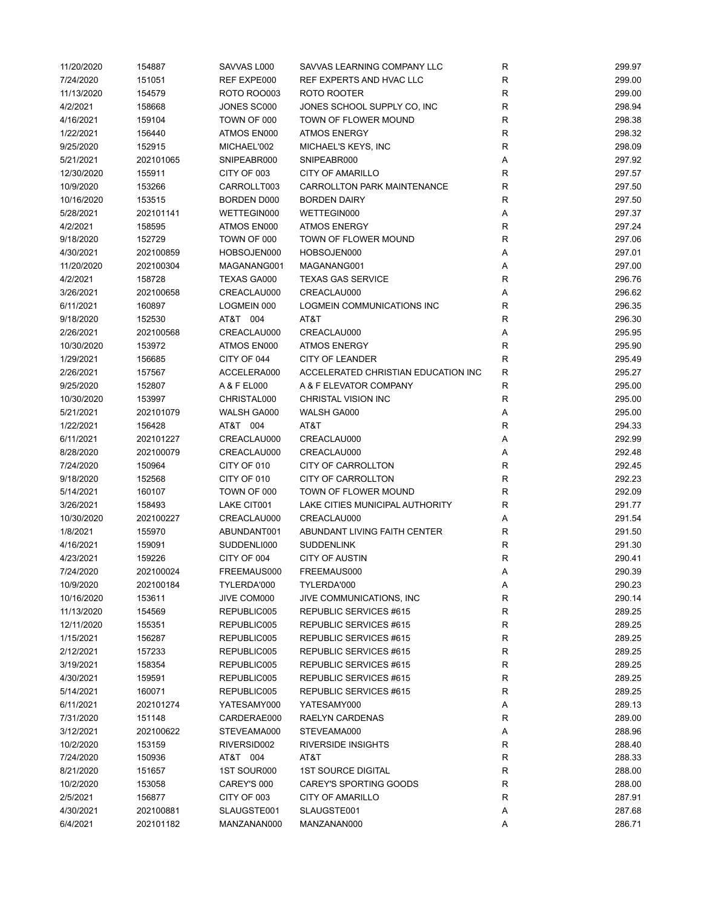| 11/20/2020 | 154887    | SAVVAS L000        | SAVVAS LEARNING COMPANY LLC         | $\mathsf R$  | 299.97 |
|------------|-----------|--------------------|-------------------------------------|--------------|--------|
| 7/24/2020  | 151051    | REF EXPE000        | REF EXPERTS AND HVAC LLC            | $\mathsf R$  | 299.00 |
| 11/13/2020 | 154579    | <b>ROTO ROO003</b> | ROTO ROOTER                         | $\mathsf R$  | 299.00 |
| 4/2/2021   | 158668    | JONES SC000        | JONES SCHOOL SUPPLY CO, INC         | $\mathsf R$  | 298.94 |
| 4/16/2021  | 159104    | TOWN OF 000        | TOWN OF FLOWER MOUND                | $\mathsf R$  | 298.38 |
| 1/22/2021  | 156440    | ATMOS EN000        | <b>ATMOS ENERGY</b>                 | R            | 298.32 |
| 9/25/2020  | 152915    | MICHAEL'002        | MICHAEL'S KEYS, INC                 | R            | 298.09 |
| 5/21/2021  | 202101065 | SNIPEABR000        | SNIPEABR000                         | Α            | 297.92 |
|            |           |                    |                                     |              |        |
| 12/30/2020 | 155911    | CITY OF 003        | <b>CITY OF AMARILLO</b>             | $\mathsf R$  | 297.57 |
| 10/9/2020  | 153266    | CARROLLT003        | <b>CARROLLTON PARK MAINTENANCE</b>  | $\mathsf R$  | 297.50 |
| 10/16/2020 | 153515    | BORDEN D000        | <b>BORDEN DAIRY</b>                 | $\mathsf R$  | 297.50 |
| 5/28/2021  | 202101141 | WETTEGIN000        | WETTEGIN000                         | Α            | 297.37 |
| 4/2/2021   | 158595    | ATMOS EN000        | <b>ATMOS ENERGY</b>                 | R            | 297.24 |
| 9/18/2020  | 152729    | TOWN OF 000        | TOWN OF FLOWER MOUND                | $\mathsf R$  | 297.06 |
| 4/30/2021  | 202100859 | HOBSOJEN000        | HOBSOJEN000                         | Α            | 297.01 |
| 11/20/2020 | 202100304 | MAGANANG001        | MAGANANG001                         | Α            | 297.00 |
| 4/2/2021   | 158728    | TEXAS GA000        | <b>TEXAS GAS SERVICE</b>            | $\mathsf R$  | 296.76 |
| 3/26/2021  | 202100658 | CREACLAU000        | CREACLAU000                         | Α            | 296.62 |
| 6/11/2021  | 160897    | LOGMEIN 000        | <b>LOGMEIN COMMUNICATIONS INC</b>   | $\mathsf R$  | 296.35 |
| 9/18/2020  | 152530    | AT&T 004           | AT&T                                | R            | 296.30 |
| 2/26/2021  | 202100568 | CREACLAU000        | CREACLAU000                         | Α            | 295.95 |
| 10/30/2020 | 153972    | ATMOS EN000        | <b>ATMOS ENERGY</b>                 | R            | 295.90 |
| 1/29/2021  | 156685    | CITY OF 044        | <b>CITY OF LEANDER</b>              | $\mathsf R$  | 295.49 |
|            |           | ACCELERA000        | ACCELERATED CHRISTIAN EDUCATION INC |              |        |
| 2/26/2021  | 157567    |                    |                                     | R            | 295.27 |
| 9/25/2020  | 152807    | A & F EL000        | A & F ELEVATOR COMPANY              | $\mathsf{R}$ | 295.00 |
| 10/30/2020 | 153997    | CHRISTAL000        | CHRISTAL VISION INC                 | ${\sf R}$    | 295.00 |
| 5/21/2021  | 202101079 | WALSH GA000        | WALSH GA000                         | Α            | 295.00 |
| 1/22/2021  | 156428    | AT&T 004           | AT&T                                | $\mathsf R$  | 294.33 |
| 6/11/2021  | 202101227 | CREACLAU000        | CREACLAU000                         | Α            | 292.99 |
| 8/28/2020  | 202100079 | CREACLAU000        | CREACLAU000                         | Α            | 292.48 |
| 7/24/2020  | 150964    | CITY OF 010        | CITY OF CARROLLTON                  | $\mathsf R$  | 292.45 |
| 9/18/2020  | 152568    | CITY OF 010        | CITY OF CARROLLTON                  | $\mathsf R$  | 292.23 |
| 5/14/2021  | 160107    | TOWN OF 000        | TOWN OF FLOWER MOUND                | $\mathsf R$  | 292.09 |
| 3/26/2021  | 158493    | LAKE CIT001        | LAKE CITIES MUNICIPAL AUTHORITY     | $\mathsf R$  | 291.77 |
| 10/30/2020 | 202100227 | CREACLAU000        | CREACLAU000                         | Α            | 291.54 |
| 1/8/2021   | 155970    | ABUNDANT001        | ABUNDANT LIVING FAITH CENTER        | R            | 291.50 |
| 4/16/2021  | 159091    | SUDDENLI000        | <b>SUDDENLINK</b>                   | $\mathsf R$  | 291.30 |
| 4/23/2021  | 159226    | CITY OF 004        | <b>CITY OF AUSTIN</b>               | R            | 290.41 |
| 7/24/2020  | 202100024 | FREEMAUS000        | FREEMAUS000                         | Α            | 290.39 |
| 10/9/2020  | 202100184 | TYLERDA'000        | TYLERDA'000                         |              |        |
|            |           |                    |                                     | Α            | 290.23 |
| 10/16/2020 | 153611    | JIVE COM000        | JIVE COMMUNICATIONS, INC            | R            | 290.14 |
| 11/13/2020 | 154569    | REPUBLIC005        | REPUBLIC SERVICES #615              | R            | 289.25 |
| 12/11/2020 | 155351    | REPUBLIC005        | REPUBLIC SERVICES #615              | R            | 289.25 |
| 1/15/2021  | 156287    | REPUBLIC005        | REPUBLIC SERVICES #615              | R            | 289.25 |
| 2/12/2021  | 157233    | REPUBLIC005        | REPUBLIC SERVICES #615              | R            | 289.25 |
| 3/19/2021  | 158354    | REPUBLIC005        | REPUBLIC SERVICES #615              | R            | 289.25 |
| 4/30/2021  | 159591    | REPUBLIC005        | REPUBLIC SERVICES #615              | R            | 289.25 |
| 5/14/2021  | 160071    | REPUBLIC005        | REPUBLIC SERVICES #615              | R            | 289.25 |
| 6/11/2021  | 202101274 | YATESAMY000        | YATESAMY000                         | Α            | 289.13 |
| 7/31/2020  | 151148    | CARDERAE000        | RAELYN CARDENAS                     | R            | 289.00 |
| 3/12/2021  | 202100622 | STEVEAMA000        | STEVEAMA000                         | Α            | 288.96 |
| 10/2/2020  | 153159    | RIVERSID002        | <b>RIVERSIDE INSIGHTS</b>           | R            | 288.40 |
| 7/24/2020  | 150936    | AT&T 004           | AT&T                                | R            | 288.33 |
| 8/21/2020  | 151657    | 1ST SOUR000        | <b>1ST SOURCE DIGITAL</b>           | R            | 288.00 |
| 10/2/2020  | 153058    | CAREY'S 000        | CAREY'S SPORTING GOODS              | R            | 288.00 |
| 2/5/2021   | 156877    | CITY OF 003        | CITY OF AMARILLO                    | $\mathsf R$  | 287.91 |
| 4/30/2021  | 202100881 | SLAUGSTE001        | SLAUGSTE001                         | Α            | 287.68 |
|            |           |                    |                                     |              |        |
| 6/4/2021   | 202101182 | MANZANAN000        | MANZANAN000                         | А            | 286.71 |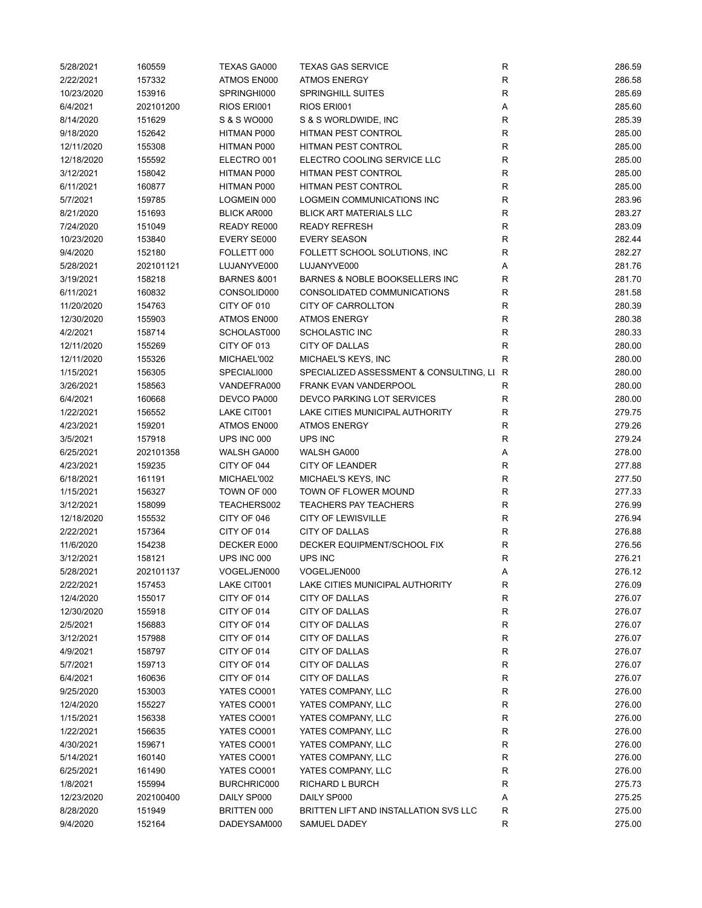| 5/28/2021  | 160559    | <b>TEXAS GA000</b>         | <b>TEXAS GAS SERVICE</b>                  | R           | 286.59 |
|------------|-----------|----------------------------|-------------------------------------------|-------------|--------|
| 2/22/2021  | 157332    | ATMOS EN000                | <b>ATMOS ENERGY</b>                       | R           | 286.58 |
| 10/23/2020 | 153916    | SPRINGHI000                | <b>SPRINGHILL SUITES</b>                  | $\mathsf R$ | 285.69 |
| 6/4/2021   | 202101200 | RIOS ERI001                | RIOS ERI001                               | Α           | 285.60 |
| 8/14/2020  | 151629    | S & S WO000                | S & S WORLDWIDE, INC                      | $\mathsf R$ | 285.39 |
| 9/18/2020  | 152642    | HITMAN P000                | HITMAN PEST CONTROL                       | R           | 285.00 |
| 12/11/2020 | 155308    | HITMAN P000                | HITMAN PEST CONTROL                       | R           | 285.00 |
| 12/18/2020 | 155592    | ELECTRO 001                | ELECTRO COOLING SERVICE LLC               | $\mathsf R$ | 285.00 |
| 3/12/2021  | 158042    | HITMAN P000                | HITMAN PEST CONTROL                       | R           | 285.00 |
| 6/11/2021  | 160877    | HITMAN P000                | <b>HITMAN PEST CONTROL</b>                | $\mathsf R$ | 285.00 |
| 5/7/2021   | 159785    | LOGMEIN 000                | LOGMEIN COMMUNICATIONS INC                | $\mathsf R$ | 283.96 |
| 8/21/2020  | 151693    | <b>BLICK AR000</b>         | <b>BLICK ART MATERIALS LLC</b>            | $\mathsf R$ | 283.27 |
| 7/24/2020  | 151049    | READY RE000                | <b>READY REFRESH</b>                      | $\mathsf R$ | 283.09 |
| 10/23/2020 | 153840    | EVERY SE000                | <b>EVERY SEASON</b>                       | R           | 282.44 |
| 9/4/2020   | 152180    | FOLLETT 000                | FOLLETT SCHOOL SOLUTIONS, INC             | $\mathsf R$ | 282.27 |
|            |           |                            |                                           |             |        |
| 5/28/2021  | 202101121 | LUJANYVE000                | LUJANYVE000                               | Α           | 281.76 |
| 3/19/2021  | 158218    | <b>BARNES &amp;001</b>     | BARNES & NOBLE BOOKSELLERS INC            | R           | 281.70 |
| 6/11/2021  | 160832    | CONSOLID000                | CONSOLIDATED COMMUNICATIONS               | R           | 281.58 |
| 11/20/2020 | 154763    | CITY OF 010                | <b>CITY OF CARROLLTON</b>                 | $\mathsf R$ | 280.39 |
| 12/30/2020 | 155903    | ATMOS EN000                | <b>ATMOS ENERGY</b>                       | R           | 280.38 |
| 4/2/2021   | 158714    | SCHOLAST000                | <b>SCHOLASTIC INC</b>                     | R           | 280.33 |
| 12/11/2020 | 155269    | CITY OF 013                | CITY OF DALLAS                            | R           | 280.00 |
| 12/11/2020 | 155326    | MICHAEL'002                | MICHAEL'S KEYS, INC                       | R           | 280.00 |
| 1/15/2021  | 156305    | SPECIALI000                | SPECIALIZED ASSESSMENT & CONSULTING, LI R |             | 280.00 |
| 3/26/2021  | 158563    | VANDEFRA000                | <b>FRANK EVAN VANDERPOOL</b>              | R           | 280.00 |
| 6/4/2021   | 160668    | DEVCO PA000                | DEVCO PARKING LOT SERVICES                | $\mathsf R$ | 280.00 |
| 1/22/2021  | 156552    | LAKE CIT001                | LAKE CITIES MUNICIPAL AUTHORITY           | $\mathsf R$ | 279.75 |
| 4/23/2021  | 159201    | ATMOS EN000                | <b>ATMOS ENERGY</b>                       | R           | 279.26 |
| 3/5/2021   | 157918    | UPS INC 000                | UPS INC                                   | R           | 279.24 |
| 6/25/2021  | 202101358 | WALSH GA000                | WALSH GA000                               | Α           | 278.00 |
| 4/23/2021  | 159235    | CITY OF 044                | <b>CITY OF LEANDER</b>                    | $\mathsf R$ | 277.88 |
| 6/18/2021  | 161191    | MICHAEL'002                | MICHAEL'S KEYS, INC                       | $\mathsf R$ | 277.50 |
| 1/15/2021  | 156327    | TOWN OF 000                | TOWN OF FLOWER MOUND                      | $\mathsf R$ | 277.33 |
| 3/12/2021  | 158099    | TEACHERS002                | <b>TEACHERS PAY TEACHERS</b>              | $\mathsf R$ | 276.99 |
| 12/18/2020 | 155532    | CITY OF 046                | <b>CITY OF LEWISVILLE</b>                 | R           | 276.94 |
| 2/22/2021  | 157364    | CITY OF 014                | CITY OF DALLAS                            | R           | 276.88 |
| 11/6/2020  | 154238    | DECKER E000                | DECKER EQUIPMENT/SCHOOL FIX               | R           | 276.56 |
| 3/12/2021  | 158121    | UPS INC 000                | UPS INC                                   | R           | 276.21 |
| 5/28/2021  | 202101137 | VOGELJEN000                | VOGELJEN000                               | Α           | 276.12 |
| 2/22/2021  | 157453    | LAKE CIT001                | LAKE CITIES MUNICIPAL AUTHORITY           | R           | 276.09 |
| 12/4/2020  | 155017    | CITY OF 014                | CITY OF DALLAS                            | R           | 276.07 |
| 12/30/2020 | 155918    | CITY OF 014                | CITY OF DALLAS                            | R           | 276.07 |
| 2/5/2021   | 156883    | CITY OF 014                | CITY OF DALLAS                            | R           | 276.07 |
| 3/12/2021  | 157988    | CITY OF 014                | CITY OF DALLAS                            | R           | 276.07 |
| 4/9/2021   | 158797    | CITY OF 014                | CITY OF DALLAS                            | R           | 276.07 |
|            |           |                            | CITY OF DALLAS                            |             |        |
| 5/7/2021   | 159713    | CITY OF 014<br>CITY OF 014 |                                           | R           | 276.07 |
| 6/4/2021   | 160636    |                            | CITY OF DALLAS                            | R           | 276.07 |
| 9/25/2020  | 153003    | YATES CO001                | YATES COMPANY, LLC                        | $\mathsf R$ | 276.00 |
| 12/4/2020  | 155227    | YATES CO001                | YATES COMPANY, LLC                        | R           | 276.00 |
| 1/15/2021  | 156338    | YATES CO001                | YATES COMPANY, LLC                        | R           | 276.00 |
| 1/22/2021  | 156635    | YATES CO001                | YATES COMPANY, LLC                        | R           | 276.00 |
| 4/30/2021  | 159671    | YATES CO001                | YATES COMPANY, LLC                        | R           | 276.00 |
| 5/14/2021  | 160140    | YATES CO001                | YATES COMPANY, LLC                        | R           | 276.00 |
| 6/25/2021  | 161490    | YATES CO001                | YATES COMPANY, LLC                        | R           | 276.00 |
| 1/8/2021   | 155994    | BURCHRIC000                | RICHARD L BURCH                           | $\mathsf R$ | 275.73 |
| 12/23/2020 | 202100400 | DAILY SP000                | DAILY SP000                               | Α           | 275.25 |
| 8/28/2020  | 151949    | BRITTEN 000                | BRITTEN LIFT AND INSTALLATION SVS LLC     | R           | 275.00 |
| 9/4/2020   | 152164    | DADEYSAM000                | SAMUEL DADEY                              | R           | 275.00 |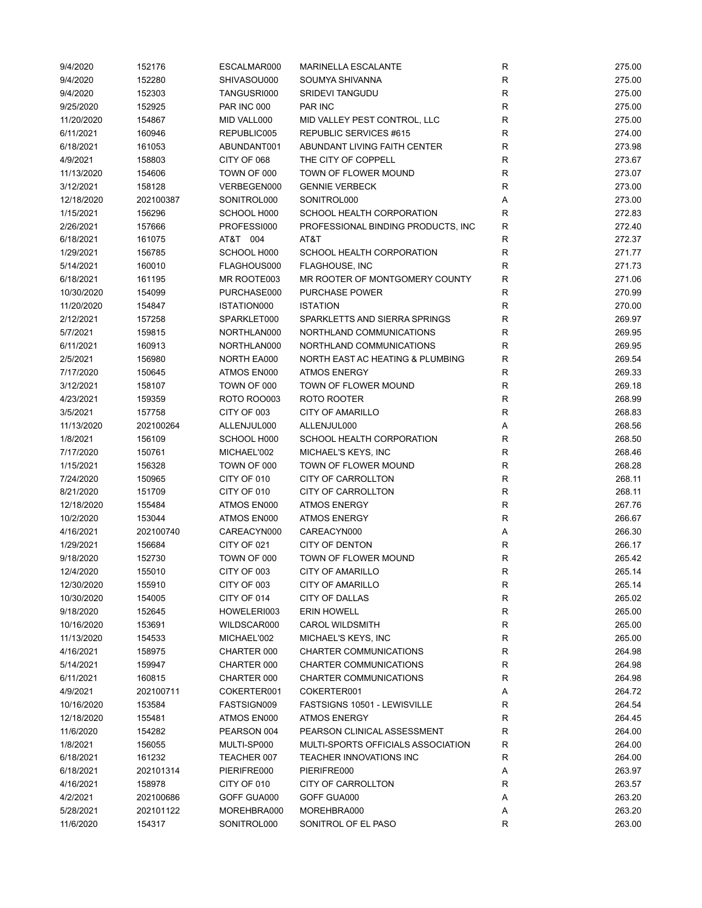| 9/4/2020               | 152176           | ESCALMAR000                | <b>MARINELLA ESCALANTE</b>         | ${\sf R}$    | 275.00 |
|------------------------|------------------|----------------------------|------------------------------------|--------------|--------|
| 9/4/2020               | 152280           | SHIVASOU000                | SOUMYA SHIVANNA                    | ${\sf R}$    | 275.00 |
| 9/4/2020               | 152303           | TANGUSRI000                | <b>SRIDEVI TANGUDU</b>             | $\mathsf{R}$ | 275.00 |
| 9/25/2020              | 152925           | <b>PAR INC 000</b>         | PAR INC                            | $\mathsf{R}$ | 275.00 |
| 11/20/2020             | 154867           | MID VALL000                | MID VALLEY PEST CONTROL, LLC       | $\mathsf{R}$ | 275.00 |
| 6/11/2021              | 160946           | REPUBLIC005                | REPUBLIC SERVICES #615             | R            | 274.00 |
| 6/18/2021              | 161053           | ABUNDANT001                | ABUNDANT LIVING FAITH CENTER       | R            | 273.98 |
| 4/9/2021               | 158803           | CITY OF 068                | THE CITY OF COPPELL                | $\mathsf{R}$ | 273.67 |
| 11/13/2020             | 154606           | TOWN OF 000                | TOWN OF FLOWER MOUND               | $\mathsf{R}$ | 273.07 |
| 3/12/2021              | 158128           | VERBEGEN000                | <b>GENNIE VERBECK</b>              | $\mathsf{R}$ | 273.00 |
| 12/18/2020             | 202100387        | SONITROL000                | SONITROL000                        | Α            | 273.00 |
| 1/15/2021              | 156296           | SCHOOL H000                | SCHOOL HEALTH CORPORATION          | $\mathsf{R}$ | 272.83 |
| 2/26/2021              | 157666           | PROFESSI000                | PROFESSIONAL BINDING PRODUCTS, INC | $\mathsf{R}$ | 272.40 |
| 6/18/2021              | 161075           | AT&T 004                   | AT&T                               | R            | 272.37 |
| 1/29/2021              | 156785           | SCHOOL H000                | SCHOOL HEALTH CORPORATION          | $\mathsf{R}$ | 271.77 |
| 5/14/2021              | 160010           | FLAGHOUS000                | <b>FLAGHOUSE, INC</b>              | R            | 271.73 |
| 6/18/2021              | 161195           | MR ROOTE003                | MR ROOTER OF MONTGOMERY COUNTY     | R            | 271.06 |
| 10/30/2020             | 154099           | PURCHASE000                | PURCHASE POWER                     | R            | 270.99 |
| 11/20/2020             | 154847           | ISTATION000                | <b>ISTATION</b>                    | $\mathsf{R}$ | 270.00 |
| 2/12/2021              | 157258           | SPARKLET000                | SPARKLETTS AND SIERRA SPRINGS      | R            | 269.97 |
| 5/7/2021               | 159815           | NORTHLAN000                | NORTHLAND COMMUNICATIONS           | R            | 269.95 |
| 6/11/2021              | 160913           | NORTHLAN000                | NORTHLAND COMMUNICATIONS           | R            | 269.95 |
| 2/5/2021               | 156980           | NORTH EA000                | NORTH EAST AC HEATING & PLUMBING   | $\mathsf{R}$ | 269.54 |
| 7/17/2020              | 150645           | ATMOS EN000                | <b>ATMOS ENERGY</b>                | R            | 269.33 |
|                        |                  |                            | TOWN OF FLOWER MOUND               | $\mathsf{R}$ | 269.18 |
| 3/12/2021<br>4/23/2021 | 158107<br>159359 | TOWN OF 000<br>ROTO ROO003 | ROTO ROOTER                        | ${\sf R}$    | 268.99 |
|                        |                  |                            |                                    | $\mathsf{R}$ |        |
| 3/5/2021               | 157758           | CITY OF 003                | <b>CITY OF AMARILLO</b>            |              | 268.83 |
| 11/13/2020             | 202100264        | ALLENJUL000                | ALLENJUL000                        | Α            | 268.56 |
| 1/8/2021               | 156109           | SCHOOL H000                | SCHOOL HEALTH CORPORATION          | R            | 268.50 |
| 7/17/2020              | 150761           | MICHAEL'002                | MICHAEL'S KEYS, INC                | $\mathsf{R}$ | 268.46 |
| 1/15/2021              | 156328           | TOWN OF 000                | TOWN OF FLOWER MOUND               | $\mathsf{R}$ | 268.28 |
| 7/24/2020              | 150965           | CITY OF 010                | <b>CITY OF CARROLLTON</b>          | $\mathsf{R}$ | 268.11 |
| 8/21/2020              | 151709           | CITY OF 010                | CITY OF CARROLLTON                 | $\mathsf{R}$ | 268.11 |
| 12/18/2020             | 155484           | ATMOS EN000                | <b>ATMOS ENERGY</b>                | $\mathsf{R}$ | 267.76 |
| 10/2/2020              | 153044           | ATMOS EN000                | <b>ATMOS ENERGY</b>                | $\mathsf{R}$ | 266.67 |
| 4/16/2021              | 202100740        | CAREACYN000                | CAREACYN000                        | Α            | 266.30 |
| 1/29/2021              | 156684           | CITY OF 021                | <b>CITY OF DENTON</b>              | R            | 266.17 |
| 9/18/2020              | 152730           | TOWN OF 000                | TOWN OF FLOWER MOUND               | R            | 265.42 |
| 12/4/2020              | 155010           | CITY OF 003                | CITY OF AMARILLO                   | R            | 265.14 |
| 12/30/2020             | 155910           | CITY OF 003                | <b>CITY OF AMARILLO</b>            | R            | 265.14 |
| 10/30/2020             | 154005           | CITY OF 014                | CITY OF DALLAS                     | ${\sf R}$    | 265.02 |
| 9/18/2020              | 152645           | HOWELERI003                | <b>ERIN HOWELL</b>                 | ${\sf R}$    | 265.00 |
| 10/16/2020             | 153691           | WILDSCAR000                | <b>CAROL WILDSMITH</b>             | R            | 265.00 |
| 11/13/2020             | 154533           | MICHAEL'002                | MICHAEL'S KEYS, INC                | R            | 265.00 |
| 4/16/2021              | 158975           | CHARTER 000                | CHARTER COMMUNICATIONS             | R            | 264.98 |
| 5/14/2021              | 159947           | CHARTER 000                | CHARTER COMMUNICATIONS             | R            | 264.98 |
| 6/11/2021              | 160815           | CHARTER 000                | CHARTER COMMUNICATIONS             | R            | 264.98 |
| 4/9/2021               | 202100711        | COKERTER001                | COKERTER001                        | Α            | 264.72 |
| 10/16/2020             | 153584           | FASTSIGN009                | FASTSIGNS 10501 - LEWISVILLE       | R            | 264.54 |
| 12/18/2020             | 155481           | ATMOS EN000                | <b>ATMOS ENERGY</b>                | R            | 264.45 |
| 11/6/2020              | 154282           | PEARSON 004                | PEARSON CLINICAL ASSESSMENT        | R            | 264.00 |
| 1/8/2021               | 156055           | MULTI-SP000                | MULTI-SPORTS OFFICIALS ASSOCIATION | R            | 264.00 |
| 6/18/2021              | 161232           | TEACHER 007                | TEACHER INNOVATIONS INC            | R            | 264.00 |
| 6/18/2021              | 202101314        | PIERIFRE000                | PIERIFRE000                        | Α            | 263.97 |
| 4/16/2021              | 158978           | CITY OF 010                | CITY OF CARROLLTON                 | R            | 263.57 |
| 4/2/2021               | 202100686        | GOFF GUA000                | GOFF GUA000                        | Α            | 263.20 |
| 5/28/2021              | 202101122        | MOREHBRA000                | MOREHBRA000                        | Α            | 263.20 |
| 11/6/2020              | 154317           | SONITROL000                | SONITROL OF EL PASO                | R            | 263.00 |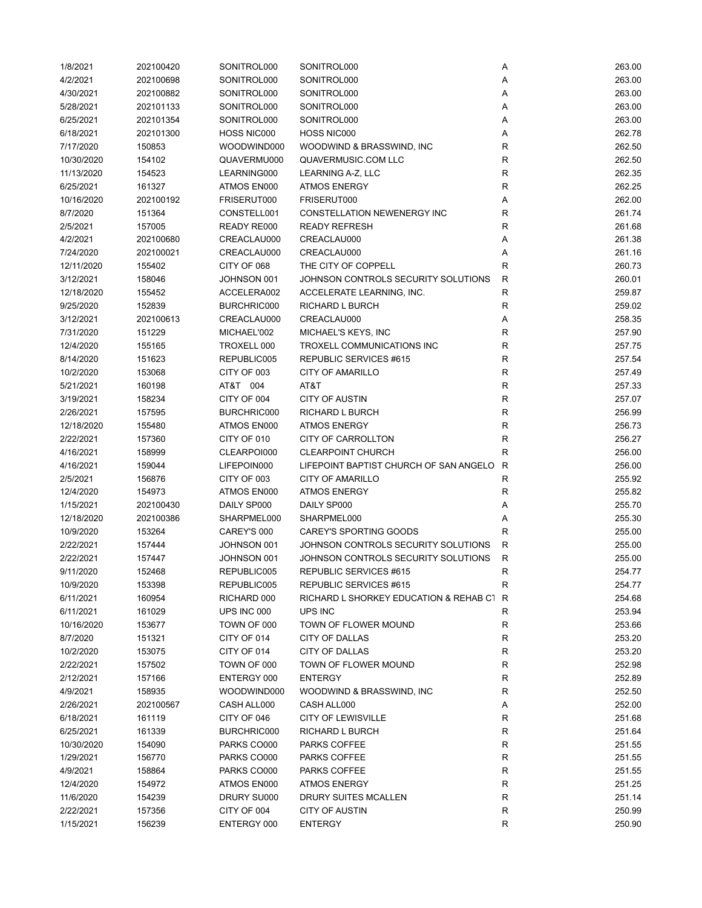| 1/8/2021   | 202100420 | SONITROL000 | SONITROL000                              | Α            | 263.00 |
|------------|-----------|-------------|------------------------------------------|--------------|--------|
| 4/2/2021   | 202100698 | SONITROL000 | SONITROL000                              | Α            | 263.00 |
| 4/30/2021  | 202100882 | SONITROL000 | SONITROL000                              | Α            | 263.00 |
| 5/28/2021  | 202101133 | SONITROL000 | SONITROL000                              | Α            | 263.00 |
| 6/25/2021  | 202101354 | SONITROL000 | SONITROL000                              | Α            | 263.00 |
| 6/18/2021  | 202101300 | HOSS NIC000 | HOSS NIC000                              | Α            | 262.78 |
| 7/17/2020  | 150853    | WOODWIND000 | WOODWIND & BRASSWIND, INC                | $\mathsf R$  | 262.50 |
| 10/30/2020 | 154102    | QUAVERMU000 | QUAVERMUSIC.COM LLC                      | $\mathsf R$  | 262.50 |
| 11/13/2020 | 154523    | LEARNING000 | LEARNING A-Z, LLC                        | $\mathsf R$  | 262.35 |
| 6/25/2021  | 161327    | ATMOS EN000 | <b>ATMOS ENERGY</b>                      | ${\sf R}$    | 262.25 |
| 10/16/2020 | 202100192 | FRISERUT000 | FRISERUT000                              | Α            | 262.00 |
|            |           |             | CONSTELLATION NEWENERGY INC              | $\mathsf R$  | 261.74 |
| 8/7/2020   | 151364    | CONSTELL001 |                                          |              |        |
| 2/5/2021   | 157005    | READY RE000 | <b>READY REFRESH</b>                     | R            | 261.68 |
| 4/2/2021   | 202100680 | CREACLAU000 | CREACLAU000                              | Α            | 261.38 |
| 7/24/2020  | 202100021 | CREACLAU000 | CREACLAU000                              | Α            | 261.16 |
| 12/11/2020 | 155402    | CITY OF 068 | THE CITY OF COPPELL                      | R            | 260.73 |
| 3/12/2021  | 158046    | JOHNSON 001 | JOHNSON CONTROLS SECURITY SOLUTIONS      | $\mathsf{R}$ | 260.01 |
| 12/18/2020 | 155452    | ACCELERA002 | ACCELERATE LEARNING, INC.                | $\mathsf R$  | 259.87 |
| 9/25/2020  | 152839    | BURCHRIC000 | RICHARD L BURCH                          | R            | 259.02 |
| 3/12/2021  | 202100613 | CREACLAU000 | CREACLAU000                              | Α            | 258.35 |
| 7/31/2020  | 151229    | MICHAEL'002 | MICHAEL'S KEYS, INC                      | R            | 257.90 |
| 12/4/2020  | 155165    | TROXELL 000 | TROXELL COMMUNICATIONS INC               | $\mathsf R$  | 257.75 |
| 8/14/2020  | 151623    | REPUBLIC005 | REPUBLIC SERVICES #615                   | $\mathsf R$  | 257.54 |
| 10/2/2020  | 153068    | CITY OF 003 | <b>CITY OF AMARILLO</b>                  | $\mathsf{R}$ | 257.49 |
| 5/21/2021  | 160198    | AT&T 004    | AT&T                                     | ${\sf R}$    | 257.33 |
| 3/19/2021  | 158234    | CITY OF 004 | <b>CITY OF AUSTIN</b>                    | $\mathsf R$  | 257.07 |
| 2/26/2021  | 157595    | BURCHRIC000 | RICHARD L BURCH                          | $\mathsf R$  | 256.99 |
| 12/18/2020 | 155480    | ATMOS EN000 | <b>ATMOS ENERGY</b>                      | $\mathsf R$  | 256.73 |
| 2/22/2021  | 157360    | CITY OF 010 | <b>CITY OF CARROLLTON</b>                | $\mathsf R$  | 256.27 |
| 4/16/2021  | 158999    | CLEARPOI000 | <b>CLEARPOINT CHURCH</b>                 | R            | 256.00 |
| 4/16/2021  | 159044    | LIFEPOIN000 | LIFEPOINT BAPTIST CHURCH OF SAN ANGELO   | $\mathsf{R}$ | 256.00 |
| 2/5/2021   | 156876    | CITY OF 003 | <b>CITY OF AMARILLO</b>                  | R            | 255.92 |
| 12/4/2020  | 154973    | ATMOS EN000 | <b>ATMOS ENERGY</b>                      | $\mathsf R$  | 255.82 |
| 1/15/2021  | 202100430 | DAILY SP000 | DAILY SP000                              | Α            | 255.70 |
| 12/18/2020 | 202100386 | SHARPMEL000 | SHARPMEL000                              | Α            | 255.30 |
| 10/9/2020  | 153264    | CAREY'S 000 | CAREY'S SPORTING GOODS                   | R            | 255.00 |
| 2/22/2021  | 157444    | JOHNSON 001 | JOHNSON CONTROLS SECURITY SOLUTIONS      | R            | 255.00 |
| 2/22/2021  | 157447    | JOHNSON 001 | JOHNSON CONTROLS SECURITY SOLUTIONS      | $\mathsf{R}$ | 255.00 |
| 9/11/2020  | 152468    | REPUBLIC005 | REPUBLIC SERVICES #615                   | R            | 254.77 |
| 10/9/2020  | 153398    | REPUBLIC005 | REPUBLIC SERVICES #615                   | $\mathsf{R}$ | 254.77 |
| 6/11/2021  | 160954    | RICHARD 000 | RICHARD L SHORKEY EDUCATION & REHAB C1 R |              | 254.68 |
| 6/11/2021  | 161029    | UPS INC 000 | UPS INC                                  | R            | 253.94 |
| 10/16/2020 | 153677    | TOWN OF 000 | TOWN OF FLOWER MOUND                     | R            | 253.66 |
| 8/7/2020   | 151321    | CITY OF 014 | CITY OF DALLAS                           | R            | 253.20 |
| 10/2/2020  | 153075    | CITY OF 014 | CITY OF DALLAS                           | R            | 253.20 |
| 2/22/2021  | 157502    | TOWN OF 000 | TOWN OF FLOWER MOUND                     | R            | 252.98 |
| 2/12/2021  | 157166    | ENTERGY 000 | <b>ENTERGY</b>                           | R            | 252.89 |
| 4/9/2021   | 158935    | WOODWIND000 | WOODWIND & BRASSWIND, INC                | R            | 252.50 |
| 2/26/2021  | 202100567 | CASH ALL000 | CASH ALL000                              | А            | 252.00 |
| 6/18/2021  | 161119    | CITY OF 046 | <b>CITY OF LEWISVILLE</b>                | R            | 251.68 |
| 6/25/2021  | 161339    | BURCHRIC000 | RICHARD L BURCH                          | R            | 251.64 |
| 10/30/2020 | 154090    | PARKS CO000 | PARKS COFFEE                             | R            | 251.55 |
| 1/29/2021  | 156770    | PARKS CO000 | PARKS COFFEE                             | R            | 251.55 |
| 4/9/2021   | 158864    | PARKS CO000 |                                          | ${\sf R}$    |        |
|            |           |             | PARKS COFFEE                             | $\mathsf{R}$ | 251.55 |
| 12/4/2020  | 154972    | ATMOS EN000 | <b>ATMOS ENERGY</b>                      |              | 251.25 |
| 11/6/2020  | 154239    | DRURY SU000 | DRURY SUITES MCALLEN                     | R            | 251.14 |
| 2/22/2021  | 157356    | CITY OF 004 | <b>CITY OF AUSTIN</b>                    | R            | 250.99 |
| 1/15/2021  | 156239    | ENTERGY 000 | <b>ENTERGY</b>                           | $\mathsf R$  | 250.90 |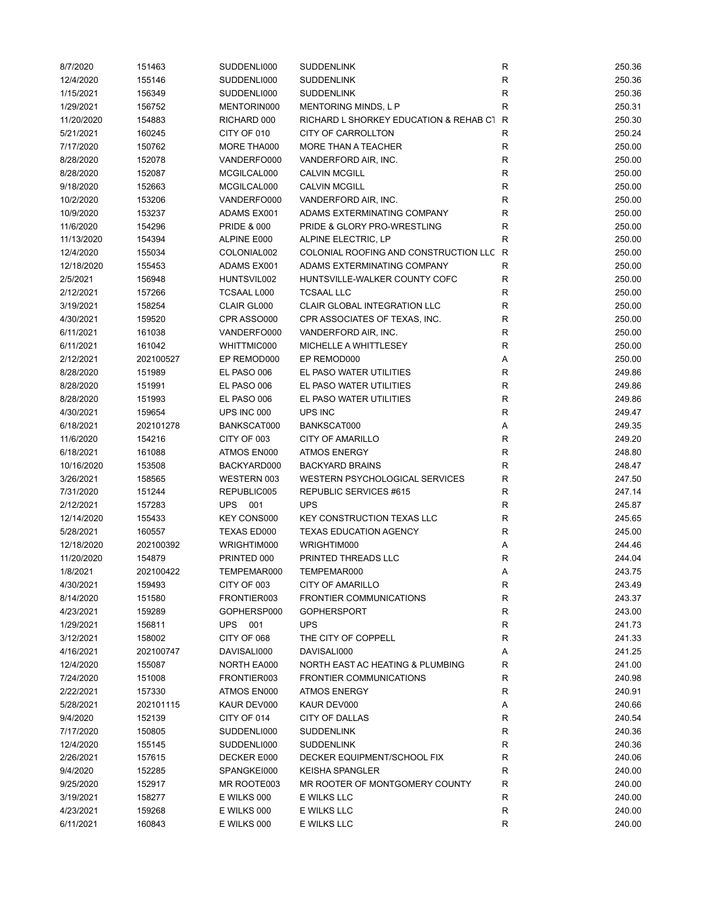| 8/7/2020               | 151463           | SUDDENLI000                | <b>SUDDENLINK</b>                       | ${\sf R}$    | 250.36           |
|------------------------|------------------|----------------------------|-----------------------------------------|--------------|------------------|
| 12/4/2020              | 155146           | SUDDENLI000                | <b>SUDDENLINK</b>                       | R            | 250.36           |
| 1/15/2021              | 156349           | SUDDENLI000                | <b>SUDDENLINK</b>                       | ${\sf R}$    | 250.36           |
| 1/29/2021              | 156752           | MENTORIN000                | MENTORING MINDS, L P                    | R            | 250.31           |
| 11/20/2020             | 154883           | RICHARD 000                | RICHARD L SHORKEY EDUCATION & REHAB C1  | R            | 250.30           |
| 5/21/2021              | 160245           | CITY OF 010                | <b>CITY OF CARROLLTON</b>               | R            | 250.24           |
| 7/17/2020              | 150762           | MORE THA000                | MORE THAN A TEACHER                     | R            | 250.00           |
| 8/28/2020              | 152078           | VANDERFO000                | VANDERFORD AIR, INC.                    | $\mathsf{R}$ | 250.00           |
| 8/28/2020              | 152087           | MCGILCAL000                | <b>CALVIN MCGILL</b>                    | $\mathsf{R}$ | 250.00           |
| 9/18/2020              | 152663           | MCGILCAL000                | <b>CALVIN MCGILL</b>                    | $\mathsf{R}$ | 250.00           |
| 10/2/2020              | 153206           | VANDERFO000                | VANDERFORD AIR, INC.                    | ${\sf R}$    | 250.00           |
| 10/9/2020              | 153237           | ADAMS EX001                | ADAMS EXTERMINATING COMPANY             | ${\sf R}$    | 250.00           |
| 11/6/2020              | 154296           | <b>PRIDE &amp; 000</b>     | PRIDE & GLORY PRO-WRESTLING             | $\mathsf R$  | 250.00           |
| 11/13/2020             | 154394           | ALPINE E000                | ALPINE ELECTRIC, LP                     | R            | 250.00           |
| 12/4/2020              | 155034           | COLONIAL002                | COLONIAL ROOFING AND CONSTRUCTION LLC R |              | 250.00           |
| 12/18/2020             | 155453           | ADAMS EX001                | ADAMS EXTERMINATING COMPANY             | R            | 250.00           |
| 2/5/2021               | 156948           | HUNTSVIL002                | HUNTSVILLE-WALKER COUNTY COFC           | R            | 250.00           |
| 2/12/2021              | 157266           | <b>TCSAAL L000</b>         | <b>TCSAAL LLC</b>                       | R            | 250.00           |
| 3/19/2021              | 158254           | CLAIR GL000                | <b>CLAIR GLOBAL INTEGRATION LLC</b>     | $\mathsf R$  | 250.00           |
| 4/30/2021              | 159520           | CPR ASSO000                | CPR ASSOCIATES OF TEXAS, INC.           | $\mathsf R$  | 250.00           |
| 6/11/2021              | 161038           | VANDERFO000                | VANDERFORD AIR, INC.                    | R            | 250.00           |
| 6/11/2021              | 161042           | WHITTMIC000                | MICHELLE A WHITTLESEY                   | R            | 250.00           |
| 2/12/2021              | 202100527        | EP REMOD000                | EP REMOD000                             | Α            | 250.00           |
| 8/28/2020              | 151989           | EL PASO 006                | EL PASO WATER UTILITIES                 | $\mathsf{R}$ | 249.86           |
|                        |                  |                            | EL PASO WATER UTILITIES                 | $\mathsf{R}$ |                  |
| 8/28/2020<br>8/28/2020 | 151991<br>151993 | EL PASO 006<br>EL PASO 006 | EL PASO WATER UTILITIES                 | ${\sf R}$    | 249.86<br>249.86 |
|                        | 159654           |                            | UPS INC                                 | R            | 249.47           |
| 4/30/2021              |                  | UPS INC 000                |                                         |              |                  |
| 6/18/2021              | 202101278        | BANKSCAT000                | BANKSCAT000                             | Α            | 249.35           |
| 11/6/2020              | 154216           | CITY OF 003                | <b>CITY OF AMARILLO</b>                 | $\mathsf R$  | 249.20           |
| 6/18/2021              | 161088           | ATMOS EN000                | <b>ATMOS ENERGY</b>                     | $\mathsf R$  | 248.80           |
| 10/16/2020             | 153508           | BACKYARD000                | <b>BACKYARD BRAINS</b>                  | $\mathsf R$  | 248.47           |
| 3/26/2021              | 158565           | WESTERN 003                | WESTERN PSYCHOLOGICAL SERVICES          | $\mathsf R$  | 247.50           |
| 7/31/2020              | 151244           | REPUBLIC005                | REPUBLIC SERVICES #615                  | R            | 247.14           |
| 2/12/2021              | 157283           | <b>UPS</b><br>001          | <b>UPS</b>                              | $\mathsf R$  | 245.87           |
| 12/14/2020             | 155433           | KEY CONS000                | <b>KEY CONSTRUCTION TEXAS LLC</b>       | $\mathsf R$  | 245.65           |
| 5/28/2021              | 160557           | TEXAS ED000                | <b>TEXAS EDUCATION AGENCY</b>           | R            | 245.00           |
| 12/18/2020             | 202100392        | WRIGHTIM000                | WRIGHTIM000                             | Α            | 244.46           |
| 11/20/2020             | 154879           | PRINTED 000                | PRINTED THREADS LLC                     | R            | 244.04           |
| 1/8/2021               | 202100422        | TEMPEMAR000                | TEMPEMAR000                             | Α            | 243.75           |
| 4/30/2021              | 159493           | CITY OF 003                | <b>CITY OF AMARILLO</b>                 | ${\sf R}$    | 243.49           |
| 8/14/2020              | 151580           | FRONTIER003                | <b>FRONTIER COMMUNICATIONS</b>          | ${\sf R}$    | 243.37           |
| 4/23/2021              | 159289           | GOPHERSP000                | <b>GOPHERSPORT</b>                      | $\mathsf{R}$ | 243.00           |
| 1/29/2021              | 156811           | UPS 001                    | <b>UPS</b>                              | R            | 241.73           |
| 3/12/2021              | 158002           | CITY OF 068                | THE CITY OF COPPELL                     | R            | 241.33           |
| 4/16/2021              | 202100747        | DAVISALI000                | DAVISALI000                             | Α            | 241.25           |
| 12/4/2020              | 155087           | NORTH EA000                | NORTH EAST AC HEATING & PLUMBING        | R            | 241.00           |
| 7/24/2020              | 151008           | FRONTIER003                | FRONTIER COMMUNICATIONS                 | R            | 240.98           |
| 2/22/2021              | 157330           | ATMOS EN000                | <b>ATMOS ENERGY</b>                     | R            | 240.91           |
| 5/28/2021              | 202101115        | KAUR DEV000                | KAUR DEV000                             | Α            | 240.66           |
| 9/4/2020               | 152139           | CITY OF 014                | CITY OF DALLAS                          | R            | 240.54           |
| 7/17/2020              | 150805           | SUDDENLI000                | <b>SUDDENLINK</b>                       | R            | 240.36           |
| 12/4/2020              | 155145           | SUDDENLI000                | <b>SUDDENLINK</b>                       | R            | 240.36           |
| 2/26/2021              | 157615           | DECKER E000                | DECKER EQUIPMENT/SCHOOL FIX             | R            | 240.06           |
| 9/4/2020               | 152285           | SPANGKEI000                | <b>KEISHA SPANGLER</b>                  | R            | 240.00           |
| 9/25/2020              | 152917           | MR ROOTE003                | MR ROOTER OF MONTGOMERY COUNTY          | R            | 240.00           |
| 3/19/2021              | 158277           | E WILKS 000                | E WILKS LLC                             | ${\sf R}$    | 240.00           |
| 4/23/2021              | 159268           | E WILKS 000                | E WILKS LLC                             | R            | 240.00           |
| 6/11/2021              | 160843           | E WILKS 000                | E WILKS LLC                             | R            | 240.00           |
|                        |                  |                            |                                         |              |                  |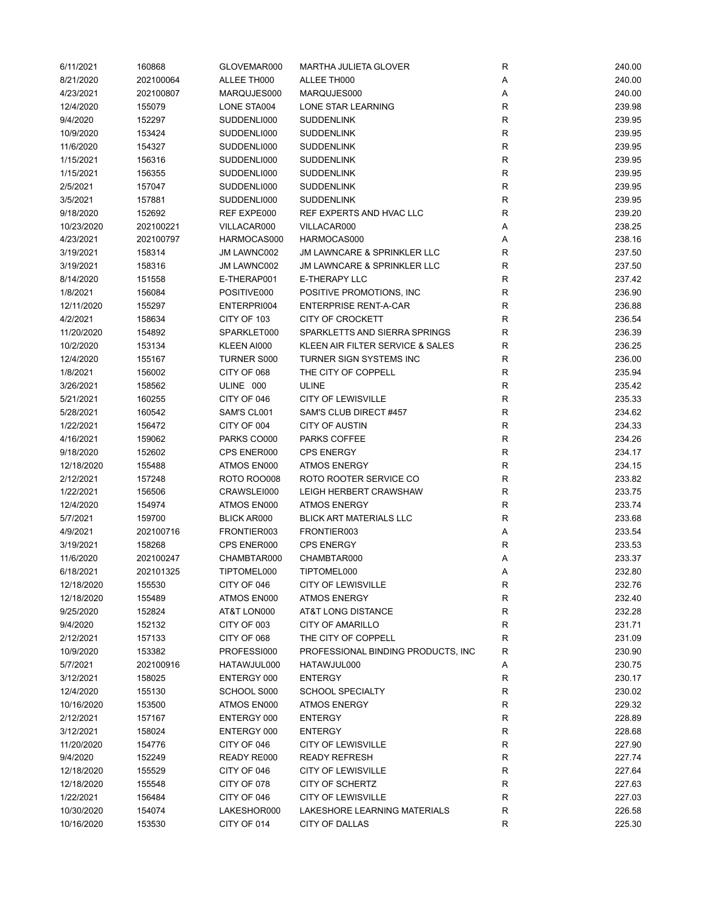| 6/11/2021            | 160868              | GLOVEMAR000                       | MARTHA JULIETA GLOVER                         | R            | 240.00           |
|----------------------|---------------------|-----------------------------------|-----------------------------------------------|--------------|------------------|
| 8/21/2020            | 202100064           | ALLEE TH000                       | ALLEE TH000                                   | Α            | 240.00           |
| 4/23/2021            | 202100807           | MARQUJES000                       | MARQUJES000                                   | Α            | 240.00           |
| 12/4/2020            | 155079              | LONE STA004                       | LONE STAR LEARNING                            | R            | 239.98           |
| 9/4/2020             | 152297              | SUDDENLI000                       | <b>SUDDENLINK</b>                             | R            | 239.95           |
| 10/9/2020            | 153424              | SUDDENLI000                       | <b>SUDDENLINK</b>                             | R            | 239.95           |
| 11/6/2020            | 154327              | SUDDENLI000                       | <b>SUDDENLINK</b>                             | $\mathsf{R}$ | 239.95           |
| 1/15/2021            | 156316              | SUDDENLI000                       | <b>SUDDENLINK</b>                             | R            | 239.95           |
| 1/15/2021            | 156355              | SUDDENLI000                       | <b>SUDDENLINK</b>                             | ${\sf R}$    | 239.95           |
| 2/5/2021             | 157047              | SUDDENLI000                       | <b>SUDDENLINK</b>                             | $\mathsf R$  | 239.95           |
| 3/5/2021             | 157881              | SUDDENLI000                       | <b>SUDDENLINK</b>                             | ${\sf R}$    | 239.95           |
| 9/18/2020            | 152692              | REF EXPE000                       | REF EXPERTS AND HVAC LLC                      | $\mathsf R$  | 239.20           |
| 10/23/2020           | 202100221           | VILLACAR000                       | VILLACAR000                                   | Α            | 238.25           |
| 4/23/2021            | 202100797           | HARMOCAS000                       | HARMOCAS000                                   | Α            | 238.16           |
| 3/19/2021            | 158314              | JM LAWNC002                       | JM LAWNCARE & SPRINKLER LLC                   | R            | 237.50           |
| 3/19/2021            | 158316              | JM LAWNC002                       | <b>JM LAWNCARE &amp; SPRINKLER LLC</b>        | R            | 237.50           |
| 8/14/2020            | 151558              | E-THERAP001                       | E-THERAPY LLC                                 | R            | 237.42           |
| 1/8/2021             | 156084              | POSITIVE000                       | POSITIVE PROMOTIONS, INC.                     | $\mathsf R$  | 236.90           |
| 12/11/2020           | 155297              | ENTERPRI004                       | <b>ENTERPRISE RENT-A-CAR</b>                  | R            | 236.88           |
| 4/2/2021             | 158634              | CITY OF 103                       | <b>CITY OF CROCKETT</b>                       | R            | 236.54           |
| 11/20/2020           | 154892              | SPARKLET000                       | SPARKLETTS AND SIERRA SPRINGS                 | R            | 236.39           |
| 10/2/2020            | 153134              | KLEEN AI000                       | KLEEN AIR FILTER SERVICE & SALES              | R            | 236.25           |
| 12/4/2020            | 155167              | <b>TURNER S000</b>                | TURNER SIGN SYSTEMS INC                       | R            | 236.00           |
| 1/8/2021             | 156002              | CITY OF 068                       | THE CITY OF COPPELL                           | $\mathsf{R}$ | 235.94           |
| 3/26/2021            | 158562              | ULINE 000                         | ULINE                                         | $\mathsf R$  | 235.42           |
| 5/21/2021            | 160255              | CITY OF 046                       | <b>CITY OF LEWISVILLE</b>                     | $\mathsf R$  | 235.33           |
| 5/28/2021            | 160542              | SAM'S CL001                       | SAM'S CLUB DIRECT #457                        | R            | 234.62           |
| 1/22/2021            | 156472              | CITY OF 004                       | <b>CITY OF AUSTIN</b>                         | R            | 234.33           |
| 4/16/2021            | 159062              | PARKS CO000                       | PARKS COFFEE                                  | $\mathsf R$  | 234.26           |
| 9/18/2020            | 152602              | CPS ENER000                       | <b>CPS ENERGY</b>                             | R            | 234.17           |
| 12/18/2020           | 155488              | ATMOS EN000                       | <b>ATMOS ENERGY</b>                           | $\mathsf R$  | 234.15           |
| 2/12/2021            | 157248              | <b>ROTO ROO008</b>                | ROTO ROOTER SERVICE CO                        | R            | 233.82           |
| 1/22/2021            | 156506              | CRAWSLEI000                       | LEIGH HERBERT CRAWSHAW                        | $\mathsf R$  | 233.75           |
|                      |                     | ATMOS EN000                       | <b>ATMOS ENERGY</b>                           |              |                  |
| 12/4/2020            | 154974              |                                   |                                               | R            | 233.74           |
| 5/7/2021<br>4/9/2021 | 159700<br>202100716 | <b>BLICK AR000</b><br>FRONTIER003 | <b>BLICK ART MATERIALS LLC</b><br>FRONTIER003 | R            | 233.68<br>233.54 |
|                      |                     |                                   | <b>CPS ENERGY</b>                             | Α            |                  |
| 3/19/2021            | 158268<br>202100247 | CPS ENER000<br>CHAMBTAR000        | CHAMBTAR000                                   | R            | 233.53           |
| 11/6/2020            |                     |                                   | TIPTOMEL000                                   | Α            | 233.37<br>232.80 |
| 6/18/2021            | 202101325           | TIPTOMEL000                       |                                               | Α            |                  |
| 12/18/2020           | 155530              | CITY OF 046                       | <b>CITY OF LEWISVILLE</b>                     | ${\sf R}$    | 232.76           |
| 12/18/2020           | 155489              | ATMOS EN000                       | <b>ATMOS ENERGY</b>                           | R            | 232.40           |
| 9/25/2020            | 152824              | AT&T LON000                       | AT&T LONG DISTANCE                            | R            | 232.28           |
| 9/4/2020             | 152132              | CITY OF 003                       | CITY OF AMARILLO                              | R            | 231.71           |
| 2/12/2021            | 157133              | CITY OF 068                       | THE CITY OF COPPELL                           | R            | 231.09           |
| 10/9/2020            | 153382              | PROFESSI000                       | PROFESSIONAL BINDING PRODUCTS, INC.           | R            | 230.90           |
| 5/7/2021             | 202100916           | HATAWJUL000                       | HATAWJUL000                                   | Α            | 230.75           |
| 3/12/2021            | 158025              | ENTERGY 000                       | <b>ENTERGY</b>                                | R            | 230.17           |
| 12/4/2020            | 155130              | SCHOOL S000                       | <b>SCHOOL SPECIALTY</b>                       | R            | 230.02           |
| 10/16/2020           | 153500              | ATMOS EN000                       | <b>ATMOS ENERGY</b>                           | R            | 229.32           |
| 2/12/2021            | 157167              | ENTERGY 000                       | <b>ENTERGY</b>                                | R            | 228.89           |
| 3/12/2021            | 158024              | ENTERGY 000                       | <b>ENTERGY</b>                                | R            | 228.68           |
| 11/20/2020           | 154776              | CITY OF 046                       | <b>CITY OF LEWISVILLE</b>                     | R            | 227.90           |
| 9/4/2020             | 152249              | READY RE000                       | <b>READY REFRESH</b>                          | R            | 227.74           |
| 12/18/2020           | 155529              | CITY OF 046                       | <b>CITY OF LEWISVILLE</b>                     | R            | 227.64           |
| 12/18/2020           | 155548              | CITY OF 078                       | CITY OF SCHERTZ                               | $\mathsf R$  | 227.63           |
| 1/22/2021            | 156484              | CITY OF 046                       | <b>CITY OF LEWISVILLE</b>                     | R            | 227.03           |
| 10/30/2020           | 154074              | LAKESHOR000                       | LAKESHORE LEARNING MATERIALS                  | R            | 226.58           |
| 10/16/2020           | 153530              | CITY OF 014                       | CITY OF DALLAS                                | R            | 225.30           |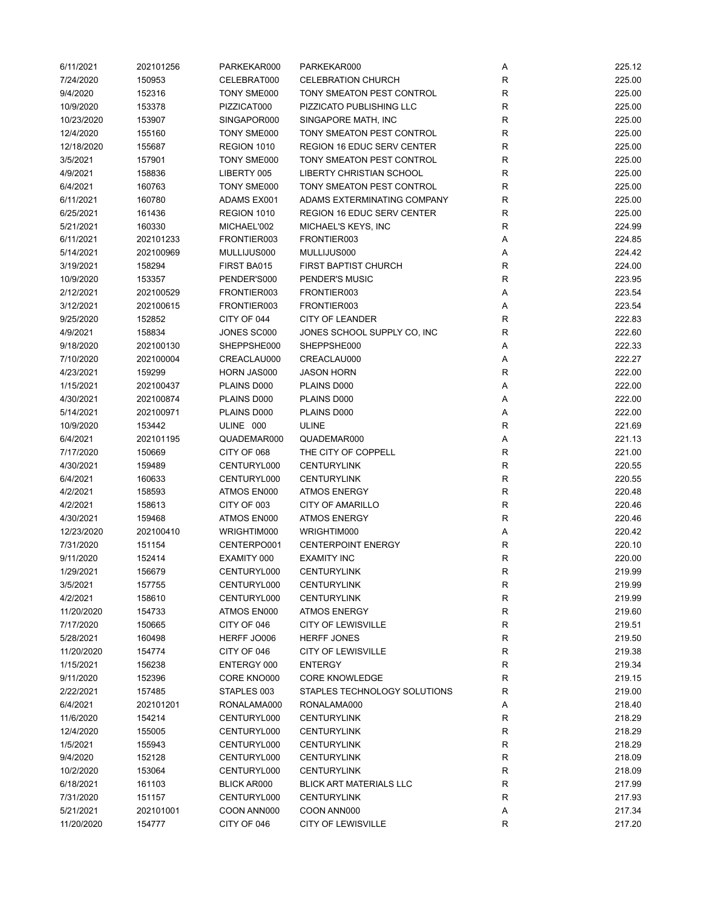| 6/11/2021  | 202101256 | PARKEKAR000        | PARKEKAR000                       | Α            | 225.12 |
|------------|-----------|--------------------|-----------------------------------|--------------|--------|
| 7/24/2020  | 150953    | CELEBRAT000        | <b>CELEBRATION CHURCH</b>         | R            | 225.00 |
| 9/4/2020   | 152316    | TONY SME000        | TONY SMEATON PEST CONTROL         | R            | 225.00 |
| 10/9/2020  | 153378    | PIZZICAT000        | PIZZICATO PUBLISHING LLC          | $\mathsf R$  | 225.00 |
| 10/23/2020 | 153907    | SINGAPOR000        | SINGAPORE MATH, INC               | R            | 225.00 |
| 12/4/2020  | 155160    | TONY SME000        | TONY SMEATON PEST CONTROL         | R            | 225.00 |
| 12/18/2020 | 155687    | REGION 1010        | <b>REGION 16 EDUC SERV CENTER</b> | $\mathsf R$  | 225.00 |
| 3/5/2021   | 157901    | TONY SME000        | TONY SMEATON PEST CONTROL         | $\mathsf R$  | 225.00 |
| 4/9/2021   | 158836    | LIBERTY 005        | <b>LIBERTY CHRISTIAN SCHOOL</b>   | $\mathsf R$  | 225.00 |
| 6/4/2021   | 160763    | TONY SME000        | TONY SMEATON PEST CONTROL         | $\mathsf R$  | 225.00 |
| 6/11/2021  | 160780    | ADAMS EX001        | ADAMS EXTERMINATING COMPANY       | $\mathsf R$  | 225.00 |
| 6/25/2021  | 161436    | REGION 1010        | <b>REGION 16 EDUC SERV CENTER</b> | R            | 225.00 |
| 5/21/2021  | 160330    | MICHAEL'002        | MICHAEL'S KEYS, INC               | R            | 224.99 |
| 6/11/2021  | 202101233 | FRONTIER003        | FRONTIER003                       | Α            | 224.85 |
| 5/14/2021  | 202100969 | MULLIJUS000        | MULLIJUS000                       | Α            | 224.42 |
| 3/19/2021  | 158294    | FIRST BA015        | <b>FIRST BAPTIST CHURCH</b>       | ${\sf R}$    | 224.00 |
| 10/9/2020  | 153357    | PENDER'S000        | PENDER'S MUSIC                    | $\mathsf R$  | 223.95 |
| 2/12/2021  | 202100529 | FRONTIER003        | FRONTIER003                       | Α            | 223.54 |
| 3/12/2021  | 202100615 | FRONTIER003        | FRONTIER003                       | Α            | 223.54 |
| 9/25/2020  | 152852    | CITY OF 044        | <b>CITY OF LEANDER</b>            | R            | 222.83 |
| 4/9/2021   | 158834    | JONES SC000        | JONES SCHOOL SUPPLY CO, INC       | R            | 222.60 |
|            |           |                    | SHEPPSHE000                       |              | 222.33 |
| 9/18/2020  | 202100130 | SHEPPSHE000        | CREACLAU000                       | Α            | 222.27 |
| 7/10/2020  | 202100004 | CREACLAU000        |                                   | Α            |        |
| 4/23/2021  | 159299    | HORN JAS000        | <b>JASON HORN</b>                 | $\mathsf{R}$ | 222.00 |
| 1/15/2021  | 202100437 | PLAINS D000        | PLAINS D000                       | A            | 222.00 |
| 4/30/2021  | 202100874 | PLAINS D000        | PLAINS D000                       | Α            | 222.00 |
| 5/14/2021  | 202100971 | PLAINS D000        | PLAINS D000                       | Α            | 222.00 |
| 10/9/2020  | 153442    | ULINE 000          | ULINE                             | R            | 221.69 |
| 6/4/2021   | 202101195 | QUADEMAR000        | QUADEMAR000                       | Α            | 221.13 |
| 7/17/2020  | 150669    | CITY OF 068        | THE CITY OF COPPELL               | $\mathsf R$  | 221.00 |
| 4/30/2021  | 159489    | CENTURYL000        | <b>CENTURYLINK</b>                | $\mathsf R$  | 220.55 |
| 6/4/2021   | 160633    | CENTURYL000        | <b>CENTURYLINK</b>                | $\mathsf R$  | 220.55 |
| 4/2/2021   | 158593    | ATMOS EN000        | <b>ATMOS ENERGY</b>               | R            | 220.48 |
| 4/2/2021   | 158613    | CITY OF 003        | <b>CITY OF AMARILLO</b>           | $\mathsf R$  | 220.46 |
| 4/30/2021  | 159468    | ATMOS EN000        | <b>ATMOS ENERGY</b>               | R            | 220.46 |
| 12/23/2020 | 202100410 | WRIGHTIM000        | WRIGHTIM000                       | Α            | 220.42 |
| 7/31/2020  | 151154    | CENTERPO001        | <b>CENTERPOINT ENERGY</b>         | R            | 220.10 |
| 9/11/2020  | 152414    | EXAMITY 000        | <b>EXAMITY INC</b>                | ${\sf R}$    | 220.00 |
| 1/29/2021  | 156679    | CENTURYL000        | <b>CENTURYLINK</b>                | $\mathsf{R}$ | 219.99 |
| 3/5/2021   | 157755    | CENTURYL000        | <b>CENTURYLINK</b>                | ${\sf R}$    | 219.99 |
| 4/2/2021   | 158610    | CENTURYL000        | <b>CENTURYLINK</b>                | R            | 219.99 |
| 11/20/2020 | 154733    | ATMOS EN000        | <b>ATMOS ENERGY</b>               | $\mathsf R$  | 219.60 |
| 7/17/2020  | 150665    | CITY OF 046        | <b>CITY OF LEWISVILLE</b>         | R            | 219.51 |
| 5/28/2021  | 160498    | HERFF JO006        | <b>HERFF JONES</b>                | R            | 219.50 |
| 11/20/2020 | 154774    | CITY OF 046        | <b>CITY OF LEWISVILLE</b>         | R            | 219.38 |
| 1/15/2021  | 156238    | ENTERGY 000        | <b>ENTERGY</b>                    | R            | 219.34 |
| 9/11/2020  | 152396    | CORE KNO000        | <b>CORE KNOWLEDGE</b>             | R            | 219.15 |
| 2/22/2021  | 157485    | STAPLES 003        | STAPLES TECHNOLOGY SOLUTIONS      | R            | 219.00 |
| 6/4/2021   | 202101201 | RONALAMA000        | RONALAMA000                       | А            | 218.40 |
| 11/6/2020  | 154214    | CENTURYL000        | <b>CENTURYLINK</b>                | R            | 218.29 |
| 12/4/2020  | 155005    | CENTURYL000        | <b>CENTURYLINK</b>                | R            | 218.29 |
| 1/5/2021   | 155943    | CENTURYL000        | <b>CENTURYLINK</b>                | R            | 218.29 |
| 9/4/2020   | 152128    | CENTURYL000        | <b>CENTURYLINK</b>                | R            | 218.09 |
| 10/2/2020  | 153064    | CENTURYL000        | <b>CENTURYLINK</b>                | $\mathsf{R}$ | 218.09 |
| 6/18/2021  | 161103    | <b>BLICK AR000</b> | <b>BLICK ART MATERIALS LLC</b>    | $\mathsf R$  | 217.99 |
| 7/31/2020  | 151157    | CENTURYL000        | <b>CENTURYLINK</b>                | R            | 217.93 |
| 5/21/2021  | 202101001 | COON ANN000        | COON ANN000                       | Α            | 217.34 |
| 11/20/2020 | 154777    | CITY OF 046        | <b>CITY OF LEWISVILLE</b>         | $\mathsf R$  | 217.20 |
|            |           |                    |                                   |              |        |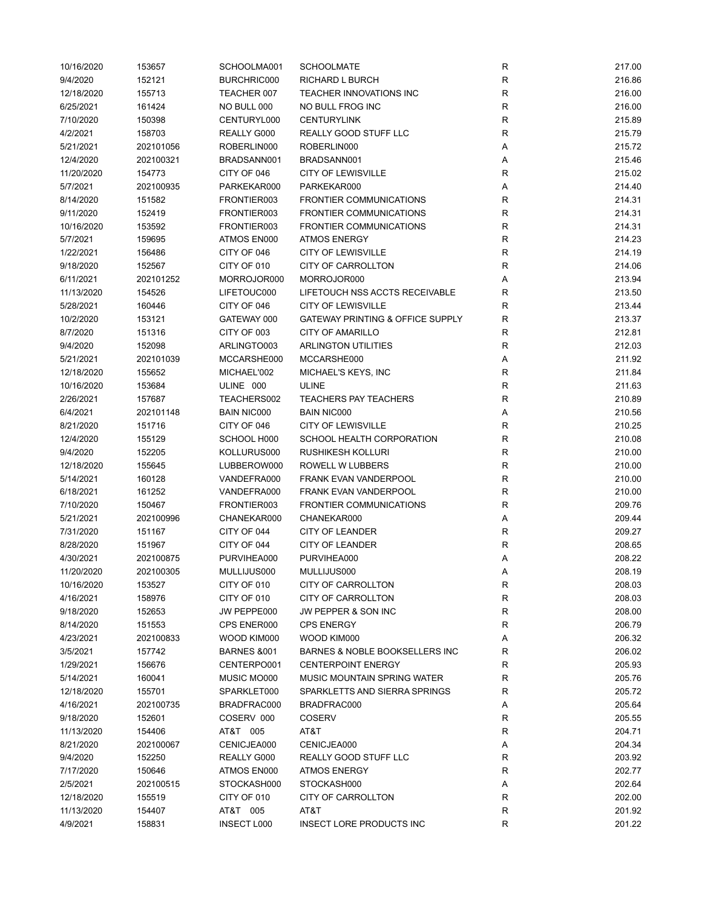| 10/16/2020 | 153657    | SCHOOLMA001            | <b>SCHOOLMATE</b>                           | R                 | 217.00 |
|------------|-----------|------------------------|---------------------------------------------|-------------------|--------|
| 9/4/2020   | 152121    | BURCHRIC000            | RICHARD L BURCH                             | ${\sf R}$         | 216.86 |
| 12/18/2020 | 155713    | TEACHER 007            | TEACHER INNOVATIONS INC                     | $\mathsf{R}$      | 216.00 |
| 6/25/2021  | 161424    | NO BULL 000            | NO BULL FROG INC                            | $\mathsf{R}$      | 216.00 |
| 7/10/2020  | 150398    | CENTURYL000            | <b>CENTURYLINK</b>                          | R                 | 215.89 |
| 4/2/2021   | 158703    | REALLY G000            | <b>REALLY GOOD STUFF LLC</b>                | R                 | 215.79 |
| 5/21/2021  | 202101056 | ROBERLIN000            | ROBERLIN000                                 | Α                 | 215.72 |
| 12/4/2020  | 202100321 | BRADSANN001            | BRADSANN001                                 | Α                 | 215.46 |
| 11/20/2020 | 154773    | CITY OF 046            | <b>CITY OF LEWISVILLE</b>                   | $\mathsf{R}$      | 215.02 |
| 5/7/2021   | 202100935 | PARKEKAR000            | PARKEKAR000                                 | Α                 | 214.40 |
| 8/14/2020  | 151582    | FRONTIER003            | <b>FRONTIER COMMUNICATIONS</b>              | $\mathsf{R}$      | 214.31 |
| 9/11/2020  | 152419    | FRONTIER003            | <b>FRONTIER COMMUNICATIONS</b>              | $\mathsf{R}$      | 214.31 |
| 10/16/2020 | 153592    | FRONTIER003            | <b>FRONTIER COMMUNICATIONS</b>              | R                 | 214.31 |
| 5/7/2021   | 159695    | ATMOS EN000            | <b>ATMOS ENERGY</b>                         | R                 | 214.23 |
| 1/22/2021  | 156486    | CITY OF 046            | <b>CITY OF LEWISVILLE</b>                   | $\mathsf{R}$      | 214.19 |
| 9/18/2020  | 152567    | CITY OF 010            | <b>CITY OF CARROLLTON</b>                   | R                 | 214.06 |
| 6/11/2021  | 202101252 | MORROJOR000            | MORROJOR000                                 | Α                 | 213.94 |
| 11/13/2020 | 154526    | LIFETOUC000            | LIFETOUCH NSS ACCTS RECEIVABLE              | $\mathsf{R}$      | 213.50 |
| 5/28/2021  | 160446    | CITY OF 046            | <b>CITY OF LEWISVILLE</b>                   | R                 | 213.44 |
| 10/2/2020  | 153121    | GATEWAY 000            | <b>GATEWAY PRINTING &amp; OFFICE SUPPLY</b> | R                 | 213.37 |
| 8/7/2020   | 151316    | CITY OF 003            | <b>CITY OF AMARILLO</b>                     | R                 | 212.81 |
| 9/4/2020   | 152098    | ARLINGTO003            | <b>ARLINGTON UTILITIES</b>                  | R                 | 212.03 |
| 5/21/2021  | 202101039 | MCCARSHE000            | MCCARSHE000                                 | Α                 | 211.92 |
| 12/18/2020 | 155652    | MICHAEL'002            | MICHAEL'S KEYS, INC                         | $\mathsf{R}$      | 211.84 |
| 10/16/2020 | 153684    | ULINE 000              | <b>ULINE</b>                                | $\mathsf{R}$      | 211.63 |
| 2/26/2021  | 157687    | TEACHERS002            | <b>TEACHERS PAY TEACHERS</b>                | $\mathsf{R}$      | 210.89 |
| 6/4/2021   | 202101148 | <b>BAIN NIC000</b>     | <b>BAIN NIC000</b>                          | Α                 | 210.56 |
|            |           |                        | <b>CITY OF LEWISVILLE</b>                   |                   |        |
| 8/21/2020  | 151716    | CITY OF 046            |                                             | R<br>$\mathsf{R}$ | 210.25 |
| 12/4/2020  | 155129    | SCHOOL H000            | SCHOOL HEALTH CORPORATION                   |                   | 210.08 |
| 9/4/2020   | 152205    | KOLLURUS000            | <b>RUSHIKESH KOLLURI</b>                    | $\mathsf{R}$      | 210.00 |
| 12/18/2020 | 155645    | LUBBEROW000            | ROWELL W LUBBERS                            | $\mathsf{R}$      | 210.00 |
| 5/14/2021  | 160128    | VANDEFRA000            | FRANK EVAN VANDERPOOL                       | $\mathsf{R}$      | 210.00 |
| 6/18/2021  | 161252    | VANDEFRA000            | <b>FRANK EVAN VANDERPOOL</b>                | $\mathsf{R}$      | 210.00 |
| 7/10/2020  | 150467    | FRONTIER003            | <b>FRONTIER COMMUNICATIONS</b>              | R                 | 209.76 |
| 5/21/2021  | 202100996 | CHANEKAR000            | CHANEKAR000                                 | Α                 | 209.44 |
| 7/31/2020  | 151167    | CITY OF 044            | <b>CITY OF LEANDER</b>                      | R                 | 209.27 |
| 8/28/2020  | 151967    | CITY OF 044            | <b>CITY OF LEANDER</b>                      | $\mathsf{R}$      | 208.65 |
| 4/30/2021  | 202100875 | PURVIHEA000            | PURVIHEA000                                 | Α                 | 208.22 |
| 11/20/2020 | 202100305 | MULLIJUS000            | MULLIJUS000                                 | Α                 | 208.19 |
| 10/16/2020 | 153527    | CITY OF 010            | CITY OF CARROLLTON                          | ${\sf R}$         | 208.03 |
| 4/16/2021  | 158976    | CITY OF 010            | CITY OF CARROLLTON                          | ${\sf R}$         | 208.03 |
| 9/18/2020  | 152653    | JW PEPPE000            | JW PEPPER & SON INC                         | R                 | 208.00 |
| 8/14/2020  | 151553    | CPS ENER000            | <b>CPS ENERGY</b>                           | R                 | 206.79 |
| 4/23/2021  | 202100833 | WOOD KIM000            | WOOD KIM000                                 | Α                 | 206.32 |
| 3/5/2021   | 157742    | <b>BARNES &amp;001</b> | BARNES & NOBLE BOOKSELLERS INC              | R                 | 206.02 |
| 1/29/2021  | 156676    | CENTERPO001            | <b>CENTERPOINT ENERGY</b>                   | R                 | 205.93 |
| 5/14/2021  | 160041    | MUSIC MO000            | MUSIC MOUNTAIN SPRING WATER                 | $\mathsf{R}$      | 205.76 |
| 12/18/2020 | 155701    | SPARKLET000            | SPARKLETTS AND SIERRA SPRINGS               | R                 | 205.72 |
| 4/16/2021  | 202100735 | BRADFRAC000            | BRADFRAC000                                 | Α                 | 205.64 |
| 9/18/2020  | 152601    | COSERV 000             | <b>COSERV</b>                               | R                 | 205.55 |
| 11/13/2020 | 154406    | AT&T 005               | AT&T                                        | R                 | 204.71 |
| 8/21/2020  | 202100067 | CENICJEA000            | CENICJEA000                                 | Α                 | 204.34 |
| 9/4/2020   | 152250    | REALLY G000            | REALLY GOOD STUFF LLC                       | R                 | 203.92 |
| 7/17/2020  | 150646    | ATMOS EN000            | <b>ATMOS ENERGY</b>                         | R                 | 202.77 |
| 2/5/2021   | 202100515 | STOCKASH000            | STOCKASH000                                 | Α                 | 202.64 |
| 12/18/2020 | 155519    | CITY OF 010            | CITY OF CARROLLTON                          | R                 | 202.00 |
| 11/13/2020 | 154407    | AT&T 005               | AT&T                                        | R                 | 201.92 |
| 4/9/2021   | 158831    | <b>INSECT L000</b>     | INSECT LORE PRODUCTS INC                    | $\mathsf{R}$      | 201.22 |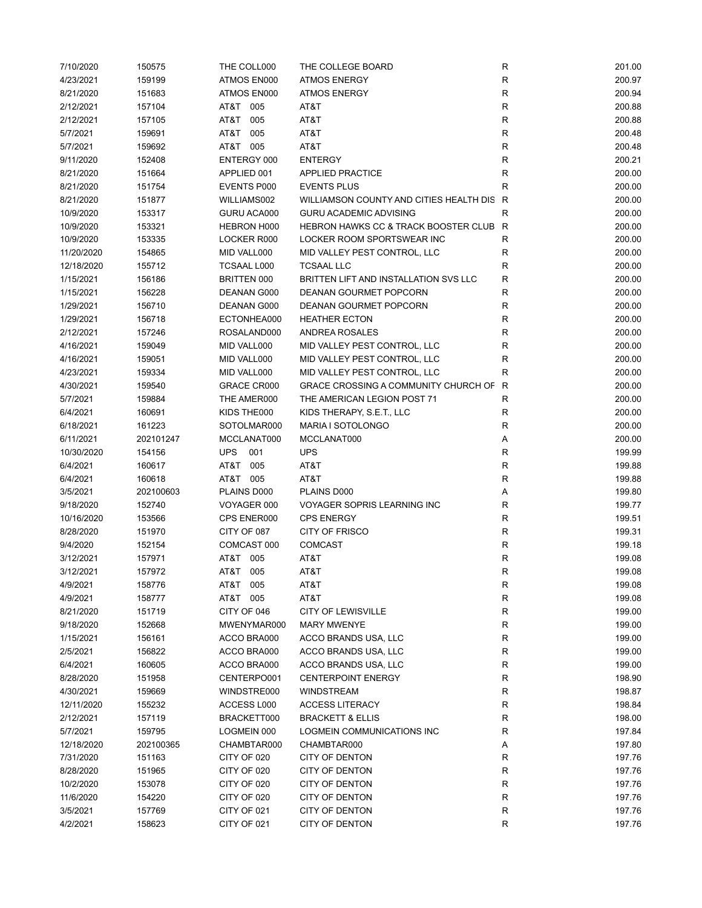| 7/10/2020  | 150575    | THE COLL000        | THE COLLEGE BOARD                           | ${\sf R}$    | 201.00 |
|------------|-----------|--------------------|---------------------------------------------|--------------|--------|
| 4/23/2021  | 159199    | ATMOS EN000        | <b>ATMOS ENERGY</b>                         | ${\sf R}$    | 200.97 |
| 8/21/2020  | 151683    | ATMOS EN000        | <b>ATMOS ENERGY</b>                         | $\mathsf{R}$ | 200.94 |
| 2/12/2021  | 157104    | AT&T 005           | AT&T                                        | $\mathsf{R}$ | 200.88 |
| 2/12/2021  | 157105    | AT&T<br>005        | AT&T                                        | $\mathsf{R}$ | 200.88 |
| 5/7/2021   | 159691    | AT&T<br>005        | AT&T                                        | $\mathsf{R}$ | 200.48 |
| 5/7/2021   | 159692    | AT&T 005           | AT&T                                        | $\mathsf{R}$ | 200.48 |
|            |           |                    |                                             |              |        |
| 9/11/2020  | 152408    | ENTERGY 000        | <b>ENTERGY</b>                              | R            | 200.21 |
| 8/21/2020  | 151664    | APPLIED 001        | <b>APPLIED PRACTICE</b>                     | R            | 200.00 |
| 8/21/2020  | 151754    | EVENTS P000        | <b>EVENTS PLUS</b>                          | R            | 200.00 |
| 8/21/2020  | 151877    | WILLIAMS002        | WILLIAMSON COUNTY AND CITIES HEALTH DIS     | R            | 200.00 |
| 10/9/2020  | 153317    | GURU ACA000        | <b>GURU ACADEMIC ADVISING</b>               | R            | 200.00 |
| 10/9/2020  | 153321    | HEBRON H000        | HEBRON HAWKS CC & TRACK BOOSTER CLUB R      |              | 200.00 |
| 10/9/2020  | 153335    | LOCKER R000        | LOCKER ROOM SPORTSWEAR INC                  | $\mathsf R$  | 200.00 |
| 11/20/2020 | 154865    | MID VALL000        | MID VALLEY PEST CONTROL, LLC                | R            | 200.00 |
| 12/18/2020 | 155712    | <b>TCSAAL L000</b> | <b>TCSAAL LLC</b>                           | R            | 200.00 |
| 1/15/2021  | 156186    | BRITTEN 000        | BRITTEN LIFT AND INSTALLATION SVS LLC       | R            | 200.00 |
| 1/15/2021  | 156228    | DEANAN G000        | DEANAN GOURMET POPCORN                      | $\mathsf R$  | 200.00 |
| 1/29/2021  | 156710    | DEANAN G000        | <b>DEANAN GOURMET POPCORN</b>               | R            | 200.00 |
| 1/29/2021  | 156718    | ECTONHEA000        | <b>HEATHER ECTON</b>                        | R            | 200.00 |
| 2/12/2021  | 157246    | ROSALAND000        | ANDREA ROSALES                              | $\mathsf R$  | 200.00 |
| 4/16/2021  | 159049    | MID VALL000        | MID VALLEY PEST CONTROL, LLC                | R            | 200.00 |
|            |           |                    |                                             |              |        |
| 4/16/2021  | 159051    | MID VALL000        | MID VALLEY PEST CONTROL, LLC                | R            | 200.00 |
| 4/23/2021  | 159334    | MID VALL000        | MID VALLEY PEST CONTROL, LLC                | R            | 200.00 |
| 4/30/2021  | 159540    | GRACE CR000        | <b>GRACE CROSSING A COMMUNITY CHURCH OF</b> | R            | 200.00 |
| 5/7/2021   | 159884    | THE AMER000        | THE AMERICAN LEGION POST 71                 | R            | 200.00 |
| 6/4/2021   | 160691    | KIDS THE000        | KIDS THERAPY, S.E.T., LLC                   | $\mathsf{R}$ | 200.00 |
| 6/18/2021  | 161223    | SOTOLMAR000        | MARIA I SOTOLONGO                           | ${\sf R}$    | 200.00 |
| 6/11/2021  | 202101247 | MCCLANAT000        | MCCLANAT000                                 | Α            | 200.00 |
| 10/30/2020 | 154156    | <b>UPS</b><br>001  | <b>UPS</b>                                  | $\mathsf{R}$ | 199.99 |
| 6/4/2021   | 160617    | AT&T<br>005        | AT&T                                        | $\mathsf{R}$ | 199.88 |
| 6/4/2021   | 160618    | AT&T 005           | AT&T                                        | $\mathsf{R}$ | 199.88 |
| 3/5/2021   | 202100603 | PLAINS D000        | PLAINS D000                                 | Α            | 199.80 |
| 9/18/2020  | 152740    | VOYAGER 000        | <b>VOYAGER SOPRIS LEARNING INC</b>          | $\mathsf{R}$ | 199.77 |
| 10/16/2020 | 153566    | CPS ENER000        | <b>CPS ENERGY</b>                           | R            | 199.51 |
| 8/28/2020  | 151970    | CITY OF 087        | <b>CITY OF FRISCO</b>                       | ${\sf R}$    | 199.31 |
| 9/4/2020   | 152154    | COMCAST 000        | <b>COMCAST</b>                              | R            | 199.18 |
| 3/12/2021  | 157971    | AT&T 005           | AT&T                                        | $\mathsf{R}$ | 199.08 |
|            |           |                    |                                             |              |        |
| 3/12/2021  | 157972    | AT&T 005           | AT&T                                        | R            | 199.08 |
| 4/9/2021   | 158776    | AT&T 005           | AT&T                                        | R            | 199.08 |
| 4/9/2021   | 158777    | AT&T 005           | AT&T                                        | ${\sf R}$    | 199.08 |
| 8/21/2020  | 151719    | CITY OF 046        | <b>CITY OF LEWISVILLE</b>                   | ${\sf R}$    | 199.00 |
| 9/18/2020  | 152668    | MWENYMAR000        | <b>MARY MWENYE</b>                          | $\mathsf{R}$ | 199.00 |
| 1/15/2021  | 156161    | ACCO BRA000        | ACCO BRANDS USA, LLC                        | $\mathsf{R}$ | 199.00 |
| 2/5/2021   | 156822    | ACCO BRA000        | ACCO BRANDS USA, LLC                        | R            | 199.00 |
| 6/4/2021   | 160605    | ACCO BRA000        | ACCO BRANDS USA, LLC                        | R            | 199.00 |
| 8/28/2020  | 151958    | CENTERPO001        | <b>CENTERPOINT ENERGY</b>                   | R            | 198.90 |
| 4/30/2021  | 159669    | WINDSTRE000        | <b>WINDSTREAM</b>                           | R            | 198.87 |
| 12/11/2020 | 155232    | ACCESS L000        | <b>ACCESS LITERACY</b>                      | R            | 198.84 |
| 2/12/2021  | 157119    | BRACKETT000        | <b>BRACKETT &amp; ELLIS</b>                 | $\mathsf{R}$ | 198.00 |
| 5/7/2021   | 159795    | LOGMEIN 000        | LOGMEIN COMMUNICATIONS INC                  | R            | 197.84 |
| 12/18/2020 | 202100365 | CHAMBTAR000        | CHAMBTAR000                                 | Α            | 197.80 |
| 7/31/2020  | 151163    | CITY OF 020        | CITY OF DENTON                              | R            | 197.76 |
| 8/28/2020  | 151965    | CITY OF 020        | CITY OF DENTON                              | R            | 197.76 |
|            |           |                    |                                             |              |        |
| 10/2/2020  | 153078    | CITY OF 020        | <b>CITY OF DENTON</b>                       | $\mathsf{R}$ | 197.76 |
| 11/6/2020  | 154220    | CITY OF 020        | CITY OF DENTON                              | ${\sf R}$    | 197.76 |
| 3/5/2021   | 157769    | CITY OF 021        | CITY OF DENTON                              | ${\sf R}$    | 197.76 |
| 4/2/2021   | 158623    | CITY OF 021        | <b>CITY OF DENTON</b>                       | $\mathsf{R}$ | 197.76 |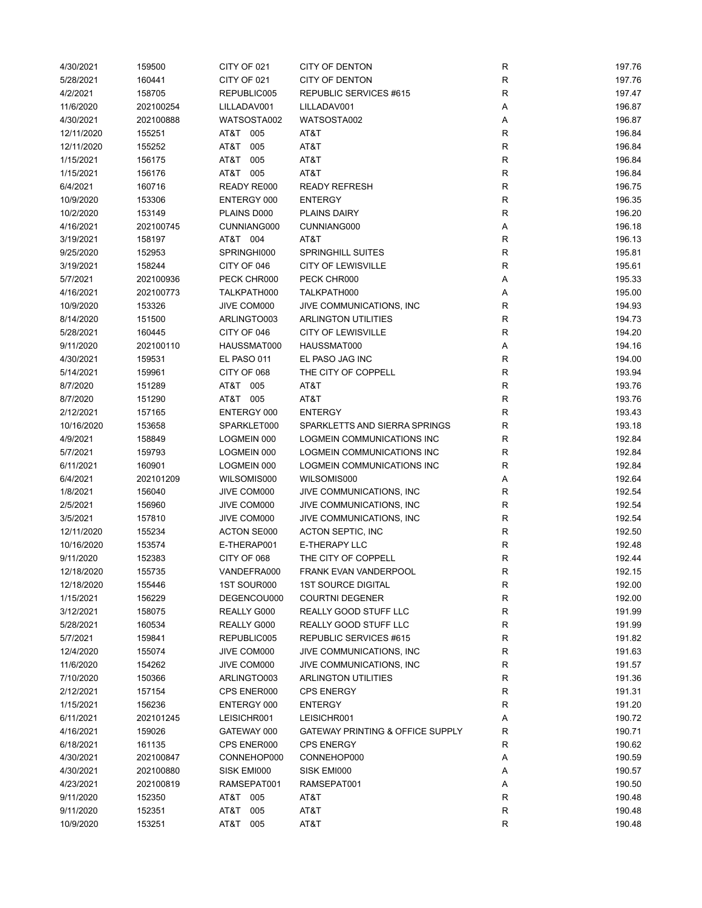| 4/30/2021  | 159500    | CITY OF 021 | <b>CITY OF DENTON</b>                       | R           | 197.76 |
|------------|-----------|-------------|---------------------------------------------|-------------|--------|
| 5/28/2021  | 160441    | CITY OF 021 | <b>CITY OF DENTON</b>                       | R           | 197.76 |
| 4/2/2021   | 158705    | REPUBLIC005 | REPUBLIC SERVICES #615                      | R           | 197.47 |
| 11/6/2020  | 202100254 | LILLADAV001 | LILLADAV001                                 | Α           | 196.87 |
| 4/30/2021  | 202100888 | WATSOSTA002 | WATSOSTA002                                 | Α           | 196.87 |
| 12/11/2020 | 155251    | AT&T<br>005 | AT&T                                        | $\mathsf R$ | 196.84 |
| 12/11/2020 | 155252    | AT&T<br>005 | AT&T                                        | $\mathsf R$ | 196.84 |
| 1/15/2021  | 156175    | AT&T<br>005 | AT&T                                        | R           | 196.84 |
| 1/15/2021  |           | AT&T 005    | AT&T                                        |             | 196.84 |
|            | 156176    |             |                                             | R           |        |
| 6/4/2021   | 160716    | READY RE000 | <b>READY REFRESH</b>                        | R           | 196.75 |
| 10/9/2020  | 153306    | ENTERGY 000 | <b>ENTERGY</b>                              | $\mathsf R$ | 196.35 |
| 10/2/2020  | 153149    | PLAINS D000 | PLAINS DAIRY                                | $\mathsf R$ | 196.20 |
| 4/16/2021  | 202100745 | CUNNIANG000 | CUNNIANG000                                 | Α           | 196.18 |
| 3/19/2021  | 158197    | AT&T 004    | AT&T                                        | ${\sf R}$   | 196.13 |
| 9/25/2020  | 152953    | SPRINGHI000 | <b>SPRINGHILL SUITES</b>                    | $\mathsf R$ | 195.81 |
| 3/19/2021  | 158244    | CITY OF 046 | <b>CITY OF LEWISVILLE</b>                   | $\mathsf R$ | 195.61 |
| 5/7/2021   | 202100936 | PECK CHR000 | PECK CHR000                                 | Α           | 195.33 |
| 4/16/2021  | 202100773 | TALKPATH000 | TALKPATH000                                 | Α           | 195.00 |
| 10/9/2020  | 153326    | JIVE COM000 | JIVE COMMUNICATIONS, INC                    | $\mathsf R$ | 194.93 |
| 8/14/2020  | 151500    | ARLINGTO003 | <b>ARLINGTON UTILITIES</b>                  | $\mathsf R$ | 194.73 |
| 5/28/2021  | 160445    | CITY OF 046 | <b>CITY OF LEWISVILLE</b>                   | $\mathsf R$ | 194.20 |
| 9/11/2020  | 202100110 | HAUSSMAT000 | HAUSSMAT000                                 | Α           | 194.16 |
| 4/30/2021  | 159531    | EL PASO 011 | EL PASO JAG INC                             | R           | 194.00 |
| 5/14/2021  | 159961    | CITY OF 068 | THE CITY OF COPPELL                         | R           | 193.94 |
| 8/7/2020   | 151289    | AT&T 005    | AT&T                                        | $\mathsf R$ | 193.76 |
| 8/7/2020   | 151290    | AT&T 005    | AT&T                                        | R           | 193.76 |
|            |           |             |                                             | $\mathsf R$ |        |
| 2/12/2021  | 157165    | ENTERGY 000 | ENTERGY                                     |             | 193.43 |
| 10/16/2020 | 153658    | SPARKLET000 | SPARKLETTS AND SIERRA SPRINGS               | ${\sf R}$   | 193.18 |
| 4/9/2021   | 158849    | LOGMEIN 000 | LOGMEIN COMMUNICATIONS INC                  | $\mathsf R$ | 192.84 |
| 5/7/2021   | 159793    | LOGMEIN 000 | LOGMEIN COMMUNICATIONS INC                  | R           | 192.84 |
| 6/11/2021  | 160901    | LOGMEIN 000 | LOGMEIN COMMUNICATIONS INC                  | $\mathsf R$ | 192.84 |
| 6/4/2021   | 202101209 | WILSOMIS000 | WILSOMIS000                                 | Α           | 192.64 |
| 1/8/2021   | 156040    | JIVE COM000 | JIVE COMMUNICATIONS, INC                    | R           | 192.54 |
| 2/5/2021   | 156960    | JIVE COM000 | JIVE COMMUNICATIONS, INC                    | $\mathsf R$ | 192.54 |
| 3/5/2021   | 157810    | JIVE COM000 | JIVE COMMUNICATIONS, INC                    | $\mathsf R$ | 192.54 |
| 12/11/2020 | 155234    | ACTON SE000 | <b>ACTON SEPTIC, INC</b>                    | $\mathsf R$ | 192.50 |
| 10/16/2020 | 153574    | E-THERAP001 | E-THERAPY LLC                               | R           | 192.48 |
| 9/11/2020  | 152383    | CITY OF 068 | THE CITY OF COPPELL                         | R           | 192.44 |
| 12/18/2020 | 155735    | VANDEFRA000 | <b>FRANK EVAN VANDERPOOL</b>                | R           | 192.15 |
| 12/18/2020 | 155446    | 1ST SOUR000 | <b>1ST SOURCE DIGITAL</b>                   | R           | 192.00 |
| 1/15/2021  | 156229    | DEGENCOU000 | <b>COURTNI DEGENER</b>                      | R           | 192.00 |
| 3/12/2021  | 158075    | REALLY G000 | REALLY GOOD STUFF LLC                       | R           | 191.99 |
| 5/28/2021  | 160534    | REALLY G000 | REALLY GOOD STUFF LLC                       | R           | 191.99 |
| 5/7/2021   | 159841    | REPUBLIC005 | REPUBLIC SERVICES #615                      | R           | 191.82 |
| 12/4/2020  | 155074    | JIVE COM000 | JIVE COMMUNICATIONS, INC                    | R           | 191.63 |
| 11/6/2020  | 154262    | JIVE COM000 | JIVE COMMUNICATIONS, INC                    | R           | 191.57 |
| 7/10/2020  | 150366    | ARLINGTO003 | <b>ARLINGTON UTILITIES</b>                  | R           | 191.36 |
|            |           |             |                                             |             |        |
| 2/12/2021  | 157154    | CPS ENER000 | <b>CPS ENERGY</b>                           | R           | 191.31 |
| 1/15/2021  | 156236    | ENTERGY 000 | <b>ENTERGY</b>                              | R           | 191.20 |
| 6/11/2021  | 202101245 | LEISICHR001 | LEISICHR001                                 | Α           | 190.72 |
| 4/16/2021  | 159026    | GATEWAY 000 | <b>GATEWAY PRINTING &amp; OFFICE SUPPLY</b> | R           | 190.71 |
| 6/18/2021  | 161135    | CPS ENER000 | <b>CPS ENERGY</b>                           | R           | 190.62 |
| 4/30/2021  | 202100847 | CONNEHOP000 | CONNEHOP000                                 | Α           | 190.59 |
| 4/30/2021  | 202100880 | SISK EMI000 | SISK EMI000                                 | А           | 190.57 |
| 4/23/2021  | 202100819 | RAMSEPAT001 | RAMSEPAT001                                 | Α           | 190.50 |
| 9/11/2020  | 152350    | AT&T<br>005 | AT&T                                        | R           | 190.48 |
| 9/11/2020  | 152351    | 005<br>AT&T | AT&T                                        | R           | 190.48 |
| 10/9/2020  | 153251    | AT&T<br>005 | AT&T                                        | $\mathsf R$ | 190.48 |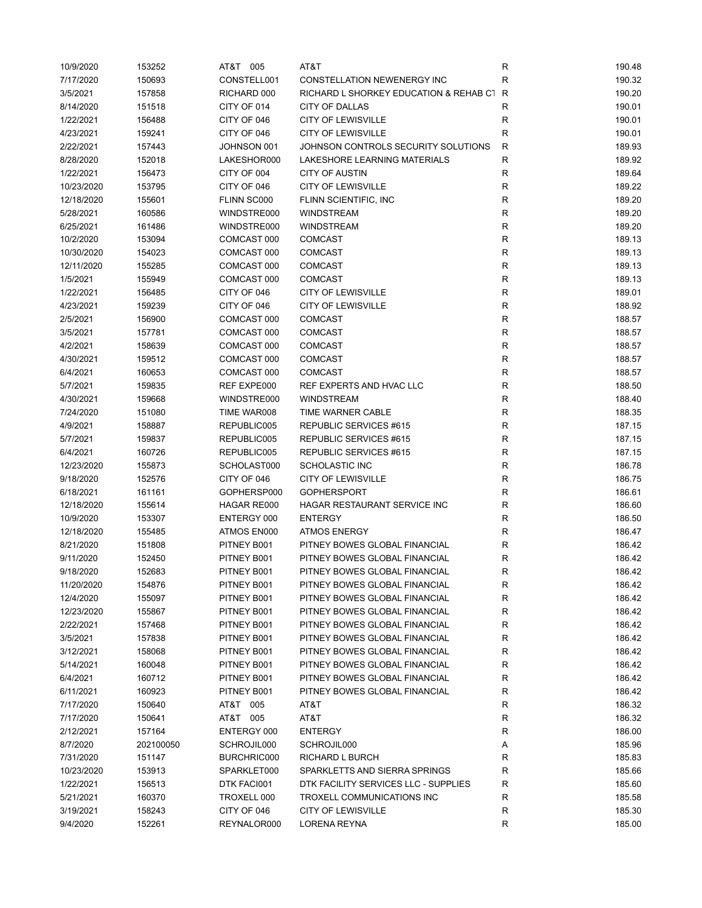| 10/9/2020  | 153252    | AT&T 005    | AT&T                                     | R            | 190.48 |
|------------|-----------|-------------|------------------------------------------|--------------|--------|
| 7/17/2020  | 150693    | CONSTELL001 | CONSTELLATION NEWENERGY INC              | $\mathsf R$  | 190.32 |
| 3/5/2021   | 157858    | RICHARD 000 | RICHARD L SHORKEY EDUCATION & REHAB C1 R |              | 190.20 |
| 8/14/2020  | 151518    | CITY OF 014 | CITY OF DALLAS                           | R            | 190.01 |
| 1/22/2021  | 156488    | CITY OF 046 | <b>CITY OF LEWISVILLE</b>                | $\mathsf{R}$ | 190.01 |
| 4/23/2021  | 159241    | CITY OF 046 | <b>CITY OF LEWISVILLE</b>                | R            | 190.01 |
| 2/22/2021  | 157443    | JOHNSON 001 | JOHNSON CONTROLS SECURITY SOLUTIONS      | R            | 189.93 |
| 8/28/2020  | 152018    | LAKESHOR000 | LAKESHORE LEARNING MATERIALS             | R            | 189.92 |
| 1/22/2021  | 156473    | CITY OF 004 | <b>CITY OF AUSTIN</b>                    | R            | 189.64 |
| 10/23/2020 | 153795    | CITY OF 046 | <b>CITY OF LEWISVILLE</b>                | R            | 189.22 |
| 12/18/2020 | 155601    | FLINN SC000 | FLINN SCIENTIFIC, INC                    | $\mathsf{R}$ | 189.20 |
| 5/28/2021  | 160586    | WINDSTRE000 | <b>WINDSTREAM</b>                        | $\mathsf{R}$ | 189.20 |
| 6/25/2021  | 161486    | WINDSTRE000 | <b>WINDSTREAM</b>                        | ${\sf R}$    | 189.20 |
| 10/2/2020  | 153094    | COMCAST 000 | <b>COMCAST</b>                           | $\mathsf{R}$ | 189.13 |
| 10/30/2020 | 154023    | COMCAST 000 | <b>COMCAST</b>                           | $\mathsf{R}$ | 189.13 |
| 12/11/2020 | 155285    | COMCAST 000 | <b>COMCAST</b>                           | $\mathsf{R}$ | 189.13 |
| 1/5/2021   | 155949    | COMCAST 000 | <b>COMCAST</b>                           | $\mathsf{R}$ | 189.13 |
| 1/22/2021  | 156485    | CITY OF 046 | <b>CITY OF LEWISVILLE</b>                | $\mathsf{R}$ | 189.01 |
| 4/23/2021  | 159239    | CITY OF 046 | <b>CITY OF LEWISVILLE</b>                | R            | 188.92 |
| 2/5/2021   | 156900    | COMCAST 000 | <b>COMCAST</b>                           | $\mathsf{R}$ | 188.57 |
| 3/5/2021   | 157781    | COMCAST 000 | <b>COMCAST</b>                           | R            | 188.57 |
| 4/2/2021   | 158639    | COMCAST 000 | <b>COMCAST</b>                           | R            | 188.57 |
| 4/30/2021  | 159512    | COMCAST 000 | <b>COMCAST</b>                           | R            | 188.57 |
| 6/4/2021   | 160653    | COMCAST 000 | <b>COMCAST</b>                           | $\mathsf{R}$ | 188.57 |
| 5/7/2021   | 159835    | REF EXPE000 | REF EXPERTS AND HVAC LLC                 | $\mathsf{R}$ | 188.50 |
| 4/30/2021  | 159668    | WINDSTRE000 | WINDSTREAM                               | $\mathsf{R}$ | 188.40 |
| 7/24/2020  | 151080    | TIME WAR008 | TIME WARNER CABLE                        | ${\sf R}$    | 188.35 |
| 4/9/2021   | 158887    | REPUBLIC005 | REPUBLIC SERVICES #615                   | $\mathsf{R}$ | 187.15 |
| 5/7/2021   | 159837    | REPUBLIC005 | REPUBLIC SERVICES #615                   | R            | 187.15 |
| 6/4/2021   | 160726    | REPUBLIC005 | REPUBLIC SERVICES #615                   | R            | 187.15 |
| 12/23/2020 | 155873    | SCHOLAST000 | <b>SCHOLASTIC INC</b>                    | $\mathsf R$  | 186.78 |
| 9/18/2020  | 152576    | CITY OF 046 | <b>CITY OF LEWISVILLE</b>                | $\mathsf R$  | 186.75 |
| 6/18/2021  | 161161    | GOPHERSP000 | <b>GOPHERSPORT</b>                       | $\mathsf R$  | 186.61 |
| 12/18/2020 | 155614    | HAGAR RE000 | HAGAR RESTAURANT SERVICE INC             | R            | 186.60 |
| 10/9/2020  | 153307    | ENTERGY 000 | <b>ENTERGY</b>                           | R            | 186.50 |
| 12/18/2020 | 155485    | ATMOS EN000 | <b>ATMOS ENERGY</b>                      | R            | 186.47 |
| 8/21/2020  | 151808    | PITNEY B001 | PITNEY BOWES GLOBAL FINANCIAL            | R            | 186.42 |
| 9/11/2020  | 152450    | PITNEY B001 | PITNEY BOWES GLOBAL FINANCIAL            | R            | 186.42 |
| 9/18/2020  | 152683    | PITNEY B001 | PITNEY BOWES GLOBAL FINANCIAL            | R            | 186.42 |
| 11/20/2020 | 154876    | PITNEY B001 | PITNEY BOWES GLOBAL FINANCIAL            | R            | 186.42 |
| 12/4/2020  | 155097    | PITNEY B001 | PITNEY BOWES GLOBAL FINANCIAL            | R            | 186.42 |
| 12/23/2020 | 155867    | PITNEY B001 | PITNEY BOWES GLOBAL FINANCIAL            | ${\sf R}$    | 186.42 |
| 2/22/2021  | 157468    | PITNEY B001 | PITNEY BOWES GLOBAL FINANCIAL            | $\mathsf{R}$ | 186.42 |
| 3/5/2021   | 157838    | PITNEY B001 | PITNEY BOWES GLOBAL FINANCIAL            | R            | 186.42 |
| 3/12/2021  | 158068    | PITNEY B001 | PITNEY BOWES GLOBAL FINANCIAL            | R            | 186.42 |
| 5/14/2021  | 160048    | PITNEY B001 | PITNEY BOWES GLOBAL FINANCIAL            | R            | 186.42 |
| 6/4/2021   | 160712    | PITNEY B001 | PITNEY BOWES GLOBAL FINANCIAL            | R            | 186.42 |
| 6/11/2021  | 160923    | PITNEY B001 | PITNEY BOWES GLOBAL FINANCIAL            | R            | 186.42 |
| 7/17/2020  | 150640    | AT&T 005    | AT&T                                     | R            | 186.32 |
| 7/17/2020  | 150641    | AT&T 005    | AT&T                                     | R            | 186.32 |
| 2/12/2021  | 157164    | ENTERGY 000 | <b>ENTERGY</b>                           | R            | 186.00 |
| 8/7/2020   | 202100050 | SCHROJIL000 | SCHROJIL000                              | Α            | 185.96 |
| 7/31/2020  | 151147    | BURCHRIC000 | RICHARD L BURCH                          | R            | 185.83 |
| 10/23/2020 | 153913    | SPARKLET000 | SPARKLETTS AND SIERRA SPRINGS            | R            | 185.66 |
| 1/22/2021  | 156513    | DTK FACI001 | DTK FACILITY SERVICES LLC - SUPPLIES     | R            | 185.60 |
| 5/21/2021  | 160370    | TROXELL 000 | TROXELL COMMUNICATIONS INC               | $\mathsf{R}$ | 185.58 |
| 3/19/2021  | 158243    | CITY OF 046 | <b>CITY OF LEWISVILLE</b>                | ${\sf R}$    | 185.30 |
| 9/4/2020   | 152261    | REYNALOR000 | LORENA REYNA                             | R            | 185.00 |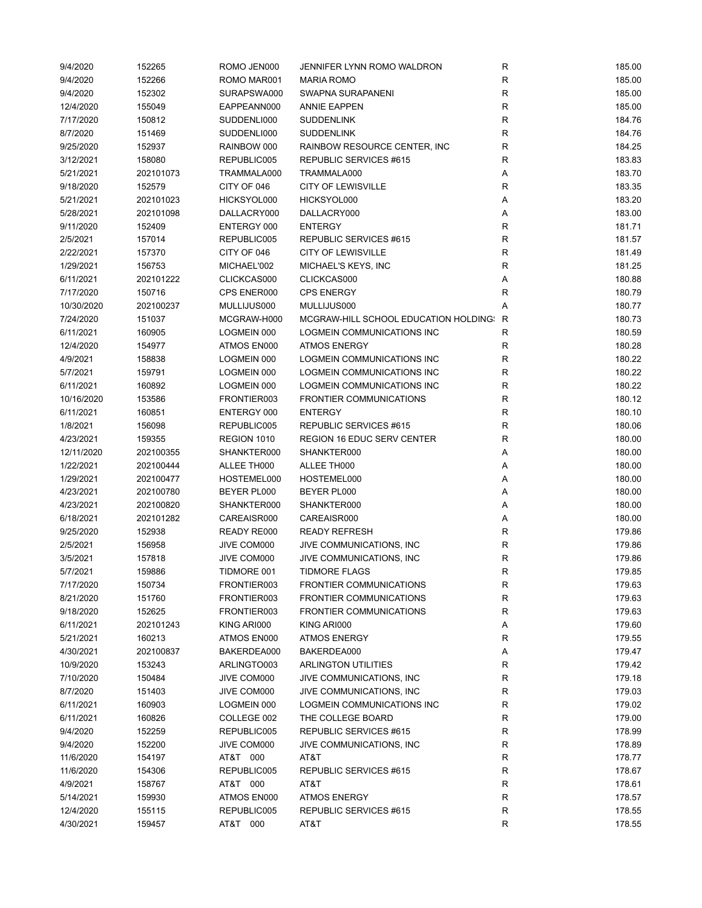| 9/4/2020   | 152265    | ROMO JEN000 | JENNIFER LYNN ROMO WALDRON            | R            | 185.00 |
|------------|-----------|-------------|---------------------------------------|--------------|--------|
| 9/4/2020   | 152266    | ROMO MAR001 | <b>MARIA ROMO</b>                     | $\mathsf R$  | 185.00 |
| 9/4/2020   | 152302    | SURAPSWA000 | SWAPNA SURAPANENI                     | $\mathsf R$  | 185.00 |
| 12/4/2020  | 155049    | EAPPEANN000 | <b>ANNIE EAPPEN</b>                   | R            | 185.00 |
| 7/17/2020  | 150812    | SUDDENLI000 | <b>SUDDENLINK</b>                     | $\mathsf R$  | 184.76 |
| 8/7/2020   | 151469    | SUDDENLI000 | <b>SUDDENLINK</b>                     | $\mathsf{R}$ | 184.76 |
| 9/25/2020  | 152937    | RAINBOW 000 | RAINBOW RESOURCE CENTER, INC.         | R            | 184.25 |
| 3/12/2021  | 158080    | REPUBLIC005 | REPUBLIC SERVICES #615                | R            | 183.83 |
| 5/21/2021  | 202101073 | TRAMMALA000 | TRAMMALA000                           | Α            | 183.70 |
| 9/18/2020  | 152579    | CITY OF 046 | <b>CITY OF LEWISVILLE</b>             | $\mathsf{R}$ | 183.35 |
| 5/21/2021  | 202101023 | HICKSYOL000 | HICKSYOL000                           | Α            | 183.20 |
| 5/28/2021  | 202101098 | DALLACRY000 | DALLACRY000                           | Α            | 183.00 |
| 9/11/2020  | 152409    | ENTERGY 000 | <b>ENTERGY</b>                        | ${\sf R}$    | 181.71 |
| 2/5/2021   | 157014    | REPUBLIC005 | REPUBLIC SERVICES #615                | $\mathsf{R}$ | 181.57 |
| 2/22/2021  | 157370    | CITY OF 046 | <b>CITY OF LEWISVILLE</b>             | $\mathsf R$  | 181.49 |
| 1/29/2021  | 156753    | MICHAEL'002 | MICHAEL'S KEYS, INC                   | $\mathsf{R}$ | 181.25 |
| 6/11/2021  | 202101222 | CLICKCAS000 | CLICKCAS000                           | Α            | 180.88 |
| 7/17/2020  | 150716    | CPS ENER000 | <b>CPS ENERGY</b>                     | $\mathsf{R}$ | 180.79 |
| 10/30/2020 | 202100237 | MULLIJUS000 | MULLIJUS000                           | Α            | 180.77 |
| 7/24/2020  | 151037    | MCGRAW-H000 | MCGRAW-HILL SCHOOL EDUCATION HOLDING: | R            | 180.73 |
| 6/11/2021  | 160905    | LOGMEIN 000 | LOGMEIN COMMUNICATIONS INC            | R            | 180.59 |
| 12/4/2020  | 154977    | ATMOS EN000 | <b>ATMOS ENERGY</b>                   | R            | 180.28 |
| 4/9/2021   | 158838    | LOGMEIN 000 | LOGMEIN COMMUNICATIONS INC            | R            | 180.22 |
| 5/7/2021   | 159791    | LOGMEIN 000 | LOGMEIN COMMUNICATIONS INC            | $\mathsf{R}$ | 180.22 |
| 6/11/2021  | 160892    | LOGMEIN 000 | LOGMEIN COMMUNICATIONS INC            | $\mathsf{R}$ | 180.22 |
| 10/16/2020 | 153586    | FRONTIER003 | <b>FRONTIER COMMUNICATIONS</b>        | $\mathsf{R}$ | 180.12 |
| 6/11/2021  | 160851    | ENTERGY 000 | <b>ENTERGY</b>                        | ${\sf R}$    | 180.10 |
| 1/8/2021   | 156098    | REPUBLIC005 | REPUBLIC SERVICES #615                | $\mathsf R$  | 180.06 |
| 4/23/2021  | 159355    | REGION 1010 | <b>REGION 16 EDUC SERV CENTER</b>     | $\mathsf R$  | 180.00 |
| 12/11/2020 | 202100355 | SHANKTER000 | SHANKTER000                           | Α            | 180.00 |
| 1/22/2021  | 202100444 | ALLEE TH000 | ALLEE TH000                           | Α            | 180.00 |
| 1/29/2021  | 202100477 | HOSTEMEL000 | HOSTEMEL000                           | Α            | 180.00 |
| 4/23/2021  | 202100780 | BEYER PL000 | BEYER PL000                           | Α            | 180.00 |
| 4/23/2021  | 202100820 | SHANKTER000 | SHANKTER000                           | Α            | 180.00 |
| 6/18/2021  | 202101282 | CAREAISR000 | CAREAISR000                           | Α            | 180.00 |
| 9/25/2020  | 152938    | READY RE000 | <b>READY REFRESH</b>                  | R            | 179.86 |
| 2/5/2021   | 156958    | JIVE COM000 | JIVE COMMUNICATIONS, INC              | R            | 179.86 |
| 3/5/2021   | 157818    | JIVE COM000 | JIVE COMMUNICATIONS, INC              | $\mathsf{R}$ | 179.86 |
| 5/7/2021   | 159886    | TIDMORE 001 | TIDMORE FLAGS                         | R            | 179.85 |
| 7/17/2020  | 150734    | FRONTIER003 | <b>FRONTIER COMMUNICATIONS</b>        | R            | 179.63 |
| 8/21/2020  | 151760    | FRONTIER003 | <b>FRONTIER COMMUNICATIONS</b>        | ${\sf R}$    | 179.63 |
| 9/18/2020  | 152625    | FRONTIER003 | FRONTIER COMMUNICATIONS               | $\mathsf{R}$ | 179.63 |
| 6/11/2021  | 202101243 | KING ARI000 | KING ARI000                           | Α            | 179.60 |
| 5/21/2021  | 160213    | ATMOS EN000 | <b>ATMOS ENERGY</b>                   | R            | 179.55 |
| 4/30/2021  | 202100837 | BAKERDEA000 | BAKERDEA000                           | Α            | 179.47 |
| 10/9/2020  | 153243    | ARLINGTO003 | <b>ARLINGTON UTILITIES</b>            | R            | 179.42 |
| 7/10/2020  | 150484    | JIVE COM000 | JIVE COMMUNICATIONS, INC              | R            | 179.18 |
| 8/7/2020   | 151403    | JIVE COM000 | JIVE COMMUNICATIONS, INC.             | R            | 179.03 |
| 6/11/2021  | 160903    | LOGMEIN 000 | LOGMEIN COMMUNICATIONS INC            | $\mathsf{R}$ | 179.02 |
| 6/11/2021  | 160826    | COLLEGE 002 | THE COLLEGE BOARD                     | R            | 179.00 |
| 9/4/2020   | 152259    | REPUBLIC005 | REPUBLIC SERVICES #615                | R            | 178.99 |
| 9/4/2020   | 152200    | JIVE COM000 | JIVE COMMUNICATIONS, INC              | R            | 178.89 |
| 11/6/2020  | 154197    | AT&T 000    | AT&T                                  | R            | 178.77 |
| 11/6/2020  | 154306    | REPUBLIC005 | REPUBLIC SERVICES #615                | R            | 178.67 |
| 4/9/2021   | 158767    | AT&T 000    | AT&T                                  | $\mathsf{R}$ | 178.61 |
| 5/14/2021  | 159930    | ATMOS EN000 | <b>ATMOS ENERGY</b>                   | $\mathsf{R}$ | 178.57 |
| 12/4/2020  | 155115    | REPUBLIC005 | REPUBLIC SERVICES #615                | ${\sf R}$    | 178.55 |
| 4/30/2021  | 159457    | AT&T 000    | AT&T                                  | $\mathsf{R}$ | 178.55 |
|            |           |             |                                       |              |        |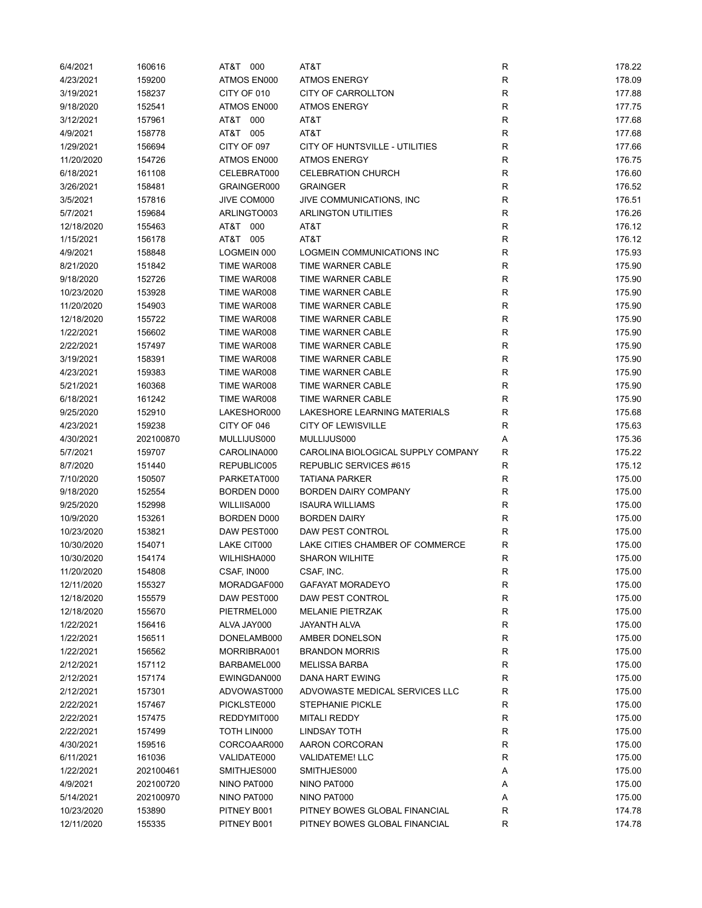| 6/4/2021   | 160616    | AT&T 000           | AT&T                               | R            | 178.22 |
|------------|-----------|--------------------|------------------------------------|--------------|--------|
| 4/23/2021  | 159200    | ATMOS EN000        | <b>ATMOS ENERGY</b>                | R            | 178.09 |
| 3/19/2021  | 158237    | CITY OF 010        | <b>CITY OF CARROLLTON</b>          | $\mathsf R$  | 177.88 |
| 9/18/2020  | 152541    | ATMOS EN000        | <b>ATMOS ENERGY</b>                | $\mathsf R$  | 177.75 |
| 3/12/2021  | 157961    | AT&T<br>000        | AT&T                               | $\mathsf R$  | 177.68 |
| 4/9/2021   | 158778    | AT&T 005           | AT&T                               | $\mathsf R$  | 177.68 |
| 1/29/2021  | 156694    | CITY OF 097        | CITY OF HUNTSVILLE - UTILITIES     | R            | 177.66 |
| 11/20/2020 | 154726    | ATMOS EN000        | <b>ATMOS ENERGY</b>                | R            | 176.75 |
| 6/18/2021  | 161108    | CELEBRAT000        | <b>CELEBRATION CHURCH</b>          | $\mathsf R$  | 176.60 |
| 3/26/2021  | 158481    | GRAINGER000        | <b>GRAINGER</b>                    | R            | 176.52 |
| 3/5/2021   | 157816    | JIVE COM000        | JIVE COMMUNICATIONS, INC           | $\mathsf R$  | 176.51 |
| 5/7/2021   | 159684    | ARLINGTO003        | <b>ARLINGTON UTILITIES</b>         | $\mathsf R$  | 176.26 |
| 12/18/2020 | 155463    | 000<br>AT&T        | AT&T                               | ${\sf R}$    | 176.12 |
| 1/15/2021  | 156178    | AT&T 005           | AT&T                               | $\mathsf R$  | 176.12 |
| 4/9/2021   | 158848    | LOGMEIN 000        | LOGMEIN COMMUNICATIONS INC         | $\mathsf R$  | 175.93 |
| 8/21/2020  | 151842    | TIME WAR008        | TIME WARNER CABLE                  | $\mathsf R$  | 175.90 |
| 9/18/2020  | 152726    | TIME WAR008        | TIME WARNER CABLE                  | R            | 175.90 |
| 10/23/2020 | 153928    | TIME WAR008        | TIME WARNER CABLE                  | R            | 175.90 |
| 11/20/2020 | 154903    | TIME WAR008        | TIME WARNER CABLE                  | $\mathsf R$  | 175.90 |
| 12/18/2020 | 155722    | TIME WAR008        | TIME WARNER CABLE                  | $\mathsf R$  | 175.90 |
| 1/22/2021  | 156602    | TIME WAR008        | TIME WARNER CABLE                  | R            | 175.90 |
| 2/22/2021  | 157497    | TIME WAR008        | TIME WARNER CABLE                  | R            | 175.90 |
| 3/19/2021  | 158391    | TIME WAR008        | TIME WARNER CABLE                  | R            | 175.90 |
| 4/23/2021  | 159383    | TIME WAR008        | TIME WARNER CABLE                  | $\mathsf R$  | 175.90 |
| 5/21/2021  | 160368    | TIME WAR008        | TIME WARNER CABLE                  | $\mathsf R$  | 175.90 |
| 6/18/2021  | 161242    | TIME WAR008        | TIME WARNER CABLE                  | $\mathsf R$  | 175.90 |
| 9/25/2020  | 152910    | LAKESHOR000        | LAKESHORE LEARNING MATERIALS       | $\mathsf{R}$ | 175.68 |
| 4/23/2021  | 159238    | CITY OF 046        | <b>CITY OF LEWISVILLE</b>          | R            | 175.63 |
|            |           |                    | MULLIJUS000                        |              |        |
| 4/30/2021  | 202100870 | MULLIJUS000        |                                    | Α            | 175.36 |
| 5/7/2021   | 159707    | CAROLINA000        | CAROLINA BIOLOGICAL SUPPLY COMPANY | R            | 175.22 |
| 8/7/2020   | 151440    | REPUBLIC005        | REPUBLIC SERVICES #615             | $\mathsf R$  | 175.12 |
| 7/10/2020  | 150507    | PARKETAT000        | <b>TATIANA PARKER</b>              | $\mathsf R$  | 175.00 |
| 9/18/2020  | 152554    | <b>BORDEN D000</b> | <b>BORDEN DAIRY COMPANY</b>        | $\mathsf R$  | 175.00 |
| 9/25/2020  | 152998    | WILLIISA000        | <b>ISAURA WILLIAMS</b>             | $\mathsf R$  | 175.00 |
| 10/9/2020  | 153261    | BORDEN D000        | <b>BORDEN DAIRY</b>                | $\mathsf R$  | 175.00 |
| 10/23/2020 | 153821    | DAW PEST000        | DAW PEST CONTROL                   | R            | 175.00 |
| 10/30/2020 | 154071    | LAKE CIT000        | LAKE CITIES CHAMBER OF COMMERCE    | R            | 175.00 |
| 10/30/2020 | 154174    | WILHISHA000        | <b>SHARON WILHITE</b>              | R            | 175.00 |
| 11/20/2020 | 154808    | CSAF, IN000        | CSAF, INC.                         | R            | 175.00 |
| 12/11/2020 | 155327    | MORADGAF000        | <b>GAFAYAT MORADEYO</b>            | R            | 175.00 |
| 12/18/2020 | 155579    | DAW PEST000        | DAW PEST CONTROL                   | R            | 175.00 |
| 12/18/2020 | 155670    | PIETRMEL000        | MELANIE PIETRZAK                   | $\mathsf R$  | 175.00 |
| 1/22/2021  | 156416    | ALVA JAY000        | JAYANTH ALVA                       | R            | 175.00 |
| 1/22/2021  | 156511    | DONELAMB000        | AMBER DONELSON                     | R            | 175.00 |
| 1/22/2021  | 156562    | MORRIBRA001        | <b>BRANDON MORRIS</b>              | R            | 175.00 |
| 2/12/2021  | 157112    | BARBAMEL000        | <b>MELISSA BARBA</b>               | R            | 175.00 |
| 2/12/2021  | 157174    | EWINGDAN000        | DANA HART EWING                    | R            | 175.00 |
| 2/12/2021  | 157301    | ADVOWAST000        | ADVOWASTE MEDICAL SERVICES LLC     | $\mathsf R$  | 175.00 |
| 2/22/2021  | 157467    | PICKLSTE000        | <b>STEPHANIE PICKLE</b>            | $\mathsf R$  | 175.00 |
| 2/22/2021  | 157475    | REDDYMIT000        | <b>MITALI REDDY</b>                | R            | 175.00 |
| 2/22/2021  | 157499    | TOTH LIN000        | <b>LINDSAY TOTH</b>                | R            | 175.00 |
| 4/30/2021  | 159516    | CORCOAAR000        | AARON CORCORAN                     | R            | 175.00 |
| 6/11/2021  | 161036    | VALIDATE000        | <b>VALIDATEME! LLC</b>             | R            | 175.00 |
| 1/22/2021  | 202100461 | SMITHJES000        | SMITHJES000                        | Α            | 175.00 |
| 4/9/2021   | 202100720 | NINO PAT000        | NINO PAT000                        | Α            | 175.00 |
| 5/14/2021  | 202100970 | NINO PAT000        | NINO PAT000                        | А            | 175.00 |
| 10/23/2020 | 153890    | PITNEY B001        | PITNEY BOWES GLOBAL FINANCIAL      | R            | 174.78 |
| 12/11/2020 | 155335    | PITNEY B001        | PITNEY BOWES GLOBAL FINANCIAL      | R            | 174.78 |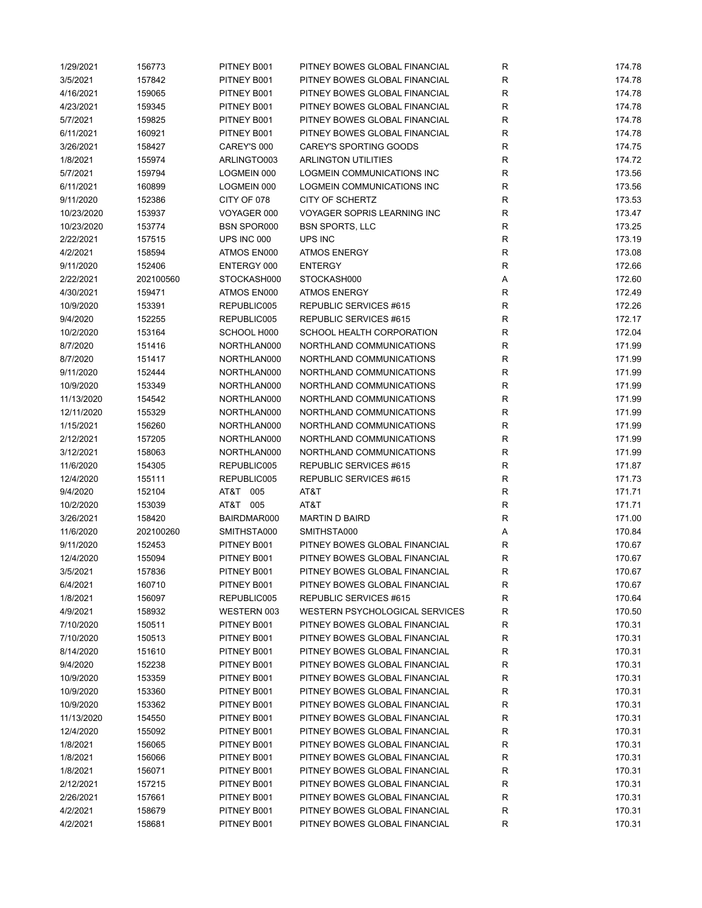| 1/29/2021             | 156773           | PITNEY B001        | PITNEY BOWES GLOBAL FINANCIAL                                  | R           | 174.78 |
|-----------------------|------------------|--------------------|----------------------------------------------------------------|-------------|--------|
| 3/5/2021              | 157842           | PITNEY B001        | PITNEY BOWES GLOBAL FINANCIAL                                  | R           | 174.78 |
| 4/16/2021             | 159065           | PITNEY B001        | PITNEY BOWES GLOBAL FINANCIAL                                  | $\mathsf R$ | 174.78 |
| 4/23/2021             | 159345           | PITNEY B001        | PITNEY BOWES GLOBAL FINANCIAL                                  | $\mathsf R$ | 174.78 |
| 5/7/2021              | 159825           | PITNEY B001        | PITNEY BOWES GLOBAL FINANCIAL                                  | R           | 174.78 |
| 6/11/2021             | 160921           | PITNEY B001        | PITNEY BOWES GLOBAL FINANCIAL                                  | R           | 174.78 |
| 3/26/2021             | 158427           | CAREY'S 000        | CAREY'S SPORTING GOODS                                         | $\mathsf R$ | 174.75 |
| 1/8/2021              | 155974           | ARLINGTO003        | <b>ARLINGTON UTILITIES</b>                                     | $\mathsf R$ | 174.72 |
| 5/7/2021              | 159794           | LOGMEIN 000        | LOGMEIN COMMUNICATIONS INC                                     | $\mathsf R$ | 173.56 |
| 6/11/2021             | 160899           | LOGMEIN 000        | LOGMEIN COMMUNICATIONS INC                                     | $\mathsf R$ | 173.56 |
| 9/11/2020             | 152386           | CITY OF 078        | CITY OF SCHERTZ                                                | ${\sf R}$   | 173.53 |
| 10/23/2020            | 153937           | VOYAGER 000        | <b>VOYAGER SOPRIS LEARNING INC</b>                             | $\mathsf R$ | 173.47 |
| 10/23/2020            | 153774           | <b>BSN SPOR000</b> | <b>BSN SPORTS, LLC</b>                                         | $\mathsf R$ | 173.25 |
| 2/22/2021             | 157515           | UPS INC 000        | UPS INC                                                        | $\mathsf R$ | 173.19 |
| 4/2/2021              | 158594           | ATMOS EN000        | <b>ATMOS ENERGY</b>                                            | $\mathsf R$ | 173.08 |
| 9/11/2020             | 152406           | ENTERGY 000        | <b>ENTERGY</b>                                                 | R           | 172.66 |
| 2/22/2021             | 202100560        | STOCKASH000        | STOCKASH000                                                    | Α           | 172.60 |
| 4/30/2021             | 159471           | ATMOS EN000        | <b>ATMOS ENERGY</b>                                            | R           | 172.49 |
| 10/9/2020             | 153391           | REPUBLIC005        | REPUBLIC SERVICES #615                                         | $\mathsf R$ | 172.26 |
| 9/4/2020              | 152255           | REPUBLIC005        | REPUBLIC SERVICES #615                                         | R           | 172.17 |
| 10/2/2020             | 153164           | SCHOOL H000        | SCHOOL HEALTH CORPORATION                                      | R           | 172.04 |
| 8/7/2020              | 151416           | NORTHLAN000        | NORTHLAND COMMUNICATIONS                                       | $\mathsf R$ | 171.99 |
| 8/7/2020              | 151417           | NORTHLAN000        | NORTHLAND COMMUNICATIONS                                       | $\mathsf R$ | 171.99 |
| 9/11/2020             | 152444           | NORTHLAN000        | NORTHLAND COMMUNICATIONS                                       | $\mathsf R$ | 171.99 |
| 10/9/2020             | 153349           | NORTHLAN000        | NORTHLAND COMMUNICATIONS                                       | $\mathsf R$ | 171.99 |
| 11/13/2020            | 154542           | NORTHLAN000        | NORTHLAND COMMUNICATIONS                                       | $\mathsf R$ | 171.99 |
| 12/11/2020            | 155329           | NORTHLAN000        | NORTHLAND COMMUNICATIONS                                       | R           | 171.99 |
| 1/15/2021             | 156260           | NORTHLAN000        | NORTHLAND COMMUNICATIONS                                       | $\mathsf R$ | 171.99 |
| 2/12/2021             | 157205           | NORTHLAN000        | NORTHLAND COMMUNICATIONS                                       | $\mathsf R$ | 171.99 |
| 3/12/2021             | 158063           | NORTHLAN000        | NORTHLAND COMMUNICATIONS                                       | $\mathsf R$ | 171.99 |
| 11/6/2020             | 154305           | REPUBLIC005        | REPUBLIC SERVICES #615                                         | $\mathsf R$ | 171.87 |
| 12/4/2020             | 155111           | REPUBLIC005        | REPUBLIC SERVICES #615                                         | R           | 171.73 |
| 9/4/2020              | 152104           | AT&T 005           | AT&T                                                           | R           | 171.71 |
| 10/2/2020             | 153039           | AT&T 005           | AT&T                                                           | R           | 171.71 |
| 3/26/2021             | 158420           | BAIRDMAR000        | <b>MARTIN D BAIRD</b>                                          | R           | 171.00 |
| 11/6/2020             | 202100260        | SMITHSTA000        | SMITHSTA000                                                    | Α           | 170.84 |
| 9/11/2020             | 152453           | PITNEY B001        | PITNEY BOWES GLOBAL FINANCIAL                                  | R           | 170.67 |
| 12/4/2020             | 155094           | PITNEY B001        | PITNEY BOWES GLOBAL FINANCIAL                                  | $\mathsf R$ | 170.67 |
| 3/5/2021              | 157836           | PITNEY B001        | PITNEY BOWES GLOBAL FINANCIAL                                  | R           | 170.67 |
| 6/4/2021              | 160710           | PITNEY B001        | PITNEY BOWES GLOBAL FINANCIAL                                  | R           | 170.67 |
| 1/8/2021              | 156097           | REPUBLIC005        | REPUBLIC SERVICES #615                                         | R           | 170.64 |
| 4/9/2021              | 158932           | WESTERN 003        | WESTERN PSYCHOLOGICAL SERVICES                                 | R           | 170.50 |
| 7/10/2020             |                  | PITNEY B001        | PITNEY BOWES GLOBAL FINANCIAL                                  | R           | 170.31 |
| 7/10/2020             | 150511<br>150513 | PITNEY B001        | PITNEY BOWES GLOBAL FINANCIAL                                  | R           | 170.31 |
|                       |                  | PITNEY B001        | PITNEY BOWES GLOBAL FINANCIAL                                  |             | 170.31 |
| 8/14/2020<br>9/4/2020 | 151610<br>152238 | PITNEY B001        | PITNEY BOWES GLOBAL FINANCIAL                                  | R<br>R      | 170.31 |
|                       |                  |                    | PITNEY BOWES GLOBAL FINANCIAL                                  |             |        |
| 10/9/2020             | 153359           | PITNEY B001        |                                                                | R           | 170.31 |
| 10/9/2020             | 153360           | PITNEY B001        | PITNEY BOWES GLOBAL FINANCIAL                                  | R           | 170.31 |
| 10/9/2020             | 153362           | PITNEY B001        | PITNEY BOWES GLOBAL FINANCIAL                                  | R           | 170.31 |
| 11/13/2020            | 154550           | PITNEY B001        | PITNEY BOWES GLOBAL FINANCIAL<br>PITNEY BOWES GLOBAL FINANCIAL | R           | 170.31 |
| 12/4/2020             | 155092           | PITNEY B001        |                                                                | R           | 170.31 |
| 1/8/2021              | 156065           | PITNEY B001        | PITNEY BOWES GLOBAL FINANCIAL                                  | R           | 170.31 |
| 1/8/2021              | 156066           | PITNEY B001        | PITNEY BOWES GLOBAL FINANCIAL                                  | R           | 170.31 |
| 1/8/2021              | 156071           | PITNEY B001        | PITNEY BOWES GLOBAL FINANCIAL                                  | R           | 170.31 |
| 2/12/2021             | 157215           | PITNEY B001        | PITNEY BOWES GLOBAL FINANCIAL                                  | R           | 170.31 |
| 2/26/2021             | 157661           | PITNEY B001        | PITNEY BOWES GLOBAL FINANCIAL                                  | R           | 170.31 |
| 4/2/2021              | 158679           | PITNEY B001        | PITNEY BOWES GLOBAL FINANCIAL                                  | R           | 170.31 |
| 4/2/2021              | 158681           | PITNEY B001        | PITNEY BOWES GLOBAL FINANCIAL                                  | R           | 170.31 |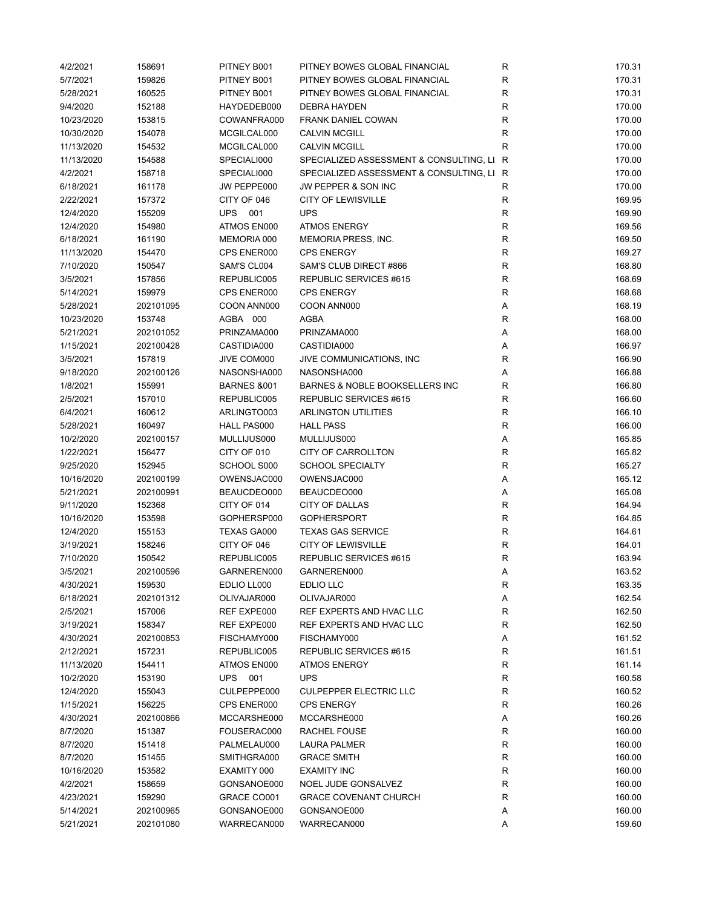| 4/2/2021   | 158691    | PITNEY B001            | PITNEY BOWES GLOBAL FINANCIAL             | R            | 170.31 |
|------------|-----------|------------------------|-------------------------------------------|--------------|--------|
| 5/7/2021   | 159826    | PITNEY B001            | PITNEY BOWES GLOBAL FINANCIAL             | R            | 170.31 |
| 5/28/2021  | 160525    | PITNEY B001            | PITNEY BOWES GLOBAL FINANCIAL             | $\mathsf R$  | 170.31 |
| 9/4/2020   | 152188    | HAYDEDEB000            | <b>DEBRA HAYDEN</b>                       | R            | 170.00 |
| 10/23/2020 | 153815    | COWANFRA000            | <b>FRANK DANIEL COWAN</b>                 | R            | 170.00 |
| 10/30/2020 | 154078    | MCGILCAL000            | <b>CALVIN MCGILL</b>                      | $\mathsf R$  | 170.00 |
| 11/13/2020 | 154532    | MCGILCAL000            | <b>CALVIN MCGILL</b>                      | R            | 170.00 |
| 11/13/2020 | 154588    | SPECIALI000            | SPECIALIZED ASSESSMENT & CONSULTING, LI   | R            | 170.00 |
| 4/2/2021   | 158718    | SPECIALI000            | SPECIALIZED ASSESSMENT & CONSULTING, LI R |              | 170.00 |
| 6/18/2021  | 161178    | JW PEPPE000            | JW PEPPER & SON INC                       | R            | 170.00 |
| 2/22/2021  | 157372    | CITY OF 046            | <b>CITY OF LEWISVILLE</b>                 | $\mathsf R$  | 169.95 |
| 12/4/2020  | 155209    | UPS<br>001             | <b>UPS</b>                                | R            | 169.90 |
| 12/4/2020  | 154980    | ATMOS EN000            | <b>ATMOS ENERGY</b>                       | $\mathsf R$  | 169.56 |
| 6/18/2021  | 161190    | MEMORIA 000            | MEMORIA PRESS, INC.                       | $\mathsf R$  | 169.50 |
| 11/13/2020 | 154470    | CPS ENER000            | <b>CPS ENERGY</b>                         | $\mathsf R$  | 169.27 |
| 7/10/2020  | 150547    | SAM'S CL004            | SAM'S CLUB DIRECT #866                    | $\mathsf R$  | 168.80 |
| 3/5/2021   | 157856    | REPUBLIC005            | REPUBLIC SERVICES #615                    | $\mathsf R$  | 168.69 |
|            | 159979    | CPS ENER000            | <b>CPS ENERGY</b>                         |              | 168.68 |
| 5/14/2021  |           |                        |                                           | R            |        |
| 5/28/2021  | 202101095 | COON ANN000            | COON ANN000                               | Α            | 168.19 |
| 10/23/2020 | 153748    | AGBA 000               | AGBA                                      | R            | 168.00 |
| 5/21/2021  | 202101052 | PRINZAMA000            | PRINZAMA000                               | Α            | 168.00 |
| 1/15/2021  | 202100428 | CASTIDIA000            | CASTIDIA000                               | Α            | 166.97 |
| 3/5/2021   | 157819    | JIVE COM000            | JIVE COMMUNICATIONS, INC                  | $\mathsf R$  | 166.90 |
| 9/18/2020  | 202100126 | NASONSHA000            | NASONSHA000                               | Α            | 166.88 |
| 1/8/2021   | 155991    | <b>BARNES &amp;001</b> | BARNES & NOBLE BOOKSELLERS INC            | $\mathsf R$  | 166.80 |
| 2/5/2021   | 157010    | REPUBLIC005            | REPUBLIC SERVICES #615                    | $\mathsf R$  | 166.60 |
| 6/4/2021   | 160612    | ARLINGTO003            | <b>ARLINGTON UTILITIES</b>                | R            | 166.10 |
| 5/28/2021  | 160497    | HALL PAS000            | <b>HALL PASS</b>                          | $\mathsf R$  | 166.00 |
| 10/2/2020  | 202100157 | MULLIJUS000            | MULLIJUS000                               | Α            | 165.85 |
| 1/22/2021  | 156477    | CITY OF 010            | CITY OF CARROLLTON                        | R            | 165.82 |
| 9/25/2020  | 152945    | SCHOOL S000            | <b>SCHOOL SPECIALTY</b>                   | $\mathsf R$  | 165.27 |
| 10/16/2020 | 202100199 | OWENSJAC000            | OWENSJAC000                               | Α            | 165.12 |
| 5/21/2021  | 202100991 | BEAUCDEO000            | BEAUCDEO000                               | Α            | 165.08 |
| 9/11/2020  | 152368    | CITY OF 014            | CITY OF DALLAS                            | R            | 164.94 |
| 10/16/2020 | 153598    | GOPHERSP000            | <b>GOPHERSPORT</b>                        | R            | 164.85 |
| 12/4/2020  | 155153    | TEXAS GA000            | <b>TEXAS GAS SERVICE</b>                  | $\mathsf R$  | 164.61 |
| 3/19/2021  | 158246    | CITY OF 046            | <b>CITY OF LEWISVILLE</b>                 | $\mathsf{R}$ | 164.01 |
| 7/10/2020  | 150542    | REPUBLIC005            | <b>REPUBLIC SERVICES #615</b>             | ${\sf R}$    | 163.94 |
| 3/5/2021   | 202100596 | GARNEREN000            | GARNEREN000                               | Α            | 163.52 |
| 4/30/2021  | 159530    | EDLIO LL000            | EDLIO LLC                                 | R            | 163.35 |
| 6/18/2021  | 202101312 | OLIVAJAR000            | OLIVAJAR000                               | Α            | 162.54 |
| 2/5/2021   | 157006    | REF EXPE000            | REF EXPERTS AND HVAC LLC                  | R            | 162.50 |
| 3/19/2021  | 158347    | REF EXPE000            | REF EXPERTS AND HVAC LLC                  | R            | 162.50 |
| 4/30/2021  | 202100853 | FISCHAMY000            | FISCHAMY000                               | Α            | 161.52 |
| 2/12/2021  | 157231    | REPUBLIC005            | REPUBLIC SERVICES #615                    | R            | 161.51 |
|            |           |                        |                                           |              |        |
| 11/13/2020 | 154411    | ATMOS EN000            | <b>ATMOS ENERGY</b>                       | R            | 161.14 |
| 10/2/2020  | 153190    | UPS<br>001             | <b>UPS</b>                                | R            | 160.58 |
| 12/4/2020  | 155043    | CULPEPPE000            | <b>CULPEPPER ELECTRIC LLC</b>             | R            | 160.52 |
| 1/15/2021  | 156225    | CPS ENER000            | <b>CPS ENERGY</b>                         | R            | 160.26 |
| 4/30/2021  | 202100866 | MCCARSHE000            | MCCARSHE000                               | Α            | 160.26 |
| 8/7/2020   | 151387    | FOUSERAC000            | RACHEL FOUSE                              | R            | 160.00 |
| 8/7/2020   | 151418    | PALMELAU000            | LAURA PALMER                              | R            | 160.00 |
| 8/7/2020   | 151455    | SMITHGRA000            | <b>GRACE SMITH</b>                        | ${\sf R}$    | 160.00 |
| 10/16/2020 | 153582    | EXAMITY 000            | <b>EXAMITY INC</b>                        | $\mathsf{R}$ | 160.00 |
| 4/2/2021   | 158659    | GONSANOE000            | NOEL JUDE GONSALVEZ                       | $\mathsf R$  | 160.00 |
| 4/23/2021  | 159290    | GRACE CO001            | <b>GRACE COVENANT CHURCH</b>              | R            | 160.00 |
| 5/14/2021  | 202100965 | GONSANOE000            | GONSANOE000                               | А            | 160.00 |
| 5/21/2021  | 202101080 | WARRECAN000            | WARRECAN000                               | Α            | 159.60 |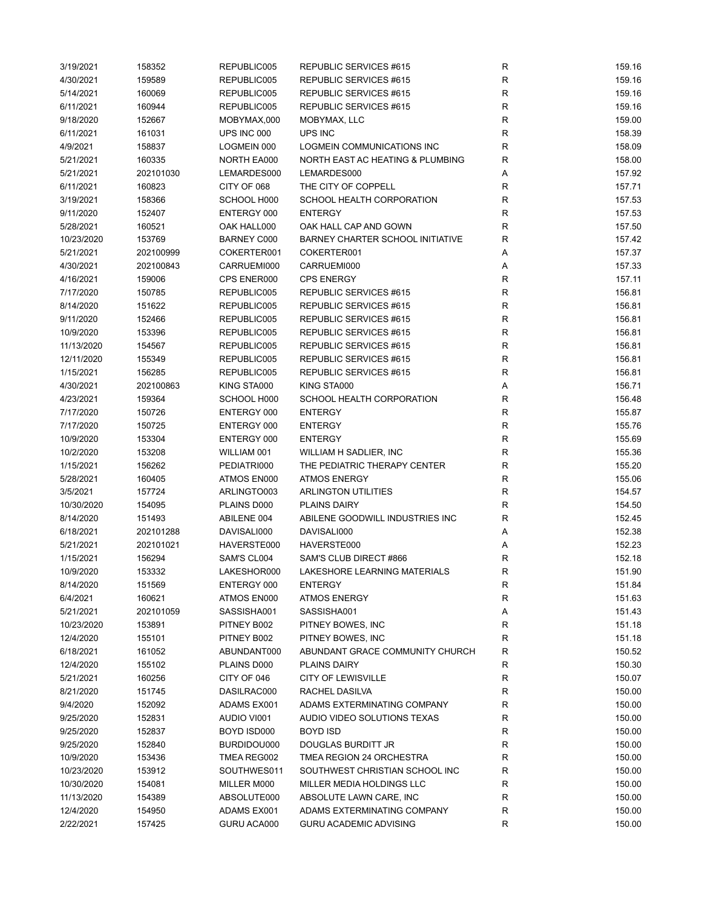| 3/19/2021  | 158352    | REPUBLIC005        | REPUBLIC SERVICES #615            | R            | 159.16 |
|------------|-----------|--------------------|-----------------------------------|--------------|--------|
| 4/30/2021  | 159589    | REPUBLIC005        | REPUBLIC SERVICES #615            | R            | 159.16 |
| 5/14/2021  | 160069    | REPUBLIC005        | REPUBLIC SERVICES #615            | $\mathsf R$  | 159.16 |
| 6/11/2021  | 160944    | REPUBLIC005        | REPUBLIC SERVICES #615            | R            | 159.16 |
| 9/18/2020  | 152667    | MOBYMAX,000        | MOBYMAX, LLC                      | $\mathsf R$  | 159.00 |
| 6/11/2021  | 161031    | UPS INC 000        | UPS INC                           | $\mathsf R$  | 158.39 |
| 4/9/2021   | 158837    | LOGMEIN 000        | <b>LOGMEIN COMMUNICATIONS INC</b> | $\mathsf R$  | 158.09 |
| 5/21/2021  | 160335    | NORTH EA000        | NORTH EAST AC HEATING & PLUMBING  | $\mathsf R$  | 158.00 |
| 5/21/2021  | 202101030 | LEMARDES000        | LEMARDES000                       | Α            | 157.92 |
| 6/11/2021  | 160823    | CITY OF 068        | THE CITY OF COPPELL               | $\mathsf R$  | 157.71 |
| 3/19/2021  | 158366    | SCHOOL H000        | SCHOOL HEALTH CORPORATION         | R            | 157.53 |
| 9/11/2020  | 152407    | ENTERGY 000        | <b>ENTERGY</b>                    | R            | 157.53 |
| 5/28/2021  | 160521    | OAK HALL000        | OAK HALL CAP AND GOWN             | $\mathsf R$  | 157.50 |
| 10/23/2020 | 153769    | <b>BARNEY C000</b> | BARNEY CHARTER SCHOOL INITIATIVE  | $\mathsf R$  | 157.42 |
| 5/21/2021  | 202100999 | COKERTER001        | COKERTER001                       | Α            | 157.37 |
| 4/30/2021  | 202100843 | CARRUEMI000        | CARRUEMI000                       | Α            | 157.33 |
| 4/16/2021  | 159006    | CPS ENER000        | <b>CPS ENERGY</b>                 | R            | 157.11 |
| 7/17/2020  | 150785    | REPUBLIC005        | REPUBLIC SERVICES #615            | R            | 156.81 |
| 8/14/2020  | 151622    | REPUBLIC005        | REPUBLIC SERVICES #615            | R            | 156.81 |
|            |           |                    |                                   | $\mathsf R$  |        |
| 9/11/2020  | 152466    | REPUBLIC005        | REPUBLIC SERVICES #615            |              | 156.81 |
| 10/9/2020  | 153396    | REPUBLIC005        | REPUBLIC SERVICES #615            | $\mathsf R$  | 156.81 |
| 11/13/2020 | 154567    | REPUBLIC005        | REPUBLIC SERVICES #615            | $\mathsf{R}$ | 156.81 |
| 12/11/2020 | 155349    | REPUBLIC005        | REPUBLIC SERVICES #615            | $\mathsf R$  | 156.81 |
| 1/15/2021  | 156285    | REPUBLIC005        | REPUBLIC SERVICES #615            | $\mathsf R$  | 156.81 |
| 4/30/2021  | 202100863 | KING STA000        | KING STA000                       | Α            | 156.71 |
| 4/23/2021  | 159364    | SCHOOL H000        | SCHOOL HEALTH CORPORATION         | R            | 156.48 |
| 7/17/2020  | 150726    | ENTERGY 000        | <b>ENTERGY</b>                    | $\mathsf R$  | 155.87 |
| 7/17/2020  | 150725    | ENTERGY 000        | <b>ENTERGY</b>                    | $\mathsf R$  | 155.76 |
| 10/9/2020  | 153304    | ENTERGY 000        | <b>ENTERGY</b>                    | $\mathsf R$  | 155.69 |
| 10/2/2020  | 153208    | WILLIAM 001        | WILLIAM H SADLIER, INC            | $\mathsf R$  | 155.36 |
| 1/15/2021  | 156262    | PEDIATRI000        | THE PEDIATRIC THERAPY CENTER      | $\mathsf R$  | 155.20 |
| 5/28/2021  | 160405    | ATMOS EN000        | <b>ATMOS ENERGY</b>               | R            | 155.06 |
| 3/5/2021   | 157724    | ARLINGTO003        | <b>ARLINGTON UTILITIES</b>        | R            | 154.57 |
| 10/30/2020 | 154095    | PLAINS D000        | <b>PLAINS DAIRY</b>               | R            | 154.50 |
| 8/14/2020  | 151493    | ABILENE 004        | ABILENE GOODWILL INDUSTRIES INC   | $\mathsf R$  | 152.45 |
| 6/18/2021  | 202101288 | DAVISALI000        | DAVISALI000                       | Α            | 152.38 |
| 5/21/2021  | 202101021 | HAVERSTE000        | HAVERSTE000                       | Α            | 152.23 |
| 1/15/2021  | 156294    | SAM'S CL004        | SAM'S CLUB DIRECT #866            | $\mathsf R$  | 152.18 |
| 10/9/2020  | 153332    | LAKESHOR000        | LAKESHORE LEARNING MATERIALS      | R            | 151.90 |
| 8/14/2020  | 151569    | ENTERGY 000        | <b>ENTERGY</b>                    | ${\sf R}$    | 151.84 |
| 6/4/2021   | 160621    | ATMOS EN000        | <b>ATMOS ENERGY</b>               | R            | 151.63 |
| 5/21/2021  | 202101059 | SASSISHA001        | SASSISHA001                       | Α            | 151.43 |
| 10/23/2020 | 153891    | PITNEY B002        | PITNEY BOWES, INC                 | R            | 151.18 |
| 12/4/2020  | 155101    | PITNEY B002        | PITNEY BOWES, INC                 | R            | 151.18 |
| 6/18/2021  | 161052    | ABUNDANT000        | ABUNDANT GRACE COMMUNITY CHURCH   | R            | 150.52 |
| 12/4/2020  | 155102    | PLAINS D000        | PLAINS DAIRY                      | R            | 150.30 |
| 5/21/2021  | 160256    | CITY OF 046        | <b>CITY OF LEWISVILLE</b>         | R            | 150.07 |
| 8/21/2020  | 151745    | DASILRAC000        | RACHEL DASILVA                    | R            | 150.00 |
|            |           | ADAMS EX001        | ADAMS EXTERMINATING COMPANY       |              |        |
| 9/4/2020   | 152092    |                    |                                   | R            | 150.00 |
| 9/25/2020  | 152831    | AUDIO VI001        | AUDIO VIDEO SOLUTIONS TEXAS       | R            | 150.00 |
| 9/25/2020  | 152837    | BOYD ISD000        | <b>BOYD ISD</b>                   | R            | 150.00 |
| 9/25/2020  | 152840    | BURDIDOU000        | DOUGLAS BURDITT JR                | $\mathsf R$  | 150.00 |
| 10/9/2020  | 153436    | TMEA REG002        | TMEA REGION 24 ORCHESTRA          | $\mathsf R$  | 150.00 |
| 10/23/2020 | 153912    | SOUTHWES011        | SOUTHWEST CHRISTIAN SCHOOL INC    | $\mathsf R$  | 150.00 |
| 10/30/2020 | 154081    | MILLER M000        | MILLER MEDIA HOLDINGS LLC         | R            | 150.00 |
| 11/13/2020 | 154389    | ABSOLUTE000        | ABSOLUTE LAWN CARE, INC           | R            | 150.00 |
| 12/4/2020  | 154950    | ADAMS EX001        | ADAMS EXTERMINATING COMPANY       | R            | 150.00 |
| 2/22/2021  | 157425    | GURU ACA000        | <b>GURU ACADEMIC ADVISING</b>     | $\mathsf R$  | 150.00 |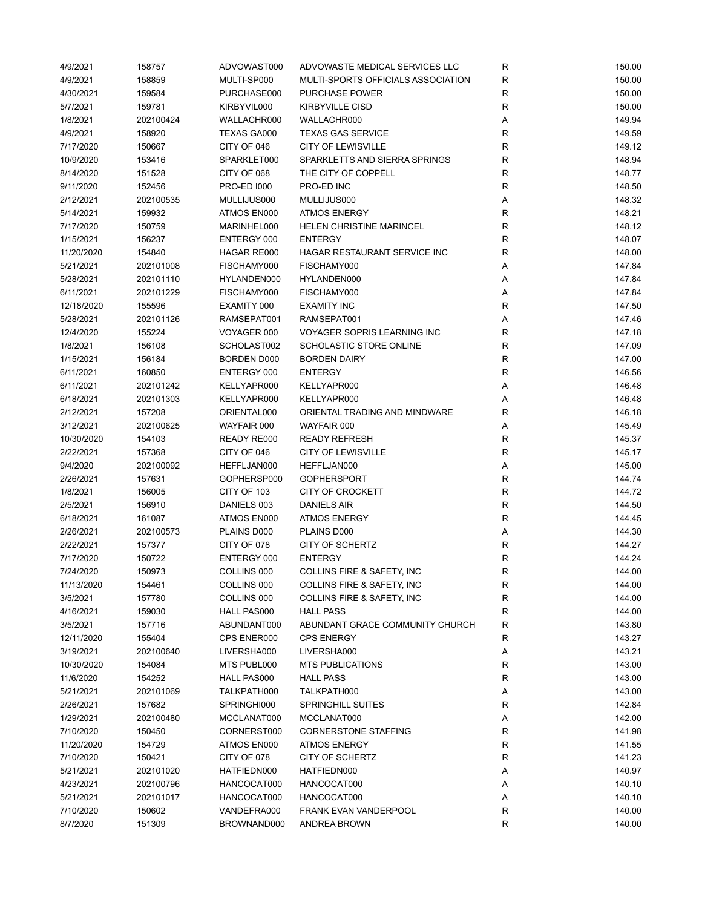| 4/9/2021               | 158757              | ADVOWAST000                | ADVOWASTE MEDICAL SERVICES LLC       | R                | 150.00           |
|------------------------|---------------------|----------------------------|--------------------------------------|------------------|------------------|
| 4/9/2021               | 158859              | MULTI-SP000                | MULTI-SPORTS OFFICIALS ASSOCIATION   | $\mathsf R$      | 150.00           |
| 4/30/2021              | 159584              | PURCHASE000                | <b>PURCHASE POWER</b>                | R                | 150.00           |
| 5/7/2021               | 159781              | KIRBYVIL000                | <b>KIRBYVILLE CISD</b>               | R                | 150.00           |
| 1/8/2021               | 202100424           | WALLACHR000                | WALLACHR000                          | Α                | 149.94           |
| 4/9/2021               | 158920              | TEXAS GA000                | <b>TEXAS GAS SERVICE</b>             | R                | 149.59           |
| 7/17/2020              | 150667              | CITY OF 046                | <b>CITY OF LEWISVILLE</b>            | R                | 149.12           |
| 10/9/2020              | 153416              | SPARKLET000                | SPARKLETTS AND SIERRA SPRINGS        | R                | 148.94           |
| 8/14/2020              | 151528              | CITY OF 068                | THE CITY OF COPPELL                  | $\mathsf R$      | 148.77           |
| 9/11/2020              | 152456              | <b>PRO-ED 1000</b>         | PRO-ED INC                           | R                | 148.50           |
| 2/12/2021              | 202100535           | MULLIJUS000                | MULLIJUS000                          | Α                | 148.32           |
| 5/14/2021              | 159932              | ATMOS EN000                | <b>ATMOS ENERGY</b>                  | $\mathsf R$      | 148.21           |
| 7/17/2020              | 150759              | MARINHEL000                | <b>HELEN CHRISTINE MARINCEL</b>      | $\mathsf R$      | 148.12           |
| 1/15/2021              | 156237              | ENTERGY 000                | <b>ENTERGY</b>                       | $\mathsf R$      | 148.07           |
| 11/20/2020             | 154840              | HAGAR RE000                | HAGAR RESTAURANT SERVICE INC         | R                | 148.00           |
| 5/21/2021              | 202101008           | FISCHAMY000                | FISCHAMY000                          | Α                | 147.84           |
| 5/28/2021              | 202101110           | HYLANDEN000                | HYLANDEN000                          | Α                | 147.84           |
| 6/11/2021              | 202101229           | FISCHAMY000                | FISCHAMY000                          | Α                | 147.84           |
| 12/18/2020             | 155596              | EXAMITY 000                | <b>EXAMITY INC</b>                   | $\mathsf R$      | 147.50           |
| 5/28/2021              | 202101126           | RAMSEPAT001                | RAMSEPAT001                          | Α                | 147.46           |
| 12/4/2020              | 155224              | VOYAGER 000                | <b>VOYAGER SOPRIS LEARNING INC</b>   | $\mathsf R$      | 147.18           |
| 1/8/2021               | 156108              | SCHOLAST002                | SCHOLASTIC STORE ONLINE              | R                | 147.09           |
| 1/15/2021              | 156184              | BORDEN D000                | <b>BORDEN DAIRY</b>                  | R                | 147.00           |
| 6/11/2021              | 160850              | ENTERGY 000                | <b>ENTERGY</b>                       | $\mathsf R$      | 146.56           |
| 6/11/2021              | 202101242           | KELLYAPR000                | KELLYAPR000                          | Α                | 146.48           |
| 6/18/2021              | 202101303           | KELLYAPR000                | KELLYAPR000                          | Α                | 146.48           |
| 2/12/2021              | 157208              | ORIENTAL000                | ORIENTAL TRADING AND MINDWARE        | $\mathsf R$      | 146.18           |
| 3/12/2021              | 202100625           | WAYFAIR 000                | WAYFAIR 000                          | Α                | 145.49           |
| 10/30/2020             | 154103              | READY RE000                | <b>READY REFRESH</b>                 | R                | 145.37           |
| 2/22/2021              | 157368              | CITY OF 046                | <b>CITY OF LEWISVILLE</b>            | R                | 145.17           |
| 9/4/2020               | 202100092           | HEFFLJAN000                | HEFFLJAN000                          | А                | 145.00           |
| 2/26/2021              | 157631              | GOPHERSP000                | <b>GOPHERSPORT</b>                   | $\mathsf R$      | 144.74           |
| 1/8/2021               | 156005              | CITY OF 103                | <b>CITY OF CROCKETT</b>              | $\mathsf R$      | 144.72           |
| 2/5/2021               | 156910              | DANIELS 003                | <b>DANIELS AIR</b>                   | $\mathsf R$      | 144.50           |
| 6/18/2021              | 161087              | ATMOS EN000                | <b>ATMOS ENERGY</b>                  | $\mathsf R$      | 144.45           |
| 2/26/2021              | 202100573           | PLAINS D000                | PLAINS D000                          | Α                | 144.30           |
| 2/22/2021              | 157377              | CITY OF 078                | <b>CITY OF SCHERTZ</b>               | R                | 144.27           |
| 7/17/2020              | 150722              | ENTERGY 000                | <b>ENTERGY</b>                       | R                | 144.24           |
| 7/24/2020              | 150973              | COLLINS 000                | COLLINS FIRE & SAFETY, INC           | R                | 144.00           |
| 11/13/2020             | 154461              | COLLINS 000                | COLLINS FIRE & SAFETY, INC           | R                | 144.00           |
| 3/5/2021               | 157780              | COLLINS 000                | COLLINS FIRE & SAFETY, INC           | R                | 144.00           |
| 4/16/2021              | 159030              | HALL PAS000                | <b>HALL PASS</b>                     | $\mathsf R$      | 144.00           |
| 3/5/2021               | 157716              | ABUNDANT000                | ABUNDANT GRACE COMMUNITY CHURCH      | $\mathsf R$      | 143.80           |
| 12/11/2020             | 155404              | CPS ENER000                | <b>CPS ENERGY</b>                    | R                | 143.27           |
| 3/19/2021              | 202100640           | LIVERSHA000                | LIVERSHA000                          | А                | 143.21           |
| 10/30/2020             | 154084              | MTS PUBL000                | <b>MTS PUBLICATIONS</b>              | R                | 143.00           |
| 11/6/2020              | 154252              | HALL PAS000                | <b>HALL PASS</b>                     | R                | 143.00           |
| 5/21/2021              | 202101069           | TALKPATH000                | TALKPATH000                          | Α                | 143.00           |
| 2/26/2021              | 157682              | SPRINGHI000                | <b>SPRINGHILL SUITES</b>             | $\mathsf R$      | 142.84           |
| 1/29/2021              | 202100480           | MCCLANAT000                | MCCLANAT000                          | А                | 142.00           |
| 7/10/2020              | 150450              | CORNERST000                | <b>CORNERSTONE STAFFING</b>          | R                | 141.98           |
| 11/20/2020             | 154729              | ATMOS EN000                | <b>ATMOS ENERGY</b>                  | R                | 141.55           |
| 7/10/2020              | 150421              | CITY OF 078                | CITY OF SCHERTZ                      | R                | 141.23           |
| 5/21/2021              | 202101020           | HATFIEDN000                | HATFIEDN000                          |                  | 140.97           |
| 4/23/2021              |                     | HANCOCAT000                | HANCOCAT000                          | А                | 140.10           |
|                        | 202100796           |                            |                                      | Α                |                  |
| 5/21/2021<br>7/10/2020 | 202101017<br>150602 | HANCOCAT000<br>VANDEFRA000 | HANCOCAT000<br>FRANK EVAN VANDERPOOL | Α<br>$\mathsf R$ | 140.10<br>140.00 |
|                        |                     |                            |                                      |                  |                  |
| 8/7/2020               | 151309              | BROWNAND000                | ANDREA BROWN                         | R                | 140.00           |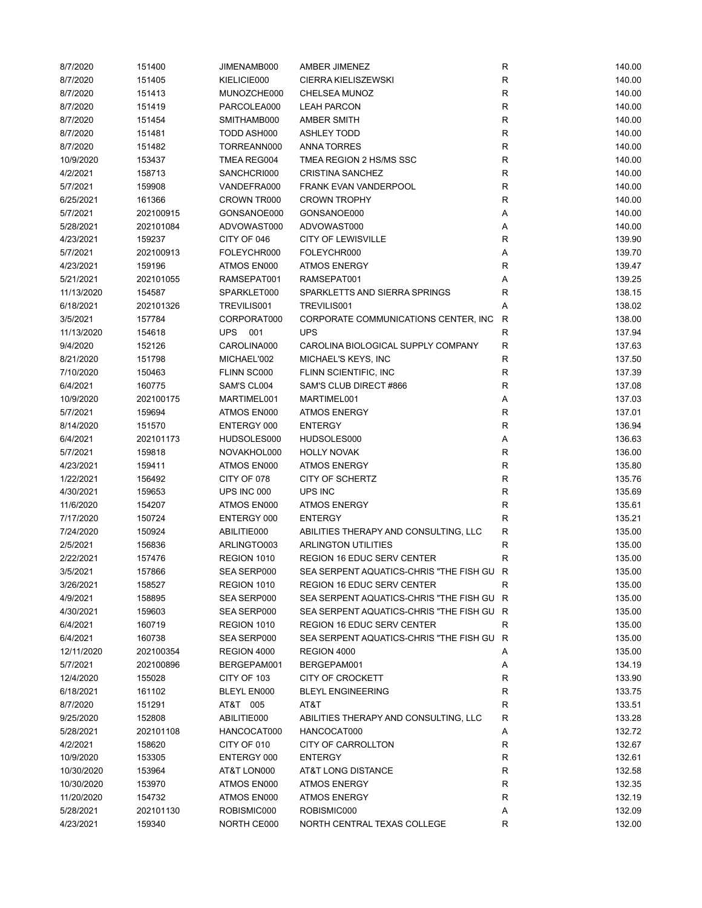| 8/7/2020              | 151400              | JIMENAMB000                | AMBER JIMENEZ                             | ${\sf R}$    | 140.00           |
|-----------------------|---------------------|----------------------------|-------------------------------------------|--------------|------------------|
| 8/7/2020              | 151405              | KIELICIE000                | <b>CIERRA KIELISZEWSKI</b>                | R            | 140.00           |
| 8/7/2020              | 151413              | MUNOZCHE000                | CHELSEA MUNOZ                             | ${\sf R}$    | 140.00           |
| 8/7/2020              | 151419              | PARCOLEA000                | <b>LEAH PARCON</b>                        | $\mathsf{R}$ | 140.00           |
| 8/7/2020              | 151454              | SMITHAMB000                | AMBER SMITH                               | $\mathsf{R}$ | 140.00           |
| 8/7/2020              | 151481              | TODD ASH000                | <b>ASHLEY TODD</b>                        | R            | 140.00           |
| 8/7/2020              | 151482              | TORREANN000                | <b>ANNA TORRES</b>                        | $\mathsf{R}$ | 140.00           |
| 10/9/2020             | 153437              | TMEA REG004                | TMEA REGION 2 HS/MS SSC                   | $\mathsf{R}$ | 140.00           |
| 4/2/2021              | 158713              | SANCHCRI000                | <b>CRISTINA SANCHEZ</b>                   | $\mathsf{R}$ | 140.00           |
| 5/7/2021              | 159908              | VANDEFRA000                | <b>FRANK EVAN VANDERPOOL</b>              | $\mathsf{R}$ | 140.00           |
| 6/25/2021             | 161366              | CROWN TR000                | <b>CROWN TROPHY</b>                       | ${\sf R}$    | 140.00           |
| 5/7/2021              | 202100915           | GONSANOE000                | GONSANOE000                               | A            | 140.00           |
| 5/28/2021             | 202101084           | ADVOWAST000                | ADVOWAST000                               | Α            | 140.00           |
| 4/23/2021             | 159237              | CITY OF 046                | <b>CITY OF LEWISVILLE</b>                 | $\mathsf{R}$ | 139.90           |
| 5/7/2021              | 202100913           | FOLEYCHR000                | FOLEYCHR000                               | Α            | 139.70           |
| 4/23/2021             | 159196              | ATMOS EN000                | <b>ATMOS ENERGY</b>                       | $\mathsf R$  | 139.47           |
| 5/21/2021             | 202101055           | RAMSEPAT001                | RAMSEPAT001                               | Α            | 139.25           |
| 11/13/2020            | 154587              | SPARKLET000                | SPARKLETTS AND SIERRA SPRINGS             | R            | 138.15           |
| 6/18/2021             | 202101326           | TREVILIS001                | TREVILIS001                               | Α            | 138.02           |
| 3/5/2021              | 157784              | CORPORAT000                | CORPORATE COMMUNICATIONS CENTER, INC.     | R            | 138.00           |
| 11/13/2020            | 154618              | UPS 001                    | <b>UPS</b>                                | R            | 137.94           |
| 9/4/2020              | 152126              | CAROLINA000                | CAROLINA BIOLOGICAL SUPPLY COMPANY        | R            | 137.63           |
| 8/21/2020             | 151798              | MICHAEL'002                | MICHAEL'S KEYS, INC                       | $\mathsf{R}$ | 137.50           |
| 7/10/2020             | 150463              | FLINN SC000                | FLINN SCIENTIFIC, INC                     | $\mathsf{R}$ | 137.39           |
|                       |                     |                            | SAM'S CLUB DIRECT #866                    | $\mathsf{R}$ |                  |
| 6/4/2021<br>10/9/2020 | 160775<br>202100175 | SAM'S CL004<br>MARTIMEL001 | MARTIMEL001                               | A            | 137.08<br>137.03 |
|                       |                     |                            |                                           | $\mathsf{R}$ |                  |
| 5/7/2021              | 159694              | ATMOS EN000                | <b>ATMOS ENERGY</b>                       | $\mathsf{R}$ | 137.01           |
| 8/14/2020             | 151570              | ENTERGY 000                | <b>ENTERGY</b>                            |              | 136.94           |
| 6/4/2021              | 202101173           | HUDSOLES000                | HUDSOLES000                               | Α            | 136.63           |
| 5/7/2021              | 159818              | NOVAKHOL000                | <b>HOLLY NOVAK</b>                        | ${\sf R}$    | 136.00           |
| 4/23/2021             | 159411              | ATMOS EN000                | <b>ATMOS ENERGY</b>                       | $\mathsf{R}$ | 135.80           |
| 1/22/2021             | 156492              | CITY OF 078                | CITY OF SCHERTZ                           | $\mathsf{R}$ | 135.76           |
| 4/30/2021             | 159653              | UPS INC 000                | UPS INC                                   | R            | 135.69           |
| 11/6/2020             | 154207              | ATMOS EN000                | <b>ATMOS ENERGY</b>                       | $\mathsf{R}$ | 135.61           |
| 7/17/2020             | 150724              | ENTERGY 000                | <b>ENTERGY</b>                            | R            | 135.21           |
| 7/24/2020             | 150924              | ABILITIE000                | ABILITIES THERAPY AND CONSULTING, LLC     | R            | 135.00           |
| 2/5/2021              | 156836              | ARLINGTO003                | <b>ARLINGTON UTILITIES</b>                | R            | 135.00           |
| 2/22/2021             | 157476              | REGION 1010                | <b>REGION 16 EDUC SERV CENTER</b>         | R            | 135.00           |
| 3/5/2021              | 157866              | SEA SERP000                | SEA SERPENT AQUATICS-CHRIS "THE FISH GU   | R            | 135.00           |
| 3/26/2021             | 158527              | REGION 1010                | <b>REGION 16 EDUC SERV CENTER</b>         | R            | 135.00           |
| 4/9/2021              | 158895              | SEA SERP000                | SEA SERPENT AQUATICS-CHRIS "THE FISH GU R |              | 135.00           |
| 4/30/2021             | 159603              | SEA SERP000                | SEA SERPENT AQUATICS-CHRIS "THE FISH GU R |              | 135.00           |
| 6/4/2021              | 160719              | REGION 1010                | <b>REGION 16 EDUC SERV CENTER</b>         | R            | 135.00           |
| 6/4/2021              | 160738              | SEA SERP000                | SEA SERPENT AQUATICS-CHRIS "THE FISH GU   | R            | 135.00           |
| 12/11/2020            | 202100354           | REGION 4000                | REGION 4000                               | Α            | 135.00           |
| 5/7/2021              | 202100896           | BERGEPAM001                | BERGEPAM001                               | Α            | 134.19           |
| 12/4/2020             | 155028              | CITY OF 103                | CITY OF CROCKETT                          | R            | 133.90           |
| 6/18/2021             | 161102              | <b>BLEYL EN000</b>         | <b>BLEYL ENGINEERING</b>                  | $\mathsf{R}$ | 133.75           |
| 8/7/2020              | 151291              | AT&T 005                   | AT&T                                      | R            | 133.51           |
| 9/25/2020             | 152808              | ABILITIE000                | ABILITIES THERAPY AND CONSULTING, LLC     | R            | 133.28           |
| 5/28/2021             | 202101108           | HANCOCAT000                | HANCOCAT000                               | Α            | 132.72           |
| 4/2/2021              | 158620              | CITY OF 010                | CITY OF CARROLLTON                        | R            | 132.67           |
| 10/9/2020             | 153305              | ENTERGY 000                | <b>ENTERGY</b>                            | R            | 132.61           |
| 10/30/2020            | 153964              | AT&T LON000                | AT&T LONG DISTANCE                        | R            | 132.58           |
| 10/30/2020            | 153970              | ATMOS EN000                | <b>ATMOS ENERGY</b>                       | $\mathsf{R}$ | 132.35           |
| 11/20/2020            | 154732              | ATMOS EN000                | <b>ATMOS ENERGY</b>                       | $\mathsf{R}$ | 132.19           |
| 5/28/2021             | 202101130           | ROBISMIC000                | ROBISMIC000                               | Α            | 132.09           |
| 4/23/2021             | 159340              | NORTH CE000                | NORTH CENTRAL TEXAS COLLEGE               | R            | 132.00           |
|                       |                     |                            |                                           |              |                  |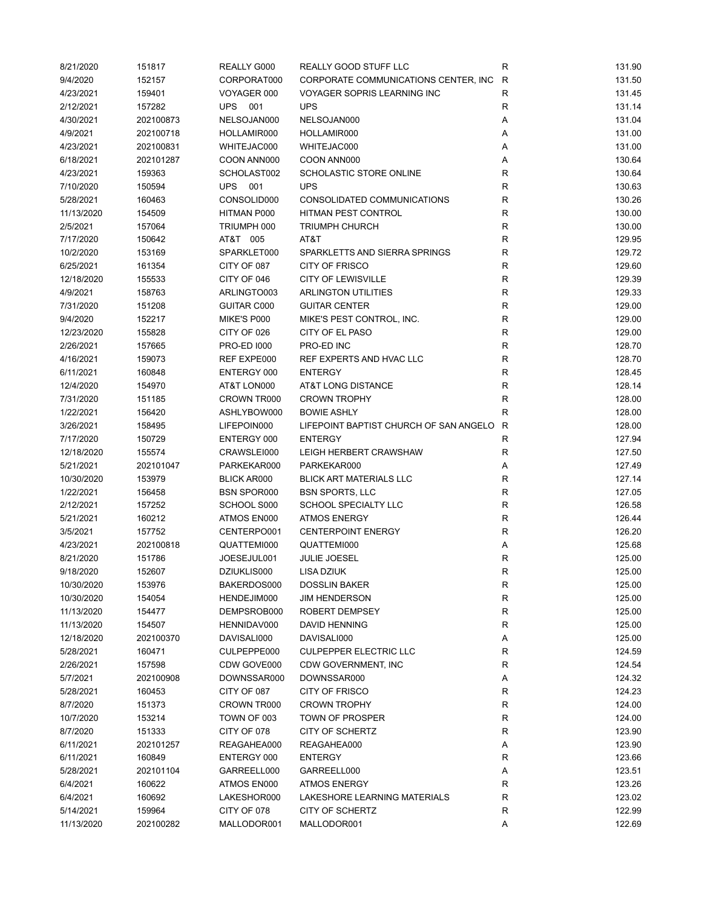| 8/21/2020  | 151817    | REALLY G000        | REALLY GOOD STUFF LLC                  | R           | 131.90 |
|------------|-----------|--------------------|----------------------------------------|-------------|--------|
| 9/4/2020   | 152157    | CORPORAT000        | CORPORATE COMMUNICATIONS CENTER, INC   | R           | 131.50 |
| 4/23/2021  | 159401    | VOYAGER 000        | <b>VOYAGER SOPRIS LEARNING INC</b>     | $\mathsf R$ | 131.45 |
| 2/12/2021  | 157282    | <b>UPS</b><br>001  | <b>UPS</b>                             | R           | 131.14 |
| 4/30/2021  | 202100873 | NELSOJAN000        | NELSOJAN000                            | Α           | 131.04 |
| 4/9/2021   | 202100718 | HOLLAMIR000        | HOLLAMIR000                            | Α           | 131.00 |
| 4/23/2021  | 202100831 | WHITEJAC000        | WHITEJAC000                            | Α           | 131.00 |
| 6/18/2021  | 202101287 | COON ANN000        | COON ANN000                            | Α           | 130.64 |
| 4/23/2021  | 159363    | SCHOLAST002        | SCHOLASTIC STORE ONLINE                | $\mathsf R$ | 130.64 |
| 7/10/2020  | 150594    | UPS<br>001         | <b>UPS</b>                             | $\mathsf R$ | 130.63 |
| 5/28/2021  | 160463    | CONSOLID000        | CONSOLIDATED COMMUNICATIONS            | $\mathsf R$ | 130.26 |
|            |           |                    |                                        | ${\sf R}$   |        |
| 11/13/2020 | 154509    | HITMAN P000        | HITMAN PEST CONTROL                    |             | 130.00 |
| 2/5/2021   | 157064    | TRIUMPH 000        | <b>TRIUMPH CHURCH</b>                  | ${\sf R}$   | 130.00 |
| 7/17/2020  | 150642    | AT&T 005           | AT&T                                   | $\mathsf R$ | 129.95 |
| 10/2/2020  | 153169    | SPARKLET000        | SPARKLETTS AND SIERRA SPRINGS          | $\mathsf R$ | 129.72 |
| 6/25/2021  | 161354    | CITY OF 087        | <b>CITY OF FRISCO</b>                  | $\mathsf R$ | 129.60 |
| 12/18/2020 | 155533    | CITY OF 046        | <b>CITY OF LEWISVILLE</b>              | $\mathsf R$ | 129.39 |
| 4/9/2021   | 158763    | ARLINGTO003        | <b>ARLINGTON UTILITIES</b>             | $\mathsf R$ | 129.33 |
| 7/31/2020  | 151208    | GUITAR C000        | <b>GUITAR CENTER</b>                   | $\mathsf R$ | 129.00 |
| 9/4/2020   | 152217    | MIKE'S P000        | MIKE'S PEST CONTROL, INC.              | $\mathsf R$ | 129.00 |
| 12/23/2020 | 155828    | CITY OF 026        | CITY OF EL PASO                        | $\mathsf R$ | 129.00 |
| 2/26/2021  | 157665    | <b>PRO-ED 1000</b> | PRO-ED INC                             | R           | 128.70 |
| 4/16/2021  | 159073    | REF EXPE000        | REF EXPERTS AND HVAC LLC               | R           | 128.70 |
| 6/11/2021  | 160848    | ENTERGY 000        | <b>ENTERGY</b>                         | $\mathsf R$ | 128.45 |
| 12/4/2020  | 154970    | AT&T LON000        | AT&T LONG DISTANCE                     | $\mathsf R$ | 128.14 |
| 7/31/2020  | 151185    | CROWN TR000        | <b>CROWN TROPHY</b>                    | ${\sf R}$   | 128.00 |
| 1/22/2021  | 156420    | ASHLYBOW000        | <b>BOWIE ASHLY</b>                     | ${\sf R}$   | 128.00 |
| 3/26/2021  | 158495    | LIFEPOIN000        | LIFEPOINT BAPTIST CHURCH OF SAN ANGELO | R           | 128.00 |
| 7/17/2020  | 150729    | ENTERGY 000        | <b>ENTERGY</b>                         | R           | 127.94 |
| 12/18/2020 | 155574    | CRAWSLEI000        | LEIGH HERBERT CRAWSHAW                 | R           | 127.50 |
| 5/21/2021  | 202101047 | PARKEKAR000        | PARKEKAR000                            | Α           | 127.49 |
| 10/30/2020 | 153979    | <b>BLICK AR000</b> | <b>BLICK ART MATERIALS LLC</b>         | $\mathsf R$ | 127.14 |
| 1/22/2021  | 156458    | <b>BSN SPOR000</b> | <b>BSN SPORTS, LLC</b>                 | $\mathsf R$ | 127.05 |
| 2/12/2021  | 157252    | SCHOOL S000        | SCHOOL SPECIALTY LLC                   | $\mathsf R$ | 126.58 |
| 5/21/2021  | 160212    | ATMOS EN000        | <b>ATMOS ENERGY</b>                    | R           | 126.44 |
| 3/5/2021   | 157752    | CENTERPO001        | <b>CENTERPOINT ENERGY</b>              | $\mathsf R$ | 126.20 |
| 4/23/2021  | 202100818 | QUATTEMI000        | QUATTEMI000                            | Α           | 125.68 |
| 8/21/2020  | 151786    | JOESEJUL001        | <b>JULIE JOESEL</b>                    | $\mathsf R$ | 125.00 |
| 9/18/2020  | 152607    | DZIUKLIS000        | LISA DZIUK                             | R           | 125.00 |
| 10/30/2020 | 153976    | BAKERDOS000        | <b>DOSSLIN BAKER</b>                   | R           | 125.00 |
| 10/30/2020 | 154054    | HENDEJIM000        | <b>JIM HENDERSON</b>                   | R           | 125.00 |
| 11/13/2020 | 154477    | DEMPSROB000        | ROBERT DEMPSEY                         | R           | 125.00 |
| 11/13/2020 | 154507    | HENNIDAV000        | DAVID HENNING                          | R           | 125.00 |
| 12/18/2020 | 202100370 | DAVISALI000        | DAVISALI000                            | Α           | 125.00 |
| 5/28/2021  | 160471    | CULPEPPE000        | <b>CULPEPPER ELECTRIC LLC</b>          | R           | 124.59 |
| 2/26/2021  | 157598    | CDW GOVE000        | CDW GOVERNMENT, INC                    | R           | 124.54 |
| 5/7/2021   | 202100908 | DOWNSSAR000        | DOWNSSAR000                            | А           | 124.32 |
| 5/28/2021  | 160453    | CITY OF 087        | <b>CITY OF FRISCO</b>                  | R           | 124.23 |
| 8/7/2020   | 151373    | CROWN TR000        | <b>CROWN TROPHY</b>                    | R           | 124.00 |
| 10/7/2020  | 153214    | TOWN OF 003        | TOWN OF PROSPER                        | R           | 124.00 |
| 8/7/2020   | 151333    | CITY OF 078        | CITY OF SCHERTZ                        | R           | 123.90 |
| 6/11/2021  | 202101257 | REAGAHEA000        | REAGAHEA000                            | Α           | 123.90 |
| 6/11/2021  | 160849    | ENTERGY 000        | <b>ENTERGY</b>                         | R           | 123.66 |
| 5/28/2021  | 202101104 | GARREELL000        | GARREELL000                            | Α           | 123.51 |
| 6/4/2021   | 160622    | ATMOS EN000        | <b>ATMOS ENERGY</b>                    | R           | 123.26 |
| 6/4/2021   | 160692    | LAKESHOR000        | LAKESHORE LEARNING MATERIALS           | $\mathsf R$ | 123.02 |
| 5/14/2021  | 159964    | CITY OF 078        | CITY OF SCHERTZ                        | $\mathsf R$ | 122.99 |
| 11/13/2020 | 202100282 | MALLODOR001        | MALLODOR001                            |             | 122.69 |
|            |           |                    |                                        | Α           |        |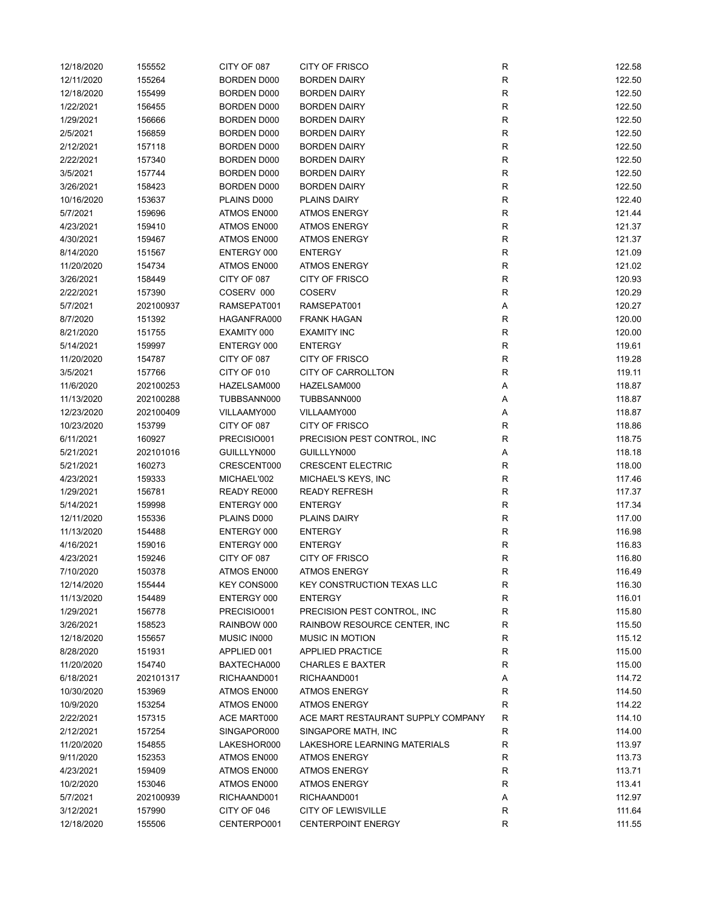| 12/18/2020 | 155552    | CITY OF 087        | <b>CITY OF FRISCO</b>              | R            | 122.58 |
|------------|-----------|--------------------|------------------------------------|--------------|--------|
| 12/11/2020 | 155264    | BORDEN D000        | <b>BORDEN DAIRY</b>                | R            | 122.50 |
| 12/18/2020 | 155499    | BORDEN D000        | <b>BORDEN DAIRY</b>                | R            | 122.50 |
| 1/22/2021  | 156455    | BORDEN D000        | <b>BORDEN DAIRY</b>                | R            | 122.50 |
| 1/29/2021  | 156666    | BORDEN D000        | <b>BORDEN DAIRY</b>                | R            | 122.50 |
| 2/5/2021   | 156859    | BORDEN D000        | <b>BORDEN DAIRY</b>                | R            | 122.50 |
| 2/12/2021  | 157118    | BORDEN D000        | <b>BORDEN DAIRY</b>                | R            | 122.50 |
| 2/22/2021  | 157340    | BORDEN D000        | <b>BORDEN DAIRY</b>                | ${\sf R}$    | 122.50 |
| 3/5/2021   | 157744    | BORDEN D000        | <b>BORDEN DAIRY</b>                | ${\sf R}$    | 122.50 |
| 3/26/2021  | 158423    | <b>BORDEN D000</b> | <b>BORDEN DAIRY</b>                | ${\sf R}$    | 122.50 |
| 10/16/2020 | 153637    | PLAINS D000        | PLAINS DAIRY                       | ${\sf R}$    | 122.40 |
| 5/7/2021   | 159696    | ATMOS EN000        | <b>ATMOS ENERGY</b>                | ${\sf R}$    | 121.44 |
| 4/23/2021  | 159410    | ATMOS EN000        | <b>ATMOS ENERGY</b>                | $\mathsf R$  | 121.37 |
| 4/30/2021  | 159467    | ATMOS EN000        | <b>ATMOS ENERGY</b>                | ${\sf R}$    | 121.37 |
| 8/14/2020  | 151567    | ENTERGY 000        | <b>ENTERGY</b>                     | R            | 121.09 |
| 11/20/2020 | 154734    | ATMOS EN000        | <b>ATMOS ENERGY</b>                | R            | 121.02 |
| 3/26/2021  | 158449    | CITY OF 087        | CITY OF FRISCO                     | ${\sf R}$    | 120.93 |
| 2/22/2021  | 157390    | COSERV 000         | <b>COSERV</b>                      | $\mathsf R$  | 120.29 |
| 5/7/2021   | 202100937 | RAMSEPAT001        | RAMSEPAT001                        | Α            | 120.27 |
| 8/7/2020   | 151392    | HAGANFRA000        | <b>FRANK HAGAN</b>                 | R            | 120.00 |
| 8/21/2020  | 151755    | EXAMITY 000        | <b>EXAMITY INC</b>                 | R            | 120.00 |
| 5/14/2021  | 159997    | ENTERGY 000        | <b>ENTERGY</b>                     | R            | 119.61 |
| 11/20/2020 | 154787    | CITY OF 087        | <b>CITY OF FRISCO</b>              | ${\sf R}$    | 119.28 |
| 3/5/2021   | 157766    | CITY OF 010        | <b>CITY OF CARROLLTON</b>          | R            | 119.11 |
| 11/6/2020  | 202100253 | HAZELSAM000        | HAZELSAM000                        | Α            | 118.87 |
| 11/13/2020 | 202100288 | TUBBSANN000        | TUBBSANN000                        | Α            | 118.87 |
| 12/23/2020 | 202100409 | VILLAAMY000        | VILLAAMY000                        | Α            | 118.87 |
|            |           |                    |                                    |              |        |
| 10/23/2020 | 153799    | CITY OF 087        | <b>CITY OF FRISCO</b>              | R            | 118.86 |
| 6/11/2021  | 160927    | PRECISIO001        | PRECISION PEST CONTROL, INC        | $\mathsf R$  | 118.75 |
| 5/21/2021  | 202101016 | GUILLLYN000        | GUILLLYN000                        | Α            | 118.18 |
| 5/21/2021  | 160273    | CRESCENT000        | <b>CRESCENT ELECTRIC</b>           | $\mathsf R$  | 118.00 |
| 4/23/2021  | 159333    | MICHAEL'002        | MICHAEL'S KEYS, INC                | R            | 117.46 |
| 1/29/2021  | 156781    | READY RE000        | <b>READY REFRESH</b>               | R            | 117.37 |
| 5/14/2021  | 159998    | ENTERGY 000        | <b>ENTERGY</b>                     | R            | 117.34 |
| 12/11/2020 | 155336    | PLAINS D000        | <b>PLAINS DAIRY</b>                | R            | 117.00 |
| 11/13/2020 | 154488    | ENTERGY 000        | <b>ENTERGY</b>                     | R            | 116.98 |
| 4/16/2021  | 159016    | ENTERGY 000        | <b>ENTERGY</b>                     | $\mathsf{R}$ | 116.83 |
| 4/23/2021  | 159246    | CITY OF 087        | <b>CITY OF FRISCO</b>              | $\mathsf R$  | 116.80 |
| 7/10/2020  | 150378    | ATMOS EN000        | <b>ATMOS ENERGY</b>                | R            | 116.49 |
| 12/14/2020 | 155444    | KEY CONS000        | <b>KEY CONSTRUCTION TEXAS LLC</b>  | R            | 116.30 |
| 11/13/2020 | 154489    | ENTERGY 000        | <b>ENTERGY</b>                     | ${\sf R}$    | 116.01 |
| 1/29/2021  | 156778    | PRECISIO001        | PRECISION PEST CONTROL, INC        | R            | 115.80 |
| 3/26/2021  | 158523    | RAINBOW 000        | RAINBOW RESOURCE CENTER, INC.      | $\mathsf R$  | 115.50 |
| 12/18/2020 | 155657    | MUSIC IN000        | <b>MUSIC IN MOTION</b>             | R            | 115.12 |
| 8/28/2020  | 151931    | APPLIED 001        | <b>APPLIED PRACTICE</b>            | R            | 115.00 |
| 11/20/2020 | 154740    | BAXTECHA000        | <b>CHARLES E BAXTER</b>            | R            | 115.00 |
| 6/18/2021  | 202101317 | RICHAAND001        | RICHAAND001                        | А            | 114.72 |
| 10/30/2020 | 153969    | ATMOS EN000        | <b>ATMOS ENERGY</b>                | R            | 114.50 |
| 10/9/2020  | 153254    | ATMOS EN000        | <b>ATMOS ENERGY</b>                | R            | 114.22 |
| 2/22/2021  | 157315    | ACE MART000        | ACE MART RESTAURANT SUPPLY COMPANY | R            | 114.10 |
| 2/12/2021  | 157254    | SINGAPOR000        | SINGAPORE MATH, INC                | R            | 114.00 |
| 11/20/2020 | 154855    | LAKESHOR000        | LAKESHORE LEARNING MATERIALS       | ${\sf R}$    | 113.97 |
| 9/11/2020  | 152353    | ATMOS EN000        | <b>ATMOS ENERGY</b>                | R            | 113.73 |
| 4/23/2021  | 159409    | ATMOS EN000        | <b>ATMOS ENERGY</b>                | ${\sf R}$    | 113.71 |
| 10/2/2020  | 153046    | ATMOS EN000        | <b>ATMOS ENERGY</b>                | $\mathsf{R}$ | 113.41 |
| 5/7/2021   | 202100939 | RICHAAND001        | RICHAAND001                        | Α            | 112.97 |
| 3/12/2021  | 157990    | CITY OF 046        | <b>CITY OF LEWISVILLE</b>          | R            | 111.64 |
| 12/18/2020 | 155506    | CENTERPO001        | <b>CENTERPOINT ENERGY</b>          | $\mathsf R$  | 111.55 |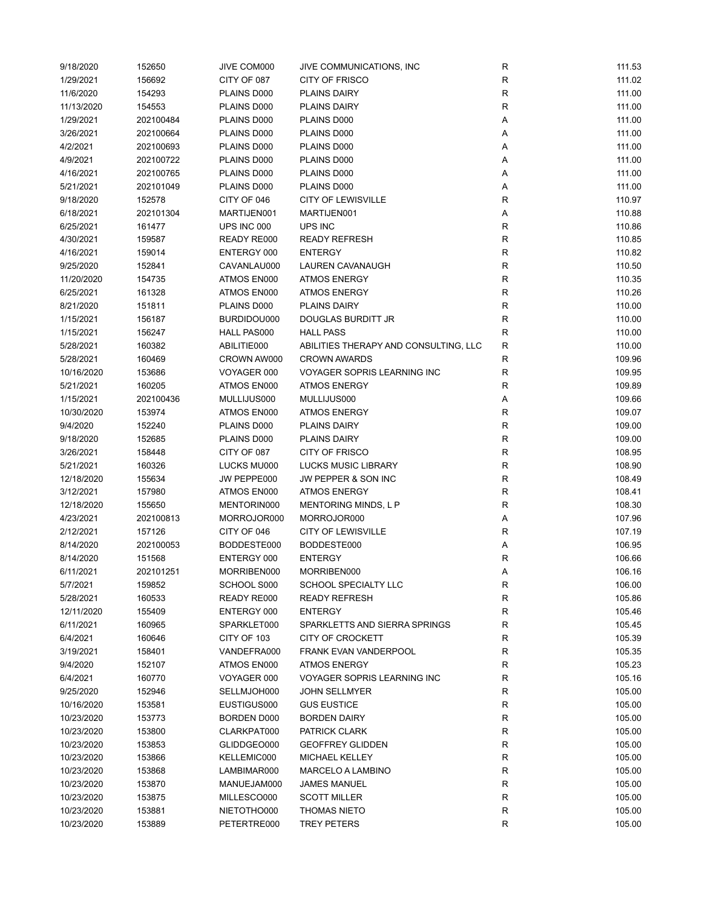| 9/18/2020  | 152650    | JIVE COM000 | JIVE COMMUNICATIONS, INC              | R           | 111.53 |
|------------|-----------|-------------|---------------------------------------|-------------|--------|
| 1/29/2021  | 156692    | CITY OF 087 | <b>CITY OF FRISCO</b>                 | R           | 111.02 |
| 11/6/2020  | 154293    | PLAINS D000 | <b>PLAINS DAIRY</b>                   | R           | 111.00 |
| 11/13/2020 | 154553    | PLAINS D000 | <b>PLAINS DAIRY</b>                   | R           | 111.00 |
| 1/29/2021  | 202100484 | PLAINS D000 | PLAINS D000                           | Α           | 111.00 |
| 3/26/2021  | 202100664 | PLAINS D000 | PLAINS D000                           | Α           | 111.00 |
| 4/2/2021   | 202100693 | PLAINS D000 | PLAINS D000                           | Α           | 111.00 |
| 4/9/2021   | 202100722 | PLAINS D000 | PLAINS D000                           | Α           | 111.00 |
|            |           |             |                                       |             |        |
| 4/16/2021  | 202100765 | PLAINS D000 | PLAINS D000                           | Α           | 111.00 |
| 5/21/2021  | 202101049 | PLAINS D000 | PLAINS D000                           | Α           | 111.00 |
| 9/18/2020  | 152578    | CITY OF 046 | <b>CITY OF LEWISVILLE</b>             | $\mathsf R$ | 110.97 |
| 6/18/2021  | 202101304 | MARTIJEN001 | MARTIJEN001                           | Α           | 110.88 |
| 6/25/2021  | 161477    | UPS INC 000 | UPS INC                               | $\mathsf R$ | 110.86 |
| 4/30/2021  | 159587    | READY RE000 | <b>READY REFRESH</b>                  | $\mathsf R$ | 110.85 |
| 4/16/2021  | 159014    | ENTERGY 000 | <b>ENTERGY</b>                        | R           | 110.82 |
| 9/25/2020  | 152841    | CAVANLAU000 | LAUREN CAVANAUGH                      | R           | 110.50 |
| 11/20/2020 | 154735    | ATMOS EN000 | <b>ATMOS ENERGY</b>                   | ${\sf R}$   | 110.35 |
| 6/25/2021  | 161328    | ATMOS EN000 | <b>ATMOS ENERGY</b>                   | $\mathsf R$ | 110.26 |
| 8/21/2020  | 151811    | PLAINS D000 | <b>PLAINS DAIRY</b>                   | $\mathsf R$ | 110.00 |
| 1/15/2021  | 156187    | BURDIDOU000 | DOUGLAS BURDITT JR                    | R           | 110.00 |
| 1/15/2021  | 156247    | HALL PAS000 | <b>HALL PASS</b>                      | R           | 110.00 |
| 5/28/2021  | 160382    | ABILITIE000 | ABILITIES THERAPY AND CONSULTING, LLC | R           | 110.00 |
| 5/28/2021  | 160469    | CROWN AW000 | <b>CROWN AWARDS</b>                   | $\mathsf R$ | 109.96 |
| 10/16/2020 | 153686    | VOYAGER 000 | <b>VOYAGER SOPRIS LEARNING INC</b>    | $\mathsf R$ | 109.95 |
| 5/21/2021  | 160205    | ATMOS EN000 | <b>ATMOS ENERGY</b>                   | $\mathsf R$ | 109.89 |
| 1/15/2021  | 202100436 | MULLIJUS000 | MULLIJUS000                           |             | 109.66 |
|            |           |             |                                       | Α           |        |
| 10/30/2020 | 153974    | ATMOS EN000 | <b>ATMOS ENERGY</b>                   | $\mathsf R$ | 109.07 |
| 9/4/2020   | 152240    | PLAINS D000 | <b>PLAINS DAIRY</b>                   | R           | 109.00 |
| 9/18/2020  | 152685    | PLAINS D000 | <b>PLAINS DAIRY</b>                   | $\mathsf R$ | 109.00 |
| 3/26/2021  | 158448    | CITY OF 087 | <b>CITY OF FRISCO</b>                 | R           | 108.95 |
| 5/21/2021  | 160326    | LUCKS MU000 | LUCKS MUSIC LIBRARY                   | R           | 108.90 |
| 12/18/2020 | 155634    | JW PEPPE000 | JW PEPPER & SON INC                   | R           | 108.49 |
| 3/12/2021  | 157980    | ATMOS EN000 | <b>ATMOS ENERGY</b>                   | R           | 108.41 |
| 12/18/2020 | 155650    | MENTORIN000 | MENTORING MINDS, L P                  | $\mathsf R$ | 108.30 |
| 4/23/2021  | 202100813 | MORROJOR000 | MORROJOR000                           | Α           | 107.96 |
| 2/12/2021  | 157126    | CITY OF 046 | <b>CITY OF LEWISVILLE</b>             | R           | 107.19 |
| 8/14/2020  | 202100053 | BODDESTE000 | BODDESTE000                           | Α           | 106.95 |
| 8/14/2020  | 151568    | ENTERGY 000 | <b>ENTERGY</b>                        | $\mathsf R$ | 106.66 |
| 6/11/2021  | 202101251 | MORRIBEN000 | MORRIBEN000                           | Α           | 106.16 |
| 5/7/2021   | 159852    | SCHOOL S000 | SCHOOL SPECIALTY LLC                  | ${\sf R}$   | 106.00 |
| 5/28/2021  | 160533    | READY RE000 | <b>READY REFRESH</b>                  | ${\sf R}$   | 105.86 |
| 12/11/2020 | 155409    | ENTERGY 000 | <b>ENTERGY</b>                        | R           | 105.46 |
| 6/11/2021  | 160965    | SPARKLET000 | SPARKLETTS AND SIERRA SPRINGS         | R           | 105.45 |
| 6/4/2021   | 160646    | CITY OF 103 | CITY OF CROCKETT                      | R           | 105.39 |
| 3/19/2021  | 158401    | VANDEFRA000 | FRANK EVAN VANDERPOOL                 | R           | 105.35 |
| 9/4/2020   | 152107    | ATMOS EN000 | <b>ATMOS ENERGY</b>                   | R           | 105.23 |
| 6/4/2021   | 160770    | VOYAGER 000 | VOYAGER SOPRIS LEARNING INC           | R           | 105.16 |
|            |           |             | <b>JOHN SELLMYER</b>                  |             |        |
| 9/25/2020  | 152946    | SELLMJOH000 |                                       | R           | 105.00 |
| 10/16/2020 | 153581    | EUSTIGUS000 | <b>GUS EUSTICE</b>                    | R           | 105.00 |
| 10/23/2020 | 153773    | BORDEN D000 | <b>BORDEN DAIRY</b>                   | R           | 105.00 |
| 10/23/2020 | 153800    | CLARKPAT000 | PATRICK CLARK                         | R           | 105.00 |
| 10/23/2020 | 153853    | GLIDDGEO000 | <b>GEOFFREY GLIDDEN</b>               | R           | 105.00 |
| 10/23/2020 | 153866    | KELLEMIC000 | MICHAEL KELLEY                        | R           | 105.00 |
| 10/23/2020 | 153868    | LAMBIMAR000 | MARCELO A LAMBINO                     | ${\sf R}$   | 105.00 |
| 10/23/2020 | 153870    | MANUEJAM000 | <b>JAMES MANUEL</b>                   | ${\sf R}$   | 105.00 |
| 10/23/2020 | 153875    | MILLESCO000 | <b>SCOTT MILLER</b>                   | ${\sf R}$   | 105.00 |
| 10/23/2020 | 153881    | NIETOTHO000 | <b>THOMAS NIETO</b>                   | R           | 105.00 |
| 10/23/2020 | 153889    | PETERTRE000 | <b>TREY PETERS</b>                    | $\mathsf R$ | 105.00 |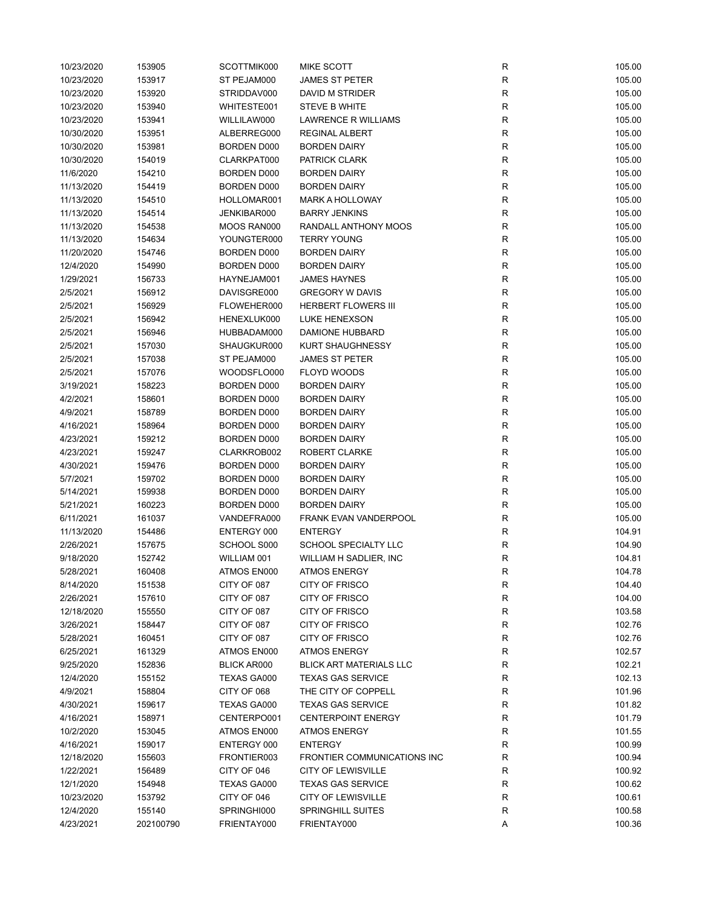| 10/23/2020 | 153905    | SCOTTMIK000        | <b>MIKE SCOTT</b>              | R           | 105.00 |
|------------|-----------|--------------------|--------------------------------|-------------|--------|
| 10/23/2020 | 153917    | ST PEJAM000        | <b>JAMES ST PETER</b>          | R           | 105.00 |
| 10/23/2020 | 153920    | STRIDDAV000        | DAVID M STRIDER                | R           | 105.00 |
| 10/23/2020 | 153940    | WHITESTE001        | STEVE B WHITE                  | R           | 105.00 |
| 10/23/2020 | 153941    | WILLILAW000        | <b>LAWRENCE R WILLIAMS</b>     | R           | 105.00 |
| 10/30/2020 | 153951    | ALBERREG000        | REGINAL ALBERT                 | R           | 105.00 |
| 10/30/2020 | 153981    | BORDEN D000        | <b>BORDEN DAIRY</b>            | R           | 105.00 |
| 10/30/2020 | 154019    | CLARKPAT000        | PATRICK CLARK                  | R           | 105.00 |
| 11/6/2020  | 154210    | BORDEN D000        | <b>BORDEN DAIRY</b>            | R           | 105.00 |
| 11/13/2020 | 154419    | BORDEN D000        | <b>BORDEN DAIRY</b>            | $\mathsf R$ | 105.00 |
| 11/13/2020 |           | HOLLOMAR001        | <b>MARK A HOLLOWAY</b>         | $\mathsf R$ | 105.00 |
|            | 154510    |                    |                                |             |        |
| 11/13/2020 | 154514    | JENKIBAR000        | <b>BARRY JENKINS</b>           | $\mathsf R$ | 105.00 |
| 11/13/2020 | 154538    | MOOS RAN000        | RANDALL ANTHONY MOOS           | R           | 105.00 |
| 11/13/2020 | 154634    | YOUNGTER000        | <b>TERRY YOUNG</b>             | R           | 105.00 |
| 11/20/2020 | 154746    | BORDEN D000        | <b>BORDEN DAIRY</b>            | R           | 105.00 |
| 12/4/2020  | 154990    | BORDEN D000        | <b>BORDEN DAIRY</b>            | R           | 105.00 |
| 1/29/2021  | 156733    | HAYNEJAM001        | <b>JAMES HAYNES</b>            | R           | 105.00 |
| 2/5/2021   | 156912    | DAVISGRE000        | <b>GREGORY W DAVIS</b>         | R           | 105.00 |
| 2/5/2021   | 156929    | FLOWEHER000        | <b>HERBERT FLOWERS III</b>     | $\mathsf R$ | 105.00 |
| 2/5/2021   | 156942    | HENEXLUK000        | <b>LUKE HENEXSON</b>           | R           | 105.00 |
| 2/5/2021   | 156946    | HUBBADAM000        | DAMIONE HUBBARD                | R           | 105.00 |
| 2/5/2021   | 157030    | SHAUGKUR000        | <b>KURT SHAUGHNESSY</b>        | R           | 105.00 |
| 2/5/2021   | 157038    | ST PEJAM000        | <b>JAMES ST PETER</b>          | R           | 105.00 |
| 2/5/2021   | 157076    | WOODSFLO000        | <b>FLOYD WOODS</b>             | R           | 105.00 |
| 3/19/2021  | 158223    | BORDEN D000        | <b>BORDEN DAIRY</b>            | R           | 105.00 |
| 4/2/2021   | 158601    | BORDEN D000        | <b>BORDEN DAIRY</b>            | $\mathsf R$ | 105.00 |
| 4/9/2021   | 158789    | BORDEN D000        | <b>BORDEN DAIRY</b>            | R           | 105.00 |
| 4/16/2021  | 158964    | BORDEN D000        | <b>BORDEN DAIRY</b>            | R           | 105.00 |
| 4/23/2021  | 159212    | BORDEN D000        | <b>BORDEN DAIRY</b>            | R           | 105.00 |
| 4/23/2021  | 159247    | CLARKROB002        | ROBERT CLARKE                  | R           | 105.00 |
| 4/30/2021  | 159476    | BORDEN D000        | <b>BORDEN DAIRY</b>            | R           | 105.00 |
| 5/7/2021   | 159702    | BORDEN D000        | <b>BORDEN DAIRY</b>            | R           | 105.00 |
| 5/14/2021  | 159938    | BORDEN D000        | <b>BORDEN DAIRY</b>            | R           | 105.00 |
| 5/21/2021  | 160223    | BORDEN D000        | <b>BORDEN DAIRY</b>            | $\mathsf R$ | 105.00 |
| 6/11/2021  | 161037    | VANDEFRA000        | <b>FRANK EVAN VANDERPOOL</b>   | R           | 105.00 |
| 11/13/2020 | 154486    | ENTERGY 000        | <b>ENTERGY</b>                 | R           | 104.91 |
| 2/26/2021  | 157675    | SCHOOL S000        | SCHOOL SPECIALTY LLC           | R           | 104.90 |
| 9/18/2020  | 152742    | WILLIAM 001        | WILLIAM H SADLIER, INC         | $\mathsf R$ | 104.81 |
| 5/28/2021  | 160408    | ATMOS EN000        | <b>ATMOS ENERGY</b>            | R           | 104.78 |
| 8/14/2020  | 151538    | CITY OF 087        | CITY OF FRISCO                 | R           | 104.40 |
| 2/26/2021  | 157610    | CITY OF 087        | <b>CITY OF FRISCO</b>          | R           | 104.00 |
| 12/18/2020 | 155550    | CITY OF 087        | CITY OF FRISCO                 | R           | 103.58 |
| 3/26/2021  | 158447    | CITY OF 087        | CITY OF FRISCO                 | R           | 102.76 |
| 5/28/2021  | 160451    | CITY OF 087        | <b>CITY OF FRISCO</b>          | R           | 102.76 |
| 6/25/2021  | 161329    | ATMOS EN000        | <b>ATMOS ENERGY</b>            | R           | 102.57 |
| 9/25/2020  | 152836    | <b>BLICK AR000</b> | <b>BLICK ART MATERIALS LLC</b> | R           | 102.21 |
| 12/4/2020  | 155152    | TEXAS GA000        | <b>TEXAS GAS SERVICE</b>       | R           | 102.13 |
| 4/9/2021   | 158804    | CITY OF 068        | THE CITY OF COPPELL            | R           | 101.96 |
| 4/30/2021  | 159617    | TEXAS GA000        | <b>TEXAS GAS SERVICE</b>       | R           | 101.82 |
|            |           |                    |                                |             |        |
| 4/16/2021  | 158971    | CENTERPO001        | <b>CENTERPOINT ENERGY</b>      | R           | 101.79 |
| 10/2/2020  | 153045    | ATMOS EN000        | <b>ATMOS ENERGY</b>            | R           | 101.55 |
| 4/16/2021  | 159017    | ENTERGY 000        | <b>ENTERGY</b>                 | R           | 100.99 |
| 12/18/2020 | 155603    | FRONTIER003        | FRONTIER COMMUNICATIONS INC    | R           | 100.94 |
| 1/22/2021  | 156489    | CITY OF 046        | <b>CITY OF LEWISVILLE</b>      | R           | 100.92 |
| 12/1/2020  | 154948    | TEXAS GA000        | <b>TEXAS GAS SERVICE</b>       | R           | 100.62 |
| 10/23/2020 | 153792    | CITY OF 046        | <b>CITY OF LEWISVILLE</b>      | R           | 100.61 |
| 12/4/2020  | 155140    | SPRINGHI000        | <b>SPRINGHILL SUITES</b>       | R           | 100.58 |
| 4/23/2021  | 202100790 | FRIENTAY000        | FRIENTAY000                    | Α           | 100.36 |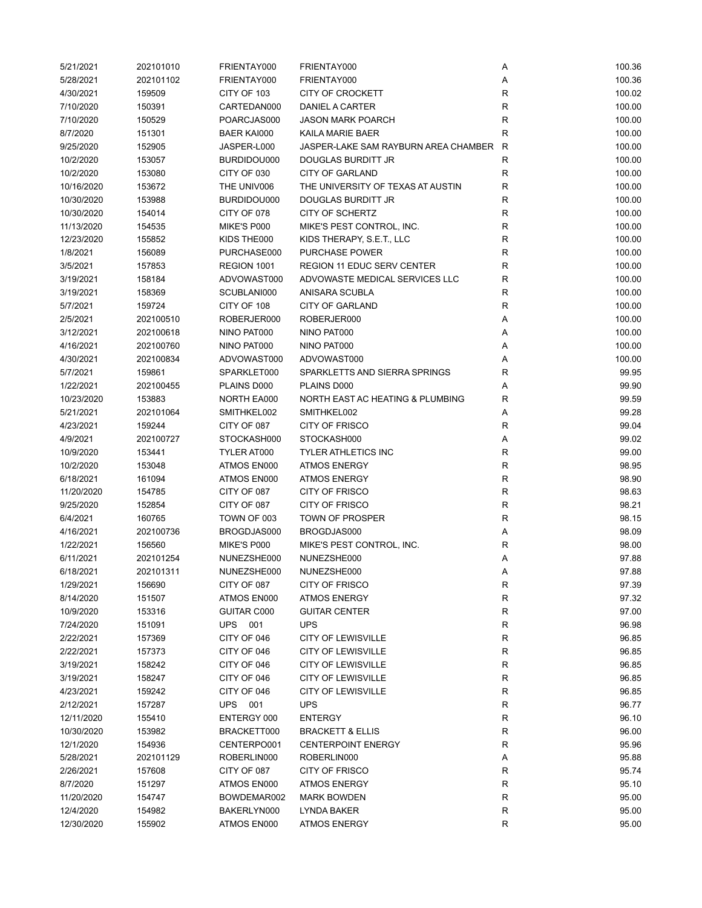| 5/21/2021  | 202101010 | FRIENTAY000        | FRIENTAY000                          | Α            | 100.36 |
|------------|-----------|--------------------|--------------------------------------|--------------|--------|
| 5/28/2021  | 202101102 | FRIENTAY000        | FRIENTAY000                          | Α            | 100.36 |
| 4/30/2021  | 159509    | CITY OF 103        | <b>CITY OF CROCKETT</b>              | $\mathsf{R}$ | 100.02 |
| 7/10/2020  | 150391    | CARTEDAN000        | DANIEL A CARTER                      | $\mathsf{R}$ | 100.00 |
| 7/10/2020  | 150529    | POARCJAS000        | <b>JASON MARK POARCH</b>             | $\mathsf{R}$ | 100.00 |
| 8/7/2020   | 151301    | <b>BAER KAI000</b> | KAILA MARIE BAER                     | R            | 100.00 |
| 9/25/2020  | 152905    | JASPER-L000        | JASPER-LAKE SAM RAYBURN AREA CHAMBER | R            | 100.00 |
| 10/2/2020  | 153057    | BURDIDOU000        | DOUGLAS BURDITT JR                   | R            | 100.00 |
| 10/2/2020  | 153080    | CITY OF 030        | <b>CITY OF GARLAND</b>               | $\mathsf{R}$ | 100.00 |
| 10/16/2020 | 153672    | THE UNIV006        | THE UNIVERSITY OF TEXAS AT AUSTIN    | $\mathsf{R}$ | 100.00 |
| 10/30/2020 | 153988    | BURDIDOU000        | DOUGLAS BURDITT JR                   | $\mathsf{R}$ | 100.00 |
| 10/30/2020 | 154014    | CITY OF 078        | CITY OF SCHERTZ                      | $\mathsf{R}$ | 100.00 |
| 11/13/2020 | 154535    | MIKE'S P000        | MIKE'S PEST CONTROL, INC.            | $\mathsf{R}$ | 100.00 |
| 12/23/2020 | 155852    | KIDS THE000        | KIDS THERAPY, S.E.T., LLC            | R            | 100.00 |
| 1/8/2021   | 156089    | PURCHASE000        | <b>PURCHASE POWER</b>                | R            | 100.00 |
| 3/5/2021   | 157853    | REGION 1001        | <b>REGION 11 EDUC SERV CENTER</b>    | $\mathsf{R}$ | 100.00 |
| 3/19/2021  | 158184    | ADVOWAST000        | ADVOWASTE MEDICAL SERVICES LLC       | R            | 100.00 |
| 3/19/2021  | 158369    | SCUBLANI000        | ANISARA SCUBLA                       | R            | 100.00 |
| 5/7/2021   | 159724    | CITY OF 108        | <b>CITY OF GARLAND</b>               | $\mathsf{R}$ | 100.00 |
| 2/5/2021   | 202100510 | ROBERJER000        | ROBERJER000                          | Α            | 100.00 |
| 3/12/2021  | 202100618 | NINO PAT000        | NINO PAT000                          | Α            | 100.00 |
| 4/16/2021  | 202100760 | NINO PAT000        | NINO PAT000                          | Α            | 100.00 |
| 4/30/2021  | 202100834 | ADVOWAST000        | ADVOWAST000                          | Α            | 100.00 |
| 5/7/2021   | 159861    | SPARKLET000        | SPARKLETTS AND SIERRA SPRINGS        | R            | 99.95  |
| 1/22/2021  | 202100455 | PLAINS D000        | PLAINS D000                          | Α            | 99.90  |
| 10/23/2020 | 153883    | NORTH EA000        | NORTH EAST AC HEATING & PLUMBING     | $\mathsf{R}$ | 99.59  |
| 5/21/2021  | 202101064 | SMITHKEL002        | SMITHKEL002                          | Α            | 99.28  |
| 4/23/2021  | 159244    | CITY OF 087        | <b>CITY OF FRISCO</b>                | $\mathsf{R}$ | 99.04  |
| 4/9/2021   | 202100727 | STOCKASH000        | STOCKASH000                          | Α            | 99.02  |
| 10/9/2020  | 153441    | TYLER AT000        | <b>TYLER ATHLETICS INC</b>           | $\mathsf{R}$ | 99.00  |
| 10/2/2020  | 153048    | ATMOS EN000        | <b>ATMOS ENERGY</b>                  | $\mathsf{R}$ | 98.95  |
| 6/18/2021  | 161094    | ATMOS EN000        | <b>ATMOS ENERGY</b>                  | $\mathsf{R}$ | 98.90  |
| 11/20/2020 | 154785    | CITY OF 087        | CITY OF FRISCO                       | $\mathsf{R}$ | 98.63  |
| 9/25/2020  | 152854    | CITY OF 087        | CITY OF FRISCO                       | $\mathsf{R}$ | 98.21  |
| 6/4/2021   | 160765    | TOWN OF 003        | <b>TOWN OF PROSPER</b>               | $\mathsf{R}$ | 98.15  |
| 4/16/2021  | 202100736 | BROGDJAS000        | BROGDJAS000                          | Α            | 98.09  |
| 1/22/2021  | 156560    | MIKE'S P000        | MIKE'S PEST CONTROL, INC.            | R            | 98.00  |
| 6/11/2021  | 202101254 | NUNEZSHE000        | NUNEZSHE000                          | Α            | 97.88  |
| 6/18/2021  | 202101311 | NUNEZSHE000        | NUNEZSHE000                          | Α            | 97.88  |
| 1/29/2021  | 156690    | CITY OF 087        | CITY OF FRISCO                       | $\mathsf{R}$ | 97.39  |
| 8/14/2020  | 151507    | ATMOS EN000        | <b>ATMOS ENERGY</b>                  | ${\sf R}$    | 97.32  |
| 10/9/2020  | 153316    | GUITAR C000        | <b>GUITAR CENTER</b>                 | ${\sf R}$    | 97.00  |
| 7/24/2020  | 151091    | UPS 001            | <b>UPS</b>                           | ${\sf R}$    | 96.98  |
| 2/22/2021  | 157369    | CITY OF 046        | <b>CITY OF LEWISVILLE</b>            | R            | 96.85  |
| 2/22/2021  | 157373    | CITY OF 046        | <b>CITY OF LEWISVILLE</b>            | R            | 96.85  |
| 3/19/2021  | 158242    | CITY OF 046        | <b>CITY OF LEWISVILLE</b>            | ${\sf R}$    | 96.85  |
| 3/19/2021  | 158247    | CITY OF 046        | <b>CITY OF LEWISVILLE</b>            | R            | 96.85  |
| 4/23/2021  | 159242    | CITY OF 046        | <b>CITY OF LEWISVILLE</b>            | ${\sf R}$    | 96.85  |
| 2/12/2021  | 157287    | UPS 001            | <b>UPS</b>                           | R            | 96.77  |
| 12/11/2020 | 155410    | ENTERGY 000        | <b>ENTERGY</b>                       | R            | 96.10  |
| 10/30/2020 | 153982    | BRACKETT000        | <b>BRACKETT &amp; ELLIS</b>          | R            | 96.00  |
| 12/1/2020  | 154936    | CENTERPO001        | <b>CENTERPOINT ENERGY</b>            | R            | 95.96  |
| 5/28/2021  | 202101129 | ROBERLIN000        | ROBERLIN000                          | Α            | 95.88  |
| 2/26/2021  | 157608    | CITY OF 087        | CITY OF FRISCO                       | R            | 95.74  |
| 8/7/2020   | 151297    | ATMOS EN000        | <b>ATMOS ENERGY</b>                  | $\mathsf{R}$ | 95.10  |
| 11/20/2020 | 154747    | BOWDEMAR002        | <b>MARK BOWDEN</b>                   | ${\sf R}$    | 95.00  |
| 12/4/2020  | 154982    | BAKERLYN000        | LYNDA BAKER                          | R            | 95.00  |
| 12/30/2020 | 155902    | ATMOS EN000        | <b>ATMOS ENERGY</b>                  | $\mathsf{R}$ | 95.00  |
|            |           |                    |                                      |              |        |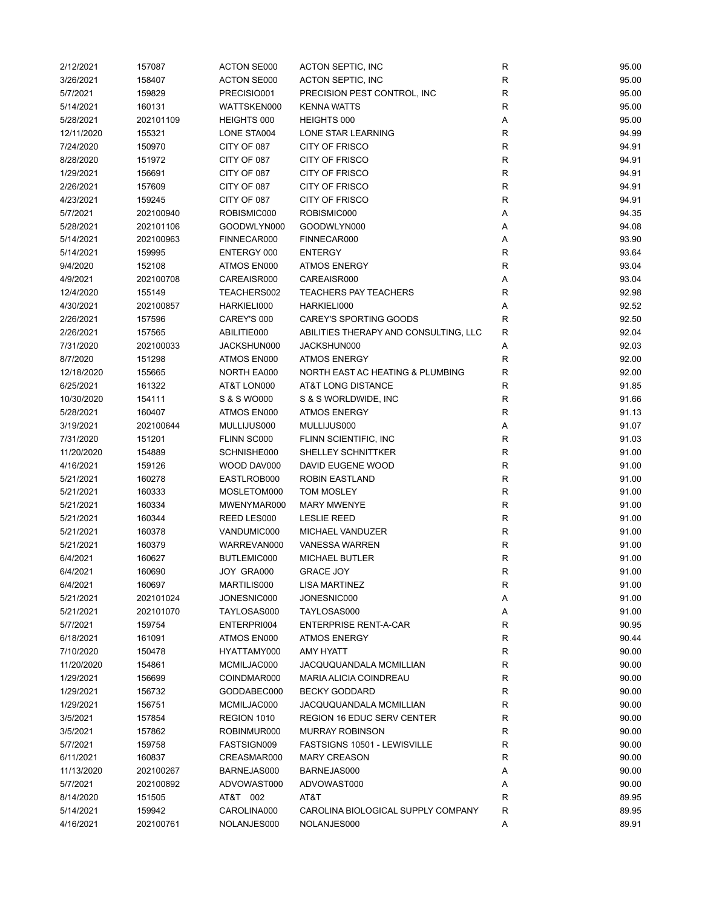| 2/12/2021  | 157087    | <b>ACTON SE000</b> | ACTON SEPTIC, INC                     | R            | 95.00 |
|------------|-----------|--------------------|---------------------------------------|--------------|-------|
| 3/26/2021  | 158407    | ACTON SE000        | <b>ACTON SEPTIC, INC</b>              | ${\sf R}$    | 95.00 |
| 5/7/2021   | 159829    | PRECISIO001        | PRECISION PEST CONTROL, INC           | $\mathsf{R}$ | 95.00 |
| 5/14/2021  | 160131    | WATTSKEN000        | <b>KENNA WATTS</b>                    | $\mathsf{R}$ | 95.00 |
| 5/28/2021  | 202101109 | HEIGHTS 000        | HEIGHTS 000                           | Α            | 95.00 |
| 12/11/2020 | 155321    | LONE STA004        | LONE STAR LEARNING                    | R            | 94.99 |
| 7/24/2020  | 150970    | CITY OF 087        | <b>CITY OF FRISCO</b>                 | R            | 94.91 |
| 8/28/2020  | 151972    | CITY OF 087        | CITY OF FRISCO                        | R            | 94.91 |
| 1/29/2021  | 156691    | CITY OF 087        | CITY OF FRISCO                        | $\mathsf{R}$ | 94.91 |
| 2/26/2021  | 157609    | CITY OF 087        | CITY OF FRISCO                        | $\mathsf{R}$ | 94.91 |
| 4/23/2021  | 159245    | CITY OF 087        | <b>CITY OF FRISCO</b>                 | $\mathsf{R}$ | 94.91 |
| 5/7/2021   | 202100940 | ROBISMIC000        | ROBISMIC000                           | Α            | 94.35 |
| 5/28/2021  | 202101106 | GOODWLYN000        | GOODWLYN000                           | Α            | 94.08 |
| 5/14/2021  | 202100963 | FINNECAR000        | FINNECAR000                           | Α            | 93.90 |
| 5/14/2021  | 159995    | ENTERGY 000        | <b>ENTERGY</b>                        | R            | 93.64 |
| 9/4/2020   | 152108    | ATMOS EN000        | <b>ATMOS ENERGY</b>                   | $\mathsf{R}$ | 93.04 |
| 4/9/2021   | 202100708 | CAREAISR000        | CAREAISR000                           | Α            | 93.04 |
| 12/4/2020  | 155149    | TEACHERS002        | <b>TEACHERS PAY TEACHERS</b>          | $\mathsf{R}$ | 92.98 |
| 4/30/2021  | 202100857 | HARKIELI000        | HARKIELI000                           | Α            | 92.52 |
| 2/26/2021  | 157596    | CAREY'S 000        | CAREY'S SPORTING GOODS                | $\mathsf{R}$ | 92.50 |
| 2/26/2021  | 157565    | ABILITIE000        | ABILITIES THERAPY AND CONSULTING, LLC | R            | 92.04 |
| 7/31/2020  | 202100033 | JACKSHUN000        | JACKSHUN000                           | A            | 92.03 |
| 8/7/2020   | 151298    | ATMOS EN000        | <b>ATMOS ENERGY</b>                   | R            | 92.00 |
| 12/18/2020 | 155665    | NORTH EA000        | NORTH EAST AC HEATING & PLUMBING      | $\mathsf{R}$ | 92.00 |
| 6/25/2021  | 161322    | AT&T LON000        | AT&T LONG DISTANCE                    | $\mathsf{R}$ | 91.85 |
| 10/30/2020 | 154111    | S & S WO000        | S & S WORLDWIDE, INC                  | $\mathsf{R}$ | 91.66 |
| 5/28/2021  | 160407    | ATMOS EN000        | <b>ATMOS ENERGY</b>                   | $\mathsf{R}$ | 91.13 |
| 3/19/2021  | 202100644 | MULLIJUS000        | MULLIJUS000                           | Α            | 91.07 |
|            |           |                    |                                       | $\mathsf{R}$ |       |
| 7/31/2020  | 151201    | FLINN SC000        | FLINN SCIENTIFIC, INC                 |              | 91.03 |
| 11/20/2020 | 154889    | SCHNISHE000        | SHELLEY SCHNITTKER                    | $\mathsf{R}$ | 91.00 |
| 4/16/2021  | 159126    | WOOD DAV000        | DAVID EUGENE WOOD                     | $\mathsf{R}$ | 91.00 |
| 5/21/2021  | 160278    | EASTLROB000        | ROBIN EASTLAND                        | $\mathsf{R}$ | 91.00 |
| 5/21/2021  | 160333    | MOSLETOM000        | <b>TOM MOSLEY</b>                     | $\mathsf{R}$ | 91.00 |
| 5/21/2021  | 160334    | MWENYMAR000        | <b>MARY MWENYE</b>                    | $\mathsf{R}$ | 91.00 |
| 5/21/2021  | 160344    | REED LES000        | <b>LESLIE REED</b>                    | $\mathsf{R}$ | 91.00 |
| 5/21/2021  | 160378    | VANDUMIC000        | MICHAEL VANDUZER                      | R            | 91.00 |
| 5/21/2021  | 160379    | WARREVAN000        | <b>VANESSA WARREN</b>                 | R            | 91.00 |
| 6/4/2021   | 160627    | BUTLEMIC000        | <b>MICHAEL BUTLER</b>                 | $\mathsf{R}$ | 91.00 |
| 6/4/2021   | 160690    | JOY GRA000         | <b>GRACE JOY</b>                      | R            | 91.00 |
| 6/4/2021   | 160697    | MARTILIS000        | <b>LISA MARTINEZ</b>                  | R            | 91.00 |
| 5/21/2021  | 202101024 | JONESNIC000        | JONESNIC000                           | Α            | 91.00 |
| 5/21/2021  | 202101070 | TAYLOSAS000        | TAYLOSAS000                           | Α            | 91.00 |
| 5/7/2021   | 159754    | ENTERPRI004        | <b>ENTERPRISE RENT-A-CAR</b>          | $\mathsf{R}$ | 90.95 |
| 6/18/2021  | 161091    | ATMOS EN000        | <b>ATMOS ENERGY</b>                   | R            | 90.44 |
| 7/10/2020  | 150478    | HYATTAMY000        | AMY HYATT                             | R            | 90.00 |
| 11/20/2020 | 154861    | MCMILJAC000        | JACQUQUANDALA MCMILLIAN               | R            | 90.00 |
| 1/29/2021  | 156699    | COINDMAR000        | MARIA ALICIA COINDREAU                | R            | 90.00 |
| 1/29/2021  | 156732    | GODDABEC000        | <b>BECKY GODDARD</b>                  | R            | 90.00 |
| 1/29/2021  | 156751    | MCMILJAC000        | JACQUQUANDALA MCMILLIAN               | $\mathsf{R}$ | 90.00 |
| 3/5/2021   | 157854    | REGION 1010        | <b>REGION 16 EDUC SERV CENTER</b>     | R            | 90.00 |
| 3/5/2021   | 157862    | ROBINMUR000        | <b>MURRAY ROBINSON</b>                | R            | 90.00 |
| 5/7/2021   | 159758    | FASTSIGN009        | FASTSIGNS 10501 - LEWISVILLE          | R            | 90.00 |
| 6/11/2021  | 160837    | CREASMAR000        | <b>MARY CREASON</b>                   | R            | 90.00 |
| 11/13/2020 | 202100267 | BARNEJAS000        | BARNEJAS000                           | Α            | 90.00 |
| 5/7/2021   | 202100892 | ADVOWAST000        | ADVOWAST000                           | Α            | 90.00 |
| 8/14/2020  | 151505    | AT&T 002           | AT&T                                  | R            | 89.95 |
| 5/14/2021  | 159942    | CAROLINA000        | CAROLINA BIOLOGICAL SUPPLY COMPANY    | $\mathsf{R}$ | 89.95 |
| 4/16/2021  | 202100761 | NOLANJES000        | NOLANJES000                           | Α            | 89.91 |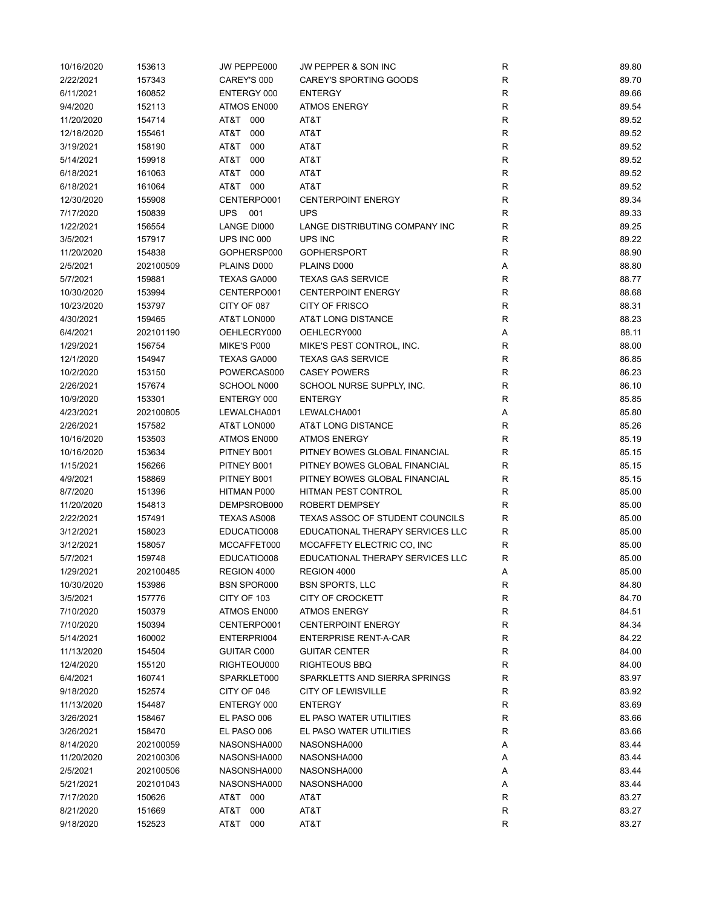| 10/16/2020 | 153613    | JW PEPPE000        | JW PEPPER & SON INC              | ${\sf R}$    | 89.80 |
|------------|-----------|--------------------|----------------------------------|--------------|-------|
| 2/22/2021  | 157343    | CAREY'S 000        | <b>CAREY'S SPORTING GOODS</b>    | $\mathsf{R}$ | 89.70 |
| 6/11/2021  | 160852    | ENTERGY 000        | <b>ENTERGY</b>                   | $\mathsf{R}$ | 89.66 |
| 9/4/2020   | 152113    | ATMOS EN000        | <b>ATMOS ENERGY</b>              | $\mathsf{R}$ | 89.54 |
| 11/20/2020 | 154714    | AT&T 000           | AT&T                             | $\mathsf{R}$ | 89.52 |
| 12/18/2020 | 155461    | AT&T<br>000        | AT&T                             | $\mathsf R$  | 89.52 |
| 3/19/2021  | 158190    | AT&T<br>000        | AT&T                             | $\mathsf{R}$ | 89.52 |
| 5/14/2021  | 159918    | AT&T<br>000        | AT&T                             | $\mathsf{R}$ | 89.52 |
|            |           |                    |                                  |              |       |
| 6/18/2021  | 161063    | AT&T 000           | AT&T                             | R            | 89.52 |
| 6/18/2021  | 161064    | AT&T 000           | AT&T                             | R            | 89.52 |
| 12/30/2020 | 155908    | CENTERPO001        | <b>CENTERPOINT ENERGY</b>        | $\mathsf{R}$ | 89.34 |
| 7/17/2020  | 150839    | <b>UPS</b><br>001  | <b>UPS</b>                       | R            | 89.33 |
| 1/22/2021  | 156554    | LANGE DI000        | LANGE DISTRIBUTING COMPANY INC   | $\mathsf{R}$ | 89.25 |
| 3/5/2021   | 157917    | UPS INC 000        | UPS INC                          | $\mathsf{R}$ | 89.22 |
| 11/20/2020 | 154838    | GOPHERSP000        | <b>GOPHERSPORT</b>               | $\mathsf R$  | 88.90 |
| 2/5/2021   | 202100509 | PLAINS D000        | PLAINS D000                      | Α            | 88.80 |
| 5/7/2021   | 159881    | TEXAS GA000        | <b>TEXAS GAS SERVICE</b>         | R            | 88.77 |
| 10/30/2020 | 153994    | CENTERPO001        | <b>CENTERPOINT ENERGY</b>        | $\mathsf{R}$ | 88.68 |
| 10/23/2020 | 153797    | CITY OF 087        | CITY OF FRISCO                   | $\mathsf{R}$ | 88.31 |
| 4/30/2021  | 159465    | AT&T LON000        | AT&T LONG DISTANCE               | $\mathsf{R}$ | 88.23 |
| 6/4/2021   | 202101190 | OEHLECRY000        | OEHLECRY000                      | Α            | 88.11 |
| 1/29/2021  | 156754    | MIKE'S P000        | MIKE'S PEST CONTROL, INC.        | $\mathsf{R}$ | 88.00 |
| 12/1/2020  | 154947    | <b>TEXAS GA000</b> | <b>TEXAS GAS SERVICE</b>         | $\mathsf{R}$ | 86.85 |
| 10/2/2020  | 153150    | POWERCAS000        | <b>CASEY POWERS</b>              | R            | 86.23 |
| 2/26/2021  | 157674    | SCHOOL N000        | SCHOOL NURSE SUPPLY, INC.        | R            | 86.10 |
|            |           |                    |                                  | $\mathsf{R}$ |       |
| 10/9/2020  | 153301    | ENTERGY 000        | <b>ENTERGY</b>                   |              | 85.85 |
| 4/23/2021  | 202100805 | LEWALCHA001        | LEWALCHA001                      | Α            | 85.80 |
| 2/26/2021  | 157582    | AT&T LON000        | AT&T LONG DISTANCE               | $\mathsf R$  | 85.26 |
| 10/16/2020 | 153503    | ATMOS EN000        | <b>ATMOS ENERGY</b>              | ${\sf R}$    | 85.19 |
| 10/16/2020 | 153634    | PITNEY B001        | PITNEY BOWES GLOBAL FINANCIAL    | R            | 85.15 |
| 1/15/2021  | 156266    | PITNEY B001        | PITNEY BOWES GLOBAL FINANCIAL    | R            | 85.15 |
| 4/9/2021   | 158869    | PITNEY B001        | PITNEY BOWES GLOBAL FINANCIAL    | R            | 85.15 |
| 8/7/2020   | 151396    | HITMAN P000        | HITMAN PEST CONTROL              | $\mathsf R$  | 85.00 |
| 11/20/2020 | 154813    | DEMPSROB000        | <b>ROBERT DEMPSEY</b>            | R            | 85.00 |
| 2/22/2021  | 157491    | TEXAS AS008        | TEXAS ASSOC OF STUDENT COUNCILS  | $\mathsf R$  | 85.00 |
| 3/12/2021  | 158023    | EDUCATIO008        | EDUCATIONAL THERAPY SERVICES LLC | $\mathsf R$  | 85.00 |
| 3/12/2021  | 158057    | MCCAFFET000        | MCCAFFETY ELECTRIC CO, INC       | R            | 85.00 |
| 5/7/2021   | 159748    | EDUCATIO008        | EDUCATIONAL THERAPY SERVICES LLC | R            | 85.00 |
| 1/29/2021  | 202100485 | REGION 4000        | REGION 4000                      | Α            | 85.00 |
| 10/30/2020 | 153986    | <b>BSN SPOR000</b> | <b>BSN SPORTS, LLC</b>           | R            | 84.80 |
| 3/5/2021   | 157776    | CITY OF 103        | <b>CITY OF CROCKETT</b>          | ${\sf R}$    | 84.70 |
| 7/10/2020  | 150379    | ATMOS EN000        | <b>ATMOS ENERGY</b>              | R            | 84.51 |
| 7/10/2020  | 150394    | CENTERPO001        | <b>CENTERPOINT ENERGY</b>        | R            | 84.34 |
| 5/14/2021  | 160002    | ENTERPRI004        | <b>ENTERPRISE RENT-A-CAR</b>     | $\mathsf{R}$ | 84.22 |
| 11/13/2020 | 154504    | GUITAR C000        | <b>GUITAR CENTER</b>             | $\mathsf{R}$ | 84.00 |
|            | 155120    |                    |                                  |              |       |
| 12/4/2020  |           | RIGHTEOU000        | <b>RIGHTEOUS BBQ</b>             | R            | 84.00 |
| 6/4/2021   | 160741    | SPARKLET000        | SPARKLETTS AND SIERRA SPRINGS    | R            | 83.97 |
| 9/18/2020  | 152574    | CITY OF 046        | <b>CITY OF LEWISVILLE</b>        | R            | 83.92 |
| 11/13/2020 | 154487    | ENTERGY 000        | <b>ENTERGY</b>                   | R            | 83.69 |
| 3/26/2021  | 158467    | EL PASO 006        | EL PASO WATER UTILITIES          | R            | 83.66 |
| 3/26/2021  | 158470    | EL PASO 006        | EL PASO WATER UTILITIES          | R            | 83.66 |
| 8/14/2020  | 202100059 | NASONSHA000        | NASONSHA000                      | Α            | 83.44 |
| 11/20/2020 | 202100306 | NASONSHA000        | NASONSHA000                      | А            | 83.44 |
| 2/5/2021   | 202100506 | NASONSHA000        | NASONSHA000                      | Α            | 83.44 |
| 5/21/2021  | 202101043 | NASONSHA000        | NASONSHA000                      | Α            | 83.44 |
| 7/17/2020  | 150626    | AT&T 000           | AT&T                             | R            | 83.27 |
| 8/21/2020  | 151669    | AT&T<br>000        | AT&T                             | R            | 83.27 |
| 9/18/2020  | 152523    | AT&T<br>000        | AT&T                             | $\mathsf R$  | 83.27 |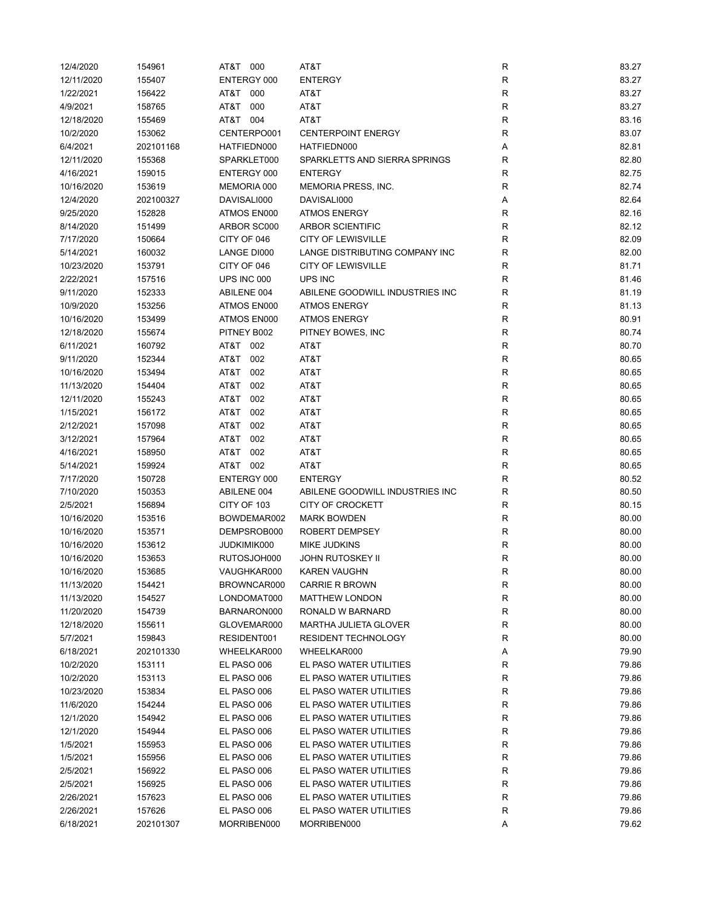| 12/4/2020  | 154961    | AT&T 000    | AT&T                            | R           | 83.27 |
|------------|-----------|-------------|---------------------------------|-------------|-------|
| 12/11/2020 | 155407    | ENTERGY 000 | <b>ENTERGY</b>                  | $\mathsf R$ | 83.27 |
| 1/22/2021  | 156422    | AT&T<br>000 | AT&T                            | $\mathsf R$ | 83.27 |
| 4/9/2021   | 158765    | AT&T<br>000 | AT&T                            | $\mathsf R$ | 83.27 |
| 12/18/2020 | 155469    | AT&T 004    | AT&T                            | $\mathsf R$ | 83.16 |
| 10/2/2020  | 153062    | CENTERPO001 | <b>CENTERPOINT ENERGY</b>       | R           | 83.07 |
| 6/4/2021   | 202101168 | HATFIEDN000 | HATFIEDN000                     | Α           | 82.81 |
| 12/11/2020 | 155368    | SPARKLET000 | SPARKLETTS AND SIERRA SPRINGS   | R           | 82.80 |
| 4/16/2021  | 159015    | ENTERGY 000 | <b>ENTERGY</b>                  | R           | 82.75 |
| 10/16/2020 | 153619    | MEMORIA 000 | <b>MEMORIA PRESS, INC.</b>      | R           | 82.74 |
| 12/4/2020  | 202100327 | DAVISALI000 | DAVISALI000                     | Α           | 82.64 |
| 9/25/2020  | 152828    | ATMOS EN000 | <b>ATMOS ENERGY</b>             | R           | 82.16 |
| 8/14/2020  | 151499    | ARBOR SC000 | <b>ARBOR SCIENTIFIC</b>         | $\mathsf R$ | 82.12 |
| 7/17/2020  | 150664    | CITY OF 046 | <b>CITY OF LEWISVILLE</b>       | $\mathsf R$ | 82.09 |
| 5/14/2021  | 160032    | LANGE DI000 | LANGE DISTRIBUTING COMPANY INC  | R           | 82.00 |
| 10/23/2020 | 153791    | CITY OF 046 | <b>CITY OF LEWISVILLE</b>       | $\mathsf R$ | 81.71 |
| 2/22/2021  | 157516    | UPS INC 000 | UPS INC                         | $\mathsf R$ | 81.46 |
| 9/11/2020  | 152333    | ABILENE 004 | ABILENE GOODWILL INDUSTRIES INC | R           | 81.19 |
| 10/9/2020  | 153256    | ATMOS EN000 | <b>ATMOS ENERGY</b>             | R           | 81.13 |
| 10/16/2020 | 153499    | ATMOS EN000 | <b>ATMOS ENERGY</b>             | $\mathsf R$ | 80.91 |
| 12/18/2020 | 155674    | PITNEY B002 | PITNEY BOWES, INC               | R           | 80.74 |
| 6/11/2021  | 160792    | AT&T 002    | AT&T                            | R           | 80.70 |
| 9/11/2020  | 152344    | AT&T<br>002 | AT&T                            | R           | 80.65 |
| 10/16/2020 | 153494    | T&TA<br>002 | AT&T                            | R           | 80.65 |
| 11/13/2020 | 154404    | T&TA<br>002 | AT&T                            | R           | 80.65 |
| 12/11/2020 | 155243    | AT&T<br>002 | AT&T                            | $\mathsf R$ | 80.65 |
| 1/15/2021  | 156172    | AT&T<br>002 | AT&T                            | $\mathsf R$ | 80.65 |
| 2/12/2021  | 157098    | T&TA<br>002 | AT&T                            | $\mathsf R$ | 80.65 |
| 3/12/2021  | 157964    | AT&T<br>002 | AT&T                            | $\mathsf R$ | 80.65 |
| 4/16/2021  | 158950    | T&TA<br>002 | AT&T                            | R           | 80.65 |
| 5/14/2021  | 159924    | AT&T 002    | AT&T                            | $\mathsf R$ | 80.65 |
| 7/17/2020  | 150728    | ENTERGY 000 | <b>ENTERGY</b>                  | $\mathsf R$ | 80.52 |
| 7/10/2020  | 150353    | ABILENE 004 | ABILENE GOODWILL INDUSTRIES INC | $\mathsf R$ | 80.50 |
| 2/5/2021   | 156894    | CITY OF 103 | <b>CITY OF CROCKETT</b>         | R           | 80.15 |
| 10/16/2020 | 153516    | BOWDEMAR002 | <b>MARK BOWDEN</b>              | $\mathsf R$ | 80.00 |
| 10/16/2020 | 153571    | DEMPSROB000 | ROBERT DEMPSEY                  | R           | 80.00 |
| 10/16/2020 | 153612    | JUDKIMIK000 | <b>MIKE JUDKINS</b>             | R           | 80.00 |
| 10/16/2020 | 153653    | RUTOSJOH000 | <b>JOHN RUTOSKEY II</b>         | R           | 80.00 |
| 10/16/2020 | 153685    | VAUGHKAR000 | KAREN VAUGHN                    | R           | 80.00 |
| 11/13/2020 | 154421    | BROWNCAR000 | <b>CARRIE R BROWN</b>           | R           | 80.00 |
| 11/13/2020 | 154527    | LONDOMAT000 | <b>MATTHEW LONDON</b>           | R           | 80.00 |
| 11/20/2020 | 154739    | BARNARON000 | RONALD W BARNARD                | $\mathsf R$ | 80.00 |
| 12/18/2020 | 155611    | GLOVEMAR000 | <b>MARTHA JULIETA GLOVER</b>    | $\mathsf R$ | 80.00 |
|            |           |             | <b>RESIDENT TECHNOLOGY</b>      |             |       |
| 5/7/2021   | 159843    | RESIDENT001 |                                 | R           | 80.00 |
| 6/18/2021  | 202101330 | WHEELKAR000 | WHEELKAR000                     | Α           | 79.90 |
| 10/2/2020  | 153111    | EL PASO 006 | EL PASO WATER UTILITIES         | R           | 79.86 |
| 10/2/2020  | 153113    | EL PASO 006 | EL PASO WATER UTILITIES         | R           | 79.86 |
| 10/23/2020 | 153834    | EL PASO 006 | EL PASO WATER UTILITIES         | R           | 79.86 |
| 11/6/2020  | 154244    | EL PASO 006 | EL PASO WATER UTILITIES         | $\mathsf R$ | 79.86 |
| 12/1/2020  | 154942    | EL PASO 006 | EL PASO WATER UTILITIES         | R           | 79.86 |
| 12/1/2020  | 154944    | EL PASO 006 | EL PASO WATER UTILITIES         | R           | 79.86 |
| 1/5/2021   | 155953    | EL PASO 006 | EL PASO WATER UTILITIES         | R           | 79.86 |
| 1/5/2021   | 155956    | EL PASO 006 | EL PASO WATER UTILITIES         | R           | 79.86 |
| 2/5/2021   | 156922    | EL PASO 006 | EL PASO WATER UTILITIES         | R           | 79.86 |
| 2/5/2021   | 156925    | EL PASO 006 | EL PASO WATER UTILITIES         | R           | 79.86 |
| 2/26/2021  | 157623    | EL PASO 006 | EL PASO WATER UTILITIES         | R           | 79.86 |
| 2/26/2021  | 157626    | EL PASO 006 | EL PASO WATER UTILITIES         | $\mathsf R$ | 79.86 |
| 6/18/2021  | 202101307 | MORRIBEN000 | MORRIBEN000                     | Α           | 79.62 |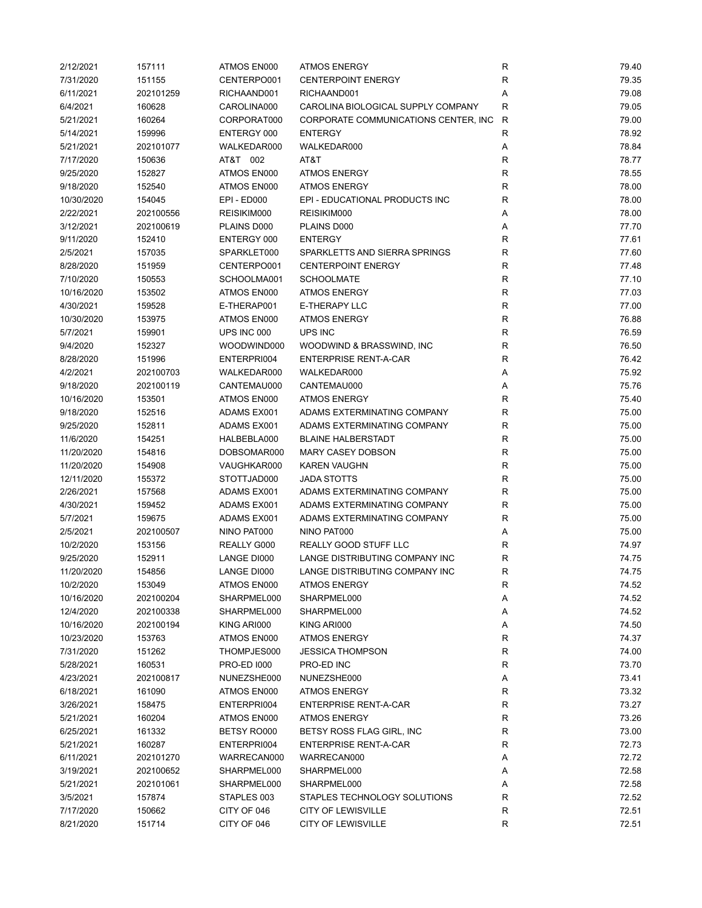| 2/12/2021  | 157111    | ATMOS EN000        | <b>ATMOS ENERGY</b>                   | ${\sf R}$    | 79.40 |
|------------|-----------|--------------------|---------------------------------------|--------------|-------|
| 7/31/2020  | 151155    | CENTERPO001        | <b>CENTERPOINT ENERGY</b>             | $\mathsf{R}$ | 79.35 |
| 6/11/2021  | 202101259 | RICHAAND001        | RICHAAND001                           | Α            | 79.08 |
| 6/4/2021   | 160628    | CAROLINA000        | CAROLINA BIOLOGICAL SUPPLY COMPANY    | R            | 79.05 |
| 5/21/2021  | 160264    | CORPORAT000        | CORPORATE COMMUNICATIONS CENTER, INC. | R            | 79.00 |
| 5/14/2021  | 159996    | ENTERGY 000        | <b>ENTERGY</b>                        | R            | 78.92 |
| 5/21/2021  | 202101077 | WALKEDAR000        | WALKEDAR000                           | Α            | 78.84 |
| 7/17/2020  | 150636    | AT&T 002           | AT&T                                  | R            | 78.77 |
|            |           | ATMOS EN000        | <b>ATMOS ENERGY</b>                   | $\mathsf{R}$ | 78.55 |
| 9/25/2020  | 152827    |                    |                                       |              |       |
| 9/18/2020  | 152540    | ATMOS EN000        | <b>ATMOS ENERGY</b>                   | $\mathsf{R}$ | 78.00 |
| 10/30/2020 | 154045    | <b>EPI - ED000</b> | EPI - EDUCATIONAL PRODUCTS INC        | $\mathsf{R}$ | 78.00 |
| 2/22/2021  | 202100556 | REISIKIM000        | REISIKIM000                           | Α            | 78.00 |
| 3/12/2021  | 202100619 | PLAINS D000        | PLAINS D000                           | Α            | 77.70 |
| 9/11/2020  | 152410    | ENTERGY 000        | <b>ENTERGY</b>                        | $\mathsf{R}$ | 77.61 |
| 2/5/2021   | 157035    | SPARKLET000        | SPARKLETTS AND SIERRA SPRINGS         | $\mathsf{R}$ | 77.60 |
| 8/28/2020  | 151959    | CENTERPO001        | <b>CENTERPOINT ENERGY</b>             | $\mathsf{R}$ | 77.48 |
| 7/10/2020  | 150553    | SCHOOLMA001        | <b>SCHOOLMATE</b>                     | $\mathsf{R}$ | 77.10 |
| 10/16/2020 | 153502    | ATMOS EN000        | <b>ATMOS ENERGY</b>                   | $\mathsf{R}$ | 77.03 |
| 4/30/2021  | 159528    | E-THERAP001        | E-THERAPY LLC                         | $\mathsf{R}$ | 77.00 |
| 10/30/2020 | 153975    | ATMOS EN000        | <b>ATMOS ENERGY</b>                   | $\mathsf{R}$ | 76.88 |
| 5/7/2021   | 159901    | UPS INC 000        | <b>UPS INC</b>                        | $\mathsf{R}$ | 76.59 |
| 9/4/2020   | 152327    | WOODWIND000        | WOODWIND & BRASSWIND, INC             | R            | 76.50 |
| 8/28/2020  | 151996    | ENTERPRI004        | <b>ENTERPRISE RENT-A-CAR</b>          | R            | 76.42 |
| 4/2/2021   | 202100703 | WALKEDAR000        | WALKEDAR000                           | Α            | 75.92 |
| 9/18/2020  | 202100119 | CANTEMAU000        | CANTEMAU000                           | Α            | 75.76 |
| 10/16/2020 | 153501    | ATMOS EN000        | <b>ATMOS ENERGY</b>                   | $\mathsf{R}$ | 75.40 |
| 9/18/2020  | 152516    | ADAMS EX001        | ADAMS EXTERMINATING COMPANY           | ${\sf R}$    | 75.00 |
| 9/25/2020  | 152811    | ADAMS EX001        | ADAMS EXTERMINATING COMPANY           | R            | 75.00 |
| 11/6/2020  | 154251    | HALBEBLA000        | <b>BLAINE HALBERSTADT</b>             | R            | 75.00 |
|            |           |                    |                                       |              |       |
| 11/20/2020 | 154816    | DOBSOMAR000        | <b>MARY CASEY DOBSON</b>              | R            | 75.00 |
| 11/20/2020 | 154908    | VAUGHKAR000        | <b>KAREN VAUGHN</b>                   | $\mathsf{R}$ | 75.00 |
| 12/11/2020 | 155372    | STOTTJAD000        | <b>JADA STOTTS</b>                    | $\mathsf{R}$ | 75.00 |
| 2/26/2021  | 157568    | ADAMS EX001        | ADAMS EXTERMINATING COMPANY           | $\mathsf{R}$ | 75.00 |
| 4/30/2021  | 159452    | ADAMS EX001        | ADAMS EXTERMINATING COMPANY           | $\mathsf{R}$ | 75.00 |
| 5/7/2021   | 159675    | ADAMS EX001        | ADAMS EXTERMINATING COMPANY           | $\mathsf{R}$ | 75.00 |
| 2/5/2021   | 202100507 | NINO PAT000        | NINO PAT000                           | Α            | 75.00 |
| 10/2/2020  | 153156    | REALLY G000        | <b>REALLY GOOD STUFF LLC</b>          | R            | 74.97 |
| 9/25/2020  | 152911    | LANGE DI000        | LANGE DISTRIBUTING COMPANY INC        | R            | 74.75 |
| 11/20/2020 | 154856    | LANGE DI000        | LANGE DISTRIBUTING COMPANY INC        | R            | 74.75 |
| 10/2/2020  | 153049    | ATMOS EN000        | <b>ATMOS ENERGY</b>                   | R            | 74.52 |
| 10/16/2020 | 202100204 | SHARPMEL000        | SHARPMEL000                           | Α            | 74.52 |
| 12/4/2020  | 202100338 | SHARPMEL000        | SHARPMEL000                           | Α            | 74.52 |
| 10/16/2020 | 202100194 | KING ARI000        | KING ARI000                           | Α            | 74.50 |
| 10/23/2020 | 153763    | ATMOS EN000        | <b>ATMOS ENERGY</b>                   | R            | 74.37 |
| 7/31/2020  | 151262    | THOMPJES000        | <b>JESSICA THOMPSON</b>               | R            | 74.00 |
| 5/28/2021  | 160531    | <b>PRO-ED 1000</b> | PRO-ED INC                            | R            | 73.70 |
| 4/23/2021  | 202100817 | NUNEZSHE000        | NUNEZSHE000                           | Α            | 73.41 |
| 6/18/2021  | 161090    | ATMOS EN000        | <b>ATMOS ENERGY</b>                   | R            | 73.32 |
| 3/26/2021  | 158475    | ENTERPRI004        | <b>ENTERPRISE RENT-A-CAR</b>          | $\mathsf{R}$ | 73.27 |
| 5/21/2021  | 160204    | ATMOS EN000        | <b>ATMOS ENERGY</b>                   | R            | 73.26 |
| 6/25/2021  | 161332    | BETSY RO000        | BETSY ROSS FLAG GIRL, INC             | R            | 73.00 |
| 5/21/2021  | 160287    | ENTERPRI004        | <b>ENTERPRISE RENT-A-CAR</b>          | R            | 72.73 |
| 6/11/2021  | 202101270 | WARRECAN000        | WARRECAN000                           | Α            | 72.72 |
| 3/19/2021  | 202100652 | SHARPMEL000        | SHARPMEL000                           |              | 72.58 |
|            |           |                    |                                       | Α            |       |
| 5/21/2021  | 202101061 | SHARPMEL000        | SHARPMEL000                           | Α            | 72.58 |
| 3/5/2021   | 157874    | STAPLES 003        | STAPLES TECHNOLOGY SOLUTIONS          | R            | 72.52 |
| 7/17/2020  | 150662    | CITY OF 046        | <b>CITY OF LEWISVILLE</b>             | $\mathsf{R}$ | 72.51 |
| 8/21/2020  | 151714    | CITY OF 046        | <b>CITY OF LEWISVILLE</b>             | R            | 72.51 |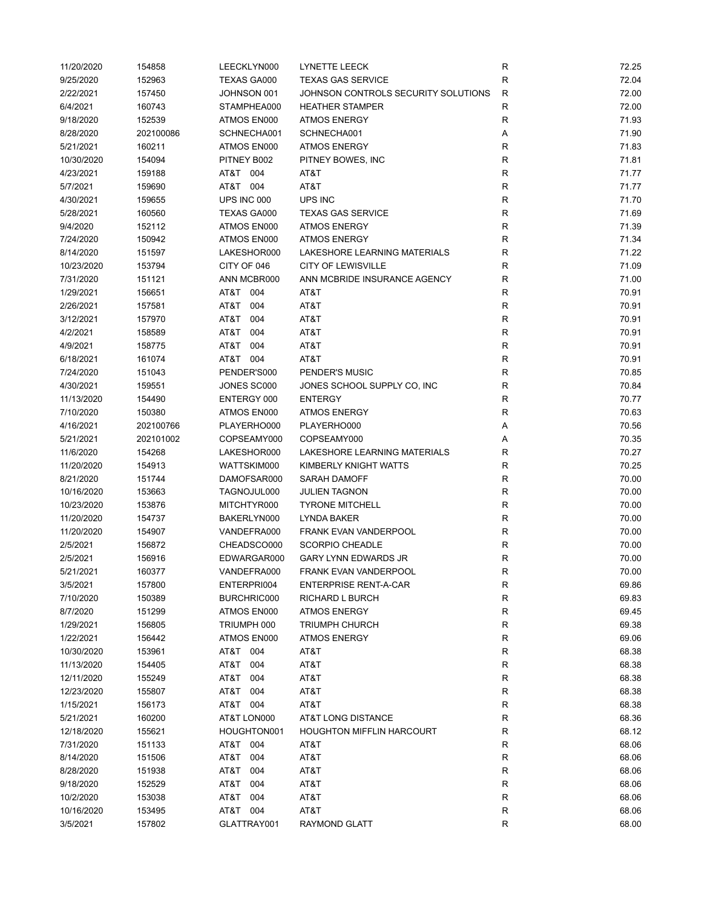| 11/20/2020 | 154858    | LEECKLYN000        | LYNETTE LEECK                       | ${\sf R}$    | 72.25 |
|------------|-----------|--------------------|-------------------------------------|--------------|-------|
| 9/25/2020  | 152963    | <b>TEXAS GA000</b> | <b>TEXAS GAS SERVICE</b>            | $\mathsf{R}$ | 72.04 |
| 2/22/2021  | 157450    | JOHNSON 001        | JOHNSON CONTROLS SECURITY SOLUTIONS | $\mathsf{R}$ | 72.00 |
| 6/4/2021   | 160743    | STAMPHEA000        | <b>HEATHER STAMPER</b>              | $\mathsf{R}$ | 72.00 |
| 9/18/2020  | 152539    | ATMOS EN000        | <b>ATMOS ENERGY</b>                 | $\mathsf{R}$ | 71.93 |
| 8/28/2020  | 202100086 | SCHNECHA001        | SCHNECHA001                         | Α            | 71.90 |
| 5/21/2021  | 160211    | ATMOS EN000        | <b>ATMOS ENERGY</b>                 | $\mathsf{R}$ | 71.83 |
| 10/30/2020 | 154094    | PITNEY B002        | PITNEY BOWES, INC                   | R            | 71.81 |
| 4/23/2021  | 159188    | AT&T 004           | AT&T                                | R            | 71.77 |
| 5/7/2021   | 159690    | AT&T 004           | AT&T                                | $\mathsf{R}$ | 71.77 |
| 4/30/2021  | 159655    | UPS INC 000        | UPS INC                             | $\mathsf{R}$ | 71.70 |
| 5/28/2021  | 160560    | TEXAS GA000        | <b>TEXAS GAS SERVICE</b>            | $\mathsf{R}$ | 71.69 |
| 9/4/2020   | 152112    | ATMOS EN000        | <b>ATMOS ENERGY</b>                 | $\mathsf{R}$ | 71.39 |
| 7/24/2020  | 150942    | ATMOS EN000        | <b>ATMOS ENERGY</b>                 | ${\sf R}$    | 71.34 |
| 8/14/2020  | 151597    | LAKESHOR000        | LAKESHORE LEARNING MATERIALS        | $\mathsf{R}$ | 71.22 |
| 10/23/2020 | 153794    | CITY OF 046        | <b>CITY OF LEWISVILLE</b>           | R            | 71.09 |
| 7/31/2020  | 151121    | ANN MCBR000        | ANN MCBRIDE INSURANCE AGENCY        | $\mathsf{R}$ | 71.00 |
| 1/29/2021  | 156651    | AT&T 004           | AT&T                                | $\mathsf{R}$ | 70.91 |
| 2/26/2021  | 157581    | AT&T<br>004        | AT&T                                | $\mathsf{R}$ | 70.91 |
| 3/12/2021  | 157970    | AT&T<br>004        | AT&T                                | $\mathsf{R}$ | 70.91 |
| 4/2/2021   | 158589    | AT&T<br>004        | AT&T                                | $\mathsf{R}$ | 70.91 |
| 4/9/2021   | 158775    | AT&T<br>004        | AT&T                                | $\mathsf{R}$ | 70.91 |
| 6/18/2021  | 161074    | AT&T 004           | AT&T                                | R            | 70.91 |
| 7/24/2020  | 151043    | PENDER'S000        | PENDER'S MUSIC                      | R            | 70.85 |
| 4/30/2021  | 159551    | JONES SC000        | JONES SCHOOL SUPPLY CO, INC         | $\mathsf{R}$ | 70.84 |
| 11/13/2020 | 154490    | ENTERGY 000        | <b>ENTERGY</b>                      | $\mathsf{R}$ | 70.77 |
| 7/10/2020  | 150380    | ATMOS EN000        | <b>ATMOS ENERGY</b>                 | $\mathsf{R}$ | 70.63 |
| 4/16/2021  | 202100766 | PLAYERHO000        | PLAYERHO000                         | Α            | 70.56 |
| 5/21/2021  | 202101002 | COPSEAMY000        | COPSEAMY000                         | Α            | 70.35 |
| 11/6/2020  | 154268    | LAKESHOR000        | LAKESHORE LEARNING MATERIALS        | $\mathsf{R}$ | 70.27 |
| 11/20/2020 | 154913    | WATTSKIM000        | KIMBERLY KNIGHT WATTS               | R            | 70.25 |
| 8/21/2020  | 151744    | DAMOFSAR000        | <b>SARAH DAMOFF</b>                 | $\mathsf{R}$ | 70.00 |
| 10/16/2020 | 153663    | TAGNOJUL000        | <b>JULIEN TAGNON</b>                | $\mathsf{R}$ | 70.00 |
| 10/23/2020 | 153876    | MITCHTYR000        | <b>TYRONE MITCHELL</b>              | $\mathsf{R}$ | 70.00 |
| 11/20/2020 | 154737    | BAKERLYN000        | LYNDA BAKER                         | $\mathsf{R}$ | 70.00 |
| 11/20/2020 | 154907    | VANDEFRA000        | FRANK EVAN VANDERPOOL               | $\mathsf{R}$ | 70.00 |
| 2/5/2021   | 156872    | CHEADSCO000        | <b>SCORPIO CHEADLE</b>              | R            | 70.00 |
| 2/5/2021   | 156916    | EDWARGAR000        | <b>GARY LYNN EDWARDS JR</b>         | R            | 70.00 |
| 5/21/2021  | 160377    | VANDEFRA000        | FRANK EVAN VANDERPOOL               | R            | 70.00 |
| 3/5/2021   | 157800    | ENTERPRI004        | <b>ENTERPRISE RENT-A-CAR</b>        | R            | 69.86 |
| 7/10/2020  | 150389    | BURCHRIC000        | <b>RICHARD L BURCH</b>              | ${\sf R}$    | 69.83 |
| 8/7/2020   | 151299    | ATMOS EN000        | <b>ATMOS ENERGY</b>                 | $\mathsf{R}$ | 69.45 |
| 1/29/2021  | 156805    | TRIUMPH 000        | <b>TRIUMPH CHURCH</b>               | $\mathsf{R}$ | 69.38 |
| 1/22/2021  | 156442    | ATMOS EN000        | <b>ATMOS ENERGY</b>                 | $\mathsf{R}$ | 69.06 |
| 10/30/2020 | 153961    | AT&T 004           | AT&T                                | $\mathsf{R}$ | 68.38 |
| 11/13/2020 | 154405    | AT&T<br>004        | AT&T                                | R            | 68.38 |
| 12/11/2020 | 155249    | T&TA<br>004        | AT&T                                | $\mathsf{R}$ | 68.38 |
| 12/23/2020 | 155807    | AT&T<br>004        | AT&T                                | $\mathsf{R}$ | 68.38 |
| 1/15/2021  | 156173    | AT&T<br>004        | AT&T                                | R            | 68.38 |
| 5/21/2021  | 160200    | AT&T LON000        | AT&T LONG DISTANCE                  | $\mathsf{R}$ | 68.36 |
| 12/18/2020 | 155621    | HOUGHTON001        | <b>HOUGHTON MIFFLIN HARCOURT</b>    | R            | 68.12 |
| 7/31/2020  | 151133    | AT&T 004           | AT&T                                | R            | 68.06 |
| 8/14/2020  | 151506    | AT&T<br>004        | AT&T                                | R            | 68.06 |
| 8/28/2020  | 151938    | T&TA<br>004        | AT&T                                | R            | 68.06 |
| 9/18/2020  | 152529    | AT&T<br>004        | AT&T                                | R            | 68.06 |
| 10/2/2020  | 153038    | AT&T<br>004        | AT&T                                | R            | 68.06 |
| 10/16/2020 | 153495    | AT&T 004           | AT&T                                | $\mathsf{R}$ | 68.06 |
| 3/5/2021   | 157802    | GLATTRAY001        | RAYMOND GLATT                       | $\mathsf{R}$ | 68.00 |
|            |           |                    |                                     |              |       |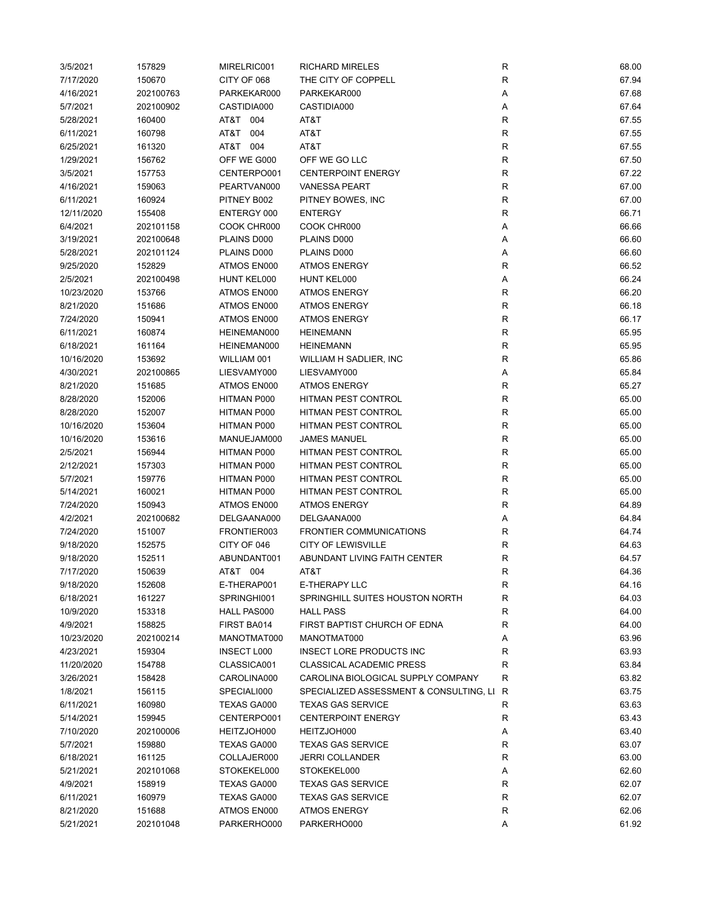| 3/5/2021   | 157829    | MIRELRIC001        | <b>RICHARD MIRELES</b>                  | ${\sf R}$    | 68.00 |
|------------|-----------|--------------------|-----------------------------------------|--------------|-------|
| 7/17/2020  | 150670    | CITY OF 068        | THE CITY OF COPPELL                     | ${\sf R}$    | 67.94 |
| 4/16/2021  | 202100763 | PARKEKAR000        | PARKEKAR000                             | Α            | 67.68 |
| 5/7/2021   | 202100902 | CASTIDIA000        | CASTIDIA000                             | Α            | 67.64 |
| 5/28/2021  | 160400    | AT&T 004           | AT&T                                    | $\mathsf{R}$ | 67.55 |
| 6/11/2021  | 160798    | T&TA<br>004        | AT&T                                    | $\mathsf{R}$ | 67.55 |
| 6/25/2021  | 161320    | AT&T 004           | AT&T                                    | $\mathsf{R}$ | 67.55 |
| 1/29/2021  | 156762    | OFF WE G000        | OFF WE GO LLC                           | R            | 67.50 |
| 3/5/2021   | 157753    | CENTERPO001        | <b>CENTERPOINT ENERGY</b>               | R            | 67.22 |
| 4/16/2021  | 159063    | PEARTVAN000        | <b>VANESSA PEART</b>                    | $\mathsf{R}$ | 67.00 |
| 6/11/2021  | 160924    | PITNEY B002        | PITNEY BOWES, INC                       | $\mathsf{R}$ | 67.00 |
| 12/11/2020 | 155408    | ENTERGY 000        | <b>ENTERGY</b>                          | $\mathsf{R}$ | 66.71 |
| 6/4/2021   | 202101158 | COOK CHR000        | COOK CHR000                             | Α            | 66.66 |
| 3/19/2021  | 202100648 | PLAINS D000        | PLAINS D000                             | Α            | 66.60 |
| 5/28/2021  | 202101124 | PLAINS D000        | PLAINS D000                             | Α            | 66.60 |
| 9/25/2020  | 152829    | ATMOS EN000        | <b>ATMOS ENERGY</b>                     | $\mathsf{R}$ | 66.52 |
| 2/5/2021   | 202100498 | HUNT KEL000        | HUNT KEL000                             | Α            | 66.24 |
| 10/23/2020 | 153766    | ATMOS EN000        | <b>ATMOS ENERGY</b>                     | $\mathsf{R}$ | 66.20 |
| 8/21/2020  | 151686    | ATMOS EN000        | <b>ATMOS ENERGY</b>                     | $\mathsf{R}$ | 66.18 |
| 7/24/2020  | 150941    | ATMOS EN000        | <b>ATMOS ENERGY</b>                     | $\mathsf{R}$ | 66.17 |
| 6/11/2021  | 160874    | HEINEMAN000        | <b>HEINEMANN</b>                        | $\mathsf{R}$ | 65.95 |
| 6/18/2021  | 161164    | HEINEMAN000        | <b>HEINEMANN</b>                        | $\mathsf{R}$ | 65.95 |
| 10/16/2020 | 153692    | WILLIAM 001        | WILLIAM H SADLIER, INC                  | R            | 65.86 |
| 4/30/2021  | 202100865 | LIESVAMY000        | LIESVAMY000                             | Α            | 65.84 |
| 8/21/2020  | 151685    | ATMOS EN000        | <b>ATMOS ENERGY</b>                     | $\mathsf{R}$ | 65.27 |
| 8/28/2020  | 152006    | HITMAN P000        | <b>HITMAN PEST CONTROL</b>              | $\mathsf{R}$ | 65.00 |
| 8/28/2020  | 152007    | HITMAN P000        | HITMAN PEST CONTROL                     | $\mathsf{R}$ | 65.00 |
| 10/16/2020 | 153604    | HITMAN P000        | <b>HITMAN PEST CONTROL</b>              | $\mathsf{R}$ | 65.00 |
| 10/16/2020 | 153616    | MANUEJAM000        | <b>JAMES MANUEL</b>                     | $\mathsf{R}$ | 65.00 |
| 2/5/2021   | 156944    | HITMAN P000        | HITMAN PEST CONTROL                     | $\mathsf{R}$ | 65.00 |
| 2/12/2021  | 157303    | HITMAN P000        | HITMAN PEST CONTROL                     | R            | 65.00 |
| 5/7/2021   | 159776    | HITMAN P000        | HITMAN PEST CONTROL                     | $\mathsf{R}$ | 65.00 |
| 5/14/2021  | 160021    | HITMAN P000        | HITMAN PEST CONTROL                     | $\mathsf{R}$ | 65.00 |
| 7/24/2020  | 150943    | ATMOS EN000        | <b>ATMOS ENERGY</b>                     | $\mathsf{R}$ | 64.89 |
| 4/2/2021   | 202100682 | DELGAANA000        | DELGAANA000                             |              | 64.84 |
| 7/24/2020  | 151007    | FRONTIER003        | <b>FRONTIER COMMUNICATIONS</b>          | Α<br>R       | 64.74 |
| 9/18/2020  | 152575    | CITY OF 046        | <b>CITY OF LEWISVILLE</b>               | R            | 64.63 |
| 9/18/2020  | 152511    | ABUNDANT001        | ABUNDANT LIVING FAITH CENTER            | R            | 64.57 |
| 7/17/2020  | 150639    | AT&T 004           |                                         | R            | 64.36 |
|            |           |                    | AT&T                                    |              | 64.16 |
| 9/18/2020  | 152608    | E-THERAP001        | E-THERAPY LLC                           | R            |       |
| 6/18/2021  | 161227    | SPRINGHI001        | SPRINGHILL SUITES HOUSTON NORTH         | ${\sf R}$    | 64.03 |
| 10/9/2020  | 153318    | HALL PAS000        | <b>HALL PASS</b>                        | R            | 64.00 |
| 4/9/2021   | 158825    | FIRST BA014        | FIRST BAPTIST CHURCH OF EDNA            | $\mathsf{R}$ | 64.00 |
| 10/23/2020 | 202100214 | MANOTMAT000        | MANOTMAT000                             | Α            | 63.96 |
| 4/23/2021  | 159304    | <b>INSECT L000</b> | INSECT LORE PRODUCTS INC                | R            | 63.93 |
| 11/20/2020 | 154788    | CLASSICA001        | <b>CLASSICAL ACADEMIC PRESS</b>         | R            | 63.84 |
| 3/26/2021  | 158428    | CAROLINA000        | CAROLINA BIOLOGICAL SUPPLY COMPANY      | R            | 63.82 |
| 1/8/2021   | 156115    | SPECIALI000        | SPECIALIZED ASSESSMENT & CONSULTING, LI | R            | 63.75 |
| 6/11/2021  | 160980    | TEXAS GA000        | <b>TEXAS GAS SERVICE</b>                | R            | 63.63 |
| 5/14/2021  | 159945    | CENTERPO001        | <b>CENTERPOINT ENERGY</b>               | R            | 63.43 |
| 7/10/2020  | 202100006 | HEITZJOH000        | HEITZJOH000                             | Α            | 63.40 |
| 5/7/2021   | 159880    | TEXAS GA000        | <b>TEXAS GAS SERVICE</b>                | R            | 63.07 |
| 6/18/2021  | 161125    | COLLAJER000        | <b>JERRI COLLANDER</b>                  | R            | 63.00 |
| 5/21/2021  | 202101068 | STOKEKEL000        | STOKEKEL000                             | Α            | 62.60 |
| 4/9/2021   | 158919    | TEXAS GA000        | <b>TEXAS GAS SERVICE</b>                | R            | 62.07 |
| 6/11/2021  | 160979    | TEXAS GA000        | <b>TEXAS GAS SERVICE</b>                | R            | 62.07 |
| 8/21/2020  | 151688    | ATMOS EN000        | <b>ATMOS ENERGY</b>                     | $\mathsf{R}$ | 62.06 |
| 5/21/2021  | 202101048 | PARKERHO000        | PARKERHO000                             | Α            | 61.92 |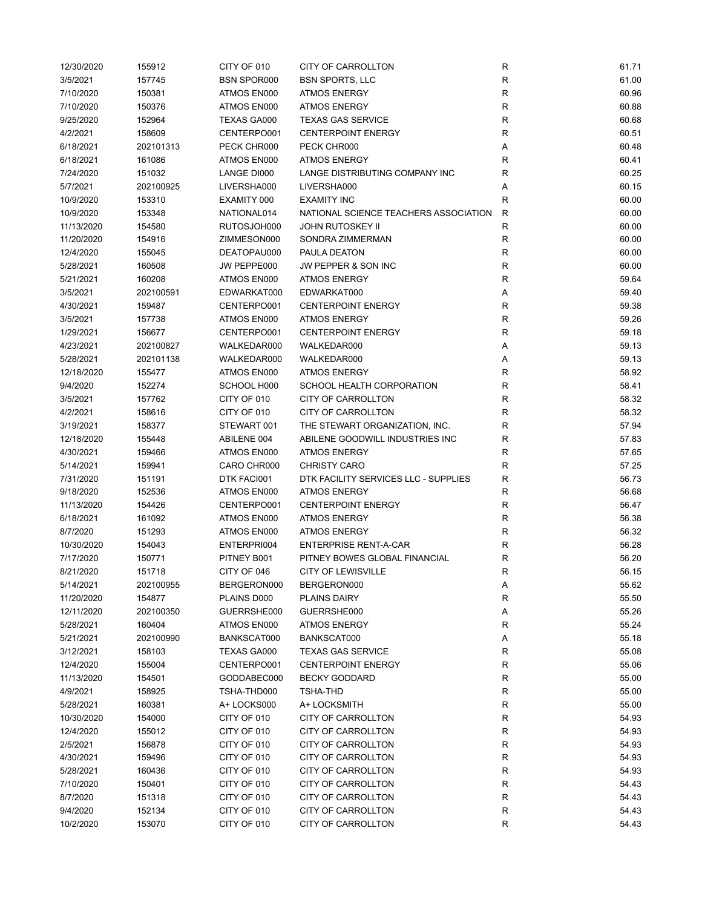| 12/30/2020 | 155912    | CITY OF 010        | <b>CITY OF CARROLLTON</b>                | R                         | 61.71 |
|------------|-----------|--------------------|------------------------------------------|---------------------------|-------|
| 3/5/2021   | 157745    | <b>BSN SPOR000</b> | <b>BSN SPORTS, LLC</b>                   | ${\sf R}$                 | 61.00 |
| 7/10/2020  | 150381    | ATMOS EN000        | <b>ATMOS ENERGY</b>                      | $\mathsf{R}$              | 60.96 |
| 7/10/2020  | 150376    | ATMOS EN000        | <b>ATMOS ENERGY</b>                      | $\mathsf{R}$              | 60.88 |
| 9/25/2020  | 152964    | TEXAS GA000        | <b>TEXAS GAS SERVICE</b>                 | $\mathsf{R}$              | 60.68 |
| 4/2/2021   | 158609    | CENTERPO001        | <b>CENTERPOINT ENERGY</b>                | $\mathsf{R}$              | 60.51 |
| 6/18/2021  | 202101313 | PECK CHR000        | PECK CHR000                              | Α                         | 60.48 |
| 6/18/2021  | 161086    | ATMOS EN000        | <b>ATMOS ENERGY</b>                      | R                         | 60.41 |
| 7/24/2020  | 151032    | LANGE DI000        | LANGE DISTRIBUTING COMPANY INC           | R                         | 60.25 |
|            | 202100925 |                    |                                          |                           |       |
| 5/7/2021   |           | LIVERSHA000        | LIVERSHA000                              | Α                         | 60.15 |
| 10/9/2020  | 153310    | EXAMITY 000        | <b>EXAMITY INC</b>                       | R                         | 60.00 |
| 10/9/2020  | 153348    | NATIONAL014        | NATIONAL SCIENCE TEACHERS ASSOCIATION    | R                         | 60.00 |
| 11/13/2020 | 154580    | RUTOSJOH000        | JOHN RUTOSKEY II                         | $\mathsf{R}$              | 60.00 |
| 11/20/2020 | 154916    | ZIMMESON000        | SONDRA ZIMMERMAN                         | ${\sf R}$                 | 60.00 |
| 12/4/2020  | 155045    | DEATOPAU000        | PAULA DEATON                             | $\mathsf{R}$              | 60.00 |
| 5/28/2021  | 160508    | JW PEPPE000        | JW PEPPER & SON INC                      | R                         | 60.00 |
| 5/21/2021  | 160208    | ATMOS EN000        | <b>ATMOS ENERGY</b>                      | $\mathsf{R}$              | 59.64 |
| 3/5/2021   | 202100591 | EDWARKAT000        | EDWARKAT000                              | Α                         | 59.40 |
| 4/30/2021  | 159487    | CENTERPO001        | <b>CENTERPOINT ENERGY</b>                | $\mathsf{R}$              | 59.38 |
| 3/5/2021   | 157738    | ATMOS EN000        | <b>ATMOS ENERGY</b>                      | $\mathsf{R}$              | 59.26 |
| 1/29/2021  | 156677    | CENTERPO001        | <b>CENTERPOINT ENERGY</b>                | $\mathsf{R}$              | 59.18 |
| 4/23/2021  | 202100827 | WALKEDAR000        | WALKEDAR000                              | Α                         | 59.13 |
| 5/28/2021  | 202101138 | WALKEDAR000        | WALKEDAR000                              | Α                         | 59.13 |
| 12/18/2020 | 155477    | ATMOS EN000        | <b>ATMOS ENERGY</b>                      | R                         | 58.92 |
| 9/4/2020   | 152274    | SCHOOL H000        | SCHOOL HEALTH CORPORATION                | $\mathsf{R}$              | 58.41 |
| 3/5/2021   | 157762    | CITY OF 010        | CITY OF CARROLLTON                       | $\mathsf{R}$              | 58.32 |
| 4/2/2021   | 158616    | CITY OF 010        | <b>CITY OF CARROLLTON</b>                | $\mathsf{R}$              | 58.32 |
| 3/19/2021  | 158377    | STEWART 001        | THE STEWART ORGANIZATION, INC.           | $\mathsf{R}$              | 57.94 |
| 12/18/2020 | 155448    | ABILENE 004        | ABILENE GOODWILL INDUSTRIES INC          | $\mathsf{R}$              | 57.83 |
| 4/30/2021  | 159466    | ATMOS EN000        | <b>ATMOS ENERGY</b>                      | R                         | 57.65 |
| 5/14/2021  | 159941    | CARO CHR000        | <b>CHRISTY CARO</b>                      | R                         | 57.25 |
| 7/31/2020  | 151191    | DTK FACI001        | DTK FACILITY SERVICES LLC - SUPPLIES     | $\mathsf{R}$              | 56.73 |
| 9/18/2020  | 152536    | ATMOS EN000        | <b>ATMOS ENERGY</b>                      | $\mathsf{R}$              | 56.68 |
| 11/13/2020 | 154426    | CENTERPO001        | <b>CENTERPOINT ENERGY</b>                | $\mathsf{R}$              | 56.47 |
| 6/18/2021  | 161092    | ATMOS EN000        | <b>ATMOS ENERGY</b>                      | R                         | 56.38 |
| 8/7/2020   | 151293    | ATMOS EN000        | <b>ATMOS ENERGY</b>                      | $\mathsf{R}$              | 56.32 |
| 10/30/2020 | 154043    | ENTERPRI004        | <b>ENTERPRISE RENT-A-CAR</b>             | R                         | 56.28 |
| 7/17/2020  | 150771    | PITNEY B001        | PITNEY BOWES GLOBAL FINANCIAL            | R                         | 56.20 |
| 8/21/2020  | 151718    | CITY OF 046        | <b>CITY OF LEWISVILLE</b>                | R                         | 56.15 |
| 5/14/2021  | 202100955 | BERGERON000        | BERGERON000                              | Α                         | 55.62 |
| 11/20/2020 | 154877    | PLAINS D000        | PLAINS DAIRY                             | R                         | 55.50 |
| 12/11/2020 | 202100350 | GUERRSHE000        | GUERRSHE000                              | Α                         | 55.26 |
| 5/28/2021  | 160404    | ATMOS EN000        | <b>ATMOS ENERGY</b>                      | $\mathsf{R}$              | 55.24 |
| 5/21/2021  | 202100990 | BANKSCAT000        | BANKSCAT000                              | Α                         | 55.18 |
| 3/12/2021  | 158103    | TEXAS GA000        | <b>TEXAS GAS SERVICE</b>                 | R                         | 55.08 |
| 12/4/2020  | 155004    | CENTERPO001        | <b>CENTERPOINT ENERGY</b>                | R                         | 55.06 |
| 11/13/2020 | 154501    | GODDABEC000        | <b>BECKY GODDARD</b>                     | R                         | 55.00 |
| 4/9/2021   | 158925    | TSHA-THD000        | TSHA-THD                                 | R                         | 55.00 |
| 5/28/2021  | 160381    | A+ LOCKS000        | A+ LOCKSMITH                             | R                         | 55.00 |
| 10/30/2020 | 154000    | CITY OF 010        | CITY OF CARROLLTON                       | ${\sf R}$                 | 54.93 |
| 12/4/2020  | 155012    | CITY OF 010        | CITY OF CARROLLTON                       | R                         | 54.93 |
| 2/5/2021   | 156878    | CITY OF 010        | CITY OF CARROLLTON                       | R                         | 54.93 |
| 4/30/2021  | 159496    | CITY OF 010        | CITY OF CARROLLTON                       | R                         | 54.93 |
| 5/28/2021  |           | CITY OF 010        | CITY OF CARROLLTON                       | R                         | 54.93 |
|            | 160436    |                    |                                          |                           |       |
| 7/10/2020  | 150401    | CITY OF 010        | CITY OF CARROLLTON                       | R                         | 54.43 |
| 8/7/2020   | 151318    | CITY OF 010        | CITY OF CARROLLTON                       | R                         | 54.43 |
| 9/4/2020   | 152134    | CITY OF 010        | CITY OF CARROLLTON<br>CITY OF CARROLLTON | ${\sf R}$<br>$\mathsf{R}$ | 54.43 |
| 10/2/2020  | 153070    | CITY OF 010        |                                          |                           | 54.43 |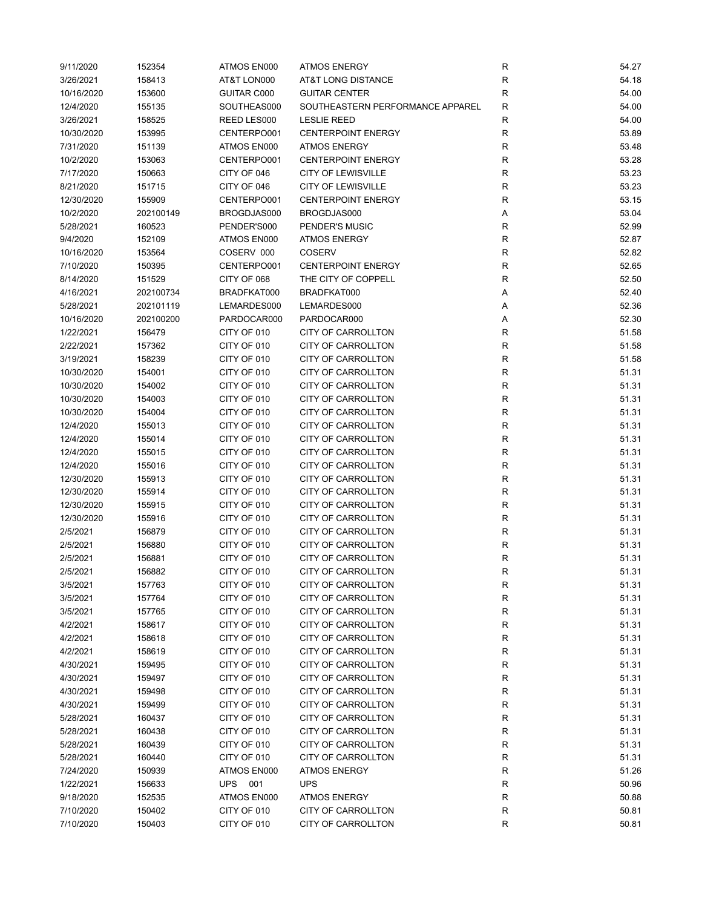| 9/11/2020  | 152354    | ATMOS EN000 | <b>ATMOS ENERGY</b>              | R            | 54.27 |
|------------|-----------|-------------|----------------------------------|--------------|-------|
| 3/26/2021  | 158413    | AT&T LON000 | AT&T LONG DISTANCE               | ${\sf R}$    | 54.18 |
| 10/16/2020 | 153600    | GUITAR C000 | <b>GUITAR CENTER</b>             | $\mathsf R$  | 54.00 |
| 12/4/2020  | 155135    | SOUTHEAS000 | SOUTHEASTERN PERFORMANCE APPAREL | $\mathsf{R}$ | 54.00 |
| 3/26/2021  | 158525    | REED LES000 | <b>LESLIE REED</b>               | $\mathsf R$  | 54.00 |
| 10/30/2020 | 153995    | CENTERPO001 | <b>CENTERPOINT ENERGY</b>        | R            | 53.89 |
| 7/31/2020  | 151139    | ATMOS EN000 | <b>ATMOS ENERGY</b>              | R            | 53.48 |
| 10/2/2020  | 153063    | CENTERPO001 | <b>CENTERPOINT ENERGY</b>        | R            | 53.28 |
| 7/17/2020  | 150663    | CITY OF 046 | <b>CITY OF LEWISVILLE</b>        | $\mathsf{R}$ | 53.23 |
| 8/21/2020  | 151715    | CITY OF 046 | <b>CITY OF LEWISVILLE</b>        | $\mathsf{R}$ | 53.23 |
| 12/30/2020 | 155909    | CENTERPO001 | <b>CENTERPOINT ENERGY</b>        | $\mathsf{R}$ | 53.15 |
| 10/2/2020  | 202100149 | BROGDJAS000 | BROGDJAS000                      | Α            | 53.04 |
| 5/28/2021  | 160523    | PENDER'S000 | PENDER'S MUSIC                   | $\mathsf{R}$ | 52.99 |
| 9/4/2020   | 152109    | ATMOS EN000 | <b>ATMOS ENERGY</b>              | $\mathsf{R}$ | 52.87 |
| 10/16/2020 | 153564    | COSERV 000  | <b>COSERV</b>                    | R            | 52.82 |
| 7/10/2020  | 150395    | CENTERPO001 | <b>CENTERPOINT ENERGY</b>        | $\mathsf{R}$ | 52.65 |
| 8/14/2020  | 151529    | CITY OF 068 | THE CITY OF COPPELL              | $\mathsf{R}$ | 52.50 |
| 4/16/2021  | 202100734 | BRADFKAT000 | BRADFKAT000                      | Α            | 52.40 |
| 5/28/2021  | 202101119 | LEMARDES000 | LEMARDES000                      | Α            | 52.36 |
| 10/16/2020 | 202100200 | PARDOCAR000 | PARDOCAR000                      | Α            | 52.30 |
| 1/22/2021  | 156479    | CITY OF 010 | CITY OF CARROLLTON               | R            | 51.58 |
|            |           |             |                                  |              |       |
| 2/22/2021  | 157362    | CITY OF 010 | CITY OF CARROLLTON               | R            | 51.58 |
| 3/19/2021  | 158239    | CITY OF 010 | CITY OF CARROLLTON               | R            | 51.58 |
| 10/30/2020 | 154001    | CITY OF 010 | <b>CITY OF CARROLLTON</b>        | $\mathsf{R}$ | 51.31 |
| 10/30/2020 | 154002    | CITY OF 010 | <b>CITY OF CARROLLTON</b>        | $\mathsf{R}$ | 51.31 |
| 10/30/2020 | 154003    | CITY OF 010 | CITY OF CARROLLTON               | $\mathsf{R}$ | 51.31 |
| 10/30/2020 | 154004    | CITY OF 010 | CITY OF CARROLLTON               | ${\sf R}$    | 51.31 |
| 12/4/2020  | 155013    | CITY OF 010 | CITY OF CARROLLTON               | $\mathsf{R}$ | 51.31 |
| 12/4/2020  | 155014    | CITY OF 010 | CITY OF CARROLLTON               | $\mathsf{R}$ | 51.31 |
| 12/4/2020  | 155015    | CITY OF 010 | CITY OF CARROLLTON               | R            | 51.31 |
| 12/4/2020  | 155016    | CITY OF 010 | CITY OF CARROLLTON               | ${\sf R}$    | 51.31 |
| 12/30/2020 | 155913    | CITY OF 010 | CITY OF CARROLLTON               | $\mathsf{R}$ | 51.31 |
| 12/30/2020 | 155914    | CITY OF 010 | CITY OF CARROLLTON               | $\mathsf{R}$ | 51.31 |
| 12/30/2020 | 155915    | CITY OF 010 | CITY OF CARROLLTON               | $\mathsf{R}$ | 51.31 |
| 12/30/2020 | 155916    | CITY OF 010 | CITY OF CARROLLTON               | ${\sf R}$    | 51.31 |
| 2/5/2021   | 156879    | CITY OF 010 | CITY OF CARROLLTON               | R            | 51.31 |
| 2/5/2021   | 156880    | CITY OF 010 | CITY OF CARROLLTON               | R            | 51.31 |
| 2/5/2021   | 156881    | CITY OF 010 | <b>CITY OF CARROLLTON</b>        | $\mathsf{R}$ | 51.31 |
| 2/5/2021   | 156882    | CITY OF 010 | CITY OF CARROLLTON               | R            | 51.31 |
| 3/5/2021   | 157763    | CITY OF 010 | <b>CITY OF CARROLLTON</b>        | R            | 51.31 |
| 3/5/2021   | 157764    | CITY OF 010 | CITY OF CARROLLTON               | $\mathsf{R}$ | 51.31 |
| 3/5/2021   | 157765    | CITY OF 010 | CITY OF CARROLLTON               | ${\sf R}$    | 51.31 |
| 4/2/2021   | 158617    | CITY OF 010 | CITY OF CARROLLTON               | $\mathsf{R}$ | 51.31 |
| 4/2/2021   | 158618    | CITY OF 010 | <b>CITY OF CARROLLTON</b>        | R            | 51.31 |
| 4/2/2021   | 158619    | CITY OF 010 | <b>CITY OF CARROLLTON</b>        | R            | 51.31 |
| 4/30/2021  | 159495    | CITY OF 010 | CITY OF CARROLLTON               | R            | 51.31 |
| 4/30/2021  | 159497    | CITY OF 010 | CITY OF CARROLLTON               | R            | 51.31 |
| 4/30/2021  | 159498    | CITY OF 010 | CITY OF CARROLLTON               | R            | 51.31 |
| 4/30/2021  | 159499    | CITY OF 010 | CITY OF CARROLLTON               | $\mathsf{R}$ | 51.31 |
| 5/28/2021  | 160437    | CITY OF 010 | CITY OF CARROLLTON               | R            | 51.31 |
| 5/28/2021  | 160438    | CITY OF 010 | CITY OF CARROLLTON               | R            | 51.31 |
| 5/28/2021  | 160439    | CITY OF 010 | CITY OF CARROLLTON               | R            | 51.31 |
| 5/28/2021  | 160440    | CITY OF 010 | CITY OF CARROLLTON               | R            | 51.31 |
| 7/24/2020  | 150939    | ATMOS EN000 | <b>ATMOS ENERGY</b>              | R            | 51.26 |
| 1/22/2021  | 156633    | UPS<br>001  | <b>UPS</b>                       | ${\sf R}$    | 50.96 |
| 9/18/2020  | 152535    | ATMOS EN000 | <b>ATMOS ENERGY</b>              | $\mathsf{R}$ | 50.88 |
| 7/10/2020  | 150402    | CITY OF 010 | CITY OF CARROLLTON               | ${\sf R}$    | 50.81 |
| 7/10/2020  | 150403    | CITY OF 010 | CITY OF CARROLLTON               | $\mathsf{R}$ | 50.81 |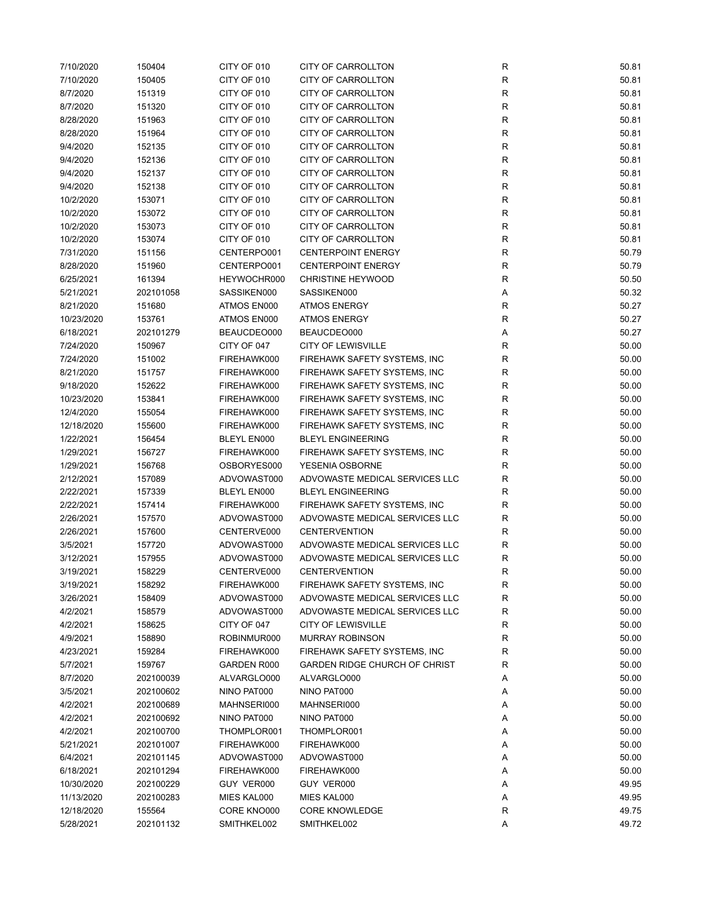| 7/10/2020  | 150404    | CITY OF 010 | <b>CITY OF CARROLLTON</b>            | ${\sf R}$    | 50.81 |
|------------|-----------|-------------|--------------------------------------|--------------|-------|
| 7/10/2020  | 150405    | CITY OF 010 | <b>CITY OF CARROLLTON</b>            | ${\sf R}$    | 50.81 |
| 8/7/2020   | 151319    | CITY OF 010 | CITY OF CARROLLTON                   | $\mathsf{R}$ | 50.81 |
| 8/7/2020   | 151320    | CITY OF 010 | <b>CITY OF CARROLLTON</b>            | $\mathsf{R}$ | 50.81 |
| 8/28/2020  | 151963    | CITY OF 010 | CITY OF CARROLLTON                   | ${\sf R}$    | 50.81 |
| 8/28/2020  | 151964    | CITY OF 010 | CITY OF CARROLLTON                   | $\mathsf{R}$ | 50.81 |
| 9/4/2020   |           |             |                                      | $\mathsf{R}$ | 50.81 |
|            | 152135    | CITY OF 010 | CITY OF CARROLLTON                   |              |       |
| 9/4/2020   | 152136    | CITY OF 010 | <b>CITY OF CARROLLTON</b>            | $\mathsf{R}$ | 50.81 |
| 9/4/2020   | 152137    | CITY OF 010 | CITY OF CARROLLTON                   | R            | 50.81 |
| 9/4/2020   | 152138    | CITY OF 010 | CITY OF CARROLLTON                   | R            | 50.81 |
| 10/2/2020  | 153071    | CITY OF 010 | CITY OF CARROLLTON                   | $\mathsf{R}$ | 50.81 |
| 10/2/2020  | 153072    | CITY OF 010 | CITY OF CARROLLTON                   | $\mathsf{R}$ | 50.81 |
| 10/2/2020  | 153073    | CITY OF 010 | <b>CITY OF CARROLLTON</b>            | $\mathsf{R}$ | 50.81 |
| 10/2/2020  | 153074    | CITY OF 010 | CITY OF CARROLLTON                   | ${\sf R}$    | 50.81 |
| 7/31/2020  | 151156    | CENTERPO001 | <b>CENTERPOINT ENERGY</b>            | ${\sf R}$    | 50.79 |
| 8/28/2020  | 151960    | CENTERPO001 | <b>CENTERPOINT ENERGY</b>            | $\mathsf{R}$ | 50.79 |
| 6/25/2021  | 161394    | HEYWOCHR000 | <b>CHRISTINE HEYWOOD</b>             | $\mathsf{R}$ | 50.50 |
| 5/21/2021  | 202101058 | SASSIKEN000 | SASSIKEN000                          | Α            | 50.32 |
| 8/21/2020  | 151680    | ATMOS EN000 | <b>ATMOS ENERGY</b>                  | $\mathsf{R}$ | 50.27 |
| 10/23/2020 | 153761    | ATMOS EN000 | <b>ATMOS ENERGY</b>                  | ${\sf R}$    | 50.27 |
| 6/18/2021  | 202101279 | BEAUCDEO000 | BEAUCDEO000                          | Α            | 50.27 |
| 7/24/2020  | 150967    | CITY OF 047 | <b>CITY OF LEWISVILLE</b>            | $\mathsf{R}$ | 50.00 |
|            |           |             |                                      |              |       |
| 7/24/2020  | 151002    | FIREHAWK000 | FIREHAWK SAFETY SYSTEMS, INC         | $\mathsf R$  | 50.00 |
| 8/21/2020  | 151757    | FIREHAWK000 | FIREHAWK SAFETY SYSTEMS, INC         | R            | 50.00 |
| 9/18/2020  | 152622    | FIREHAWK000 | FIREHAWK SAFETY SYSTEMS, INC         | R            | 50.00 |
| 10/23/2020 | 153841    | FIREHAWK000 | FIREHAWK SAFETY SYSTEMS, INC         | $\mathsf{R}$ | 50.00 |
| 12/4/2020  | 155054    | FIREHAWK000 | FIREHAWK SAFETY SYSTEMS, INC         | $\mathsf{R}$ | 50.00 |
| 12/18/2020 | 155600    | FIREHAWK000 | FIREHAWK SAFETY SYSTEMS, INC         | ${\sf R}$    | 50.00 |
| 1/22/2021  | 156454    | BLEYL EN000 | <b>BLEYL ENGINEERING</b>             | ${\sf R}$    | 50.00 |
| 1/29/2021  | 156727    | FIREHAWK000 | FIREHAWK SAFETY SYSTEMS, INC         | $\mathsf R$  | 50.00 |
| 1/29/2021  | 156768    | OSBORYES000 | YESENIA OSBORNE                      | R            | 50.00 |
| 2/12/2021  | 157089    | ADVOWAST000 | ADVOWASTE MEDICAL SERVICES LLC       | $\mathsf R$  | 50.00 |
| 2/22/2021  | 157339    | BLEYL EN000 | <b>BLEYL ENGINEERING</b>             | $\mathsf R$  | 50.00 |
| 2/22/2021  | 157414    | FIREHAWK000 | FIREHAWK SAFETY SYSTEMS, INC         | $\mathsf R$  | 50.00 |
| 2/26/2021  | 157570    | ADVOWAST000 | ADVOWASTE MEDICAL SERVICES LLC       | $\mathsf R$  | 50.00 |
| 2/26/2021  | 157600    | CENTERVE000 | <b>CENTERVENTION</b>                 | $\mathsf R$  | 50.00 |
| 3/5/2021   | 157720    | ADVOWAST000 | ADVOWASTE MEDICAL SERVICES LLC       | $\mathsf R$  | 50.00 |
| 3/12/2021  | 157955    | ADVOWAST000 | ADVOWASTE MEDICAL SERVICES LLC       | R            | 50.00 |
|            |           |             |                                      |              |       |
| 3/19/2021  | 158229    | CENTERVE000 | <b>CENTERVENTION</b>                 | R            | 50.00 |
| 3/19/2021  | 158292    | FIREHAWK000 | FIREHAWK SAFETY SYSTEMS, INC         | R            | 50.00 |
| 3/26/2021  | 158409    | ADVOWAST000 | ADVOWASTE MEDICAL SERVICES LLC       | R            | 50.00 |
| 4/2/2021   | 158579    | ADVOWAST000 | ADVOWASTE MEDICAL SERVICES LLC       | ${\sf R}$    | 50.00 |
| 4/2/2021   | 158625    | CITY OF 047 | <b>CITY OF LEWISVILLE</b>            | ${\sf R}$    | 50.00 |
| 4/9/2021   | 158890    | ROBINMUR000 | <b>MURRAY ROBINSON</b>               | $\mathsf{R}$ | 50.00 |
| 4/23/2021  | 159284    | FIREHAWK000 | FIREHAWK SAFETY SYSTEMS, INC         | $\mathsf{R}$ | 50.00 |
| 5/7/2021   | 159767    | GARDEN R000 | <b>GARDEN RIDGE CHURCH OF CHRIST</b> | R            | 50.00 |
| 8/7/2020   | 202100039 | ALVARGLO000 | ALVARGLO000                          | Α            | 50.00 |
| 3/5/2021   | 202100602 | NINO PAT000 | NINO PAT000                          | Α            | 50.00 |
| 4/2/2021   | 202100689 | MAHNSERI000 | MAHNSERI000                          | Α            | 50.00 |
| 4/2/2021   | 202100692 | NINO PAT000 | NINO PAT000                          | Α            | 50.00 |
| 4/2/2021   | 202100700 | THOMPLOR001 | THOMPLOR001                          | Α            | 50.00 |
| 5/21/2021  | 202101007 | FIREHAWK000 | FIREHAWK000                          | Α            | 50.00 |
| 6/4/2021   | 202101145 | ADVOWAST000 | ADVOWAST000                          | Α            | 50.00 |
| 6/18/2021  | 202101294 | FIREHAWK000 | FIREHAWK000                          | Α            | 50.00 |
|            |           |             |                                      |              |       |
| 10/30/2020 | 202100229 | GUY VER000  | GUY VER000                           | Α            | 49.95 |
| 11/13/2020 | 202100283 | MIES KAL000 | MIES KAL000                          | Α            | 49.95 |
| 12/18/2020 | 155564    | CORE KNO000 | <b>CORE KNOWLEDGE</b>                | R            | 49.75 |
| 5/28/2021  | 202101132 | SMITHKEL002 | SMITHKEL002                          | Α            | 49.72 |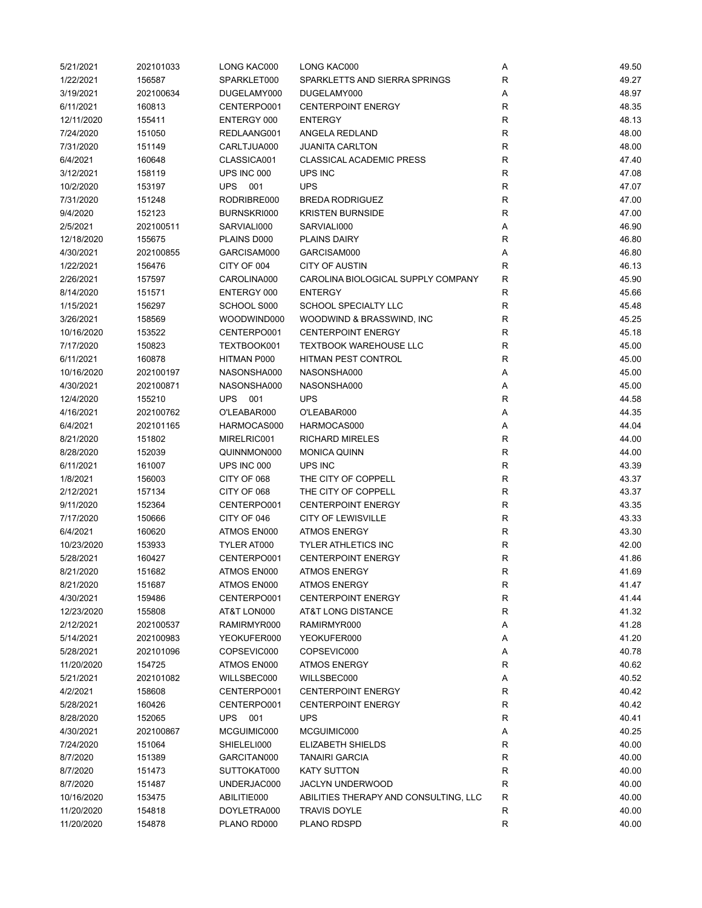| 5/21/2021  | 202101033 | LONG KAC000 | LONG KAC000                           | Α            | 49.50 |
|------------|-----------|-------------|---------------------------------------|--------------|-------|
| 1/22/2021  | 156587    | SPARKLET000 | SPARKLETTS AND SIERRA SPRINGS         | $\mathsf R$  | 49.27 |
| 3/19/2021  | 202100634 | DUGELAMY000 | DUGELAMY000                           | Α            | 48.97 |
| 6/11/2021  | 160813    | CENTERPO001 | <b>CENTERPOINT ENERGY</b>             | R            | 48.35 |
| 12/11/2020 | 155411    | ENTERGY 000 | <b>ENTERGY</b>                        | $\mathsf{R}$ | 48.13 |
| 7/24/2020  | 151050    | REDLAANG001 | ANGELA REDLAND                        | $\mathsf{R}$ | 48.00 |
| 7/31/2020  | 151149    | CARLTJUA000 | <b>JUANITA CARLTON</b>                | R            | 48.00 |
| 6/4/2021   | 160648    | CLASSICA001 | <b>CLASSICAL ACADEMIC PRESS</b>       | R            | 47.40 |
| 3/12/2021  | 158119    | UPS INC 000 | UPS INC                               | $\mathsf{R}$ | 47.08 |
| 10/2/2020  | 153197    | UPS 001     | <b>UPS</b>                            | $\mathsf{R}$ | 47.07 |
| 7/31/2020  | 151248    | RODRIBRE000 | <b>BREDA RODRIGUEZ</b>                | $\mathsf{R}$ | 47.00 |
| 9/4/2020   | 152123    | BURNSKRI000 | <b>KRISTEN BURNSIDE</b>               | $\mathsf{R}$ | 47.00 |
| 2/5/2021   | 202100511 | SARVIALI000 | SARVIALI000                           | Α            | 46.90 |
| 12/18/2020 | 155675    | PLAINS D000 | <b>PLAINS DAIRY</b>                   | $\mathsf{R}$ | 46.80 |
| 4/30/2021  | 202100855 | GARCISAM000 | GARCISAM000                           | Α            | 46.80 |
| 1/22/2021  | 156476    | CITY OF 004 | <b>CITY OF AUSTIN</b>                 | $\mathsf R$  | 46.13 |
| 2/26/2021  | 157597    | CAROLINA000 | CAROLINA BIOLOGICAL SUPPLY COMPANY    | R            | 45.90 |
| 8/14/2020  | 151571    | ENTERGY 000 | <b>ENTERGY</b>                        | R            | 45.66 |
| 1/15/2021  | 156297    | SCHOOL S000 | SCHOOL SPECIALTY LLC                  | R            | 45.48 |
| 3/26/2021  | 158569    | WOODWIND000 | WOODWIND & BRASSWIND, INC             | $\mathsf R$  | 45.25 |
| 10/16/2020 | 153522    | CENTERPO001 | <b>CENTERPOINT ENERGY</b>             | R            | 45.18 |
| 7/17/2020  | 150823    | TEXTBOOK001 | <b>TEXTBOOK WAREHOUSE LLC</b>         | R            | 45.00 |
| 6/11/2021  | 160878    | HITMAN P000 | HITMAN PEST CONTROL                   | R            | 45.00 |
| 10/16/2020 | 202100197 | NASONSHA000 | NASONSHA000                           | Α            | 45.00 |
| 4/30/2021  | 202100871 | NASONSHA000 | NASONSHA000                           | Α            | 45.00 |
| 12/4/2020  | 155210    | UPS 001     | <b>UPS</b>                            | $\mathsf{R}$ | 44.58 |
| 4/16/2021  | 202100762 | O'LEABAR000 | O'LEABAR000                           | Α            | 44.35 |
| 6/4/2021   | 202101165 | HARMOCAS000 | HARMOCAS000                           | Α            | 44.04 |
| 8/21/2020  | 151802    | MIRELRIC001 | <b>RICHARD MIRELES</b>                | $\mathsf{R}$ | 44.00 |
|            |           |             |                                       |              |       |
| 8/28/2020  | 152039    | QUINNMON000 | <b>MONICA QUINN</b>                   | R            | 44.00 |
| 6/11/2021  | 161007    | UPS INC 000 | UPS INC                               | $\mathsf{R}$ | 43.39 |
| 1/8/2021   | 156003    | CITY OF 068 | THE CITY OF COPPELL                   | $\mathsf{R}$ | 43.37 |
| 2/12/2021  | 157134    | CITY OF 068 | THE CITY OF COPPELL                   | $\mathsf{R}$ | 43.37 |
| 9/11/2020  | 152364    | CENTERPO001 | <b>CENTERPOINT ENERGY</b>             | $\mathsf R$  | 43.35 |
| 7/17/2020  | 150666    | CITY OF 046 | <b>CITY OF LEWISVILLE</b>             | $\mathsf{R}$ | 43.33 |
| 6/4/2021   | 160620    | ATMOS EN000 | <b>ATMOS ENERGY</b>                   | R            | 43.30 |
| 10/23/2020 | 153933    | TYLER AT000 | <b>TYLER ATHLETICS INC</b>            | R            | 42.00 |
| 5/28/2021  | 160427    | CENTERPO001 | <b>CENTERPOINT ENERGY</b>             | $\mathsf{R}$ | 41.86 |
| 8/21/2020  | 151682    | ATMOS EN000 | <b>ATMOS ENERGY</b>                   | R            | 41.69 |
| 8/21/2020  | 151687    | ATMOS EN000 | <b>ATMOS ENERGY</b>                   | R            | 41.47 |
| 4/30/2021  | 159486    | CENTERPO001 | <b>CENTERPOINT ENERGY</b>             | ${\sf R}$    | 41.44 |
| 12/23/2020 | 155808    | AT&T LON000 | AT&T LONG DISTANCE                    | $\mathsf{R}$ | 41.32 |
| 2/12/2021  | 202100537 | RAMIRMYR000 | RAMIRMYR000                           | Α            | 41.28 |
| 5/14/2021  | 202100983 | YEOKUFER000 | YEOKUFER000                           | Α            | 41.20 |
| 5/28/2021  | 202101096 | COPSEVIC000 | COPSEVIC000                           | Α            | 40.78 |
| 11/20/2020 | 154725    | ATMOS EN000 | <b>ATMOS ENERGY</b>                   | R            | 40.62 |
| 5/21/2021  | 202101082 | WILLSBEC000 | WILLSBEC000                           | Α            | 40.52 |
| 4/2/2021   | 158608    | CENTERPO001 | <b>CENTERPOINT ENERGY</b>             | R            | 40.42 |
| 5/28/2021  | 160426    | CENTERPO001 | <b>CENTERPOINT ENERGY</b>             | $\mathsf{R}$ | 40.42 |
| 8/28/2020  | 152065    | UPS<br>001  | <b>UPS</b>                            | R            | 40.41 |
| 4/30/2021  | 202100867 | MCGUIMIC000 | MCGUIMIC000                           | Α            | 40.25 |
| 7/24/2020  | 151064    | SHIELELI000 | ELIZABETH SHIELDS                     | R            | 40.00 |
| 8/7/2020   | 151389    | GARCITAN000 | <b>TANAIRI GARCIA</b>                 | R            | 40.00 |
| 8/7/2020   | 151473    | SUTTOKAT000 | <b>KATY SUTTON</b>                    | R            | 40.00 |
| 8/7/2020   | 151487    | UNDERJAC000 | JACLYN UNDERWOOD                      | R            | 40.00 |
| 10/16/2020 | 153475    | ABILITIE000 | ABILITIES THERAPY AND CONSULTING, LLC | $\mathsf{R}$ | 40.00 |
| 11/20/2020 | 154818    | DOYLETRA000 | <b>TRAVIS DOYLE</b>                   | ${\sf R}$    | 40.00 |
| 11/20/2020 | 154878    | PLANO RD000 | PLANO RDSPD                           | R            | 40.00 |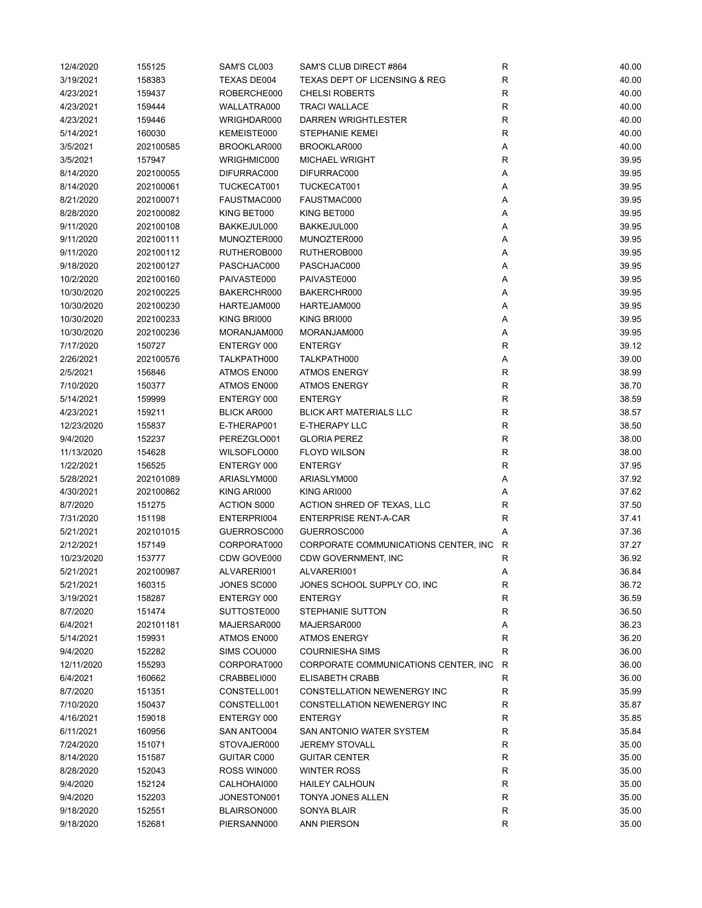| 12/4/2020  | 155125    | SAM'S CL003        | SAM'S CLUB DIRECT #864                   | R            | 40.00 |
|------------|-----------|--------------------|------------------------------------------|--------------|-------|
| 3/19/2021  | 158383    | TEXAS DE004        | <b>TEXAS DEPT OF LICENSING &amp; REG</b> | R            | 40.00 |
| 4/23/2021  | 159437    | ROBERCHE000        | <b>CHELSI ROBERTS</b>                    | R            | 40.00 |
| 4/23/2021  | 159444    | WALLATRA000        | <b>TRACI WALLACE</b>                     | R            | 40.00 |
| 4/23/2021  | 159446    | WRIGHDAR000        | DARREN WRIGHTLESTER                      | $\mathsf R$  | 40.00 |
| 5/14/2021  | 160030    | KEMEISTE000        | <b>STEPHANIE KEMEI</b>                   | $\mathsf R$  | 40.00 |
| 3/5/2021   | 202100585 | BROOKLAR000        | BROOKLAR000                              | Α            | 40.00 |
| 3/5/2021   | 157947    | WRIGHMIC000        | <b>MICHAEL WRIGHT</b>                    | $\mathsf R$  | 39.95 |
| 8/14/2020  | 202100055 | DIFURRAC000        | DIFURRAC000                              | Α            | 39.95 |
| 8/14/2020  | 202100061 | TUCKECAT001        | TUCKECAT001                              | Α            | 39.95 |
| 8/21/2020  | 202100071 | FAUSTMAC000        | FAUSTMAC000                              | Α            | 39.95 |
| 8/28/2020  | 202100082 | KING BET000        | KING BET000                              | Α            | 39.95 |
| 9/11/2020  | 202100108 | BAKKEJUL000        | BAKKEJUL000                              | Α            | 39.95 |
| 9/11/2020  | 202100111 | MUNOZTER000        | MUNOZTER000                              | Α            | 39.95 |
| 9/11/2020  | 202100112 | RUTHEROB000        | RUTHEROB000                              | Α            | 39.95 |
| 9/18/2020  | 202100127 | PASCHJAC000        | PASCHJAC000                              | Α            | 39.95 |
| 10/2/2020  | 202100160 | PAIVASTE000        | PAIVASTE000                              | Α            | 39.95 |
| 10/30/2020 | 202100225 | BAKERCHR000        | BAKERCHR000                              | Α            | 39.95 |
| 10/30/2020 | 202100230 | HARTEJAM000        | HARTEJAM000                              | Α            | 39.95 |
| 10/30/2020 | 202100233 | KING BRI000        | KING BRI000                              | Α            | 39.95 |
| 10/30/2020 | 202100236 | MORANJAM000        | MORANJAM000                              | Α            | 39.95 |
| 7/17/2020  | 150727    | ENTERGY 000        | <b>ENTERGY</b>                           | $\mathsf R$  | 39.12 |
|            |           |                    |                                          |              |       |
| 2/26/2021  | 202100576 | TALKPATH000        | TALKPATH000                              | Α            | 39.00 |
| 2/5/2021   | 156846    | ATMOS EN000        | <b>ATMOS ENERGY</b>                      | $\mathsf R$  | 38.99 |
| 7/10/2020  | 150377    | ATMOS EN000        | <b>ATMOS ENERGY</b>                      | $\mathsf R$  | 38.70 |
| 5/14/2021  | 159999    | ENTERGY 000        | <b>ENTERGY</b>                           | $\mathsf R$  | 38.59 |
| 4/23/2021  | 159211    | <b>BLICK AR000</b> | <b>BLICK ART MATERIALS LLC</b>           | $\mathsf R$  | 38.57 |
| 12/23/2020 | 155837    | E-THERAP001        | E-THERAPY LLC                            | $\mathsf R$  | 38.50 |
| 9/4/2020   | 152237    | PEREZGLO001        | <b>GLORIA PEREZ</b>                      | $\mathsf R$  | 38.00 |
| 11/13/2020 | 154628    | WILSOFLO000        | <b>FLOYD WILSON</b>                      | R            | 38.00 |
| 1/22/2021  | 156525    | ENTERGY 000        | <b>ENTERGY</b>                           | R            | 37.95 |
| 5/28/2021  | 202101089 | ARIASLYM000        | ARIASLYM000                              | Α            | 37.92 |
| 4/30/2021  | 202100862 | KING ARI000        | KING ARI000                              | Α            | 37.62 |
| 8/7/2020   | 151275    | <b>ACTION S000</b> | ACTION SHRED OF TEXAS, LLC               | R            | 37.50 |
| 7/31/2020  | 151198    | ENTERPRI004        | <b>ENTERPRISE RENT-A-CAR</b>             | R            | 37.41 |
| 5/21/2021  | 202101015 | GUERROSC000        | GUERROSC000                              | Α            | 37.36 |
| 2/12/2021  | 157149    | CORPORAT000        | CORPORATE COMMUNICATIONS CENTER, INC.    | $\mathsf{R}$ | 37.27 |
| 10/23/2020 | 153777    | CDW GOVE000        | CDW GOVERNMENT, INC                      | $\mathsf R$  | 36.92 |
| 5/21/2021  | 202100987 | ALVARERI001        | ALVARERI001                              | Α            | 36.84 |
| 5/21/2021  | 160315    | JONES SC000        | JONES SCHOOL SUPPLY CO, INC              | R            | 36.72 |
| 3/19/2021  | 158287    | ENTERGY 000        | <b>ENTERGY</b>                           | R            | 36.59 |
| 8/7/2020   | 151474    | SUTTOSTE000        | STEPHANIE SUTTON                         | R            | 36.50 |
| 6/4/2021   | 202101181 | MAJERSAR000        | MAJERSAR000                              | А            | 36.23 |
| 5/14/2021  | 159931    | ATMOS EN000        | <b>ATMOS ENERGY</b>                      | R            | 36.20 |
| 9/4/2020   | 152282    | SIMS COU000        | <b>COURNIESHA SIMS</b>                   | $\mathsf R$  | 36.00 |
| 12/11/2020 | 155293    | CORPORAT000        | CORPORATE COMMUNICATIONS CENTER, INC.    | R            | 36.00 |
| 6/4/2021   | 160662    | CRABBELI000        | ELISABETH CRABB                          | R            | 36.00 |
| 8/7/2020   | 151351    | CONSTELL001        | <b>CONSTELLATION NEWENERGY INC</b>       | R            | 35.99 |
| 7/10/2020  | 150437    | CONSTELL001        | <b>CONSTELLATION NEWENERGY INC</b>       | R            | 35.87 |
| 4/16/2021  | 159018    | ENTERGY 000        | <b>ENTERGY</b>                           | R            | 35.85 |
| 6/11/2021  | 160956    | SAN ANTO004        | SAN ANTONIO WATER SYSTEM                 | R            | 35.84 |
| 7/24/2020  | 151071    | STOVAJER000        | <b>JEREMY STOVALL</b>                    | $\mathsf{R}$ | 35.00 |
| 8/14/2020  | 151587    | GUITAR C000        | <b>GUITAR CENTER</b>                     | R            | 35.00 |
| 8/28/2020  | 152043    | ROSS WIN000        | <b>WINTER ROSS</b>                       | R            | 35.00 |
| 9/4/2020   | 152124    | CALHOHAI000        | HAILEY CALHOUN                           | R            | 35.00 |
| 9/4/2020   | 152203    | JONESTON001        | TONYA JONES ALLEN                        | R            | 35.00 |
| 9/18/2020  | 152551    | BLAIRSON000        | SONYA BLAIR                              | R            | 35.00 |
| 9/18/2020  | 152681    | PIERSANN000        | ANN PIERSON                              | $\mathsf R$  | 35.00 |
|            |           |                    |                                          |              |       |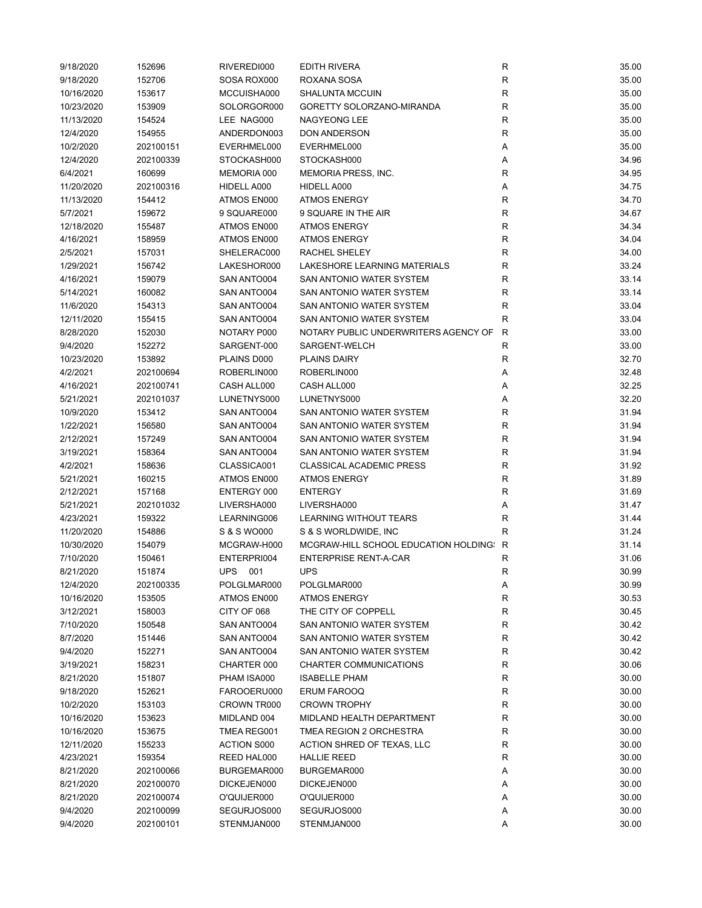| 9/18/2020  | 152696    | RIVEREDI000        | <b>EDITH RIVERA</b>                                                   | R           | 35.00          |
|------------|-----------|--------------------|-----------------------------------------------------------------------|-------------|----------------|
| 9/18/2020  | 152706    | SOSA ROX000        | ROXANA SOSA                                                           | R           | 35.00          |
| 10/16/2020 | 153617    | MCCUISHA000        | <b>SHALUNTA MCCUIN</b>                                                | $\mathsf R$ | 35.00          |
| 10/23/2020 | 153909    | SOLORGOR000        | GORETTY SOLORZANO-MIRANDA                                             | $\mathsf R$ | 35.00          |
| 11/13/2020 | 154524    | LEE NAG000         | <b>NAGYEONG LEE</b>                                                   | ${\sf R}$   | 35.00          |
| 12/4/2020  | 154955    | ANDERDON003        | <b>DON ANDERSON</b>                                                   | $\mathsf R$ | 35.00          |
| 10/2/2020  | 202100151 | EVERHMEL000        | EVERHMEL000                                                           | Α           | 35.00          |
| 12/4/2020  | 202100339 | STOCKASH000        | STOCKASH000                                                           | Α           | 34.96          |
| 6/4/2021   | 160699    | MEMORIA 000        | MEMORIA PRESS, INC.                                                   | $\mathsf R$ | 34.95          |
| 11/20/2020 | 202100316 | HIDELL A000        | HIDELL A000                                                           | Α           | 34.75          |
| 11/13/2020 | 154412    | ATMOS EN000        | <b>ATMOS ENERGY</b>                                                   | $\mathsf R$ | 34.70          |
| 5/7/2021   | 159672    | 9 SQUARE000        | 9 SQUARE IN THE AIR                                                   | $\mathsf R$ | 34.67          |
| 12/18/2020 | 155487    | ATMOS EN000        | <b>ATMOS ENERGY</b>                                                   | ${\sf R}$   | 34.34          |
| 4/16/2021  | 158959    | ATMOS EN000        | <b>ATMOS ENERGY</b>                                                   | $\mathsf R$ | 34.04          |
| 2/5/2021   | 157031    | SHELERAC000        | RACHEL SHELEY                                                         | $\mathsf R$ | 34.00          |
| 1/29/2021  | 156742    | LAKESHOR000        | LAKESHORE LEARNING MATERIALS                                          | $\mathsf R$ | 33.24          |
| 4/16/2021  | 159079    | SAN ANTO004        | SAN ANTONIO WATER SYSTEM                                              | R           | 33.14          |
| 5/14/2021  | 160082    | SAN ANTO004        | SAN ANTONIO WATER SYSTEM                                              | R           | 33.14          |
| 11/6/2020  | 154313    | SAN ANTO004        | SAN ANTONIO WATER SYSTEM                                              | R           | 33.04          |
| 12/11/2020 | 155415    | SAN ANTO004        | SAN ANTONIO WATER SYSTEM                                              | R           | 33.04          |
| 8/28/2020  | 152030    | NOTARY P000        | NOTARY PUBLIC UNDERWRITERS AGENCY OF                                  | R           | 33.00          |
| 9/4/2020   | 152272    | SARGENT-000        | SARGENT-WELCH                                                         | R           | 33.00          |
| 10/23/2020 | 153892    | PLAINS D000        | <b>PLAINS DAIRY</b>                                                   | R           | 32.70          |
| 4/2/2021   | 202100694 | ROBERLIN000        | ROBERLIN000                                                           | Α           | 32.48          |
| 4/16/2021  | 202100741 | CASH ALL000        | CASH ALL000                                                           | Α           | 32.25          |
| 5/21/2021  | 202101037 | LUNETNYS000        | LUNETNYS000                                                           | Α           | 32.20          |
| 10/9/2020  | 153412    | SAN ANTO004        | SAN ANTONIO WATER SYSTEM                                              | $\mathsf R$ | 31.94          |
| 1/22/2021  | 156580    | SAN ANTO004        | SAN ANTONIO WATER SYSTEM                                              | $\mathsf R$ | 31.94          |
| 2/12/2021  | 157249    | SAN ANTO004        | SAN ANTONIO WATER SYSTEM                                              | $\mathsf R$ | 31.94          |
| 3/19/2021  | 158364    | SAN ANTO004        | SAN ANTONIO WATER SYSTEM                                              | $\mathsf R$ | 31.94          |
| 4/2/2021   | 158636    | CLASSICA001        | <b>CLASSICAL ACADEMIC PRESS</b>                                       | $\mathsf R$ | 31.92          |
|            |           |                    |                                                                       | $\mathsf R$ | 31.89          |
| 5/21/2021  | 160215    | ATMOS EN000        | <b>ATMOS ENERGY</b>                                                   | R           |                |
| 2/12/2021  | 157168    | ENTERGY 000        | <b>ENTERGY</b>                                                        |             | 31.69          |
| 5/21/2021  | 202101032 | LIVERSHA000        | LIVERSHA000                                                           | Α           | 31.47          |
| 4/23/2021  | 159322    | LEARNING006        | LEARNING WITHOUT TEARS                                                | $\mathsf R$ | 31.44          |
| 11/20/2020 | 154886    | S & S WO000        | S & S WORLDWIDE, INC                                                  | R           | 31.24<br>31.14 |
| 10/30/2020 | 154079    | MCGRAW-H000        | MCGRAW-HILL SCHOOL EDUCATION HOLDING:<br><b>ENTERPRISE RENT-A-CAR</b> | R           |                |
| 7/10/2020  | 150461    | ENTERPRI004        |                                                                       | R           | 31.06          |
| 8/21/2020  | 151874    | UPS<br>001         | <b>UPS</b>                                                            | R           | 30.99          |
| 12/4/2020  | 202100335 | POLGLMAR000        | POLGLMAR000                                                           | Α           | 30.99          |
| 10/16/2020 | 153505    | ATMOS EN000        | <b>ATMOS ENERGY</b>                                                   | R           | 30.53          |
| 3/12/2021  | 158003    | CITY OF 068        | THE CITY OF COPPELL                                                   | $\mathsf R$ | 30.45          |
| 7/10/2020  | 150548    | SAN ANTO004        | SAN ANTONIO WATER SYSTEM                                              | $\mathsf R$ | 30.42          |
| 8/7/2020   | 151446    | SAN ANTO004        | SAN ANTONIO WATER SYSTEM                                              | R           | 30.42          |
| 9/4/2020   | 152271    | SAN ANTO004        | SAN ANTONIO WATER SYSTEM                                              | R           | 30.42          |
| 3/19/2021  | 158231    | CHARTER 000        | CHARTER COMMUNICATIONS                                                | R           | 30.06          |
| 8/21/2020  | 151807    | PHAM ISA000        | <b>ISABELLE PHAM</b>                                                  | R           | 30.00          |
| 9/18/2020  | 152621    | FAROOERU000        | ERUM FAROOQ                                                           | R           | 30.00          |
| 10/2/2020  | 153103    | CROWN TR000        | <b>CROWN TROPHY</b>                                                   | $\mathsf R$ | 30.00          |
| 10/16/2020 | 153623    | MIDLAND 004        | MIDLAND HEALTH DEPARTMENT                                             | R           | 30.00          |
| 10/16/2020 | 153675    | TMEA REG001        | TMEA REGION 2 ORCHESTRA                                               | R           | 30.00          |
| 12/11/2020 | 155233    | <b>ACTION S000</b> | ACTION SHRED OF TEXAS, LLC                                            | R           | 30.00          |
| 4/23/2021  | 159354    | REED HAL000        | <b>HALLIE REED</b>                                                    | R           | 30.00          |
| 8/21/2020  | 202100066 | BURGEMAR000        | BURGEMAR000                                                           | Α           | 30.00          |
| 8/21/2020  | 202100070 | DICKEJEN000        | DICKEJEN000                                                           | Α           | 30.00          |
| 8/21/2020  | 202100074 | O'QUIJER000        | O'QUIJER000                                                           | Α           | 30.00          |
| 9/4/2020   | 202100099 | SEGURJOS000        | SEGURJOS000                                                           | Α           | 30.00          |
| 9/4/2020   | 202100101 | STENMJAN000        | STENMJAN000                                                           | Α           | 30.00          |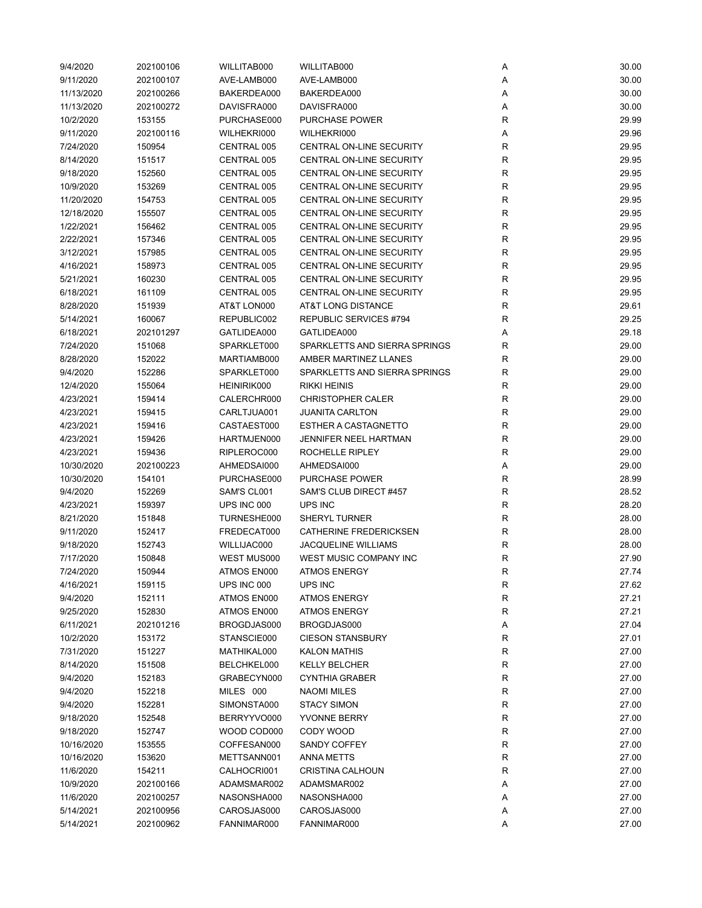| 9/4/2020   | 202100106 | WILLITAB000 | WILLITAB000                     | Α            | 30.00 |
|------------|-----------|-------------|---------------------------------|--------------|-------|
| 9/11/2020  | 202100107 | AVE-LAMB000 | AVE-LAMB000                     | Α            | 30.00 |
| 11/13/2020 | 202100266 | BAKERDEA000 | BAKERDEA000                     | Α            | 30.00 |
| 11/13/2020 | 202100272 | DAVISFRA000 | DAVISFRA000                     | Α            | 30.00 |
| 10/2/2020  | 153155    | PURCHASE000 | <b>PURCHASE POWER</b>           | R            | 29.99 |
| 9/11/2020  | 202100116 | WILHEKRI000 | WILHEKRI000                     | Α            | 29.96 |
| 7/24/2020  | 150954    | CENTRAL 005 | CENTRAL ON-LINE SECURITY        | R            | 29.95 |
| 8/14/2020  | 151517    | CENTRAL 005 | CENTRAL ON-LINE SECURITY        | $\mathsf{R}$ | 29.95 |
| 9/18/2020  | 152560    | CENTRAL 005 | CENTRAL ON-LINE SECURITY        | $\mathsf{R}$ | 29.95 |
| 10/9/2020  | 153269    | CENTRAL 005 | CENTRAL ON-LINE SECURITY        | $\mathsf{R}$ | 29.95 |
| 11/20/2020 | 154753    | CENTRAL 005 | CENTRAL ON-LINE SECURITY        | $\mathsf{R}$ | 29.95 |
| 12/18/2020 | 155507    | CENTRAL 005 | <b>CENTRAL ON-LINE SECURITY</b> | $\mathsf R$  | 29.95 |
| 1/22/2021  | 156462    | CENTRAL 005 | CENTRAL ON-LINE SECURITY        | R            | 29.95 |
| 2/22/2021  | 157346    | CENTRAL 005 | CENTRAL ON-LINE SECURITY        | R            | 29.95 |
| 3/12/2021  | 157985    | CENTRAL 005 | CENTRAL ON-LINE SECURITY        | $\mathsf R$  | 29.95 |
| 4/16/2021  | 158973    | CENTRAL 005 | CENTRAL ON-LINE SECURITY        | R            | 29.95 |
| 5/21/2021  | 160230    | CENTRAL 005 | CENTRAL ON-LINE SECURITY        | R            | 29.95 |
| 6/18/2021  | 161109    | CENTRAL 005 | CENTRAL ON-LINE SECURITY        | $\mathsf R$  | 29.95 |
| 8/28/2020  | 151939    | AT&T LON000 | AT&T LONG DISTANCE              | R            | 29.61 |
| 5/14/2021  | 160067    | REPUBLIC002 | REPUBLIC SERVICES #794          | R            | 29.25 |
| 6/18/2021  | 202101297 | GATLIDEA000 | GATLIDEA000                     | Α            | 29.18 |
| 7/24/2020  | 151068    | SPARKLET000 | SPARKLETTS AND SIERRA SPRINGS   | $\mathsf R$  | 29.00 |
| 8/28/2020  | 152022    | MARTIAMB000 | AMBER MARTINEZ LLANES           | $\mathsf R$  | 29.00 |
| 9/4/2020   | 152286    | SPARKLET000 | SPARKLETTS AND SIERRA SPRINGS   | $\mathsf{R}$ | 29.00 |
| 12/4/2020  | 155064    | HEINIRIK000 | <b>RIKKI HEINIS</b>             | $\mathsf R$  | 29.00 |
| 4/23/2021  | 159414    | CALERCHR000 | <b>CHRISTOPHER CALER</b>        | $\mathsf R$  | 29.00 |
| 4/23/2021  | 159415    | CARLTJUA001 | <b>JUANITA CARLTON</b>          | $\mathsf{R}$ | 29.00 |
|            |           |             | ESTHER A CASTAGNETTO            |              |       |
| 4/23/2021  | 159416    | CASTAEST000 |                                 | R            | 29.00 |
| 4/23/2021  | 159426    | HARTMJEN000 | <b>JENNIFER NEEL HARTMAN</b>    | R            | 29.00 |
| 4/23/2021  | 159436    | RIPLEROC000 | ROCHELLE RIPLEY                 | $\mathsf R$  | 29.00 |
| 10/30/2020 | 202100223 | AHMEDSAI000 | AHMEDSAI000                     | Α            | 29.00 |
| 10/30/2020 | 154101    | PURCHASE000 | <b>PURCHASE POWER</b>           | R            | 28.99 |
| 9/4/2020   | 152269    | SAM'S CL001 | SAM'S CLUB DIRECT #457          | $\mathsf{R}$ | 28.52 |
| 4/23/2021  | 159397    | UPS INC 000 | UPS INC                         | R            | 28.20 |
| 8/21/2020  | 151848    | TURNESHE000 | SHERYL TURNER                   | R            | 28.00 |
| 9/11/2020  | 152417    | FREDECAT000 | <b>CATHERINE FREDERICKSEN</b>   | $\mathsf{R}$ | 28.00 |
| 9/18/2020  | 152743    | WILLIJAC000 | <b>JACQUELINE WILLIAMS</b>      | $\mathsf{R}$ | 28.00 |
| 7/17/2020  | 150848    | WEST MUS000 | WEST MUSIC COMPANY INC          | $\mathsf{R}$ | 27.90 |
| 7/24/2020  | 150944    | ATMOS EN000 | <b>ATMOS ENERGY</b>             | R            | 27.74 |
| 4/16/2021  | 159115    | UPS INC 000 | UPS INC                         | ${\sf R}$    | 27.62 |
| 9/4/2020   | 152111    | ATMOS EN000 | <b>ATMOS ENERGY</b>             | ${\sf R}$    | 27.21 |
| 9/25/2020  | 152830    | ATMOS EN000 | <b>ATMOS ENERGY</b>             | $\mathsf{R}$ | 27.21 |
| 6/11/2021  | 202101216 | BROGDJAS000 | BROGDJAS000                     | Α            | 27.04 |
| 10/2/2020  | 153172    | STANSCIE000 | <b>CIESON STANSBURY</b>         | ${\sf R}$    | 27.01 |
| 7/31/2020  | 151227    | MATHIKAL000 | <b>KALON MATHIS</b>             | R            | 27.00 |
| 8/14/2020  | 151508    | BELCHKEL000 | <b>KELLY BELCHER</b>            | R            | 27.00 |
| 9/4/2020   | 152183    | GRABECYN000 | <b>CYNTHIA GRABER</b>           | ${\sf R}$    | 27.00 |
| 9/4/2020   | 152218    | MILES 000   | <b>NAOMI MILES</b>              | R            | 27.00 |
| 9/4/2020   | 152281    | SIMONSTA000 | <b>STACY SIMON</b>              | R            | 27.00 |
| 9/18/2020  | 152548    | BERRYYVO000 | YVONNE BERRY                    | R            | 27.00 |
| 9/18/2020  | 152747    | WOOD COD000 | CODY WOOD                       | R            | 27.00 |
| 10/16/2020 | 153555    | COFFESAN000 | SANDY COFFEY                    | R            | 27.00 |
| 10/16/2020 | 153620    | METTSANN001 | ANNA METTS                      | ${\sf R}$    | 27.00 |
| 11/6/2020  | 154211    | CALHOCRI001 | <b>CRISTINA CALHOUN</b>         | ${\sf R}$    | 27.00 |
| 10/9/2020  | 202100166 | ADAMSMAR002 | ADAMSMAR002                     | Α            | 27.00 |
| 11/6/2020  | 202100257 | NASONSHA000 | NASONSHA000                     | Α            | 27.00 |
| 5/14/2021  | 202100956 | CAROSJAS000 | CAROSJAS000                     | Α            | 27.00 |
| 5/14/2021  | 202100962 | FANNIMAR000 | FANNIMAR000                     | Α            | 27.00 |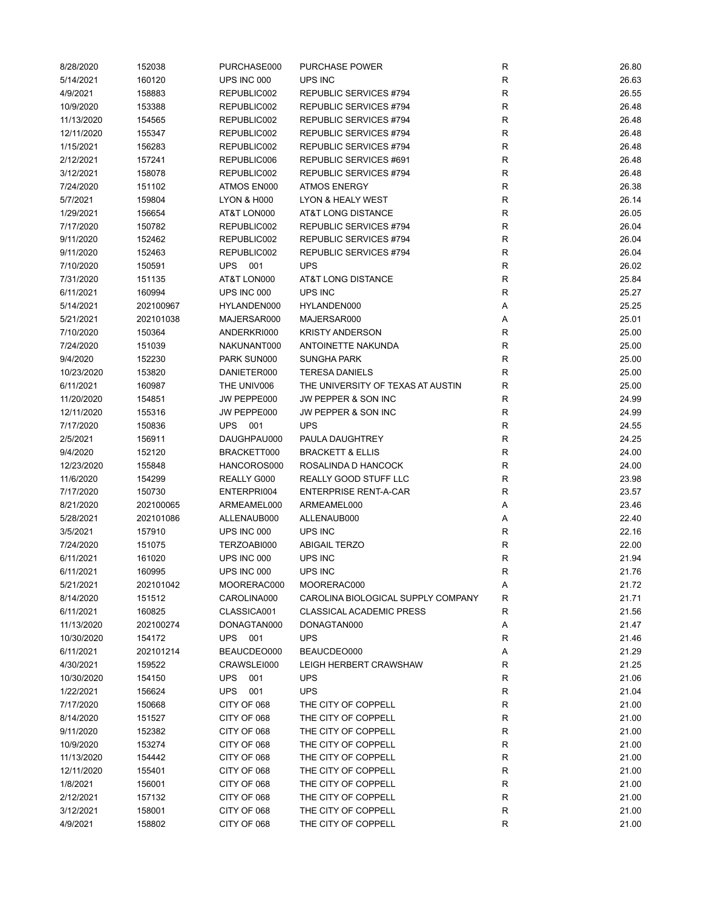| 8/28/2020  | 152038    | PURCHASE000            | PURCHASE POWER                     | R           | 26.80 |
|------------|-----------|------------------------|------------------------------------|-------------|-------|
| 5/14/2021  | 160120    | UPS INC 000            | UPS INC                            | R           | 26.63 |
| 4/9/2021   | 158883    | REPUBLIC002            | REPUBLIC SERVICES #794             | R           | 26.55 |
| 10/9/2020  | 153388    | REPUBLIC002            | REPUBLIC SERVICES #794             | R           | 26.48 |
| 11/13/2020 | 154565    | REPUBLIC002            | <b>REPUBLIC SERVICES #794</b>      | R           | 26.48 |
| 12/11/2020 | 155347    | REPUBLIC002            | REPUBLIC SERVICES #794             | R           | 26.48 |
| 1/15/2021  | 156283    | REPUBLIC002            | <b>REPUBLIC SERVICES #794</b>      | R           | 26.48 |
| 2/12/2021  | 157241    | REPUBLIC006            | REPUBLIC SERVICES #691             | R           | 26.48 |
| 3/12/2021  | 158078    | REPUBLIC002            | REPUBLIC SERVICES #794             | R           | 26.48 |
| 7/24/2020  | 151102    | ATMOS EN000            | <b>ATMOS ENERGY</b>                | R           | 26.38 |
| 5/7/2021   | 159804    | <b>LYON &amp; H000</b> | LYON & HEALY WEST                  | $\mathsf R$ | 26.14 |
| 1/29/2021  | 156654    | AT&T LON000            | AT&T LONG DISTANCE                 | R           | 26.05 |
| 7/17/2020  | 150782    | REPUBLIC002            | REPUBLIC SERVICES #794             | R           | 26.04 |
| 9/11/2020  | 152462    | REPUBLIC002            | REPUBLIC SERVICES #794             | R           | 26.04 |
| 9/11/2020  | 152463    | REPUBLIC002            | REPUBLIC SERVICES #794             | R           | 26.04 |
| 7/10/2020  | 150591    | UPS<br>001             | <b>UPS</b>                         | $\mathsf R$ | 26.02 |
| 7/31/2020  | 151135    | AT&T LON000            | AT&T LONG DISTANCE                 | R           | 25.84 |
| 6/11/2021  | 160994    | UPS INC 000            | UPS INC                            | $\mathsf R$ | 25.27 |
| 5/14/2021  | 202100967 | HYLANDEN000            | HYLANDEN000                        | Α           | 25.25 |
| 5/21/2021  | 202101038 | MAJERSAR000            | MAJERSAR000                        | Α           | 25.01 |
| 7/10/2020  | 150364    | ANDERKRI000            | <b>KRISTY ANDERSON</b>             | R           | 25.00 |
| 7/24/2020  | 151039    | NAKUNANT000            | ANTOINETTE NAKUNDA                 | R           | 25.00 |
| 9/4/2020   | 152230    | PARK SUN000            | <b>SUNGHA PARK</b>                 | R           | 25.00 |
| 10/23/2020 | 153820    | DANIETER000            | <b>TERESA DANIELS</b>              | R           | 25.00 |
| 6/11/2021  | 160987    | THE UNIV006            | THE UNIVERSITY OF TEXAS AT AUSTIN  | R           | 25.00 |
| 11/20/2020 | 154851    | JW PEPPE000            | JW PEPPER & SON INC                | R           | 24.99 |
| 12/11/2020 | 155316    | JW PEPPE000            | JW PEPPER & SON INC                | R           | 24.99 |
| 7/17/2020  | 150836    | <b>UPS 001</b>         | <b>UPS</b>                         | R           | 24.55 |
| 2/5/2021   |           |                        |                                    | R           | 24.25 |
|            | 156911    | DAUGHPAU000            | PAULA DAUGHTREY                    |             |       |
| 9/4/2020   | 152120    | BRACKETT000            | <b>BRACKETT &amp; ELLIS</b>        | R           | 24.00 |
| 12/23/2020 | 155848    | HANCOROS000            | ROSALINDA D HANCOCK                | $\mathsf R$ | 24.00 |
| 11/6/2020  | 154299    | REALLY G000            | REALLY GOOD STUFF LLC              | R           | 23.98 |
| 7/17/2020  | 150730    | ENTERPRI004            | <b>ENTERPRISE RENT-A-CAR</b>       | $\mathsf R$ | 23.57 |
| 8/21/2020  | 202100065 | ARMEAMEL000            | ARMEAMEL000                        | Α           | 23.46 |
| 5/28/2021  | 202101086 | ALLENAUB000            | ALLENAUB000                        | Α           | 22.40 |
| 3/5/2021   | 157910    | UPS INC 000            | UPS INC                            | R           | 22.16 |
| 7/24/2020  | 151075    | TERZOABI000            | <b>ABIGAIL TERZO</b>               | R           | 22.00 |
| 6/11/2021  | 161020    | UPS INC 000            | UPS INC                            | ${\sf R}$   | 21.94 |
| 6/11/2021  | 160995    | UPS INC 000            | UPS INC                            | R           | 21.76 |
| 5/21/2021  | 202101042 | MOORERAC000            | MOORERAC000                        | A           | 21.72 |
| 8/14/2020  | 151512    | CAROLINA000            | CAROLINA BIOLOGICAL SUPPLY COMPANY | $\mathsf R$ | 21.71 |
| 6/11/2021  | 160825    | CLASSICA001            | <b>CLASSICAL ACADEMIC PRESS</b>    | R           | 21.56 |
| 11/13/2020 | 202100274 | DONAGTAN000            | DONAGTAN000                        | Α           | 21.47 |
| 10/30/2020 | 154172    | UPS 001                | <b>UPS</b>                         | R           | 21.46 |
| 6/11/2021  | 202101214 | BEAUCDEO000            | BEAUCDEO000                        | Α           | 21.29 |
| 4/30/2021  | 159522    | CRAWSLEI000            | LEIGH HERBERT CRAWSHAW             | R           | 21.25 |
| 10/30/2020 | 154150    | <b>UPS</b><br>001      | <b>UPS</b>                         | R           | 21.06 |
| 1/22/2021  | 156624    | <b>UPS</b><br>001      | <b>UPS</b>                         | R           | 21.04 |
| 7/17/2020  | 150668    | CITY OF 068            | THE CITY OF COPPELL                | R           | 21.00 |
| 8/14/2020  | 151527    | CITY OF 068            | THE CITY OF COPPELL                | R           | 21.00 |
| 9/11/2020  | 152382    | CITY OF 068            | THE CITY OF COPPELL                | R           | 21.00 |
| 10/9/2020  | 153274    | CITY OF 068            | THE CITY OF COPPELL                | R           | 21.00 |
| 11/13/2020 | 154442    | CITY OF 068            | THE CITY OF COPPELL                | R           | 21.00 |
| 12/11/2020 | 155401    | CITY OF 068            | THE CITY OF COPPELL                | R           | 21.00 |
| 1/8/2021   | 156001    | CITY OF 068            | THE CITY OF COPPELL                | R           | 21.00 |
| 2/12/2021  | 157132    | CITY OF 068            | THE CITY OF COPPELL                | R           | 21.00 |
| 3/12/2021  | 158001    | CITY OF 068            | THE CITY OF COPPELL                | R           | 21.00 |
| 4/9/2021   | 158802    | CITY OF 068            | THE CITY OF COPPELL                | R           | 21.00 |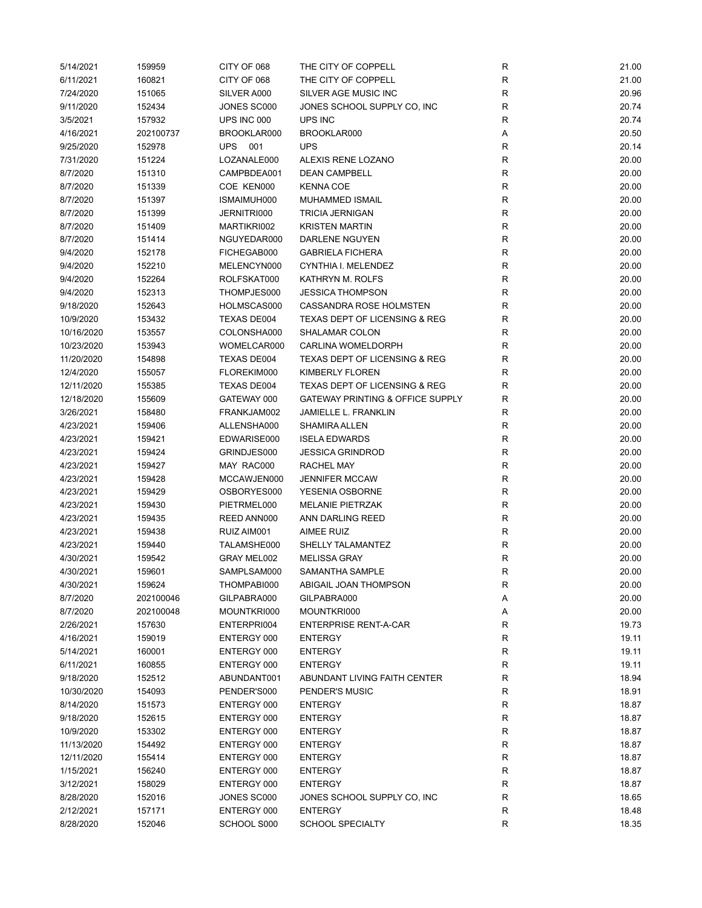| 5/14/2021  | 159959    | CITY OF 068 | THE CITY OF COPPELL                         | R            | 21.00 |
|------------|-----------|-------------|---------------------------------------------|--------------|-------|
| 6/11/2021  | 160821    | CITY OF 068 | THE CITY OF COPPELL                         | R            | 21.00 |
| 7/24/2020  | 151065    | SILVER A000 | SILVER AGE MUSIC INC                        | R            | 20.96 |
| 9/11/2020  | 152434    | JONES SC000 | JONES SCHOOL SUPPLY CO, INC                 | R            | 20.74 |
| 3/5/2021   | 157932    | UPS INC 000 | UPS INC                                     | R            | 20.74 |
| 4/16/2021  | 202100737 | BROOKLAR000 | BROOKLAR000                                 | Α            | 20.50 |
| 9/25/2020  | 152978    | UPS 001     | <b>UPS</b>                                  | $\mathsf R$  | 20.14 |
| 7/31/2020  | 151224    | LOZANALE000 | ALEXIS RENE LOZANO                          | R            | 20.00 |
| 8/7/2020   | 151310    | CAMPBDEA001 | <b>DEAN CAMPBELL</b>                        | ${\sf R}$    | 20.00 |
| 8/7/2020   | 151339    | COE KEN000  | <b>KENNA COE</b>                            | $\mathsf{R}$ | 20.00 |
| 8/7/2020   | 151397    | ISMAIMUH000 | <b>MUHAMMED ISMAIL</b>                      | ${\sf R}$    | 20.00 |
| 8/7/2020   | 151399    | JERNITRI000 | <b>TRICIA JERNIGAN</b>                      | R            | 20.00 |
| 8/7/2020   | 151409    | MARTIKRI002 | <b>KRISTEN MARTIN</b>                       | $\mathsf{R}$ | 20.00 |
| 8/7/2020   | 151414    | NGUYEDAR000 | DARLENE NGUYEN                              | $\mathsf R$  | 20.00 |
| 9/4/2020   | 152178    | FICHEGAB000 | <b>GABRIELA FICHERA</b>                     | R            | 20.00 |
| 9/4/2020   | 152210    | MELENCYN000 | CYNTHIA I. MELENDEZ                         | R            | 20.00 |
| 9/4/2020   | 152264    | ROLFSKAT000 | KATHRYN M. ROLFS                            | $\mathsf R$  | 20.00 |
| 9/4/2020   | 152313    | THOMPJES000 | <b>JESSICA THOMPSON</b>                     | $\mathsf R$  | 20.00 |
| 9/18/2020  | 152643    | HOLMSCAS000 | CASSANDRA ROSE HOLMSTEN                     | R            | 20.00 |
| 10/9/2020  | 153432    | TEXAS DE004 | <b>TEXAS DEPT OF LICENSING &amp; REG</b>    | R            | 20.00 |
| 10/16/2020 | 153557    | COLONSHA000 | SHALAMAR COLON                              | R            | 20.00 |
| 10/23/2020 | 153943    | WOMELCAR000 | <b>CARLINA WOMELDORPH</b>                   | $\mathsf R$  | 20.00 |
| 11/20/2020 | 154898    | TEXAS DE004 | <b>TEXAS DEPT OF LICENSING &amp; REG</b>    | $\mathsf R$  | 20.00 |
| 12/4/2020  | 155057    | FLOREKIM000 | KIMBERLY FLOREN                             | $\mathsf R$  | 20.00 |
| 12/11/2020 | 155385    | TEXAS DE004 | TEXAS DEPT OF LICENSING & REG               | $\mathsf R$  | 20.00 |
| 12/18/2020 | 155609    | GATEWAY 000 | <b>GATEWAY PRINTING &amp; OFFICE SUPPLY</b> | $\mathsf R$  | 20.00 |
| 3/26/2021  | 158480    | FRANKJAM002 | <b>JAMIELLE L. FRANKLIN</b>                 | R            | 20.00 |
| 4/23/2021  | 159406    | ALLENSHA000 | SHAMIRA ALLEN                               | R            | 20.00 |
| 4/23/2021  | 159421    | EDWARISE000 | <b>ISELA EDWARDS</b>                        | R            | 20.00 |
| 4/23/2021  | 159424    | GRINDJES000 | <b>JESSICA GRINDROD</b>                     | R            | 20.00 |
| 4/23/2021  | 159427    | MAY RAC000  | RACHEL MAY                                  | R            | 20.00 |
| 4/23/2021  | 159428    | MCCAWJEN000 | <b>JENNIFER MCCAW</b>                       | R            | 20.00 |
| 4/23/2021  | 159429    | OSBORYES000 | YESENIA OSBORNE                             | R            | 20.00 |
| 4/23/2021  | 159430    | PIETRMEL000 | <b>MELANIE PIETRZAK</b>                     | R            | 20.00 |
| 4/23/2021  | 159435    | REED ANN000 | ANN DARLING REED                            | R            | 20.00 |
| 4/23/2021  | 159438    | RUIZ AIM001 | AIMEE RUIZ                                  | $\mathsf{R}$ | 20.00 |
| 4/23/2021  | 159440    | TALAMSHE000 | SHELLY TALAMANTEZ                           | R            | 20.00 |
| 4/30/2021  | 159542    | GRAY MEL002 | <b>MELISSA GRAY</b>                         | ${\sf R}$    | 20.00 |
| 4/30/2021  | 159601    | SAMPLSAM000 | SAMANTHA SAMPLE                             | R            | 20.00 |
| 4/30/2021  | 159624    | THOMPABI000 | ABIGAIL JOAN THOMPSON                       | R            | 20.00 |
| 8/7/2020   | 202100046 | GILPABRA000 | GILPABRA000                                 | Α            | 20.00 |
| 8/7/2020   | 202100048 | MOUNTKRI000 | MOUNTKRI000                                 | Α            | 20.00 |
| 2/26/2021  | 157630    | ENTERPRI004 | <b>ENTERPRISE RENT-A-CAR</b>                | R            | 19.73 |
| 4/16/2021  | 159019    | ENTERGY 000 | <b>ENTERGY</b>                              | R            | 19.11 |
| 5/14/2021  | 160001    | ENTERGY 000 | <b>ENTERGY</b>                              | R            | 19.11 |
| 6/11/2021  | 160855    | ENTERGY 000 | <b>ENTERGY</b>                              | R            | 19.11 |
| 9/18/2020  | 152512    | ABUNDANT001 | ABUNDANT LIVING FAITH CENTER                | R            | 18.94 |
| 10/30/2020 | 154093    | PENDER'S000 | PENDER'S MUSIC                              | R            | 18.91 |
| 8/14/2020  | 151573    | ENTERGY 000 | <b>ENTERGY</b>                              | R            | 18.87 |
| 9/18/2020  | 152615    | ENTERGY 000 | <b>ENTERGY</b>                              | R            | 18.87 |
| 10/9/2020  | 153302    | ENTERGY 000 | <b>ENTERGY</b>                              | R            | 18.87 |
| 11/13/2020 | 154492    | ENTERGY 000 | <b>ENTERGY</b>                              | R            | 18.87 |
| 12/11/2020 | 155414    | ENTERGY 000 | <b>ENTERGY</b>                              | R            | 18.87 |
| 1/15/2021  | 156240    | ENTERGY 000 |                                             | ${\sf R}$    | 18.87 |
|            |           |             | ENTERGY                                     | $\mathsf{R}$ |       |
| 3/12/2021  | 158029    | ENTERGY 000 | <b>ENTERGY</b>                              |              | 18.87 |
| 8/28/2020  | 152016    | JONES SC000 | JONES SCHOOL SUPPLY CO, INC                 | R            | 18.65 |
| 2/12/2021  | 157171    | ENTERGY 000 | ENTERGY                                     | R            | 18.48 |
| 8/28/2020  | 152046    | SCHOOL S000 | <b>SCHOOL SPECIALTY</b>                     | $\mathsf R$  | 18.35 |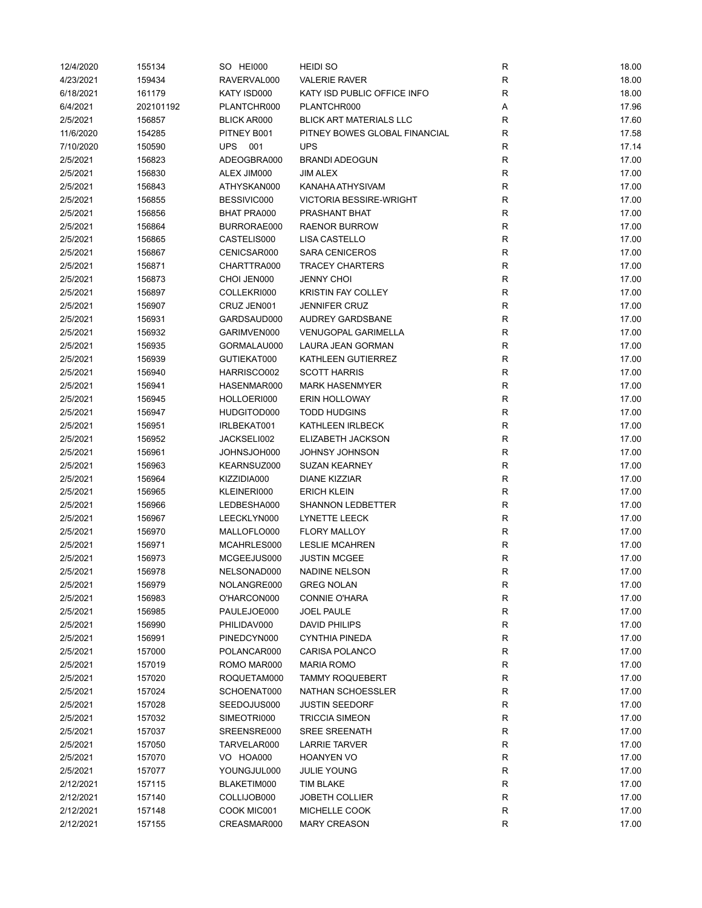| 12/4/2020 | 155134    | SO HEI000          | <b>HEIDI SO</b>                | ${\sf R}$    | 18.00 |
|-----------|-----------|--------------------|--------------------------------|--------------|-------|
| 4/23/2021 | 159434    | RAVERVAL000        | <b>VALERIE RAVER</b>           | ${\sf R}$    | 18.00 |
| 6/18/2021 | 161179    | KATY ISD000        | KATY ISD PUBLIC OFFICE INFO    | $\mathsf{R}$ | 18.00 |
| 6/4/2021  | 202101192 | PLANTCHR000        | PLANTCHR000                    | Α            | 17.96 |
| 2/5/2021  | 156857    | <b>BLICK AR000</b> | <b>BLICK ART MATERIALS LLC</b> | R            | 17.60 |
| 11/6/2020 | 154285    | PITNEY B001        | PITNEY BOWES GLOBAL FINANCIAL  | R            | 17.58 |
| 7/10/2020 | 150590    | UPS 001            | <b>UPS</b>                     | $\mathsf{R}$ | 17.14 |
| 2/5/2021  | 156823    | ADEOGBRA000        | <b>BRANDI ADEOGUN</b>          | $\mathsf{R}$ | 17.00 |
| 2/5/2021  | 156830    | ALEX JIM000        | JIM ALEX                       | $\mathsf{R}$ | 17.00 |
| 2/5/2021  | 156843    | ATHYSKAN000        | KANAHA ATHYSIVAM               | $\mathsf{R}$ | 17.00 |
| 2/5/2021  | 156855    | BESSIVIC000        | <b>VICTORIA BESSIRE-WRIGHT</b> | $\mathsf{R}$ | 17.00 |
| 2/5/2021  | 156856    | <b>BHAT PRA000</b> | PRASHANT BHAT                  | $\mathsf{R}$ | 17.00 |
| 2/5/2021  | 156864    | BURRORAE000        | <b>RAENOR BURROW</b>           | $\mathsf{R}$ | 17.00 |
| 2/5/2021  | 156865    | CASTELIS000        | LISA CASTELLO                  | $\mathsf{R}$ | 17.00 |
| 2/5/2021  | 156867    | CENICSAR000        | <b>SARA CENICEROS</b>          | $\mathsf{R}$ | 17.00 |
| 2/5/2021  | 156871    | CHARTTRA000        | <b>TRACEY CHARTERS</b>         | $\mathsf{R}$ | 17.00 |
| 2/5/2021  | 156873    | CHOI JEN000        | <b>JENNY CHOI</b>              | $\mathsf{R}$ | 17.00 |
| 2/5/2021  | 156897    | COLLEKRI000        | <b>KRISTIN FAY COLLEY</b>      | $\mathsf{R}$ | 17.00 |
| 2/5/2021  | 156907    | CRUZ JEN001        | <b>JENNIFER CRUZ</b>           | $\mathsf{R}$ | 17.00 |
| 2/5/2021  | 156931    | GARDSAUD000        | <b>AUDREY GARDSBANE</b>        | R            | 17.00 |
| 2/5/2021  | 156932    | GARIMVEN000        | <b>VENUGOPAL GARIMELLA</b>     | R            | 17.00 |
| 2/5/2021  | 156935    | GORMALAU000        | LAURA JEAN GORMAN              | $\mathsf{R}$ | 17.00 |
| 2/5/2021  | 156939    | GUTIEKAT000        | KATHLEEN GUTIERREZ             | $\mathsf{R}$ | 17.00 |
| 2/5/2021  | 156940    | HARRISCO002        | <b>SCOTT HARRIS</b>            | $\mathsf{R}$ | 17.00 |
| 2/5/2021  | 156941    | HASENMAR000        | <b>MARK HASENMYER</b>          | $\mathsf{R}$ | 17.00 |
| 2/5/2021  | 156945    | HOLLOERI000        | <b>ERIN HOLLOWAY</b>           | $\mathsf{R}$ | 17.00 |
| 2/5/2021  | 156947    | HUDGITOD000        | <b>TODD HUDGINS</b>            | $\mathsf{R}$ | 17.00 |
| 2/5/2021  | 156951    | IRLBEKAT001        | KATHLEEN IRLBECK               | $\mathsf{R}$ | 17.00 |
| 2/5/2021  | 156952    | JACKSELI002        | ELIZABETH JACKSON              | $\mathsf{R}$ | 17.00 |
|           |           |                    |                                | $\mathsf{R}$ |       |
| 2/5/2021  | 156961    | JOHNSJOH000        | JOHNSY JOHNSON                 |              | 17.00 |
| 2/5/2021  | 156963    | KEARNSUZ000        | <b>SUZAN KEARNEY</b>           | $\mathsf{R}$ | 17.00 |
| 2/5/2021  | 156964    | KIZZIDIA000        | <b>DIANE KIZZIAR</b>           | $\mathsf{R}$ | 17.00 |
| 2/5/2021  | 156965    | KLEINERI000        | <b>ERICH KLEIN</b>             | $\mathsf{R}$ | 17.00 |
| 2/5/2021  | 156966    | LEDBESHA000        | SHANNON LEDBETTER              | $\mathsf{R}$ | 17.00 |
| 2/5/2021  | 156967    | LEECKLYN000        | LYNETTE LEECK                  | R            | 17.00 |
| 2/5/2021  | 156970    | MALLOFLO000        | <b>FLORY MALLOY</b>            | $\mathsf{R}$ | 17.00 |
| 2/5/2021  | 156971    | MCAHRLES000        | <b>LESLIE MCAHREN</b>          | $\mathsf{R}$ | 17.00 |
| 2/5/2021  | 156973    | MCGEEJUS000        | <b>JUSTIN MCGEE</b>            | ${\sf R}$    | 17.00 |
| 2/5/2021  | 156978    | NELSONAD000        | <b>NADINE NELSON</b>           | R            | 17.00 |
| 2/5/2021  | 156979    | NOLANGRE000        | <b>GREG NOLAN</b>              | ${\sf R}$    | 17.00 |
| 2/5/2021  | 156983    | O'HARCON000        | <b>CONNIE O'HARA</b>           | ${\sf R}$    | 17.00 |
| 2/5/2021  | 156985    | PAULEJOE000        | <b>JOEL PAULE</b>              | ${\sf R}$    | 17.00 |
| 2/5/2021  | 156990    | PHILIDAV000        | DAVID PHILIPS                  | ${\sf R}$    | 17.00 |
| 2/5/2021  | 156991    | PINEDCYN000        | <b>CYNTHIA PINEDA</b>          | ${\sf R}$    | 17.00 |
| 2/5/2021  | 157000    | POLANCAR000        | <b>CARISA POLANCO</b>          | ${\sf R}$    | 17.00 |
| 2/5/2021  | 157019    | ROMO MAR000        | <b>MARIA ROMO</b>              | $\mathsf{R}$ | 17.00 |
| 2/5/2021  | 157020    | ROQUETAM000        | <b>TAMMY ROQUEBERT</b>         | ${\sf R}$    | 17.00 |
| 2/5/2021  | 157024    | SCHOENAT000        | NATHAN SCHOESSLER              | R            | 17.00 |
| 2/5/2021  | 157028    | SEEDOJUS000        | <b>JUSTIN SEEDORF</b>          | R            | 17.00 |
| 2/5/2021  | 157032    | SIMEOTRI000        | <b>TRICCIA SIMEON</b>          | R            | 17.00 |
| 2/5/2021  | 157037    | SREENSRE000        | <b>SREE SREENATH</b>           | $\mathsf{R}$ | 17.00 |
| 2/5/2021  | 157050    | TARVELAR000        | <b>LARRIE TARVER</b>           | R            | 17.00 |
| 2/5/2021  | 157070    | VO HOA000          | <b>HOANYEN VO</b>              | ${\sf R}$    | 17.00 |
| 2/5/2021  | 157077    | YOUNGJUL000        | <b>JULIE YOUNG</b>             | $\mathsf{R}$ | 17.00 |
| 2/12/2021 | 157115    | BLAKETIM000        | <b>TIM BLAKE</b>               | $\mathsf{R}$ | 17.00 |
| 2/12/2021 | 157140    | COLLIJOB000        | <b>JOBETH COLLIER</b>          | ${\sf R}$    | 17.00 |
| 2/12/2021 | 157148    | COOK MIC001        | MICHELLE COOK                  | R            | 17.00 |
| 2/12/2021 | 157155    | CREASMAR000        | <b>MARY CREASON</b>            | $\mathsf{R}$ | 17.00 |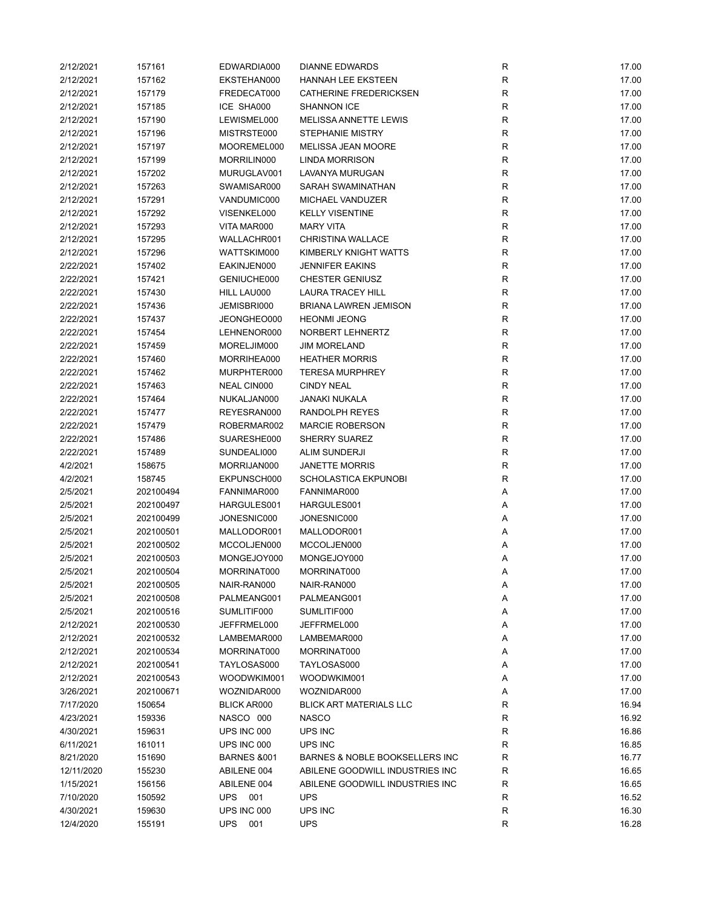| 2/12/2021  | 157161    | EDWARDIA000            | <b>DIANNE EDWARDS</b>           | R           | 17.00 |
|------------|-----------|------------------------|---------------------------------|-------------|-------|
| 2/12/2021  | 157162    | EKSTEHAN000            | <b>HANNAH LEE EKSTEEN</b>       | R           | 17.00 |
| 2/12/2021  | 157179    | FREDECAT000            | CATHERINE FREDERICKSEN          | R           | 17.00 |
| 2/12/2021  | 157185    | ICE SHA000             | <b>SHANNON ICE</b>              | R           | 17.00 |
| 2/12/2021  | 157190    | LEWISMEL000            | MELISSA ANNETTE LEWIS           | R           | 17.00 |
| 2/12/2021  | 157196    | MISTRSTE000            | <b>STEPHANIE MISTRY</b>         | R           | 17.00 |
| 2/12/2021  | 157197    | MOOREMEL000            | MELISSA JEAN MOORE              | R           | 17.00 |
| 2/12/2021  | 157199    | MORRILIN000            | <b>LINDA MORRISON</b>           | R           | 17.00 |
| 2/12/2021  | 157202    | MURUGLAV001            | LAVANYA MURUGAN                 | R           | 17.00 |
| 2/12/2021  | 157263    | SWAMISAR000            | SARAH SWAMINATHAN               | $\mathsf R$ | 17.00 |
| 2/12/2021  | 157291    | VANDUMIC000            | MICHAEL VANDUZER                | ${\sf R}$   | 17.00 |
| 2/12/2021  | 157292    | VISENKEL000            | <b>KELLY VISENTINE</b>          | $\mathsf R$ | 17.00 |
| 2/12/2021  | 157293    | VITA MAR000            | <b>MARY VITA</b>                | R           | 17.00 |
| 2/12/2021  | 157295    | WALLACHR001            | <b>CHRISTINA WALLACE</b>        | R           | 17.00 |
| 2/12/2021  | 157296    | WATTSKIM000            | KIMBERLY KNIGHT WATTS           | R           | 17.00 |
| 2/22/2021  | 157402    | EAKINJEN000            | <b>JENNIFER EAKINS</b>          | R           | 17.00 |
| 2/22/2021  | 157421    | GENIUCHE000            | <b>CHESTER GENIUSZ</b>          | $\mathsf R$ | 17.00 |
| 2/22/2021  | 157430    | HILL LAU000            | <b>LAURA TRACEY HILL</b>        | $\mathsf R$ | 17.00 |
| 2/22/2021  | 157436    | JEMISBRI000            | <b>BRIANA LAWREN JEMISON</b>    | $\mathsf R$ | 17.00 |
| 2/22/2021  | 157437    | JEONGHEO000            | <b>HEONMI JEONG</b>             | R           | 17.00 |
|            |           |                        |                                 |             |       |
| 2/22/2021  | 157454    | LEHNENOR000            | NORBERT LEHNERTZ                | $\mathsf R$ | 17.00 |
| 2/22/2021  | 157459    | MORELJIM000            | <b>JIM MORELAND</b>             | R           | 17.00 |
| 2/22/2021  | 157460    | MORRIHEA000            | <b>HEATHER MORRIS</b>           | R           | 17.00 |
| 2/22/2021  | 157462    | MURPHTER000            | <b>TERESA MURPHREY</b>          | R           | 17.00 |
| 2/22/2021  | 157463    | NEAL CIN000            | <b>CINDY NEAL</b>               | ${\sf R}$   | 17.00 |
| 2/22/2021  | 157464    | NUKALJAN000            | JANAKI NUKALA                   | $\mathsf R$ | 17.00 |
| 2/22/2021  | 157477    | REYESRAN000            | RANDOLPH REYES                  | R           | 17.00 |
| 2/22/2021  | 157479    | ROBERMAR002            | <b>MARCIE ROBERSON</b>          | R           | 17.00 |
| 2/22/2021  | 157486    | SUARESHE000            | <b>SHERRY SUAREZ</b>            | R           | 17.00 |
| 2/22/2021  | 157489    | SUNDEALI000            | <b>ALIM SUNDERJI</b>            | R           | 17.00 |
| 4/2/2021   | 158675    | MORRIJAN000            | <b>JANETTE MORRIS</b>           | R           | 17.00 |
| 4/2/2021   | 158745    | EKPUNSCH000            | SCHOLASTICA EKPUNOBI            | $\mathsf R$ | 17.00 |
| 2/5/2021   | 202100494 | FANNIMAR000            | FANNIMAR000                     | Α           | 17.00 |
| 2/5/2021   | 202100497 | HARGULES001            | HARGULES001                     | Α           | 17.00 |
| 2/5/2021   | 202100499 | JONESNIC000            | JONESNIC000                     | Α           | 17.00 |
| 2/5/2021   | 202100501 | MALLODOR001            | MALLODOR001                     | Α           | 17.00 |
| 2/5/2021   | 202100502 | MCCOLJEN000            | MCCOLJEN000                     | Α           | 17.00 |
| 2/5/2021   | 202100503 | MONGEJOY000            | MONGEJOY000                     | Α           | 17.00 |
| 2/5/2021   | 202100504 | MORRINAT000            | MORRINAT000                     | Α           | 17.00 |
| 2/5/2021   | 202100505 | NAIR-RAN000            | NAIR-RAN000                     | Α           | 17.00 |
| 2/5/2021   | 202100508 | PALMEANG001            | PALMEANG001                     | Α           | 17.00 |
| 2/5/2021   | 202100516 | SUMLITIF000            | SUMLITIF000                     | Α           | 17.00 |
| 2/12/2021  | 202100530 | JEFFRMEL000            | JEFFRMEL000                     | A           | 17.00 |
| 2/12/2021  | 202100532 | LAMBEMAR000            | LAMBEMAR000                     | Α           | 17.00 |
| 2/12/2021  | 202100534 | MORRINAT000            | MORRINAT000                     | Α           | 17.00 |
| 2/12/2021  | 202100541 | TAYLOSAS000            | TAYLOSAS000                     | Α           | 17.00 |
| 2/12/2021  | 202100543 | WOODWKIM001            | WOODWKIM001                     | А           | 17.00 |
| 3/26/2021  | 202100671 | WOZNIDAR000            | WOZNIDAR000                     | А           | 17.00 |
| 7/17/2020  | 150654    | <b>BLICK AR000</b>     | <b>BLICK ART MATERIALS LLC</b>  | R           | 16.94 |
| 4/23/2021  | 159336    | NASCO 000              | <b>NASCO</b>                    | R           | 16.92 |
| 4/30/2021  | 159631    | UPS INC 000            | UPS INC                         | R           | 16.86 |
|            |           |                        |                                 |             |       |
| 6/11/2021  | 161011    | UPS INC 000            | UPS INC                         | R           | 16.85 |
| 8/21/2020  | 151690    | <b>BARNES &amp;001</b> | BARNES & NOBLE BOOKSELLERS INC  | R           | 16.77 |
| 12/11/2020 | 155230    | ABILENE 004            | ABILENE GOODWILL INDUSTRIES INC | R           | 16.65 |
| 1/15/2021  | 156156    | ABILENE 004            | ABILENE GOODWILL INDUSTRIES INC | R           | 16.65 |
| 7/10/2020  | 150592    | <b>UPS</b><br>001      | <b>UPS</b>                      | R           | 16.52 |
| 4/30/2021  | 159630    | UPS INC 000            | UPS INC                         | R           | 16.30 |
| 12/4/2020  | 155191    | <b>UPS</b><br>001      | <b>UPS</b>                      | R           | 16.28 |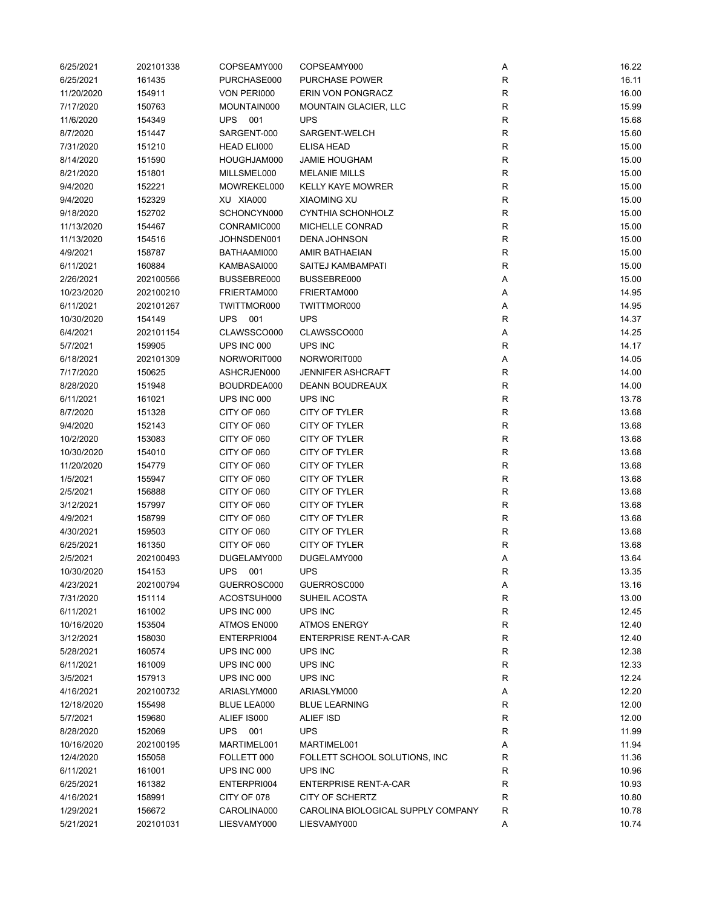| 6/25/2021  | 202101338 | COPSEAMY000       | COPSEAMY000                        | Α           | 16.22 |
|------------|-----------|-------------------|------------------------------------|-------------|-------|
| 6/25/2021  | 161435    | PURCHASE000       | <b>PURCHASE POWER</b>              | ${\sf R}$   | 16.11 |
| 11/20/2020 | 154911    | VON PERI000       | ERIN VON PONGRACZ                  | R           | 16.00 |
| 7/17/2020  | 150763    | MOUNTAIN000       | <b>MOUNTAIN GLACIER, LLC</b>       | $\mathsf R$ | 15.99 |
| 11/6/2020  | 154349    | UPS 001           | <b>UPS</b>                         | R           | 15.68 |
| 8/7/2020   | 151447    | SARGENT-000       | SARGENT-WELCH                      | R           | 15.60 |
| 7/31/2020  | 151210    | HEAD ELI000       | <b>ELISA HEAD</b>                  | R           | 15.00 |
| 8/14/2020  | 151590    | HOUGHJAM000       | <b>JAMIE HOUGHAM</b>               | R           | 15.00 |
| 8/21/2020  | 151801    | MILLSMEL000       | <b>MELANIE MILLS</b>               | $\mathsf R$ | 15.00 |
| 9/4/2020   | 152221    | MOWREKEL000       | <b>KELLY KAYE MOWRER</b>           | ${\sf R}$   | 15.00 |
|            |           |                   |                                    | $\mathsf R$ |       |
| 9/4/2020   | 152329    | XU XIA000         | <b>XIAOMING XU</b>                 |             | 15.00 |
| 9/18/2020  | 152702    | SCHONCYN000       | <b>CYNTHIA SCHONHOLZ</b>           | $\mathsf R$ | 15.00 |
| 11/13/2020 | 154467    | CONRAMIC000       | MICHELLE CONRAD                    | $\mathsf R$ | 15.00 |
| 11/13/2020 | 154516    | JOHNSDEN001       | <b>DENA JOHNSON</b>                | $\mathsf R$ | 15.00 |
| 4/9/2021   | 158787    | BATHAAMI000       | AMIR BATHAEIAN                     | $\mathsf R$ | 15.00 |
| 6/11/2021  | 160884    | KAMBASAI000       | SAITEJ KAMBAMPATI                  | R           | 15.00 |
| 2/26/2021  | 202100566 | BUSSEBRE000       | BUSSEBRE000                        | Α           | 15.00 |
| 10/23/2020 | 202100210 | FRIERTAM000       | FRIERTAM000                        | Α           | 14.95 |
| 6/11/2021  | 202101267 | TWITTMOR000       | TWITTMOR000                        | Α           | 14.95 |
| 10/30/2020 | 154149    | <b>UPS</b><br>001 | <b>UPS</b>                         | R           | 14.37 |
| 6/4/2021   | 202101154 | CLAWSSCO000       | CLAWSSCO000                        | Α           | 14.25 |
| 5/7/2021   | 159905    | UPS INC 000       | UPS INC                            | $\mathsf R$ | 14.17 |
| 6/18/2021  | 202101309 | NORWORIT000       | NORWORIT000                        | Α           | 14.05 |
| 7/17/2020  | 150625    | ASHCRJEN000       | <b>JENNIFER ASHCRAFT</b>           | $\mathsf R$ | 14.00 |
| 8/28/2020  | 151948    | BOUDRDEA000       | DEANN BOUDREAUX                    | ${\sf R}$   | 14.00 |
| 6/11/2021  | 161021    | UPS INC 000       | UPS INC                            | $\mathsf R$ | 13.78 |
| 8/7/2020   | 151328    | CITY OF 060       | CITY OF TYLER                      | R           | 13.68 |
| 9/4/2020   | 152143    | CITY OF 060       | CITY OF TYLER                      | R           | 13.68 |
| 10/2/2020  | 153083    | CITY OF 060       | CITY OF TYLER                      | R           | 13.68 |
|            |           |                   |                                    |             |       |
| 10/30/2020 | 154010    | CITY OF 060       | CITY OF TYLER                      | R           | 13.68 |
| 11/20/2020 | 154779    | CITY OF 060       | CITY OF TYLER                      | R           | 13.68 |
| 1/5/2021   | 155947    | CITY OF 060       | CITY OF TYLER                      | R           | 13.68 |
| 2/5/2021   | 156888    | CITY OF 060       | CITY OF TYLER                      | $\mathsf R$ | 13.68 |
| 3/12/2021  | 157997    | CITY OF 060       | <b>CITY OF TYLER</b>               | R           | 13.68 |
| 4/9/2021   | 158799    | CITY OF 060       | CITY OF TYLER                      | R           | 13.68 |
| 4/30/2021  | 159503    | CITY OF 060       | CITY OF TYLER                      | R           | 13.68 |
| 6/25/2021  | 161350    | CITY OF 060       | CITY OF TYLER                      | $\mathsf R$ | 13.68 |
| 2/5/2021   | 202100493 | DUGELAMY000       | DUGELAMY000                        | Α           | 13.64 |
| 10/30/2020 | 154153    | <b>UPS</b><br>001 | <b>UPS</b>                         | R           | 13.35 |
| 4/23/2021  | 202100794 | GUERROSC000       | GUERROSC000                        | A           | 13.16 |
| 7/31/2020  | 151114    | ACOSTSUH000       | SUHEIL ACOSTA                      | R           | 13.00 |
| 6/11/2021  | 161002    | UPS INC 000       | UPS INC                            | R           | 12.45 |
| 10/16/2020 | 153504    | ATMOS EN000       | <b>ATMOS ENERGY</b>                | R           | 12.40 |
| 3/12/2021  | 158030    | ENTERPRI004       | <b>ENTERPRISE RENT-A-CAR</b>       | R           | 12.40 |
| 5/28/2021  | 160574    | UPS INC 000       | UPS INC                            | R           | 12.38 |
| 6/11/2021  | 161009    | UPS INC 000       | UPS INC                            | R           | 12.33 |
| 3/5/2021   | 157913    | UPS INC 000       | UPS INC                            | R           | 12.24 |
| 4/16/2021  | 202100732 | ARIASLYM000       | ARIASLYM000                        | А           | 12.20 |
| 12/18/2020 | 155498    | BLUE LEA000       | <b>BLUE LEARNING</b>               | R           | 12.00 |
| 5/7/2021   | 159680    | ALIEF IS000       | ALIEF ISD                          | R           | 12.00 |
| 8/28/2020  | 152069    | <b>UPS</b><br>001 | <b>UPS</b>                         | R           | 11.99 |
| 10/16/2020 | 202100195 | MARTIMEL001       | MARTIMEL001                        |             | 11.94 |
|            |           |                   |                                    | А           |       |
| 12/4/2020  | 155058    | FOLLETT 000       | FOLLETT SCHOOL SOLUTIONS, INC      | R           | 11.36 |
| 6/11/2021  | 161001    | UPS INC 000       | UPS INC                            | $\mathsf R$ | 10.96 |
| 6/25/2021  | 161382    | ENTERPRI004       | <b>ENTERPRISE RENT-A-CAR</b>       | R           | 10.93 |
| 4/16/2021  | 158991    | CITY OF 078       | CITY OF SCHERTZ                    | R           | 10.80 |
| 1/29/2021  | 156672    | CAROLINA000       | CAROLINA BIOLOGICAL SUPPLY COMPANY | R           | 10.78 |
| 5/21/2021  | 202101031 | LIESVAMY000       | LIESVAMY000                        | Α           | 10.74 |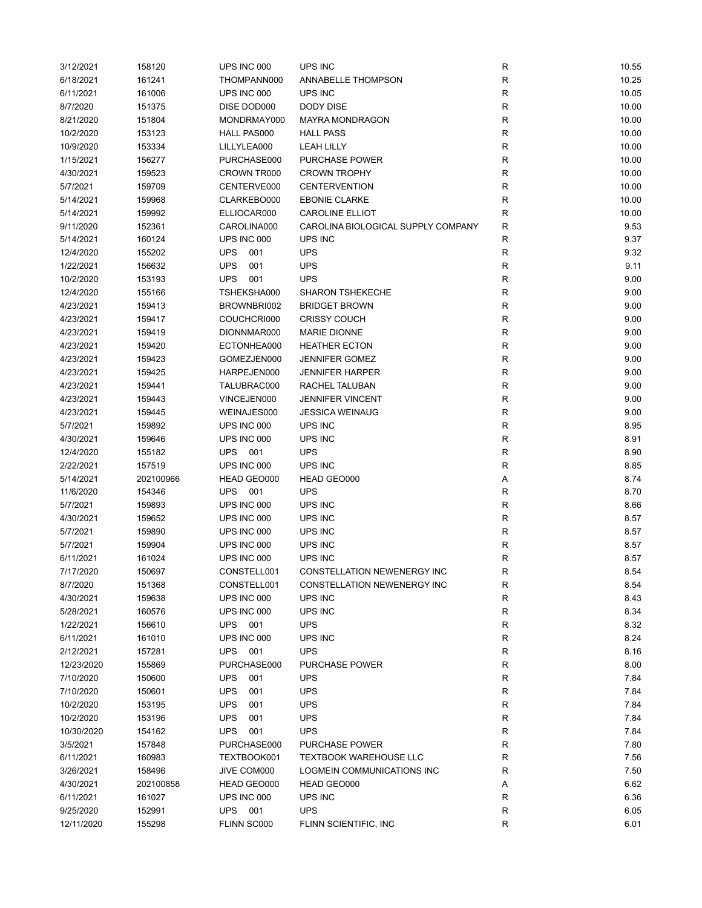| 3/12/2021  | 158120    | UPS INC 000       | UPS INC                            | R            | 10.55 |
|------------|-----------|-------------------|------------------------------------|--------------|-------|
| 6/18/2021  | 161241    | THOMPANN000       | ANNABELLE THOMPSON                 | R            | 10.25 |
| 6/11/2021  | 161006    | UPS INC 000       | UPS INC                            | R            | 10.05 |
| 8/7/2020   | 151375    | DISE DOD000       | DODY DISE                          | R            | 10.00 |
| 8/21/2020  | 151804    | MONDRMAY000       | <b>MAYRA MONDRAGON</b>             | R            | 10.00 |
| 10/2/2020  | 153123    | HALL PAS000       | <b>HALL PASS</b>                   | R            | 10.00 |
| 10/9/2020  | 153334    | LILLYLEA000       | <b>LEAH LILLY</b>                  | $\mathsf R$  | 10.00 |
| 1/15/2021  | 156277    | PURCHASE000       | PURCHASE POWER                     | $\mathsf R$  | 10.00 |
| 4/30/2021  | 159523    | CROWN TR000       | <b>CROWN TROPHY</b>                | $\mathsf R$  | 10.00 |
| 5/7/2021   | 159709    | CENTERVE000       | <b>CENTERVENTION</b>               | R            | 10.00 |
| 5/14/2021  | 159968    | CLARKEBO000       | <b>EBONIE CLARKE</b>               | R            | 10.00 |
| 5/14/2021  | 159992    | ELLIOCAR000       | <b>CAROLINE ELLIOT</b>             | $\mathsf R$  | 10.00 |
| 9/11/2020  | 152361    | CAROLINA000       | CAROLINA BIOLOGICAL SUPPLY COMPANY | R            | 9.53  |
| 5/14/2021  | 160124    | UPS INC 000       | UPS INC                            | R            | 9.37  |
| 12/4/2020  | 155202    | <b>UPS</b><br>001 | <b>UPS</b>                         | $\mathsf R$  | 9.32  |
| 1/22/2021  | 156632    | <b>UPS</b><br>001 | <b>UPS</b>                         | R            | 9.11  |
| 10/2/2020  | 153193    | 001<br><b>UPS</b> | <b>UPS</b>                         | R            | 9.00  |
| 12/4/2020  | 155166    | TSHEKSHA000       | <b>SHARON TSHEKECHE</b>            | R            | 9.00  |
| 4/23/2021  | 159413    | BROWNBRI002       | <b>BRIDGET BROWN</b>               | R            | 9.00  |
|            |           | COUCHCRI000       | <b>CRISSY COUCH</b>                | $\mathsf R$  |       |
| 4/23/2021  | 159417    |                   | <b>MARIE DIONNE</b>                |              | 9.00  |
| 4/23/2021  | 159419    | DIONNMAR000       |                                    | $\mathsf{R}$ | 9.00  |
| 4/23/2021  | 159420    | ECTONHEA000       | <b>HEATHER ECTON</b>               | $\mathsf R$  | 9.00  |
| 4/23/2021  | 159423    | GOMEZJEN000       | <b>JENNIFER GOMEZ</b>              | $\mathsf R$  | 9.00  |
| 4/23/2021  | 159425    | HARPEJEN000       | <b>JENNIFER HARPER</b>             | $\mathsf R$  | 9.00  |
| 4/23/2021  | 159441    | TALUBRAC000       | RACHEL TALUBAN                     | R            | 9.00  |
| 4/23/2021  | 159443    | VINCEJEN000       | <b>JENNIFER VINCENT</b>            | $\mathsf R$  | 9.00  |
| 4/23/2021  | 159445    | WEINAJES000       | <b>JESSICA WEINAUG</b>             | $\mathsf R$  | 9.00  |
| 5/7/2021   | 159892    | UPS INC 000       | UPS INC                            | R            | 8.95  |
| 4/30/2021  | 159646    | UPS INC 000       | UPS INC                            | R            | 8.91  |
| 12/4/2020  | 155182    | <b>UPS</b><br>001 | <b>UPS</b>                         | R            | 8.90  |
| 2/22/2021  | 157519    | UPS INC 000       | UPS INC                            | R            | 8.85  |
| 5/14/2021  | 202100966 | HEAD GEO000       | HEAD GEO000                        | А            | 8.74  |
| 11/6/2020  | 154346    | <b>UPS</b><br>001 | <b>UPS</b>                         | R            | 8.70  |
| 5/7/2021   | 159893    | UPS INC 000       | UPS INC                            | R            | 8.66  |
| 4/30/2021  | 159652    | UPS INC 000       | UPS INC                            | R            | 8.57  |
| 5/7/2021   | 159890    | UPS INC 000       | UPS INC                            | $\mathsf R$  | 8.57  |
| 5/7/2021   | 159904    | UPS INC 000       | UPS INC                            | $\mathsf R$  | 8.57  |
| 6/11/2021  | 161024    | UPS INC 000       | UPS INC                            | $\mathsf R$  | 8.57  |
| 7/17/2020  | 150697    | CONSTELL001       | CONSTELLATION NEWENERGY INC        | R            | 8.54  |
| 8/7/2020   | 151368    | CONSTELL001       | CONSTELLATION NEWENERGY INC        | R            | 8.54  |
| 4/30/2021  | 159638    | UPS INC 000       | UPS INC                            | R            | 8.43  |
| 5/28/2021  | 160576    | UPS INC 000       | UPS INC                            | R            | 8.34  |
| 1/22/2021  | 156610    | UPS<br>001        | <b>UPS</b>                         | R            | 8.32  |
| 6/11/2021  | 161010    | UPS INC 000       | UPS INC                            | R            | 8.24  |
| 2/12/2021  | 157281    | <b>UPS</b><br>001 | <b>UPS</b>                         | R            | 8.16  |
| 12/23/2020 | 155869    | PURCHASE000       | <b>PURCHASE POWER</b>              | R            | 8.00  |
| 7/10/2020  | 150600    | <b>UPS</b><br>001 | <b>UPS</b>                         | R            | 7.84  |
| 7/10/2020  | 150601    | <b>UPS</b><br>001 | <b>UPS</b>                         | R            | 7.84  |
| 10/2/2020  | 153195    | <b>UPS</b><br>001 | <b>UPS</b>                         | R            | 7.84  |
| 10/2/2020  | 153196    | <b>UPS</b><br>001 | <b>UPS</b>                         | R            | 7.84  |
| 10/30/2020 | 154162    | <b>UPS</b><br>001 | <b>UPS</b>                         | $\mathsf R$  | 7.84  |
| 3/5/2021   | 157848    | PURCHASE000       | PURCHASE POWER                     | R            | 7.80  |
| 6/11/2021  | 160983    | TEXTBOOK001       | <b>TEXTBOOK WAREHOUSE LLC</b>      | R            | 7.56  |
| 3/26/2021  | 158496    | JIVE COM000       | LOGMEIN COMMUNICATIONS INC         | R            | 7.50  |
| 4/30/2021  | 202100858 | HEAD GEO000       | HEAD GEO000                        | Α            | 6.62  |
| 6/11/2021  | 161027    | UPS INC 000       | UPS INC                            | R            | 6.36  |
| 9/25/2020  | 152991    | UPS<br>001        | <b>UPS</b>                         | R            | 6.05  |
| 12/11/2020 | 155298    | FLINN SC000       | FLINN SCIENTIFIC, INC              | R            | 6.01  |
|            |           |                   |                                    |              |       |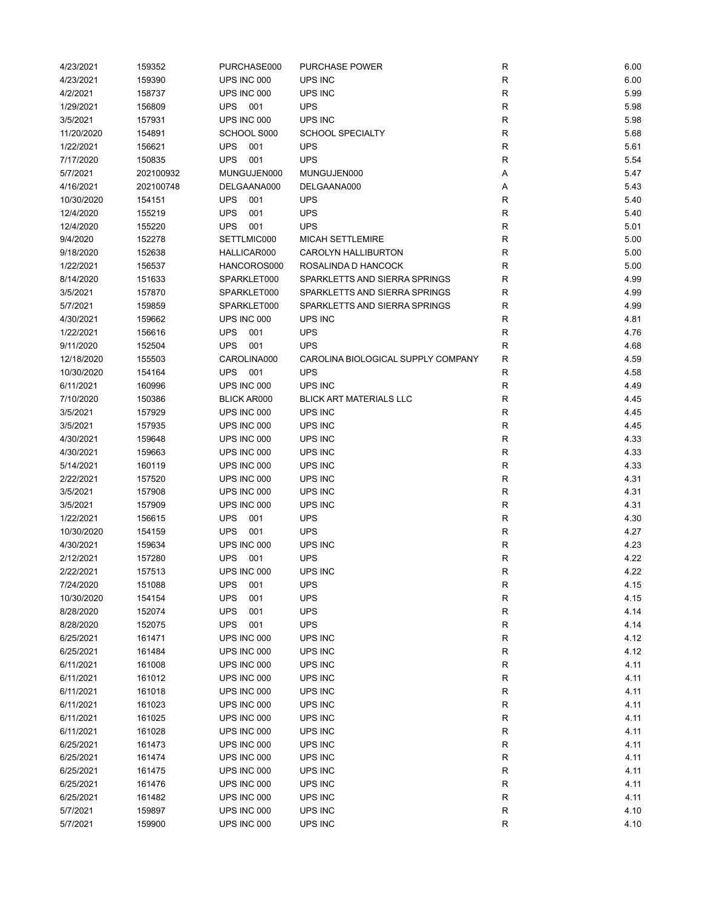| 4/23/2021  | 159352    | PURCHASE000        | <b>PURCHASE POWER</b>              | R           | 6.00 |
|------------|-----------|--------------------|------------------------------------|-------------|------|
| 4/23/2021  | 159390    | UPS INC 000        | UPS INC                            | R           | 6.00 |
| 4/2/2021   | 158737    | UPS INC 000        | UPS INC                            | $\mathsf R$ | 5.99 |
| 1/29/2021  | 156809    | UPS<br>001         | <b>UPS</b>                         | R           | 5.98 |
| 3/5/2021   | 157931    | UPS INC 000        | UPS INC                            | $\mathsf R$ | 5.98 |
| 11/20/2020 | 154891    | SCHOOL S000        | <b>SCHOOL SPECIALTY</b>            | R           | 5.68 |
| 1/22/2021  | 156621    | <b>UPS</b><br>001  | <b>UPS</b>                         | R           | 5.61 |
| 7/17/2020  | 150835    | <b>UPS</b><br>001  | <b>UPS</b>                         | R           | 5.54 |
| 5/7/2021   | 202100932 | MUNGUJEN000        | MUNGUJEN000                        | Α           | 5.47 |
| 4/16/2021  | 202100748 | DELGAANA000        | DELGAANA000                        | А           | 5.43 |
| 10/30/2020 | 154151    | <b>UPS</b><br>001  | <b>UPS</b>                         | R           | 5.40 |
| 12/4/2020  | 155219    | <b>UPS</b><br>001  | <b>UPS</b>                         | $\mathsf R$ | 5.40 |
| 12/4/2020  | 155220    | <b>UPS</b><br>001  | <b>UPS</b>                         | $\mathsf R$ | 5.01 |
| 9/4/2020   | 152278    | SETTLMIC000        | <b>MICAH SETTLEMIRE</b>            | $\mathsf R$ | 5.00 |
| 9/18/2020  | 152638    | HALLICAR000        | CAROLYN HALLIBURTON                | R           | 5.00 |
| 1/22/2021  | 156537    | HANCOROS000        | ROSALINDA D HANCOCK                | $\mathsf R$ | 5.00 |
| 8/14/2020  | 151633    | SPARKLET000        | SPARKLETTS AND SIERRA SPRINGS      | $\mathsf R$ | 4.99 |
| 3/5/2021   | 157870    | SPARKLET000        | SPARKLETTS AND SIERRA SPRINGS      | R           | 4.99 |
| 5/7/2021   | 159859    | SPARKLET000        | SPARKLETTS AND SIERRA SPRINGS      | R           | 4.99 |
|            |           | UPS INC 000        |                                    |             | 4.81 |
| 4/30/2021  | 159662    |                    | UPS INC                            | R           |      |
| 1/22/2021  | 156616    | <b>UPS</b><br>001  | <b>UPS</b>                         | R           | 4.76 |
| 9/11/2020  | 152504    | <b>UPS</b><br>001  | <b>UPS</b>                         | R           | 4.68 |
| 12/18/2020 | 155503    | CAROLINA000        | CAROLINA BIOLOGICAL SUPPLY COMPANY | R           | 4.59 |
| 10/30/2020 | 154164    | <b>UPS</b><br>001  | <b>UPS</b>                         | R           | 4.58 |
| 6/11/2021  | 160996    | UPS INC 000        | UPS INC                            | $\mathsf R$ | 4.49 |
| 7/10/2020  | 150386    | <b>BLICK AR000</b> | <b>BLICK ART MATERIALS LLC</b>     | $\mathsf R$ | 4.45 |
| 3/5/2021   | 157929    | UPS INC 000        | UPS INC                            | $\mathsf R$ | 4.45 |
| 3/5/2021   | 157935    | UPS INC 000        | UPS INC                            | $\mathsf R$ | 4.45 |
| 4/30/2021  | 159648    | UPS INC 000        | UPS INC                            | R           | 4.33 |
| 4/30/2021  | 159663    | UPS INC 000        | UPS INC                            | R           | 4.33 |
| 5/14/2021  | 160119    | UPS INC 000        | UPS INC                            | $\mathsf R$ | 4.33 |
| 2/22/2021  | 157520    | UPS INC 000        | UPS INC                            | R           | 4.31 |
| 3/5/2021   | 157908    | UPS INC 000        | UPS INC                            | R           | 4.31 |
| 3/5/2021   | 157909    | UPS INC 000        | UPS INC                            | R           | 4.31 |
| 1/22/2021  | 156615    | <b>UPS</b><br>001  | <b>UPS</b>                         | R           | 4.30 |
| 10/30/2020 | 154159    | <b>UPS</b><br>001  | <b>UPS</b>                         | R           | 4.27 |
| 4/30/2021  | 159634    | UPS INC 000        | UPS INC                            | R           | 4.23 |
| 2/12/2021  | 157280    | <b>UPS</b><br>001  | <b>UPS</b>                         | $\mathsf R$ | 4.22 |
| 2/22/2021  | 157513    | UPS INC 000        | UPS INC                            | R           | 4.22 |
| 7/24/2020  | 151088    | 001<br><b>UPS</b>  | <b>UPS</b>                         | R           | 4.15 |
| 10/30/2020 | 154154    | <b>UPS</b><br>001  | <b>UPS</b>                         | ${\sf R}$   | 4.15 |
| 8/28/2020  | 152074    | <b>UPS</b><br>001  | UPS                                | ${\sf R}$   | 4.14 |
| 8/28/2020  | 152075    | <b>UPS</b><br>001  | UPS                                | R           | 4.14 |
| 6/25/2021  | 161471    | UPS INC 000        | UPS INC                            | R           | 4.12 |
| 6/25/2021  | 161484    | UPS INC 000        | UPS INC                            | $\mathsf R$ | 4.12 |
| 6/11/2021  | 161008    | UPS INC 000        | UPS INC                            | R           | 4.11 |
| 6/11/2021  | 161012    | UPS INC 000        | UPS INC                            | R           | 4.11 |
| 6/11/2021  | 161018    | UPS INC 000        | UPS INC                            | R           | 4.11 |
| 6/11/2021  | 161023    | UPS INC 000        | UPS INC                            | R           | 4.11 |
| 6/11/2021  | 161025    | UPS INC 000        | UPS INC                            | R           | 4.11 |
| 6/11/2021  | 161028    | UPS INC 000        | UPS INC                            | R           | 4.11 |
| 6/25/2021  | 161473    | UPS INC 000        | UPS INC                            | R           | 4.11 |
|            |           |                    |                                    |             |      |
| 6/25/2021  | 161474    | UPS INC 000        | UPS INC                            | R           | 4.11 |
| 6/25/2021  | 161475    | UPS INC 000        | UPS INC                            | R           | 4.11 |
| 6/25/2021  | 161476    | UPS INC 000        | UPS INC                            | ${\sf R}$   | 4.11 |
| 6/25/2021  | 161482    | UPS INC 000        | UPS INC                            | R           | 4.11 |
| 5/7/2021   | 159897    | UPS INC 000        | UPS INC                            | R           | 4.10 |
| 5/7/2021   | 159900    | UPS INC 000        | UPS INC                            | $\mathsf R$ | 4.10 |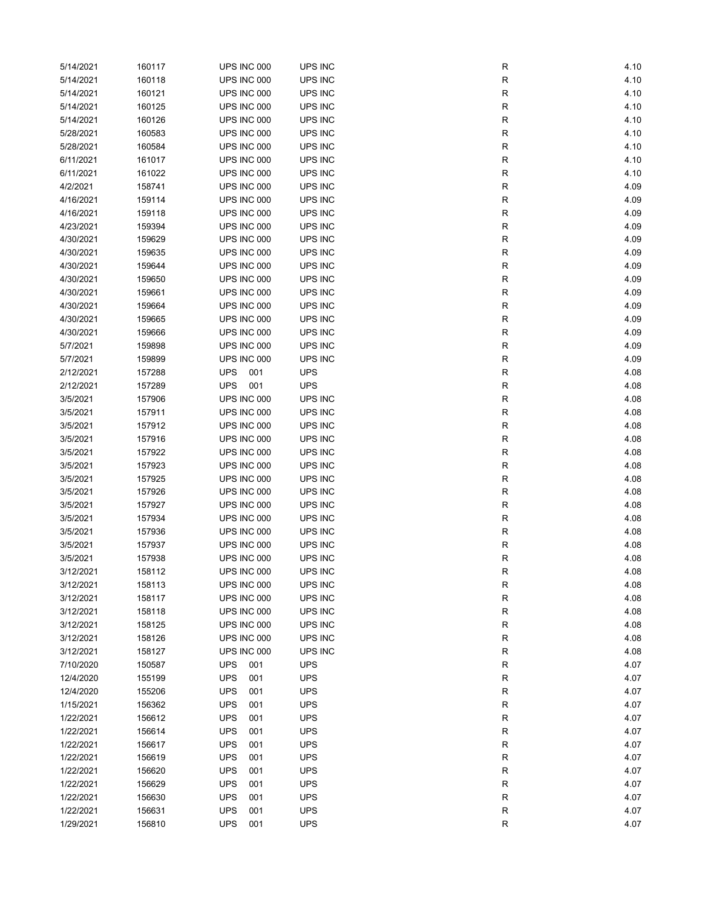| 5/14/2021 | 160117           | UPS INC 000       | UPS INC    | R           | 4.10 |
|-----------|------------------|-------------------|------------|-------------|------|
| 5/14/2021 | 160118           | UPS INC 000       | UPS INC    | R           | 4.10 |
| 5/14/2021 | 160121           | UPS INC 000       | UPS INC    | R           | 4.10 |
| 5/14/2021 | 160125           | UPS INC 000       | UPS INC    | R           | 4.10 |
| 5/14/2021 | 160126           | UPS INC 000       | UPS INC    | R           | 4.10 |
| 5/28/2021 | 160583           | UPS INC 000       | UPS INC    | R           | 4.10 |
| 5/28/2021 | 160584           | UPS INC 000       | UPS INC    | R           | 4.10 |
| 6/11/2021 | 161017           | UPS INC 000       | UPS INC    | R           | 4.10 |
| 6/11/2021 | 161022           | UPS INC 000       | UPS INC    | R           | 4.10 |
| 4/2/2021  | 158741           | UPS INC 000       | UPS INC    | R           | 4.09 |
| 4/16/2021 | 159114           | UPS INC 000       | UPS INC    | R           | 4.09 |
| 4/16/2021 | 159118           | UPS INC 000       | UPS INC    | R           | 4.09 |
| 4/23/2021 | 159394           | UPS INC 000       | UPS INC    | R           | 4.09 |
| 4/30/2021 | 159629           | UPS INC 000       | UPS INC    | R           | 4.09 |
| 4/30/2021 | 159635           | UPS INC 000       | UPS INC    | R           | 4.09 |
| 4/30/2021 | 159644           | UPS INC 000       | UPS INC    | R           | 4.09 |
| 4/30/2021 | 159650           | UPS INC 000       | UPS INC    | R           | 4.09 |
| 4/30/2021 | 159661           | UPS INC 000       | UPS INC    | R           | 4.09 |
| 4/30/2021 | 159664           | UPS INC 000       | UPS INC    | R           | 4.09 |
| 4/30/2021 | 159665           | UPS INC 000       | UPS INC    | R           | 4.09 |
| 4/30/2021 | 159666           | UPS INC 000       | UPS INC    | R           | 4.09 |
| 5/7/2021  | 159898           | UPS INC 000       | UPS INC    | R           | 4.09 |
| 5/7/2021  | 159899           | UPS INC 000       | UPS INC    | R           | 4.09 |
| 2/12/2021 | 157288           | <b>UPS</b><br>001 | <b>UPS</b> | R           | 4.08 |
| 2/12/2021 | 157289           | <b>UPS</b><br>001 | <b>UPS</b> | R           | 4.08 |
| 3/5/2021  | 157906           | UPS INC 000       | UPS INC    | R           | 4.08 |
| 3/5/2021  | 157911           | UPS INC 000       | UPS INC    | R           | 4.08 |
| 3/5/2021  |                  | UPS INC 000       | UPS INC    | R           | 4.08 |
| 3/5/2021  | 157912<br>157916 | UPS INC 000       | UPS INC    | R           | 4.08 |
|           |                  |                   |            |             |      |
| 3/5/2021  | 157922           | UPS INC 000       | UPS INC    | R           | 4.08 |
| 3/5/2021  | 157923           | UPS INC 000       | UPS INC    | R           | 4.08 |
| 3/5/2021  | 157925           | UPS INC 000       | UPS INC    | R           | 4.08 |
| 3/5/2021  | 157926           | UPS INC 000       | UPS INC    | R           | 4.08 |
| 3/5/2021  | 157927           | UPS INC 000       | UPS INC    | R           | 4.08 |
| 3/5/2021  | 157934           | UPS INC 000       | UPS INC    | R           | 4.08 |
| 3/5/2021  | 157936           | UPS INC 000       | UPS INC    | R           | 4.08 |
| 3/5/2021  | 157937           | UPS INC 000       | UPS INC    | R           | 4.08 |
| 3/5/2021  | 157938           | UPS INC 000       | UPS INC    | $\mathsf R$ | 4.08 |
| 3/12/2021 | 158112           | UPS INC 000       | UPS INC    | R           | 4.08 |
| 3/12/2021 | 158113           | UPS INC 000       | UPS INC    | R           | 4.08 |
| 3/12/2021 | 158117           | UPS INC 000       | UPS INC    | ${\sf R}$   | 4.08 |
| 3/12/2021 | 158118           | UPS INC 000       | UPS INC    | R           | 4.08 |
| 3/12/2021 | 158125           | UPS INC 000       | UPS INC    | R           | 4.08 |
| 3/12/2021 | 158126           | UPS INC 000       | UPS INC    | R           | 4.08 |
| 3/12/2021 | 158127           | UPS INC 000       | UPS INC    | R           | 4.08 |
| 7/10/2020 | 150587           | <b>UPS</b><br>001 | <b>UPS</b> | R           | 4.07 |
| 12/4/2020 | 155199           | <b>UPS</b><br>001 | <b>UPS</b> | R           | 4.07 |
| 12/4/2020 | 155206           | <b>UPS</b><br>001 | <b>UPS</b> | R           | 4.07 |
| 1/15/2021 | 156362           | <b>UPS</b><br>001 | <b>UPS</b> | R           | 4.07 |
| 1/22/2021 | 156612           | <b>UPS</b><br>001 | <b>UPS</b> | R           | 4.07 |
| 1/22/2021 | 156614           | <b>UPS</b><br>001 | <b>UPS</b> | R           | 4.07 |
| 1/22/2021 | 156617           | <b>UPS</b><br>001 | <b>UPS</b> | R           | 4.07 |
| 1/22/2021 | 156619           | <b>UPS</b><br>001 | <b>UPS</b> | R           | 4.07 |
| 1/22/2021 | 156620           | <b>UPS</b><br>001 | <b>UPS</b> | R           | 4.07 |
| 1/22/2021 | 156629           | <b>UPS</b><br>001 | <b>UPS</b> | ${\sf R}$   | 4.07 |
| 1/22/2021 | 156630           | <b>UPS</b><br>001 | <b>UPS</b> | R           | 4.07 |
| 1/22/2021 | 156631           | <b>UPS</b><br>001 | <b>UPS</b> | R           | 4.07 |
| 1/29/2021 | 156810           | <b>UPS</b><br>001 | <b>UPS</b> | $\mathsf R$ | 4.07 |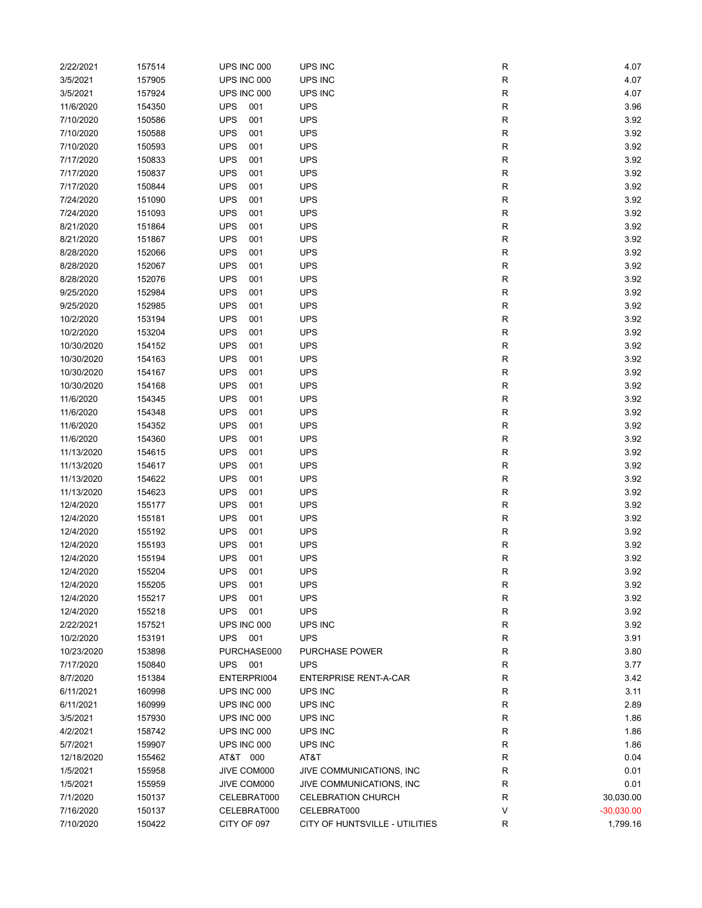| 2/22/2021  | 157514 | UPS INC 000       | UPS INC                        | R            | 4.07         |
|------------|--------|-------------------|--------------------------------|--------------|--------------|
| 3/5/2021   | 157905 | UPS INC 000       | UPS INC                        | ${\sf R}$    | 4.07         |
| 3/5/2021   | 157924 | UPS INC 000       | UPS INC                        | $\mathsf{R}$ | 4.07         |
| 11/6/2020  | 154350 | <b>UPS</b><br>001 | <b>UPS</b>                     | R            | 3.96         |
| 7/10/2020  | 150586 | <b>UPS</b><br>001 | <b>UPS</b>                     | $\mathsf{R}$ | 3.92         |
| 7/10/2020  | 150588 | <b>UPS</b><br>001 | <b>UPS</b>                     | $\mathsf{R}$ | 3.92         |
| 7/10/2020  | 150593 | <b>UPS</b><br>001 | <b>UPS</b>                     | $\mathsf{R}$ | 3.92         |
| 7/17/2020  | 150833 | <b>UPS</b><br>001 | <b>UPS</b>                     | $\mathsf{R}$ | 3.92         |
| 7/17/2020  | 150837 | <b>UPS</b><br>001 | <b>UPS</b>                     | $\mathsf{R}$ | 3.92         |
|            |        |                   |                                |              |              |
| 7/17/2020  | 150844 | <b>UPS</b><br>001 | <b>UPS</b>                     | $\mathsf{R}$ | 3.92         |
| 7/24/2020  | 151090 | <b>UPS</b><br>001 | <b>UPS</b>                     | $\mathsf{R}$ | 3.92         |
| 7/24/2020  | 151093 | <b>UPS</b><br>001 | <b>UPS</b>                     | $\mathsf{R}$ | 3.92         |
| 8/21/2020  | 151864 | <b>UPS</b><br>001 | <b>UPS</b>                     | ${\sf R}$    | 3.92         |
| 8/21/2020  | 151867 | <b>UPS</b><br>001 | <b>UPS</b>                     | $\mathsf{R}$ | 3.92         |
| 8/28/2020  | 152066 | <b>UPS</b><br>001 | <b>UPS</b>                     | $\mathsf{R}$ | 3.92         |
| 8/28/2020  | 152067 | <b>UPS</b><br>001 | <b>UPS</b>                     | $\mathsf{R}$ | 3.92         |
| 8/28/2020  | 152076 | <b>UPS</b><br>001 | <b>UPS</b>                     | $\mathsf{R}$ | 3.92         |
| 9/25/2020  | 152984 | <b>UPS</b><br>001 | <b>UPS</b>                     | R            | 3.92         |
| 9/25/2020  | 152985 | <b>UPS</b><br>001 | <b>UPS</b>                     | R            | 3.92         |
| 10/2/2020  | 153194 | <b>UPS</b><br>001 | <b>UPS</b>                     | ${\sf R}$    | 3.92         |
| 10/2/2020  | 153204 | <b>UPS</b><br>001 | <b>UPS</b>                     | $\mathsf{R}$ | 3.92         |
| 10/30/2020 | 154152 | <b>UPS</b><br>001 | <b>UPS</b>                     | $\mathsf{R}$ | 3.92         |
| 10/30/2020 | 154163 | <b>UPS</b><br>001 | <b>UPS</b>                     | $\mathsf{R}$ | 3.92         |
| 10/30/2020 | 154167 | <b>UPS</b><br>001 | <b>UPS</b>                     | ${\sf R}$    | 3.92         |
| 10/30/2020 | 154168 | <b>UPS</b><br>001 | <b>UPS</b>                     | $\mathsf{R}$ | 3.92         |
| 11/6/2020  | 154345 | <b>UPS</b><br>001 | <b>UPS</b>                     | ${\sf R}$    | 3.92         |
| 11/6/2020  | 154348 | <b>UPS</b><br>001 | <b>UPS</b>                     | ${\sf R}$    | 3.92         |
| 11/6/2020  | 154352 | <b>UPS</b><br>001 | <b>UPS</b>                     | ${\sf R}$    | 3.92         |
| 11/6/2020  | 154360 | <b>UPS</b><br>001 | <b>UPS</b>                     | $\mathsf{R}$ | 3.92         |
|            |        |                   |                                |              |              |
| 11/13/2020 | 154615 | <b>UPS</b><br>001 | <b>UPS</b>                     | $\mathsf{R}$ | 3.92         |
| 11/13/2020 | 154617 | <b>UPS</b><br>001 | <b>UPS</b>                     | $\mathsf{R}$ | 3.92         |
| 11/13/2020 | 154622 | <b>UPS</b><br>001 | <b>UPS</b>                     | $\mathsf{R}$ | 3.92         |
| 11/13/2020 | 154623 | <b>UPS</b><br>001 | <b>UPS</b>                     | R            | 3.92         |
| 12/4/2020  | 155177 | <b>UPS</b><br>001 | <b>UPS</b>                     | R            | 3.92         |
| 12/4/2020  | 155181 | <b>UPS</b><br>001 | <b>UPS</b>                     | ${\sf R}$    | 3.92         |
| 12/4/2020  | 155192 | <b>UPS</b><br>001 | <b>UPS</b>                     | $\mathsf{R}$ | 3.92         |
| 12/4/2020  | 155193 | <b>UPS</b><br>001 | <b>UPS</b>                     | $\mathsf{R}$ | 3.92         |
| 12/4/2020  | 155194 | <b>UPS</b><br>001 | <b>UPS</b>                     | ${\sf R}$    | 3.92         |
| 12/4/2020  | 155204 | <b>UPS</b><br>001 | <b>UPS</b>                     | R            | 3.92         |
| 12/4/2020  | 155205 | <b>UPS</b><br>001 | <b>UPS</b>                     | ${\sf R}$    | 3.92         |
| 12/4/2020  | 155217 | <b>UPS</b><br>001 | <b>UPS</b>                     | ${\sf R}$    | 3.92         |
| 12/4/2020  | 155218 | <b>UPS</b><br>001 | <b>UPS</b>                     | $\mathsf{R}$ | 3.92         |
| 2/22/2021  | 157521 | UPS INC 000       | UPS INC                        | $\mathsf{R}$ | 3.92         |
| 10/2/2020  | 153191 | <b>UPS</b><br>001 | <b>UPS</b>                     | R            | 3.91         |
| 10/23/2020 | 153898 | PURCHASE000       | PURCHASE POWER                 | R            | 3.80         |
| 7/17/2020  | 150840 | <b>UPS</b><br>001 | <b>UPS</b>                     | ${\sf R}$    | 3.77         |
| 8/7/2020   | 151384 | ENTERPRI004       | <b>ENTERPRISE RENT-A-CAR</b>   | R            | 3.42         |
| 6/11/2021  | 160998 | UPS INC 000       | UPS INC                        | R            | 3.11         |
| 6/11/2021  | 160999 | UPS INC 000       | UPS INC                        | $\mathsf{R}$ | 2.89         |
| 3/5/2021   | 157930 | UPS INC 000       | UPS INC                        | R            | 1.86         |
| 4/2/2021   | 158742 | UPS INC 000       | UPS INC                        | $\mathsf{R}$ | 1.86         |
| 5/7/2021   | 159907 | UPS INC 000       | UPS INC                        | ${\sf R}$    | 1.86         |
|            |        |                   |                                | $\mathsf{R}$ | 0.04         |
| 12/18/2020 | 155462 | AT&T 000          | AT&T                           |              |              |
| 1/5/2021   | 155958 | JIVE COM000       | JIVE COMMUNICATIONS, INC       | ${\sf R}$    | 0.01         |
| 1/5/2021   | 155959 | JIVE COM000       | JIVE COMMUNICATIONS, INC       | R            | 0.01         |
| 7/1/2020   | 150137 | CELEBRAT000       | <b>CELEBRATION CHURCH</b>      | R            | 30,030.00    |
| 7/16/2020  | 150137 | CELEBRAT000       | CELEBRAT000                    | V            | $-30,030.00$ |
| 7/10/2020  | 150422 | CITY OF 097       | CITY OF HUNTSVILLE - UTILITIES | $\mathsf{R}$ | 1,799.16     |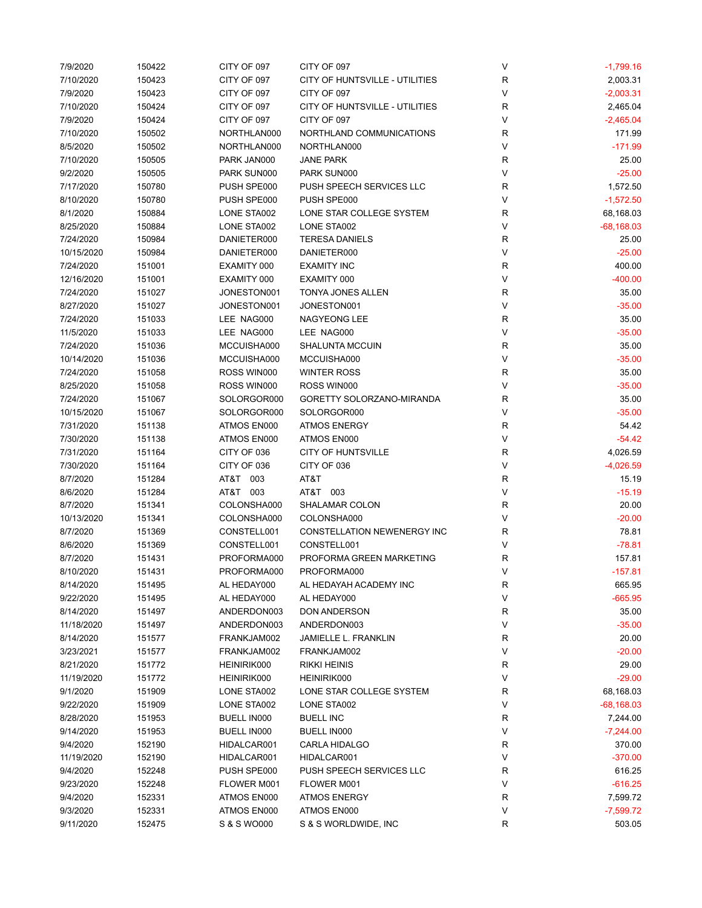| 7/9/2020   | 150422 | CITY OF 097 | CITY OF 097                    | V           | $-1,799.16$  |
|------------|--------|-------------|--------------------------------|-------------|--------------|
| 7/10/2020  | 150423 | CITY OF 097 | CITY OF HUNTSVILLE - UTILITIES | $\mathsf R$ | 2,003.31     |
| 7/9/2020   | 150423 | CITY OF 097 | CITY OF 097                    | V           | $-2,003.31$  |
| 7/10/2020  | 150424 | CITY OF 097 | CITY OF HUNTSVILLE - UTILITIES | $\mathsf R$ | 2,465.04     |
| 7/9/2020   | 150424 | CITY OF 097 | CITY OF 097                    | V           | $-2,465.04$  |
| 7/10/2020  | 150502 | NORTHLAN000 | NORTHLAND COMMUNICATIONS       | R           | 171.99       |
| 8/5/2020   | 150502 | NORTHLAN000 | NORTHLAN000                    | V           | $-171.99$    |
| 7/10/2020  | 150505 | PARK JAN000 | <b>JANE PARK</b>               | R           | 25.00        |
| 9/2/2020   | 150505 | PARK SUN000 | PARK SUN000                    | V           | $-25.00$     |
| 7/17/2020  | 150780 | PUSH SPE000 | PUSH SPEECH SERVICES LLC       | R           | 1,572.50     |
| 8/10/2020  | 150780 | PUSH SPE000 | PUSH SPE000                    | V           | $-1,572.50$  |
| 8/1/2020   | 150884 | LONE STA002 | LONE STAR COLLEGE SYSTEM       | $\mathsf R$ | 68,168.03    |
| 8/25/2020  | 150884 | LONE STA002 | LONE STA002                    | V           | $-68,168.03$ |
| 7/24/2020  | 150984 | DANIETER000 | <b>TERESA DANIELS</b>          | $\mathsf R$ | 25.00        |
| 10/15/2020 | 150984 | DANIETER000 | DANIETER000                    | V           | $-25.00$     |
| 7/24/2020  | 151001 | EXAMITY 000 | <b>EXAMITY INC</b>             | $\mathsf R$ | 400.00       |
| 12/16/2020 | 151001 | EXAMITY 000 | EXAMITY 000                    | V           | $-400.00$    |
| 7/24/2020  | 151027 | JONESTON001 | TONYA JONES ALLEN              | R           | 35.00        |
|            |        | JONESTON001 |                                | V           | $-35.00$     |
| 8/27/2020  | 151027 |             | JONESTON001                    |             |              |
| 7/24/2020  | 151033 | LEE NAG000  | <b>NAGYEONG LEE</b>            | R           | 35.00        |
| 11/5/2020  | 151033 | LEE NAG000  | LEE NAG000                     | V           | $-35.00$     |
| 7/24/2020  | 151036 | MCCUISHA000 | <b>SHALUNTA MCCUIN</b>         | R           | 35.00        |
| 10/14/2020 | 151036 | MCCUISHA000 | MCCUISHA000                    | V           | $-35.00$     |
| 7/24/2020  | 151058 | ROSS WIN000 | <b>WINTER ROSS</b>             | R           | 35.00        |
| 8/25/2020  | 151058 | ROSS WIN000 | ROSS WIN000                    | V           | $-35.00$     |
| 7/24/2020  | 151067 | SOLORGOR000 | GORETTY SOLORZANO-MIRANDA      | $\mathsf R$ | 35.00        |
| 10/15/2020 | 151067 | SOLORGOR000 | SOLORGOR000                    | V           | $-35.00$     |
| 7/31/2020  | 151138 | ATMOS EN000 | <b>ATMOS ENERGY</b>            | $\mathsf R$ | 54.42        |
| 7/30/2020  | 151138 | ATMOS EN000 | ATMOS EN000                    | V           | $-54.42$     |
| 7/31/2020  | 151164 | CITY OF 036 | <b>CITY OF HUNTSVILLE</b>      | $\mathsf R$ | 4,026.59     |
| 7/30/2020  | 151164 | CITY OF 036 | CITY OF 036                    | V           | $-4,026.59$  |
| 8/7/2020   | 151284 | AT&T 003    | AT&T                           | $\mathsf R$ | 15.19        |
| 8/6/2020   | 151284 | AT&T 003    | AT&T 003                       | V           | $-15.19$     |
| 8/7/2020   | 151341 | COLONSHA000 | SHALAMAR COLON                 | $\mathsf R$ | 20.00        |
| 10/13/2020 | 151341 | COLONSHA000 | COLONSHA000                    | V           | $-20.00$     |
| 8/7/2020   | 151369 | CONSTELL001 | CONSTELLATION NEWENERGY INC    | R           | 78.81        |
| 8/6/2020   | 151369 | CONSTELL001 | CONSTELL001                    | V           | $-78.81$     |
| 8/7/2020   | 151431 | PROFORMA000 | PROFORMA GREEN MARKETING       | R           | 157.81       |
| 8/10/2020  | 151431 | PROFORMA000 | PROFORMA000                    | V           | $-157.81$    |
| 8/14/2020  | 151495 | AL HEDAY000 | AL HEDAYAH ACADEMY INC         | R           | 665.95       |
| 9/22/2020  | 151495 | AL HEDAY000 | AL HEDAY000                    | V           | $-665.95$    |
| 8/14/2020  | 151497 | ANDERDON003 | DON ANDERSON                   | R           | 35.00        |
| 11/18/2020 | 151497 | ANDERDON003 | ANDERDON003                    | V           | $-35.00$     |
| 8/14/2020  | 151577 | FRANKJAM002 | <b>JAMIELLE L. FRANKLIN</b>    | R           | 20.00        |
| 3/23/2021  | 151577 | FRANKJAM002 | FRANKJAM002                    | V           | $-20.00$     |
| 8/21/2020  | 151772 | HEINIRIK000 | <b>RIKKI HEINIS</b>            | R           | 29.00        |
| 11/19/2020 | 151772 | HEINIRIK000 | HEINIRIK000                    | V           | $-29.00$     |
| 9/1/2020   | 151909 | LONE STA002 | LONE STAR COLLEGE SYSTEM       | R           | 68,168.03    |
| 9/22/2020  | 151909 | LONE STA002 | LONE STA002                    | V           | $-68,168.03$ |
| 8/28/2020  | 151953 | BUELL IN000 | <b>BUELL INC</b>               | R           | 7,244.00     |
| 9/14/2020  | 151953 | BUELL IN000 | <b>BUELL IN000</b>             | V           | $-7,244.00$  |
|            |        |             |                                |             |              |
| 9/4/2020   | 152190 | HIDALCAR001 | CARLA HIDALGO                  | R           | 370.00       |
| 11/19/2020 | 152190 | HIDALCAR001 | HIDALCAR001                    | V           | $-370.00$    |
| 9/4/2020   | 152248 | PUSH SPE000 | PUSH SPEECH SERVICES LLC       | R           | 616.25       |
| 9/23/2020  | 152248 | FLOWER M001 | FLOWER M001                    | V           | $-616.25$    |
| 9/4/2020   | 152331 | ATMOS EN000 | <b>ATMOS ENERGY</b>            | $\mathsf R$ | 7,599.72     |
| 9/3/2020   | 152331 | ATMOS EN000 | ATMOS EN000                    | V           | $-7,599.72$  |
| 9/11/2020  | 152475 | S & S WO000 | S & S WORLDWIDE, INC           | R           | 503.05       |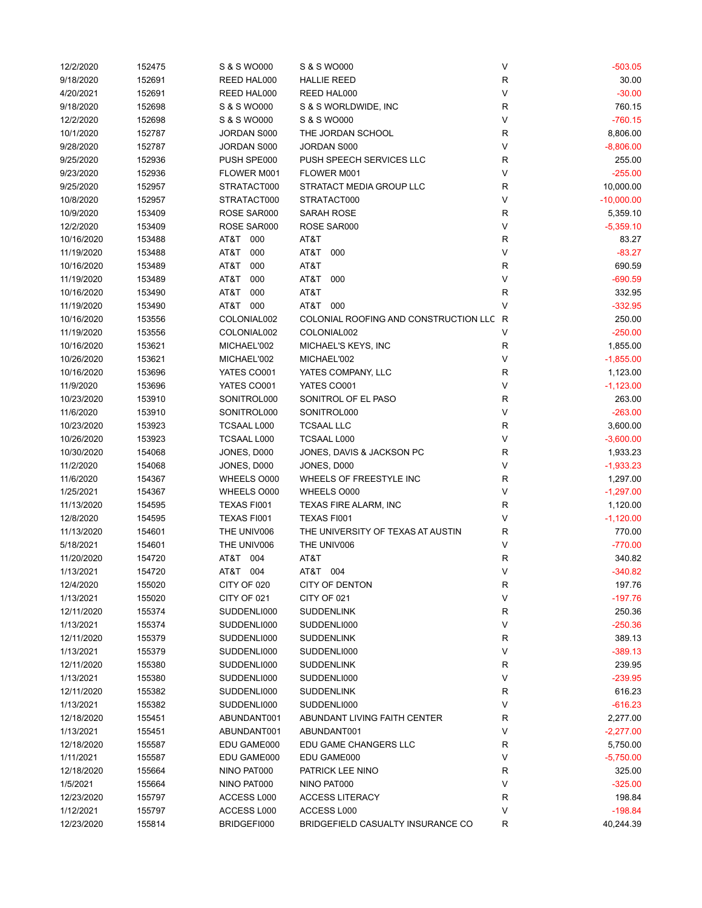| 12/2/2020  | 152475           | S & S WO000        | S & S WO000                             | ٧           | $-503.05$    |
|------------|------------------|--------------------|-----------------------------------------|-------------|--------------|
| 9/18/2020  | 152691           | REED HAL000        | <b>HALLIE REED</b>                      | R           | 30.00        |
| 4/20/2021  | 152691           | REED HAL000        | REED HAL000                             | V           | $-30.00$     |
| 9/18/2020  | 152698           | S & S WO000        | S & S WORLDWIDE, INC                    | R           | 760.15       |
| 12/2/2020  | 152698           | S & S WO000        | S & S WO000                             | V           | $-760.15$    |
| 10/1/2020  | 152787           | JORDAN S000        | THE JORDAN SCHOOL                       | R           | 8,806.00     |
| 9/28/2020  | 152787           | JORDAN S000        | JORDAN S000                             | V           | $-8,806.00$  |
| 9/25/2020  | 152936           | PUSH SPE000        | PUSH SPEECH SERVICES LLC                | R           | 255.00       |
| 9/23/2020  | 152936           | FLOWER M001        | FLOWER M001                             | V           | $-255.00$    |
| 9/25/2020  | 152957           | STRATACT000        | STRATACT MEDIA GROUP LLC                | $\mathsf R$ | 10,000.00    |
| 10/8/2020  | 152957           | STRATACT000        | STRATACT000                             | V           | $-10,000.00$ |
| 10/9/2020  | 153409           | ROSE SAR000        | SARAH ROSE                              | $\mathsf R$ | 5,359.10     |
| 12/2/2020  | 153409           | ROSE SAR000        | ROSE SAR000                             | V           | $-5,359.10$  |
| 10/16/2020 | 153488           | AT&T 000           | AT&T                                    | $\mathsf R$ | 83.27        |
| 11/19/2020 | 153488           | 000<br>AT&T        | AT&T<br>000                             | V           | $-83.27$     |
| 10/16/2020 | 153489           | AT&T<br>000        | AT&T                                    | $\mathsf R$ | 690.59       |
| 11/19/2020 | 153489           | AT&T<br>000        | AT&T<br>000                             | V           | $-690.59$    |
| 10/16/2020 | 153490           | AT&T<br>000        | AT&T                                    | R           | 332.95       |
| 11/19/2020 | 153490           | AT&T 000           | AT&T 000                                | V           | $-332.95$    |
|            |                  |                    | COLONIAL ROOFING AND CONSTRUCTION LLC R |             | 250.00       |
| 10/16/2020 | 153556           | COLONIAL002        |                                         |             |              |
| 11/19/2020 | 153556           | COLONIAL002        | COLONIAL002                             | V           | $-250.00$    |
| 10/16/2020 | 153621           | MICHAEL'002        | MICHAEL'S KEYS, INC                     | R           | 1,855.00     |
| 10/26/2020 | 153621           | MICHAEL'002        | MICHAEL'002                             | V           | $-1,855.00$  |
| 10/16/2020 | 153696           | YATES CO001        | YATES COMPANY, LLC                      | $\mathsf R$ | 1,123.00     |
| 11/9/2020  | 153696           | YATES CO001        | YATES CO001                             | V           | $-1,123.00$  |
| 10/23/2020 | 153910           | SONITROL000        | SONITROL OF EL PASO                     | $\mathsf R$ | 263.00       |
| 11/6/2020  | 153910           | SONITROL000        | SONITROL000                             | V           | $-263.00$    |
| 10/23/2020 | 153923           | TCSAAL L000        | <b>TCSAAL LLC</b>                       | $\mathsf R$ | 3,600.00     |
| 10/26/2020 | 153923           | TCSAAL L000        | <b>TCSAAL L000</b>                      | V           | $-3,600.00$  |
| 10/30/2020 | 154068           | JONES, D000        | JONES, DAVIS & JACKSON PC               | R           | 1,933.23     |
| 11/2/2020  | 154068           | JONES, D000        | JONES, D000                             | V           | $-1,933.23$  |
| 11/6/2020  | 154367           | WHEELS 0000        | WHEELS OF FREESTYLE INC                 | R           | 1,297.00     |
| 1/25/2021  | 154367           | WHEELS 0000        | WHEELS 0000                             | V           | $-1,297.00$  |
| 11/13/2020 | 154595           | <b>TEXAS FI001</b> | TEXAS FIRE ALARM, INC                   | R           | 1,120.00     |
| 12/8/2020  | 154595           | TEXAS FI001        | TEXAS FI001                             | V           | $-1,120.00$  |
| 11/13/2020 | 154601           | THE UNIV006        | THE UNIVERSITY OF TEXAS AT AUSTIN       | R           | 770.00       |
| 5/18/2021  | 154601           | THE UNIV006        | THE UNIV006                             | V           | $-770.00$    |
| 11/20/2020 | 154720           | AT&T<br>004        | AT&T                                    | $\mathsf R$ | 340.82       |
| 1/13/2021  | 154720           | AT&T<br>004        | AT&T<br>004                             | V           | $-340.82$    |
| 12/4/2020  | 155020           | CITY OF 020        | <b>CITY OF DENTON</b>                   | R           | 197.76       |
| 1/13/2021  | 155020           | CITY OF 021        | CITY OF 021                             | V           | $-197.76$    |
| 12/11/2020 | 155374           | SUDDENLI000        | <b>SUDDENLINK</b>                       | $\mathsf R$ | 250.36       |
| 1/13/2021  | 155374           | SUDDENLI000        | SUDDENLI000                             | V           | $-250.36$    |
| 12/11/2020 | 155379           | SUDDENLI000        | <b>SUDDENLINK</b>                       | R           | 389.13       |
| 1/13/2021  | 155379           | SUDDENLI000        | SUDDENLI000                             | V           | $-389.13$    |
| 12/11/2020 | 155380           | SUDDENLI000        | <b>SUDDENLINK</b>                       | R           | 239.95       |
| 1/13/2021  | 155380           | SUDDENLI000        | SUDDENLI000                             | V           | $-239.95$    |
| 12/11/2020 | 155382           | SUDDENLI000        | <b>SUDDENLINK</b>                       | R           | 616.23       |
| 1/13/2021  | 155382           | SUDDENLI000        | SUDDENLI000                             | V           | $-616.23$    |
| 12/18/2020 | 155451           | ABUNDANT001        | ABUNDANT LIVING FAITH CENTER            | R           | 2,277.00     |
| 1/13/2021  | 155451           | ABUNDANT001        | ABUNDANT001                             | V           | $-2,277.00$  |
| 12/18/2020 |                  | EDU GAME000        | EDU GAME CHANGERS LLC                   | R           | 5,750.00     |
| 1/11/2021  | 155587<br>155587 | EDU GAME000        | EDU GAME000                             | V           | $-5,750.00$  |
|            |                  |                    |                                         |             |              |
| 12/18/2020 | 155664           | NINO PAT000        | PATRICK LEE NINO                        | R           | 325.00       |
| 1/5/2021   | 155664           | NINO PAT000        | NINO PAT000                             | V           | $-325.00$    |
| 12/23/2020 | 155797           | ACCESS L000        | <b>ACCESS LITERACY</b>                  | R           | 198.84       |
| 1/12/2021  | 155797           | ACCESS L000        | ACCESS L000                             | V           | $-198.84$    |
| 12/23/2020 | 155814           | BRIDGEFI000        | BRIDGEFIELD CASUALTY INSURANCE CO       | $\mathsf R$ | 40,244.39    |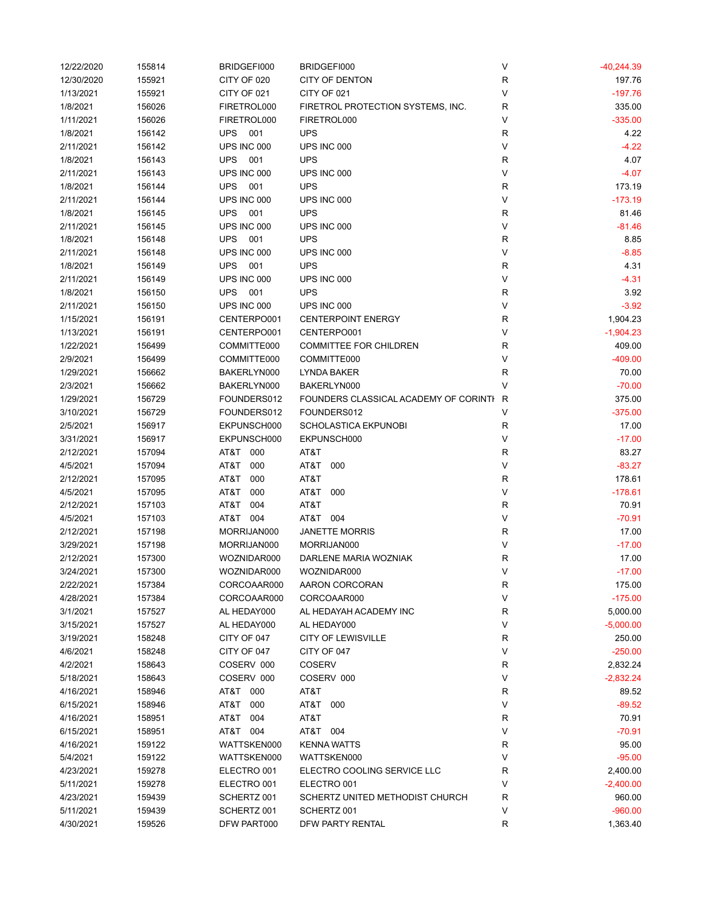| 12/22/2020 | 155814 | BRIDGEFI000       | BRIDGEFI000                           | V            | $-40,244.39$ |
|------------|--------|-------------------|---------------------------------------|--------------|--------------|
| 12/30/2020 | 155921 | CITY OF 020       | <b>CITY OF DENTON</b>                 | $\mathsf{R}$ | 197.76       |
| 1/13/2021  | 155921 | CITY OF 021       | CITY OF 021                           | V            | $-197.76$    |
| 1/8/2021   | 156026 | FIRETROL000       | FIRETROL PROTECTION SYSTEMS, INC.     | $\mathsf{R}$ | 335.00       |
| 1/11/2021  | 156026 | FIRETROL000       | FIRETROL000                           | V            | $-335.00$    |
| 1/8/2021   | 156142 | <b>UPS</b><br>001 | <b>UPS</b>                            | R            | 4.22         |
| 2/11/2021  | 156142 | UPS INC 000       | UPS INC 000                           | V            | $-4.22$      |
| 1/8/2021   | 156143 | <b>UPS</b><br>001 | <b>UPS</b>                            | R            | 4.07         |
| 2/11/2021  | 156143 | UPS INC 000       | UPS INC 000                           | $\vee$       | $-4.07$      |
| 1/8/2021   | 156144 | <b>UPS</b><br>001 | <b>UPS</b>                            | $\mathsf{R}$ | 173.19       |
| 2/11/2021  | 156144 | UPS INC 000       | UPS INC 000                           | V            | $-173.19$    |
| 1/8/2021   | 156145 | <b>UPS</b><br>001 | <b>UPS</b>                            | $\mathsf{R}$ | 81.46        |
| 2/11/2021  | 156145 | UPS INC 000       | UPS INC 000                           | $\vee$       | $-81.46$     |
| 1/8/2021   | 156148 | <b>UPS</b><br>001 | <b>UPS</b>                            | R            | 8.85         |
| 2/11/2021  | 156148 | UPS INC 000       | UPS INC 000                           | $\vee$       | $-8.85$      |
| 1/8/2021   | 156149 | <b>UPS</b><br>001 | <b>UPS</b>                            | $\mathsf{R}$ | 4.31         |
| 2/11/2021  | 156149 | UPS INC 000       | UPS INC 000                           | $\vee$       | $-4.31$      |
| 1/8/2021   | 156150 | <b>UPS</b><br>001 | <b>UPS</b>                            | $\mathsf{R}$ | 3.92         |
| 2/11/2021  | 156150 | UPS INC 000       | UPS INC 000                           | $\vee$       | $-3.92$      |
| 1/15/2021  | 156191 | CENTERPO001       | <b>CENTERPOINT ENERGY</b>             | R            | 1,904.23     |
| 1/13/2021  | 156191 | CENTERPO001       | CENTERPO001                           | $\vee$       | $-1,904.23$  |
| 1/22/2021  | 156499 | COMMITTE000       | <b>COMMITTEE FOR CHILDREN</b>         | $\mathsf{R}$ | 409.00       |
| 2/9/2021   | 156499 | COMMITTE000       | COMMITTE000                           | $\vee$       | $-409.00$    |
| 1/29/2021  | 156662 | BAKERLYN000       | LYNDA BAKER                           | $\mathsf{R}$ | 70.00        |
| 2/3/2021   | 156662 | BAKERLYN000       | BAKERLYN000                           | V            | $-70.00$     |
| 1/29/2021  | 156729 | FOUNDERS012       | FOUNDERS CLASSICAL ACADEMY OF CORINTI | R            | 375.00       |
| 3/10/2021  | 156729 | FOUNDERS012       | FOUNDERS012                           | V            | $-375.00$    |
| 2/5/2021   | 156917 | EKPUNSCH000       | SCHOLASTICA EKPUNOBI                  | R            | 17.00        |
| 3/31/2021  | 156917 | EKPUNSCH000       | EKPUNSCH000                           | V            | $-17.00$     |
| 2/12/2021  | 157094 | AT&T 000          | AT&T                                  | R            | 83.27        |
| 4/5/2021   | 157094 | AT&T<br>000       | AT&T<br>000                           | $\vee$       | $-83.27$     |
| 2/12/2021  | 157095 | AT&T<br>000       | AT&T                                  | R            | 178.61       |
| 4/5/2021   | 157095 | AT&T<br>000       | AT&T<br>000                           | $\vee$       | $-178.61$    |
| 2/12/2021  | 157103 | AT&T<br>004       | AT&T                                  | R            | 70.91        |
| 4/5/2021   | 157103 | AT&T 004          | AT&T 004                              | V            | $-70.91$     |
| 2/12/2021  | 157198 | MORRIJAN000       | <b>JANETTE MORRIS</b>                 | R            | 17.00        |
| 3/29/2021  | 157198 | MORRIJAN000       | MORRIJAN000                           | $\vee$       | $-17.00$     |
| 2/12/2021  | 157300 | WOZNIDAR000       | DARLENE MARIA WOZNIAK                 | $\mathsf{R}$ | 17.00        |
| 3/24/2021  | 157300 | WOZNIDAR000       | WOZNIDAR000                           | $\vee$       | $-17.00$     |
| 2/22/2021  | 157384 | CORCOAAR000       | AARON CORCORAN                        | ${\sf R}$    | 175.00       |
| 4/28/2021  | 157384 | CORCOAAR000       | CORCOAAR000                           | $\vee$       | $-175.00$    |
| 3/1/2021   | 157527 | AL HEDAY000       | AL HEDAYAH ACADEMY INC                | R            | 5,000.00     |
| 3/15/2021  | 157527 | AL HEDAY000       | AL HEDAY000                           | V            | $-5,000.00$  |
| 3/19/2021  | 158248 | CITY OF 047       | <b>CITY OF LEWISVILLE</b>             | R            | 250.00       |
| 4/6/2021   | 158248 | CITY OF 047       | CITY OF 047                           | V            | $-250.00$    |
| 4/2/2021   | 158643 | COSERV 000        | <b>COSERV</b>                         | R            | 2,832.24     |
| 5/18/2021  | 158643 | COSERV 000        | COSERV 000                            | V            | $-2,832.24$  |
| 4/16/2021  | 158946 | AT&T 000          | AT&T                                  | R            | 89.52        |
| 6/15/2021  | 158946 | AT&T<br>000       | AT&T<br>000                           | V            | $-89.52$     |
| 4/16/2021  | 158951 | AT&T 004          | AT&T                                  | R            | 70.91        |
| 6/15/2021  | 158951 | AT&T 004          | AT&T 004                              | V            | $-70.91$     |
| 4/16/2021  | 159122 | WATTSKEN000       | <b>KENNA WATTS</b>                    | R            | 95.00        |
| 5/4/2021   | 159122 | WATTSKEN000       | WATTSKEN000                           | V            | $-95.00$     |
| 4/23/2021  | 159278 | ELECTRO 001       | ELECTRO COOLING SERVICE LLC           | R            | 2,400.00     |
| 5/11/2021  | 159278 | ELECTRO 001       | ELECTRO 001                           | V            | $-2,400.00$  |
| 4/23/2021  | 159439 | SCHERTZ 001       | SCHERTZ UNITED METHODIST CHURCH       | R            | 960.00       |
| 5/11/2021  | 159439 | SCHERTZ 001       | SCHERTZ 001                           | V            | $-960.00$    |
| 4/30/2021  | 159526 | DFW PART000       | DFW PARTY RENTAL                      | $\mathsf{R}$ | 1,363.40     |
|            |        |                   |                                       |              |              |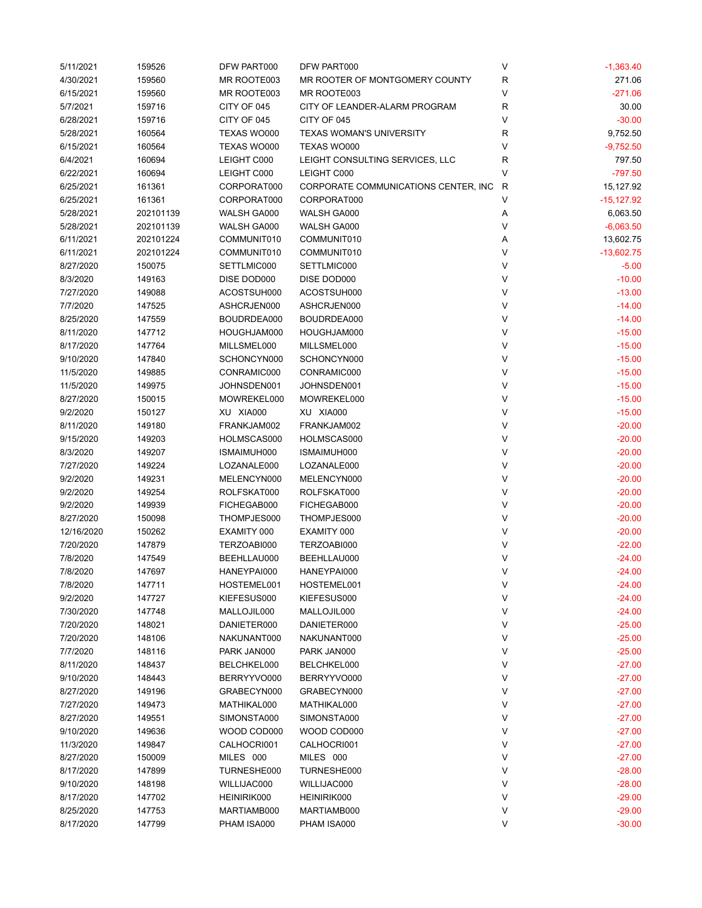| 5/11/2021  | 159526    | DFW PART000 | DFW PART000                          | V | $-1,363.40$  |
|------------|-----------|-------------|--------------------------------------|---|--------------|
| 4/30/2021  | 159560    | MR ROOTE003 | MR ROOTER OF MONTGOMERY COUNTY       | R | 271.06       |
| 6/15/2021  | 159560    | MR ROOTE003 | MR ROOTE003                          | V | $-271.06$    |
| 5/7/2021   | 159716    | CITY OF 045 | CITY OF LEANDER-ALARM PROGRAM        | R | 30.00        |
| 6/28/2021  | 159716    | CITY OF 045 | CITY OF 045                          | V | $-30.00$     |
| 5/28/2021  | 160564    | TEXAS WO000 | <b>TEXAS WOMAN'S UNIVERSITY</b>      | R | 9,752.50     |
| 6/15/2021  | 160564    | TEXAS WO000 | <b>TEXAS WO000</b>                   | V | $-9,752.50$  |
| 6/4/2021   | 160694    | LEIGHT C000 | LEIGHT CONSULTING SERVICES, LLC      | R | 797.50       |
| 6/22/2021  | 160694    | LEIGHT C000 | LEIGHT C000                          | V | $-797.50$    |
| 6/25/2021  | 161361    | CORPORAT000 | CORPORATE COMMUNICATIONS CENTER, INC | R | 15,127.92    |
| 6/25/2021  | 161361    | CORPORAT000 | CORPORAT000                          | V | $-15,127.92$ |
| 5/28/2021  | 202101139 | WALSH GA000 | WALSH GA000                          | Α | 6,063.50     |
| 5/28/2021  | 202101139 | WALSH GA000 | WALSH GA000                          | V | $-6,063.50$  |
| 6/11/2021  | 202101224 | COMMUNIT010 | COMMUNIT010                          | Α | 13,602.75    |
| 6/11/2021  | 202101224 | COMMUNIT010 | COMMUNIT010                          | V | $-13,602.75$ |
| 8/27/2020  | 150075    | SETTLMIC000 | SETTLMIC000                          | V | $-5.00$      |
| 8/3/2020   | 149163    | DISE DOD000 | DISE DOD000                          | V | $-10.00$     |
| 7/27/2020  | 149088    | ACOSTSUH000 | ACOSTSUH000                          | V | $-13.00$     |
| 7/7/2020   | 147525    | ASHCRJEN000 | ASHCRJEN000                          | V | $-14.00$     |
| 8/25/2020  | 147559    | BOUDRDEA000 | BOUDRDEA000                          | V | $-14.00$     |
| 8/11/2020  | 147712    | HOUGHJAM000 | HOUGHJAM000                          | V | $-15.00$     |
| 8/17/2020  | 147764    | MILLSMEL000 | MILLSMEL000                          | V | $-15.00$     |
| 9/10/2020  | 147840    | SCHONCYN000 | SCHONCYN000                          | V | $-15.00$     |
|            |           | CONRAMIC000 | CONRAMIC000                          | V |              |
| 11/5/2020  | 149885    | JOHNSDEN001 |                                      | V | $-15.00$     |
| 11/5/2020  | 149975    |             | JOHNSDEN001                          | V | $-15.00$     |
| 8/27/2020  | 150015    | MOWREKEL000 | MOWREKEL000                          | V | $-15.00$     |
| 9/2/2020   | 150127    | XU XIA000   | XU XIA000                            |   | $-15.00$     |
| 8/11/2020  | 149180    | FRANKJAM002 | FRANKJAM002                          | V | $-20.00$     |
| 9/15/2020  | 149203    | HOLMSCAS000 | HOLMSCAS000                          | V | $-20.00$     |
| 8/3/2020   | 149207    | ISMAIMUH000 | ISMAIMUH000                          | V | $-20.00$     |
| 7/27/2020  | 149224    | LOZANALE000 | LOZANALE000                          | V | $-20.00$     |
| 9/2/2020   | 149231    | MELENCYN000 | MELENCYN000                          | V | $-20.00$     |
| 9/2/2020   | 149254    | ROLFSKAT000 | ROLFSKAT000                          | V | $-20.00$     |
| 9/2/2020   | 149939    | FICHEGAB000 | FICHEGAB000                          | V | $-20.00$     |
| 8/27/2020  | 150098    | THOMPJES000 | THOMPJES000                          | V | $-20.00$     |
| 12/16/2020 | 150262    | EXAMITY 000 | EXAMITY 000                          | V | $-20.00$     |
| 7/20/2020  | 147879    | TERZOABI000 | TERZOABI000                          | V | $-22.00$     |
| 7/8/2020   | 147549    | BEEHLLAU000 | BEEHLLAU000                          | V | $-24.00$     |
| 7/8/2020   | 147697    | HANEYPAI000 | HANEYPAI000                          | V | $-24.00$     |
| 7/8/2020   | 147711    | HOSTEMEL001 | HOSTEMEL001                          | ٧ | $-24.00$     |
| 9/2/2020   | 147727    | KIEFESUS000 | KIEFESUS000                          | V | $-24.00$     |
| 7/30/2020  | 147748    | MALLOJIL000 | MALLOJIL000                          | V | $-24.00$     |
| 7/20/2020  | 148021    | DANIETER000 | DANIETER000                          | V | $-25.00$     |
| 7/20/2020  | 148106    | NAKUNANT000 | NAKUNANT000                          | V | $-25.00$     |
| 7/7/2020   | 148116    | PARK JAN000 | PARK JAN000                          | V | $-25.00$     |
| 8/11/2020  | 148437    | BELCHKEL000 | BELCHKEL000                          | V | $-27.00$     |
| 9/10/2020  | 148443    | BERRYYVO000 | BERRYYVO000                          | V | $-27.00$     |
| 8/27/2020  | 149196    | GRABECYN000 | GRABECYN000                          | V | $-27.00$     |
| 7/27/2020  | 149473    | MATHIKAL000 | MATHIKAL000                          | V | $-27.00$     |
| 8/27/2020  | 149551    | SIMONSTA000 | SIMONSTA000                          | V | $-27.00$     |
| 9/10/2020  | 149636    | WOOD COD000 | WOOD COD000                          | V | $-27.00$     |
| 11/3/2020  | 149847    | CALHOCRI001 | CALHOCRI001                          | V | $-27.00$     |
| 8/27/2020  | 150009    | MILES 000   | MILES 000                            | V | $-27.00$     |
| 8/17/2020  | 147899    | TURNESHE000 | TURNESHE000                          | V | $-28.00$     |
| 9/10/2020  | 148198    | WILLIJAC000 | WILLIJAC000                          | V | $-28.00$     |
| 8/17/2020  | 147702    | HEINIRIK000 | HEINIRIK000                          | ٧ | $-29.00$     |
| 8/25/2020  | 147753    | MARTIAMB000 | MARTIAMB000                          | ٧ | $-29.00$     |
| 8/17/2020  | 147799    | PHAM ISA000 | PHAM ISA000                          | V | $-30.00$     |